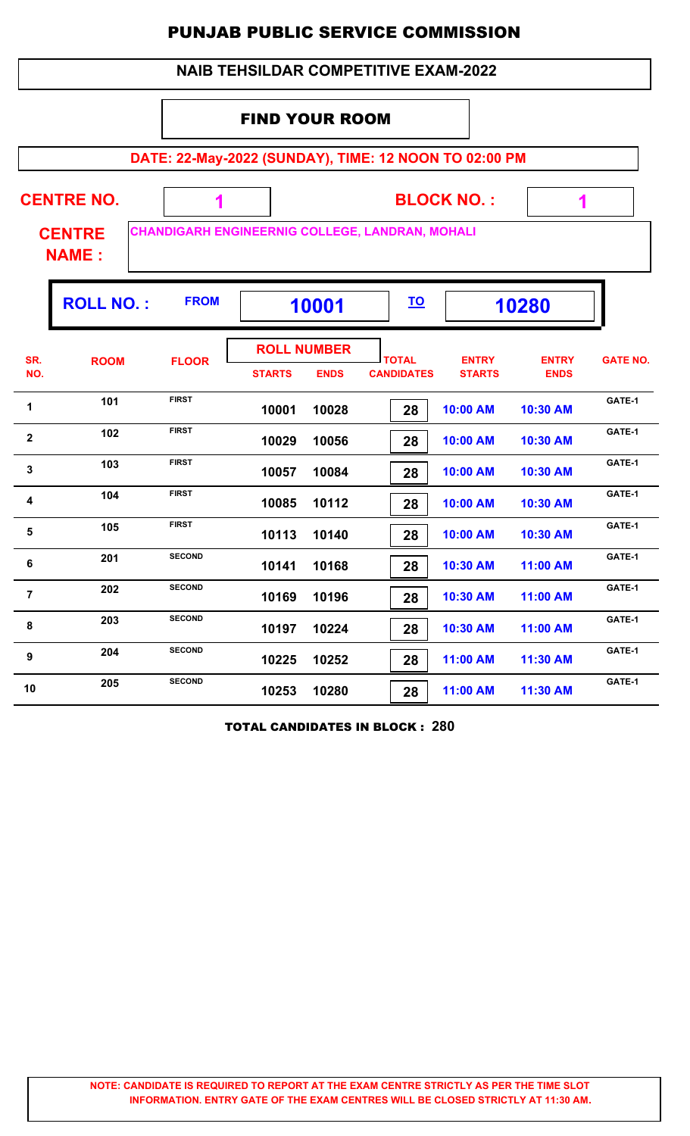| <b>NAIB TEHSILDAR COMPETITIVE EXAM-2022</b> |                                                                                  |                                                       |                       |                                   |                                   |                               |                             |                 |  |  |  |
|---------------------------------------------|----------------------------------------------------------------------------------|-------------------------------------------------------|-----------------------|-----------------------------------|-----------------------------------|-------------------------------|-----------------------------|-----------------|--|--|--|
|                                             |                                                                                  |                                                       | <b>FIND YOUR ROOM</b> |                                   |                                   |                               |                             |                 |  |  |  |
|                                             |                                                                                  | DATE: 22-May-2022 (SUNDAY), TIME: 12 NOON TO 02:00 PM |                       |                                   |                                   |                               |                             |                 |  |  |  |
|                                             | <b>CENTRE NO.</b>                                                                |                                                       |                       |                                   |                                   | <b>BLOCK NO.:</b>             | 1                           |                 |  |  |  |
|                                             | CHANDIGARH ENGINEERNIG COLLEGE, LANDRAN, MOHALI<br><b>CENTRE</b><br><b>NAME:</b> |                                                       |                       |                                   |                                   |                               |                             |                 |  |  |  |
|                                             | <b>ROLL NO.:</b>                                                                 | <b>FROM</b>                                           | 10001                 |                                   | <u>TO</u>                         |                               | 10280                       |                 |  |  |  |
| SR.<br>NO.                                  | <b>ROOM</b>                                                                      | <b>FLOOR</b>                                          | <b>STARTS</b>         | <b>ROLL NUMBER</b><br><b>ENDS</b> | <b>TOTAL</b><br><b>CANDIDATES</b> | <b>ENTRY</b><br><b>STARTS</b> | <b>ENTRY</b><br><b>ENDS</b> | <b>GATE NO.</b> |  |  |  |
| $\mathbf 1$                                 | 101                                                                              | <b>FIRST</b>                                          | 10001                 | 10028                             | 28                                | 10:00 AM                      | 10:30 AM                    | GATE-1          |  |  |  |
| $\overline{2}$                              | 102                                                                              | <b>FIRST</b>                                          | 10029                 | 10056                             | 28                                | 10:00 AM                      | 10:30 AM                    | GATE-1          |  |  |  |
| 3                                           | 103                                                                              | <b>FIRST</b>                                          | 10057                 | 10084                             | 28                                | 10:00 AM                      | 10:30 AM                    | GATE-1          |  |  |  |
| 4                                           | 104                                                                              | <b>FIRST</b>                                          | 10085                 | 10112                             | 28                                | 10:00 AM                      | 10:30 AM                    | GATE-1          |  |  |  |
| 5                                           | 105                                                                              | <b>FIRST</b>                                          | 10113                 | 10140                             | 28                                | 10:00 AM                      | 10:30 AM                    | GATE-1          |  |  |  |
| 6                                           | 201                                                                              | <b>SECOND</b>                                         | 10141                 | 10168                             | 28                                | 10:30 AM                      | 11:00 AM                    | GATE-1          |  |  |  |
| $\overline{7}$                              | 202                                                                              | <b>SECOND</b>                                         | 10169                 | 10196                             | 28                                | 10:30 AM                      | 11:00 AM                    | GATE-1          |  |  |  |
| 8                                           | 203                                                                              | <b>SECOND</b>                                         | 10197                 | 10224                             | 28                                | 10:30 AM                      | 11:00 AM                    | GATE-1          |  |  |  |
| 9                                           | 204                                                                              | <b>SECOND</b>                                         | 10225                 | 10252                             | 28                                | 11:00 AM                      | 11:30 AM                    | GATE-1          |  |  |  |
| 10                                          | 205                                                                              | <b>SECOND</b>                                         | 10253                 | 10280                             | 28                                | 11:00 AM                      | 11:30 AM                    | GATE-1          |  |  |  |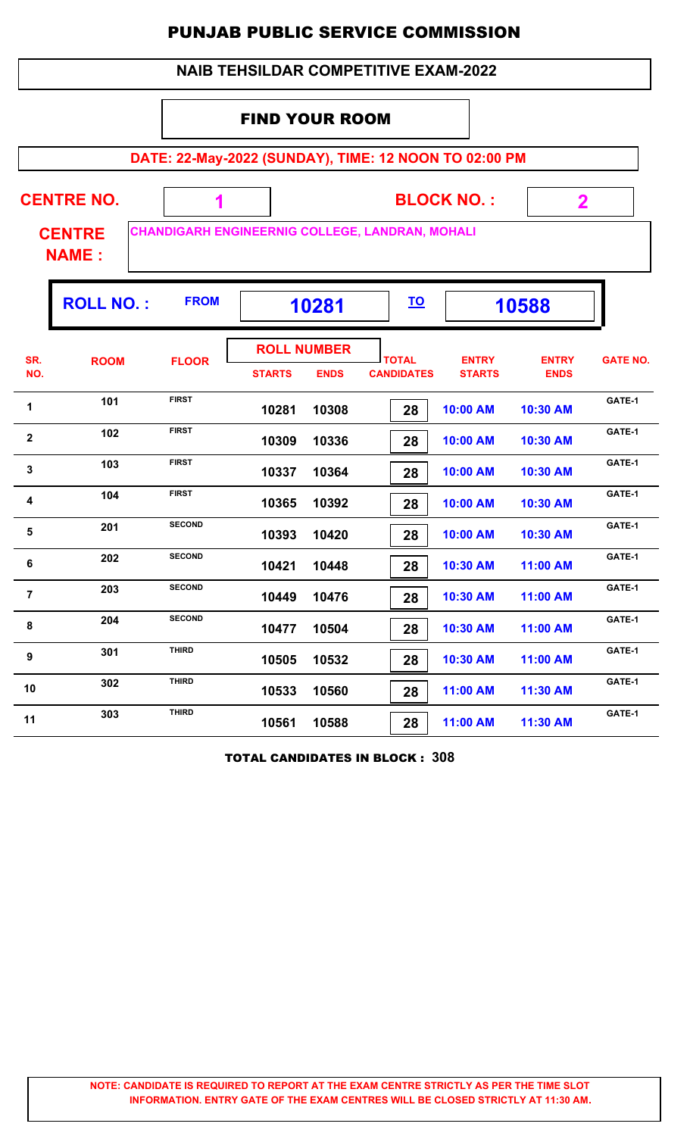| <b>NAIB TEHSILDAR COMPETITIVE EXAM-2022</b> |                                                                                  |               |                                                       |                                   |                                   |                               |                             |                 |  |  |  |
|---------------------------------------------|----------------------------------------------------------------------------------|---------------|-------------------------------------------------------|-----------------------------------|-----------------------------------|-------------------------------|-----------------------------|-----------------|--|--|--|
|                                             |                                                                                  |               | <b>FIND YOUR ROOM</b>                                 |                                   |                                   |                               |                             |                 |  |  |  |
|                                             |                                                                                  |               | DATE: 22-May-2022 (SUNDAY), TIME: 12 NOON TO 02:00 PM |                                   |                                   |                               |                             |                 |  |  |  |
|                                             | <b>CENTRE NO.</b>                                                                |               |                                                       |                                   |                                   | <b>BLOCK NO.:</b>             | $\mathbf{2}$                |                 |  |  |  |
|                                             | CHANDIGARH ENGINEERNIG COLLEGE, LANDRAN, MOHALI<br><b>CENTRE</b><br><b>NAME:</b> |               |                                                       |                                   |                                   |                               |                             |                 |  |  |  |
|                                             | <b>ROLL NO.:</b>                                                                 | <b>FROM</b>   |                                                       | 10281                             | <u>TO</u>                         |                               | 10588                       |                 |  |  |  |
| SR.<br>NO.                                  | <b>ROOM</b>                                                                      | <b>FLOOR</b>  | <b>STARTS</b>                                         | <b>ROLL NUMBER</b><br><b>ENDS</b> | <b>TOTAL</b><br><b>CANDIDATES</b> | <b>ENTRY</b><br><b>STARTS</b> | <b>ENTRY</b><br><b>ENDS</b> | <b>GATE NO.</b> |  |  |  |
| 1                                           | 101                                                                              | <b>FIRST</b>  | 10281                                                 | 10308                             | 28                                | 10:00 AM                      | 10:30 AM                    | GATE-1          |  |  |  |
| $\mathbf{2}$                                | 102                                                                              | <b>FIRST</b>  | 10309                                                 | 10336                             | 28                                | 10:00 AM                      | 10:30 AM                    | GATE-1          |  |  |  |
| 3                                           | 103                                                                              | <b>FIRST</b>  | 10337                                                 | 10364                             | 28                                | 10:00 AM                      | 10:30 AM                    | GATE-1          |  |  |  |
| 4                                           | 104                                                                              | <b>FIRST</b>  | 10365                                                 | 10392                             | 28                                | 10:00 AM                      | 10:30 AM                    | GATE-1          |  |  |  |
| 5                                           | 201                                                                              | <b>SECOND</b> | 10393                                                 | 10420                             | 28                                | 10:00 AM                      | 10:30 AM                    | GATE-1          |  |  |  |
| 6                                           | 202                                                                              | <b>SECOND</b> | 10421                                                 | 10448                             | 28                                | 10:30 AM                      | 11:00 AM                    | GATE-1          |  |  |  |
| $\overline{7}$                              | 203                                                                              | <b>SECOND</b> | 10449                                                 | 10476                             | 28                                | 10:30 AM                      | 11:00 AM                    | GATE-1          |  |  |  |
| 8                                           | 204                                                                              | <b>SECOND</b> | 10477                                                 | 10504                             | 28                                | 10:30 AM                      | 11:00 AM                    | GATE-1          |  |  |  |
| 9                                           | 301                                                                              | <b>THIRD</b>  | 10505                                                 | 10532                             | 28                                | 10:30 AM                      | 11:00 AM                    | GATE-1          |  |  |  |
| 10                                          | 302                                                                              | <b>THIRD</b>  | 10533                                                 | 10560                             | 28                                | 11:00 AM                      | 11:30 AM                    | GATE-1          |  |  |  |
| 11                                          | 303                                                                              | <b>THIRD</b>  | 10561                                                 | 10588                             | 28                                | 11:00 AM                      | 11:30 AM                    | GATE-1          |  |  |  |

TOTAL CANDIDATES IN BLOCK : **308**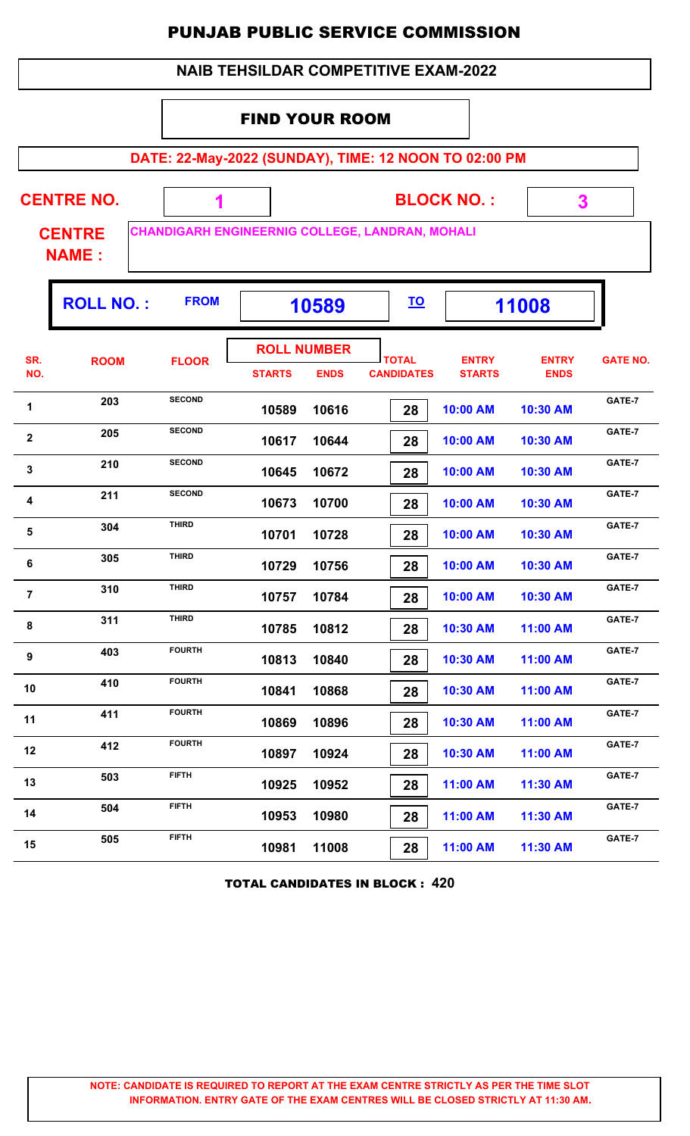|                | <b>NAIB TEHSILDAR COMPETITIVE EXAM-2022</b> |                                                 |                       |                                   |                                   |                                                       |                             |                 |  |  |  |  |
|----------------|---------------------------------------------|-------------------------------------------------|-----------------------|-----------------------------------|-----------------------------------|-------------------------------------------------------|-----------------------------|-----------------|--|--|--|--|
|                |                                             |                                                 | <b>FIND YOUR ROOM</b> |                                   |                                   |                                                       |                             |                 |  |  |  |  |
|                |                                             |                                                 |                       |                                   |                                   | DATE: 22-May-2022 (SUNDAY), TIME: 12 NOON TO 02:00 PM |                             |                 |  |  |  |  |
|                | <b>CENTRE NO.</b>                           | <b>BLOCK NO.:</b><br>3<br>1                     |                       |                                   |                                   |                                                       |                             |                 |  |  |  |  |
|                | <b>CENTRE</b><br><b>NAME:</b>               | CHANDIGARH ENGINEERNIG COLLEGE, LANDRAN, MOHALI |                       |                                   |                                   |                                                       |                             |                 |  |  |  |  |
|                | <b>ROLL NO.:</b>                            | <b>FROM</b>                                     | 10589                 |                                   | <u>TO</u>                         |                                                       | 11008                       |                 |  |  |  |  |
| SR.<br>NO.     | <b>ROOM</b>                                 | <b>FLOOR</b>                                    | <b>STARTS</b>         | <b>ROLL NUMBER</b><br><b>ENDS</b> | <b>TOTAL</b><br><b>CANDIDATES</b> | <b>ENTRY</b><br><b>STARTS</b>                         | <b>ENTRY</b><br><b>ENDS</b> | <b>GATE NO.</b> |  |  |  |  |
| 1              | 203                                         | <b>SECOND</b>                                   | 10589                 | 10616                             | 28                                | 10:00 AM                                              | 10:30 AM                    | GATE-7          |  |  |  |  |
| $\overline{2}$ | 205                                         | <b>SECOND</b>                                   | 10617                 | 10644                             | 28                                | 10:00 AM                                              | 10:30 AM                    | GATE-7          |  |  |  |  |
| 3              | 210                                         | <b>SECOND</b>                                   | 10645                 | 10672                             | 28                                | 10:00 AM                                              | 10:30 AM                    | GATE-7          |  |  |  |  |
| 4              | 211                                         | <b>SECOND</b>                                   | 10673                 | 10700                             | 28                                | 10:00 AM                                              | 10:30 AM                    | GATE-7          |  |  |  |  |
| 5              | 304                                         | <b>THIRD</b>                                    | 10701                 | 10728                             | 28                                | 10:00 AM                                              | 10:30 AM                    | GATE-7          |  |  |  |  |
| 6              | 305                                         | THIRD                                           | 10729                 | 10756                             | 28                                | 10:00 AM                                              | 10:30 AM                    | GATE-7          |  |  |  |  |
| $\overline{7}$ | 310                                         | <b>THIRD</b>                                    | 10757                 | 10784                             | 28                                | 10:00 AM                                              | 10:30 AM                    | GATE-7          |  |  |  |  |
| 8              | 311                                         | <b>THIRD</b>                                    | 10785                 | 10812                             | 28                                | 10:30 AM                                              | 11:00 AM                    | GATE-7          |  |  |  |  |
| 9              | 403                                         | <b>FOURTH</b>                                   | 10813                 | 10840                             | 28                                | 10:30 AM                                              | 11:00 AM                    | GATE-7          |  |  |  |  |
| 10             | 410                                         | <b>FOURTH</b>                                   | 10841                 | 10868                             | 28                                | 10:30 AM                                              | 11:00 AM                    | GATE-7          |  |  |  |  |
| 11             | 411                                         | <b>FOURTH</b>                                   | 10869                 | 10896                             | 28                                | 10:30 AM                                              | 11:00 AM                    | GATE-7          |  |  |  |  |
| 12             | 412                                         | <b>FOURTH</b>                                   | 10897                 | 10924                             | 28                                | 10:30 AM                                              | 11:00 AM                    | GATE-7          |  |  |  |  |
| 13             | 503                                         | <b>FIFTH</b>                                    | 10925                 | 10952                             | 28                                | 11:00 AM                                              | 11:30 AM                    | GATE-7          |  |  |  |  |
| 14             | 504                                         | <b>FIFTH</b>                                    | 10953                 | 10980                             | 28                                | 11:00 AM                                              | 11:30 AM                    | GATE-7          |  |  |  |  |
| 15             | 505                                         | <b>FIFTH</b>                                    | 10981                 | 11008                             | 28                                | 11:00 AM                                              | 11:30 AM                    | GATE-7          |  |  |  |  |

TOTAL CANDIDATES IN BLOCK : **420**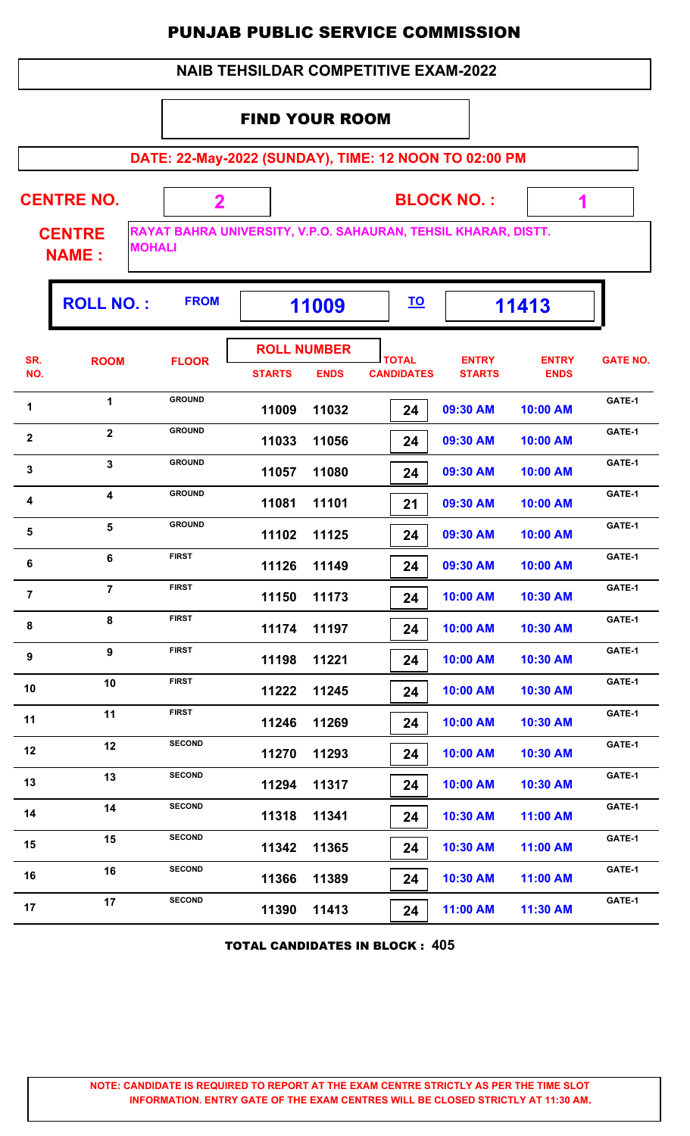|                                                                | <b>NAIB TEHSILDAR COMPETITIVE EXAM-2022</b>    |                         |                       |                                   |                                   |                                                                |                             |                 |  |  |  |
|----------------------------------------------------------------|------------------------------------------------|-------------------------|-----------------------|-----------------------------------|-----------------------------------|----------------------------------------------------------------|-----------------------------|-----------------|--|--|--|
|                                                                |                                                |                         | <b>FIND YOUR ROOM</b> |                                   |                                   |                                                                |                             |                 |  |  |  |
|                                                                |                                                |                         |                       |                                   |                                   | DATE: 22-May-2022 (SUNDAY), TIME: 12 NOON TO 02:00 PM          |                             |                 |  |  |  |
|                                                                | <b>CENTRE NO.</b>                              | $\overline{\mathbf{2}}$ |                       |                                   |                                   | <b>BLOCK NO.:</b>                                              | 1                           |                 |  |  |  |
|                                                                | <b>CENTRE</b><br><b>MOHALI</b><br><b>NAME:</b> |                         |                       |                                   |                                   | RAYAT BAHRA UNIVERSITY, V.P.O. SAHAURAN, TEHSIL KHARAR, DISTT. |                             |                 |  |  |  |
| <b>FROM</b><br><b>ROLL NO.:</b><br><u>TO</u><br>11413<br>11009 |                                                |                         |                       |                                   |                                   |                                                                |                             |                 |  |  |  |
| SR.<br>NO.                                                     | <b>ROOM</b>                                    | <b>FLOOR</b>            | <b>STARTS</b>         | <b>ROLL NUMBER</b><br><b>ENDS</b> | <b>TOTAL</b><br><b>CANDIDATES</b> | <b>ENTRY</b><br><b>STARTS</b>                                  | <b>ENTRY</b><br><b>ENDS</b> | <b>GATE NO.</b> |  |  |  |
| 1                                                              | 1                                              | <b>GROUND</b>           | 11009                 | 11032                             | 24                                | 09:30 AM                                                       | 10:00 AM                    | GATE-1          |  |  |  |
| $\mathbf{2}$                                                   | $\overline{2}$                                 | <b>GROUND</b>           | 11033                 | 11056                             | 24                                | 09:30 AM                                                       | 10:00 AM                    | GATE-1          |  |  |  |
| 3                                                              | 3                                              | <b>GROUND</b>           | 11057                 | 11080                             | 24                                | 09:30 AM                                                       | 10:00 AM                    | GATE-1          |  |  |  |
| 4                                                              | $\overline{\mathbf{4}}$                        | <b>GROUND</b>           | 11081                 | 11101                             | 21                                | 09:30 AM                                                       | 10:00 AM                    | GATE-1          |  |  |  |
| 5                                                              | 5                                              | <b>GROUND</b>           | 11102                 | 11125                             | 24                                | 09:30 AM                                                       | 10:00 AM                    | GATE-1          |  |  |  |
| 6                                                              | 6                                              | <b>FIRST</b>            | 11126                 | 11149                             | 24                                | 09:30 AM                                                       | 10:00 AM                    | GATE-1          |  |  |  |
| $\overline{7}$                                                 | $\overline{7}$                                 | <b>FIRST</b>            | 11150                 | 11173                             | 24                                | 10:00 AM                                                       | 10:30 AM                    | GATE-1          |  |  |  |
| 8                                                              | 8                                              | <b>FIRST</b>            | 11174                 | 11197                             | 24                                | 10:00 AM                                                       | 10:30 AM                    | GATE-1          |  |  |  |
| 9                                                              | 9                                              | <b>FIRST</b>            | 11198                 | 11221                             | 24                                | 10:00 AM                                                       | 10:30 AM                    | GATE-1          |  |  |  |
| 10                                                             | 10                                             | <b>FIRST</b>            | 11222                 | 11245                             | 24                                | 10:00 AM                                                       | 10:30 AM                    | GATE-1          |  |  |  |
| 11                                                             | 11                                             | <b>FIRST</b>            | 11246                 | 11269                             | 24                                | 10:00 AM                                                       | 10:30 AM                    | GATE-1          |  |  |  |
| 12                                                             | 12                                             | <b>SECOND</b>           | 11270                 | 11293                             | 24                                | 10:00 AM                                                       | 10:30 AM                    | GATE-1          |  |  |  |
| 13                                                             | 13                                             | <b>SECOND</b>           | 11294                 | 11317                             | 24                                | 10:00 AM                                                       | 10:30 AM                    | GATE-1          |  |  |  |
| 14                                                             | 14                                             | <b>SECOND</b>           | 11318                 | 11341                             | 24                                | 10:30 AM                                                       | 11:00 AM                    | GATE-1          |  |  |  |
| 15                                                             | 15                                             | <b>SECOND</b>           | 11342                 | 11365                             | 24                                | 10:30 AM                                                       | 11:00 AM                    | GATE-1          |  |  |  |
| 16                                                             | 16                                             | <b>SECOND</b>           | 11366                 | 11389                             | 24                                | 10:30 AM                                                       | 11:00 AM                    | GATE-1          |  |  |  |
| 17                                                             | 17                                             | <b>SECOND</b>           | 11390                 | 11413                             | 24                                | 11:00 AM                                                       | 11:30 AM                    | GATE-1          |  |  |  |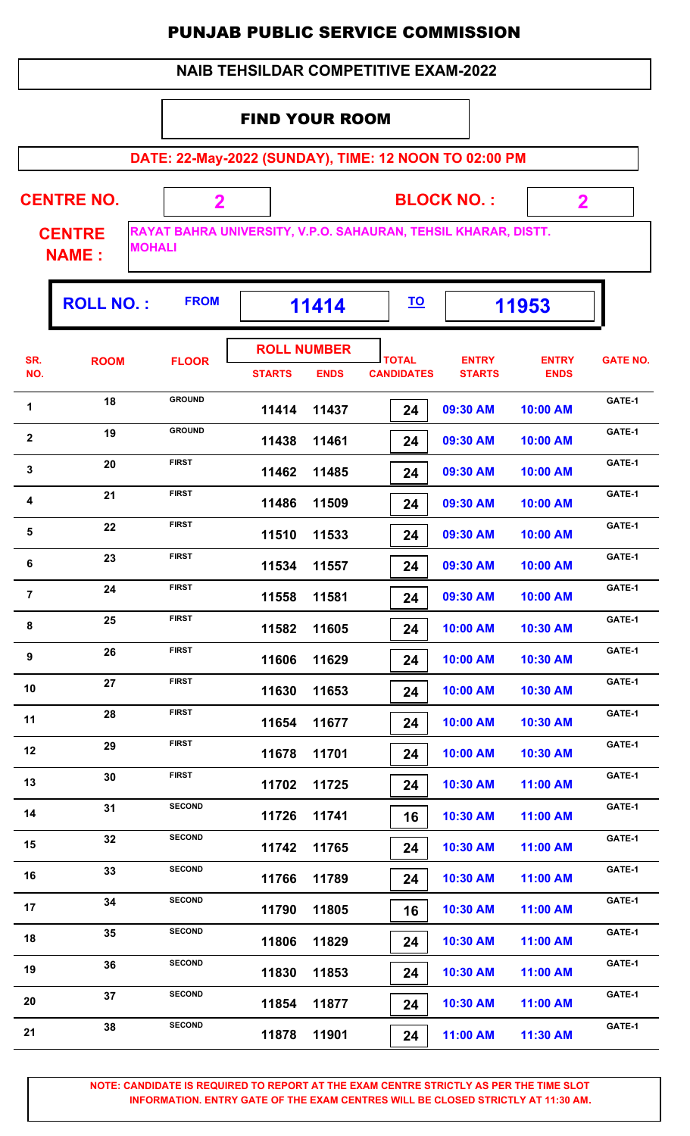#### **DATE: 22-May-2022 (SUNDAY), TIME: 12 NOON TO 02:00 PM BLOCK NO. : CENTRE NAME : CENTRE NO. 2 RAYAT BAHRA UNIVERSITY, V.P.O. SAHAURAN, TEHSIL KHARAR, DISTT. MOHALI 2** FIND YOUR ROOM  **NAIB TEHSILDAR COMPETITIVE EXAM-2022 ROLL NO. :** FROM | 11414 |  $\overline{10}$  | 11953 **TOTAL STARTS ENDS CANDIDATES SR. NO.** ROOM FLOOR **International FLOOR** *ENTRY* **STARTS ENTRY ENDS FLOOR GATE NO. ROLL NUMBER 11414 11437 24 09:30 AM 10:00 AM** 1 18 GROUND **11414 11437 24 09:30 AM 10:00 AM** GATE-1  **11438 11461 24 09:30 AM 10:00 AM 19 GROUND**<br>**11438 11461 24 09:30 AM 10:00 AM GATE-1 11462 11485 24 09:30 AM 10:00 AM CATE-1**<br>**11462 11485 20 CATE-1**<br>**11462 11485 24 09:30 AM 10:00 AM 11486 11509 24 09:30 AM 10:00 AM 4 CATE-1 CATE-1 CATE-1 CATE-1 11486 11509 24 09:30 AM 10:00 AM CATE-1 11510 11533 24 09:30 AM 10:00 AM 5 CATE-1 CATE-1 CATE-1 CATE-1 CATE-1 CATE-1 CATE-1 CATE-1 11534 11557 24 09:30 AM 10:00 AM 6 CATE-1 CATE-1 23 FIRST 11534 11557 24 09:30 AM 10:00 AM GATE-1 11558 11581 24 09:30 AM 10:00 AM CATE-1**<br>**CATE-1**<br>**11558 11581**<br>**24 CATE-1**<br>**21 09:30 AM**<br>**10:00 AM 11582 11605 24 10:00 AM 10:30 AM** 8 25 FIRST **11582 11605** 24 10:00 AM 10:30 AM **GATE-1 11606 11629 24 10:00 AM 10:30 AM 9 CATE-1 CATE-1 CATE-1 CATE-1 CATE-1 CATE-1 CATE-1 CATE-1 11630 11653 24 10:00 AM 10:30 AM** 10 27 FIRST 11630 11653 24 10:00 AM 10:30 AM CATE-1  **11654 11677 24 10:00 AM 10:30 AM 11 28 FIRST 11654 11677 24 10:00 AM 10:30 AM GATE-1 11678 11701 24 10:00 AM 10:30 AM 12 CATE-1**<br>**12 CATE-1**<br>**11678 11701 24 10:00 AM 10:30 AM CATE-1 11702 11725 24 10:30 AM 11:00 AM 13 CATE-1**<br>**11702 11725 24 10:30 AM 11:00 AM GATE-1 11726 11741 16 10:30 AM 11:00 AM GATE-1<sup>14</sup> <sup>31</sup> SECOND 11742 11765 24 10:30 AM 11:00 AM GATE-1<sup>15</sup> <sup>32</sup> SECOND 11766 11789 24 10:30 AM 11:00 AM GATE-1<sup>16</sup> <sup>33</sup> SECOND 11790 11805 16 10:30 AM 11:00 AM GATE-1<sup>17</sup> <sup>34</sup> SECOND 11806 11829 24 10:30 AM 11:00 AM GATE-1<sup>18</sup> <sup>35</sup> SECOND 11830 11853 24 10:30 AM 11:00 AM** 19 36 SECOND 11830 11853 24 10:30 AM 11:00 AM CATE-1  **11854 11877 24 10:30 AM 11:00 AM 20 CATE-1**<br>**41854 11877 20 21** 10:30 AM **11:00 AM GATE-1**

**NOTE: CANDIDATE IS REQUIRED TO REPORT AT THE EXAM CENTRE STRICTLY AS PER THE TIME SLOT INFORMATION. ENTRY GATE OF THE EXAM CENTRES WILL BE CLOSED STRICTLY AT 11:30 AM.**

**21 CATE-1 CATE-1 CATE-1 CATE-1 CATE-1 CATE-1 CATE-1 CATE-1 CATE-1** 

 **11878 11901 24 11:00 AM 11:30 AM**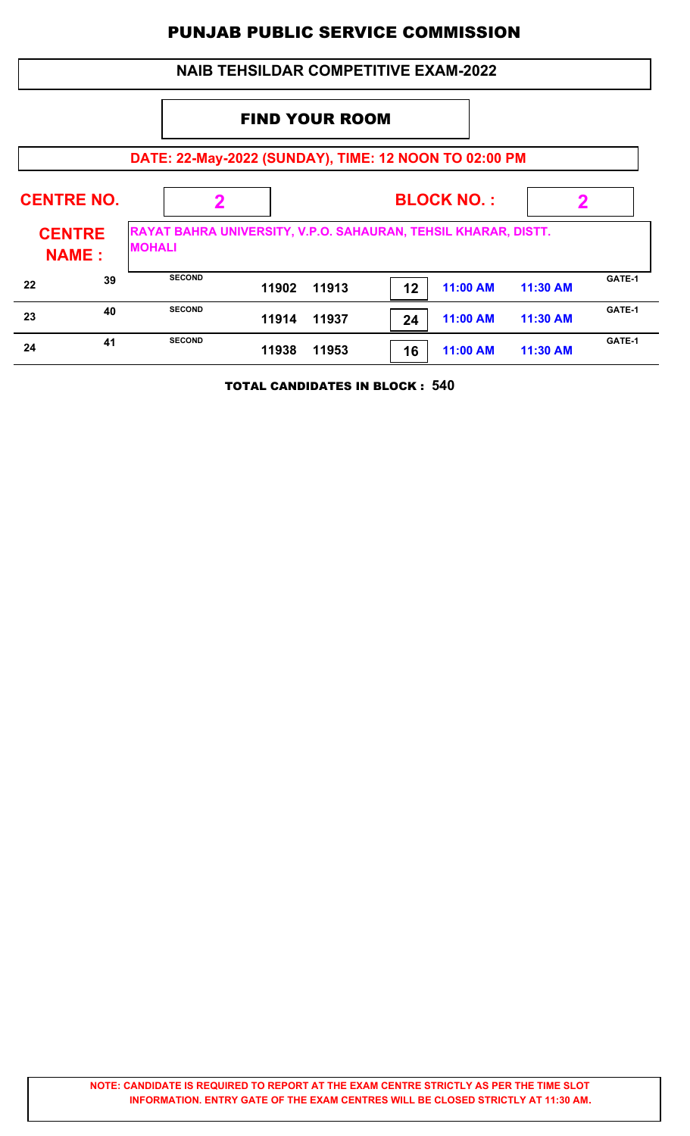|    |                               |                                                                                 | <b>NAIB TEHSILDAR COMPETITIVE EXAM-2022</b> |       |    |                 |          |        |
|----|-------------------------------|---------------------------------------------------------------------------------|---------------------------------------------|-------|----|-----------------|----------|--------|
|    |                               |                                                                                 |                                             |       |    |                 |          |        |
|    |                               | DATE: 22-May-2022 (SUNDAY), TIME: 12 NOON TO 02:00 PM                           |                                             |       |    |                 |          |        |
|    | <b>CENTRE NO.</b>             | 2                                                                               |                                             |       | 2  |                 |          |        |
|    | <b>CENTRE</b><br><b>NAME:</b> | RAYAT BAHRA UNIVERSITY, V.P.O. SAHAURAN, TEHSIL KHARAR, DISTT.<br><b>MOHALI</b> |                                             |       |    |                 |          |        |
| 22 | 39                            | <b>SECOND</b>                                                                   | 11902                                       | 11913 | 12 | <b>11:00 AM</b> | 11:30 AM | GATE-1 |
| 23 | 40                            | <b>SECOND</b>                                                                   | 11914                                       | 11937 | 24 | 11:00 AM        | 11:30 AM | GATE-1 |
| 24 | 41                            | <b>SECOND</b>                                                                   | 11938                                       | 11953 | 16 | <b>11:00 AM</b> | 11:30 AM | GATE-1 |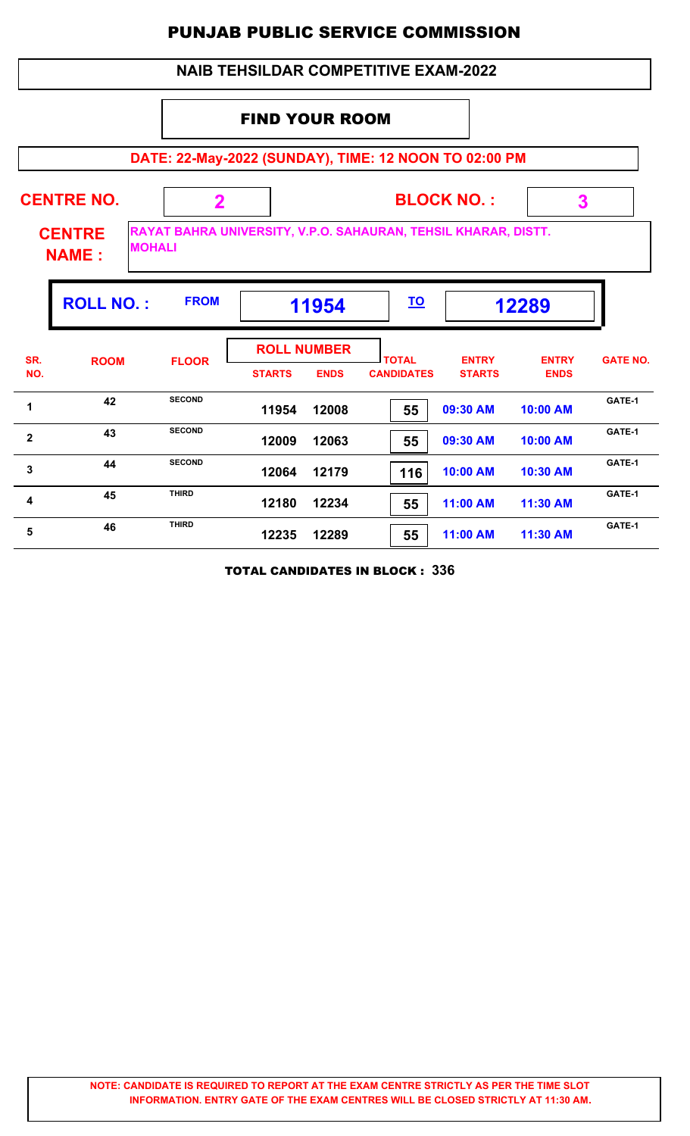#### **DATE: 22-May-2022 (SUNDAY), TIME: 12 NOON TO 02:00 PM BLOCK NO. : CENTRE NAME : CENTRE NO. 2 RAYAT BAHRA UNIVERSITY, V.P.O. SAHAURAN, TEHSIL KHARAR, DISTT. MOHALI 3** FIND YOUR ROOM  **NAIB TEHSILDAR COMPETITIVE EXAM-2022 ROLL NO. :** FROM | 11954 |  $\overline{10}$  | 12289 **TOTAL STARTS ENDS CANDIDATES SR. NO.** ROOM FLOOR **International FLOOR** *ENTRY* **STARTS ENTRY ENDS FLOOR GATE NO. ROLL NUMBER 11954 12008 55 09:30 AM 10:00 AM** 1 **1 1 1 11954 12008 1 12008 12008 12008 12008 12008 12008 12008 12008 12008 12008 12008 12008 12008 12008 12008 12008 12008 12008 12008 12008 12008 12008 12008 120 12009 12063 55 09:30 AM 10:00 AM 43 BECOND**<br>**43 ECOND**<br>**43 ECOND**<br>**55 09:30 AM**<br>**10:00 AM 12064 12179 116 10:00 AM 10:30 AM GATE-1<sup>3</sup> <sup>44</sup> SECOND 12180 12234 55 11:00 AM 11:30 AM 4 45 CATE-1**<br>**45 CATE-1**<br>**42180 12234 F55 11:00 AM 11:30 AM GATE-1 12235 12289 55 11:00 AM 11:30 AM 46 CATE-1**<br>**46 CATE-1**<br>**46 CATE-1**<br>**472235 12289 F55 11:00 AM 11:30 AM**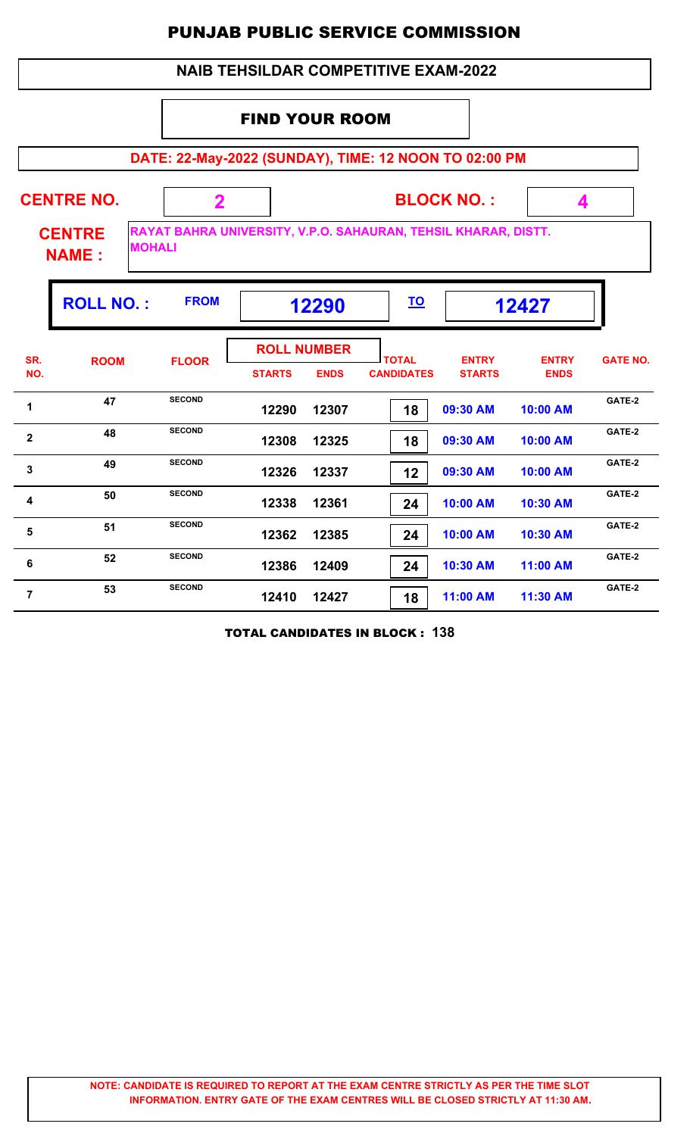#### **DATE: 22-May-2022 (SUNDAY), TIME: 12 NOON TO 02:00 PM BLOCK NO. : CENTRE NAME : CENTRE NO. 2 RAYAT BAHRA UNIVERSITY, V.P.O. SAHAURAN, TEHSIL KHARAR, DISTT. MOHALI 4** FIND YOUR ROOM  **NAIB TEHSILDAR COMPETITIVE EXAM-2022 ROLL NO. :** FROM 12290 <u>10</u> 12427 **TOTAL STARTS ENDS CANDIDATES SR. NO.** ROOM FLOOR **International FLOOR** *ENTRY* **STARTS ENTRY ENDS FLOOR GATE NO. ROLL NUMBER 12290 12307 18 09:30 AM 10:00 AM** 1 **1 EXECOND EXECOND EXECOND EXECOND EXECOND EXECOND EXECOND EXECOND EXECOND EXECOND EXECOND EXECOND EXECOND EXECOND EXECOND EXECOND EXECOND EXECOND EXECOND EXECOND EXECOND EXEC 12308 12325 18 09:30 AM 10:00 AM 48 BECOND**<br>**EXAMPLE 12308 12325 18 09:30 AM 10:00 AM GATE-2 12326 12337 12 09:30 AM 10:00 AM 49 SECOND**<br>**49 ECOND**<br>**49 12326 12337 12 09:30 AM 10:00 AM GATE-2 12338 12361 24 10:00 AM 10:30 AM GATE-2<sup>4</sup> <sup>50</sup> SECOND 12362 12385 24 10:00 AM 10:30 AM 51 SECOND 12362 12385 74 10:00 AM 10:30 AM GATE-2 12386 12409 24 10:30 AM 11:00 AM 6 52 SECOND 12386 12409 74 10:30 AM 11:00 AM GATE-2 12410 12427 18 11:00 AM 11:30 AM GATE-2<sup>7</sup> <sup>53</sup> SECOND**

TOTAL CANDIDATES IN BLOCK : **138**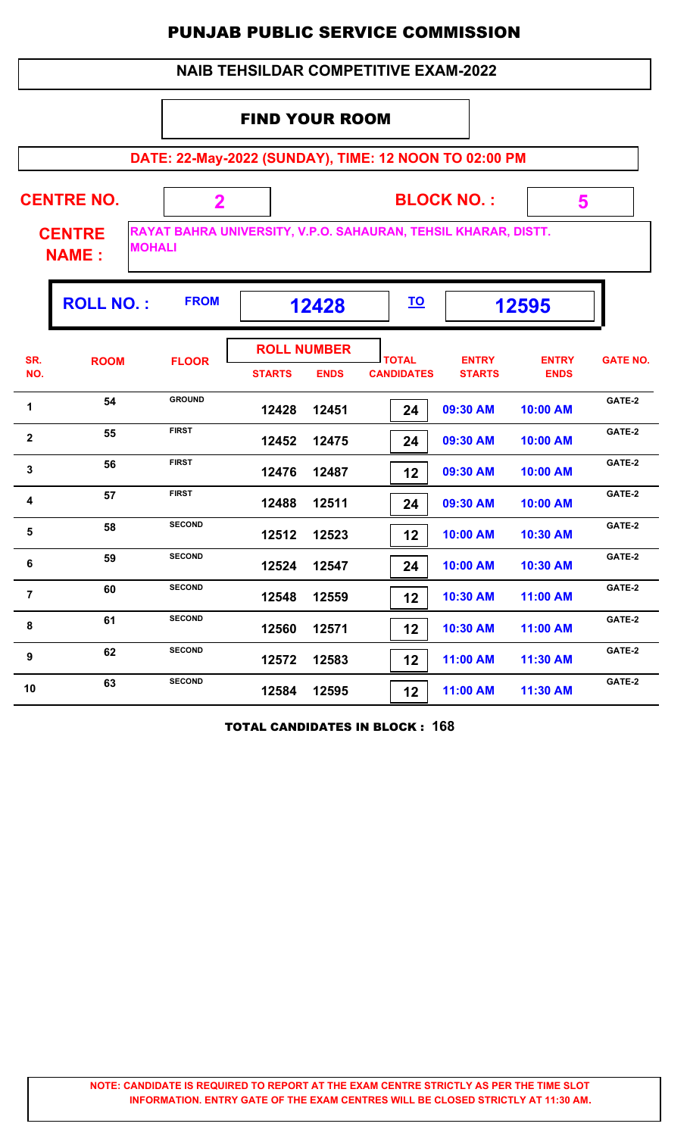|                |                                                |                                                                |                       |                                   | <b>NAIB TEHSILDAR COMPETITIVE EXAM-2022</b> |                               |                             |                 |
|----------------|------------------------------------------------|----------------------------------------------------------------|-----------------------|-----------------------------------|---------------------------------------------|-------------------------------|-----------------------------|-----------------|
|                |                                                |                                                                | <b>FIND YOUR ROOM</b> |                                   |                                             |                               |                             |                 |
|                |                                                | DATE: 22-May-2022 (SUNDAY), TIME: 12 NOON TO 02:00 PM          |                       |                                   |                                             |                               |                             |                 |
|                | <b>CENTRE NO.</b>                              | $\mathbf 2$                                                    |                       |                                   |                                             | <b>BLOCK NO.:</b>             | 5                           |                 |
|                | <b>CENTRE</b><br><b>MOHALI</b><br><b>NAME:</b> | RAYAT BAHRA UNIVERSITY, V.P.O. SAHAURAN, TEHSIL KHARAR, DISTT. |                       |                                   |                                             |                               |                             |                 |
|                | <b>ROLL NO.:</b>                               | <b>FROM</b>                                                    |                       | 12428                             | <u>TO</u>                                   |                               | 12595                       |                 |
| SR.<br>NO.     | <b>ROOM</b>                                    | <b>FLOOR</b>                                                   | <b>STARTS</b>         | <b>ROLL NUMBER</b><br><b>ENDS</b> | <b>TOTAL</b><br><b>CANDIDATES</b>           | <b>ENTRY</b><br><b>STARTS</b> | <b>ENTRY</b><br><b>ENDS</b> | <b>GATE NO.</b> |
| 1              | 54                                             | <b>GROUND</b>                                                  | 12428                 | 12451                             | 24                                          | 09:30 AM                      | 10:00 AM                    | GATE-2          |
| $\mathbf{2}$   | 55                                             | <b>FIRST</b>                                                   | 12452                 | 12475                             | 24                                          | 09:30 AM                      | 10:00 AM                    | GATE-2          |
| 3              | 56                                             | <b>FIRST</b>                                                   | 12476                 | 12487                             | 12                                          | 09:30 AM                      | 10:00 AM                    | GATE-2          |
| 4              | 57                                             | <b>FIRST</b>                                                   | 12488                 | 12511                             | 24                                          | 09:30 AM                      | 10:00 AM                    | GATE-2          |
| 5              | 58                                             | <b>SECOND</b>                                                  | 12512                 | 12523                             | 12                                          | 10:00 AM                      | 10:30 AM                    | GATE-2          |
| 6              | 59                                             | <b>SECOND</b>                                                  | 12524                 | 12547                             | 24                                          | 10:00 AM                      | 10:30 AM                    | GATE-2          |
| $\overline{7}$ | 60                                             | <b>SECOND</b>                                                  | 12548                 | 12559                             | 12                                          | 10:30 AM                      | 11:00 AM                    | GATE-2          |
| 8              | 61                                             | <b>SECOND</b>                                                  | 12560                 | 12571                             | 12                                          | 10:30 AM                      | 11:00 AM                    | GATE-2          |
| 9              | 62                                             | <b>SECOND</b>                                                  | 12572                 | 12583                             | 12                                          | 11:00 AM                      | 11:30 AM                    | GATE-2          |
| 10             | 63                                             | <b>SECOND</b>                                                  | 12584                 | 12595                             | 12                                          | 11:00 AM                      | 11:30 AM                    | GATE-2          |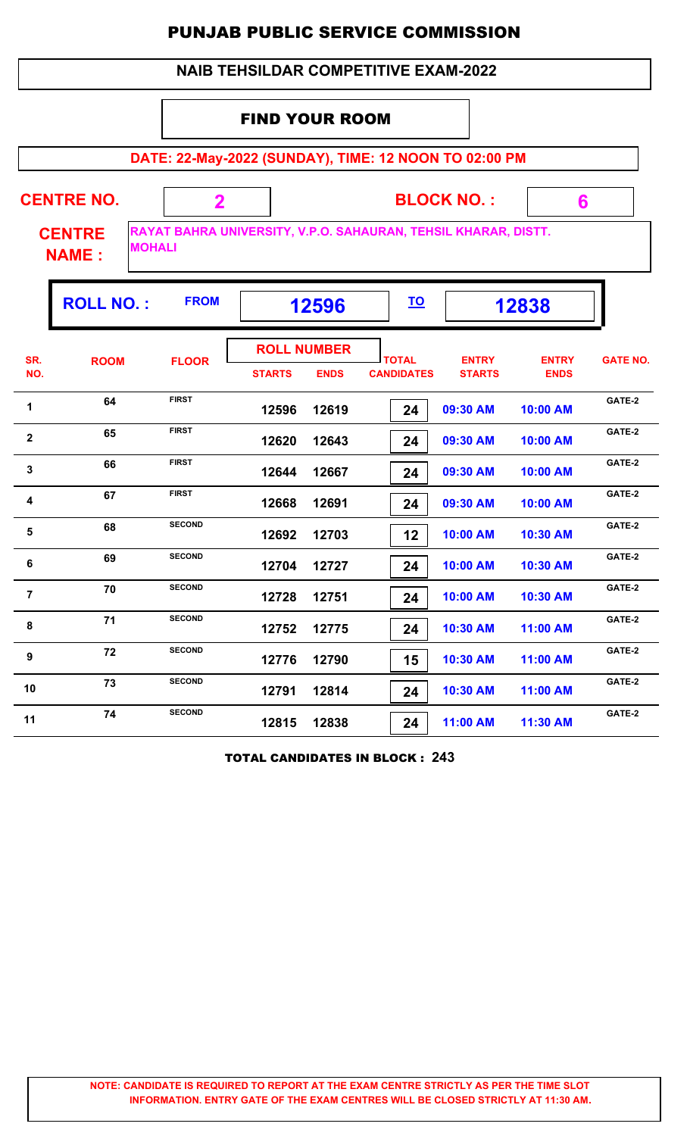|                |                                                                                                                  |                                                       |                       |                                   | <b>NAIB TEHSILDAR COMPETITIVE EXAM-2022</b> |                               |                             |                 |  |  |
|----------------|------------------------------------------------------------------------------------------------------------------|-------------------------------------------------------|-----------------------|-----------------------------------|---------------------------------------------|-------------------------------|-----------------------------|-----------------|--|--|
|                |                                                                                                                  |                                                       | <b>FIND YOUR ROOM</b> |                                   |                                             |                               |                             |                 |  |  |
|                |                                                                                                                  | DATE: 22-May-2022 (SUNDAY), TIME: 12 NOON TO 02:00 PM |                       |                                   |                                             |                               |                             |                 |  |  |
|                | <b>CENTRE NO.</b>                                                                                                | $\mathbf 2$                                           |                       |                                   |                                             | <b>BLOCK NO.:</b>             | 6                           |                 |  |  |
|                | RAYAT BAHRA UNIVERSITY, V.P.O. SAHAURAN, TEHSIL KHARAR, DISTT.<br><b>CENTRE</b><br><b>MOHALI</b><br><b>NAME:</b> |                                                       |                       |                                   |                                             |                               |                             |                 |  |  |
|                | <b>ROLL NO.:</b>                                                                                                 | <b>FROM</b>                                           |                       | 12596                             | <u>TO</u>                                   |                               | 12838                       |                 |  |  |
| SR.<br>NO.     | <b>ROOM</b>                                                                                                      | <b>FLOOR</b>                                          | <b>STARTS</b>         | <b>ROLL NUMBER</b><br><b>ENDS</b> | <b>TOTAL</b><br><b>CANDIDATES</b>           | <b>ENTRY</b><br><b>STARTS</b> | <b>ENTRY</b><br><b>ENDS</b> | <b>GATE NO.</b> |  |  |
| 1              | 64                                                                                                               | <b>FIRST</b>                                          | 12596                 | 12619                             | 24                                          | 09:30 AM                      | 10:00 AM                    | GATE-2          |  |  |
| $\mathbf{2}$   | 65                                                                                                               | <b>FIRST</b>                                          | 12620                 | 12643                             | 24                                          | 09:30 AM                      | 10:00 AM                    | GATE-2          |  |  |
| $\mathbf{3}$   | 66                                                                                                               | <b>FIRST</b>                                          | 12644                 | 12667                             | 24                                          | 09:30 AM                      | 10:00 AM                    | GATE-2          |  |  |
| 4              | 67                                                                                                               | <b>FIRST</b>                                          | 12668                 | 12691                             | 24                                          | 09:30 AM                      | 10:00 AM                    | GATE-2          |  |  |
| 5              | 68                                                                                                               | <b>SECOND</b>                                         | 12692                 | 12703                             | 12                                          | 10:00 AM                      | 10:30 AM                    | GATE-2          |  |  |
| $\bf 6$        | 69                                                                                                               | <b>SECOND</b>                                         | 12704                 | 12727                             | 24                                          | 10:00 AM                      | 10:30 AM                    | GATE-2          |  |  |
| $\overline{7}$ | 70                                                                                                               | <b>SECOND</b>                                         | 12728                 | 12751                             | 24                                          | 10:00 AM                      | 10:30 AM                    | GATE-2          |  |  |
| $\pmb{8}$      | 71                                                                                                               | <b>SECOND</b>                                         | 12752                 | 12775                             | 24                                          | 10:30 AM                      | 11:00 AM                    | GATE-2          |  |  |
| 9              | 72                                                                                                               | <b>SECOND</b>                                         | 12776                 | 12790                             | 15                                          | 10:30 AM                      | 11:00 AM                    | GATE-2          |  |  |
| 10             | 73                                                                                                               | <b>SECOND</b>                                         | 12791                 | 12814                             | 24                                          | 10:30 AM                      | 11:00 AM                    | GATE-2          |  |  |
| 11             | 74                                                                                                               | <b>SECOND</b>                                         | 12815                 | 12838                             | 24                                          | 11:00 AM                      | 11:30 AM                    | GATE-2          |  |  |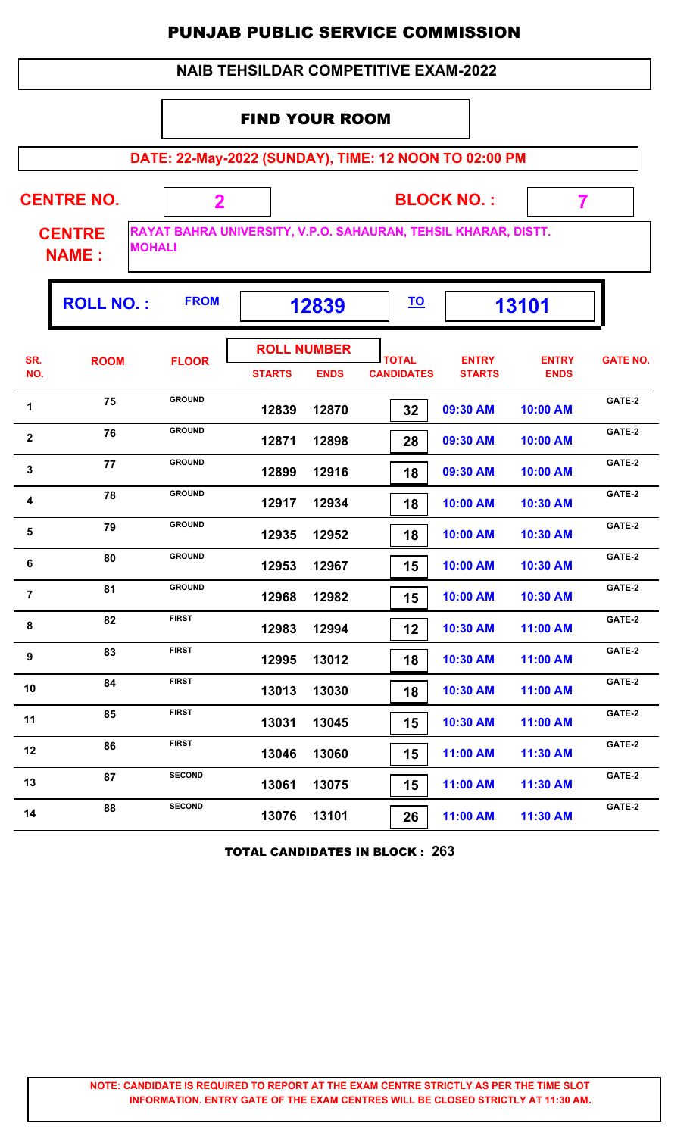|                |                                                |               |                                     |             | <b>PUNJAB PUBLIC SERVICE COMMISSION</b>                        |                               |                             |                 |
|----------------|------------------------------------------------|---------------|-------------------------------------|-------------|----------------------------------------------------------------|-------------------------------|-----------------------------|-----------------|
|                |                                                |               |                                     |             | <b>NAIB TEHSILDAR COMPETITIVE EXAM-2022</b>                    |                               |                             |                 |
|                |                                                |               | <b>FIND YOUR ROOM</b>               |             |                                                                |                               |                             |                 |
|                |                                                |               |                                     |             | DATE: 22-May-2022 (SUNDAY), TIME: 12 NOON TO 02:00 PM          |                               |                             |                 |
|                |                                                |               |                                     |             |                                                                |                               |                             |                 |
|                | <b>CENTRE NO.</b>                              | $\mathbf{2}$  |                                     |             |                                                                | <b>BLOCK NO.:</b>             | 7                           |                 |
|                | <b>CENTRE</b><br><b>MOHALI</b><br><b>NAME:</b> |               |                                     |             | RAYAT BAHRA UNIVERSITY, V.P.O. SAHAURAN, TEHSIL KHARAR, DISTT. |                               |                             |                 |
|                | <b>ROLL NO.:</b>                               | <b>FROM</b>   |                                     | 12839       | <u>TO</u>                                                      |                               | 13101                       |                 |
| SR.<br>NO.     | <b>ROOM</b>                                    | <b>FLOOR</b>  | <b>ROLL NUMBER</b><br><b>STARTS</b> | <b>ENDS</b> | <b>TOTAL</b><br><b>CANDIDATES</b>                              | <b>ENTRY</b><br><b>STARTS</b> | <b>ENTRY</b><br><b>ENDS</b> | <b>GATE NO.</b> |
| $\mathbf{1}$   | 75                                             | <b>GROUND</b> | 12839                               | 12870       | 32                                                             | 09:30 AM                      | 10:00 AM                    | GATE-2          |
| $\mathbf{2}$   | 76                                             | <b>GROUND</b> | 12871                               | 12898       | 28                                                             | 09:30 AM                      | 10:00 AM                    | GATE-2          |
| 3              | 77                                             | <b>GROUND</b> | 12899                               | 12916       | 18                                                             | 09:30 AM                      | 10:00 AM                    | GATE-2          |
| -4             | 78                                             | <b>GROUND</b> | 12917                               | 12934       | 18                                                             | 10:00 AM                      | 10:30 AM                    | GATE-2          |
| 5              | 79                                             | <b>GROUND</b> | 12935                               | 12952       | 18                                                             | 10:00 AM                      | 10:30 AM                    | GATE-2          |
| - 6            | 80                                             | <b>GROUND</b> | 12953                               | 12967       | 15                                                             | 10:00 AM                      | 10:30 AM                    | GATE-2          |
| $\overline{7}$ | 81                                             | <b>GROUND</b> | 12968                               | 12982       | 15                                                             | 10:00 AM                      | 10:30 AM                    | GATE-2          |
| 8              | 82                                             | <b>FIRST</b>  | 12983                               | 12994       | 12                                                             | 10:30 AM                      | 11:00 AM                    | GATE-2          |
| 9              | 83                                             | <b>FIRST</b>  | 12995                               | 13012       | 18                                                             | 10:30 AM                      | 11:00 AM                    | GATE-2          |
| 10             | 84                                             | <b>FIRST</b>  | 13013                               | 13030       | 18                                                             | 10:30 AM                      | 11:00 AM                    | GATE-2          |
| 11             | 85                                             | <b>FIRST</b>  | 13031                               | 13045       | 15                                                             | 10:30 AM                      | 11:00 AM                    | GATE-2          |
| 12             | 86                                             | <b>FIRST</b>  | 13046                               | 13060       | 15                                                             | 11:00 AM                      | 11:30 AM                    | GATE-2          |
| 13             | 87                                             | <b>SECOND</b> | 13061                               | 13075       | 15                                                             | 11:00 AM                      | 11:30 AM                    | GATE-2          |
| 14             | 88                                             | <b>SECOND</b> |                                     | 13076 13101 | 26 <sup>1</sup>                                                |                               | 11:00 AM   11:30 AM         | GATE-2          |

TOTAL CANDIDATES IN BLOCK : **263**

 **13076 13101 26 11:00 AM 11:30 AM**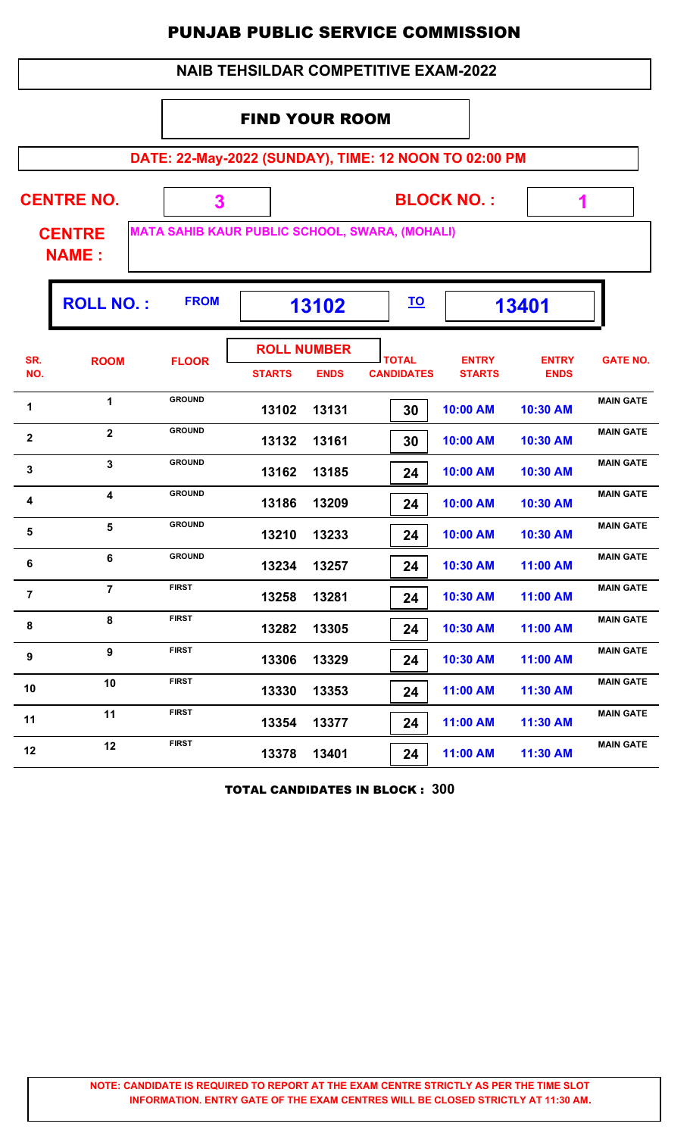| <b>NAIB TEHSILDAR COMPETITIVE EXAM-2022</b> |                                                                |               |                       |                                   |                                                       |                               |                             |                  |  |  |  |
|---------------------------------------------|----------------------------------------------------------------|---------------|-----------------------|-----------------------------------|-------------------------------------------------------|-------------------------------|-----------------------------|------------------|--|--|--|
|                                             |                                                                |               | <b>FIND YOUR ROOM</b> |                                   |                                                       |                               |                             |                  |  |  |  |
|                                             |                                                                |               |                       |                                   | DATE: 22-May-2022 (SUNDAY), TIME: 12 NOON TO 02:00 PM |                               |                             |                  |  |  |  |
|                                             | <b>CENTRE NO.</b><br><b>CENTRE</b>                             | 3             |                       |                                   | <b>MATA SAHIB KAUR PUBLIC SCHOOL, SWARA, (MOHALI)</b> | <b>BLOCK NO.:</b>             | 1                           |                  |  |  |  |
|                                             | <b>NAME:</b>                                                   |               |                       |                                   |                                                       |                               |                             |                  |  |  |  |
|                                             | <b>FROM</b><br><b>ROLL NO.:</b><br><u>TO</u><br>13401<br>13102 |               |                       |                                   |                                                       |                               |                             |                  |  |  |  |
| SR.<br>NO.                                  | <b>ROOM</b>                                                    | <b>FLOOR</b>  | <b>STARTS</b>         | <b>ROLL NUMBER</b><br><b>ENDS</b> | <b>TOTAL</b><br><b>CANDIDATES</b>                     | <b>ENTRY</b><br><b>STARTS</b> | <b>ENTRY</b><br><b>ENDS</b> | <b>GATE NO.</b>  |  |  |  |
| 1                                           | 1                                                              | <b>GROUND</b> | 13102                 | 13131                             | 30                                                    | 10:00 AM                      | 10:30 AM                    | <b>MAIN GATE</b> |  |  |  |
| 2                                           | $\overline{2}$                                                 | <b>GROUND</b> | 13132                 | 13161                             | 30                                                    | 10:00 AM                      | 10:30 AM                    | <b>MAIN GATE</b> |  |  |  |
| 3                                           | 3                                                              | <b>GROUND</b> | 13162                 | 13185                             | 24                                                    | 10:00 AM                      | 10:30 AM                    | <b>MAIN GATE</b> |  |  |  |
| 4                                           | $\overline{\mathbf{4}}$                                        | <b>GROUND</b> | 13186                 | 13209                             | 24                                                    | 10:00 AM                      | 10:30 AM                    | <b>MAIN GATE</b> |  |  |  |
| 5                                           | 5                                                              | <b>GROUND</b> | 13210                 | 13233                             | 24                                                    | 10:00 AM                      | 10:30 AM                    | <b>MAIN GATE</b> |  |  |  |
| 6                                           | 6                                                              | <b>GROUND</b> | 13234                 | 13257                             | 24                                                    | 10:30 AM                      | 11:00 AM                    | <b>MAIN GATE</b> |  |  |  |
| $\overline{7}$                              | $\overline{7}$                                                 | <b>FIRST</b>  | 13258                 | 13281                             | 24                                                    | 10:30 AM                      | 11:00 AM                    | <b>MAIN GATE</b> |  |  |  |
| 8                                           | 8                                                              | <b>FIRST</b>  | 13282                 | 13305                             | 24                                                    | 10:30 AM                      | 11:00 AM                    | <b>MAIN GATE</b> |  |  |  |
| $\boldsymbol{9}$                            | 9                                                              | <b>FIRST</b>  | 13306                 | 13329                             | 24                                                    | 10:30 AM                      | 11:00 AM                    | <b>MAIN GATE</b> |  |  |  |
| 10                                          | 10                                                             | <b>FIRST</b>  | 13330                 | 13353                             | 24                                                    | 11:00 AM                      | 11:30 AM                    | <b>MAIN GATE</b> |  |  |  |
| 11                                          | 11                                                             | <b>FIRST</b>  | 13354                 | 13377                             | 24                                                    | 11:00 AM                      | 11:30 AM                    | <b>MAIN GATE</b> |  |  |  |
| 12                                          | 12                                                             | <b>FIRST</b>  | 13378                 | 13401                             | 24                                                    | 11:00 AM                      | 11:30 AM                    | <b>MAIN GATE</b> |  |  |  |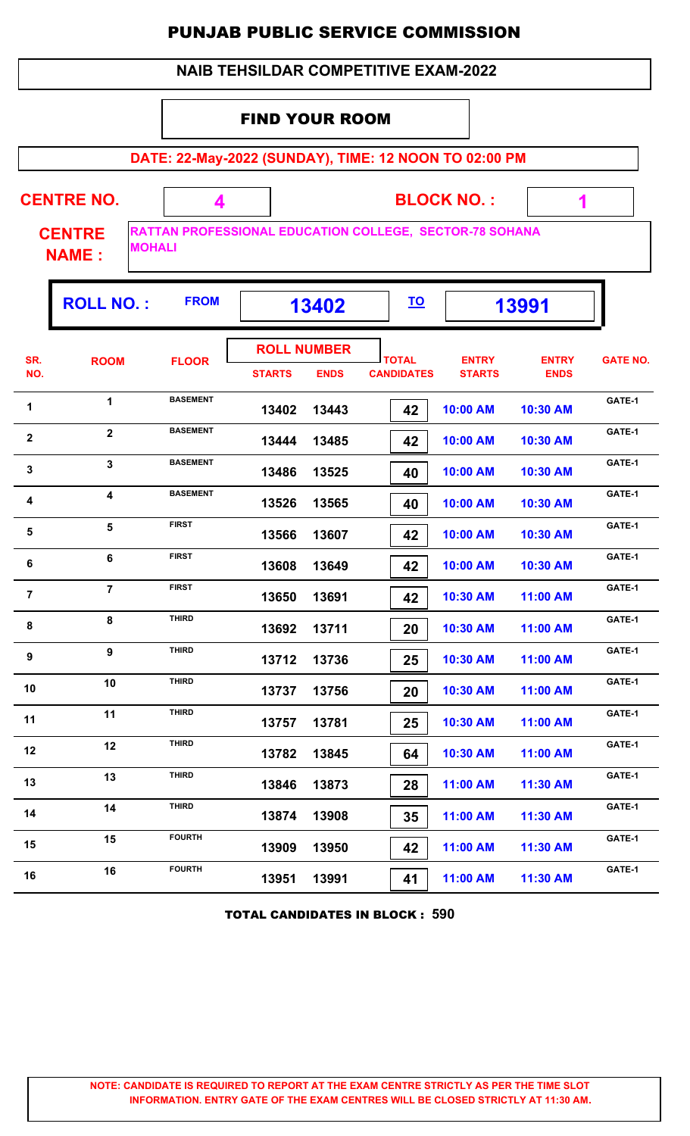|                |                               |                                                                                 |                                             |                                   |                                   | FUNJAD FUDLIG JERVIGE GUMMIJJIUN |                             |                 |
|----------------|-------------------------------|---------------------------------------------------------------------------------|---------------------------------------------|-----------------------------------|-----------------------------------|----------------------------------|-----------------------------|-----------------|
|                |                               |                                                                                 | <b>NAIB TEHSILDAR COMPETITIVE EXAM-2022</b> |                                   |                                   |                                  |                             |                 |
|                |                               |                                                                                 | <b>FIND YOUR ROOM</b>                       |                                   |                                   |                                  |                             |                 |
|                |                               | DATE: 22-May-2022 (SUNDAY), TIME: 12 NOON TO 02:00 PM                           |                                             |                                   |                                   |                                  |                             |                 |
|                | <b>CENTRE NO.</b>             | 4                                                                               |                                             |                                   |                                   | <b>BLOCK NO.:</b>                | $\mathbf{\hat{1}}$          |                 |
|                | <b>CENTRE</b><br><b>NAME:</b> | <b>RATTAN PROFESSIONAL EDUCATION COLLEGE, SECTOR-78 SOHANA</b><br><b>MOHALI</b> |                                             |                                   |                                   |                                  |                             |                 |
|                | <b>ROLL NO.:</b>              | <b>FROM</b>                                                                     |                                             | 13402                             | <u>TO</u>                         |                                  | 13991                       |                 |
| SR.<br>NO.     | <b>ROOM</b>                   | <b>FLOOR</b>                                                                    | <b>STARTS</b>                               | <b>ROLL NUMBER</b><br><b>ENDS</b> | <b>TOTAL</b><br><b>CANDIDATES</b> | <b>ENTRY</b><br><b>STARTS</b>    | <b>ENTRY</b><br><b>ENDS</b> | <b>GATE NO.</b> |
| 1              | $\mathbf{1}$                  | <b>BASEMENT</b>                                                                 | 13402                                       | 13443                             | 42                                | 10:00 AM                         | 10:30 AM                    | GATE-1          |
| $\mathbf{2}$   | $\overline{2}$                | <b>BASEMENT</b>                                                                 | 13444                                       | 13485                             | 42                                | 10:00 AM                         | 10:30 AM                    | GATE-1          |
| 3              | 3                             | <b>BASEMENT</b>                                                                 | 13486                                       | 13525                             | 40                                | 10:00 AM                         | 10:30 AM                    | GATE-1          |
| 4              | 4                             | <b>BASEMENT</b>                                                                 | 13526                                       | 13565                             | 40                                | 10:00 AM                         | 10:30 AM                    | GATE-1          |
| 5              | 5                             | <b>FIRST</b>                                                                    | 13566                                       | 13607                             | 42                                | 10:00 AM                         | 10:30 AM                    | GATE-1          |
| 6              | 6                             | <b>FIRST</b>                                                                    | 13608                                       | 13649                             | 42                                | 10:00 AM                         | 10:30 AM                    | GATE-1          |
| $\overline{7}$ | $\overline{7}$                | <b>FIRST</b>                                                                    | 13650                                       | 13691                             | 42                                | 10:30 AM                         | 11:00 AM                    | GATE-1          |
| 8              | 8                             | <b>THIRD</b>                                                                    | 13692                                       | 13711                             | 20                                | 10:30 AM                         | 11:00 AM                    | GATE-1          |
| 9              | 9                             | <b>THIRD</b>                                                                    | 13712                                       | 13736                             | 25                                | 10:30 AM                         | 11:00 AM                    | GATE-1          |
| 10             | 10                            | <b>THIRD</b>                                                                    | 13737                                       | 13756                             | 20                                | 10:30 AM                         | 11:00 AM                    | GATE-1          |
| 11             | 11                            | <b>THIRD</b>                                                                    | 13757                                       | 13781                             | 25                                | 10:30 AM                         | 11:00 AM                    | GATE-1          |
| 12             | 12                            | <b>THIRD</b>                                                                    | 13782                                       | 13845                             | 64                                | 10:30 AM                         | 11:00 AM                    | GATE-1          |
| 13             | 13                            | <b>THIRD</b>                                                                    | 13846                                       | 13873                             | 28                                | 11:00 AM                         | 11:30 AM                    | GATE-1          |
| 14             | 14                            | <b>THIRD</b>                                                                    | 13874                                       | 13908                             | 35                                | 11:00 AM                         | 11:30 AM                    | GATE-1          |
| 15             | 15                            | <b>FOURTH</b>                                                                   | 13909                                       | 13950                             | 42                                | 11:00 AM                         | 11:30 AM                    | GATE-1          |
| 16             | 16                            | <b>FOURTH</b>                                                                   | 13951                                       | 13991                             | 41                                | 11:00 AM                         | 11:30 AM                    | GATE-1          |

TOTAL CANDIDATES IN BLOCK : **590**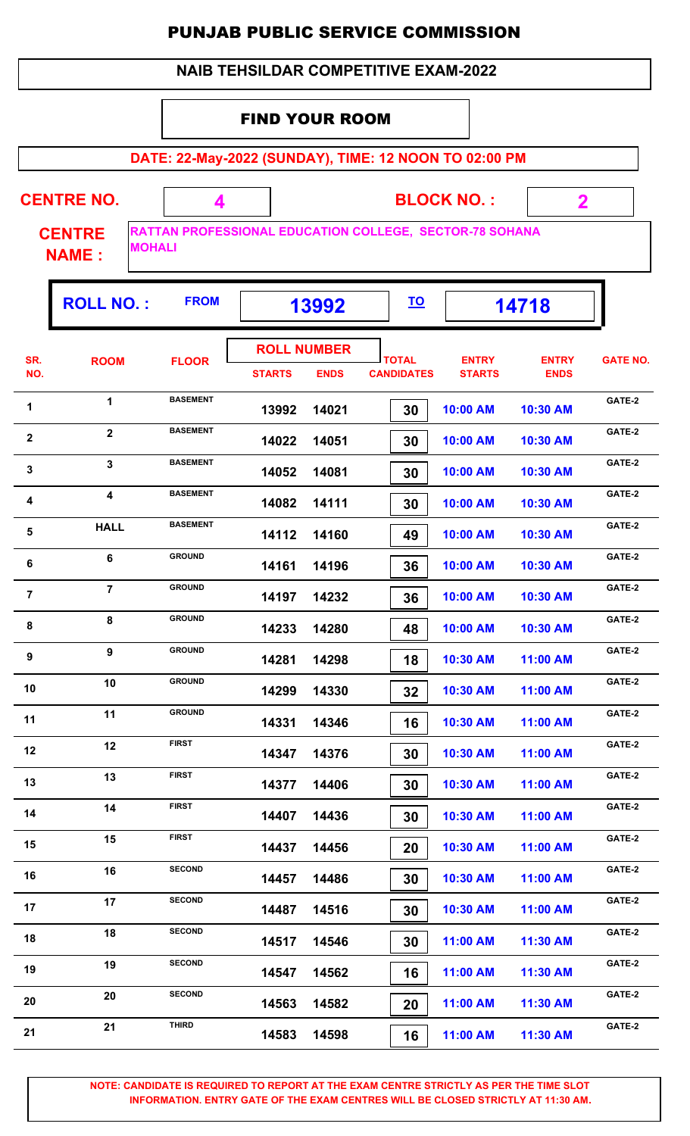|                |                                                |                 |                                     |             | <b>PUNJAB PUBLIC SERVICE COMMISSION</b>                 |                               |                             |                 |
|----------------|------------------------------------------------|-----------------|-------------------------------------|-------------|---------------------------------------------------------|-------------------------------|-----------------------------|-----------------|
|                |                                                |                 |                                     |             | <b>NAIB TEHSILDAR COMPETITIVE EXAM-2022</b>             |                               |                             |                 |
|                |                                                |                 | <b>FIND YOUR ROOM</b>               |             |                                                         |                               |                             |                 |
|                |                                                |                 |                                     |             | DATE: 22-May-2022 (SUNDAY), TIME: 12 NOON TO 02:00 PM   |                               |                             |                 |
|                | <b>CENTRE NO.</b>                              | 4               |                                     |             |                                                         | <b>BLOCK NO.:</b>             | $\mathbf 2$                 |                 |
|                | <b>CENTRE</b><br><b>MOHALI</b><br><b>NAME:</b> |                 |                                     |             | RATTAN PROFESSIONAL EDUCATION COLLEGE, SECTOR-78 SOHANA |                               |                             |                 |
|                | <b>ROLL NO.:</b>                               | <b>FROM</b>     |                                     | 13992       | <u>TO</u>                                               |                               | 14718                       |                 |
| SR.<br>NO.     | <b>ROOM</b>                                    | <b>FLOOR</b>    | <b>ROLL NUMBER</b><br><b>STARTS</b> | <b>ENDS</b> | <b>TOTAL</b><br><b>CANDIDATES</b>                       | <b>ENTRY</b><br><b>STARTS</b> | <b>ENTRY</b><br><b>ENDS</b> | <b>GATE NO.</b> |
| 1              | 1                                              | <b>BASEMENT</b> | 13992                               | 14021       | 30                                                      | 10:00 AM                      | 10:30 AM                    | GATE-2          |
| $\mathbf{2}$   | $\overline{2}$                                 | <b>BASEMENT</b> | 14022                               | 14051       | 30                                                      | 10:00 AM                      | 10:30 AM                    | GATE-2          |
| 3              | $\mathbf{3}$                                   | <b>BASEMENT</b> | 14052                               | 14081       | 30                                                      | 10:00 AM                      | 10:30 AM                    | GATE-2          |
| 4              | 4                                              | <b>BASEMENT</b> | 14082                               | 14111       | 30                                                      | 10:00 AM                      | 10:30 AM                    | GATE-2          |
| 5              | <b>HALL</b>                                    | <b>BASEMENT</b> | 14112                               | 14160       | 49                                                      | 10:00 AM                      | 10:30 AM                    | GATE-2          |
| 6              | 6                                              | <b>GROUND</b>   | 14161                               | 14196       | 36                                                      | 10:00 AM                      | 10:30 AM                    | GATE-2          |
| $\overline{7}$ | $\overline{7}$                                 | <b>GROUND</b>   | 14197                               | 14232       | 36                                                      | 10:00 AM                      | 10:30 AM                    | GATE-2          |
| 8              | 8                                              | <b>GROUND</b>   | 14233                               | 14280       | 48                                                      | 10:00 AM                      | 10:30 AM                    | GATE-2          |
| 9              | 9                                              | <b>GROUND</b>   | 14281                               | 14298       | 18                                                      | 10:30 AM                      | 11:00 AM                    | GATE-2          |
| 10             | 10                                             | <b>GROUND</b>   | 14299                               | 14330       | 32                                                      | 10:30 AM                      | 11:00 AM                    | GATE-2          |
| 11             | 11                                             | <b>GROUND</b>   | 14331                               | 14346       | 16                                                      | 10:30 AM                      | 11:00 AM                    | GATE-2          |
| 12             | 12                                             | <b>FIRST</b>    | 14347                               | 14376       | 30                                                      | 10:30 AM                      | 11:00 AM                    | GATE-2          |
| 13             | 13                                             | <b>FIRST</b>    | 14377                               | 14406       | 30                                                      | 10:30 AM                      | 11:00 AM                    | GATE-2          |
| 14             | 14                                             | <b>FIRST</b>    | 14407                               | 14436       | 30                                                      | 10:30 AM                      | 11:00 AM                    | GATE-2          |
| 15             | 15                                             | <b>FIRST</b>    | 14437                               | 14456       | 20                                                      | 10:30 AM                      | 11:00 AM                    | GATE-2          |
| 16             | 16                                             | <b>SECOND</b>   | 14457                               | 14486       | 30                                                      | 10:30 AM                      | 11:00 AM                    | GATE-2          |
| 17             | 17                                             | <b>SECOND</b>   | 14487                               | 14516       | 30                                                      | 10:30 AM                      | 11:00 AM                    | GATE-2          |
|                |                                                |                 |                                     |             |                                                         |                               |                             |                 |

**NOTE: CANDIDATE IS REQUIRED TO REPORT AT THE EXAM CENTRE STRICTLY AS PER THE TIME SLOT INFORMATION. ENTRY GATE OF THE EXAM CENTRES WILL BE CLOSED STRICTLY AT 11:30 AM.**

**GATE-2<sup>18</sup> <sup>18</sup> SECOND**

19 **SECOND 14547 14562** 16 11:00 AM 11:30 AM **GATE-2** 

**20 CATE-2**<br>**44563 14582 20 CATE-2**<br>**14563 14582 20 11:00 AM 11:30 AM** 

**21 CATE-2**<br>**14583 14598 11:00 AM 11:30 AM CATE-2** 

 **14517 14546 30 11:00 AM 11:30 AM**

 **14547 14562 16 11:00 AM 11:30 AM**

 **14563 14582 20 11:00 AM 11:30 AM**

 **14583 14598 16 11:00 AM 11:30 AM**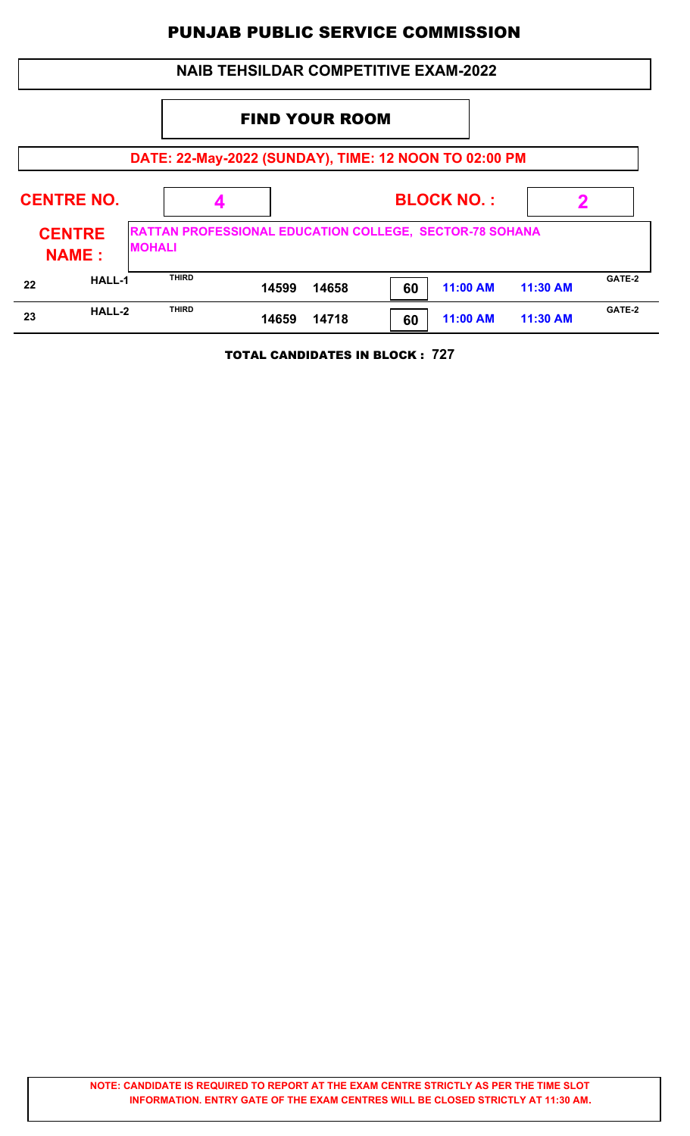|    | <b>NAIB TEHSILDAR COMPETITIVE EXAM-2022</b> |                                                                                 |       |       |    |                   |          |        |  |  |  |  |
|----|---------------------------------------------|---------------------------------------------------------------------------------|-------|-------|----|-------------------|----------|--------|--|--|--|--|
|    |                                             |                                                                                 |       |       |    |                   |          |        |  |  |  |  |
|    |                                             | DATE: 22-May-2022 (SUNDAY), TIME: 12 NOON TO 02:00 PM                           |       |       |    |                   |          |        |  |  |  |  |
|    | <b>CENTRE NO.</b>                           |                                                                                 |       |       |    | <b>BLOCK NO.:</b> | 2        |        |  |  |  |  |
|    | <b>CENTRE</b><br><b>NAME:</b>               | <b>RATTAN PROFESSIONAL EDUCATION COLLEGE, SECTOR-78 SOHANA</b><br><b>MOHALI</b> |       |       |    |                   |          |        |  |  |  |  |
| 22 | <b>HALL-1</b>                               | <b>THIRD</b>                                                                    | 14599 | 14658 | 60 | 11:00 AM          | 11:30 AM | GATE-2 |  |  |  |  |
| 23 | HALL-2                                      | <b>THIRD</b>                                                                    | 14659 | 14718 | 60 | 11:00 AM          | 11:30 AM | GATE-2 |  |  |  |  |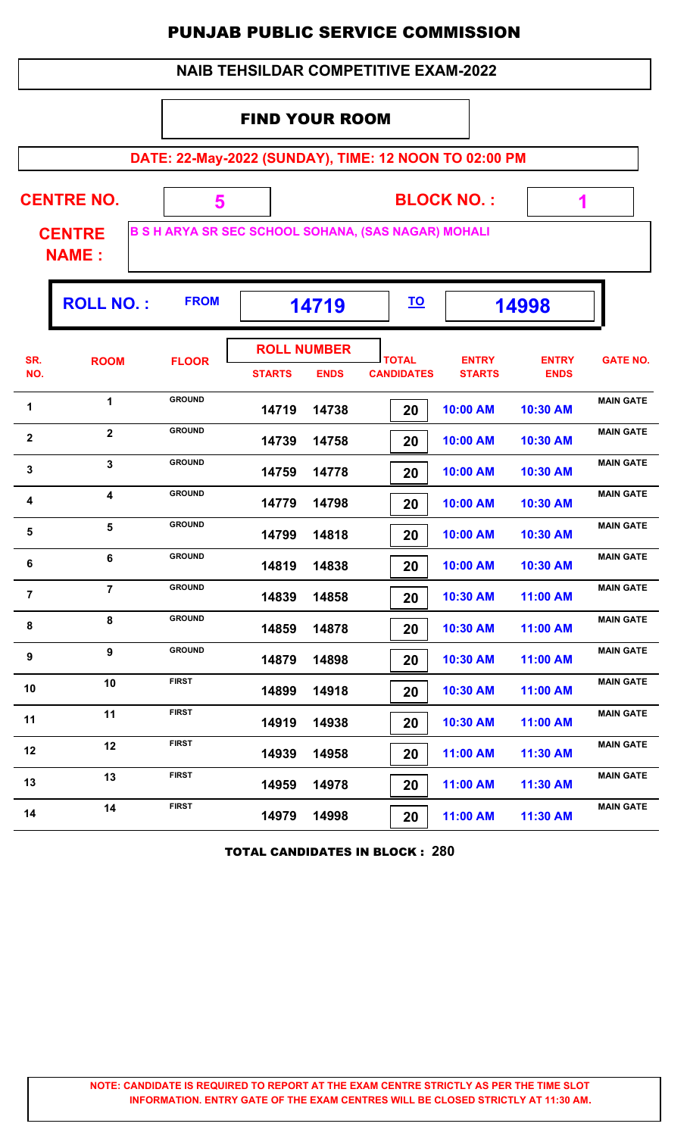|                               |                         |               | <b>NAIB TEHSILDAR COMPETITIVE EXAM-2022</b>                |                                   |                               |                             |                  |  |  |  |  |
|-------------------------------|-------------------------|---------------|------------------------------------------------------------|-----------------------------------|-------------------------------|-----------------------------|------------------|--|--|--|--|
|                               | <b>FIND YOUR ROOM</b>   |               |                                                            |                                   |                               |                             |                  |  |  |  |  |
|                               |                         |               | DATE: 22-May-2022 (SUNDAY), TIME: 12 NOON TO 02:00 PM      |                                   |                               |                             |                  |  |  |  |  |
|                               | <b>CENTRE NO.</b>       | 5             |                                                            | <b>BLOCK NO.:</b>                 | 1                             |                             |                  |  |  |  |  |
| <b>CENTRE</b><br><b>NAME:</b> |                         |               | <b>B S H ARYA SR SEC SCHOOL SOHANA, (SAS NAGAR) MOHALI</b> |                                   |                               |                             |                  |  |  |  |  |
|                               | <b>ROLL NO.:</b>        | <b>FROM</b>   | <u>TO</u><br>14719<br>14998                                |                                   |                               |                             |                  |  |  |  |  |
| SR.<br>NO.                    | <b>ROOM</b>             | <b>FLOOR</b>  | <b>ROLL NUMBER</b><br><b>STARTS</b><br><b>ENDS</b>         | <b>TOTAL</b><br><b>CANDIDATES</b> | <b>ENTRY</b><br><b>STARTS</b> | <b>ENTRY</b><br><b>ENDS</b> | <b>GATE NO.</b>  |  |  |  |  |
| 1                             | 1                       | <b>GROUND</b> | 14719<br>14738                                             | 20                                | 10:00 AM                      | 10:30 AM                    | <b>MAIN GATE</b> |  |  |  |  |
| $\mathbf{2}$                  | $\overline{2}$          | <b>GROUND</b> | 14739<br>14758                                             | 20                                | 10:00 AM                      | 10:30 AM                    | <b>MAIN GATE</b> |  |  |  |  |
| 3                             | 3                       | <b>GROUND</b> | 14759<br>14778                                             | 20                                | 10:00 AM                      | 10:30 AM                    | <b>MAIN GATE</b> |  |  |  |  |
| 4                             | $\overline{\mathbf{4}}$ | <b>GROUND</b> | 14779<br>14798                                             | 20                                | 10:00 AM                      | 10:30 AM                    | <b>MAIN GATE</b> |  |  |  |  |
| 5                             | 5                       | <b>GROUND</b> | 14799<br>14818                                             | 20                                | 10:00 AM                      | 10:30 AM                    | <b>MAIN GATE</b> |  |  |  |  |
| 6                             | 6                       | <b>GROUND</b> | 14819<br>14838                                             | 20                                | 10:00 AM                      | 10:30 AM                    | <b>MAIN GATE</b> |  |  |  |  |
| $\overline{7}$                | $\overline{7}$          | <b>GROUND</b> | 14839<br>14858                                             | 20                                | 10:30 AM                      | 11:00 AM                    | <b>MAIN GATE</b> |  |  |  |  |
| 8                             | 8                       | <b>GROUND</b> | 14859<br>14878                                             | 20                                | 10:30 AM                      | 11:00 AM                    | <b>MAIN GATE</b> |  |  |  |  |
| $\boldsymbol{9}$              | 9                       | <b>GROUND</b> | 14879<br>14898                                             | 20                                | 10:30 AM                      | 11:00 AM                    | <b>MAIN GATE</b> |  |  |  |  |
| 10                            | 10                      | <b>FIRST</b>  | 14899<br>14918                                             | 20                                | 10:30 AM                      | 11:00 AM                    | <b>MAIN GATE</b> |  |  |  |  |
| 11                            | 11                      | <b>FIRST</b>  | 14919<br>14938                                             | 20                                | 10:30 AM                      | 11:00 AM                    | <b>MAIN GATE</b> |  |  |  |  |
| 12                            | 12                      | <b>FIRST</b>  | 14958<br>14939                                             | 20                                | 11:00 AM                      | 11:30 AM                    | <b>MAIN GATE</b> |  |  |  |  |
| 13                            | 13                      | <b>FIRST</b>  | 14978<br>14959                                             | 20                                | 11:00 AM                      | 11:30 AM                    | <b>MAIN GATE</b> |  |  |  |  |
| 14                            | 14                      | <b>FIRST</b>  | 14979<br>14998                                             | 20                                | 11:00 AM                      | 11:30 AM                    | <b>MAIN GATE</b> |  |  |  |  |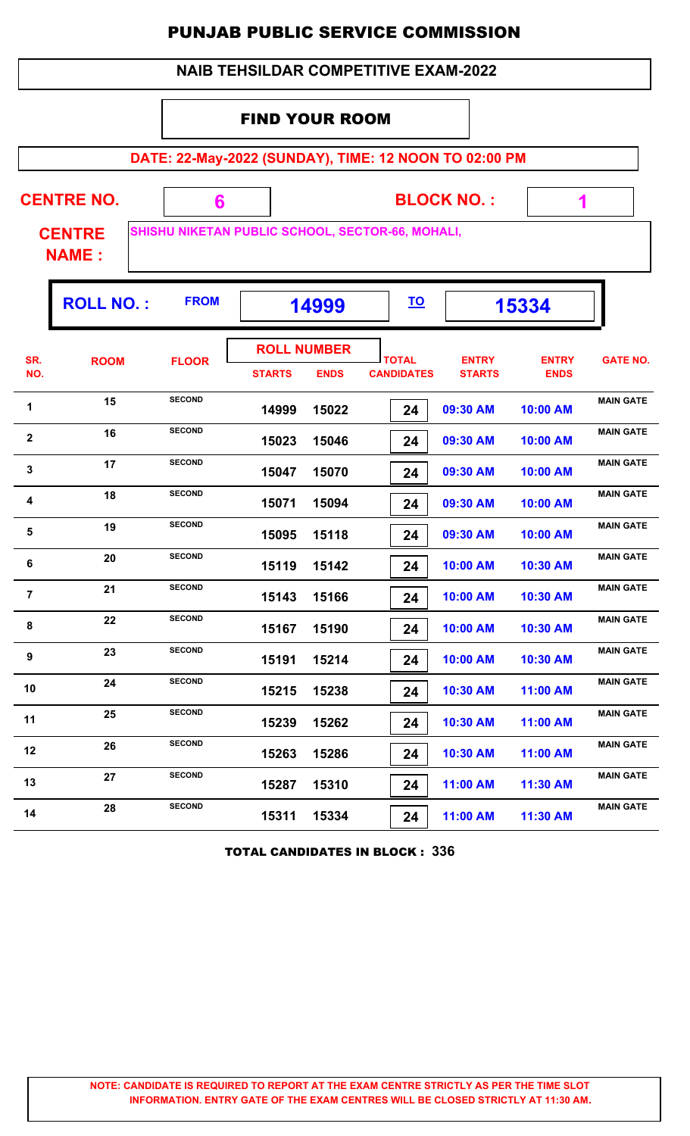|                                                       |                   |                                                  | <b>NAIB TEHSILDAR COMPETITIVE EXAM-2022</b> |             |                                   |                               |                             |                  |  |  |  |
|-------------------------------------------------------|-------------------|--------------------------------------------------|---------------------------------------------|-------------|-----------------------------------|-------------------------------|-----------------------------|------------------|--|--|--|
|                                                       |                   |                                                  | <b>FIND YOUR ROOM</b>                       |             |                                   |                               |                             |                  |  |  |  |
| DATE: 22-May-2022 (SUNDAY), TIME: 12 NOON TO 02:00 PM |                   |                                                  |                                             |             |                                   |                               |                             |                  |  |  |  |
|                                                       | <b>CENTRE NO.</b> | 6                                                |                                             |             |                                   | <b>BLOCK NO.:</b>             |                             |                  |  |  |  |
| <b>CENTRE</b><br><b>NAME:</b>                         |                   | SHISHU NIKETAN PUBLIC SCHOOL, SECTOR-66, MOHALI, |                                             |             |                                   |                               |                             |                  |  |  |  |
|                                                       | <b>ROLL NO.:</b>  | <b>FROM</b>                                      | <u>TO</u><br>14999<br>15334                 |             |                                   |                               |                             |                  |  |  |  |
| SR.<br>NO.                                            | <b>ROOM</b>       | <b>FLOOR</b>                                     | <b>ROLL NUMBER</b><br><b>STARTS</b>         | <b>ENDS</b> | <b>TOTAL</b><br><b>CANDIDATES</b> | <b>ENTRY</b><br><b>STARTS</b> | <b>ENTRY</b><br><b>ENDS</b> | <b>GATE NO.</b>  |  |  |  |
| 1                                                     | 15                | <b>SECOND</b>                                    | 14999                                       | 15022       | 24                                | 09:30 AM                      | 10:00 AM                    | <b>MAIN GATE</b> |  |  |  |
| $\mathbf{2}$                                          | 16                | <b>SECOND</b>                                    | 15023                                       | 15046       | 24                                | 09:30 AM                      | 10:00 AM                    | <b>MAIN GATE</b> |  |  |  |
| 3                                                     | 17                | <b>SECOND</b>                                    | 15047                                       | 15070       | 24                                | 09:30 AM                      | 10:00 AM                    | <b>MAIN GATE</b> |  |  |  |
| 4                                                     | 18                | <b>SECOND</b>                                    | 15071                                       | 15094       | 24                                | 09:30 AM                      | 10:00 AM                    | <b>MAIN GATE</b> |  |  |  |
| 5                                                     | 19                | <b>SECOND</b>                                    | 15095                                       | 15118       | 24                                | 09:30 AM                      | 10:00 AM                    | <b>MAIN GATE</b> |  |  |  |
| 6                                                     | 20                | <b>SECOND</b>                                    | 15119                                       | 15142       | 24                                | 10:00 AM                      | 10:30 AM                    | <b>MAIN GATE</b> |  |  |  |
| $\overline{7}$                                        | 21                | <b>SECOND</b>                                    | 15143                                       | 15166       | 24                                | 10:00 AM                      | 10:30 AM                    | <b>MAIN GATE</b> |  |  |  |
| 8                                                     | 22                | <b>SECOND</b>                                    | 15167                                       | 15190       | 24                                | 10:00 AM                      | 10:30 AM                    | <b>MAIN GATE</b> |  |  |  |
| 9                                                     | 23                | <b>SECOND</b>                                    | 15191                                       | 15214       | 24                                | 10:00 AM                      | 10:30 AM                    | <b>MAIN GATE</b> |  |  |  |
| 10                                                    | 24                | <b>SECOND</b>                                    | 15215                                       | 15238       | 24                                | 10:30 AM                      | 11:00 AM                    | <b>MAIN GATE</b> |  |  |  |
| 11                                                    | 25                | <b>SECOND</b>                                    | 15239                                       | 15262       | 24                                | 10:30 AM                      | 11:00 AM                    | <b>MAIN GATE</b> |  |  |  |
| 12                                                    | 26                | <b>SECOND</b>                                    | 15263                                       | 15286       | 24                                | 10:30 AM                      | 11:00 AM                    | <b>MAIN GATE</b> |  |  |  |
| 13                                                    | 27                | <b>SECOND</b>                                    | 15287                                       | 15310       | 24                                | 11:00 AM                      | 11:30 AM                    | <b>MAIN GATE</b> |  |  |  |
| 14                                                    | 28                | <b>SECOND</b>                                    | 15311                                       | 15334       | 24                                | 11:00 AM                      | 11:30 AM                    | <b>MAIN GATE</b> |  |  |  |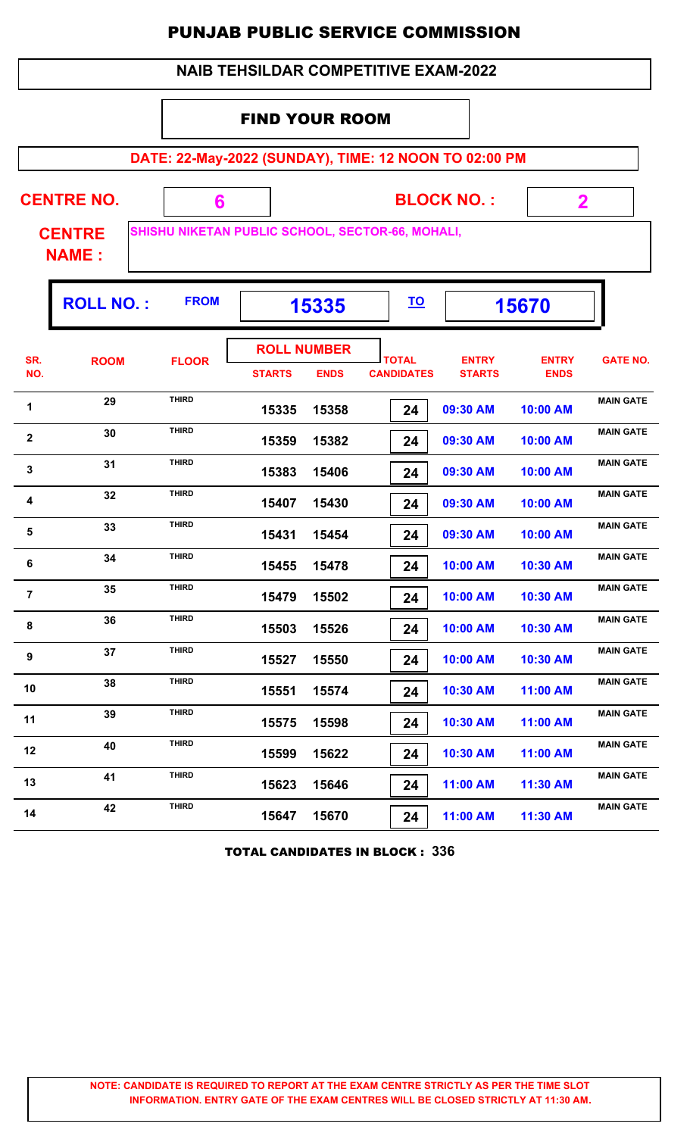|                                                       |                                                                |              | <b>NAIB TEHSILDAR COMPETITIVE EXAM-2022</b>        |                                   |                               |                             |                  |  |  |  |  |
|-------------------------------------------------------|----------------------------------------------------------------|--------------|----------------------------------------------------|-----------------------------------|-------------------------------|-----------------------------|------------------|--|--|--|--|
| <b>FIND YOUR ROOM</b>                                 |                                                                |              |                                                    |                                   |                               |                             |                  |  |  |  |  |
| DATE: 22-May-2022 (SUNDAY), TIME: 12 NOON TO 02:00 PM |                                                                |              |                                                    |                                   |                               |                             |                  |  |  |  |  |
|                                                       | <b>CENTRE NO.</b>                                              | 6            |                                                    |                                   | <b>BLOCK NO.:</b>             |                             | $\mathbf 2$      |  |  |  |  |
| <b>CENTRE</b><br><b>NAME:</b>                         |                                                                |              | SHISHU NIKETAN PUBLIC SCHOOL, SECTOR-66, MOHALI,   |                                   |                               |                             |                  |  |  |  |  |
|                                                       | <b>FROM</b><br><b>ROLL NO.:</b><br><u>TO</u><br>15335<br>15670 |              |                                                    |                                   |                               |                             |                  |  |  |  |  |
| SR.<br>NO.                                            | <b>ROOM</b>                                                    | <b>FLOOR</b> | <b>ROLL NUMBER</b><br><b>STARTS</b><br><b>ENDS</b> | <b>TOTAL</b><br><b>CANDIDATES</b> | <b>ENTRY</b><br><b>STARTS</b> | <b>ENTRY</b><br><b>ENDS</b> | <b>GATE NO.</b>  |  |  |  |  |
| 1                                                     | 29                                                             | <b>THIRD</b> | 15335<br>15358                                     | 24                                | 09:30 AM                      | 10:00 AM                    | <b>MAIN GATE</b> |  |  |  |  |
| $\mathbf 2$                                           | 30                                                             | <b>THIRD</b> | 15359<br>15382                                     | 24                                | 09:30 AM                      | 10:00 AM                    | <b>MAIN GATE</b> |  |  |  |  |
| 3                                                     | 31                                                             | <b>THIRD</b> | 15383<br>15406                                     | 24                                | 09:30 AM                      | 10:00 AM                    | <b>MAIN GATE</b> |  |  |  |  |
| 4                                                     | 32                                                             | <b>THIRD</b> | 15407<br>15430                                     | 24                                | 09:30 AM                      | 10:00 AM                    | <b>MAIN GATE</b> |  |  |  |  |
| 5                                                     | 33                                                             | <b>THIRD</b> | 15431<br>15454                                     | 24                                | 09:30 AM                      | 10:00 AM                    | <b>MAIN GATE</b> |  |  |  |  |
| 6                                                     | 34                                                             | <b>THIRD</b> | 15455<br>15478                                     | 24                                | 10:00 AM                      | 10:30 AM                    | <b>MAIN GATE</b> |  |  |  |  |
| $\overline{7}$                                        | 35                                                             | <b>THIRD</b> | 15479<br>15502                                     | 24                                | 10:00 AM                      | 10:30 AM                    | <b>MAIN GATE</b> |  |  |  |  |
| 8                                                     | 36                                                             | <b>THIRD</b> | 15503<br>15526                                     | 24                                | 10:00 AM                      | 10:30 AM                    | <b>MAIN GATE</b> |  |  |  |  |
| 9                                                     | 37                                                             | <b>THIRD</b> | 15527<br>15550                                     | 24                                | 10:00 AM                      | 10:30 AM                    | <b>MAIN GATE</b> |  |  |  |  |
| 10                                                    | 38                                                             | <b>THIRD</b> | 15574<br>15551                                     | 24                                | 10:30 AM                      | 11:00 AM                    | <b>MAIN GATE</b> |  |  |  |  |
| 11                                                    | 39                                                             | <b>THIRD</b> | 15598<br>15575                                     | 24                                | 10:30 AM                      | 11:00 AM                    | <b>MAIN GATE</b> |  |  |  |  |
| 12                                                    | 40                                                             | <b>THIRD</b> | 15622<br>15599                                     | 24                                | 10:30 AM                      | 11:00 AM                    | <b>MAIN GATE</b> |  |  |  |  |
| 13                                                    | 41                                                             | <b>THIRD</b> | 15623<br>15646                                     | 24                                | 11:00 AM                      | 11:30 AM                    | <b>MAIN GATE</b> |  |  |  |  |
| 14                                                    | 42                                                             | <b>THIRD</b> | 15647<br>15670                                     | 24                                | 11:00 AM                      | 11:30 AM                    | <b>MAIN GATE</b> |  |  |  |  |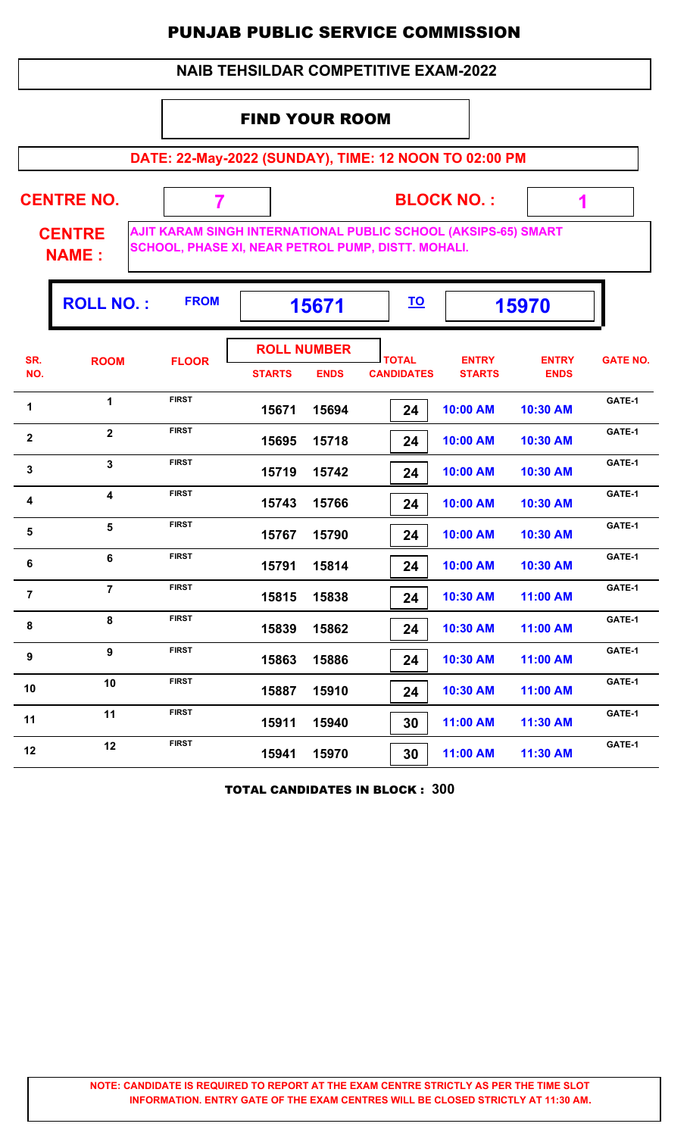#### **NAIB TEHSILDAR COMPETITIVE EXAM-2022**

#### FIND YOUR ROOM

 **7**

**DATE: 22-May-2022 (SUNDAY), TIME: 12 NOON TO 02:00 PM**

**CENTRE NO.** 

**BLOCK NO. :**

 **1**

**CENTRE NAME :**

**AJIT KARAM SINGH INTERNATIONAL PUBLIC SCHOOL (AKSIPS-65) SMART SCHOOL, PHASE XI, NEAR PETROL PUMP, DISTT. MOHALI.**

|                  | <b>ROLL NO.:</b>        | <b>FROM</b>  | 15671         |                                   | <u>TO</u>                         |                               | 15970                       |                 |
|------------------|-------------------------|--------------|---------------|-----------------------------------|-----------------------------------|-------------------------------|-----------------------------|-----------------|
| SR.<br>NO.       | <b>ROOM</b>             | <b>FLOOR</b> | <b>STARTS</b> | <b>ROLL NUMBER</b><br><b>ENDS</b> | <b>TOTAL</b><br><b>CANDIDATES</b> | <b>ENTRY</b><br><b>STARTS</b> | <b>ENTRY</b><br><b>ENDS</b> | <b>GATE NO.</b> |
| 1                | $\mathbf 1$             | <b>FIRST</b> | 15671         | 15694                             | 24                                | 10:00 AM                      | 10:30 AM                    | GATE-1          |
| $\mathbf{2}$     | $\overline{2}$          | <b>FIRST</b> | 15695         | 15718                             | 24                                | 10:00 AM                      | 10:30 AM                    | GATE-1          |
| 3                | $\overline{3}$          | <b>FIRST</b> | 15719         | 15742                             | 24                                | 10:00 AM                      | 10:30 AM                    | GATE-1          |
| 4                | $\overline{\mathbf{4}}$ | <b>FIRST</b> | 15743         | 15766                             | 24                                | 10:00 AM                      | 10:30 AM                    | GATE-1          |
| 5                | 5                       | <b>FIRST</b> | 15767         | 15790                             | 24                                | 10:00 AM                      | 10:30 AM                    | GATE-1          |
| 6                | $6\phantom{a}$          | <b>FIRST</b> | 15791         | 15814                             | 24                                | 10:00 AM                      | 10:30 AM                    | GATE-1          |
| $\overline{7}$   | $\overline{7}$          | <b>FIRST</b> | 15815         | 15838                             | 24                                | 10:30 AM                      | 11:00 AM                    | GATE-1          |
| 8                | 8                       | <b>FIRST</b> | 15839         | 15862                             | 24                                | 10:30 AM                      | 11:00 AM                    | GATE-1          |
| $\boldsymbol{9}$ | 9                       | <b>FIRST</b> | 15863         | 15886                             | 24                                | 10:30 AM                      | 11:00 AM                    | GATE-1          |
| 10               | 10                      | <b>FIRST</b> | 15887         | 15910                             | 24                                | 10:30 AM                      | 11:00 AM                    | GATE-1          |
| 11               | 11                      | <b>FIRST</b> | 15911         | 15940                             | 30                                | 11:00 AM                      | 11:30 AM                    | GATE-1          |
| 12               | 12                      | <b>FIRST</b> | 15941         | 15970                             | 30                                | 11:00 AM                      | 11:30 AM                    | GATE-1          |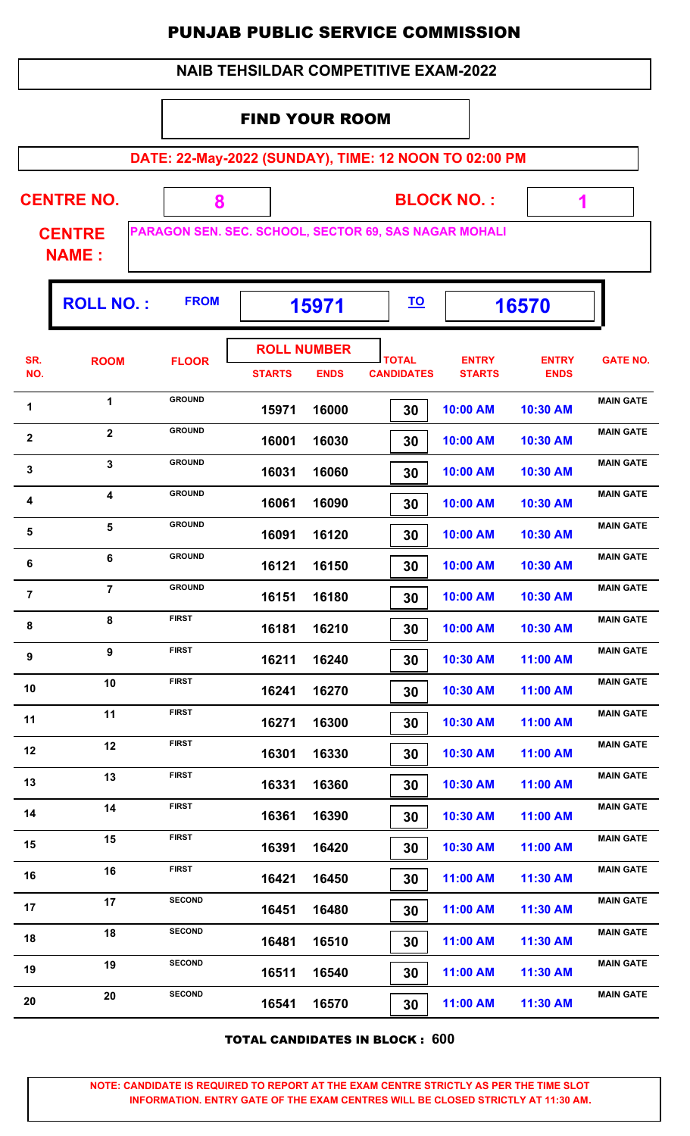|                  |                                                                        |               | <b>NAIB TEHSILDAR COMPETITIVE EXAM-2022</b> |                                   |  |                                   |                               |                             |                  |  |  |  |
|------------------|------------------------------------------------------------------------|---------------|---------------------------------------------|-----------------------------------|--|-----------------------------------|-------------------------------|-----------------------------|------------------|--|--|--|
|                  |                                                                        |               | <b>FIND YOUR ROOM</b>                       |                                   |  |                                   |                               |                             |                  |  |  |  |
|                  | DATE: 22-May-2022 (SUNDAY), TIME: 12 NOON TO 02:00 PM                  |               |                                             |                                   |  |                                   |                               |                             |                  |  |  |  |
|                  |                                                                        |               |                                             |                                   |  |                                   |                               |                             |                  |  |  |  |
|                  | <b>CENTRE NO.</b>                                                      | 8             |                                             |                                   |  |                                   | <b>BLOCK NO.:</b>             | 1                           |                  |  |  |  |
|                  | PARAGON SEN. SEC. SCHOOL, SECTOR 69, SAS NAGAR MOHALI<br><b>CENTRE</b> |               |                                             |                                   |  |                                   |                               |                             |                  |  |  |  |
|                  | <b>NAME:</b>                                                           |               |                                             |                                   |  |                                   |                               |                             |                  |  |  |  |
|                  | <b>ROLL NO.:</b>                                                       | <b>FROM</b>   |                                             | 15971                             |  | <u>TO</u>                         |                               | 16570                       |                  |  |  |  |
| SR.<br>NO.       | <b>ROOM</b>                                                            | <b>FLOOR</b>  | <b>STARTS</b>                               | <b>ROLL NUMBER</b><br><b>ENDS</b> |  | <b>TOTAL</b><br><b>CANDIDATES</b> | <b>ENTRY</b><br><b>STARTS</b> | <b>ENTRY</b><br><b>ENDS</b> | <b>GATE NO.</b>  |  |  |  |
| 1                | $\mathbf{1}$                                                           | <b>GROUND</b> | 15971                                       | 16000                             |  | 30                                | 10:00 AM                      | 10:30 AM                    | <b>MAIN GATE</b> |  |  |  |
| 2                | $\overline{\mathbf{2}}$                                                | <b>GROUND</b> | 16001                                       | 16030                             |  | 30                                | 10:00 AM                      | 10:30 AM                    | <b>MAIN GATE</b> |  |  |  |
| 3                | 3                                                                      | <b>GROUND</b> | 16031                                       | 16060                             |  | 30                                | 10:00 AM                      | 10:30 AM                    | <b>MAIN GATE</b> |  |  |  |
| 4                | $\overline{\mathbf{4}}$                                                | <b>GROUND</b> | 16061                                       | 16090                             |  | 30                                | 10:00 AM                      | 10:30 AM                    | <b>MAIN GATE</b> |  |  |  |
| 5                | 5                                                                      | <b>GROUND</b> | 16091                                       | 16120                             |  | 30                                | 10:00 AM                      | 10:30 AM                    | <b>MAIN GATE</b> |  |  |  |
| 6                | 6                                                                      | <b>GROUND</b> | 16121                                       | 16150                             |  | 30                                | 10:00 AM                      | 10:30 AM                    | <b>MAIN GATE</b> |  |  |  |
| $\overline{7}$   | $\overline{7}$                                                         | <b>GROUND</b> | 16151                                       | 16180                             |  | 30                                | 10:00 AM                      | 10:30 AM                    | <b>MAIN GATE</b> |  |  |  |
| 8                | 8                                                                      | <b>FIRST</b>  | 16181                                       | 16210                             |  | 30                                | 10:00 AM                      | 10:30 AM                    | <b>MAIN GATE</b> |  |  |  |
| $\boldsymbol{9}$ | 9                                                                      | <b>FIRST</b>  | 16211                                       | 16240                             |  | 30                                | 10:30 AM                      | 11:00 AM                    | <b>MAIN GATE</b> |  |  |  |
| 10               | 10                                                                     | <b>FIRST</b>  | 16241                                       | 16270                             |  | 30                                | 10:30 AM                      | 11:00 AM                    | <b>MAIN GATE</b> |  |  |  |
| 11               | 11                                                                     | <b>FIRST</b>  | 16271                                       | 16300                             |  | 30                                | 10:30 AM                      | 11:00 AM                    | <b>MAIN GATE</b> |  |  |  |
| 12               | 12                                                                     | <b>FIRST</b>  | 16301                                       | 16330                             |  | 30                                | 10:30 AM                      | 11:00 AM                    | <b>MAIN GATE</b> |  |  |  |
| 13               | 13                                                                     | <b>FIRST</b>  | 16331                                       | 16360                             |  | 30                                | 10:30 AM                      | 11:00 AM                    | <b>MAIN GATE</b> |  |  |  |
| 14               | 14                                                                     | <b>FIRST</b>  | 16361                                       | 16390                             |  | 30                                | 10:30 AM                      | 11:00 AM                    | <b>MAIN GATE</b> |  |  |  |
| 15               | 15                                                                     | <b>FIRST</b>  | 16391                                       | 16420                             |  | 30                                | 10:30 AM                      | 11:00 AM                    | <b>MAIN GATE</b> |  |  |  |
| 16               | 16                                                                     | <b>FIRST</b>  | 16421                                       | 16450                             |  | 30                                | 11:00 AM                      | 11:30 AM                    | <b>MAIN GATE</b> |  |  |  |
| 17               | 17                                                                     | <b>SECOND</b> | 16451                                       | 16480                             |  | 30                                | 11:00 AM                      | 11:30 AM                    | <b>MAIN GATE</b> |  |  |  |
| 18               | 18                                                                     | <b>SECOND</b> | 16481                                       | 16510                             |  | 30                                | 11:00 AM                      | 11:30 AM                    | <b>MAIN GATE</b> |  |  |  |
| 19               | 19                                                                     | <b>SECOND</b> | 16511                                       | 16540                             |  | 30                                | 11:00 AM                      | 11:30 AM                    | <b>MAIN GATE</b> |  |  |  |
| 20               | 20                                                                     | <b>SECOND</b> | 16541                                       | 16570                             |  | 30                                | 11:00 AM                      | 11:30 AM                    | <b>MAIN GATE</b> |  |  |  |

TOTAL CANDIDATES IN BLOCK : **600**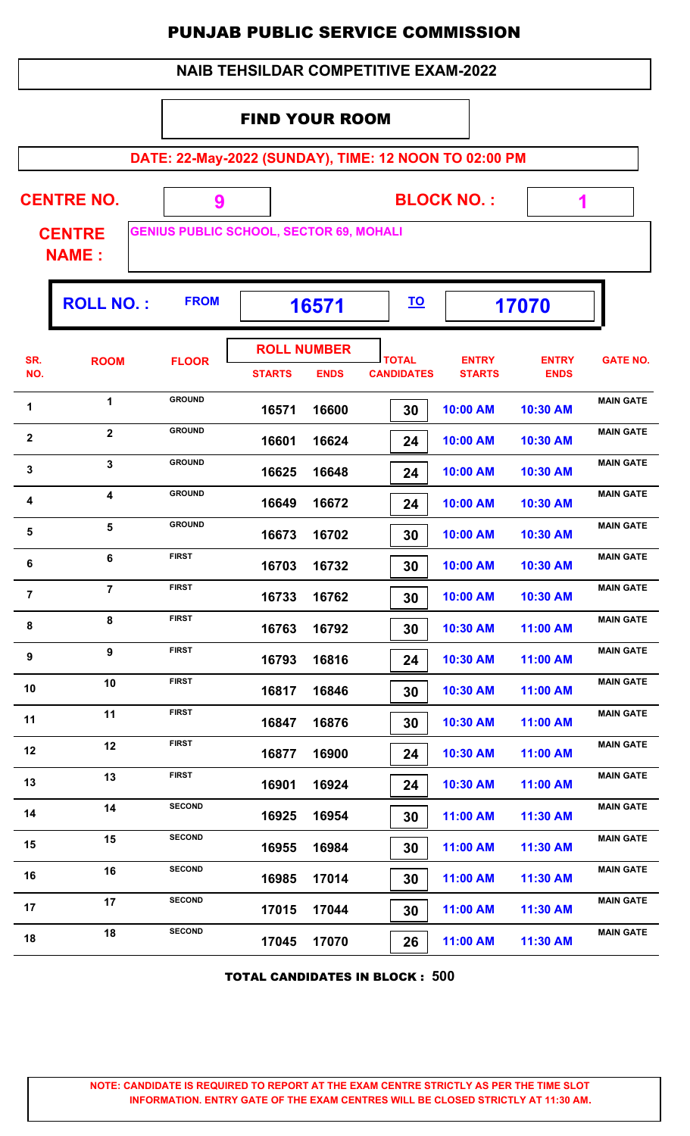| <b>NAIB TEHSILDAR COMPETITIVE EXAM-2022</b> |  |
|---------------------------------------------|--|
|---------------------------------------------|--|

#### FIND YOUR ROOM

**DATE: 22-May-2022 (SUNDAY), TIME: 12 NOON TO 02:00 PM**

| <b>CENTRE NO.</b>             |             |                                                | <b>BLOCK NO.:</b> |       |  |
|-------------------------------|-------------|------------------------------------------------|-------------------|-------|--|
| <b>CENTRE</b><br><b>NAME:</b> |             | <b>GENIUS PUBLIC SCHOOL, SECTOR 69, MOHALI</b> |                   |       |  |
| <b>ROLL NO.:</b>              | <b>FROM</b> | 16571                                          | <b>TO</b>         | 17070 |  |

| SR.<br>NO.              | <b>ROOM</b>             | <b>FLOOR</b>  | <b>ROLL NUMBER</b><br><b>STARTS</b> | <b>ENDS</b> | <b>TOTAL</b><br><b>CANDIDATES</b> | <b>ENTRY</b><br><b>STARTS</b> | <b>ENTRY</b><br><b>ENDS</b> | <b>GATE NO.</b>  |
|-------------------------|-------------------------|---------------|-------------------------------------|-------------|-----------------------------------|-------------------------------|-----------------------------|------------------|
| 1                       | $\mathbf{1}$            | <b>GROUND</b> | 16571                               | 16600       | 30                                | 10:00 AM                      | 10:30 AM                    | <b>MAIN GATE</b> |
| $\boldsymbol{2}$        | $\overline{2}$          | <b>GROUND</b> | 16601                               | 16624       | 24                                | 10:00 AM                      | 10:30 AM                    | <b>MAIN GATE</b> |
| $\mathbf{3}$            | $\mathbf{3}$            | <b>GROUND</b> | 16625                               | 16648       | 24                                | 10:00 AM                      | 10:30 AM                    | <b>MAIN GATE</b> |
| 4                       | $\overline{\mathbf{4}}$ | <b>GROUND</b> | 16649                               | 16672       | 24                                | 10:00 AM                      | 10:30 AM                    | <b>MAIN GATE</b> |
| $\overline{\mathbf{5}}$ | 5                       | <b>GROUND</b> | 16673                               | 16702       | 30                                | 10:00 AM                      | 10:30 AM                    | <b>MAIN GATE</b> |
| $\bf 6$                 | 6                       | <b>FIRST</b>  | 16703                               | 16732       | 30                                | 10:00 AM                      | 10:30 AM                    | <b>MAIN GATE</b> |
| $\overline{7}$          | $\overline{7}$          | <b>FIRST</b>  | 16733                               | 16762       | 30                                | 10:00 AM                      | 10:30 AM                    | <b>MAIN GATE</b> |
| 8                       | 8                       | <b>FIRST</b>  | 16763                               | 16792       | 30                                | 10:30 AM                      | 11:00 AM                    | <b>MAIN GATE</b> |
| 9                       | 9                       | <b>FIRST</b>  | 16793                               | 16816       | 24                                | 10:30 AM                      | 11:00 AM                    | <b>MAIN GATE</b> |
| 10                      | 10                      | <b>FIRST</b>  | 16817                               | 16846       | 30                                | 10:30 AM                      | 11:00 AM                    | <b>MAIN GATE</b> |
| 11                      | 11                      | <b>FIRST</b>  | 16847                               | 16876       | 30                                | 10:30 AM                      | 11:00 AM                    | <b>MAIN GATE</b> |
| 12                      | 12                      | <b>FIRST</b>  | 16877                               | 16900       | 24                                | 10:30 AM                      | 11:00 AM                    | <b>MAIN GATE</b> |
| 13                      | 13                      | <b>FIRST</b>  | 16901                               | 16924       | 24                                | 10:30 AM                      | 11:00 AM                    | <b>MAIN GATE</b> |
| 14                      | 14                      | <b>SECOND</b> | 16925                               | 16954       | 30                                | 11:00 AM                      | 11:30 AM                    | <b>MAIN GATE</b> |
| 15                      | 15                      | <b>SECOND</b> | 16955                               | 16984       | 30                                | 11:00 AM                      | 11:30 AM                    | <b>MAIN GATE</b> |
| 16                      | 16                      | <b>SECOND</b> | 16985                               | 17014       | 30                                | 11:00 AM                      | 11:30 AM                    | <b>MAIN GATE</b> |
| 17                      | 17                      | <b>SECOND</b> | 17015                               | 17044       | 30                                | 11:00 AM                      | 11:30 AM                    | <b>MAIN GATE</b> |
| 18                      | 18                      | <b>SECOND</b> | 17045                               | 17070       | 26                                | 11:00 AM                      | 11:30 AM                    | <b>MAIN GATE</b> |
|                         |                         |               |                                     |             |                                   |                               |                             |                  |

TOTAL CANDIDATES IN BLOCK : **500**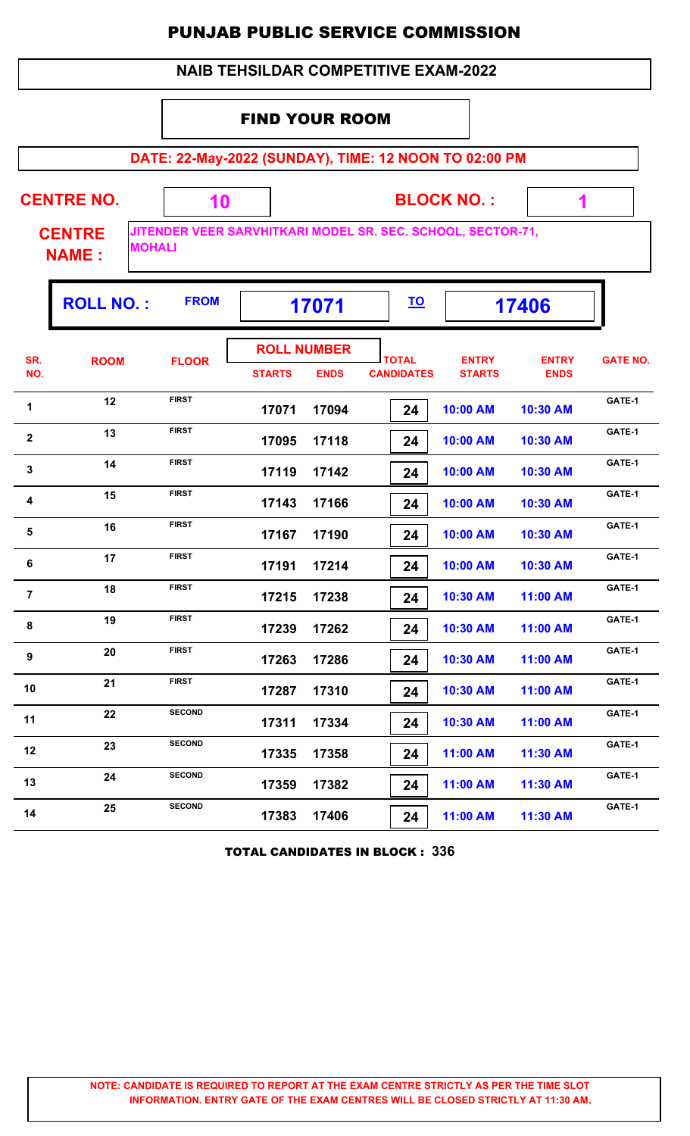|                                                |                   |               |                                     |             | <b>NAIB TEHSILDAR COMPETITIVE EXAM-2022</b>                 |                               |                             |                 |  |  |
|------------------------------------------------|-------------------|---------------|-------------------------------------|-------------|-------------------------------------------------------------|-------------------------------|-----------------------------|-----------------|--|--|
|                                                |                   |               | <b>FIND YOUR ROOM</b>               |             |                                                             |                               |                             |                 |  |  |
|                                                |                   |               |                                     |             | DATE: 22-May-2022 (SUNDAY), TIME: 12 NOON TO 02:00 PM       |                               |                             |                 |  |  |
|                                                | <b>CENTRE NO.</b> | 10            | <b>BLOCK NO.:</b><br>1              |             |                                                             |                               |                             |                 |  |  |
| <b>CENTRE</b><br><b>MOHALI</b><br><b>NAME:</b> |                   |               |                                     |             | JITENDER VEER SARVHITKARI MODEL SR. SEC. SCHOOL, SECTOR-71, |                               |                             |                 |  |  |
|                                                | <b>ROLL NO.:</b>  | <b>FROM</b>   | <u>TO</u><br>17406<br>17071         |             |                                                             |                               |                             |                 |  |  |
| SR.<br>NO.                                     | <b>ROOM</b>       | <b>FLOOR</b>  | <b>ROLL NUMBER</b><br><b>STARTS</b> | <b>ENDS</b> | <b>TOTAL</b><br><b>CANDIDATES</b>                           | <b>ENTRY</b><br><b>STARTS</b> | <b>ENTRY</b><br><b>ENDS</b> | <b>GATE NO.</b> |  |  |
| 1                                              | 12                | <b>FIRST</b>  | 17071                               | 17094       | 24                                                          | 10:00 AM                      | 10:30 AM                    | GATE-1          |  |  |
| $\mathbf{2}$                                   | 13                | <b>FIRST</b>  | 17095                               | 17118       | 24                                                          | 10:00 AM                      | 10:30 AM                    | GATE-1          |  |  |
| 3                                              | 14                | <b>FIRST</b>  | 17119                               | 17142       | 24                                                          | 10:00 AM                      | 10:30 AM                    | GATE-1          |  |  |
| 4                                              | 15                | <b>FIRST</b>  | 17143                               | 17166       | 24                                                          | 10:00 AM                      | 10:30 AM                    | GATE-1          |  |  |
| 5                                              | 16                | <b>FIRST</b>  | 17167                               | 17190       | 24                                                          | 10:00 AM                      | 10:30 AM                    | GATE-1          |  |  |
| 6                                              | 17                | <b>FIRST</b>  | 17191                               | 17214       | 24                                                          | 10:00 AM                      | 10:30 AM                    | GATE-1          |  |  |
| $\overline{7}$                                 | 18                | <b>FIRST</b>  | 17215                               | 17238       | 24                                                          | 10:30 AM                      | 11:00 AM                    | GATE-1          |  |  |
| 8                                              | 19                | <b>FIRST</b>  | 17239                               | 17262       | 24                                                          | 10:30 AM                      | 11:00 AM                    | GATE-1          |  |  |
| 9                                              | 20                | <b>FIRST</b>  | 17263                               | 17286       | 24                                                          | 10:30 AM                      | 11:00 AM                    | GATE-1          |  |  |
| 10                                             | 21                | <b>FIRST</b>  | 17287                               | 17310       | 24                                                          | 10:30 AM                      | 11:00 AM                    | GATE-1          |  |  |
| 11                                             | 22                | <b>SECOND</b> | 17311                               | 17334       | 24                                                          | 10:30 AM                      | 11:00 AM                    | GATE-1          |  |  |
| 12                                             | 23                | <b>SECOND</b> | 17335                               | 17358       | 24                                                          | 11:00 AM                      | 11:30 AM                    | GATE-1          |  |  |
| 13                                             | 24                | <b>SECOND</b> | 17359                               | 17382       | 24                                                          | 11:00 AM                      | 11:30 AM                    | GATE-1          |  |  |
| 14                                             | 25                | <b>SECOND</b> | 17383                               | 17406       | 24                                                          | 11:00 AM                      | 11:30 AM                    | GATE-1          |  |  |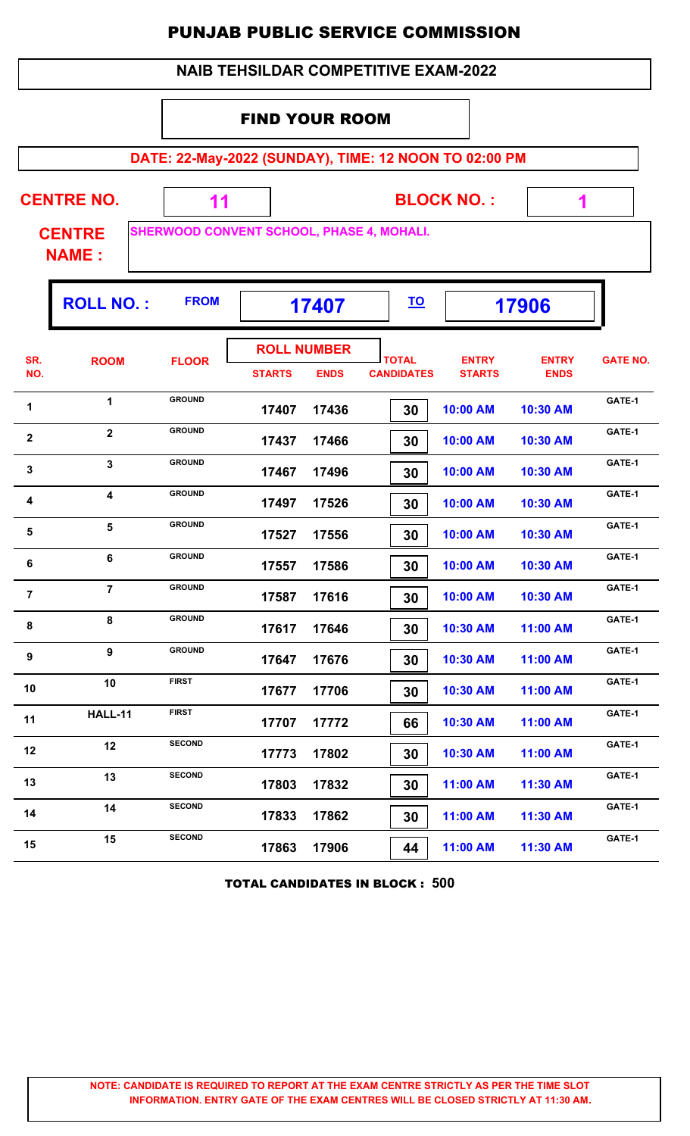|                |                               |                                                       |                       |                                   | <b>NAIB TEHSILDAR COMPETITIVE EXAM-2022</b> |                               |                             |                 |
|----------------|-------------------------------|-------------------------------------------------------|-----------------------|-----------------------------------|---------------------------------------------|-------------------------------|-----------------------------|-----------------|
|                |                               |                                                       | <b>FIND YOUR ROOM</b> |                                   |                                             |                               |                             |                 |
|                |                               | DATE: 22-May-2022 (SUNDAY), TIME: 12 NOON TO 02:00 PM |                       |                                   |                                             |                               |                             |                 |
|                | <b>CENTRE NO.</b>             | 11                                                    | <b>BLOCK NO.:</b>     |                                   |                                             |                               |                             | 1               |
|                | <b>CENTRE</b><br><b>NAME:</b> | <b>SHERWOOD CONVENT SCHOOL, PHASE 4, MOHALI.</b>      |                       |                                   |                                             |                               |                             |                 |
|                | <b>ROLL NO.:</b>              | <b>FROM</b>                                           |                       | 17407                             | <u>TO</u>                                   |                               | 17906                       |                 |
| SR.<br>NO.     | <b>ROOM</b>                   | <b>FLOOR</b>                                          | <b>STARTS</b>         | <b>ROLL NUMBER</b><br><b>ENDS</b> | <b>TOTAL</b><br><b>CANDIDATES</b>           | <b>ENTRY</b><br><b>STARTS</b> | <b>ENTRY</b><br><b>ENDS</b> | <b>GATE NO.</b> |
| 1              | $\mathbf{1}$                  | <b>GROUND</b>                                         | 17407                 | 17436                             | 30                                          | 10:00 AM                      | 10:30 AM                    | GATE-1          |
| $\mathbf{2}$   | $\overline{2}$                | <b>GROUND</b>                                         | 17437                 | 17466                             | 30                                          | 10:00 AM                      | 10:30 AM                    | GATE-1          |
| 3              | $\mathbf{3}$                  | <b>GROUND</b>                                         | 17467                 | 17496                             | 30                                          | 10:00 AM                      | 10:30 AM                    | GATE-1          |
| 4              | $\overline{\mathbf{4}}$       | <b>GROUND</b>                                         | 17497                 | 17526                             | 30                                          | 10:00 AM                      | 10:30 AM                    | GATE-1          |
| 5              | 5                             | <b>GROUND</b>                                         | 17527                 | 17556                             | 30                                          | 10:00 AM                      | 10:30 AM                    | GATE-1          |
| 6              | 6                             | <b>GROUND</b>                                         | 17557                 | 17586                             | 30                                          | 10:00 AM                      | 10:30 AM                    | GATE-1          |
| $\overline{7}$ | $\overline{7}$                | <b>GROUND</b>                                         | 17587                 | 17616                             | 30                                          | 10:00 AM                      | 10:30 AM                    | GATE-1          |
| 8              | 8                             | <b>GROUND</b>                                         | 17617                 | 17646                             | 30                                          | 10:30 AM                      | 11:00 AM                    | GATE-1          |
| 9              | $\overline{9}$                | <b>GROUND</b>                                         | 17647                 | 17676                             | 30                                          | 10:30 AM                      | 11:00 AM                    | GATE-1          |
| 10             | 10                            | <b>FIRST</b>                                          | 17677                 | 17706                             | 30                                          | 10:30 AM                      | 11:00 AM                    | GATE-1          |
| 11             | <b>HALL-11</b>                | <b>FIRST</b>                                          | 17707                 | 17772                             | 66                                          | 10:30 AM                      | 11:00 AM                    | GATE-1          |
| 12             | 12                            | <b>SECOND</b>                                         | 17773                 | 17802                             | 30                                          | 10:30 AM                      | 11:00 AM                    | GATE-1          |
| 13             | 13                            | <b>SECOND</b>                                         | 17803                 | 17832                             | 30                                          | 11:00 AM                      | 11:30 AM                    | GATE-1          |
| 14             | 14                            | <b>SECOND</b>                                         | 17833                 | 17862                             | 30                                          | 11:00 AM                      | 11:30 AM                    | GATE-1          |
| 15             | 15                            | <b>SECOND</b>                                         | 17863                 | 17906                             | 44                                          | 11:00 AM                      | 11:30 AM                    | GATE-1          |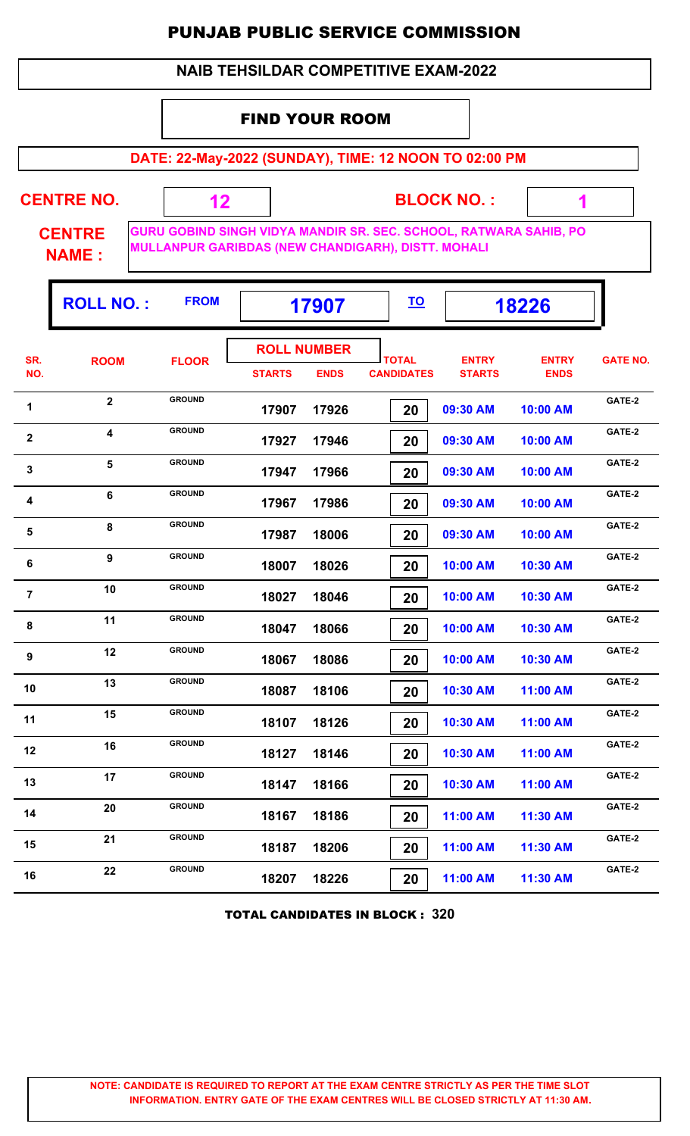#### **NAIB TEHSILDAR COMPETITIVE EXAM-2022**

#### FIND YOUR ROOM

 **12**

**DATE: 22-May-2022 (SUNDAY), TIME: 12 NOON TO 02:00 PM**

**CENTRE NO.** 

**BLOCK NO. :**

 **1**

T

**CENTRE NAME :**

**GURU GOBIND SINGH VIDYA MANDIR SR. SEC. SCHOOL, RATWARA SAHIB, PO MULLANPUR GARIBDAS (NEW CHANDIGARH), DISTT. MOHALI**

|                  | <b>ROLL NO.:</b> | <b>FROM</b>   | 17907         |                                   | <u>TO</u>                         |                               | 18226                       |                 |
|------------------|------------------|---------------|---------------|-----------------------------------|-----------------------------------|-------------------------------|-----------------------------|-----------------|
| SR.<br>NO.       | <b>ROOM</b>      | <b>FLOOR</b>  | <b>STARTS</b> | <b>ROLL NUMBER</b><br><b>ENDS</b> | <b>TOTAL</b><br><b>CANDIDATES</b> | <b>ENTRY</b><br><b>STARTS</b> | <b>ENTRY</b><br><b>ENDS</b> | <b>GATE NO.</b> |
| 1                | $\mathbf{2}$     | <b>GROUND</b> | 17907         | 17926                             | 20                                | 09:30 AM                      | 10:00 AM                    | GATE-2          |
| $\mathbf 2$      | 4                | <b>GROUND</b> | 17927         | 17946                             | 20                                | 09:30 AM                      | 10:00 AM                    | GATE-2          |
| 3                | 5                | <b>GROUND</b> | 17947         | 17966                             | 20                                | 09:30 AM                      | 10:00 AM                    | GATE-2          |
| $\boldsymbol{4}$ | 6                | <b>GROUND</b> | 17967         | 17986                             | 20                                | 09:30 AM                      | 10:00 AM                    | GATE-2          |
| 5                | 8                | <b>GROUND</b> | 17987         | 18006                             | 20                                | 09:30 AM                      | 10:00 AM                    | GATE-2          |
| 6                | 9                | <b>GROUND</b> | 18007         | 18026                             | 20                                | 10:00 AM                      | 10:30 AM                    | GATE-2          |
| $\overline{7}$   | 10               | <b>GROUND</b> | 18027         | 18046                             | 20                                | 10:00 AM                      | 10:30 AM                    | GATE-2          |
| $\bf 8$          | 11               | <b>GROUND</b> | 18047         | 18066                             | 20                                | 10:00 AM                      | 10:30 AM                    | GATE-2          |
| 9                | 12               | <b>GROUND</b> | 18067         | 18086                             | 20                                | 10:00 AM                      | 10:30 AM                    | GATE-2          |
| 10               | 13               | <b>GROUND</b> | 18087         | 18106                             | 20                                | 10:30 AM                      | 11:00 AM                    | GATE-2          |
| 11               | 15               | <b>GROUND</b> | 18107         | 18126                             | 20                                | 10:30 AM                      | 11:00 AM                    | GATE-2          |
| 12               | 16               | <b>GROUND</b> | 18127         | 18146                             | 20                                | 10:30 AM                      | 11:00 AM                    | GATE-2          |
| 13               | 17               | <b>GROUND</b> | 18147         | 18166                             | 20                                | 10:30 AM                      | 11:00 AM                    | GATE-2          |
| 14               | 20               | <b>GROUND</b> | 18167         | 18186                             | 20                                | 11:00 AM                      | 11:30 AM                    | GATE-2          |
| 15               | 21               | <b>GROUND</b> | 18187         | 18206                             | 20                                | 11:00 AM                      | 11:30 AM                    | GATE-2          |
| 16               | 22               | <b>GROUND</b> | 18207         | 18226                             | 20                                | 11:00 AM                      | 11:30 AM                    | GATE-2          |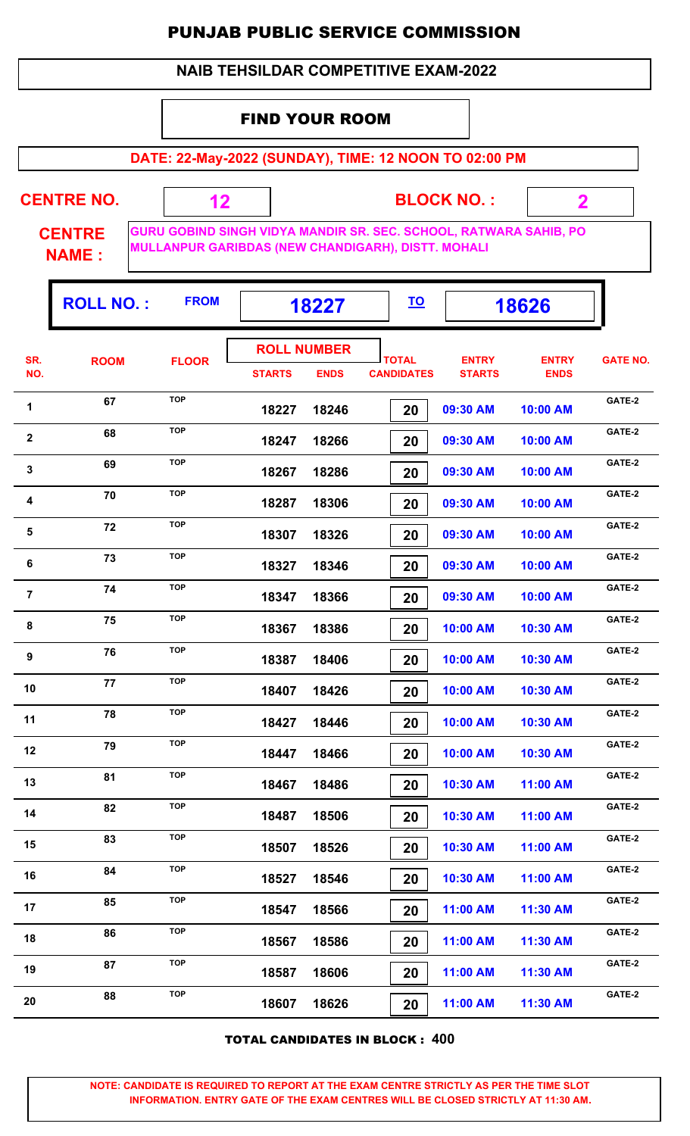#### **NAIB TEHSILDAR COMPETITIVE EXAM-2022**

#### FIND YOUR ROOM

 **12**

**DATE: 22-May-2022 (SUNDAY), TIME: 12 NOON TO 02:00 PM**

**CENTRE NO.** 

**BLOCK NO. :**

 **2**

ŋ.

**CENTRE NAME :**

**GURU GOBIND SINGH VIDYA MANDIR SR. SEC. SCHOOL, RATWARA SAHIB, PO MULLANPUR GARIBDAS (NEW CHANDIGARH), DISTT. MOHALI**

|                         | <b>ROLL NO.:</b> | <b>FROM</b>  | 18227         |                                   | <u>TO</u>                         |                               | 18626                       |                 |
|-------------------------|------------------|--------------|---------------|-----------------------------------|-----------------------------------|-------------------------------|-----------------------------|-----------------|
| SR.<br>NO.              | <b>ROOM</b>      | <b>FLOOR</b> | <b>STARTS</b> | <b>ROLL NUMBER</b><br><b>ENDS</b> | <b>TOTAL</b><br><b>CANDIDATES</b> | <b>ENTRY</b><br><b>STARTS</b> | <b>ENTRY</b><br><b>ENDS</b> | <b>GATE NO.</b> |
| 1                       | 67               | <b>TOP</b>   | 18227         | 18246                             | 20                                | 09:30 AM                      | 10:00 AM                    | GATE-2          |
| $\overline{2}$          | 68               | <b>TOP</b>   | 18247         | 18266                             | 20                                | 09:30 AM                      | 10:00 AM                    | GATE-2          |
| $\mathbf 3$             | 69               | <b>TOP</b>   | 18267         | 18286                             | 20                                | 09:30 AM                      | 10:00 AM                    | GATE-2          |
| $\overline{\mathbf{4}}$ | 70               | <b>TOP</b>   | 18287         | 18306                             | 20                                | 09:30 AM                      | 10:00 AM                    | GATE-2          |
| 5                       | 72               | <b>TOP</b>   | 18307         | 18326                             | 20                                | 09:30 AM                      | 10:00 AM                    | GATE-2          |
| 6                       | 73               | <b>TOP</b>   | 18327         | 18346                             | 20                                | 09:30 AM                      | 10:00 AM                    | GATE-2          |
| $\overline{7}$          | 74               | <b>TOP</b>   | 18347         | 18366                             | 20                                | 09:30 AM                      | 10:00 AM                    | GATE-2          |
| 8                       | 75               | <b>TOP</b>   | 18367         | 18386                             | 20                                | 10:00 AM                      | 10:30 AM                    | GATE-2          |
| 9                       | 76               | <b>TOP</b>   | 18387         | 18406                             | 20                                | 10:00 AM                      | 10:30 AM                    | GATE-2          |
| 10                      | 77               | <b>TOP</b>   | 18407         | 18426                             | 20                                | 10:00 AM                      | 10:30 AM                    | GATE-2          |
| 11                      | 78               | <b>TOP</b>   | 18427         | 18446                             | 20                                | 10:00 AM                      | 10:30 AM                    | GATE-2          |
| 12                      | 79               | <b>TOP</b>   | 18447         | 18466                             | 20                                | 10:00 AM                      | 10:30 AM                    | GATE-2          |
| 13                      | 81               | <b>TOP</b>   | 18467         | 18486                             | 20                                | 10:30 AM                      | 11:00 AM                    | GATE-2          |
| 14                      | 82               | <b>TOP</b>   | 18487         | 18506                             | 20                                | 10:30 AM                      | 11:00 AM                    | GATE-2          |
| 15                      | 83               | <b>TOP</b>   | 18507         | 18526                             | 20                                | 10:30 AM                      | 11:00 AM                    | GATE-2          |
| 16                      | 84               | <b>TOP</b>   | 18527         | 18546                             | 20                                | 10:30 AM                      | 11:00 AM                    | GATE-2          |
| 17                      | 85               | <b>TOP</b>   | 18547         | 18566                             | 20                                | 11:00 AM                      | 11:30 AM                    | GATE-2          |
| 18                      | 86               | <b>TOP</b>   | 18567         | 18586                             | 20                                | 11:00 AM                      | 11:30 AM                    | GATE-2          |
| 19                      | 87               | <b>TOP</b>   | 18587         | 18606                             | 20                                | 11:00 AM                      | 11:30 AM                    | GATE-2          |
| 20                      | 88               | <b>TOP</b>   | 18607         | 18626                             | 20                                | 11:00 AM                      | 11:30 AM                    | GATE-2          |
|                         |                  |              |               |                                   |                                   |                               |                             |                 |

TOTAL CANDIDATES IN BLOCK : **400**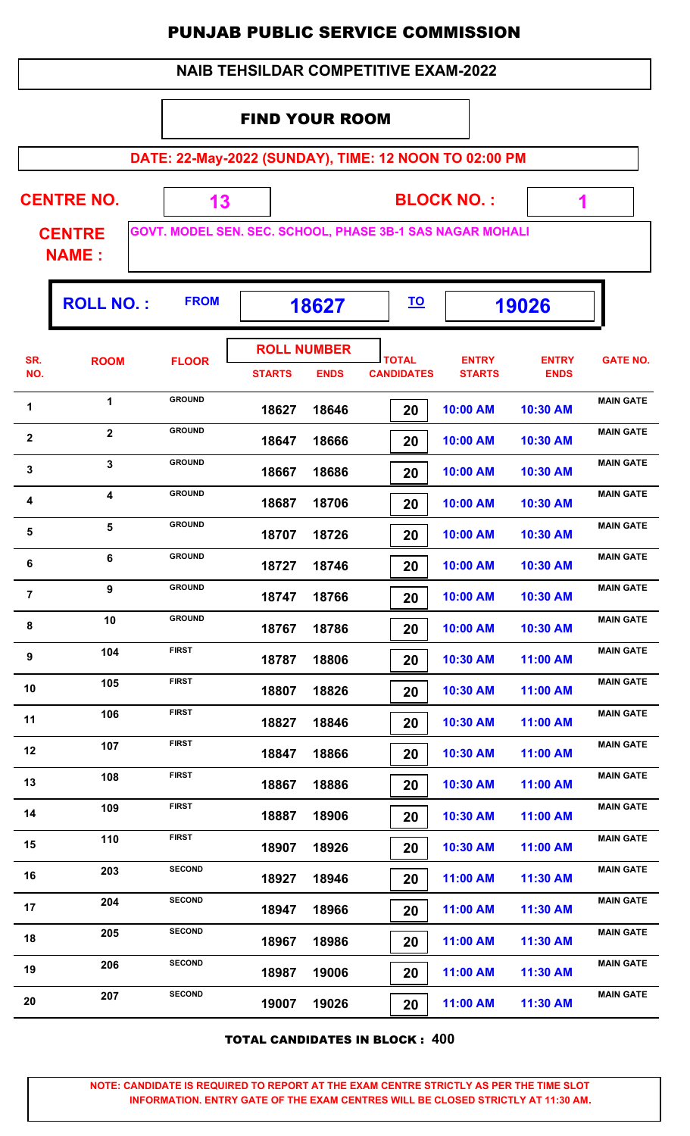|                                              | <b>PUNJAB PUBLIC SERVICE COMMISSION</b> |                                                           |                                             |             |  |                                   |                               |                             |                  |  |
|----------------------------------------------|-----------------------------------------|-----------------------------------------------------------|---------------------------------------------|-------------|--|-----------------------------------|-------------------------------|-----------------------------|------------------|--|
|                                              |                                         |                                                           | <b>NAIB TEHSILDAR COMPETITIVE EXAM-2022</b> |             |  |                                   |                               |                             |                  |  |
|                                              |                                         |                                                           | <b>FIND YOUR ROOM</b>                       |             |  |                                   |                               |                             |                  |  |
|                                              |                                         | DATE: 22-May-2022 (SUNDAY), TIME: 12 NOON TO 02:00 PM     |                                             |             |  |                                   |                               |                             |                  |  |
| <b>BLOCK NO.:</b><br><b>CENTRE NO.</b><br>13 |                                         |                                                           |                                             |             |  |                                   |                               |                             |                  |  |
|                                              | <b>CENTRE</b><br><b>NAME:</b>           | GOVT. MODEL SEN. SEC. SCHOOL, PHASE 3B-1 SAS NAGAR MOHALI |                                             |             |  |                                   |                               |                             |                  |  |
|                                              | <b>ROLL NO.:</b>                        | <b>FROM</b>                                               |                                             | 18627       |  | <u>TO</u>                         |                               | 19026                       |                  |  |
| SR.<br>NO.                                   | <b>ROOM</b>                             | <b>FLOOR</b>                                              | <b>ROLL NUMBER</b><br><b>STARTS</b>         | <b>ENDS</b> |  | <b>TOTAL</b><br><b>CANDIDATES</b> | <b>ENTRY</b><br><b>STARTS</b> | <b>ENTRY</b><br><b>ENDS</b> | <b>GATE NO.</b>  |  |
| 1                                            | $\mathbf 1$                             | <b>GROUND</b>                                             | 18627                                       | 18646       |  | 20                                | 10:00 AM                      | 10:30 AM                    | <b>MAIN GATE</b> |  |
| $\mathbf{2}$                                 | $\overline{2}$                          | <b>GROUND</b>                                             | 18647                                       | 18666       |  | 20                                | 10:00 AM                      | 10:30 AM                    | <b>MAIN GATE</b> |  |
| 3                                            | 3                                       | <b>GROUND</b>                                             | 18667                                       | 18686       |  | 20                                | 10:00 AM                      | 10:30 AM                    | <b>MAIN GATE</b> |  |
| 4                                            | 4                                       | <b>GROUND</b>                                             | 18687                                       | 18706       |  | 20                                | 10:00 AM                      | 10:30 AM                    | <b>MAIN GATE</b> |  |
| 5                                            | 5                                       | <b>GROUND</b>                                             | 18707                                       | 18726       |  | 20                                | 10:00 AM                      | 10:30 AM                    | <b>MAIN GATE</b> |  |
| - 6                                          | 6                                       | <b>GROUND</b>                                             | 18727                                       | 18746       |  | 20                                | 10:00 AM                      | 10:30 AM                    | <b>MAIN GATE</b> |  |
| $\overline{7}$                               | 9                                       | <b>GROUND</b>                                             | 18747                                       | 18766       |  | 20                                | 10:00 AM                      | 10:30 AM                    | <b>MAIN GATE</b> |  |
| 8                                            | 10                                      | <b>GROUND</b>                                             | 18767                                       | 18786       |  | 20                                | 10:00 AM                      | 10:30 AM                    | <b>MAIN GATE</b> |  |
| 9                                            | 104                                     | <b>FIRST</b>                                              | 18787                                       | 18806       |  | 20                                | 10:30 AM                      | 11:00 AM                    | <b>MAIN GATE</b> |  |
| 10                                           | 105                                     | <b>FIRST</b>                                              | 18807                                       | 18826       |  | 20                                | 10:30 AM                      | 11:00 AM                    | <b>MAIN GATE</b> |  |
| 11                                           | 106                                     | <b>FIRST</b>                                              | 18827                                       | 18846       |  | 20                                | 10:30 AM                      | 11:00 AM                    | <b>MAIN GATE</b> |  |
| 12                                           | 107                                     | <b>FIRST</b>                                              | 18847                                       | 18866       |  | 20                                | 10:30 AM                      | 11:00 AM                    | <b>MAIN GATE</b> |  |
| 13                                           | 108                                     | <b>FIRST</b>                                              | 18867                                       | 18886       |  | 20                                | 10:30 AM                      | 11:00 AM                    | <b>MAIN GATE</b> |  |
| 14                                           | 109                                     | <b>FIRST</b>                                              | 18887                                       | 18906       |  | 20                                | 10:30 AM                      | 11:00 AM                    | <b>MAIN GATE</b> |  |
| 15                                           | 110                                     | <b>FIRST</b>                                              | 18907                                       | 18926       |  | 20                                | 10:30 AM                      | 11:00 AM                    | <b>MAIN GATE</b> |  |
| 16                                           | 203                                     | <b>SECOND</b>                                             | 18927                                       | 18946       |  | 20                                | 11:00 AM                      | 11:30 AM                    | <b>MAIN GATE</b> |  |
| 17                                           | 204                                     | <b>SECOND</b>                                             | 18947                                       | 18966       |  | 20                                | 11:00 AM                      | 11:30 AM                    | <b>MAIN GATE</b> |  |

TOTAL CANDIDATES IN BLOCK : **400**

18 **18967 18986 190 AM** 11:00 AM 11:30 AM

**MAIN GATE<sup>19</sup> <sup>206</sup> SECOND**

**20 207 COND**<br>**19007 19026 20 11:00 AM 11:30 AM MAIN GATE** 

 **18967 18986 20 11:00 AM 11:30 AM**

 **18987 19006 20 11:00 AM 11:30 AM**

 **19007 19026 20 11:00 AM 11:30 AM**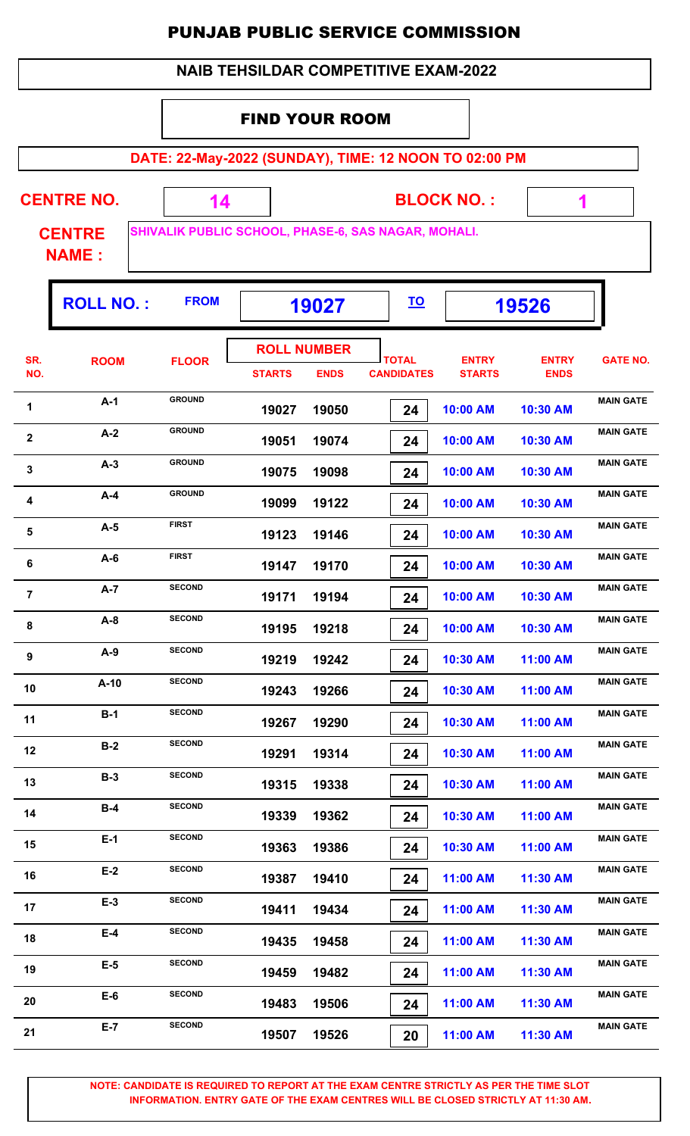| <b>NAIB TEHSILDAR COMPETITIVE EXAM-2022</b> |
|---------------------------------------------|
|---------------------------------------------|

#### FIND YOUR ROOM

**DATE: 22-May-2022 (SUNDAY), TIME: 12 NOON TO 02:00 PM**

**CENTRE NO.** 

**BLOCK NO. :**

 **1**

ŋ.

**CENTRE NAME :**

**SHIVALIK PUBLIC SCHOOL, PHASE-6, SAS NAGAR, MOHALI.**

 **14**

|                | <b>ROLL NO.:</b> | <b>FROM</b>   |                                     | 19027       |                                   |                               | 19526                       |                  |
|----------------|------------------|---------------|-------------------------------------|-------------|-----------------------------------|-------------------------------|-----------------------------|------------------|
| SR.<br>NO.     | <b>ROOM</b>      | <b>FLOOR</b>  | <b>ROLL NUMBER</b><br><b>STARTS</b> | <b>ENDS</b> | <b>TOTAL</b><br><b>CANDIDATES</b> | <b>ENTRY</b><br><b>STARTS</b> | <b>ENTRY</b><br><b>ENDS</b> | <b>GATE NO.</b>  |
| 1              | $A-1$            | <b>GROUND</b> | 19027                               | 19050       | 24                                | 10:00 AM                      | 10:30 AM                    | <b>MAIN GATE</b> |
| $\mathbf{2}$   | $A-2$            | <b>GROUND</b> | 19051                               | 19074       | 24                                | 10:00 AM                      | 10:30 AM                    | <b>MAIN GATE</b> |
| $\mathbf{3}$   | $A-3$            | <b>GROUND</b> | 19075                               | 19098       | 24                                | 10:00 AM                      | 10:30 AM                    | <b>MAIN GATE</b> |
| 4              | $A-4$            | <b>GROUND</b> | 19099                               | 19122       | 24                                | 10:00 AM                      | 10:30 AM                    | <b>MAIN GATE</b> |
| $\sqrt{5}$     | $A-5$            | <b>FIRST</b>  | 19123                               | 19146       | 24                                | 10:00 AM                      | 10:30 AM                    | <b>MAIN GATE</b> |
| 6              | $A-6$            | <b>FIRST</b>  | 19147                               | 19170       | 24                                | 10:00 AM                      | 10:30 AM                    | <b>MAIN GATE</b> |
| $\overline{7}$ | $A-7$            | <b>SECOND</b> | 19171                               | 19194       | 24                                | 10:00 AM                      | 10:30 AM                    | <b>MAIN GATE</b> |
| 8              | $A-8$            | <b>SECOND</b> | 19195                               | 19218       | 24                                | 10:00 AM                      | 10:30 AM                    | <b>MAIN GATE</b> |
| 9              | $A-9$            | <b>SECOND</b> | 19219                               | 19242       | 24                                | 10:30 AM                      | 11:00 AM                    | <b>MAIN GATE</b> |
| 10             | $A-10$           | <b>SECOND</b> | 19243                               | 19266       | 24                                | 10:30 AM                      | 11:00 AM                    | <b>MAIN GATE</b> |
| 11             | $B-1$            | <b>SECOND</b> | 19267                               | 19290       | 24                                | 10:30 AM                      | 11:00 AM                    | <b>MAIN GATE</b> |
| 12             | $B-2$            | <b>SECOND</b> | 19291                               | 19314       | 24                                | 10:30 AM                      | 11:00 AM                    | <b>MAIN GATE</b> |
| 13             | $B-3$            | <b>SECOND</b> | 19315                               | 19338       | 24                                | 10:30 AM                      | 11:00 AM                    | <b>MAIN GATE</b> |
| 14             | $B-4$            | <b>SECOND</b> | 19339                               | 19362       | 24                                | 10:30 AM                      | 11:00 AM                    | <b>MAIN GATE</b> |
| 15             | $E-1$            | <b>SECOND</b> | 19363                               | 19386       | 24                                | 10:30 AM                      | 11:00 AM                    | <b>MAIN GATE</b> |
| 16             | $E-2$            | <b>SECOND</b> | 19387                               | 19410       | 24                                | 11:00 AM                      | 11:30 AM                    | <b>MAIN GATE</b> |
| 17             | $E-3$            | <b>SECOND</b> | 19411                               | 19434       | 24                                | 11:00 AM                      | 11:30 AM                    | <b>MAIN GATE</b> |
| 18             | $E-4$            | <b>SECOND</b> | 19435                               | 19458       | 24                                | 11:00 AM                      | 11:30 AM                    | <b>MAIN GATE</b> |
| 19             | $E-5$            | <b>SECOND</b> | 19459                               | 19482       | 24                                | 11:00 AM                      | 11:30 AM                    | <b>MAIN GATE</b> |
| 20             | $E-6$            | <b>SECOND</b> | 19483                               | 19506       | 24                                | 11:00 AM                      | 11:30 AM                    | <b>MAIN GATE</b> |
| 21             | $E-7$            | <b>SECOND</b> | 19507                               | 19526       | 20                                | 11:00 AM                      | 11:30 AM                    | <b>MAIN GATE</b> |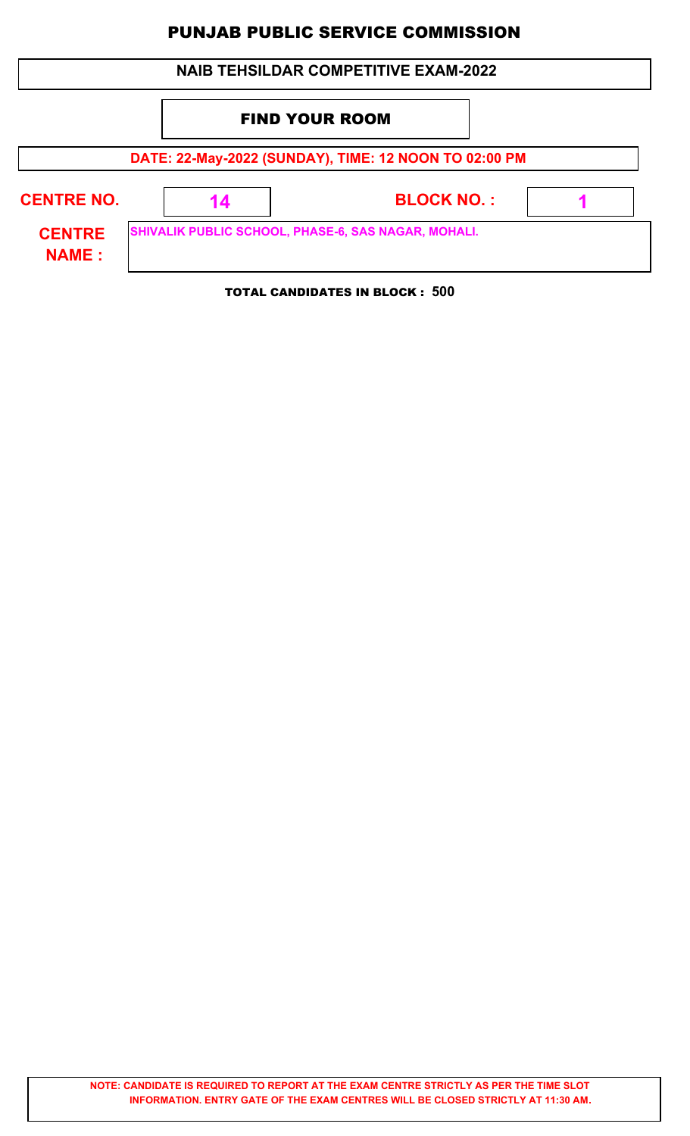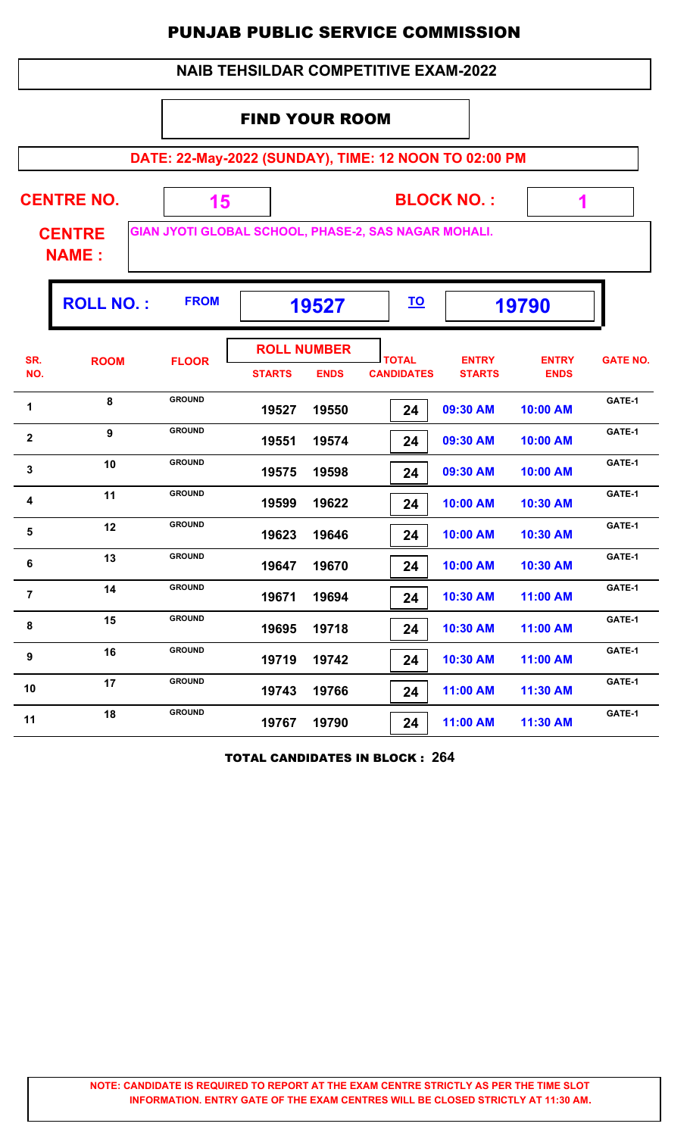|                                                                                       | <b>NAIB TEHSILDAR COMPETITIVE EXAM-2022</b> |               |               |                                   |                                   |                               |                             |                 |  |  |  |  |
|---------------------------------------------------------------------------------------|---------------------------------------------|---------------|---------------|-----------------------------------|-----------------------------------|-------------------------------|-----------------------------|-----------------|--|--|--|--|
| <b>FIND YOUR ROOM</b>                                                                 |                                             |               |               |                                   |                                   |                               |                             |                 |  |  |  |  |
| DATE: 22-May-2022 (SUNDAY), TIME: 12 NOON TO 02:00 PM                                 |                                             |               |               |                                   |                                   |                               |                             |                 |  |  |  |  |
| <b>CENTRE NO.</b><br><b>BLOCK NO.:</b><br>15<br>1                                     |                                             |               |               |                                   |                                   |                               |                             |                 |  |  |  |  |
| GIAN JYOTI GLOBAL SCHOOL, PHASE-2, SAS NAGAR MOHALI.<br><b>CENTRE</b><br><b>NAME:</b> |                                             |               |               |                                   |                                   |                               |                             |                 |  |  |  |  |
| <b>FROM</b><br><b>ROLL NO.:</b><br><u>TO</u><br>19790<br>19527                        |                                             |               |               |                                   |                                   |                               |                             |                 |  |  |  |  |
| SR.<br>NO.                                                                            | <b>ROOM</b>                                 | <b>FLOOR</b>  | <b>STARTS</b> | <b>ROLL NUMBER</b><br><b>ENDS</b> | <b>TOTAL</b><br><b>CANDIDATES</b> | <b>ENTRY</b><br><b>STARTS</b> | <b>ENTRY</b><br><b>ENDS</b> | <b>GATE NO.</b> |  |  |  |  |
| 1                                                                                     | 8                                           | <b>GROUND</b> | 19527         | 19550                             | 24                                | 09:30 AM                      | 10:00 AM                    | GATE-1          |  |  |  |  |
| $\mathbf 2$                                                                           | $\boldsymbol{9}$                            | <b>GROUND</b> | 19551         | 19574                             | 24                                | 09:30 AM                      | 10:00 AM                    | GATE-1          |  |  |  |  |
| $\mathbf{3}$                                                                          | 10                                          | <b>GROUND</b> | 19575         | 19598                             | 24                                | 09:30 AM                      | 10:00 AM                    | GATE-1          |  |  |  |  |
| 4                                                                                     | 11                                          | <b>GROUND</b> | 19599         | 19622                             | 24                                | 10:00 AM                      | 10:30 AM                    | GATE-1          |  |  |  |  |
| 5                                                                                     | 12                                          | <b>GROUND</b> | 19623         | 19646                             | 24                                | 10:00 AM                      | 10:30 AM                    | GATE-1          |  |  |  |  |
| 6                                                                                     | 13                                          | <b>GROUND</b> | 19647         | 19670                             | 24                                | 10:00 AM                      | 10:30 AM                    | GATE-1          |  |  |  |  |
| $\overline{7}$                                                                        | 14                                          | <b>GROUND</b> | 19671         | 19694                             | 24                                | 10:30 AM                      | 11:00 AM                    | GATE-1          |  |  |  |  |
| 8                                                                                     | 15                                          | <b>GROUND</b> | 19695         | 19718                             | 24                                | 10:30 AM                      | 11:00 AM                    | GATE-1          |  |  |  |  |
| 9                                                                                     | 16                                          | <b>GROUND</b> | 19719         | 19742                             | 24                                | 10:30 AM                      | 11:00 AM                    | GATE-1          |  |  |  |  |
| 10                                                                                    | 17                                          | <b>GROUND</b> | 19743         | 19766                             | 24                                | 11:00 AM                      | 11:30 AM                    | GATE-1          |  |  |  |  |
| 11                                                                                    | 18                                          | <b>GROUND</b> | 19767         | 19790                             | 24                                | 11:00 AM                      | 11:30 AM                    | GATE-1          |  |  |  |  |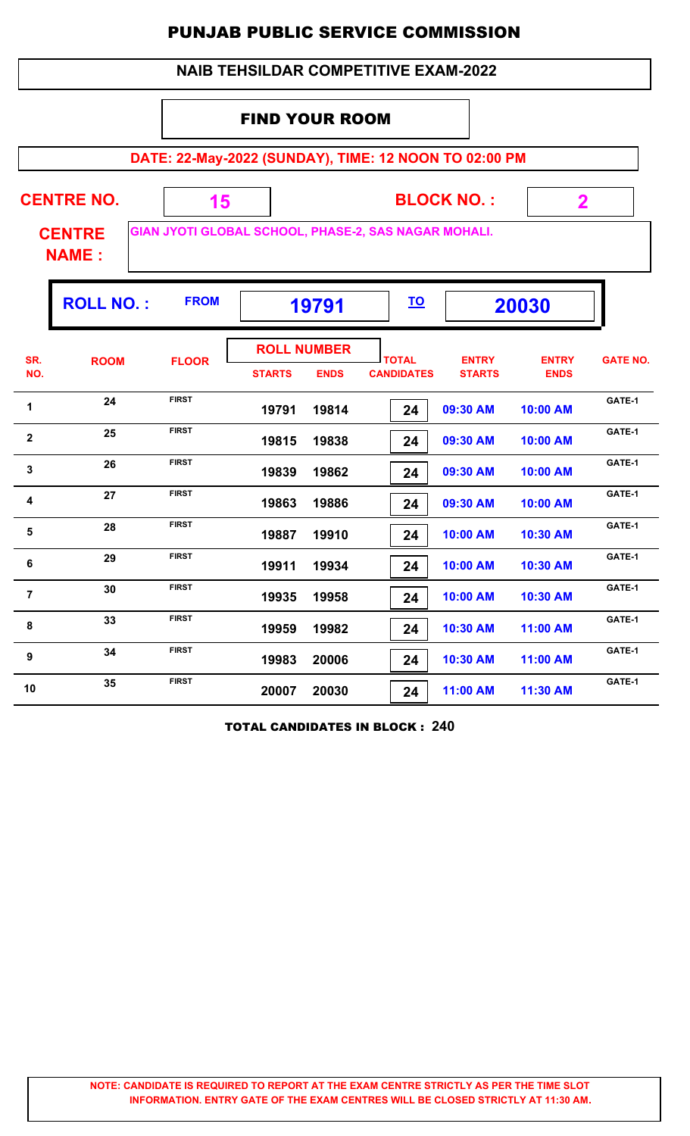|                                                                | <b>NAIB TEHSILDAR COMPETITIVE EXAM-2022</b>                                           |              |               |                                   |                                   |                               |                             |                 |  |  |  |
|----------------------------------------------------------------|---------------------------------------------------------------------------------------|--------------|---------------|-----------------------------------|-----------------------------------|-------------------------------|-----------------------------|-----------------|--|--|--|
|                                                                | <b>FIND YOUR ROOM</b>                                                                 |              |               |                                   |                                   |                               |                             |                 |  |  |  |
| DATE: 22-May-2022 (SUNDAY), TIME: 12 NOON TO 02:00 PM          |                                                                                       |              |               |                                   |                                   |                               |                             |                 |  |  |  |
|                                                                | <b>CENTRE NO.</b><br><b>BLOCK NO.:</b><br>15<br>$\mathbf 2$                           |              |               |                                   |                                   |                               |                             |                 |  |  |  |
|                                                                | GIAN JYOTI GLOBAL SCHOOL, PHASE-2, SAS NAGAR MOHALI.<br><b>CENTRE</b><br><b>NAME:</b> |              |               |                                   |                                   |                               |                             |                 |  |  |  |
| <b>FROM</b><br><b>ROLL NO.:</b><br><u>TO</u><br>19791<br>20030 |                                                                                       |              |               |                                   |                                   |                               |                             |                 |  |  |  |
| SR.<br>NO.                                                     | <b>ROOM</b>                                                                           | <b>FLOOR</b> | <b>STARTS</b> | <b>ROLL NUMBER</b><br><b>ENDS</b> | <b>TOTAL</b><br><b>CANDIDATES</b> | <b>ENTRY</b><br><b>STARTS</b> | <b>ENTRY</b><br><b>ENDS</b> | <b>GATE NO.</b> |  |  |  |
| 1                                                              | 24                                                                                    | <b>FIRST</b> | 19791         | 19814                             | 24                                | 09:30 AM                      | 10:00 AM                    | GATE-1          |  |  |  |
| $\mathbf{2}$                                                   | 25                                                                                    | <b>FIRST</b> | 19815         | 19838                             | 24                                | 09:30 AM                      | 10:00 AM                    | GATE-1          |  |  |  |
| 3                                                              | 26                                                                                    | <b>FIRST</b> | 19839         | 19862                             | 24                                | 09:30 AM                      | 10:00 AM                    | GATE-1          |  |  |  |
| 4                                                              | 27                                                                                    | <b>FIRST</b> | 19863         | 19886                             | 24                                | 09:30 AM                      | 10:00 AM                    | GATE-1          |  |  |  |
| 5                                                              | 28                                                                                    | <b>FIRST</b> | 19887         | 19910                             | 24                                | 10:00 AM                      | 10:30 AM                    | GATE-1          |  |  |  |
| 6                                                              | 29                                                                                    | <b>FIRST</b> | 19911         | 19934                             | 24                                | 10:00 AM                      | 10:30 AM                    | GATE-1          |  |  |  |
| $\overline{7}$                                                 | 30                                                                                    | <b>FIRST</b> | 19935         | 19958                             | 24                                | 10:00 AM                      | 10:30 AM                    | GATE-1          |  |  |  |
| 8                                                              | 33                                                                                    | <b>FIRST</b> | 19959         | 19982                             | 24                                | 10:30 AM                      | 11:00 AM                    | GATE-1          |  |  |  |
| 9                                                              | 34                                                                                    | <b>FIRST</b> | 19983         | 20006                             | 24                                | 10:30 AM                      | 11:00 AM                    | GATE-1          |  |  |  |
| 10                                                             | 35                                                                                    | <b>FIRST</b> | 20007         | 20030                             | 24                                | 11:00 AM                      | 11:30 AM                    | GATE-1          |  |  |  |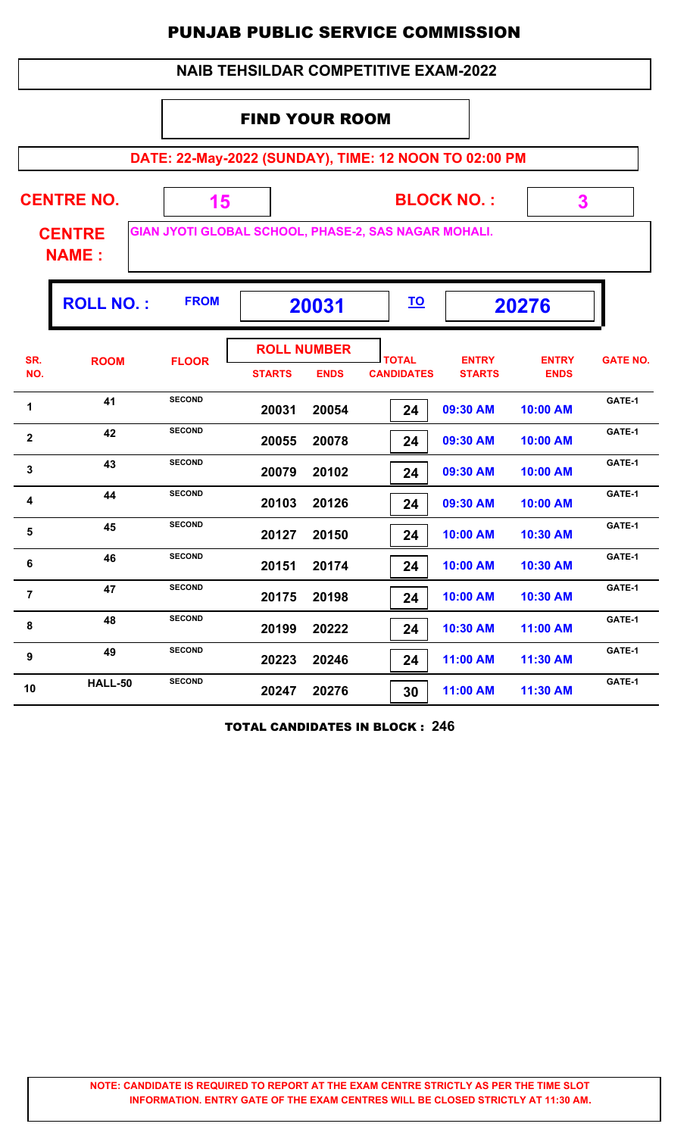|                                                                                       | <b>NAIB TEHSILDAR COMPETITIVE EXAM-2022</b>       |                      |               |                                   |                                   |                               |                             |                 |  |  |  |
|---------------------------------------------------------------------------------------|---------------------------------------------------|----------------------|---------------|-----------------------------------|-----------------------------------|-------------------------------|-----------------------------|-----------------|--|--|--|
| <b>FIND YOUR ROOM</b>                                                                 |                                                   |                      |               |                                   |                                   |                               |                             |                 |  |  |  |
| DATE: 22-May-2022 (SUNDAY), TIME: 12 NOON TO 02:00 PM                                 |                                                   |                      |               |                                   |                                   |                               |                             |                 |  |  |  |
|                                                                                       | <b>CENTRE NO.</b><br><b>BLOCK NO.:</b><br>3<br>15 |                      |               |                                   |                                   |                               |                             |                 |  |  |  |
| GIAN JYOTI GLOBAL SCHOOL, PHASE-2, SAS NAGAR MOHALI.<br><b>CENTRE</b><br><b>NAME:</b> |                                                   |                      |               |                                   |                                   |                               |                             |                 |  |  |  |
|                                                                                       | <b>ROLL NO.:</b>                                  | <b>FROM</b><br>20031 |               |                                   | <u>TO</u>                         |                               | 20276                       |                 |  |  |  |
| SR.<br>NO.                                                                            | <b>ROOM</b>                                       | <b>FLOOR</b>         | <b>STARTS</b> | <b>ROLL NUMBER</b><br><b>ENDS</b> | <b>TOTAL</b><br><b>CANDIDATES</b> | <b>ENTRY</b><br><b>STARTS</b> | <b>ENTRY</b><br><b>ENDS</b> | <b>GATE NO.</b> |  |  |  |
| 1                                                                                     | 41                                                | <b>SECOND</b>        | 20031         | 20054                             | 24                                | 09:30 AM                      | 10:00 AM                    | GATE-1          |  |  |  |
| $\mathbf{2}$                                                                          | 42                                                | <b>SECOND</b>        | 20055         | 20078                             | 24                                | 09:30 AM                      | 10:00 AM                    | GATE-1          |  |  |  |
| 3                                                                                     | 43                                                | <b>SECOND</b>        | 20079         | 20102                             | 24                                | 09:30 AM                      | 10:00 AM                    | GATE-1          |  |  |  |
| 4                                                                                     | 44                                                | <b>SECOND</b>        | 20103         | 20126                             | 24                                | 09:30 AM                      | 10:00 AM                    | GATE-1          |  |  |  |
| 5                                                                                     | 45                                                | <b>SECOND</b>        | 20127         | 20150                             | 24                                | 10:00 AM                      | 10:30 AM                    | GATE-1          |  |  |  |
| 6                                                                                     | 46                                                | <b>SECOND</b>        | 20151         | 20174                             | 24                                | 10:00 AM                      | 10:30 AM                    | GATE-1          |  |  |  |
| $\overline{7}$                                                                        | 47                                                | <b>SECOND</b>        | 20175         | 20198                             | 24                                | 10:00 AM                      | 10:30 AM                    | GATE-1          |  |  |  |
| 8                                                                                     | 48                                                | <b>SECOND</b>        | 20199         | 20222                             | 24                                | 10:30 AM                      | 11:00 AM                    | GATE-1          |  |  |  |
| 9                                                                                     | 49                                                | <b>SECOND</b>        | 20223         | 20246                             | 24                                | 11:00 AM                      | 11:30 AM                    | GATE-1          |  |  |  |
| 10                                                                                    | HALL-50                                           | <b>SECOND</b>        | 20247         | 20276                             | 30                                | 11:00 AM                      | 11:30 AM                    | GATE-1          |  |  |  |

TOTAL CANDIDATES IN BLOCK : **246**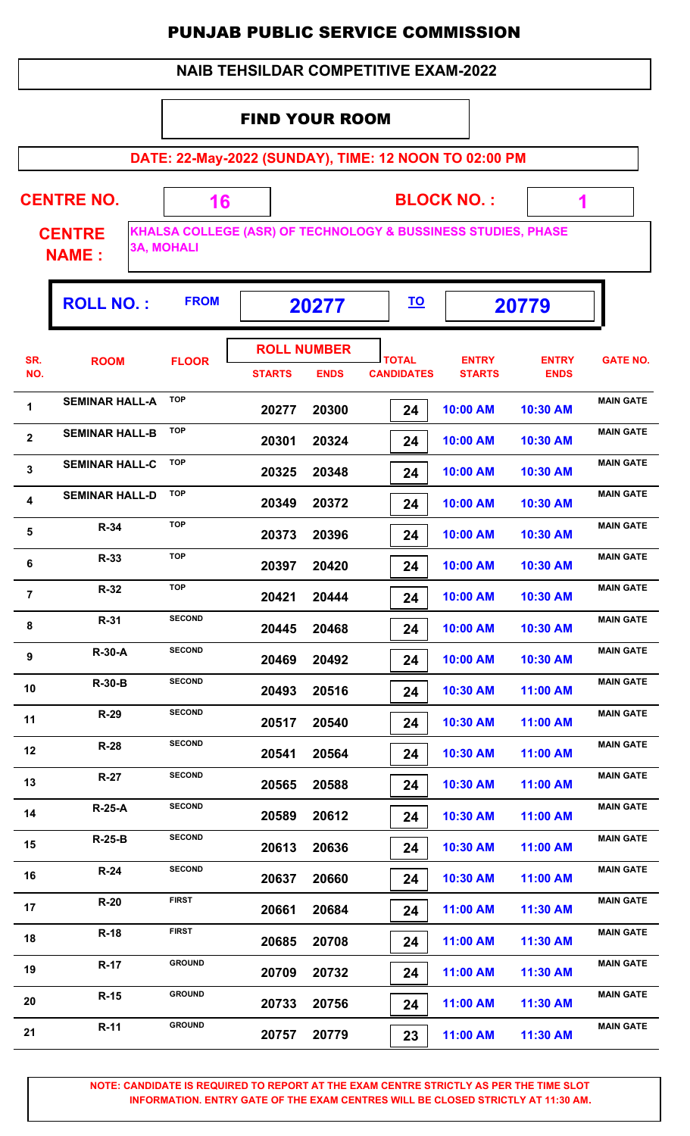| <b>NAIB TEHSILDAR COMPETITIVE EXAM-2022</b> |  |
|---------------------------------------------|--|
|---------------------------------------------|--|

**DATE: 22-May-2022 (SUNDAY), TIME: 12 NOON TO 02:00 PM**

| <b>CENTRE NO.</b>             | 16                |                                                               | <b>BLOCK NO.:</b> |       |  |
|-------------------------------|-------------------|---------------------------------------------------------------|-------------------|-------|--|
| <b>CENTRE</b><br><b>NAME:</b> | <b>3A, MOHALI</b> | KHALSA COLLEGE (ASR) OF TECHNOLOGY & BUSSINESS STUDIES, PHASE |                   |       |  |
| <b>ROLL NO.:</b>              | <b>FROM</b>       | 20277                                                         | <u>TO</u>         | 20779 |  |

| SR.<br>NO.     | <b>ROOM</b>           | <b>FLOOR</b>  | <b>ROLL NUMBER</b><br><b>STARTS</b> | <b>ENDS</b> | <b>TOTAL</b><br><b>CANDIDATES</b> | <b>ENTRY</b><br><b>STARTS</b> | <b>ENTRY</b><br><b>ENDS</b> | <b>GATE NO.</b>  |
|----------------|-----------------------|---------------|-------------------------------------|-------------|-----------------------------------|-------------------------------|-----------------------------|------------------|
| 1              | <b>SEMINAR HALL-A</b> | <b>TOP</b>    | 20277                               | 20300       | 24                                | 10:00 AM                      | 10:30 AM                    | <b>MAIN GATE</b> |
| $\mathbf{2}$   | <b>SEMINAR HALL-B</b> | <b>TOP</b>    | 20301                               | 20324       | 24                                | 10:00 AM                      | 10:30 AM                    | <b>MAIN GATE</b> |
| 3              | <b>SEMINAR HALL-C</b> | <b>TOP</b>    | 20325                               | 20348       | 24                                | 10:00 AM                      | 10:30 AM                    | <b>MAIN GATE</b> |
| 4              | <b>SEMINAR HALL-D</b> | <b>TOP</b>    | 20349                               | 20372       | 24                                | 10:00 AM                      | 10:30 AM                    | <b>MAIN GATE</b> |
| $\sqrt{5}$     | R-34                  | <b>TOP</b>    | 20373                               | 20396       | 24                                | 10:00 AM                      | 10:30 AM                    | <b>MAIN GATE</b> |
| 6              | R-33                  | <b>TOP</b>    | 20397                               | 20420       | 24                                | 10:00 AM                      | 10:30 AM                    | <b>MAIN GATE</b> |
| $\overline{7}$ | $R-32$                | <b>TOP</b>    | 20421                               | 20444       | 24                                | 10:00 AM                      | 10:30 AM                    | <b>MAIN GATE</b> |
| 8              | $R-31$                | <b>SECOND</b> | 20445                               | 20468       | 24                                | 10:00 AM                      | 10:30 AM                    | <b>MAIN GATE</b> |
| 9              | <b>R-30-A</b>         | <b>SECOND</b> | 20469                               | 20492       | 24                                | 10:00 AM                      | 10:30 AM                    | <b>MAIN GATE</b> |
| 10             | <b>R-30-B</b>         | <b>SECOND</b> | 20493                               | 20516       | 24                                | 10:30 AM                      | 11:00 AM                    | <b>MAIN GATE</b> |
| 11             | $R-29$                | <b>SECOND</b> | 20517                               | 20540       | 24                                | 10:30 AM                      | 11:00 AM                    | <b>MAIN GATE</b> |
| 12             | $R-28$                | <b>SECOND</b> | 20541                               | 20564       | 24                                | 10:30 AM                      | 11:00 AM                    | <b>MAIN GATE</b> |
| 13             | $R-27$                | <b>SECOND</b> | 20565                               | 20588       | 24                                | 10:30 AM                      | 11:00 AM                    | <b>MAIN GATE</b> |
| 14             | <b>R-25-A</b>         | <b>SECOND</b> | 20589                               | 20612       | 24                                | 10:30 AM                      | 11:00 AM                    | <b>MAIN GATE</b> |
| 15             | $R-25-B$              | <b>SECOND</b> | 20613                               | 20636       | 24                                | 10:30 AM                      | 11:00 AM                    | <b>MAIN GATE</b> |
| 16             | $R-24$                | <b>SECOND</b> | 20637                               | 20660       | 24                                | 10:30 AM                      | 11:00 AM                    | <b>MAIN GATE</b> |
| 17             | $R-20$                | <b>FIRST</b>  | 20661                               | 20684       | 24                                | 11:00 AM                      | 11:30 AM                    | <b>MAIN GATE</b> |
| 18             | $R-18$                | <b>FIRST</b>  | 20685                               | 20708       | 24                                | 11:00 AM                      | 11:30 AM                    | <b>MAIN GATE</b> |
| 19             | <b>R-17</b>           | <b>GROUND</b> | 20709                               | 20732       | 24                                | 11:00 AM                      | 11:30 AM                    | <b>MAIN GATE</b> |
| 20             | $R-15$                | <b>GROUND</b> | 20733                               | 20756       | 24                                | 11:00 AM                      | 11:30 AM                    | <b>MAIN GATE</b> |
| 21             | $R-11$                | <b>GROUND</b> | 20757                               | 20779       | 23                                | 11:00 AM                      | 11:30 AM                    | <b>MAIN GATE</b> |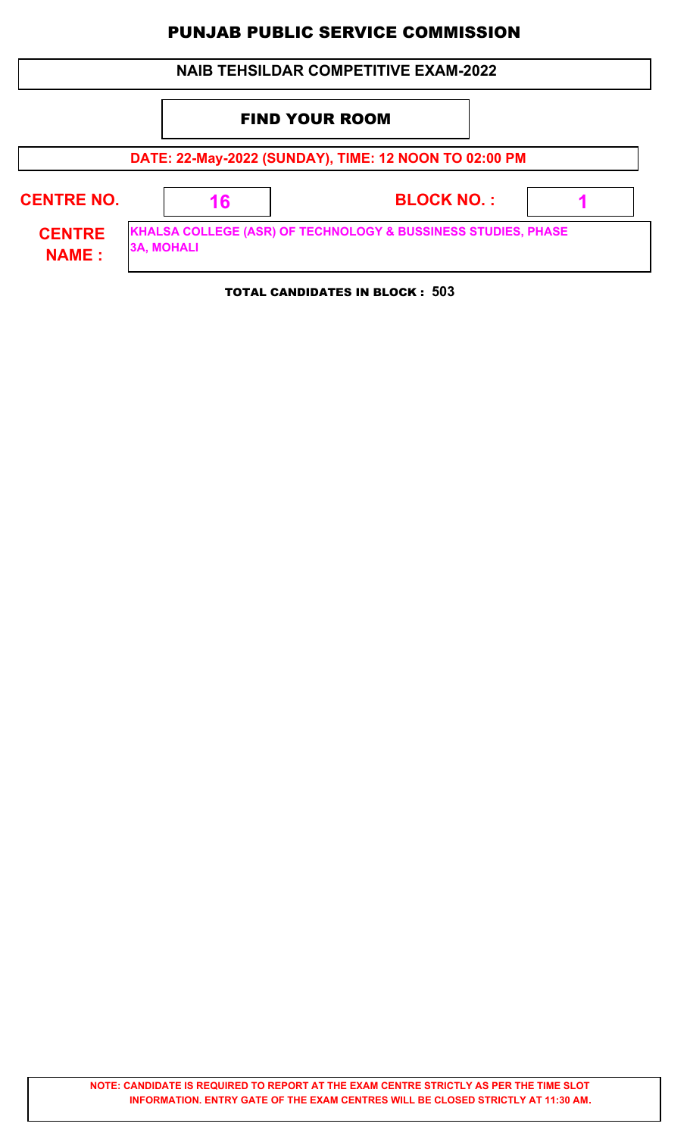|                                                                                                                     |  |    | <b>NAIB TEHSILDAR COMPETITIVE EXAM-2022</b> |  |  |  |  |  |
|---------------------------------------------------------------------------------------------------------------------|--|----|---------------------------------------------|--|--|--|--|--|
|                                                                                                                     |  |    | <b>FIND YOUR ROOM</b>                       |  |  |  |  |  |
| DATE: 22-May-2022 (SUNDAY), TIME: 12 NOON TO 02:00 PM                                                               |  |    |                                             |  |  |  |  |  |
| <b>CENTRE NO.</b>                                                                                                   |  | 16 | <b>BLOCK NO.:</b>                           |  |  |  |  |  |
| KHALSA COLLEGE (ASR) OF TECHNOLOGY & BUSSINESS STUDIES, PHASE<br><b>CENTRE</b><br><b>3A, MOHALI</b><br><b>NAME:</b> |  |    |                                             |  |  |  |  |  |
|                                                                                                                     |  |    | <b>TOTAL CANDIDATES IN BLOCK: 503</b>       |  |  |  |  |  |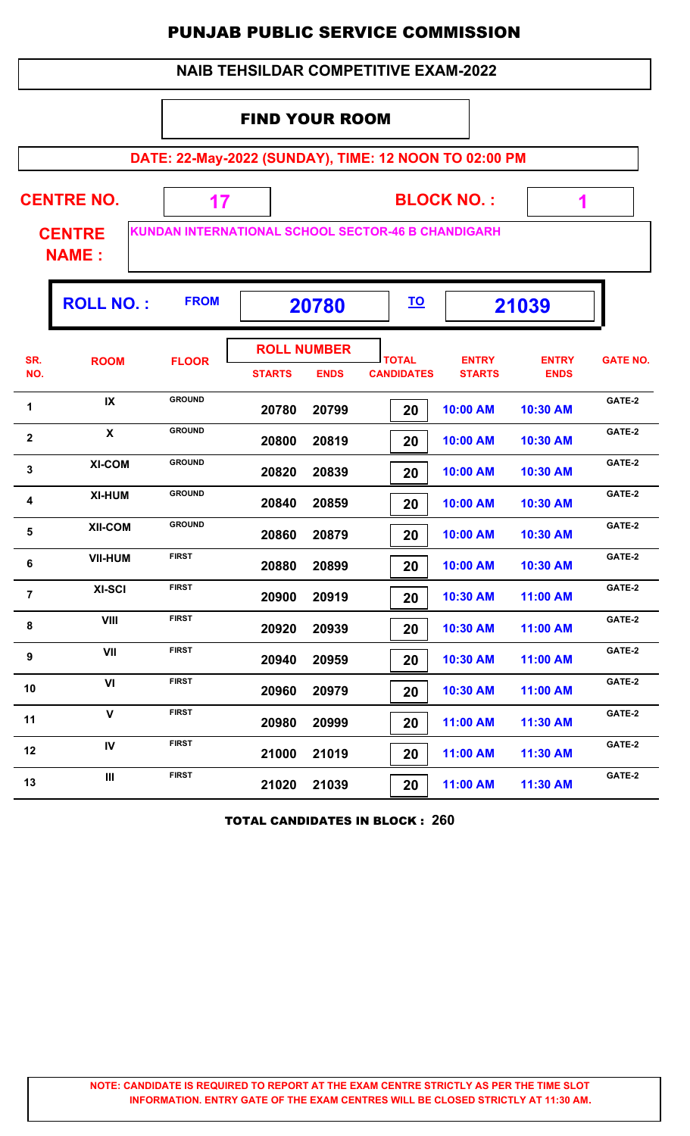|                         | <b>NAIB TEHSILDAR COMPETITIVE EXAM-2022</b>                                                |               |                                     |             |                                   |                               |                             |                 |  |  |  |  |
|-------------------------|--------------------------------------------------------------------------------------------|---------------|-------------------------------------|-------------|-----------------------------------|-------------------------------|-----------------------------|-----------------|--|--|--|--|
|                         | <b>FIND YOUR ROOM</b>                                                                      |               |                                     |             |                                   |                               |                             |                 |  |  |  |  |
|                         | DATE: 22-May-2022 (SUNDAY), TIME: 12 NOON TO 02:00 PM                                      |               |                                     |             |                                   |                               |                             |                 |  |  |  |  |
|                         | <b>CENTRE NO.</b><br><b>BLOCK NO.:</b><br>17<br>1                                          |               |                                     |             |                                   |                               |                             |                 |  |  |  |  |
|                         | <b>KUNDAN INTERNATIONAL SCHOOL SECTOR-46 B CHANDIGARH</b><br><b>CENTRE</b><br><b>NAME:</b> |               |                                     |             |                                   |                               |                             |                 |  |  |  |  |
|                         | <b>ROLL NO.:</b>                                                                           | <b>FROM</b>   |                                     | 20780       | <u>TO</u>                         |                               | 21039                       |                 |  |  |  |  |
| SR.<br>NO.              | <b>ROOM</b>                                                                                | <b>FLOOR</b>  | <b>ROLL NUMBER</b><br><b>STARTS</b> | <b>ENDS</b> | <b>TOTAL</b><br><b>CANDIDATES</b> | <b>ENTRY</b><br><b>STARTS</b> | <b>ENTRY</b><br><b>ENDS</b> | <b>GATE NO.</b> |  |  |  |  |
| 1                       | IX                                                                                         | <b>GROUND</b> | 20780                               | 20799       | 20                                | 10:00 AM                      | 10:30 AM                    | GATE-2          |  |  |  |  |
| $\overline{\mathbf{2}}$ | $\mathbf{x}$                                                                               | <b>GROUND</b> | 20800                               | 20819       | 20                                | 10:00 AM                      | 10:30 AM                    | GATE-2          |  |  |  |  |
| 3                       | <b>XI-COM</b>                                                                              | <b>GROUND</b> | 20820                               | 20839       | 20                                | 10:00 AM                      | 10:30 AM                    | GATE-2          |  |  |  |  |
| 4                       | <b>XI-HUM</b>                                                                              | <b>GROUND</b> | 20840                               | 20859       | 20                                | 10:00 AM                      | 10:30 AM                    | GATE-2          |  |  |  |  |
| 5                       | <b>XII-COM</b>                                                                             | <b>GROUND</b> | 20860                               | 20879       | 20                                | 10:00 AM                      | 10:30 AM                    | GATE-2          |  |  |  |  |
| $\bf 6$                 | <b>VII-HUM</b>                                                                             | <b>FIRST</b>  | 20880                               | 20899       | 20                                | 10:00 AM                      | 10:30 AM                    | GATE-2          |  |  |  |  |
| $\overline{7}$          | XI-SCI                                                                                     | <b>FIRST</b>  | 20900                               | 20919       | 20                                | 10:30 AM                      | 11:00 AM                    | GATE-2          |  |  |  |  |
| 8                       | VIII                                                                                       | <b>FIRST</b>  | 20920                               | 20939       | 20                                | 10:30 AM                      | 11:00 AM                    | GATE-2          |  |  |  |  |
| 9                       | VII                                                                                        | <b>FIRST</b>  | 20940                               | 20959       | 20                                | 10:30 AM                      | 11:00 AM                    | GATE-2          |  |  |  |  |
| 10                      | VI                                                                                         | <b>FIRST</b>  | 20960                               | 20979       | 20                                | 10:30 AM                      | 11:00 AM                    | GATE-2          |  |  |  |  |
| 11                      | $\mathbf{V}$                                                                               | <b>FIRST</b>  | 20980                               | 20999       | 20                                | 11:00 AM                      | 11:30 AM                    | GATE-2          |  |  |  |  |
| 12                      | IV                                                                                         | <b>FIRST</b>  | 21000                               | 21019       | 20                                | 11:00 AM                      | 11:30 AM                    | GATE-2          |  |  |  |  |
| 13                      | Ш                                                                                          | <b>FIRST</b>  | 21020                               | 21039       | 20                                | 11:00 AM                      | 11:30 AM                    | GATE-2          |  |  |  |  |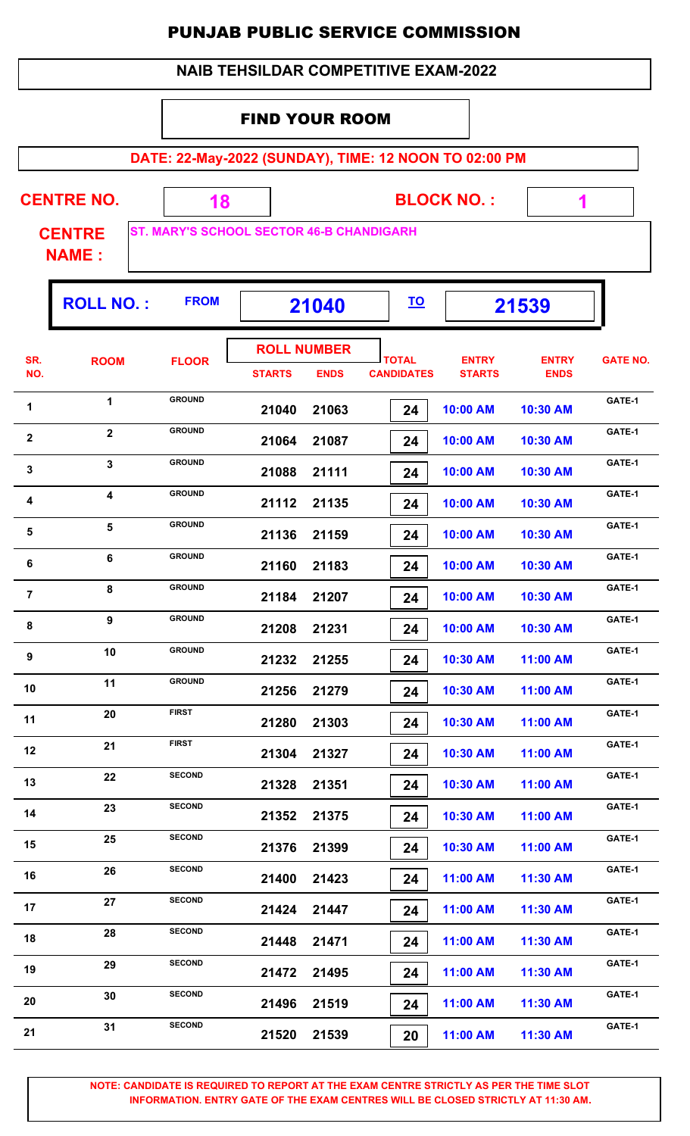| <b>PUNJAB PUBLIC SERVICE COMMISSION</b><br><b>NAIB TEHSILDAR COMPETITIVE EXAM-2022</b> |                               |                                                       |                       |                                   |                                   |           |                               |                             |                 |
|----------------------------------------------------------------------------------------|-------------------------------|-------------------------------------------------------|-----------------------|-----------------------------------|-----------------------------------|-----------|-------------------------------|-----------------------------|-----------------|
|                                                                                        |                               |                                                       |                       |                                   |                                   |           |                               |                             |                 |
|                                                                                        |                               |                                                       | <b>FIND YOUR ROOM</b> |                                   |                                   |           |                               |                             |                 |
|                                                                                        |                               | DATE: 22-May-2022 (SUNDAY), TIME: 12 NOON TO 02:00 PM |                       |                                   |                                   |           |                               |                             |                 |
|                                                                                        | <b>CENTRE NO.</b>             | <b>BLOCK NO.:</b><br>18                               |                       |                                   |                                   |           |                               |                             |                 |
|                                                                                        | <b>CENTRE</b><br><b>NAME:</b> | <b>ST. MARY'S SCHOOL SECTOR 46-B CHANDIGARH</b>       |                       |                                   |                                   |           |                               |                             |                 |
|                                                                                        | <b>ROLL NO.:</b>              | <b>FROM</b>                                           |                       | 21040                             |                                   | <u>TO</u> |                               | 21539                       |                 |
| SR.<br>NO.                                                                             | <b>ROOM</b>                   | <b>FLOOR</b>                                          | <b>STARTS</b>         | <b>ROLL NUMBER</b><br><b>ENDS</b> | <b>TOTAL</b><br><b>CANDIDATES</b> |           | <b>ENTRY</b><br><b>STARTS</b> | <b>ENTRY</b><br><b>ENDS</b> | <b>GATE NO.</b> |
| 1                                                                                      | $\mathbf 1$                   | <b>GROUND</b>                                         | 21040                 | 21063                             |                                   | 24        | 10:00 AM                      | 10:30 AM                    | GATE-1          |
| 2                                                                                      | $\mathbf{2}$                  | <b>GROUND</b>                                         | 21064                 | 21087                             |                                   | 24        | 10:00 AM                      | 10:30 AM                    | GATE-1          |
| $\mathbf{3}$                                                                           | $\mathbf{3}$                  | <b>GROUND</b>                                         | 21088                 | 21111                             |                                   | 24        | 10:00 AM                      | 10:30 AM                    | GATE-1          |
| 4                                                                                      | 4                             | <b>GROUND</b>                                         | 21112                 | 21135                             |                                   | 24        | 10:00 AM                      | 10:30 AM                    | GATE-1          |
| 5                                                                                      | 5                             | <b>GROUND</b>                                         | 21136                 | 21159                             |                                   | 24        | 10:00 AM                      | 10:30 AM                    | GATE-1          |
| 6                                                                                      | 6                             | <b>GROUND</b>                                         | 21160                 | 21183                             |                                   | 24        | 10:00 AM                      | 10:30 AM                    | GATE-1          |
| 7                                                                                      | 8                             | <b>GROUND</b>                                         | 21184                 | 21207                             |                                   | 24        | 10:00 AM                      | 10:30 AM                    | GATE-1          |
| 8                                                                                      | 9                             | <b>GROUND</b>                                         | 21208                 | 21231                             |                                   | 24        | 10:00 AM                      | 10:30 AM                    | GATE-1          |
| 9                                                                                      | 10                            | <b>GROUND</b>                                         | 21232                 | 21255                             |                                   | 24        | 10:30 AM                      | 11:00 AM                    | GATE-1          |
| 10                                                                                     | 11                            | <b>GROUND</b>                                         | 21256                 | 21279                             |                                   | 24        | 10:30 AM                      | 11:00 AM                    | GATE-1          |
| 11                                                                                     | 20                            | <b>FIRST</b>                                          | 21280                 | 21303                             |                                   | 24        | 10:30 AM                      | 11:00 AM                    | GATE-1          |
| 12                                                                                     | 21                            | <b>FIRST</b>                                          | 21304                 | 21327                             |                                   | 24        | 10:30 AM                      | 11:00 AM                    | GATE-1          |
| 13                                                                                     | 22                            | <b>SECOND</b>                                         | 21328                 | 21351                             |                                   | 24        | 10:30 AM                      | 11:00 AM                    | GATE-1          |
| 14                                                                                     | 23                            | <b>SECOND</b>                                         | 21352                 | 21375                             |                                   | 24        | 10:30 AM                      | 11:00 AM                    | GATE-1          |
| 15                                                                                     | 25                            | <b>SECOND</b>                                         | 21376                 | 21399                             |                                   | 24        | 10:30 AM                      | 11:00 AM                    | GATE-1          |

**NOTE: CANDIDATE IS REQUIRED TO REPORT AT THE EXAM CENTRE STRICTLY AS PER THE TIME SLOT INFORMATION. ENTRY GATE OF THE EXAM CENTRES WILL BE CLOSED STRICTLY AT 11:30 AM.**

16 26 SECOND 21400 21423 24 11:00 AM 11:30 AM CATE-1

17 27 SECOND 21424 21447 24 11:00 AM 11:30 AM GATE-1

18 28 SECOND 21448 21471 24 11:00 AM 11:30 AM <sup>GATE-1</sup>

19 29 SECOND 21472 21495 24 11:00 AM 11:30 AM CATE-1

**20 CATE-1**<br>**21496 21519 20 21510 AM 11:30 AM GATE-1** 

**21 CATE-1**<br>**21520 21539 2016 21520 21539 21511:00 AM 11:30 AM CATE-1** 

 **21400 21423 24 11:00 AM 11:30 AM**

 **21424 21447 24 11:00 AM 11:30 AM**

 **21448 21471 24 11:00 AM 11:30 AM**

 **21472 21495 24 11:00 AM 11:30 AM**

 **21496 21519 24 11:00 AM 11:30 AM**

 **21520 21539 20 11:00 AM 11:30 AM**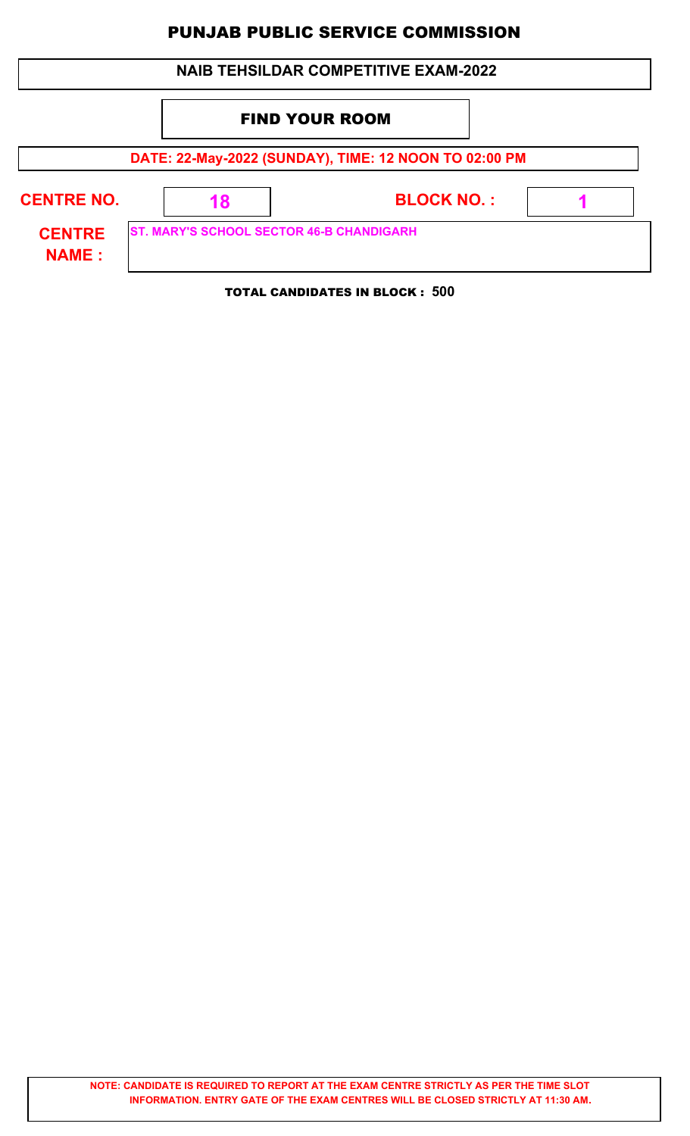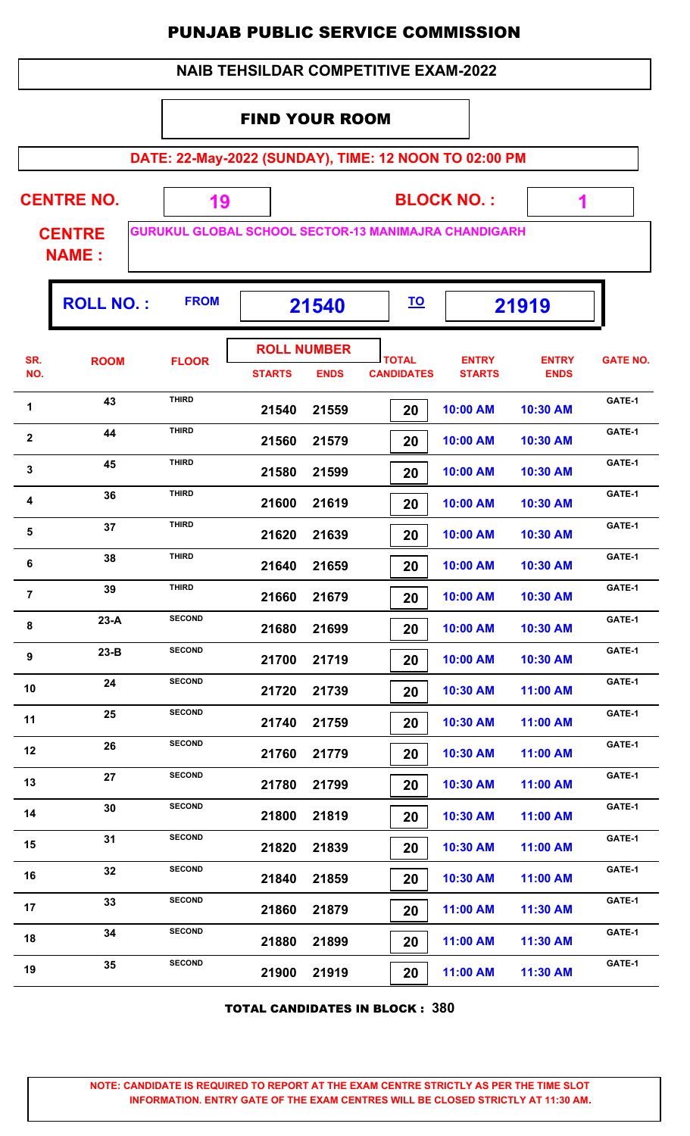|                         |                               |                                                             | <b>PUNJAB PUBLIC SERVICE COMMISSION</b>     |                                   |                                   |                               |                             |                 |
|-------------------------|-------------------------------|-------------------------------------------------------------|---------------------------------------------|-----------------------------------|-----------------------------------|-------------------------------|-----------------------------|-----------------|
|                         |                               |                                                             | <b>NAIB TEHSILDAR COMPETITIVE EXAM-2022</b> |                                   |                                   |                               |                             |                 |
|                         |                               |                                                             | <b>FIND YOUR ROOM</b>                       |                                   |                                   |                               |                             |                 |
|                         |                               | DATE: 22-May-2022 (SUNDAY), TIME: 12 NOON TO 02:00 PM       |                                             |                                   |                                   |                               |                             |                 |
| <b>CENTRE NO.</b><br>19 |                               |                                                             |                                             |                                   |                                   | <b>BLOCK NO.:</b>             | 1                           |                 |
|                         | <b>CENTRE</b><br><b>NAME:</b> | <b>GURUKUL GLOBAL SCHOOL SECTOR-13 MANIMAJRA CHANDIGARH</b> |                                             |                                   |                                   |                               |                             |                 |
|                         | <b>ROLL NO.:</b>              | <b>FROM</b>                                                 |                                             | 21540                             | <u>TO</u>                         |                               | 21919                       |                 |
| SR.<br>NO.              | <b>ROOM</b>                   | <b>FLOOR</b>                                                | <b>STARTS</b>                               | <b>ROLL NUMBER</b><br><b>ENDS</b> | <b>TOTAL</b><br><b>CANDIDATES</b> | <b>ENTRY</b><br><b>STARTS</b> | <b>ENTRY</b><br><b>ENDS</b> | <b>GATE NO.</b> |
| $\mathbf 1$             | 43                            | <b>THIRD</b>                                                | 21540                                       | 21559                             | 20                                | 10:00 AM                      | 10:30 AM                    | GATE-1          |
| $\overline{\mathbf{2}}$ | 44                            | <b>THIRD</b>                                                | 21560                                       | 21579                             | 20                                | 10:00 AM                      | 10:30 AM                    | GATE-1          |
| 3                       | 45                            | <b>THIRD</b>                                                | 21580                                       | 21599                             | 20                                | 10:00 AM                      | 10:30 AM                    | GATE-1          |
| 4                       | 36                            | <b>THIRD</b>                                                | 21600                                       | 21619                             | 20                                | 10:00 AM                      | 10:30 AM                    | GATE-1          |
| 5                       | 37                            | <b>THIRD</b>                                                | 21620                                       | 21639                             | 20                                | 10:00 AM                      | 10:30 AM                    | GATE-1          |
| 6                       | 38                            | <b>THIRD</b>                                                | 21640                                       | 21659                             | 20                                | 10:00 AM                      | 10:30 AM                    | GATE-1          |
| 7                       | 39                            | <b>THIRD</b>                                                | 21660                                       | 21679                             | 20                                | 10:00 AM                      | 10:30 AM                    | GATE-1          |
| 8                       | $23-A$                        | <b>SECOND</b>                                               | 21680                                       | 21699                             | 20                                | 10:00 AM                      | 10:30 AM                    | GATE-1          |
| 9                       | $23-B$                        | <b>SECOND</b>                                               | 21700                                       | 21719                             | 20                                | 10:00 AM                      | 10:30 AM                    | GATE-1          |
| 10                      | 24                            | <b>SECOND</b>                                               | 21720                                       | 21739                             | 20                                | 10:30 AM                      | 11:00 AM                    | GATE-1          |
| 11                      | 25                            | <b>SECOND</b>                                               | 21740                                       | 21759                             | 20                                | 10:30 AM                      | 11:00 AM                    | GATE-1          |
| 12                      | 26                            | <b>SECOND</b>                                               | 21760                                       | 21779                             | 20                                | 10:30 AM                      | 11:00 AM                    | GATE-1          |
| 13                      | 27                            | <b>SECOND</b>                                               | 21780                                       | 21799                             | 20                                | 10:30 AM                      | 11:00 AM                    | GATE-1          |
| 14                      | 30                            | <b>SECOND</b>                                               | 21800                                       | 21819                             | 20                                | 10:30 AM                      | 11:00 AM                    | GATE-1          |
| 15                      | 31                            | <b>SECOND</b>                                               | 21820                                       | 21839                             | 20                                | 10:30 AM                      | 11:00 AM                    | GATE-1          |
| 16                      | 32                            | <b>SECOND</b>                                               | 21840                                       | 21859                             | 20                                | 10:30 AM                      | 11:00 AM                    | GATE-1          |
| 17                      | 33                            | <b>SECOND</b>                                               | 21860                                       | 21879                             | 20                                | 11:00 AM                      | 11:30 AM                    | GATE-1          |
| 18                      | 34                            | <b>SECOND</b>                                               | 21880                                       | 21899                             | 20                                | 11:00 AM                      | 11:30 AM                    | GATE-1          |

TOTAL CANDIDATES IN BLOCK : **380**

 **21900 21919 20 11:00 AM 11:30 AM GATE-1<sup>19</sup> <sup>35</sup> SECOND**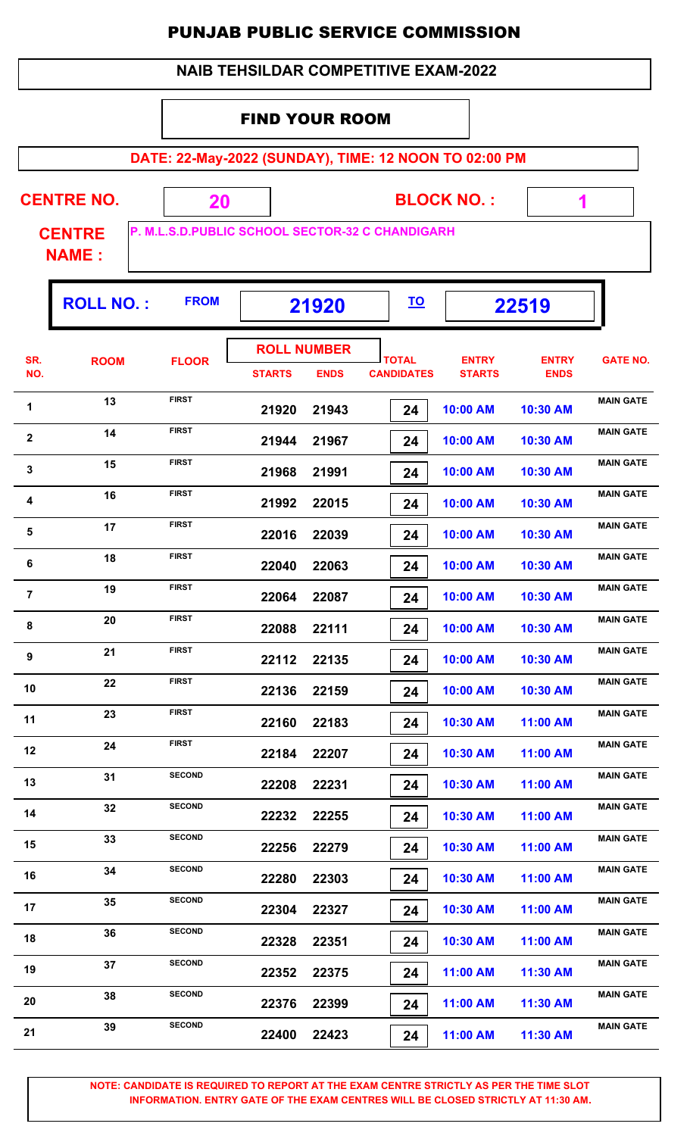#### FIND YOUR ROOM

**DATE: 22-May-2022 (SUNDAY), TIME: 12 NOON TO 02:00 PM**

**CENTRE NO.** 

**BLOCK NO. :**

 **1**

T

**CENTRE NAME :**

Г

**P. M.L.S.D.PUBLIC SCHOOL SECTOR-32 C CHANDIGARH**

 **20**

|                         | <b>ROLL NO.:</b> | <b>FROM</b>   | 21920         |                                   | <u>TO</u>                         |                               | 22519                       |                  |
|-------------------------|------------------|---------------|---------------|-----------------------------------|-----------------------------------|-------------------------------|-----------------------------|------------------|
| SR.<br>NO.              | <b>ROOM</b>      | <b>FLOOR</b>  | <b>STARTS</b> | <b>ROLL NUMBER</b><br><b>ENDS</b> | <b>TOTAL</b><br><b>CANDIDATES</b> | <b>ENTRY</b><br><b>STARTS</b> | <b>ENTRY</b><br><b>ENDS</b> | <b>GATE NO.</b>  |
| 1                       | 13               | <b>FIRST</b>  | 21920         | 21943                             | 24                                | 10:00 AM                      | 10:30 AM                    | <b>MAIN GATE</b> |
| $\mathbf 2$             | 14               | <b>FIRST</b>  | 21944         | 21967                             | 24                                | 10:00 AM                      | 10:30 AM                    | <b>MAIN GATE</b> |
| $\mathbf{3}$            | 15               | <b>FIRST</b>  | 21968         | 21991                             | 24                                | 10:00 AM                      | 10:30 AM                    | <b>MAIN GATE</b> |
| $\overline{\mathbf{4}}$ | 16               | <b>FIRST</b>  | 21992         | 22015                             | 24                                | 10:00 AM                      | 10:30 AM                    | <b>MAIN GATE</b> |
| $\overline{\mathbf{5}}$ | 17               | <b>FIRST</b>  | 22016         | 22039                             | 24                                | 10:00 AM                      | 10:30 AM                    | <b>MAIN GATE</b> |
| 6                       | 18               | <b>FIRST</b>  | 22040         | 22063                             | 24                                | 10:00 AM                      | 10:30 AM                    | <b>MAIN GATE</b> |
| $\overline{7}$          | 19               | <b>FIRST</b>  | 22064         | 22087                             | 24                                | 10:00 AM                      | 10:30 AM                    | <b>MAIN GATE</b> |
| 8                       | 20               | <b>FIRST</b>  | 22088         | 22111                             | 24                                | 10:00 AM                      | 10:30 AM                    | <b>MAIN GATE</b> |
| 9                       | 21               | <b>FIRST</b>  | 22112         | 22135                             | 24                                | 10:00 AM                      | 10:30 AM                    | <b>MAIN GATE</b> |
| 10                      | 22               | <b>FIRST</b>  | 22136         | 22159                             | 24                                | 10:00 AM                      | 10:30 AM                    | <b>MAIN GATE</b> |
| 11                      | 23               | <b>FIRST</b>  | 22160         | 22183                             | 24                                | 10:30 AM                      | 11:00 AM                    | <b>MAIN GATE</b> |
| 12                      | 24               | <b>FIRST</b>  | 22184         | 22207                             | 24                                | 10:30 AM                      | 11:00 AM                    | <b>MAIN GATE</b> |
| 13                      | 31               | <b>SECOND</b> | 22208         | 22231                             | 24                                | 10:30 AM                      | 11:00 AM                    | <b>MAIN GATE</b> |
| 14                      | 32               | <b>SECOND</b> | 22232         | 22255                             | 24                                | 10:30 AM                      | 11:00 AM                    | <b>MAIN GATE</b> |
| 15                      | 33               | <b>SECOND</b> | 22256         | 22279                             | 24                                | 10:30 AM                      | 11:00 AM                    | <b>MAIN GATE</b> |
| 16                      | 34               | <b>SECOND</b> | 22280         | 22303                             | 24                                | 10:30 AM                      | 11:00 AM                    | <b>MAIN GATE</b> |
| 17                      | 35               | <b>SECOND</b> | 22304         | 22327                             | 24                                | 10:30 AM                      | 11:00 AM                    | <b>MAIN GATE</b> |
| 18                      | 36               | <b>SECOND</b> | 22328         | 22351                             | 24                                | 10:30 AM                      | 11:00 AM                    | <b>MAIN GATE</b> |
| 19                      | 37               | <b>SECOND</b> | 22352         | 22375                             | 24                                | 11:00 AM                      | 11:30 AM                    | <b>MAIN GATE</b> |
| 20                      | 38               | <b>SECOND</b> | 22376         | 22399                             | 24                                | 11:00 AM                      | 11:30 AM                    | <b>MAIN GATE</b> |
| 21                      | 39               | <b>SECOND</b> | 22400         | 22423                             | 24                                | 11:00 AM                      | 11:30 AM                    | <b>MAIN GATE</b> |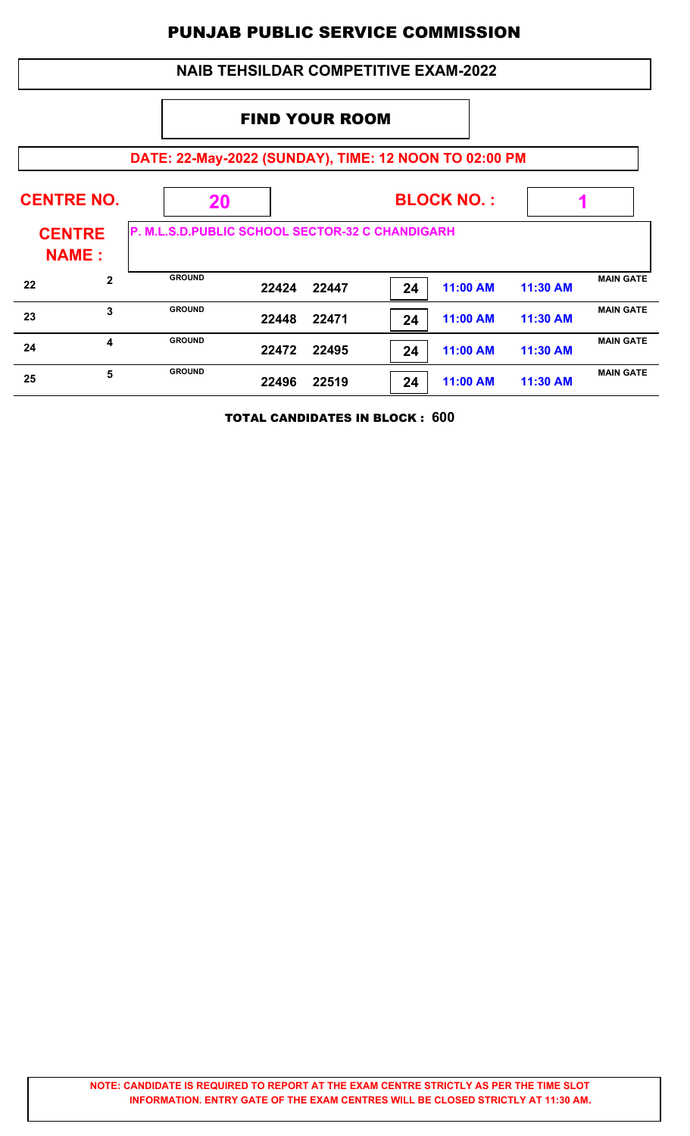|                                              | <b>NAIB TEHSILDAR COMPETITIVE EXAM-2022</b> |                                                       |       |       |    |          |          |                  |  |  |  |
|----------------------------------------------|---------------------------------------------|-------------------------------------------------------|-------|-------|----|----------|----------|------------------|--|--|--|
|                                              | <b>FIND YOUR ROOM</b>                       |                                                       |       |       |    |          |          |                  |  |  |  |
|                                              |                                             | DATE: 22-May-2022 (SUNDAY), TIME: 12 NOON TO 02:00 PM |       |       |    |          |          |                  |  |  |  |
| <b>CENTRE NO.</b><br><b>BLOCK NO.:</b><br>20 |                                             |                                                       |       |       |    |          |          |                  |  |  |  |
| <b>CENTRE</b><br><b>NAME:</b>                |                                             | P. M.L.S.D.PUBLIC SCHOOL SECTOR-32 C CHANDIGARH       |       |       |    |          |          |                  |  |  |  |
| 22                                           | $\mathbf{2}$                                | <b>GROUND</b>                                         | 22424 | 22447 | 24 | 11:00 AM | 11:30 AM | <b>MAIN GATE</b> |  |  |  |
| 23                                           | 3                                           | <b>GROUND</b>                                         | 22448 | 22471 | 24 | 11:00 AM | 11:30 AM | <b>MAIN GATE</b> |  |  |  |
| 24                                           | 4                                           | <b>GROUND</b>                                         | 22472 | 22495 | 24 | 11:00 AM | 11:30 AM | <b>MAIN GATE</b> |  |  |  |
| 25                                           | 5                                           | <b>GROUND</b>                                         | 22496 | 22519 | 24 | 11:00 AM | 11:30 AM | <b>MAIN GATE</b> |  |  |  |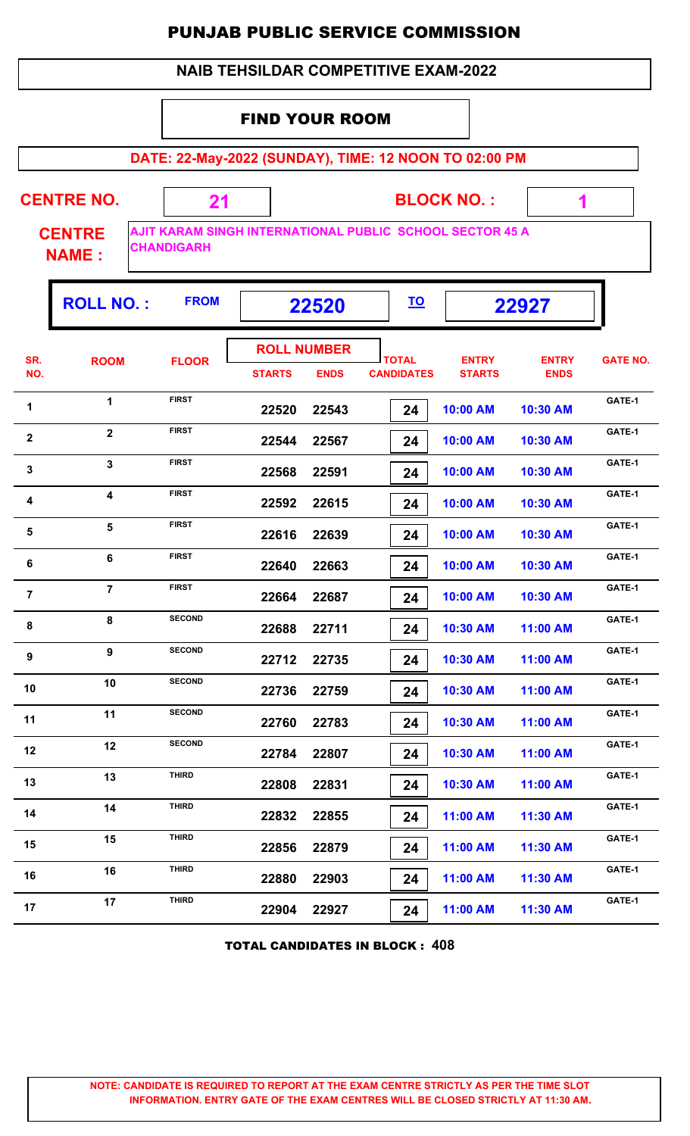#### FIND YOUR ROOM

**DATE: 22-May-2022 (SUNDAY), TIME: 12 NOON TO 02:00 PM**

**CENTRE NO.** 

**BLOCK NO. :**

 **1**

Ŧ

**CENTRE NAME :**

**AJIT KARAM SINGH INTERNATIONAL PUBLIC SCHOOL SECTOR 45 A CHANDIGARH**

 **21**

|                | <b>ROLL NO.:</b> | <b>FROM</b>   |                        | 22520                | <u>TO</u><br>22927 |                           |                         |                 |
|----------------|------------------|---------------|------------------------|----------------------|--------------------|---------------------------|-------------------------|-----------------|
| SR.            | <b>ROOM</b>      | <b>FLOOR</b>  |                        | <b>ROLL NUMBER</b>   | <b>TOTAL</b>       | <b>ENTRY</b>              | <b>ENTRY</b>            | <b>GATE NO.</b> |
| NO.<br>1       | 1                | <b>FIRST</b>  | <b>STARTS</b><br>22520 | <b>ENDS</b><br>22543 | <b>CANDIDATES</b>  | <b>STARTS</b><br>10:00 AM | <b>ENDS</b><br>10:30 AM | GATE-1          |
| $\mathbf{2}$   | $\mathbf{2}$     | <b>FIRST</b>  | 22544                  | 22567                | 24<br>24           | 10:00 AM                  | 10:30 AM                | GATE-1          |
| $\mathbf{3}$   | $\mathbf{3}$     | <b>FIRST</b>  | 22568                  | 22591                | 24                 | 10:00 AM                  | 10:30 AM                | GATE-1          |
| 4              | 4                | <b>FIRST</b>  | 22592                  | 22615                | 24                 | 10:00 AM                  | 10:30 AM                | GATE-1          |
| $\sqrt{5}$     | 5                | <b>FIRST</b>  | 22616                  | 22639                | 24                 | 10:00 AM                  | 10:30 AM                | GATE-1          |
| 6              | 6                | <b>FIRST</b>  | 22640                  | 22663                | 24                 | 10:00 AM                  | 10:30 AM                | GATE-1          |
| $\overline{7}$ | $\overline{7}$   | <b>FIRST</b>  | 22664                  | 22687                | 24                 | 10:00 AM                  | 10:30 AM                | GATE-1          |
| 8              | 8                | <b>SECOND</b> | 22688                  | 22711                | 24                 | 10:30 AM                  | 11:00 AM                | GATE-1          |
| 9              | $\boldsymbol{9}$ | <b>SECOND</b> | 22712                  | 22735                | 24                 | 10:30 AM                  | 11:00 AM                | GATE-1          |
| 10             | 10               | <b>SECOND</b> | 22736                  | 22759                | 24                 | 10:30 AM                  | 11:00 AM                | GATE-1          |
| 11             | 11               | <b>SECOND</b> | 22760                  | 22783                | 24                 | 10:30 AM                  | 11:00 AM                | GATE-1          |
| 12             | 12               | <b>SECOND</b> | 22784                  | 22807                | 24                 | 10:30 AM                  | 11:00 AM                | GATE-1          |
| 13             | 13               | <b>THIRD</b>  | 22808                  | 22831                | 24                 | 10:30 AM                  | 11:00 AM                | GATE-1          |
| 14             | 14               | <b>THIRD</b>  | 22832                  | 22855                | 24                 | 11:00 AM                  | 11:30 AM                | GATE-1          |
| 15             | 15               | <b>THIRD</b>  | 22856                  | 22879                | 24                 | 11:00 AM                  | 11:30 AM                | GATE-1          |
| 16             | 16               | <b>THIRD</b>  | 22880                  | 22903                | 24                 | 11:00 AM                  | 11:30 AM                | GATE-1          |
| 17             | 17               | <b>THIRD</b>  | 22904                  | 22927                | 24                 | 11:00 AM                  | 11:30 AM                | GATE-1          |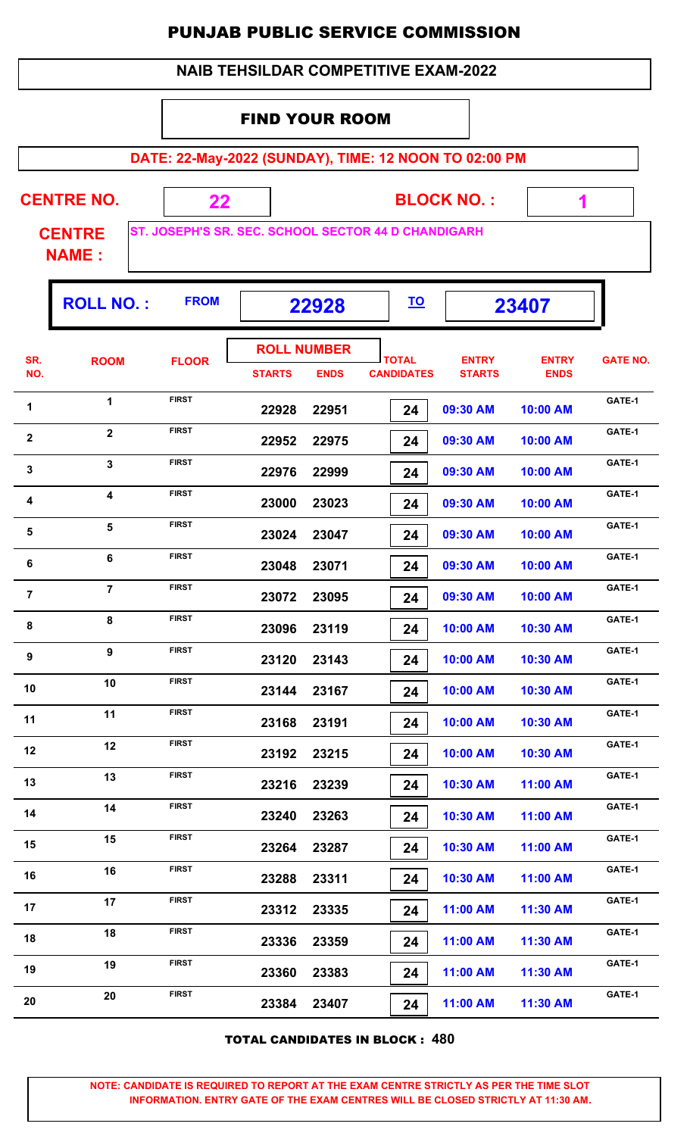| <b>NAIB TEHSILDAR COMPETITIVE EXAM-2022</b> |
|---------------------------------------------|
|---------------------------------------------|

#### FIND YOUR ROOM

**DATE: 22-May-2022 (SUNDAY), TIME: 12 NOON TO 02:00 PM**

**CENTRE NO.** 

**BLOCK NO. :**

 **1**

ŋ.

**CENTRE NAME :**

**ST. JOSEPH'S SR. SEC. SCHOOL SECTOR 44 D CHANDIGARH**

 **22**

|                         | <b>ROLL NO.:</b>        | <b>FROM</b>  |               | 22928                             | <u>TO</u>                         |                               | 23407                       |                 |
|-------------------------|-------------------------|--------------|---------------|-----------------------------------|-----------------------------------|-------------------------------|-----------------------------|-----------------|
| SR.<br>NO.              | <b>ROOM</b>             | <b>FLOOR</b> | <b>STARTS</b> | <b>ROLL NUMBER</b><br><b>ENDS</b> | <b>TOTAL</b><br><b>CANDIDATES</b> | <b>ENTRY</b><br><b>STARTS</b> | <b>ENTRY</b><br><b>ENDS</b> | <b>GATE NO.</b> |
| 1                       | $\mathbf{1}$            | <b>FIRST</b> | 22928         | 22951                             | 24                                | 09:30 AM                      | 10:00 AM                    | GATE-1          |
| $\mathbf{2}$            | $\mathbf{2}$            | <b>FIRST</b> | 22952         | 22975                             | 24                                | 09:30 AM                      | 10:00 AM                    | GATE-1          |
| $\mathbf{3}$            | $\mathbf{3}$            | <b>FIRST</b> | 22976         | 22999                             | 24                                | 09:30 AM                      | 10:00 AM                    | GATE-1          |
| 4                       | $\overline{\mathbf{4}}$ | <b>FIRST</b> | 23000         | 23023                             | 24                                | 09:30 AM                      | 10:00 AM                    | GATE-1          |
| $\overline{\mathbf{5}}$ | $\overline{\mathbf{5}}$ | <b>FIRST</b> | 23024         | 23047                             | 24                                | 09:30 AM                      | 10:00 AM                    | GATE-1          |
| 6                       | 6                       | <b>FIRST</b> | 23048         | 23071                             | 24                                | 09:30 AM                      | 10:00 AM                    | GATE-1          |
| $\overline{7}$          | $\overline{7}$          | <b>FIRST</b> | 23072         | 23095                             | 24                                | 09:30 AM                      | 10:00 AM                    | GATE-1          |
| 8                       | 8                       | <b>FIRST</b> | 23096         | 23119                             | 24                                | 10:00 AM                      | 10:30 AM                    | GATE-1          |
| 9                       | 9                       | <b>FIRST</b> | 23120         | 23143                             | 24                                | 10:00 AM                      | 10:30 AM                    | GATE-1          |
| 10                      | 10                      | <b>FIRST</b> | 23144         | 23167                             | 24                                | 10:00 AM                      | 10:30 AM                    | GATE-1          |
| 11                      | 11                      | <b>FIRST</b> | 23168         | 23191                             | 24                                | 10:00 AM                      | 10:30 AM                    | GATE-1          |
| 12                      | 12                      | <b>FIRST</b> | 23192         | 23215                             | 24                                | 10:00 AM                      | 10:30 AM                    | GATE-1          |
| 13                      | 13                      | <b>FIRST</b> | 23216         | 23239                             | 24                                | 10:30 AM                      | 11:00 AM                    | GATE-1          |
| 14                      | 14                      | <b>FIRST</b> | 23240         | 23263                             | 24                                | 10:30 AM                      | 11:00 AM                    | GATE-1          |
| 15                      | 15                      | <b>FIRST</b> | 23264         | 23287                             | 24                                | 10:30 AM                      | 11:00 AM                    | GATE-1          |
| 16                      | 16                      | <b>FIRST</b> | 23288         | 23311                             | 24                                | 10:30 AM                      | 11:00 AM                    | GATE-1          |
| 17                      | 17                      | <b>FIRST</b> | 23312         | 23335                             | 24                                | 11:00 AM                      | 11:30 AM                    | GATE-1          |
| 18                      | 18                      | <b>FIRST</b> | 23336         | 23359                             | 24                                | 11:00 AM                      | 11:30 AM                    | GATE-1          |
| 19                      | 19                      | <b>FIRST</b> | 23360         | 23383                             | 24                                | 11:00 AM                      | 11:30 AM                    | GATE-1          |
| 20                      | 20                      | <b>FIRST</b> | 23384         | 23407                             | 24                                | 11:00 AM                      | 11:30 AM                    | GATE-1          |

TOTAL CANDIDATES IN BLOCK : **480**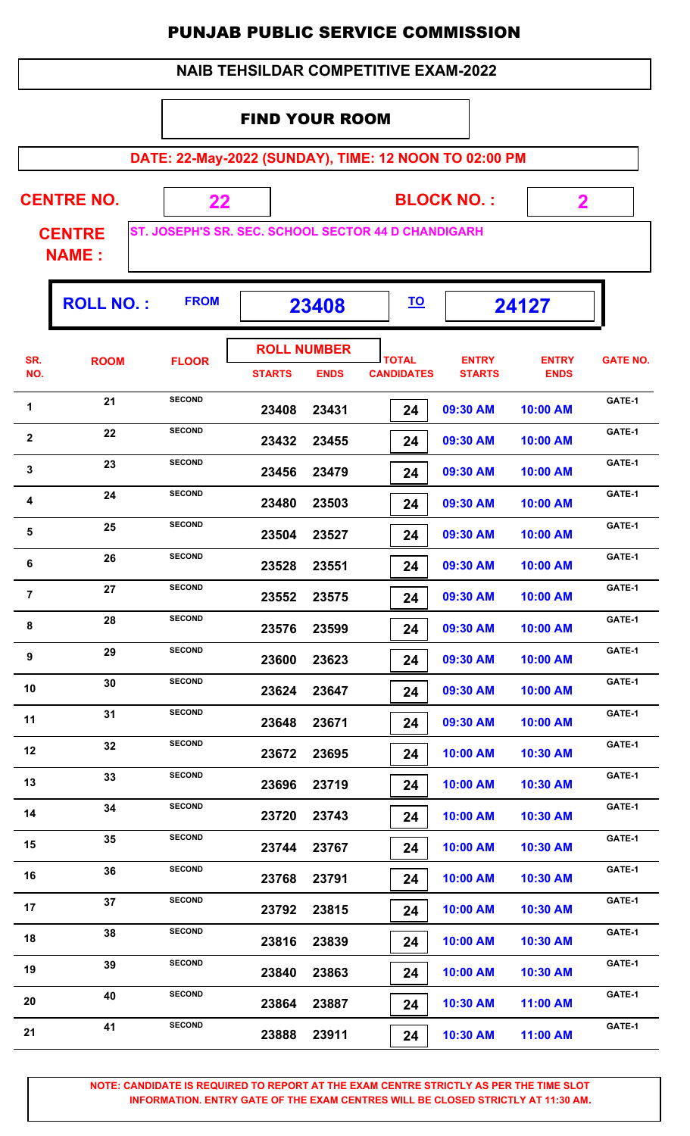|  | <b>NAIB TEHSILDAR COMPETITIVE EXAM-2022</b> |
|--|---------------------------------------------|
|--|---------------------------------------------|

#### FIND YOUR ROOM

**DATE: 22-May-2022 (SUNDAY), TIME: 12 NOON TO 02:00 PM**

| <b>CENTRE NO.</b> |  |  |  |
|-------------------|--|--|--|
|                   |  |  |  |

**BLOCK NO. :**

 **2**

ŋ.

**CENTRE NAME :**

**ST. JOSEPH'S SR. SEC. SCHOOL SECTOR 44 D CHANDIGARH**

 **22**

|                | <b>ROLL NO.:</b> | <b>FROM</b>   |               | 23408                             |                                   | 24127                         |                             |                 |
|----------------|------------------|---------------|---------------|-----------------------------------|-----------------------------------|-------------------------------|-----------------------------|-----------------|
| SR.<br>NO.     | <b>ROOM</b>      | <b>FLOOR</b>  | <b>STARTS</b> | <b>ROLL NUMBER</b><br><b>ENDS</b> | <b>TOTAL</b><br><b>CANDIDATES</b> | <b>ENTRY</b><br><b>STARTS</b> | <b>ENTRY</b><br><b>ENDS</b> | <b>GATE NO.</b> |
| 1              | 21               | <b>SECOND</b> | 23408         | 23431                             | 24                                | 09:30 AM                      | 10:00 AM                    | GATE-1          |
| $\mathbf{2}$   | 22               | <b>SECOND</b> | 23432         | 23455                             | 24                                | 09:30 AM                      | 10:00 AM                    | GATE-1          |
| $\mathbf{3}$   | 23               | <b>SECOND</b> | 23456         | 23479                             | 24                                | 09:30 AM                      | 10:00 AM                    | GATE-1          |
| 4              | 24               | <b>SECOND</b> | 23480         | 23503                             | 24                                | 09:30 AM                      | 10:00 AM                    | GATE-1          |
| $\sqrt{5}$     | 25               | <b>SECOND</b> | 23504         | 23527                             | 24                                | 09:30 AM                      | 10:00 AM                    | GATE-1          |
| $\bf 6$        | 26               | <b>SECOND</b> | 23528         | 23551                             | 24                                | 09:30 AM                      | 10:00 AM                    | GATE-1          |
| $\overline{7}$ | 27               | <b>SECOND</b> | 23552         | 23575                             | 24                                | 09:30 AM                      | 10:00 AM                    | GATE-1          |
| 8              | 28               | <b>SECOND</b> | 23576         | 23599                             | 24                                | 09:30 AM                      | 10:00 AM                    | GATE-1          |
| 9              | 29               | <b>SECOND</b> | 23600         | 23623                             | 24                                | 09:30 AM                      | 10:00 AM                    | GATE-1          |
| 10             | 30               | <b>SECOND</b> | 23624         | 23647                             | 24                                | 09:30 AM                      | 10:00 AM                    | GATE-1          |
| 11             | 31               | <b>SECOND</b> | 23648         | 23671                             | 24                                | 09:30 AM                      | 10:00 AM                    | GATE-1          |
| 12             | 32               | <b>SECOND</b> | 23672         | 23695                             | 24                                | 10:00 AM                      | 10:30 AM                    | GATE-1          |
| 13             | 33               | <b>SECOND</b> | 23696         | 23719                             | 24                                | 10:00 AM                      | 10:30 AM                    | GATE-1          |
| 14             | 34               | <b>SECOND</b> | 23720         | 23743                             | 24                                | 10:00 AM                      | 10:30 AM                    | GATE-1          |
| 15             | 35               | <b>SECOND</b> | 23744         | 23767                             | 24                                | 10:00 AM                      | 10:30 AM                    | GATE-1          |
| 16             | 36               | <b>SECOND</b> | 23768         | 23791                             | 24                                | 10:00 AM                      | 10:30 AM                    | GATE-1          |
| 17             | 37               | <b>SECOND</b> | 23792         | 23815                             | 24                                | 10:00 AM                      | 10:30 AM                    | GATE-1          |
| 18             | 38               | <b>SECOND</b> | 23816         | 23839                             | 24                                | 10:00 AM                      | 10:30 AM                    | GATE-1          |
| 19             | 39               | <b>SECOND</b> | 23840         | 23863                             | 24                                | 10:00 AM                      | 10:30 AM                    | GATE-1          |
| 20             | 40               | <b>SECOND</b> | 23864         | 23887                             | 24                                | 10:30 AM                      | 11:00 AM                    | GATE-1          |
| 21             | 41               | <b>SECOND</b> | 23888         | 23911                             | 24                                | 10:30 AM                      | 11:00 AM                    | GATE-1          |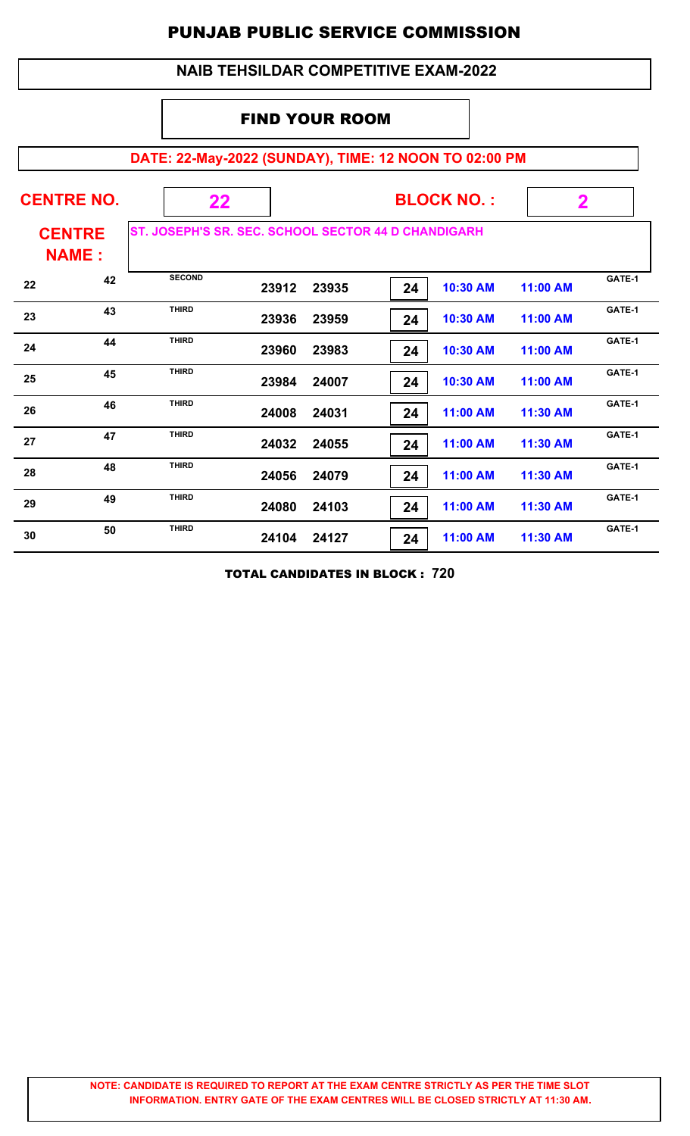#### **NAIB TEHSILDAR COMPETITIVE EXAM-2022**

#### FIND YOUR ROOM

# **DATE: 22-May-2022 (SUNDAY), TIME: 12 NOON TO 02:00 PM**

|    | <b>CENTRE NO.</b>             | 22                                                  |       | <b>BLOCK NO.:</b> |    | $\mathbf 2$ |          |        |
|----|-------------------------------|-----------------------------------------------------|-------|-------------------|----|-------------|----------|--------|
|    | <b>CENTRE</b><br><b>NAME:</b> | ST. JOSEPH'S SR. SEC. SCHOOL SECTOR 44 D CHANDIGARH |       |                   |    |             |          |        |
| 22 | 42                            | <b>SECOND</b>                                       | 23912 | 23935             | 24 | 10:30 AM    | 11:00 AM | GATE-1 |
| 23 | 43                            | <b>THIRD</b>                                        | 23936 | 23959             | 24 | 10:30 AM    | 11:00 AM | GATE-1 |
| 24 | 44                            | <b>THIRD</b>                                        | 23960 | 23983             | 24 | 10:30 AM    | 11:00 AM | GATE-1 |
| 25 | 45                            | <b>THIRD</b>                                        | 23984 | 24007             | 24 | 10:30 AM    | 11:00 AM | GATE-1 |
| 26 | 46                            | <b>THIRD</b>                                        | 24008 | 24031             | 24 | 11:00 AM    | 11:30 AM | GATE-1 |
| 27 | 47                            | <b>THIRD</b>                                        | 24032 | 24055             | 24 | 11:00 AM    | 11:30 AM | GATE-1 |
| 28 | 48                            | <b>THIRD</b>                                        | 24056 | 24079             | 24 | 11:00 AM    | 11:30 AM | GATE-1 |
| 29 | 49                            | <b>THIRD</b>                                        | 24080 | 24103             | 24 | 11:00 AM    | 11:30 AM | GATE-1 |
| 30 | 50                            | <b>THIRD</b>                                        | 24104 | 24127             | 24 | 11:00 AM    | 11:30 AM | GATE-1 |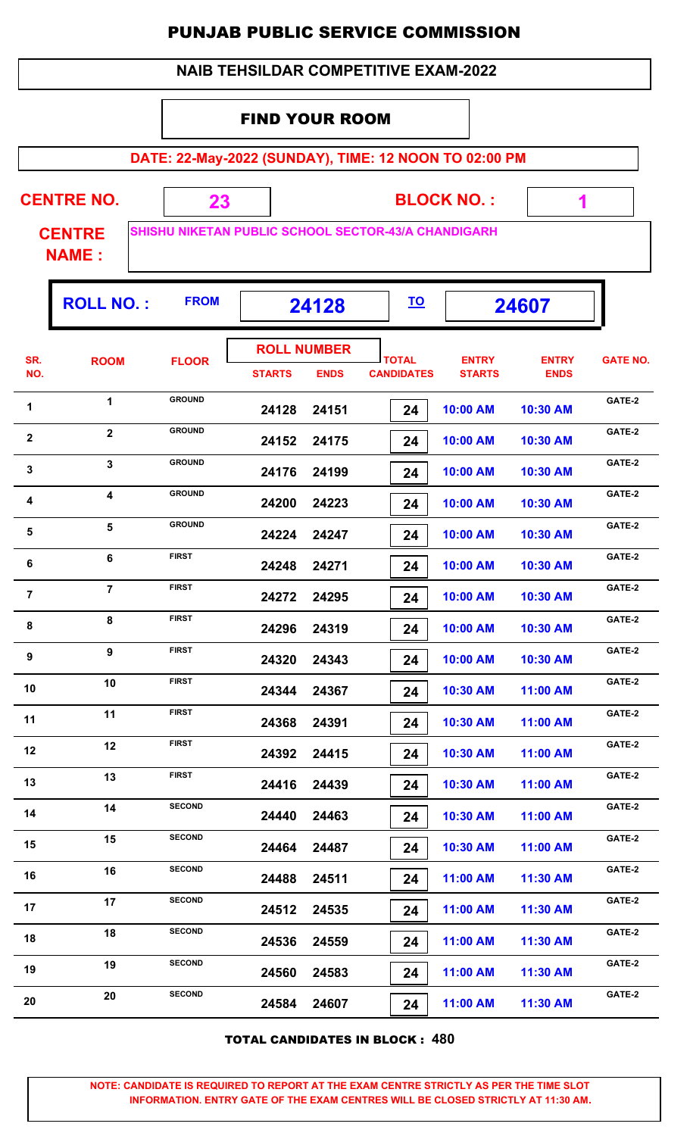#### FIND YOUR ROOM

**DATE: 22-May-2022 (SUNDAY), TIME: 12 NOON TO 02:00 PM**

| <b>CENTRE NO.</b> |  | <b>BLOCK NO.:</b>                                   |  |
|-------------------|--|-----------------------------------------------------|--|
| <b>CENTRE</b>     |  | SHISHU NIKETAN PUBLIC SCHOOL SECTOR-43/A CHANDIGARH |  |
| <b>NAME:</b>      |  |                                                     |  |

**ROLL NO. : 24128 24607 FROM TO TOTAL STARTS ENDS CANDIDATES SR. NO.** ROOM FLOOR **International FLOOR** *ENTRY* **STARTS ENTRY ENDS FLOOR GATE NO. ROLL NUMBER 24128 24151 24 10:00 AM 10:30 AM** 1 **GROUND 24128 24151 241.00 AM 10:30 AM GATE-2 GROUND 24152 24175 24 10:00 AM 10:30 AM** 2 **GROUND 24152 24175 24175 24176 24176 24176 24176 2418 GROUND 24176 24199 24 10:00 AM 10:30 AM** 3 3 GROUND 24176 24199 <mark>24 10:00 AM 10:30 AM</mark> GATE-2 **GROUND 24200 24223 24 10:00 AM 10:30 AM** 4 **GROUND 24200 24223 2420 24223 10:00 AM 10:30 AM GATE-2 GROUND 24224 24247 24 10:00 AM 10:30 AM** 5 **GROUND**<br>**24224 24247 <b>24** 24247 **240 AM** 10:30 AM **GROUND 24248 24271 24 10:00 AM 10:30 AM 6 GATE-2**<br>**CATE-2**<br>**CATE-2**<br>**24248 24271 24**<br>**24271 24271 24**<br>**24271 24**<br>**24271 24**<br>**24 FIRST 24272 24295 24 10:00 AM 10:30 AM ring to the First CATE-2**<br>**24272 24295 <b>242** 2429 2429 2429 10:00 AM **10:30 AM FIRST 24296 24319 24 10:00 AM 10:30 AM** 8 B FIRST 24296 24319 **2418 2431 10:00 AM** 10:30 AM CATE-2 **FIRST 24320 24343 24 10:00 AM 10:30 AM 9 BIRST CATE-2**<br>**24320 24343 24344 240:00 AM 10:30 AM GATE-2 FIRST 24344 24367 24 10:30 AM 11:00 AM 10 EIRST CATE-2**<br>**24344 24367 24 2436 2436 2436 2436 2436 2436 2436 2436 2436 2436 2436 2436 2436 2436 2436 2436 2436 2436 2436 2436 2436 2436 2436 2436 2436 2436 24368 24391 24 10:30 AM 11:00 AM 11 EIRST 24368 24391 24368 24391 10:30 AM 11:00 AM GATE-2 24392 24415 24 10:30 AM 11:00 AM** 12 **FIRST 24392 24415 246 10:30 AM 11:00 AM GATE-2 24416 24439 24 10:30 AM 11:00 AM 13 EIRST CATE-2**<br>**24416 24439 244 24439 244 10:30 AM 11:00 AM GATE-2 24440 24463 24 10:30 AM 11:00 AM** 14 **SECOND 24440 24463 2446 26ATE-2 CATE-2 24464 24487 24 10:30 AM 11:00 AM** 15 **SECOND 24464 24487 2446 24481 26 10:30 AM 11:00 AM GATE-2 24488 24511 24 11:00 AM 11:30 AM** 16 **GATE-2**<br>**24488 24511 24** 11:00 AM 11:30 AM GATE-2  **24512 24535 24 11:00 AM 11:30 AM** 17 **SECOND 24512 24535 24612 24638 11:00 AM 11:30 AM GATE-2 24536 24559 24 11:00 AM 11:30 AM** 18 **SECOND 24536 24559 246 11:00 AM 11:30 AM GATE-2 24560 24583 24 11:00 AM 11:30 AM** 19 **GATE-2**<br>**24560 24583 24. 11:00 AM 11:30 AM GATE-2 24584 24607 24 11:00 AM 11:30 AM 20 CATE-2**<br>**24584 24607 24607 241:00 AM 11:30 AM CATE-2** 

TOTAL CANDIDATES IN BLOCK : **480**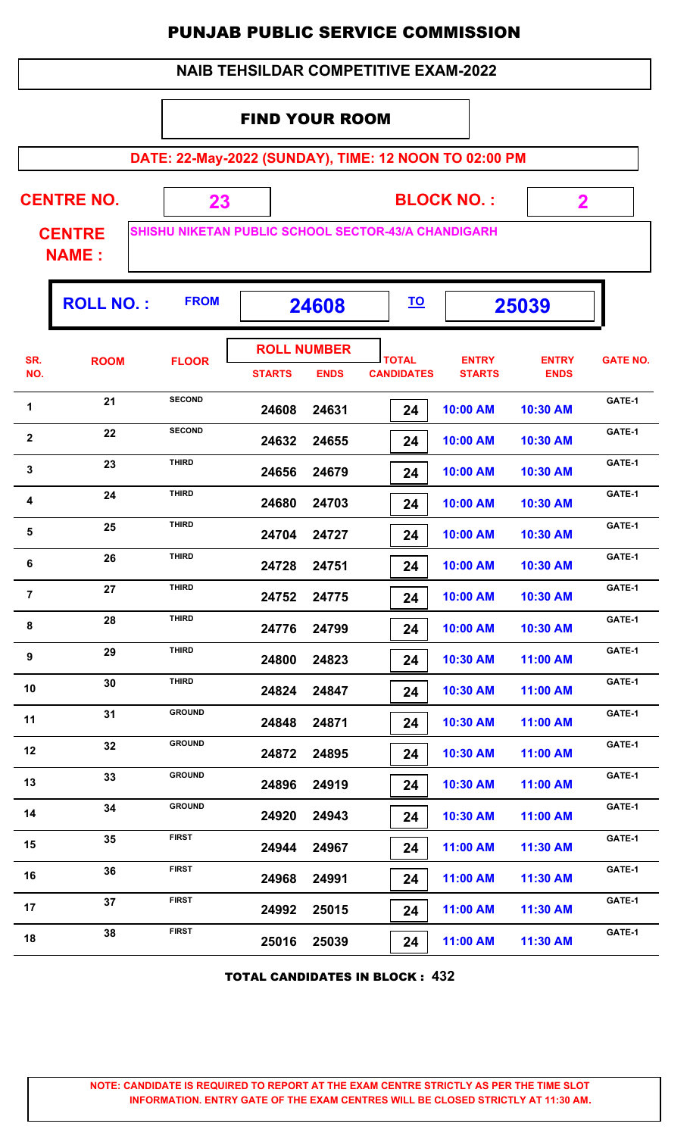| <b>NAIB TEHSILDAR COMPETITIVE EXAM-2022</b> |
|---------------------------------------------|
|---------------------------------------------|

#### FIND YOUR ROOM

**DATE: 22-May-2022 (SUNDAY), TIME: 12 NOON TO 02:00 PM**

| <b>CENTRE NO.</b> |  | <b>BLOCK NO.:</b>                                          |  |
|-------------------|--|------------------------------------------------------------|--|
| <b>CENTRE</b>     |  | <b>SHISHU NIKETAN PUBLIC SCHOOL SECTOR-43/A CHANDIGARH</b> |  |
| <b>NAME:</b>      |  |                                                            |  |

|                | <b>ROLL NO.:</b> | <b>FROM</b>   | 24608                               |             | <u>TO</u>                         |                               | 25039                       |                 |
|----------------|------------------|---------------|-------------------------------------|-------------|-----------------------------------|-------------------------------|-----------------------------|-----------------|
| SR.<br>NO.     | <b>ROOM</b>      | <b>FLOOR</b>  | <b>ROLL NUMBER</b><br><b>STARTS</b> | <b>ENDS</b> | <b>TOTAL</b><br><b>CANDIDATES</b> | <b>ENTRY</b><br><b>STARTS</b> | <b>ENTRY</b><br><b>ENDS</b> | <b>GATE NO.</b> |
| 1              | 21               | <b>SECOND</b> | 24608                               | 24631       | 24                                | 10:00 AM                      | 10:30 AM                    | GATE-1          |
| $\mathbf{2}$   | 22               | <b>SECOND</b> | 24632                               | 24655       | 24                                | 10:00 AM                      | 10:30 AM                    | GATE-1          |
| 3              | 23               | <b>THIRD</b>  | 24656                               | 24679       | 24                                | 10:00 AM                      | 10:30 AM                    | GATE-1          |
| 4              | 24               | THIRD         | 24680                               | 24703       | 24                                | 10:00 AM                      | 10:30 AM                    | GATE-1          |
| 5              | 25               | <b>THIRD</b>  | 24704                               | 24727       | 24                                | 10:00 AM                      | 10:30 AM                    | GATE-1          |
| 6              | 26               | <b>THIRD</b>  | 24728                               | 24751       | 24                                | 10:00 AM                      | 10:30 AM                    | GATE-1          |
| $\overline{7}$ | 27               | <b>THIRD</b>  | 24752                               | 24775       | 24                                | 10:00 AM                      | 10:30 AM                    | GATE-1          |
| 8              | 28               | <b>THIRD</b>  | 24776                               | 24799       | 24                                | 10:00 AM                      | 10:30 AM                    | GATE-1          |
| 9              | 29               | <b>THIRD</b>  | 24800                               | 24823       | 24                                | 10:30 AM                      | 11:00 AM                    | GATE-1          |
| 10             | 30               | <b>THIRD</b>  | 24824                               | 24847       | 24                                | 10:30 AM                      | 11:00 AM                    | GATE-1          |
| 11             | 31               | <b>GROUND</b> | 24848                               | 24871       | 24                                | 10:30 AM                      | 11:00 AM                    | GATE-1          |
| 12             | 32               | <b>GROUND</b> | 24872                               | 24895       | 24                                | 10:30 AM                      | 11:00 AM                    | GATE-1          |
| 13             | 33               | <b>GROUND</b> | 24896                               | 24919       | 24                                | 10:30 AM                      | 11:00 AM                    | GATE-1          |
| 14             | 34               | <b>GROUND</b> | 24920                               | 24943       | 24                                | 10:30 AM                      | 11:00 AM                    | GATE-1          |
| 15             | 35               | <b>FIRST</b>  | 24944                               | 24967       | 24                                | 11:00 AM                      | 11:30 AM                    | GATE-1          |
| 16             | 36               | <b>FIRST</b>  | 24968                               | 24991       | 24                                | 11:00 AM                      | 11:30 AM                    | GATE-1          |
| 17             | 37               | <b>FIRST</b>  | 24992                               | 25015       | 24                                | 11:00 AM                      | 11:30 AM                    | GATE-1          |
| 18             | 38               | <b>FIRST</b>  | 25016                               | 25039       | 24                                | 11:00 AM                      | 11:30 AM                    | GATE-1          |

TOTAL CANDIDATES IN BLOCK : **432**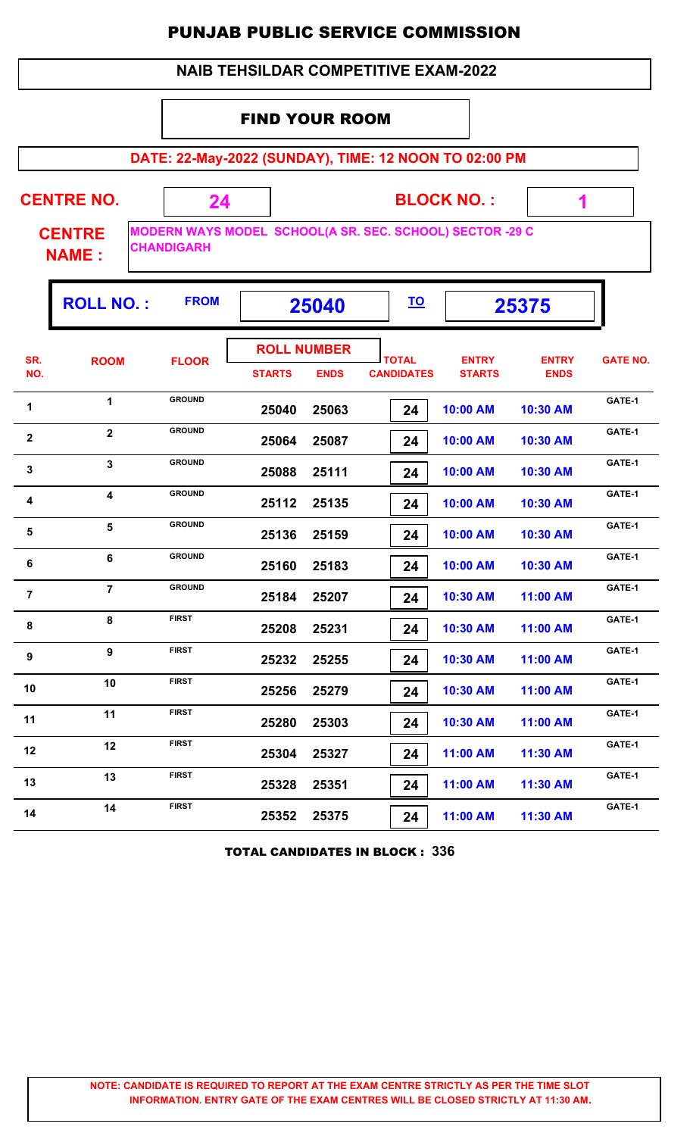#### **NAIB TEHSILDAR COMPETITIVE EXAM-2022**

#### FIND YOUR ROOM

**DATE: 22-May-2022 (SUNDAY), TIME: 12 NOON TO 02:00 PM**

 **1**

| <b>CENTRE NO.</b> |                    | <b>BLOCK NO.:</b>                                        |  |
|-------------------|--------------------|----------------------------------------------------------|--|
| <b>CENTRE</b>     |                    | MODERN WAYS MODEL SCHOOL(A SR. SEC. SCHOOL) SECTOR -29 C |  |
| <b>NAME:</b>      | <b>ICHANDIGARH</b> |                                                          |  |

'n

|                  | <b>ROLL NO.:</b>        | <b>FROM</b>   | 25040         |                                   | <u>TO</u>                         |                               | 25375                       |                 |
|------------------|-------------------------|---------------|---------------|-----------------------------------|-----------------------------------|-------------------------------|-----------------------------|-----------------|
| SR.<br>NO.       | <b>ROOM</b>             | <b>FLOOR</b>  | <b>STARTS</b> | <b>ROLL NUMBER</b><br><b>ENDS</b> | <b>TOTAL</b><br><b>CANDIDATES</b> | <b>ENTRY</b><br><b>STARTS</b> | <b>ENTRY</b><br><b>ENDS</b> | <b>GATE NO.</b> |
| 1                | 1                       | <b>GROUND</b> | 25040         | 25063                             | 24                                | 10:00 AM                      | 10:30 AM                    | GATE-1          |
| $\mathbf{2}$     | $\overline{2}$          | <b>GROUND</b> | 25064         | 25087                             | 24                                | 10:00 AM                      | 10:30 AM                    | GATE-1          |
| $\mathbf{3}$     | $\mathbf{3}$            | <b>GROUND</b> | 25088         | 25111                             | 24                                | 10:00 AM                      | 10:30 AM                    | GATE-1          |
| 4                | $\overline{\mathbf{4}}$ | <b>GROUND</b> | 25112         | 25135                             | 24                                | 10:00 AM                      | 10:30 AM                    | GATE-1          |
| $5\phantom{1}$   | $\overline{\mathbf{5}}$ | <b>GROUND</b> | 25136         | 25159                             | 24                                | 10:00 AM                      | 10:30 AM                    | GATE-1          |
| 6                | 6                       | <b>GROUND</b> | 25160         | 25183                             | 24                                | 10:00 AM                      | 10:30 AM                    | GATE-1          |
| $\overline{7}$   | $\overline{7}$          | <b>GROUND</b> | 25184         | 25207                             | 24                                | 10:30 AM                      | 11:00 AM                    | GATE-1          |
| 8                | 8                       | <b>FIRST</b>  | 25208         | 25231                             | 24                                | 10:30 AM                      | 11:00 AM                    | GATE-1          |
| $\boldsymbol{9}$ | 9                       | <b>FIRST</b>  | 25232         | 25255                             | 24                                | 10:30 AM                      | 11:00 AM                    | GATE-1          |
| 10               | 10                      | <b>FIRST</b>  | 25256         | 25279                             | 24                                | 10:30 AM                      | 11:00 AM                    | GATE-1          |
| 11               | 11                      | <b>FIRST</b>  | 25280         | 25303                             | 24                                | 10:30 AM                      | 11:00 AM                    | GATE-1          |
| 12               | 12                      | <b>FIRST</b>  | 25304         | 25327                             | 24                                | 11:00 AM                      | 11:30 AM                    | GATE-1          |
| 13               | 13                      | <b>FIRST</b>  | 25328         | 25351                             | 24                                | 11:00 AM                      | 11:30 AM                    | GATE-1          |
| 14               | 14                      | <b>FIRST</b>  | 25352         | 25375                             | 24                                | 11:00 AM                      | 11:30 AM                    | GATE-1          |

TOTAL CANDIDATES IN BLOCK : **336**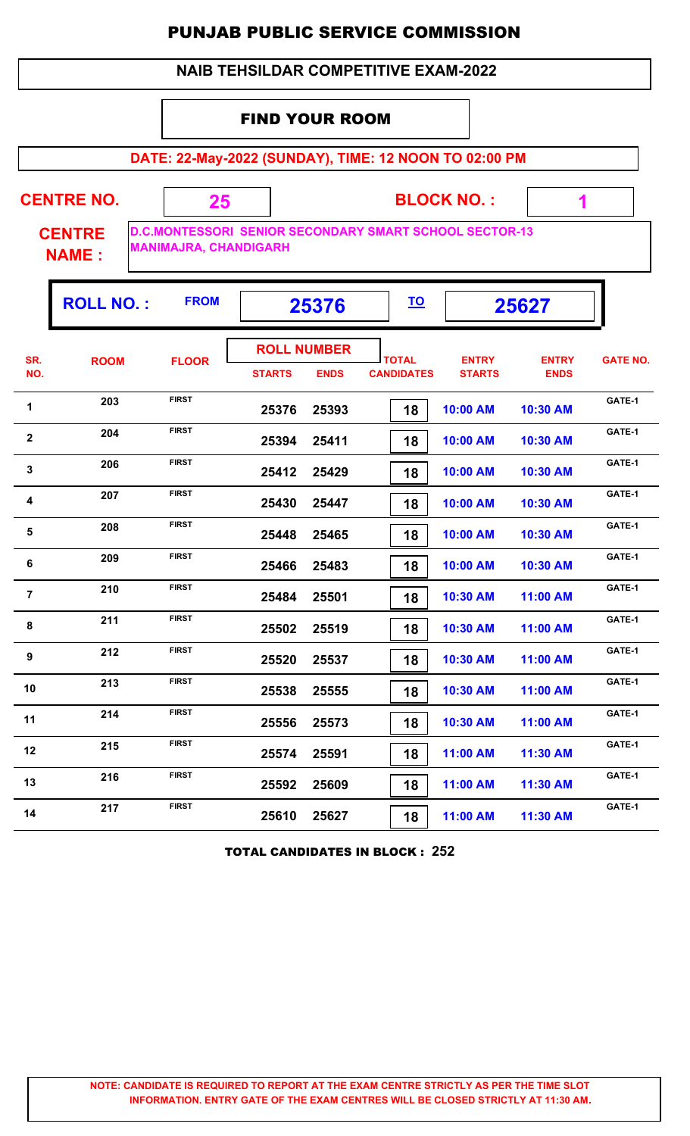#### **NAIB TEHSILDAR COMPETITIVE EXAM-2022**

#### FIND YOUR ROOM

**DATE: 22-May-2022 (SUNDAY), TIME: 12 NOON TO 02:00 PM**

**CENTRE NO.** 

**BLOCK NO. :**

 **1**

ı,

**CENTRE NAME :**

**D.C.MONTESSORI SENIOR SECONDARY SMART SCHOOL SECTOR-13 MANIMAJRA, CHANDIGARH**

 **25**

|                | <b>ROLL NO.:</b> | <b>FROM</b>  | 25376         |                                   | <u>TO</u>                         |                               | 25627                       |                 |
|----------------|------------------|--------------|---------------|-----------------------------------|-----------------------------------|-------------------------------|-----------------------------|-----------------|
| SR.<br>NO.     | <b>ROOM</b>      | <b>FLOOR</b> | <b>STARTS</b> | <b>ROLL NUMBER</b><br><b>ENDS</b> | <b>TOTAL</b><br><b>CANDIDATES</b> | <b>ENTRY</b><br><b>STARTS</b> | <b>ENTRY</b><br><b>ENDS</b> | <b>GATE NO.</b> |
| 1              | 203              | <b>FIRST</b> | 25376         | 25393                             | 18                                | 10:00 AM                      | 10:30 AM                    | GATE-1          |
| $\mathbf{2}$   | 204              | <b>FIRST</b> | 25394         | 25411                             | 18                                | 10:00 AM                      | 10:30 AM                    | GATE-1          |
| $\mathbf{3}$   | 206              | <b>FIRST</b> | 25412         | 25429                             | 18                                | 10:00 AM                      | 10:30 AM                    | GATE-1          |
| 4              | 207              | <b>FIRST</b> | 25430         | 25447                             | 18                                | 10:00 AM                      | 10:30 AM                    | GATE-1          |
| $\sqrt{5}$     | 208              | <b>FIRST</b> | 25448         | 25465                             | 18                                | 10:00 AM                      | 10:30 AM                    | GATE-1          |
| 6              | 209              | <b>FIRST</b> | 25466         | 25483                             | 18                                | 10:00 AM                      | 10:30 AM                    | GATE-1          |
| $\overline{7}$ | 210              | <b>FIRST</b> | 25484         | 25501                             | 18                                | 10:30 AM                      | 11:00 AM                    | GATE-1          |
| 8              | 211              | <b>FIRST</b> | 25502         | 25519                             | 18                                | 10:30 AM                      | 11:00 AM                    | GATE-1          |
| 9              | 212              | <b>FIRST</b> | 25520         | 25537                             | 18                                | 10:30 AM                      | 11:00 AM                    | GATE-1          |
| 10             | 213              | <b>FIRST</b> | 25538         | 25555                             | 18                                | 10:30 AM                      | 11:00 AM                    | GATE-1          |
| 11             | 214              | <b>FIRST</b> | 25556         | 25573                             | 18                                | 10:30 AM                      | 11:00 AM                    | GATE-1          |
| 12             | 215              | <b>FIRST</b> | 25574         | 25591                             | 18                                | 11:00 AM                      | 11:30 AM                    | GATE-1          |
| 13             | 216              | <b>FIRST</b> | 25592         | 25609                             | 18                                | 11:00 AM                      | 11:30 AM                    | GATE-1          |
| 14             | 217              | <b>FIRST</b> | 25610         | 25627                             | 18                                | 11:00 AM                      | 11:30 AM                    | GATE-1          |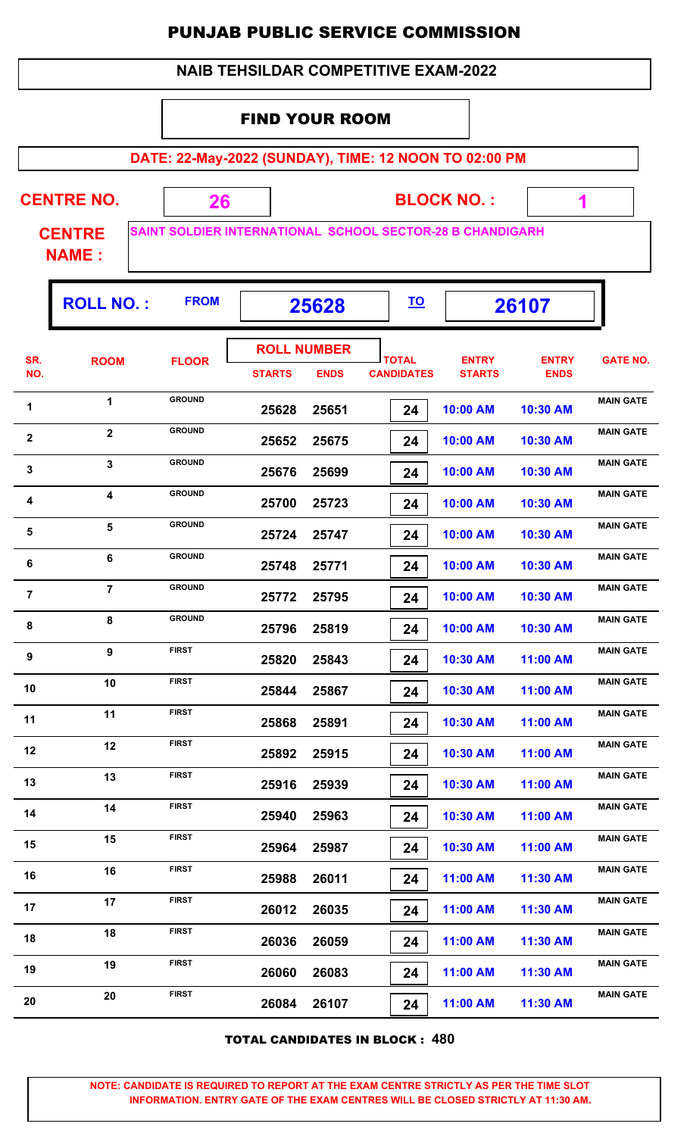#### FIND YOUR ROOM

**DATE: 22-May-2022 (SUNDAY), TIME: 12 NOON TO 02:00 PM**

 **1**

T

| <b>CENTRE NO.</b> |                                                                  | <b>BLOCK NO.:</b> |  |
|-------------------|------------------------------------------------------------------|-------------------|--|
| <b>CENTRE</b>     | <b>SAINT SOLDIER INTERNATIONAL SCHOOL SECTOR-28 B CHANDIGARH</b> |                   |  |

**NAME :**

|                | <b>ROLL NO.:</b>        | <b>FROM</b>   | 25628         |                                   |                                   |                               |                             |                  | <u>TO</u> |  | 26107 |  |
|----------------|-------------------------|---------------|---------------|-----------------------------------|-----------------------------------|-------------------------------|-----------------------------|------------------|-----------|--|-------|--|
| SR.<br>NO.     | <b>ROOM</b>             | <b>FLOOR</b>  | <b>STARTS</b> | <b>ROLL NUMBER</b><br><b>ENDS</b> | <b>TOTAL</b><br><b>CANDIDATES</b> | <b>ENTRY</b><br><b>STARTS</b> | <b>ENTRY</b><br><b>ENDS</b> | <b>GATE NO.</b>  |           |  |       |  |
| 1              | $\mathbf 1$             | <b>GROUND</b> | 25628         | 25651                             | 24                                | 10:00 AM                      | 10:30 AM                    | <b>MAIN GATE</b> |           |  |       |  |
| $\mathbf{2}$   | $\overline{2}$          | <b>GROUND</b> | 25652         | 25675                             | 24                                | 10:00 AM                      | 10:30 AM                    | <b>MAIN GATE</b> |           |  |       |  |
| $\mathbf{3}$   | 3                       | <b>GROUND</b> | 25676         | 25699                             | 24                                | 10:00 AM                      | 10:30 AM                    | <b>MAIN GATE</b> |           |  |       |  |
| 4              | $\overline{\mathbf{4}}$ | <b>GROUND</b> | 25700         | 25723                             | 24                                | 10:00 AM                      | 10:30 AM                    | <b>MAIN GATE</b> |           |  |       |  |
| 5              | $5\phantom{a}$          | <b>GROUND</b> | 25724         | 25747                             | 24                                | 10:00 AM                      | 10:30 AM                    | <b>MAIN GATE</b> |           |  |       |  |
| 6              | 6                       | <b>GROUND</b> | 25748         | 25771                             | 24                                | 10:00 AM                      | 10:30 AM                    | <b>MAIN GATE</b> |           |  |       |  |
| $\overline{7}$ | $\overline{7}$          | <b>GROUND</b> | 25772         | 25795                             | 24                                | 10:00 AM                      | 10:30 AM                    | <b>MAIN GATE</b> |           |  |       |  |
| 8              | 8                       | <b>GROUND</b> | 25796         | 25819                             | 24                                | 10:00 AM                      | 10:30 AM                    | <b>MAIN GATE</b> |           |  |       |  |
| 9              | 9                       | <b>FIRST</b>  | 25820         | 25843                             | 24                                | 10:30 AM                      | 11:00 AM                    | <b>MAIN GATE</b> |           |  |       |  |
| 10             | 10                      | <b>FIRST</b>  | 25844         | 25867                             | 24                                | 10:30 AM                      | 11:00 AM                    | <b>MAIN GATE</b> |           |  |       |  |
| 11             | 11                      | <b>FIRST</b>  | 25868         | 25891                             | 24                                | 10:30 AM                      | 11:00 AM                    | <b>MAIN GATE</b> |           |  |       |  |
| 12             | 12                      | <b>FIRST</b>  | 25892         | 25915                             | 24                                | 10:30 AM                      | 11:00 AM                    | <b>MAIN GATE</b> |           |  |       |  |
| 13             | 13                      | <b>FIRST</b>  | 25916         | 25939                             | 24                                | 10:30 AM                      | 11:00 AM                    | <b>MAIN GATE</b> |           |  |       |  |
| 14             | 14                      | <b>FIRST</b>  | 25940         | 25963                             | 24                                | 10:30 AM                      | 11:00 AM                    | <b>MAIN GATE</b> |           |  |       |  |
| 15             | 15                      | <b>FIRST</b>  | 25964         | 25987                             | 24                                | 10:30 AM                      | 11:00 AM                    | <b>MAIN GATE</b> |           |  |       |  |
| 16             | 16                      | <b>FIRST</b>  | 25988         | 26011                             | 24                                | 11:00 AM                      | 11:30 AM                    | <b>MAIN GATE</b> |           |  |       |  |
| 17             | 17                      | <b>FIRST</b>  | 26012         | 26035                             | 24                                | 11:00 AM                      | 11:30 AM                    | <b>MAIN GATE</b> |           |  |       |  |
| 18             | 18                      | <b>FIRST</b>  | 26036         | 26059                             | 24                                | 11:00 AM                      | 11:30 AM                    | <b>MAIN GATE</b> |           |  |       |  |
| 19             | 19                      | <b>FIRST</b>  | 26060         | 26083                             | 24                                | 11:00 AM                      | 11:30 AM                    | <b>MAIN GATE</b> |           |  |       |  |
| 20             | 20                      | <b>FIRST</b>  | 26084         | 26107                             | 24                                | 11:00 AM                      | 11:30 AM                    | <b>MAIN GATE</b> |           |  |       |  |
|                |                         |               |               |                                   |                                   |                               |                             |                  |           |  |       |  |

TOTAL CANDIDATES IN BLOCK : **480**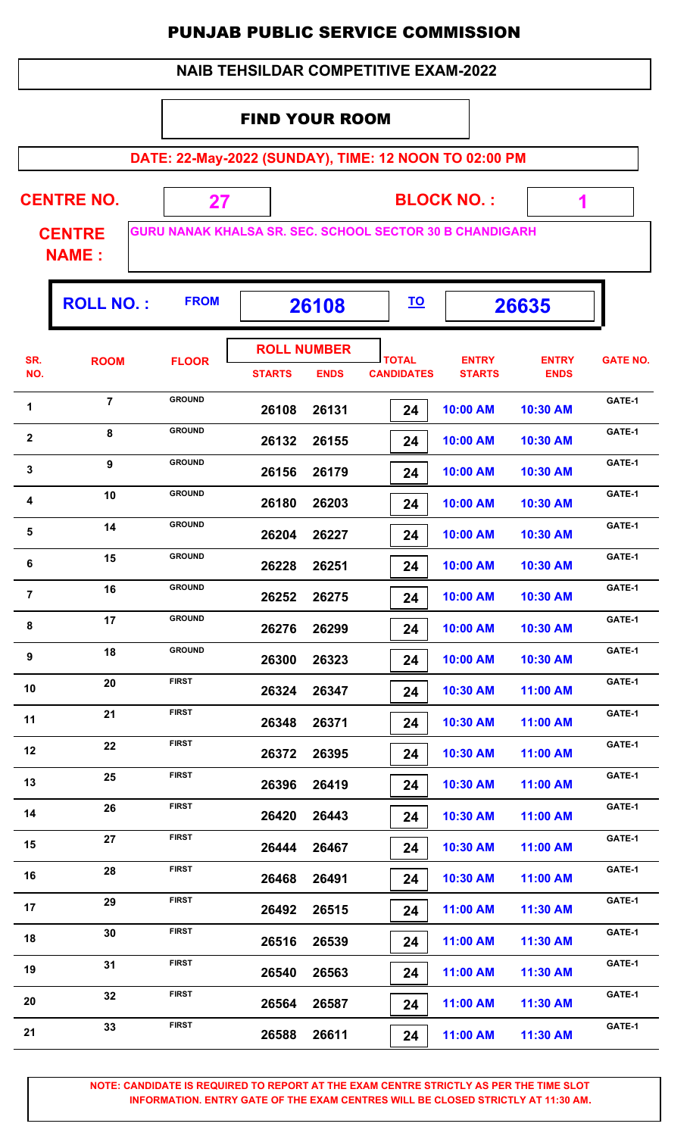#### FIND YOUR ROOM

**DATE: 22-May-2022 (SUNDAY), TIME: 12 NOON TO 02:00 PM**

**CENTRE NO.** 

**BLOCK NO. :**

 **1**

**CENTRE NAME :**

**GURU NANAK KHALSA SR. SEC. SCHOOL SECTOR 30 B CHANDIGARH**

 **27**

|                  | <b>ROLL NO.:</b> | <b>FROM</b>   | 26108                               |             | <u>TO</u>                         |                               | 26635                       |                 |
|------------------|------------------|---------------|-------------------------------------|-------------|-----------------------------------|-------------------------------|-----------------------------|-----------------|
| SR.<br>NO.       | <b>ROOM</b>      | <b>FLOOR</b>  | <b>ROLL NUMBER</b><br><b>STARTS</b> | <b>ENDS</b> | <b>TOTAL</b><br><b>CANDIDATES</b> | <b>ENTRY</b><br><b>STARTS</b> | <b>ENTRY</b><br><b>ENDS</b> | <b>GATE NO.</b> |
| 1                | $\overline{7}$   | <b>GROUND</b> | 26108                               | 26131       | 24                                | 10:00 AM                      | 10:30 AM                    | GATE-1          |
| $\mathbf{2}$     | 8                | <b>GROUND</b> | 26132                               | 26155       | 24                                | 10:00 AM                      | 10:30 AM                    | GATE-1          |
| 3                | 9                | <b>GROUND</b> | 26156                               | 26179       | 24                                | 10:00 AM                      | 10:30 AM                    | GATE-1          |
| 4                | 10               | <b>GROUND</b> | 26180                               | 26203       | 24                                | 10:00 AM                      | 10:30 AM                    | GATE-1          |
| ${\bf 5}$        | 14               | <b>GROUND</b> | 26204                               | 26227       | 24                                | 10:00 AM                      | 10:30 AM                    | GATE-1          |
| 6                | 15               | <b>GROUND</b> | 26228                               | 26251       | 24                                | 10:00 AM                      | 10:30 AM                    | GATE-1          |
| $\overline{7}$   | 16               | <b>GROUND</b> | 26252                               | 26275       | 24                                | 10:00 AM                      | 10:30 AM                    | GATE-1          |
| 8                | 17               | <b>GROUND</b> | 26276                               | 26299       | 24                                | 10:00 AM                      | 10:30 AM                    | GATE-1          |
| $\boldsymbol{9}$ | 18               | <b>GROUND</b> | 26300                               | 26323       | 24                                | 10:00 AM                      | 10:30 AM                    | GATE-1          |
| 10               | 20               | <b>FIRST</b>  | 26324                               | 26347       | 24                                | 10:30 AM                      | 11:00 AM                    | GATE-1          |
| 11               | 21               | <b>FIRST</b>  | 26348                               | 26371       | 24                                | 10:30 AM                      | 11:00 AM                    | GATE-1          |
| 12               | 22               | <b>FIRST</b>  | 26372                               | 26395       | 24                                | 10:30 AM                      | 11:00 AM                    | GATE-1          |
| 13               | 25               | <b>FIRST</b>  | 26396                               | 26419       | 24                                | 10:30 AM                      | 11:00 AM                    | GATE-1          |
| 14               | 26               | <b>FIRST</b>  | 26420                               | 26443       | 24                                | 10:30 AM                      | 11:00 AM                    | GATE-1          |
| 15               | 27               | <b>FIRST</b>  | 26444                               | 26467       | 24                                | 10:30 AM                      | 11:00 AM                    | GATE-1          |
| 16               | 28               | <b>FIRST</b>  | 26468                               | 26491       | 24                                | 10:30 AM                      | 11:00 AM                    | GATE-1          |
| 17               | 29               | <b>FIRST</b>  | 26492                               | 26515       | 24                                | 11:00 AM                      | 11:30 AM                    | GATE-1          |
| 18               | 30               | <b>FIRST</b>  | 26516                               | 26539       | 24                                | 11:00 AM                      | 11:30 AM                    | GATE-1          |
| 19               | 31               | <b>FIRST</b>  | 26540                               | 26563       | 24                                | 11:00 AM                      | 11:30 AM                    | GATE-1          |
| 20               | 32               | <b>FIRST</b>  | 26564                               | 26587       | 24                                | 11:00 AM                      | 11:30 AM                    | GATE-1          |
| 21               | 33               | <b>FIRST</b>  | 26588                               | 26611       | 24                                | 11:00 AM                      | 11:30 AM                    | GATE-1          |
|                  |                  |               |                                     |             |                                   |                               |                             |                 |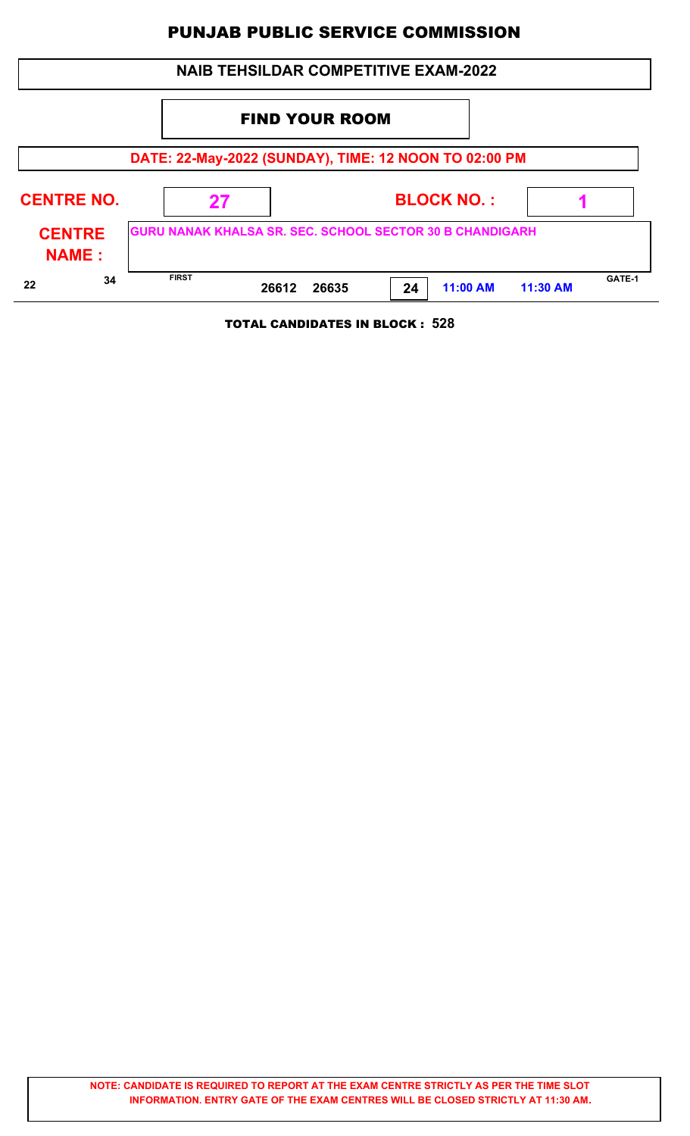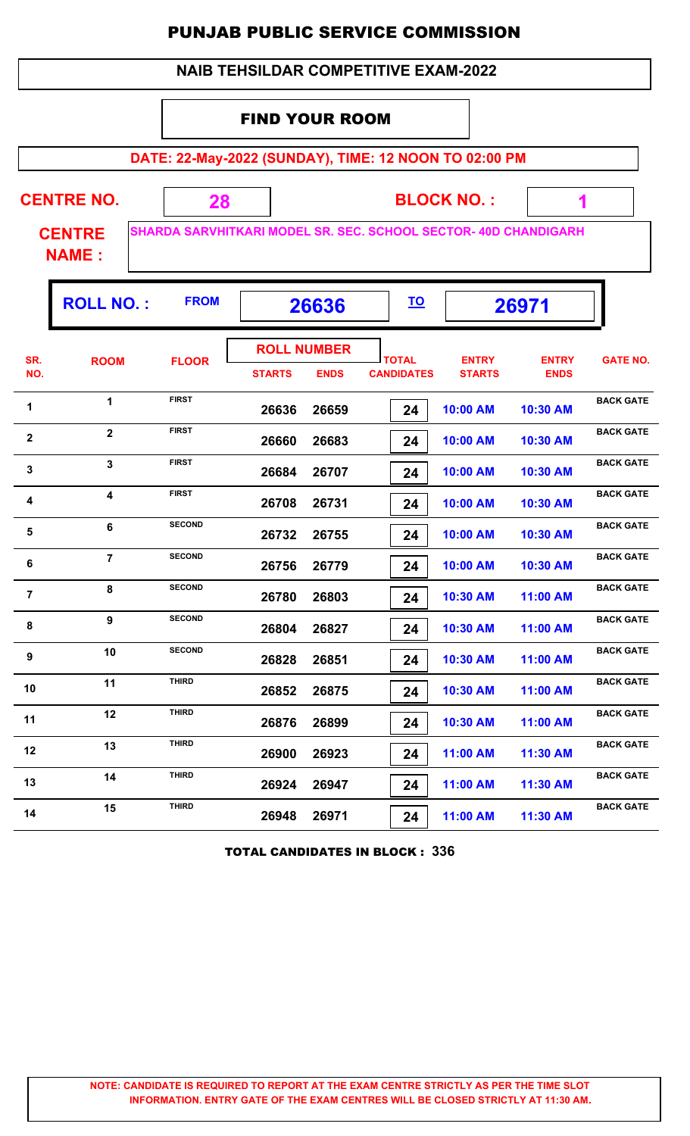#### FIND YOUR ROOM

**DATE: 22-May-2022 (SUNDAY), TIME: 12 NOON TO 02:00 PM**

ı,

| <b>CENTRE NO.</b> | <b>BLOCK NO.:</b>                                              |  |
|-------------------|----------------------------------------------------------------|--|
| <b>CENTRE</b>     | SHARDA SARVHITKARI MODEL SR. SEC. SCHOOL SECTOR-40D CHANDIGARH |  |

**NAME :**

|                | <b>ROLL NO.:</b> | <b>FROM</b>   | 26636                               |             | <u>TO</u>                         | 26971                         |                             |                  |
|----------------|------------------|---------------|-------------------------------------|-------------|-----------------------------------|-------------------------------|-----------------------------|------------------|
| SR.<br>NO.     | <b>ROOM</b>      | <b>FLOOR</b>  | <b>ROLL NUMBER</b><br><b>STARTS</b> | <b>ENDS</b> | <b>TOTAL</b><br><b>CANDIDATES</b> | <b>ENTRY</b><br><b>STARTS</b> | <b>ENTRY</b><br><b>ENDS</b> | <b>GATE NO.</b>  |
| 1              | $\mathbf 1$      | <b>FIRST</b>  | 26636                               | 26659       | 24                                | 10:00 AM                      | 10:30 AM                    | <b>BACK GATE</b> |
| $\mathbf 2$    | $\mathbf{2}$     | <b>FIRST</b>  | 26660                               | 26683       | 24                                | 10:00 AM                      | 10:30 AM                    | <b>BACK GATE</b> |
| 3              | 3                | <b>FIRST</b>  | 26684                               | 26707       | 24                                | 10:00 AM                      | 10:30 AM                    | <b>BACK GATE</b> |
| 4              | 4                | <b>FIRST</b>  | 26708                               | 26731       | 24                                | 10:00 AM                      | 10:30 AM                    | <b>BACK GATE</b> |
| 5              | 6                | <b>SECOND</b> | 26732                               | 26755       | 24                                | 10:00 AM                      | 10:30 AM                    | <b>BACK GATE</b> |
| 6              | $\overline{7}$   | <b>SECOND</b> | 26756                               | 26779       | 24                                | 10:00 AM                      | 10:30 AM                    | <b>BACK GATE</b> |
| $\overline{7}$ | 8                | <b>SECOND</b> | 26780                               | 26803       | 24                                | 10:30 AM                      | 11:00 AM                    | <b>BACK GATE</b> |
| 8              | 9                | <b>SECOND</b> | 26804                               | 26827       | 24                                | 10:30 AM                      | 11:00 AM                    | <b>BACK GATE</b> |
| 9              | 10               | <b>SECOND</b> | 26828                               | 26851       | 24                                | 10:30 AM                      | 11:00 AM                    | <b>BACK GATE</b> |
| 10             | 11               | <b>THIRD</b>  | 26852                               | 26875       | 24                                | 10:30 AM                      | 11:00 AM                    | <b>BACK GATE</b> |
| 11             | 12               | <b>THIRD</b>  | 26876                               | 26899       | 24                                | 10:30 AM                      | 11:00 AM                    | <b>BACK GATE</b> |
| 12             | 13               | <b>THIRD</b>  | 26900                               | 26923       | 24                                | 11:00 AM                      | 11:30 AM                    | <b>BACK GATE</b> |
| 13             | 14               | <b>THIRD</b>  | 26924                               | 26947       | 24                                | 11:00 AM                      | 11:30 AM                    | <b>BACK GATE</b> |
| 14             | 15               | <b>THIRD</b>  | 26948                               | 26971       | 24                                | 11:00 AM                      | 11:30 AM                    | <b>BACK GATE</b> |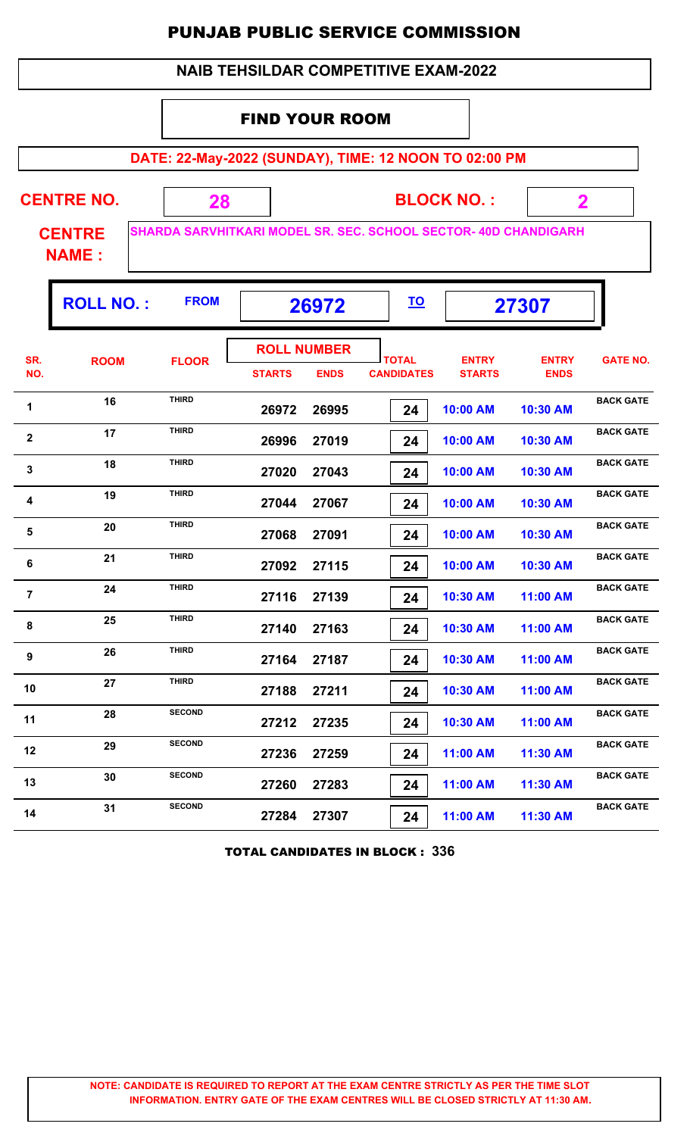#### FIND YOUR ROOM

**DATE: 22-May-2022 (SUNDAY), TIME: 12 NOON TO 02:00 PM**

Ŧ

| <b>CENTRE NO.</b> |  | <b>BLOCK NO.:</b>                                                      |  |
|-------------------|--|------------------------------------------------------------------------|--|
| <b>CENTRE</b>     |  | <b>SHARDA SARVHITKARI MODEL SR. SEC. SCHOOL SECTOR- 40D CHANDIGARH</b> |  |

**NAME :**

г

| $RE$ SHARDA SARVHITAARI MUL |
|-----------------------------|
|                             |

| <b>ROLL NUMBER</b><br><b>TOTAL</b><br><b>ENTRY</b><br><b>ENTRY</b><br>SR.<br><b>GATE NO.</b><br><b>ROOM</b><br><b>FLOOR</b><br>NO.<br><b>ENDS</b><br><b>CANDIDATES</b><br><b>STARTS</b><br><b>ENDS</b><br><b>STARTS</b><br><b>THIRD</b><br><b>BACK GATE</b><br>16<br>1<br>26972<br>26995<br>10:00 AM<br>10:30 AM<br>24<br><b>THIRD</b><br>17<br><b>BACK GATE</b><br>$\mathbf{2}$<br>26996<br>27019<br>10:00 AM<br>10:30 AM<br>24<br><b>THIRD</b><br><b>BACK GATE</b><br>18<br>$\mathbf{3}$<br>27020<br>27043<br>24<br>10:00 AM<br>10:30 AM<br><b>THIRD</b><br><b>BACK GATE</b><br>19<br>4<br>27067<br>27044<br>10:00 AM<br>10:30 AM<br>24<br><b>THIRD</b><br><b>BACK GATE</b><br>20<br>5<br>27068<br>27091<br>24<br>10:00 AM<br>10:30 AM<br><b>THIRD</b><br><b>BACK GATE</b><br>21<br>6<br>27092<br>27115<br>10:00 AM<br>10:30 AM<br>24<br><b>THIRD</b><br><b>BACK GATE</b><br>24<br>$\overline{7}$<br>27116<br>27139<br>10:30 AM<br>24<br>11:00 AM<br><b>THIRD</b><br><b>BACK GATE</b><br>25<br>8<br>27140<br>27163<br>10:30 AM<br>24<br>11:00 AM<br><b>THIRD</b><br><b>BACK GATE</b><br>26<br>9<br>27164<br>27187<br>10:30 AM<br>11:00 AM<br>24<br><b>THIRD</b><br><b>BACK GATE</b><br>27<br>10<br>27188<br>27211<br>24<br>10:30 AM<br>11:00 AM<br><b>SECOND</b><br><b>BACK GATE</b><br>28<br>11<br>27212<br>27235<br>10:30 AM<br>11:00 AM<br>24<br><b>SECOND</b><br><b>BACK GATE</b><br>29<br>12<br>27236<br>27259<br>11:00 AM<br>11:30 AM<br>24<br><b>SECOND</b><br><b>BACK GATE</b><br>30<br>13<br>27260<br>27283<br>11:00 AM<br>24<br>11:30 AM<br><b>SECOND</b><br><b>BACK GATE</b><br>31<br>14<br>27284<br>27307<br>11:00 AM<br>11:30 AM<br>24 | <b>ROLL NO.:</b> | <b>FROM</b> | 26972 |  | <u>TO</u> | 27307 |  |
|-------------------------------------------------------------------------------------------------------------------------------------------------------------------------------------------------------------------------------------------------------------------------------------------------------------------------------------------------------------------------------------------------------------------------------------------------------------------------------------------------------------------------------------------------------------------------------------------------------------------------------------------------------------------------------------------------------------------------------------------------------------------------------------------------------------------------------------------------------------------------------------------------------------------------------------------------------------------------------------------------------------------------------------------------------------------------------------------------------------------------------------------------------------------------------------------------------------------------------------------------------------------------------------------------------------------------------------------------------------------------------------------------------------------------------------------------------------------------------------------------------------------------------------------------------------------------------------------------------------------------------------------------------|------------------|-------------|-------|--|-----------|-------|--|
|                                                                                                                                                                                                                                                                                                                                                                                                                                                                                                                                                                                                                                                                                                                                                                                                                                                                                                                                                                                                                                                                                                                                                                                                                                                                                                                                                                                                                                                                                                                                                                                                                                                       |                  |             |       |  |           |       |  |
|                                                                                                                                                                                                                                                                                                                                                                                                                                                                                                                                                                                                                                                                                                                                                                                                                                                                                                                                                                                                                                                                                                                                                                                                                                                                                                                                                                                                                                                                                                                                                                                                                                                       |                  |             |       |  |           |       |  |
|                                                                                                                                                                                                                                                                                                                                                                                                                                                                                                                                                                                                                                                                                                                                                                                                                                                                                                                                                                                                                                                                                                                                                                                                                                                                                                                                                                                                                                                                                                                                                                                                                                                       |                  |             |       |  |           |       |  |
|                                                                                                                                                                                                                                                                                                                                                                                                                                                                                                                                                                                                                                                                                                                                                                                                                                                                                                                                                                                                                                                                                                                                                                                                                                                                                                                                                                                                                                                                                                                                                                                                                                                       |                  |             |       |  |           |       |  |
|                                                                                                                                                                                                                                                                                                                                                                                                                                                                                                                                                                                                                                                                                                                                                                                                                                                                                                                                                                                                                                                                                                                                                                                                                                                                                                                                                                                                                                                                                                                                                                                                                                                       |                  |             |       |  |           |       |  |
|                                                                                                                                                                                                                                                                                                                                                                                                                                                                                                                                                                                                                                                                                                                                                                                                                                                                                                                                                                                                                                                                                                                                                                                                                                                                                                                                                                                                                                                                                                                                                                                                                                                       |                  |             |       |  |           |       |  |
|                                                                                                                                                                                                                                                                                                                                                                                                                                                                                                                                                                                                                                                                                                                                                                                                                                                                                                                                                                                                                                                                                                                                                                                                                                                                                                                                                                                                                                                                                                                                                                                                                                                       |                  |             |       |  |           |       |  |
|                                                                                                                                                                                                                                                                                                                                                                                                                                                                                                                                                                                                                                                                                                                                                                                                                                                                                                                                                                                                                                                                                                                                                                                                                                                                                                                                                                                                                                                                                                                                                                                                                                                       |                  |             |       |  |           |       |  |
|                                                                                                                                                                                                                                                                                                                                                                                                                                                                                                                                                                                                                                                                                                                                                                                                                                                                                                                                                                                                                                                                                                                                                                                                                                                                                                                                                                                                                                                                                                                                                                                                                                                       |                  |             |       |  |           |       |  |
|                                                                                                                                                                                                                                                                                                                                                                                                                                                                                                                                                                                                                                                                                                                                                                                                                                                                                                                                                                                                                                                                                                                                                                                                                                                                                                                                                                                                                                                                                                                                                                                                                                                       |                  |             |       |  |           |       |  |
|                                                                                                                                                                                                                                                                                                                                                                                                                                                                                                                                                                                                                                                                                                                                                                                                                                                                                                                                                                                                                                                                                                                                                                                                                                                                                                                                                                                                                                                                                                                                                                                                                                                       |                  |             |       |  |           |       |  |
|                                                                                                                                                                                                                                                                                                                                                                                                                                                                                                                                                                                                                                                                                                                                                                                                                                                                                                                                                                                                                                                                                                                                                                                                                                                                                                                                                                                                                                                                                                                                                                                                                                                       |                  |             |       |  |           |       |  |
|                                                                                                                                                                                                                                                                                                                                                                                                                                                                                                                                                                                                                                                                                                                                                                                                                                                                                                                                                                                                                                                                                                                                                                                                                                                                                                                                                                                                                                                                                                                                                                                                                                                       |                  |             |       |  |           |       |  |
|                                                                                                                                                                                                                                                                                                                                                                                                                                                                                                                                                                                                                                                                                                                                                                                                                                                                                                                                                                                                                                                                                                                                                                                                                                                                                                                                                                                                                                                                                                                                                                                                                                                       |                  |             |       |  |           |       |  |
|                                                                                                                                                                                                                                                                                                                                                                                                                                                                                                                                                                                                                                                                                                                                                                                                                                                                                                                                                                                                                                                                                                                                                                                                                                                                                                                                                                                                                                                                                                                                                                                                                                                       |                  |             |       |  |           |       |  |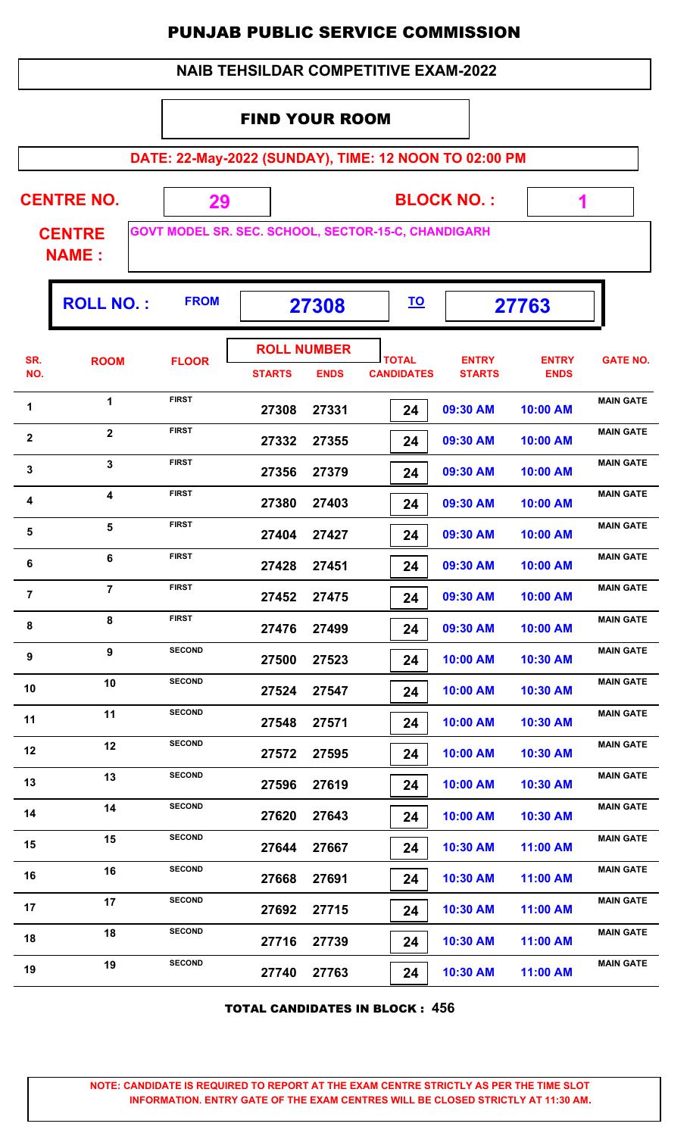|  | <b>NAIB TEHSILDAR COMPETITIVE EXAM-2022</b> |
|--|---------------------------------------------|
|--|---------------------------------------------|

#### FIND YOUR ROOM

**DATE: 22-May-2022 (SUNDAY), TIME: 12 NOON TO 02:00 PM**

**CENTRE NO.** 

**BLOCK NO. :**

 **1**

Ŧ

**CENTRE NAME :**

Г

**GOVT MODEL SR. SEC. SCHOOL, SECTOR-15-C, CHANDIGARH**

 **29**

|                | <b>ROLL NO.:</b>        | <b>FROM</b>   | 27308                               |             | <u>TO</u>                         |                               | 27763                       |                  |
|----------------|-------------------------|---------------|-------------------------------------|-------------|-----------------------------------|-------------------------------|-----------------------------|------------------|
| SR.<br>NO.     | <b>ROOM</b>             | <b>FLOOR</b>  | <b>ROLL NUMBER</b><br><b>STARTS</b> | <b>ENDS</b> | <b>TOTAL</b><br><b>CANDIDATES</b> | <b>ENTRY</b><br><b>STARTS</b> | <b>ENTRY</b><br><b>ENDS</b> | <b>GATE NO.</b>  |
| 1              | 1                       | <b>FIRST</b>  | 27308                               | 27331       | 24                                | 09:30 AM                      | 10:00 AM                    | <b>MAIN GATE</b> |
| $\mathbf{2}$   | $\overline{\mathbf{2}}$ | <b>FIRST</b>  | 27332                               | 27355       | 24                                | 09:30 AM                      | 10:00 AM                    | <b>MAIN GATE</b> |
| $\mathbf{3}$   | $\mathbf{3}$            | <b>FIRST</b>  | 27356                               | 27379       | 24                                | 09:30 AM                      | 10:00 AM                    | <b>MAIN GATE</b> |
| 4              | $\overline{\mathbf{4}}$ | <b>FIRST</b>  | 27380                               | 27403       | 24                                | 09:30 AM                      | 10:00 AM                    | <b>MAIN GATE</b> |
| ${\bf 5}$      | 5                       | <b>FIRST</b>  | 27404                               | 27427       | 24                                | 09:30 AM                      | 10:00 AM                    | <b>MAIN GATE</b> |
| 6              | 6                       | <b>FIRST</b>  | 27428                               | 27451       | 24                                | 09:30 AM                      | 10:00 AM                    | <b>MAIN GATE</b> |
| $\overline{7}$ | $\overline{7}$          | <b>FIRST</b>  | 27452                               | 27475       | 24                                | 09:30 AM                      | 10:00 AM                    | <b>MAIN GATE</b> |
| 8              | 8                       | <b>FIRST</b>  | 27476                               | 27499       | 24                                | 09:30 AM                      | 10:00 AM                    | <b>MAIN GATE</b> |
| 9              | 9                       | <b>SECOND</b> | 27500                               | 27523       | 24                                | 10:00 AM                      | 10:30 AM                    | <b>MAIN GATE</b> |
| 10             | 10                      | <b>SECOND</b> | 27524                               | 27547       | 24                                | 10:00 AM                      | 10:30 AM                    | <b>MAIN GATE</b> |
| 11             | 11                      | <b>SECOND</b> | 27548                               | 27571       | 24                                | 10:00 AM                      | 10:30 AM                    | <b>MAIN GATE</b> |
| 12             | 12                      | <b>SECOND</b> | 27572                               | 27595       | 24                                | 10:00 AM                      | 10:30 AM                    | <b>MAIN GATE</b> |
| 13             | 13                      | <b>SECOND</b> | 27596                               | 27619       | 24                                | 10:00 AM                      | 10:30 AM                    | <b>MAIN GATE</b> |
| 14             | 14                      | <b>SECOND</b> | 27620                               | 27643       | 24                                | 10:00 AM                      | 10:30 AM                    | <b>MAIN GATE</b> |
| 15             | 15                      | <b>SECOND</b> | 27644                               | 27667       | 24                                | 10:30 AM                      | 11:00 AM                    | <b>MAIN GATE</b> |
| 16             | 16                      | <b>SECOND</b> | 27668                               | 27691       | 24                                | 10:30 AM                      | 11:00 AM                    | <b>MAIN GATE</b> |
| 17             | 17                      | <b>SECOND</b> | 27692                               | 27715       | 24                                | 10:30 AM                      | 11:00 AM                    | <b>MAIN GATE</b> |
| 18             | 18                      | <b>SECOND</b> | 27716                               | 27739       | 24                                | 10:30 AM                      | 11:00 AM                    | <b>MAIN GATE</b> |
| 19             | 19                      | <b>SECOND</b> | 27740                               | 27763       | 24                                | 10:30 AM                      | 11:00 AM                    | <b>MAIN GATE</b> |

TOTAL CANDIDATES IN BLOCK : **456**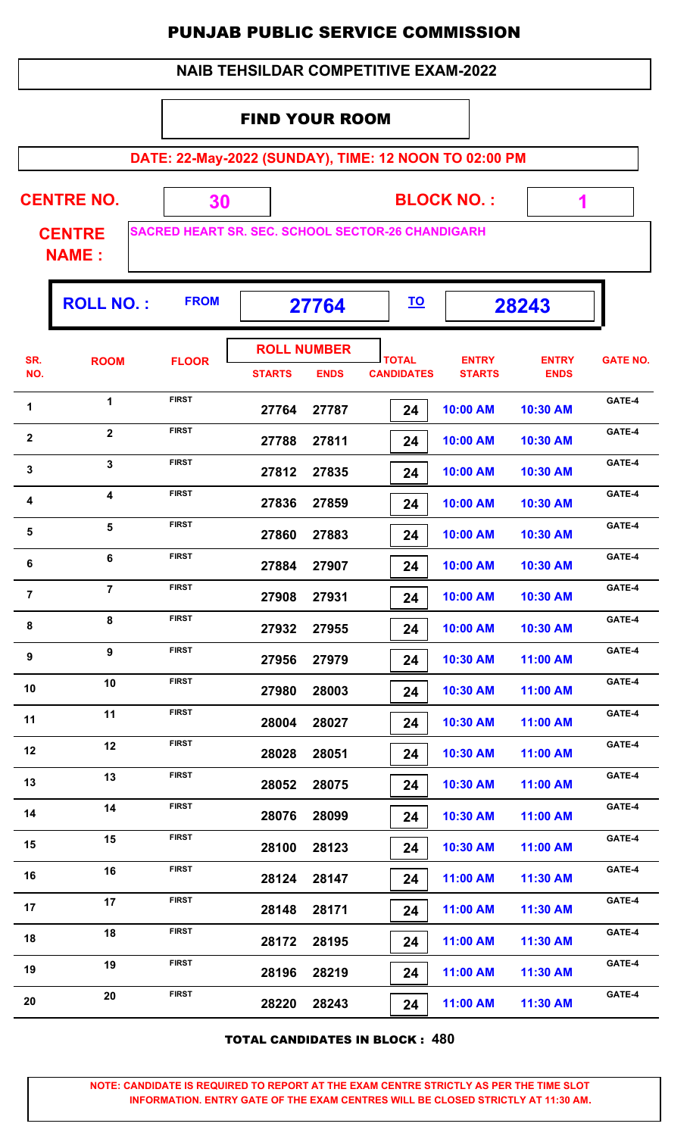| <b>NAIB TEHSILDAR COMPETITIVE EXAM-2022</b> |
|---------------------------------------------|
| EINIR VALIB BAAM                            |

#### FIND YOUR ROOM

**DATE: 22-May-2022 (SUNDAY), TIME: 12 NOON TO 02:00 PM**

| <b>CENTRE NO.</b> |  |
|-------------------|--|
|-------------------|--|

**BLOCK NO. :**

 **1**

ı,

**CENTRE NAME :**

**SACRED HEART SR. SEC. SCHOOL SECTOR-26 CHANDIGARH**

 **30**

|                | <b>ROLL NO.:</b> | <b>FROM</b>  |               | 27764                             |                                   |                               | 28243                       |                 |
|----------------|------------------|--------------|---------------|-----------------------------------|-----------------------------------|-------------------------------|-----------------------------|-----------------|
| SR.<br>NO.     | <b>ROOM</b>      | <b>FLOOR</b> | <b>STARTS</b> | <b>ROLL NUMBER</b><br><b>ENDS</b> | <b>TOTAL</b><br><b>CANDIDATES</b> | <b>ENTRY</b><br><b>STARTS</b> | <b>ENTRY</b><br><b>ENDS</b> | <b>GATE NO.</b> |
| 1              | 1                | <b>FIRST</b> | 27764         | 27787                             | 24                                | 10:00 AM                      | 10:30 AM                    | GATE-4          |
| $\mathbf{2}$   | $\overline{2}$   | <b>FIRST</b> | 27788         | 27811                             | 24                                | 10:00 AM                      | 10:30 AM                    | GATE-4          |
| $\mathbf{3}$   | $\mathbf{3}$     | <b>FIRST</b> | 27812         | 27835                             | 24                                | 10:00 AM                      | 10:30 AM                    | GATE-4          |
| 4              | 4                | <b>FIRST</b> | 27836         | 27859                             | 24                                | 10:00 AM                      | 10:30 AM                    | GATE-4          |
| ${\bf 5}$      | 5                | <b>FIRST</b> | 27860         | 27883                             | 24                                | 10:00 AM                      | 10:30 AM                    | GATE-4          |
| $\bf 6$        | 6                | <b>FIRST</b> | 27884         | 27907                             | 24                                | 10:00 AM                      | 10:30 AM                    | GATE-4          |
| $\overline{7}$ | $\overline{7}$   | <b>FIRST</b> | 27908         | 27931                             | 24                                | 10:00 AM                      | 10:30 AM                    | GATE-4          |
| 8              | 8                | <b>FIRST</b> | 27932         | 27955                             | 24                                | 10:00 AM                      | 10:30 AM                    | GATE-4          |
| 9              | 9                | <b>FIRST</b> | 27956         | 27979                             | 24                                | 10:30 AM                      | 11:00 AM                    | GATE-4          |
| 10             | 10               | <b>FIRST</b> | 27980         | 28003                             | 24                                | 10:30 AM                      | 11:00 AM                    | GATE-4          |
| 11             | 11               | <b>FIRST</b> | 28004         | 28027                             | 24                                | 10:30 AM                      | 11:00 AM                    | GATE-4          |
| 12             | 12               | <b>FIRST</b> | 28028         | 28051                             | 24                                | 10:30 AM                      | 11:00 AM                    | GATE-4          |
| 13             | 13               | <b>FIRST</b> | 28052         | 28075                             | 24                                | 10:30 AM                      | 11:00 AM                    | GATE-4          |
| 14             | 14               | <b>FIRST</b> | 28076         | 28099                             | 24                                | 10:30 AM                      | 11:00 AM                    | GATE-4          |
| 15             | 15               | <b>FIRST</b> | 28100         | 28123                             | 24                                | 10:30 AM                      | 11:00 AM                    | GATE-4          |
| 16             | 16               | <b>FIRST</b> | 28124         | 28147                             | 24                                | 11:00 AM                      | 11:30 AM                    | GATE-4          |
| 17             | 17               | <b>FIRST</b> | 28148         | 28171                             | 24                                | 11:00 AM                      | 11:30 AM                    | GATE-4          |
| 18             | 18               | <b>FIRST</b> | 28172         | 28195                             | 24                                | 11:00 AM                      | 11:30 AM                    | GATE-4          |
| 19             | 19               | <b>FIRST</b> | 28196         | 28219                             | 24                                | 11:00 AM                      | 11:30 AM                    | GATE-4          |
| 20             | 20               | <b>FIRST</b> | 28220         | 28243                             | 24                                | 11:00 AM                      | 11:30 AM                    | GATE-4          |
|                |                  |              |               |                                   |                                   |                               |                             |                 |

TOTAL CANDIDATES IN BLOCK : **480**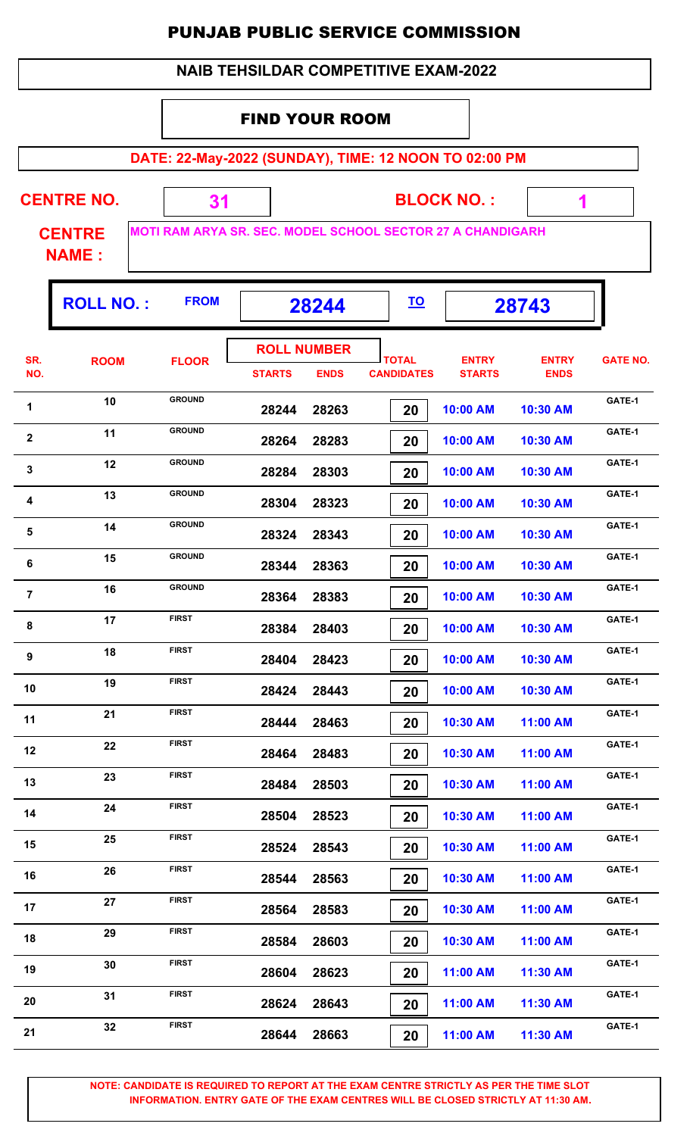#### FIND YOUR ROOM

**DATE: 22-May-2022 (SUNDAY), TIME: 12 NOON TO 02:00 PM**

**CENTRE NO.** 

**BLOCK NO. :**

 **1**

Ŧ

**CENTRE NAME :**

Г

**MOTI RAM ARYA SR. SEC. MODEL SCHOOL SECTOR 27 A CHANDIGARH**

 **31**

|                         | <b>ROLL NO.:</b> | <b>FROM</b>   | 28244                               |             | <u>TO</u>                         | 28743                         |                             |                 |
|-------------------------|------------------|---------------|-------------------------------------|-------------|-----------------------------------|-------------------------------|-----------------------------|-----------------|
| SR.<br>NO.              | <b>ROOM</b>      | <b>FLOOR</b>  | <b>ROLL NUMBER</b><br><b>STARTS</b> | <b>ENDS</b> | <b>TOTAL</b><br><b>CANDIDATES</b> | <b>ENTRY</b><br><b>STARTS</b> | <b>ENTRY</b><br><b>ENDS</b> | <b>GATE NO.</b> |
| 1                       | 10               | <b>GROUND</b> | 28244                               | 28263       | 20                                | 10:00 AM                      | 10:30 AM                    | GATE-1          |
| $\overline{\mathbf{2}}$ | 11               | <b>GROUND</b> | 28264                               | 28283       | 20                                | 10:00 AM                      | 10:30 AM                    | GATE-1          |
| $\mathbf{3}$            | 12               | <b>GROUND</b> | 28284                               | 28303       | 20                                | 10:00 AM                      | 10:30 AM                    | GATE-1          |
| 4                       | 13               | <b>GROUND</b> | 28304                               | 28323       | 20                                | 10:00 AM                      | 10:30 AM                    | GATE-1          |
| $\overline{\mathbf{5}}$ | 14               | <b>GROUND</b> | 28324                               | 28343       | 20                                | 10:00 AM                      | 10:30 AM                    | GATE-1          |
| 6                       | 15               | <b>GROUND</b> | 28344                               | 28363       | 20                                | 10:00 AM                      | 10:30 AM                    | GATE-1          |
| $\overline{7}$          | 16               | <b>GROUND</b> | 28364                               | 28383       | 20                                | 10:00 AM                      | 10:30 AM                    | GATE-1          |
| 8                       | 17               | <b>FIRST</b>  | 28384                               | 28403       | 20                                | 10:00 AM                      | 10:30 AM                    | GATE-1          |
| 9                       | 18               | <b>FIRST</b>  | 28404                               | 28423       | 20                                | 10:00 AM                      | 10:30 AM                    | GATE-1          |
| 10                      | 19               | <b>FIRST</b>  | 28424                               | 28443       | 20                                | 10:00 AM                      | 10:30 AM                    | GATE-1          |
| 11                      | 21               | <b>FIRST</b>  | 28444                               | 28463       | 20                                | 10:30 AM                      | 11:00 AM                    | GATE-1          |
| 12                      | 22               | <b>FIRST</b>  | 28464                               | 28483       | 20                                | 10:30 AM                      | 11:00 AM                    | GATE-1          |
| 13                      | 23               | <b>FIRST</b>  | 28484                               | 28503       | 20                                | 10:30 AM                      | 11:00 AM                    | GATE-1          |
| 14                      | 24               | <b>FIRST</b>  | 28504                               | 28523       | 20                                | 10:30 AM                      | 11:00 AM                    | GATE-1          |
| 15                      | 25               | <b>FIRST</b>  | 28524                               | 28543       | 20                                | 10:30 AM                      | 11:00 AM                    | GATE-1          |
| 16                      | 26               | <b>FIRST</b>  | 28544                               | 28563       | 20                                | 10:30 AM                      | 11:00 AM                    | GATE-1          |
| 17                      | 27               | <b>FIRST</b>  | 28564                               | 28583       | 20                                | 10:30 AM                      | 11:00 AM                    | GATE-1          |
| 18                      | 29               | <b>FIRST</b>  | 28584                               | 28603       | 20                                | 10:30 AM                      | 11:00 AM                    | GATE-1          |
| 19                      | 30               | <b>FIRST</b>  | 28604                               | 28623       | 20                                | 11:00 AM                      | 11:30 AM                    | GATE-1          |
| 20                      | 31               | <b>FIRST</b>  | 28624                               | 28643       | 20                                | 11:00 AM                      | 11:30 AM                    | GATE-1          |
| 21                      | 32               | <b>FIRST</b>  | 28644                               | 28663       | 20                                | 11:00 AM                      | 11:30 AM                    | GATE-1          |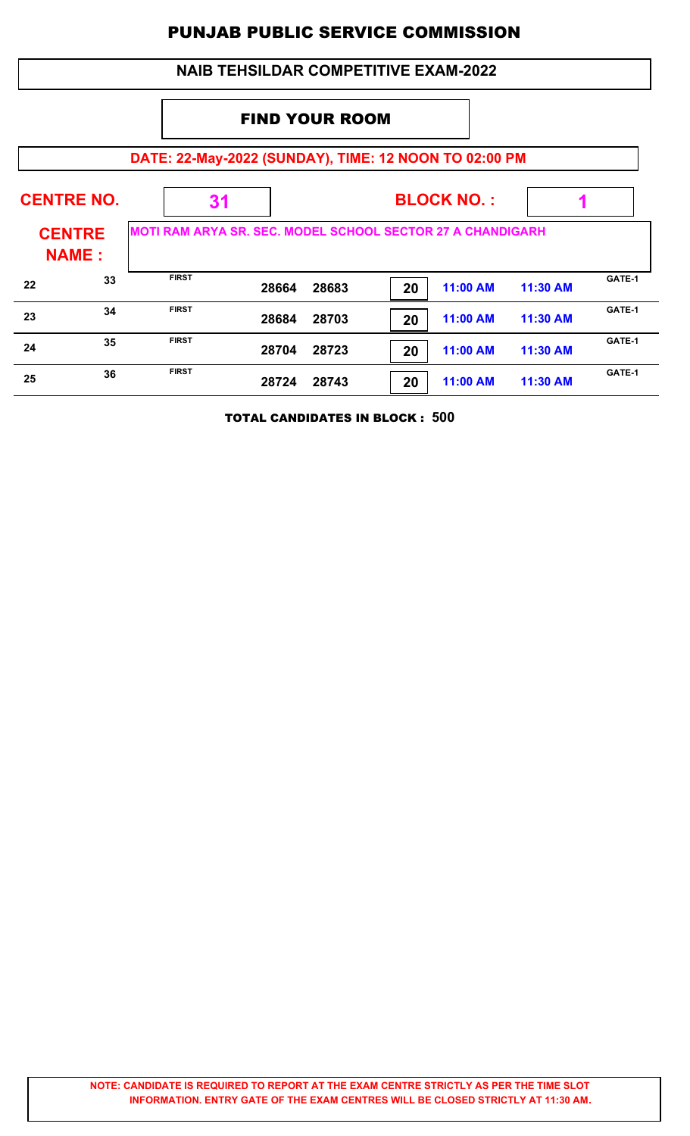| <b>NAIB TEHSILDAR COMPETITIVE EXAM-2022</b>  |                                                       |                                                                   |                       |       |    |                 |          |        |  |  |  |
|----------------------------------------------|-------------------------------------------------------|-------------------------------------------------------------------|-----------------------|-------|----|-----------------|----------|--------|--|--|--|
|                                              |                                                       |                                                                   | <b>FIND YOUR ROOM</b> |       |    |                 |          |        |  |  |  |
|                                              | DATE: 22-May-2022 (SUNDAY), TIME: 12 NOON TO 02:00 PM |                                                                   |                       |       |    |                 |          |        |  |  |  |
| <b>CENTRE NO.</b><br><b>BLOCK NO.:</b><br>31 |                                                       |                                                                   |                       |       |    |                 |          |        |  |  |  |
| <b>CENTRE</b><br><b>NAME:</b>                |                                                       | <b>MOTI RAM ARYA SR. SEC. MODEL SCHOOL SECTOR 27 A CHANDIGARH</b> |                       |       |    |                 |          |        |  |  |  |
| 22                                           | 33                                                    | <b>FIRST</b>                                                      | 28664                 | 28683 | 20 | 11:00 AM        | 11:30 AM | GATE-1 |  |  |  |
| 23                                           | 34                                                    | <b>FIRST</b>                                                      | 28684                 | 28703 | 20 | 11:00 AM        | 11:30 AM | GATE-1 |  |  |  |
| 24                                           | 35                                                    | <b>FIRST</b>                                                      | 28704                 | 28723 | 20 | <b>11:00 AM</b> | 11:30 AM | GATE-1 |  |  |  |
| 25                                           | 36                                                    | <b>FIRST</b>                                                      | 28724                 | 28743 | 20 | 11:00 AM        | 11:30 AM | GATE-1 |  |  |  |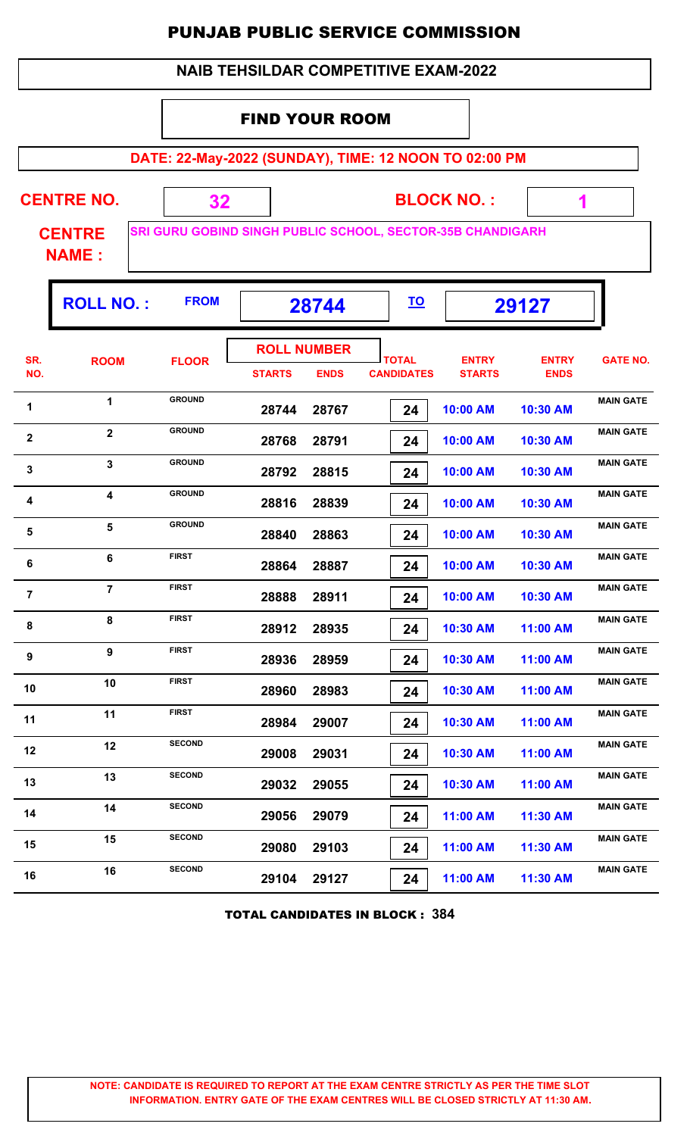| <b>NAIB TEHSILDAR COMPETITIVE EXAM-2022</b> |
|---------------------------------------------|
|---------------------------------------------|

#### FIND YOUR ROOM

**DATE: 22-May-2022 (SUNDAY), TIME: 12 NOON TO 02:00 PM**

**BLOCK NO. : CENTRE CENTRE NO. 32**

**SRI GURU GOBIND SINGH PUBLIC SCHOOL, SECTOR-35B CHANDIGARH**

 **1**

**NAME :**

|                         | <b>ROLL NO.:</b>        | <b>FROM</b>   | 28744         |                                   |                                   |                               | <u>TO</u>                   |                  | 29127 |  |
|-------------------------|-------------------------|---------------|---------------|-----------------------------------|-----------------------------------|-------------------------------|-----------------------------|------------------|-------|--|
| SR.<br>NO.              | <b>ROOM</b>             | <b>FLOOR</b>  | <b>STARTS</b> | <b>ROLL NUMBER</b><br><b>ENDS</b> | <b>TOTAL</b><br><b>CANDIDATES</b> | <b>ENTRY</b><br><b>STARTS</b> | <b>ENTRY</b><br><b>ENDS</b> | <b>GATE NO.</b>  |       |  |
| $\mathbf 1$             | $\mathbf 1$             | <b>GROUND</b> | 28744         | 28767                             | 24                                | 10:00 AM                      | 10:30 AM                    | <b>MAIN GATE</b> |       |  |
| $\mathbf{2}$            | $\overline{\mathbf{2}}$ | <b>GROUND</b> | 28768         | 28791                             | 24                                | 10:00 AM                      | 10:30 AM                    | <b>MAIN GATE</b> |       |  |
| $\mathbf{3}$            | 3                       | <b>GROUND</b> | 28792         | 28815                             | 24                                | 10:00 AM                      | 10:30 AM                    | <b>MAIN GATE</b> |       |  |
| 4                       | 4                       | <b>GROUND</b> | 28816         | 28839                             | 24                                | 10:00 AM                      | 10:30 AM                    | <b>MAIN GATE</b> |       |  |
| $\overline{\mathbf{5}}$ | 5                       | <b>GROUND</b> | 28840         | 28863                             | 24                                | 10:00 AM                      | 10:30 AM                    | <b>MAIN GATE</b> |       |  |
| $\bf 6$                 | 6                       | <b>FIRST</b>  | 28864         | 28887                             | 24                                | 10:00 AM                      | 10:30 AM                    | <b>MAIN GATE</b> |       |  |
| $\overline{7}$          | $\overline{7}$          | <b>FIRST</b>  | 28888         | 28911                             | 24                                | 10:00 AM                      | 10:30 AM                    | <b>MAIN GATE</b> |       |  |
| 8                       | 8                       | <b>FIRST</b>  | 28912         | 28935                             | 24                                | 10:30 AM                      | 11:00 AM                    | <b>MAIN GATE</b> |       |  |
| 9                       | 9                       | <b>FIRST</b>  | 28936         | 28959                             | 24                                | 10:30 AM                      | 11:00 AM                    | <b>MAIN GATE</b> |       |  |
| 10                      | 10                      | <b>FIRST</b>  | 28960         | 28983                             | 24                                | 10:30 AM                      | 11:00 AM                    | <b>MAIN GATE</b> |       |  |
| 11                      | 11                      | <b>FIRST</b>  | 28984         | 29007                             | 24                                | 10:30 AM                      | 11:00 AM                    | <b>MAIN GATE</b> |       |  |
| 12                      | 12                      | <b>SECOND</b> | 29008         | 29031                             | 24                                | 10:30 AM                      | 11:00 AM                    | <b>MAIN GATE</b> |       |  |
| 13                      | 13                      | <b>SECOND</b> | 29032         | 29055                             | 24                                | 10:30 AM                      | 11:00 AM                    | <b>MAIN GATE</b> |       |  |

TOTAL CANDIDATES IN BLOCK : **384**

14 **14 14 14 14 14 11:00 AM 11:30 AM MAIN GATE** 

15 **15 COND 29080 29103 24 11:00 AM 11:30 AM MAIN GATE** 

16 **MAIN GATE**<br>**29104 29127 <b>2910** 29127 **11:00 AM** 11:30 AM

 **29056 29079 24 11:00 AM 11:30 AM**

 **29080 29103 24 11:00 AM 11:30 AM**

 **29104 29127 24 11:00 AM 11:30 AM**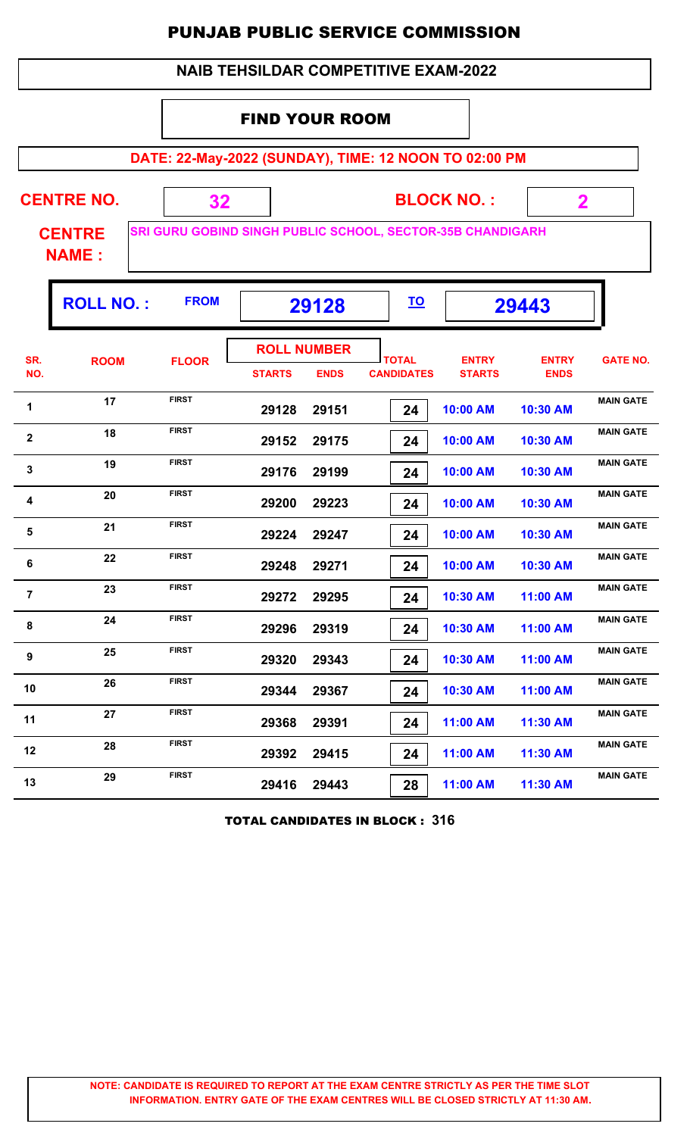| <b>NAIB TEHSILDAR COMPETITIVE EXAM-2022</b> |  |
|---------------------------------------------|--|
|---------------------------------------------|--|

#### FIND YOUR ROOM

**DATE: 22-May-2022 (SUNDAY), TIME: 12 NOON TO 02:00 PM**

| <b>CENTRE NO.</b> | <b>BLOCK NO.:</b>                                           |
|-------------------|-------------------------------------------------------------|
| <b>CENTRE</b>     | <b>SRI GURU GOBIND SINGH PUBLIC SCHOOL, SECTOR-35B CHAN</b> |

**35B CHANDIGARH** 

 **2**

T

**NAME :**

Г

|                | <b>ROLL NO.:</b> | <b>FROM</b>  | 29128                               |             |                                   |                               | <u>TO</u>                   |                  | 29443 |  |
|----------------|------------------|--------------|-------------------------------------|-------------|-----------------------------------|-------------------------------|-----------------------------|------------------|-------|--|
| SR.<br>NO.     | <b>ROOM</b>      | <b>FLOOR</b> | <b>ROLL NUMBER</b><br><b>STARTS</b> | <b>ENDS</b> | <b>TOTAL</b><br><b>CANDIDATES</b> | <b>ENTRY</b><br><b>STARTS</b> | <b>ENTRY</b><br><b>ENDS</b> | <b>GATE NO.</b>  |       |  |
| 1              | 17               | <b>FIRST</b> | 29128                               | 29151       | 24                                | 10:00 AM                      | 10:30 AM                    | <b>MAIN GATE</b> |       |  |
| $\mathbf{2}$   | 18               | <b>FIRST</b> | 29152                               | 29175       | 24                                | 10:00 AM                      | 10:30 AM                    | <b>MAIN GATE</b> |       |  |
| $\mathbf{3}$   | 19               | <b>FIRST</b> | 29176                               | 29199       | 24                                | 10:00 AM                      | 10:30 AM                    | <b>MAIN GATE</b> |       |  |
| 4              | 20               | <b>FIRST</b> | 29200                               | 29223       | 24                                | 10:00 AM                      | 10:30 AM                    | <b>MAIN GATE</b> |       |  |
| 5              | 21               | <b>FIRST</b> | 29224                               | 29247       | 24                                | 10:00 AM                      | 10:30 AM                    | <b>MAIN GATE</b> |       |  |
| 6              | 22               | <b>FIRST</b> | 29248                               | 29271       | 24                                | 10:00 AM                      | 10:30 AM                    | <b>MAIN GATE</b> |       |  |
| $\overline{7}$ | 23               | <b>FIRST</b> | 29272                               | 29295       | 24                                | 10:30 AM                      | 11:00 AM                    | <b>MAIN GATE</b> |       |  |
| 8              | 24               | <b>FIRST</b> | 29296                               | 29319       | 24                                | 10:30 AM                      | 11:00 AM                    | <b>MAIN GATE</b> |       |  |
| 9              | 25               | <b>FIRST</b> | 29320                               | 29343       | 24                                | 10:30 AM                      | 11:00 AM                    | <b>MAIN GATE</b> |       |  |
| 10             | 26               | <b>FIRST</b> | 29344                               | 29367       | 24                                | 10:30 AM                      | 11:00 AM                    | <b>MAIN GATE</b> |       |  |
| 11             | 27               | <b>FIRST</b> | 29368                               | 29391       | 24                                | 11:00 AM                      | 11:30 AM                    | <b>MAIN GATE</b> |       |  |
| 12             | 28               | <b>FIRST</b> | 29392                               | 29415       | 24                                | 11:00 AM                      | 11:30 AM                    | <b>MAIN GATE</b> |       |  |
| 13             | 29               | <b>FIRST</b> | 29416                               | 29443       | 28                                | 11:00 AM                      | 11:30 AM                    | <b>MAIN GATE</b> |       |  |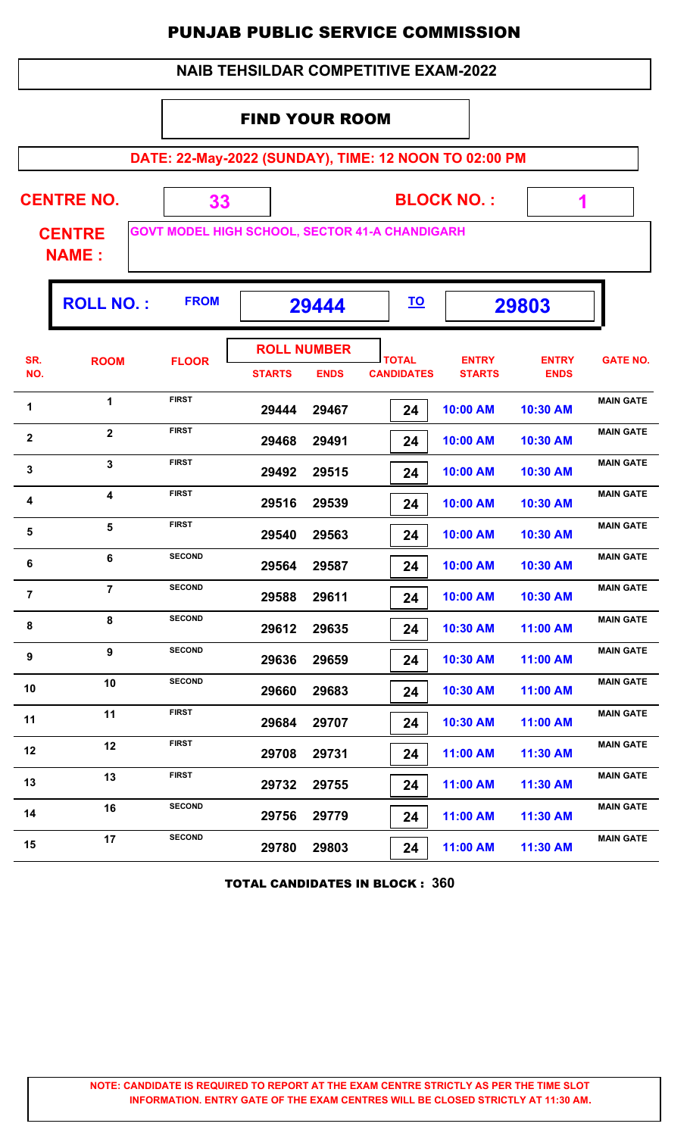|                |                                             |                                                       |                                     |             | <b>PUNJAB PUBLIC SERVICE COMMISSION</b> |                               |                             |                  |  |  |  |  |
|----------------|---------------------------------------------|-------------------------------------------------------|-------------------------------------|-------------|-----------------------------------------|-------------------------------|-----------------------------|------------------|--|--|--|--|
|                | <b>NAIB TEHSILDAR COMPETITIVE EXAM-2022</b> |                                                       |                                     |             |                                         |                               |                             |                  |  |  |  |  |
|                |                                             |                                                       | <b>FIND YOUR ROOM</b>               |             |                                         |                               |                             |                  |  |  |  |  |
|                |                                             | DATE: 22-May-2022 (SUNDAY), TIME: 12 NOON TO 02:00 PM |                                     |             |                                         |                               |                             |                  |  |  |  |  |
|                |                                             |                                                       |                                     |             |                                         |                               |                             |                  |  |  |  |  |
|                | <b>CENTRE NO.</b>                           | 33                                                    |                                     |             |                                         | <b>BLOCK NO.:</b>             | $\mathbf{1}$                |                  |  |  |  |  |
|                | <b>CENTRE</b><br><b>NAME:</b>               | <b>GOVT MODEL HIGH SCHOOL, SECTOR 41-A CHANDIGARH</b> |                                     |             |                                         |                               |                             |                  |  |  |  |  |
|                | <b>ROLL NO.:</b>                            | <b>FROM</b>                                           |                                     | 29444       | <u>TO</u>                               |                               | 29803                       |                  |  |  |  |  |
| SR.<br>NO.     | <b>ROOM</b>                                 | <b>FLOOR</b>                                          | <b>ROLL NUMBER</b><br><b>STARTS</b> | <b>ENDS</b> | <b>TOTAL</b><br><b>CANDIDATES</b>       | <b>ENTRY</b><br><b>STARTS</b> | <b>ENTRY</b><br><b>ENDS</b> | <b>GATE NO.</b>  |  |  |  |  |
| 1              | 1                                           | <b>FIRST</b>                                          | 29444                               | 29467       | 24                                      | 10:00 AM                      | 10:30 AM                    | <b>MAIN GATE</b> |  |  |  |  |
| $\mathbf{2}$   | $\mathbf{2}$                                | <b>FIRST</b>                                          | 29468                               | 29491       | 24                                      | 10:00 AM                      | 10:30 AM                    | <b>MAIN GATE</b> |  |  |  |  |
| $\mathbf{3}$   | 3                                           | <b>FIRST</b>                                          |                                     | 29492 29515 | 24                                      | 10:00 AM                      | 10:30 AM                    | <b>MAIN GATE</b> |  |  |  |  |
| 4              | 4                                           | <b>FIRST</b>                                          | 29516                               | 29539       | 24                                      | 10:00 AM                      | 10:30 AM                    | <b>MAIN GATE</b> |  |  |  |  |
| 5              | 5                                           | <b>FIRST</b>                                          | 29540                               | 29563       | 24                                      | 10:00 AM                      | 10:30 AM                    | <b>MAIN GATE</b> |  |  |  |  |
| 6              | 6                                           | <b>SECOND</b>                                         | 29564                               | 29587       | 24                                      | 10:00 AM                      | 10:30 AM                    | <b>MAIN GATE</b> |  |  |  |  |
| $\overline{7}$ | $\overline{7}$                              | <b>SECOND</b>                                         | 29588                               | 29611       | 24                                      | 10:00 AM                      | 10:30 AM                    | <b>MAIN GATE</b> |  |  |  |  |
| 8              | 8                                           | <b>SECOND</b>                                         | 29612                               | 29635       | 24                                      | 10:30 AM                      | 11:00 AM                    | <b>MAIN GATE</b> |  |  |  |  |
| 9              | 9                                           | <b>SECOND</b>                                         | 29636                               | 29659       | 24                                      | 10:30 AM                      | 11:00 AM                    | <b>MAIN GATE</b> |  |  |  |  |
| 10             | 10                                          | <b>SECOND</b>                                         | 29660                               | 29683       | 24                                      | 10:30 AM                      | 11:00 AM                    | <b>MAIN GATE</b> |  |  |  |  |
| 11             | 11                                          | <b>FIRST</b>                                          | 29684                               | 29707       | 24                                      | 10:30 AM                      | 11:00 AM                    | <b>MAIN GATE</b> |  |  |  |  |
| 12             | 12                                          | <b>FIRST</b>                                          | 29708                               | 29731       | 24                                      | 11:00 AM                      | 11:30 AM                    | <b>MAIN GATE</b> |  |  |  |  |
| 13             | 13                                          | <b>FIRST</b>                                          | 29732                               | 29755       | 24                                      | 11:00 AM                      | 11:30 AM                    | <b>MAIN GATE</b> |  |  |  |  |
| 14             | 16                                          | <b>SECOND</b>                                         | 29756                               | 29779       | 24                                      | 11:00 AM                      | 11:30 AM                    | <b>MAIN GATE</b> |  |  |  |  |
| 15             | 17                                          | <b>SECOND</b>                                         | 29780                               | 29803       | 24                                      | 11:00 AM                      | 11:30 AM                    | <b>MAIN GATE</b> |  |  |  |  |

TOTAL CANDIDATES IN BLOCK : **360**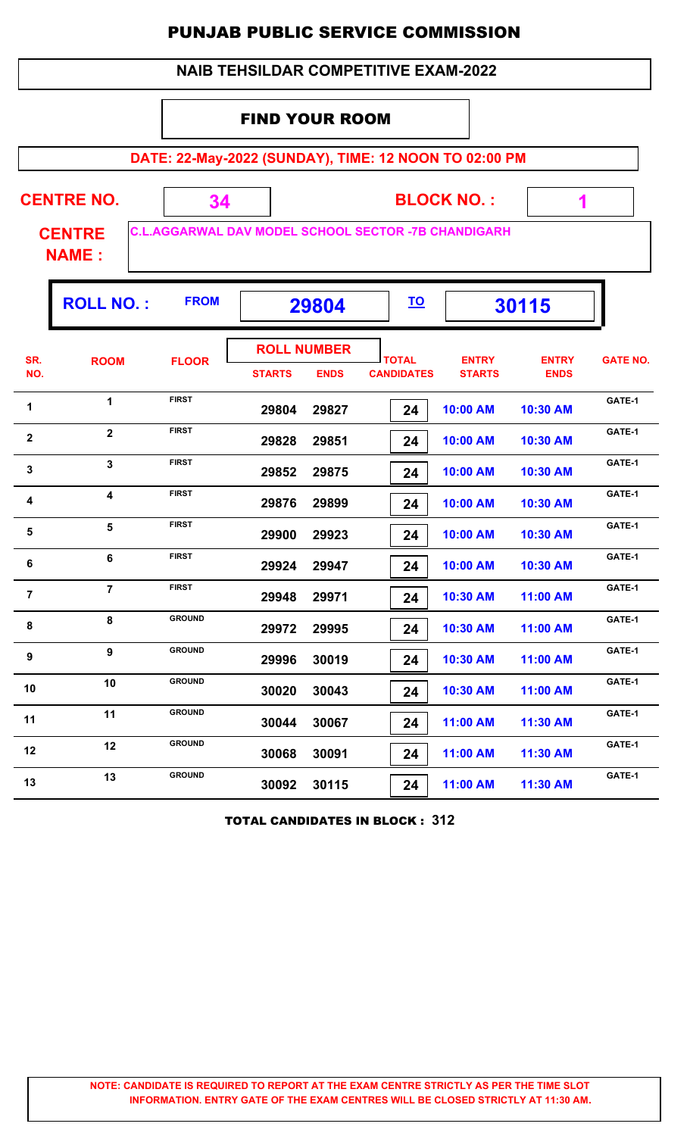|                  | 34                                                 |               |             |                                   |                               |                                                                  |                                                                                                                                                                              |
|------------------|----------------------------------------------------|---------------|-------------|-----------------------------------|-------------------------------|------------------------------------------------------------------|------------------------------------------------------------------------------------------------------------------------------------------------------------------------------|
|                  |                                                    |               |             |                                   |                               |                                                                  |                                                                                                                                                                              |
| <b>ROLL NO.:</b> | <b>FROM</b>                                        |               |             | <u>TO</u>                         |                               |                                                                  |                                                                                                                                                                              |
| <b>ROOM</b>      | <b>FLOOR</b>                                       | <b>STARTS</b> | <b>ENDS</b> | <b>TOTAL</b><br><b>CANDIDATES</b> | <b>ENTRY</b><br><b>STARTS</b> | <b>ENTRY</b><br><b>ENDS</b>                                      | <b>GATE NO.</b>                                                                                                                                                              |
| 1                | <b>FIRST</b>                                       | 29804         | 29827       | 24                                | 10:00 AM                      | 10:30 AM                                                         | GATE-1                                                                                                                                                                       |
| $\mathbf{2}$     | <b>FIRST</b>                                       | 29828         | 29851       | 24                                | 10:00 AM                      | 10:30 AM                                                         | GATE-1                                                                                                                                                                       |
| $\mathbf{3}$     | <b>FIRST</b>                                       | 29852         | 29875       | 24                                | 10:00 AM                      | 10:30 AM                                                         | GATE-1                                                                                                                                                                       |
| 4                | <b>FIRST</b>                                       | 29876         | 29899       | 24                                | 10:00 AM                      | 10:30 AM                                                         | GATE-1                                                                                                                                                                       |
| 5                | <b>FIRST</b>                                       | 29900         | 29923       | 24                                | 10:00 AM                      | 10:30 AM                                                         | GATE-1                                                                                                                                                                       |
| 6                | <b>FIRST</b>                                       | 29924         | 29947       | 24                                | 10:00 AM                      | 10:30 AM                                                         | GATE-1                                                                                                                                                                       |
| $\overline{7}$   | <b>FIRST</b>                                       | 29948         | 29971       | 24                                | 10:30 AM                      | 11:00 AM                                                         | GATE-1                                                                                                                                                                       |
| 8                | <b>GROUND</b>                                      | 29972         | 29995       | 24                                | 10:30 AM                      | 11:00 AM                                                         | GATE-1                                                                                                                                                                       |
| 9                | <b>GROUND</b>                                      | 29996         | 30019       | 24                                | 10:30 AM                      | 11:00 AM                                                         | GATE-1                                                                                                                                                                       |
| 10               | <b>GROUND</b>                                      | 30020         | 30043       | 24                                | 10:30 AM                      | 11:00 AM                                                         | GATE-1                                                                                                                                                                       |
| 11               | <b>GROUND</b>                                      | 30044         | 30067       | 24                                | 11:00 AM                      | 11:30 AM                                                         | GATE-1                                                                                                                                                                       |
|                  | <b>CENTRE NO.</b><br><b>CENTRE</b><br><b>NAME:</b> |               |             | 29804<br><b>ROLL NUMBER</b>       | <b>FIND YOUR ROOM</b>         | <b>NAIB TEHSILDAR COMPETITIVE EXAM-2022</b><br><b>BLOCK NO.:</b> | <b>PUNJAB PUBLIC SERVICE COMMISSION</b><br>DATE: 22-May-2022 (SUNDAY), TIME: 12 NOON TO 02:00 PM<br>1<br><b>C.L.AGGARWAL DAV MODEL SCHOOL SECTOR -7B CHANDIGARH</b><br>30115 |

TOTAL CANDIDATES IN BLOCK : **312**

**GATE-1<sup>12</sup> <sup>12</sup> GROUND**

**GATE-1<sup>13</sup> <sup>13</sup> GROUND**

 **30068 30091 24 11:00 AM 11:30 AM**

 **30092 30115 24 11:00 AM 11:30 AM**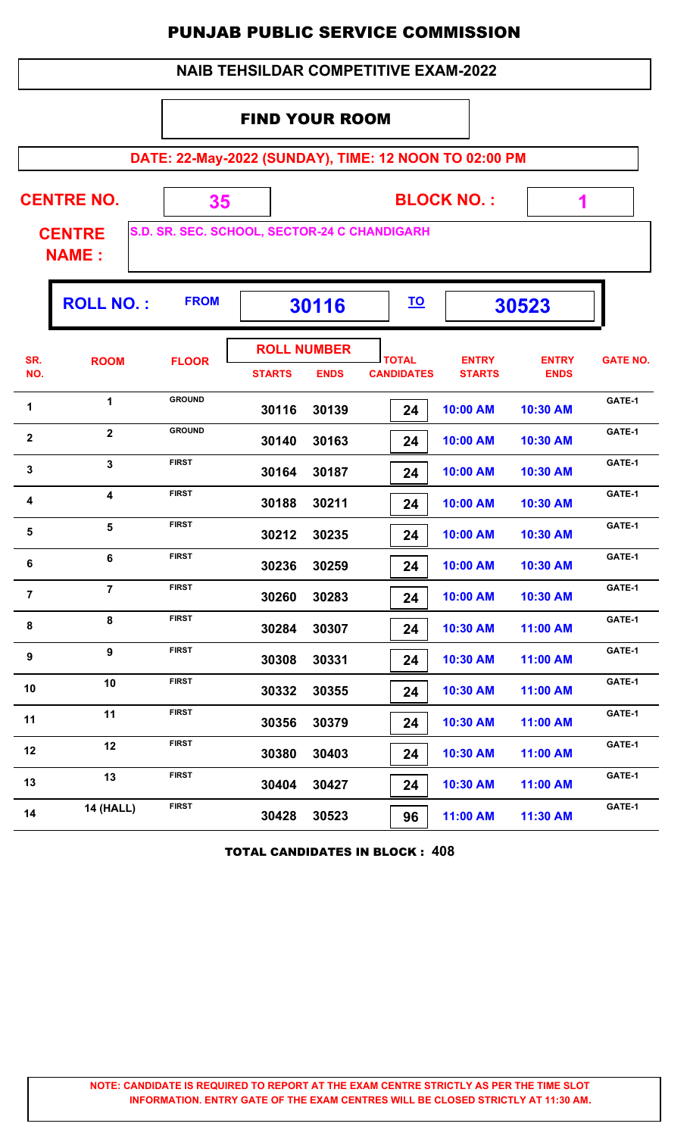|                                          |                                                    |               |                                                                        |             | <b>NAIB TEHSILDAR COMPETITIVE EXAM-2022</b>           |                               |                             |                 |  |  |  |
|------------------------------------------|----------------------------------------------------|---------------|------------------------------------------------------------------------|-------------|-------------------------------------------------------|-------------------------------|-----------------------------|-----------------|--|--|--|
| <b>FIND YOUR ROOM</b>                    |                                                    |               |                                                                        |             |                                                       |                               |                             |                 |  |  |  |
|                                          |                                                    |               |                                                                        |             | DATE: 22-May-2022 (SUNDAY), TIME: 12 NOON TO 02:00 PM |                               |                             |                 |  |  |  |
|                                          | <b>CENTRE NO.</b><br><b>CENTRE</b><br><b>NAME:</b> | 35            | <b>BLOCK NO.:</b><br>1<br>S.D. SR. SEC. SCHOOL, SECTOR-24 C CHANDIGARH |             |                                                       |                               |                             |                 |  |  |  |
| <b>ROLL NO.:</b><br><b>FROM</b><br>30116 |                                                    |               |                                                                        |             |                                                       |                               | 30523                       |                 |  |  |  |
| SR.<br>NO.                               | <b>ROOM</b>                                        | <b>FLOOR</b>  | <b>ROLL NUMBER</b><br><b>STARTS</b>                                    | <b>ENDS</b> | <b>TOTAL</b><br><b>CANDIDATES</b>                     | <b>ENTRY</b><br><b>STARTS</b> | <b>ENTRY</b><br><b>ENDS</b> | <b>GATE NO.</b> |  |  |  |
| 1                                        | $\mathbf{1}$                                       | <b>GROUND</b> | 30116                                                                  | 30139       | 24                                                    | 10:00 AM                      | 10:30 AM                    | GATE-1          |  |  |  |
| $\mathbf{2}$                             | $\mathbf{2}$                                       | <b>GROUND</b> | 30140                                                                  | 30163       | 24                                                    | 10:00 AM                      | 10:30 AM                    | GATE-1          |  |  |  |
| 3                                        | 3                                                  | <b>FIRST</b>  | 30164                                                                  | 30187       | 24                                                    | 10:00 AM                      | 10:30 AM                    | GATE-1          |  |  |  |
| 4                                        | 4                                                  | <b>FIRST</b>  | 30188                                                                  | 30211       | 24                                                    | 10:00 AM                      | 10:30 AM                    | GATE-1          |  |  |  |
| 5                                        | 5                                                  | <b>FIRST</b>  | 30212                                                                  | 30235       | 24                                                    | 10:00 AM                      | 10:30 AM                    | GATE-1          |  |  |  |
| 6                                        | 6                                                  | FIRST         | 30236                                                                  | 30259       | 24                                                    | 10:00 AM                      | 10:30 AM                    | GATE-1          |  |  |  |
| $\overline{7}$                           | $\overline{7}$                                     | <b>FIRST</b>  | 30260                                                                  | 30283       | 24                                                    | 10:00 AM                      | 10:30 AM                    | GATE-1          |  |  |  |
| 8                                        | 8                                                  | <b>FIRST</b>  | 30284                                                                  | 30307       | 24                                                    | 10:30 AM                      | 11:00 AM                    | GATE-1          |  |  |  |
| 9                                        | 9                                                  | <b>FIRST</b>  | 30308                                                                  | 30331       | 24                                                    | 10:30 AM                      | 11:00 AM                    | GATE-1          |  |  |  |
| 10                                       | 10                                                 | <b>FIRST</b>  | 30332                                                                  | 30355       | 24                                                    | 10:30 AM                      | 11:00 AM                    | GATE-1          |  |  |  |
| 11                                       | 11                                                 | <b>FIRST</b>  | 30356                                                                  | 30379       | 24                                                    | 10:30 AM                      | 11:00 AM                    | GATE-1          |  |  |  |
| 12                                       | 12                                                 | <b>FIRST</b>  | 30380                                                                  | 30403       | 24                                                    | 10:30 AM                      | 11:00 AM                    | GATE-1          |  |  |  |
| 13                                       | 13                                                 | <b>FIRST</b>  | 30404                                                                  | 30427       | 24                                                    | 10:30 AM                      | 11:00 AM                    | GATE-1          |  |  |  |
| 14                                       | <b>14 (HALL)</b>                                   | <b>FIRST</b>  | 30428                                                                  | 30523       | 96                                                    | 11:00 AM                      | 11:30 AM                    | GATE-1          |  |  |  |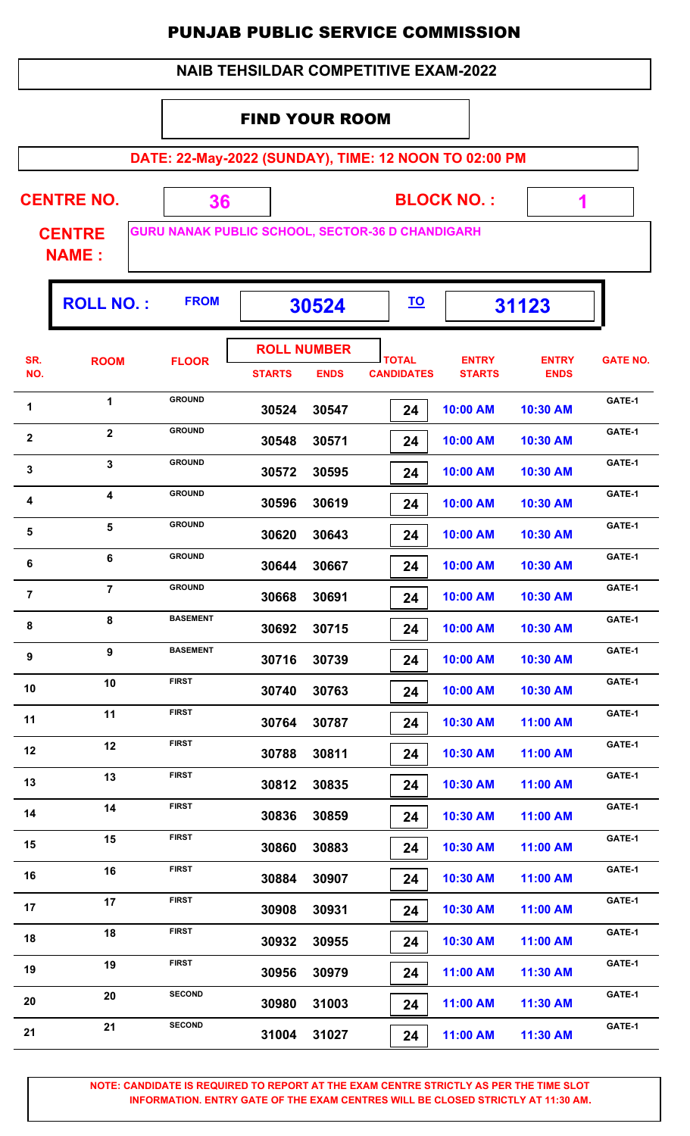#### FIND YOUR ROOM

**DATE: 22-May-2022 (SUNDAY), TIME: 12 NOON TO 02:00 PM**

 **1**

| <b>CENTRE NO.</b> |  | <b>BLOCK NO.:</b>                                       |
|-------------------|--|---------------------------------------------------------|
| <b>CENTRE</b>     |  | <b>GURU NANAK PUBLIC SCHOOL, SECTOR-36 D CHANDIGARH</b> |

**NAME :**

|                | <b>ROLL NO.:</b> | <b>FROM</b>     | 30524         |                                   | <u>TO</u>                         |                               | 31123                       |                 |
|----------------|------------------|-----------------|---------------|-----------------------------------|-----------------------------------|-------------------------------|-----------------------------|-----------------|
| SR.<br>NO.     | <b>ROOM</b>      | <b>FLOOR</b>    | <b>STARTS</b> | <b>ROLL NUMBER</b><br><b>ENDS</b> | <b>TOTAL</b><br><b>CANDIDATES</b> | <b>ENTRY</b><br><b>STARTS</b> | <b>ENTRY</b><br><b>ENDS</b> | <b>GATE NO.</b> |
| 1              | 1                | <b>GROUND</b>   | 30524         | 30547                             | 24                                | 10:00 AM                      | 10:30 AM                    | GATE-1          |
| $\mathbf{2}$   | $\overline{2}$   | <b>GROUND</b>   | 30548         | 30571                             | 24                                | 10:00 AM                      | 10:30 AM                    | GATE-1          |
| 3              | 3                | <b>GROUND</b>   | 30572         | 30595                             | 24                                | 10:00 AM                      | 10:30 AM                    | GATE-1          |
| 4              | 4                | <b>GROUND</b>   | 30596         | 30619                             | 24                                | 10:00 AM                      | 10:30 AM                    | GATE-1          |
| $\sqrt{5}$     | 5                | <b>GROUND</b>   | 30620         | 30643                             | 24                                | 10:00 AM                      | 10:30 AM                    | GATE-1          |
| 6              | 6                | <b>GROUND</b>   | 30644         | 30667                             | 24                                | 10:00 AM                      | 10:30 AM                    | GATE-1          |
| $\overline{7}$ | $\overline{7}$   | <b>GROUND</b>   | 30668         | 30691                             | 24                                | 10:00 AM                      | 10:30 AM                    | GATE-1          |
| 8              | 8                | <b>BASEMENT</b> | 30692         | 30715                             | 24                                | 10:00 AM                      | 10:30 AM                    | GATE-1          |
| 9              | 9                | <b>BASEMENT</b> | 30716         | 30739                             | 24                                | 10:00 AM                      | 10:30 AM                    | GATE-1          |
| 10             | 10               | <b>FIRST</b>    | 30740         | 30763                             | 24                                | 10:00 AM                      | 10:30 AM                    | GATE-1          |
| 11             | 11               | <b>FIRST</b>    | 30764         | 30787                             | 24                                | 10:30 AM                      | 11:00 AM                    | GATE-1          |
| 12             | 12               | <b>FIRST</b>    | 30788         | 30811                             | 24                                | 10:30 AM                      | 11:00 AM                    | GATE-1          |
| 13             | 13               | <b>FIRST</b>    | 30812         | 30835                             | 24                                | 10:30 AM                      | 11:00 AM                    | GATE-1          |
| 14             | 14               | <b>FIRST</b>    | 30836         | 30859                             | 24                                | 10:30 AM                      | 11:00 AM                    | GATE-1          |
| 15             | 15               | <b>FIRST</b>    | 30860         | 30883                             | 24                                | 10:30 AM                      | 11:00 AM                    | GATE-1          |
| 16             | 16               | <b>FIRST</b>    | 30884         | 30907                             | 24                                | 10:30 AM                      | 11:00 AM                    | GATE-1          |
| 17             | 17               | <b>FIRST</b>    | 30908         | 30931                             | 24                                | 10:30 AM                      | 11:00 AM                    | GATE-1          |
| 18             | 18               | <b>FIRST</b>    | 30932         | 30955                             | 24                                | 10:30 AM                      | 11:00 AM                    | GATE-1          |
| 19             | 19               | <b>FIRST</b>    | 30956         | 30979                             | 24                                | 11:00 AM                      | 11:30 AM                    | GATE-1          |
| 20             | 20               | <b>SECOND</b>   | 30980         | 31003                             | 24                                | 11:00 AM                      | 11:30 AM                    | GATE-1          |
| 21             | 21               | <b>SECOND</b>   | 31004         | 31027                             | 24                                | 11:00 AM                      | 11:30 AM                    | GATE-1          |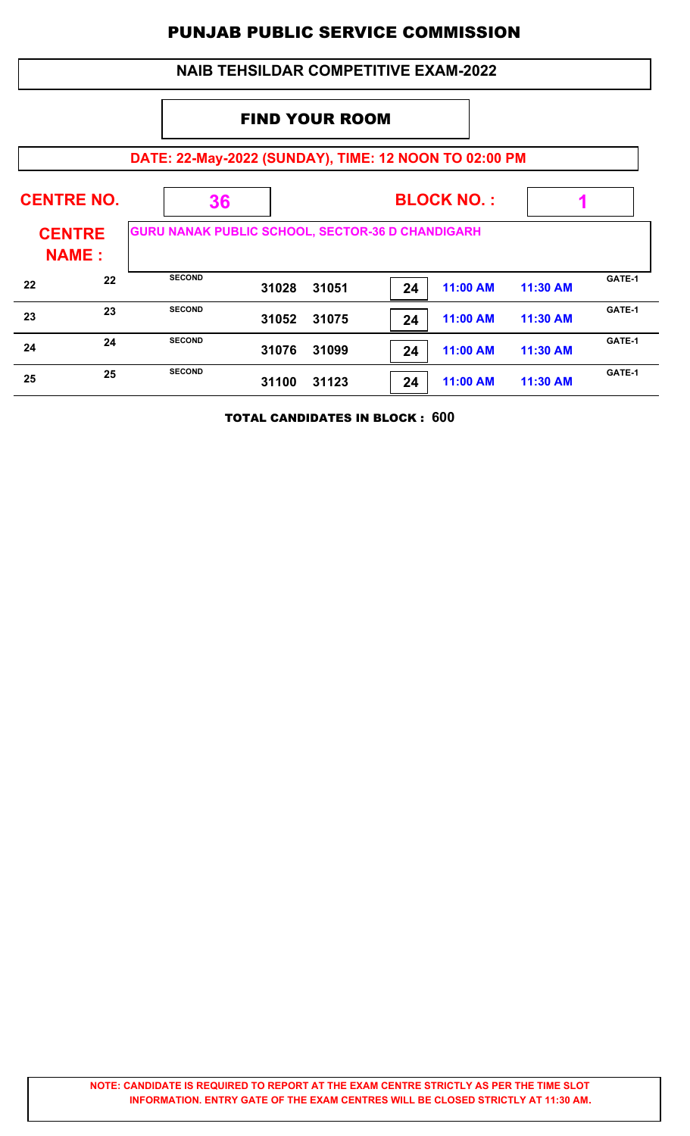|                                                       | <b>NAIB TEHSILDAR COMPETITIVE EXAM-2022</b> |                                                         |       |       |    |          |          |        |  |
|-------------------------------------------------------|---------------------------------------------|---------------------------------------------------------|-------|-------|----|----------|----------|--------|--|
|                                                       | <b>FIND YOUR ROOM</b>                       |                                                         |       |       |    |          |          |        |  |
| DATE: 22-May-2022 (SUNDAY), TIME: 12 NOON TO 02:00 PM |                                             |                                                         |       |       |    |          |          |        |  |
| <b>CENTRE NO.</b><br><b>BLOCK NO.:</b><br>36          |                                             |                                                         |       |       |    |          |          |        |  |
| <b>CENTRE</b><br><b>NAME:</b>                         |                                             | <b>GURU NANAK PUBLIC SCHOOL, SECTOR-36 D CHANDIGARH</b> |       |       |    |          |          |        |  |
| 22                                                    | 22                                          | <b>SECOND</b>                                           | 31028 | 31051 | 24 | 11:00 AM | 11:30 AM | GATE-1 |  |
| 23                                                    | 23                                          | <b>SECOND</b>                                           | 31052 | 31075 | 24 | 11:00 AM | 11:30 AM | GATE-1 |  |
| 24                                                    | 24                                          | <b>SECOND</b>                                           | 31076 | 31099 | 24 | 11:00 AM | 11:30 AM | GATE-1 |  |
| 25                                                    | 25                                          | <b>SECOND</b>                                           | 31100 | 31123 | 24 | 11:00 AM | 11:30 AM | GATE-1 |  |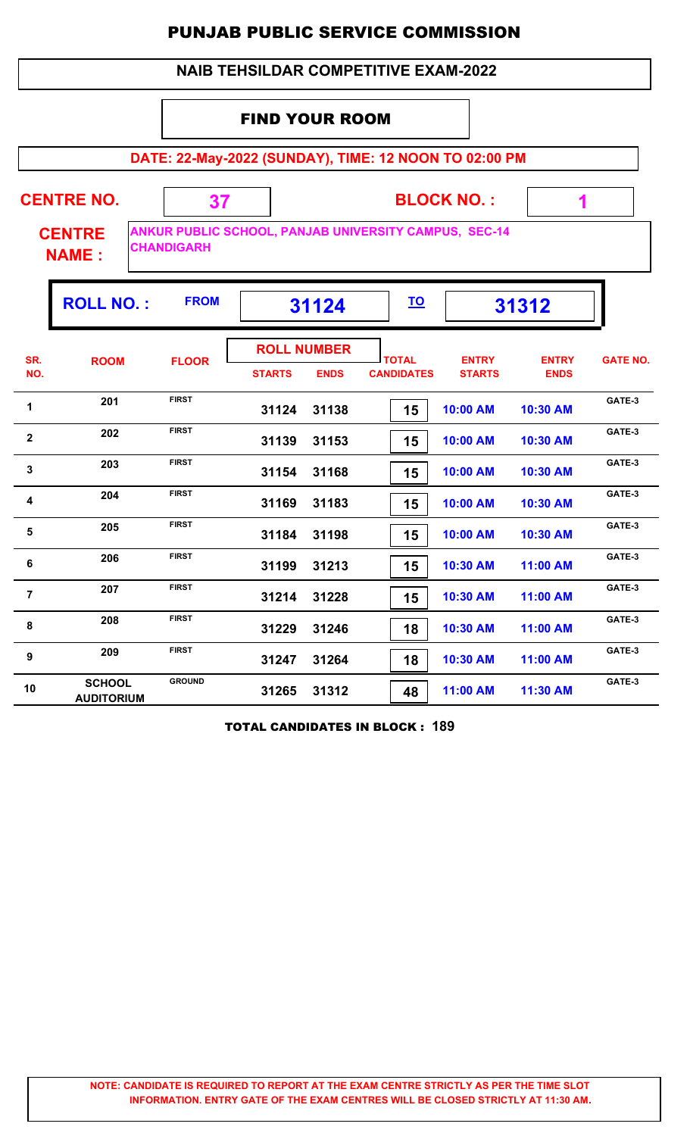#### **NAIB TEHSILDAR COMPETITIVE EXAM-2022**

#### FIND YOUR ROOM

**DATE: 22-May-2022 (SUNDAY), TIME: 12 NOON TO 02:00 PM**

| <b>CENTRE NO.</b>             |                   | <b>BLOCK NO.:</b>                                            |  |
|-------------------------------|-------------------|--------------------------------------------------------------|--|
| <b>CENTRE</b><br><b>NAME:</b> | <b>CHANDIGARH</b> | <b>ANKUR PUBLIC SCHOOL, PANJAB UNIVERSITY CAMPUS, SEC-14</b> |  |

|                | <b>ROLL NO.:</b>                   | <b>FROM</b>   |                    | 31124       | <u>TO</u>         |               | 31312        |                 |
|----------------|------------------------------------|---------------|--------------------|-------------|-------------------|---------------|--------------|-----------------|
| SR.            | <b>ROOM</b>                        | <b>FLOOR</b>  | <b>ROLL NUMBER</b> |             | <b>TOTAL</b>      | <b>ENTRY</b>  | <b>ENTRY</b> | <b>GATE NO.</b> |
| NO.            |                                    |               | <b>STARTS</b>      | <b>ENDS</b> | <b>CANDIDATES</b> | <b>STARTS</b> | <b>ENDS</b>  |                 |
| 1              | 201                                | <b>FIRST</b>  | 31124              | 31138       | 15                | 10:00 AM      | 10:30 AM     | GATE-3          |
| $\mathbf{2}$   | 202                                | <b>FIRST</b>  | 31139              | 31153       | 15                | 10:00 AM      | 10:30 AM     | GATE-3          |
| $\mathbf{3}$   | 203                                | <b>FIRST</b>  | 31154              | 31168       | 15                | 10:00 AM      | 10:30 AM     | GATE-3          |
| 4              | 204                                | <b>FIRST</b>  | 31169              | 31183       | 15                | 10:00 AM      | 10:30 AM     | GATE-3          |
| 5              | 205                                | <b>FIRST</b>  | 31184              | 31198       | 15                | 10:00 AM      | 10:30 AM     | GATE-3          |
| 6              | 206                                | <b>FIRST</b>  | 31199              | 31213       | 15                | 10:30 AM      | 11:00 AM     | GATE-3          |
| $\overline{7}$ | 207                                | <b>FIRST</b>  | 31214              | 31228       | 15                | 10:30 AM      | 11:00 AM     | GATE-3          |
| 8              | 208                                | <b>FIRST</b>  | 31229              | 31246       | 18                | 10:30 AM      | 11:00 AM     | GATE-3          |
| 9              | 209                                | <b>FIRST</b>  | 31247              | 31264       | 18                | 10:30 AM      | 11:00 AM     | GATE-3          |
| 10             | <b>SCHOOL</b><br><b>AUDITORIUM</b> | <b>GROUND</b> | 31265              | 31312       | 48                | 11:00 AM      | 11:30 AM     | GATE-3          |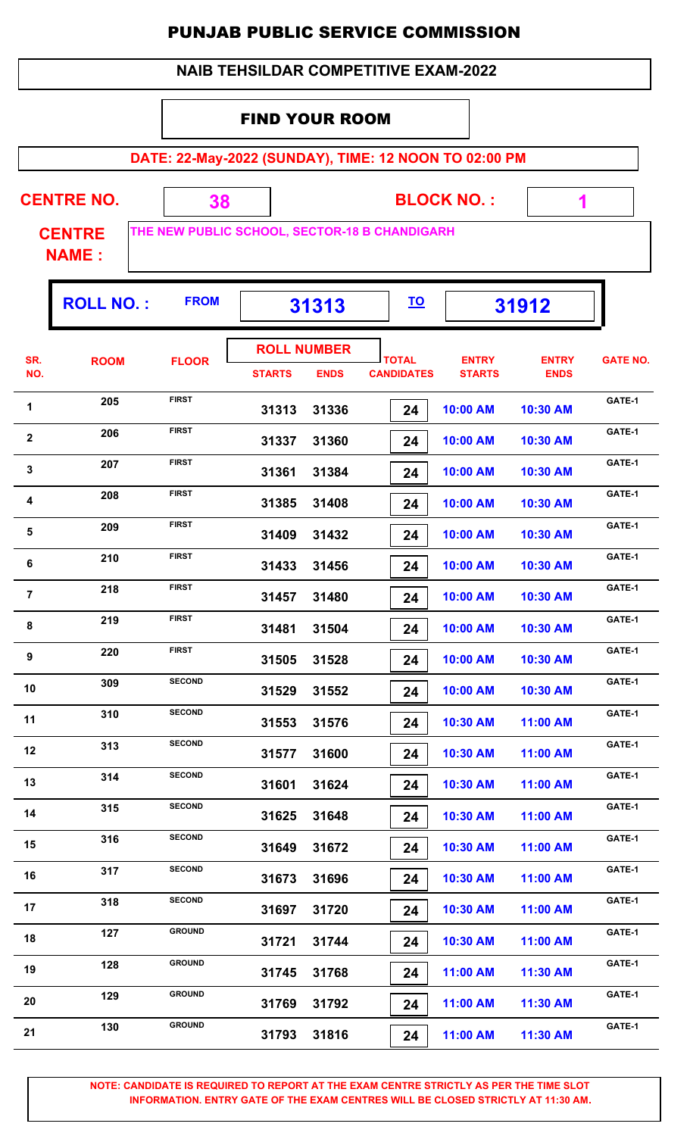|  | <b>NAIB TEHSILDAR COMPETITIVE EXAM-2022</b> |
|--|---------------------------------------------|
|--|---------------------------------------------|

#### FIND YOUR ROOM

**DATE: 22-May-2022 (SUNDAY), TIME: 12 NOON TO 02:00 PM**

**CENTRE NO.** 

**BLOCK NO. :**

 **1**

ŋ.

**CENTRE NAME :**

**THE NEW PUBLIC SCHOOL, SECTOR-18 B CHANDIGARH**

 **38**

|                | <b>ROLL NO.:</b> | <b>FROM</b>   | 31313                               |             | <u>TO</u>                         |                               | 31912                       |                 |
|----------------|------------------|---------------|-------------------------------------|-------------|-----------------------------------|-------------------------------|-----------------------------|-----------------|
| SR.<br>NO.     | <b>ROOM</b>      | <b>FLOOR</b>  | <b>ROLL NUMBER</b><br><b>STARTS</b> | <b>ENDS</b> | <b>TOTAL</b><br><b>CANDIDATES</b> | <b>ENTRY</b><br><b>STARTS</b> | <b>ENTRY</b><br><b>ENDS</b> | <b>GATE NO.</b> |
| 1              | 205              | <b>FIRST</b>  | 31313                               | 31336       | 24                                | 10:00 AM                      | 10:30 AM                    | GATE-1          |
| $\mathbf 2$    | 206              | <b>FIRST</b>  | 31337                               | 31360       | 24                                | 10:00 AM                      | 10:30 AM                    | GATE-1          |
| $\mathbf 3$    | 207              | <b>FIRST</b>  | 31361                               | 31384       | 24                                | 10:00 AM                      | 10:30 AM                    | GATE-1          |
| 4              | 208              | <b>FIRST</b>  | 31385                               | 31408       | 24                                | 10:00 AM                      | 10:30 AM                    | GATE-1          |
| 5              | 209              | <b>FIRST</b>  | 31409                               | 31432       | 24                                | 10:00 AM                      | 10:30 AM                    | GATE-1          |
| 6              | 210              | <b>FIRST</b>  | 31433                               | 31456       | 24                                | 10:00 AM                      | 10:30 AM                    | GATE-1          |
| $\overline{7}$ | 218              | <b>FIRST</b>  | 31457                               | 31480       | 24                                | 10:00 AM                      | 10:30 AM                    | GATE-1          |
| 8              | 219              | <b>FIRST</b>  | 31481                               | 31504       | 24                                | 10:00 AM                      | 10:30 AM                    | GATE-1          |
| 9              | 220              | <b>FIRST</b>  | 31505                               | 31528       | 24                                | 10:00 AM                      | 10:30 AM                    | GATE-1          |
| 10             | 309              | <b>SECOND</b> | 31529                               | 31552       | 24                                | 10:00 AM                      | 10:30 AM                    | GATE-1          |
| 11             | 310              | <b>SECOND</b> | 31553                               | 31576       | 24                                | 10:30 AM                      | 11:00 AM                    | GATE-1          |
| 12             | 313              | <b>SECOND</b> | 31577                               | 31600       | 24                                | 10:30 AM                      | 11:00 AM                    | GATE-1          |
| 13             | 314              | <b>SECOND</b> | 31601                               | 31624       | 24                                | 10:30 AM                      | 11:00 AM                    | GATE-1          |
| 14             | 315              | <b>SECOND</b> | 31625                               | 31648       | 24                                | 10:30 AM                      | 11:00 AM                    | GATE-1          |
| 15             | 316              | <b>SECOND</b> | 31649                               | 31672       | 24                                | 10:30 AM                      | 11:00 AM                    | GATE-1          |
| 16             | 317              | <b>SECOND</b> | 31673                               | 31696       | 24                                | 10:30 AM                      | 11:00 AM                    | GATE-1          |
| 17             | 318              | <b>SECOND</b> | 31697                               | 31720       | 24                                | 10:30 AM                      | 11:00 AM                    | GATE-1          |
| 18             | 127              | <b>GROUND</b> | 31721                               | 31744       | 24                                | 10:30 AM                      | 11:00 AM                    | GATE-1          |
| 19             | 128              | <b>GROUND</b> | 31745                               | 31768       | 24                                | 11:00 AM                      | 11:30 AM                    | GATE-1          |
| 20             | 129              | <b>GROUND</b> | 31769                               | 31792       | 24                                | 11:00 AM                      | 11:30 AM                    | GATE-1          |
| 21             | 130              | <b>GROUND</b> | 31793                               | 31816       | 24                                | 11:00 AM                      | 11:30 AM                    | GATE-1          |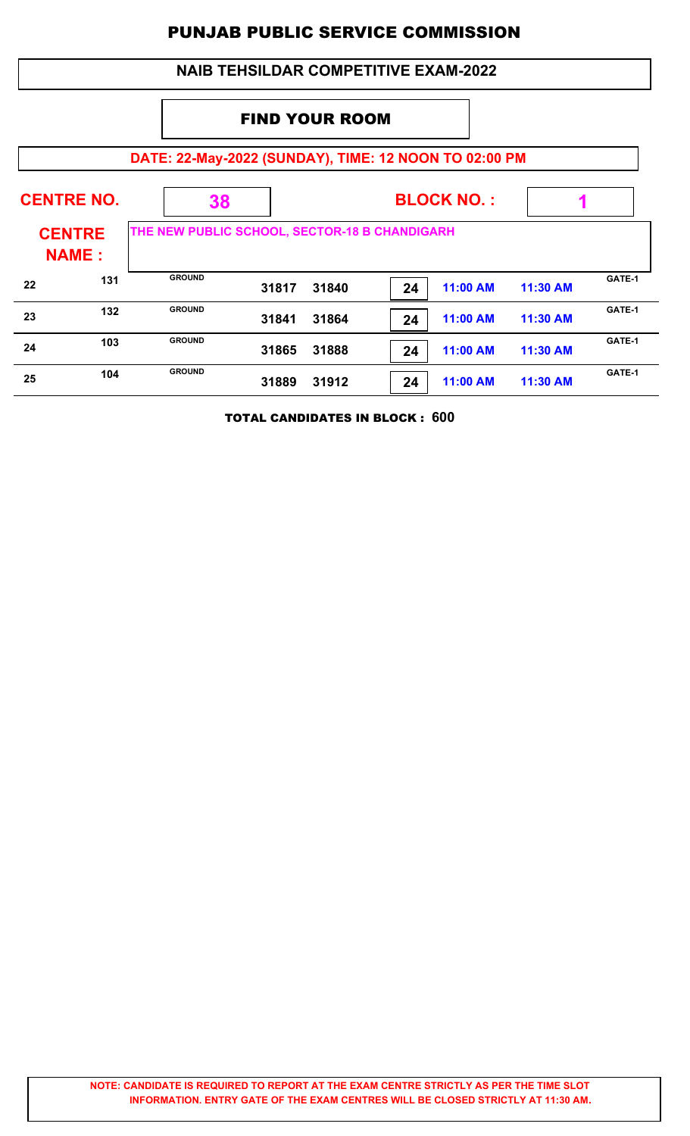### **DATE: 22-May-2022 (SUNDAY), TIME: 12 NOON TO 02:00 PM BLOCK NO. : CENTRE NAME : CENTRE NO. 38 THE NEW PUBLIC SCHOOL, SECTOR-18 B CHANDIGARH 1** FIND YOUR ROOM  **NAIB TEHSILDAR COMPETITIVE EXAM-2022 31817 31840 24 11:00 AM 11:30 AM 22 131 GROUND 31817 31840 24 11:00 AM 11:30 AM GATE-1 31841 31864 24 11:00 AM 11:30 AM 23 132 GROUND 31841 31864 24 11:00 AM 11:30 AM GATE-1 31865 31888 24 11:00 AM 11:30 AM 24 103** GROUND **31865 31888 24 11:00 AM 11:30 AM GATE-1 31889 31912 24 11:00 AM 11:30 AM 25 104** GROUND **31889 31912 24 11:00 AM 11:30 AM GATE-1**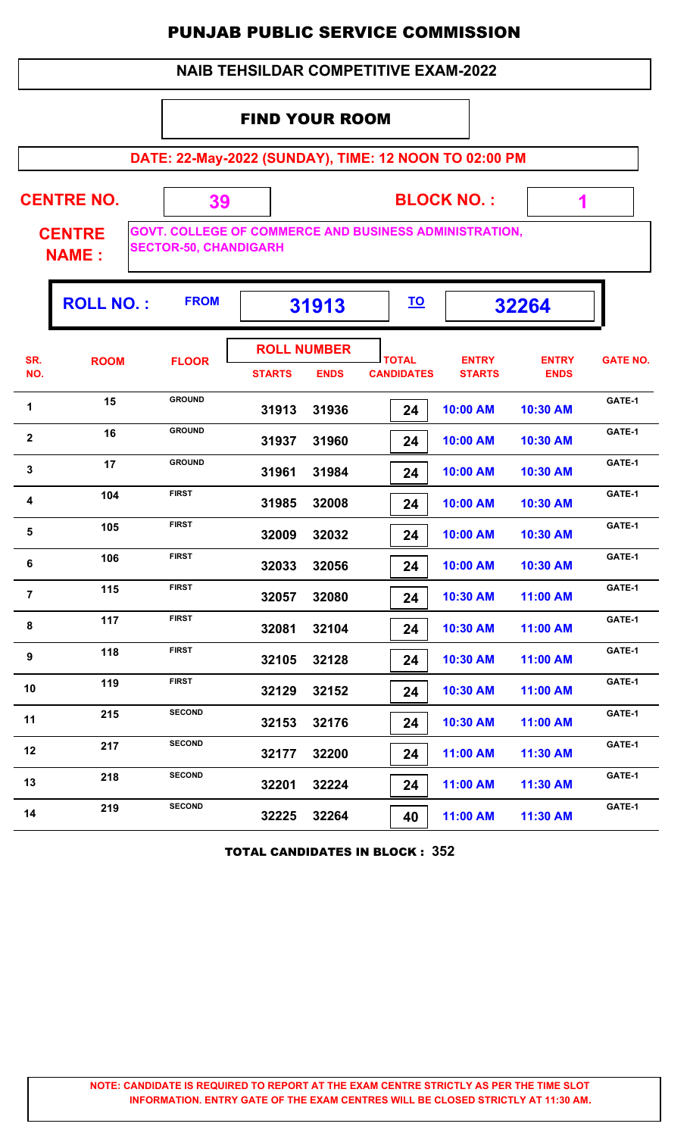#### **NAIB TEHSILDAR COMPETITIVE EXAM-2022**

#### FIND YOUR ROOM

**DATE: 22-May-2022 (SUNDAY), TIME: 12 NOON TO 02:00 PM**

**CENTRE NO.** 

**BLOCK NO. :**

 **1**

ı,

**CENTRE NAME :**

**GOVT. COLLEGE OF COMMERCE AND BUSINESS ADMINISTRATION, SECTOR-50, CHANDIGARH**

 **39**

|                         | <b>ROLL NO.:</b> | <b>FROM</b>   | 31913                               |             | <u>TO</u>                         |                               | 32264                       |                 |
|-------------------------|------------------|---------------|-------------------------------------|-------------|-----------------------------------|-------------------------------|-----------------------------|-----------------|
| SR.<br>NO.              | <b>ROOM</b>      | <b>FLOOR</b>  | <b>ROLL NUMBER</b><br><b>STARTS</b> | <b>ENDS</b> | <b>TOTAL</b><br><b>CANDIDATES</b> | <b>ENTRY</b><br><b>STARTS</b> | <b>ENTRY</b><br><b>ENDS</b> | <b>GATE NO.</b> |
| 1                       | 15               | <b>GROUND</b> | 31913                               | 31936       | 24                                | 10:00 AM                      | 10:30 AM                    | GATE-1          |
| $\overline{\mathbf{2}}$ | 16               | <b>GROUND</b> | 31937                               | 31960       | 24                                | 10:00 AM                      | 10:30 AM                    | GATE-1          |
| $\mathbf 3$             | 17               | <b>GROUND</b> | 31961                               | 31984       | 24                                | 10:00 AM                      | 10:30 AM                    | GATE-1          |
| 4                       | 104              | <b>FIRST</b>  | 31985                               | 32008       | 24                                | 10:00 AM                      | 10:30 AM                    | GATE-1          |
| 5                       | 105              | <b>FIRST</b>  | 32009                               | 32032       | 24                                | 10:00 AM                      | 10:30 AM                    | GATE-1          |
| 6                       | 106              | <b>FIRST</b>  | 32033                               | 32056       | 24                                | 10:00 AM                      | 10:30 AM                    | GATE-1          |
| $\overline{7}$          | 115              | <b>FIRST</b>  | 32057                               | 32080       | 24                                | 10:30 AM                      | 11:00 AM                    | GATE-1          |
| 8                       | 117              | <b>FIRST</b>  | 32081                               | 32104       | 24                                | 10:30 AM                      | 11:00 AM                    | GATE-1          |
| 9                       | 118              | <b>FIRST</b>  | 32105                               | 32128       | 24                                | 10:30 AM                      | 11:00 AM                    | GATE-1          |
| 10                      | 119              | <b>FIRST</b>  | 32129                               | 32152       | 24                                | 10:30 AM                      | 11:00 AM                    | GATE-1          |
| 11                      | 215              | <b>SECOND</b> | 32153                               | 32176       | 24                                | 10:30 AM                      | 11:00 AM                    | GATE-1          |
| 12                      | 217              | <b>SECOND</b> | 32177                               | 32200       | 24                                | 11:00 AM                      | 11:30 AM                    | GATE-1          |
| 13                      | 218              | <b>SECOND</b> | 32201                               | 32224       | 24                                | 11:00 AM                      | 11:30 AM                    | GATE-1          |
| 14                      | 219              | <b>SECOND</b> | 32225                               | 32264       | 40                                | 11:00 AM                      | 11:30 AM                    | GATE-1          |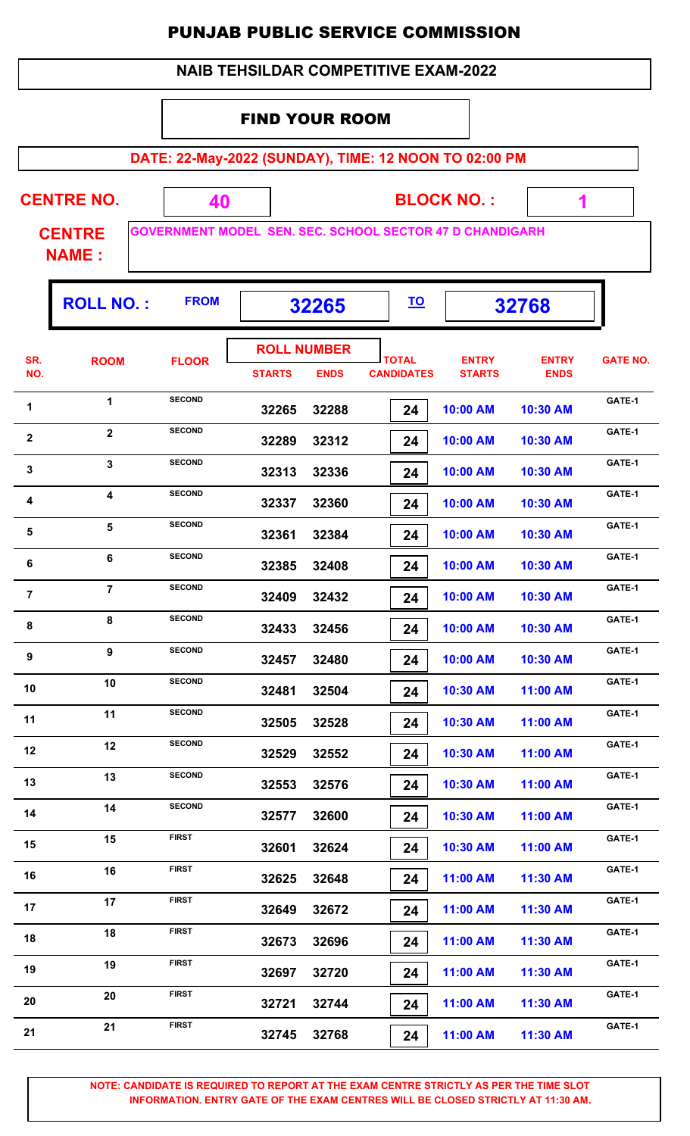#### FIND YOUR ROOM

**DATE: 22-May-2022 (SUNDAY), TIME: 12 NOON TO 02:00 PM**

 **1**

| <b>CENTRE NO.</b>             | <b>BLOCK NO.:</b>                                               |
|-------------------------------|-----------------------------------------------------------------|
| <b>CENTRE</b><br><b>NAME:</b> | <b>GOVERNMENT MODEL SEN. SEC. SCHOOL SECTOR 47 D CHANDIGARH</b> |

**ROLL NO. : 32265 32768 FROM TO TOTAL STARTS ENDS CANDIDATES SR. NO.** ROOM FLOOR **International FLOOR** *ENTRY* **STARTS ENTRY ENDS FLOOR GATE NO. ROLL NUMBER 32265 32288 24 10:00 AM 10:30 AM** 1 **1 SECOND 32265 32288 24 10:00 AM 10:30 AM GATE-1 SECOND 32289 32312 24 10:00 AM 10:30 AM 2 BECOND GATE-1**<br>**CATE-1**<br>**2 2 2 CATE-1 SECOND 32313 32336 24 10:00 AM 10:30 AM** 3 **SECOND** 32313 32336 **24 10:00 AM** 10:30 AM GATE-1 **SECOND 32337 32360 24 10:00 AM 10:30 AM** 4 **GATE-1**<br>**4 GATE-1**<br>**32337 32360 <b>24 10:00 AM 10:30 AM GATE-1 SECOND 32361 32384 24 10:00 AM 10:30 AM** 5 **5 SECOND GATE-1**<br>**5 SECOND 32361 32384 74 10:00 AM 10:30 AM GATE-1 SECOND 32385 32408 24 10:00 AM 10:30 AM 6 GATE-1**<br>**6 GATE-1**<br>**32385 32408 74 10:00 AM 10:30 AM GATE-1 SECOND 32409 32432 24 10:00 AM 10:30 AM GATE-1<sup>7</sup> <sup>7</sup> SECOND 32433 32456 24 10:00 AM 10:30 AM** 8 **BECOND CATE-1**<br>**B BECOND CATE-1**<br>**B BECOND CATE-1 SECOND 32457 32480 24 10:00 AM 10:30 AM 9 BECOND GATE-1**<br>**CATE-1**<br>**BECOND CATE-1**<br>**BECOND CATE-1 SECOND 32481 32504 24 10:30 AM 11:00 AM** 10 **GATE-1**<br>**CATE-1**<br>**BATE-1**<br>**CATE-1**<br>**BATE-1**<br>**CATE-1 32505 32528 24 10:30 AM 11:00 AM** 11 **11 SECOND 32505 32528 10:30 AM 11:00 AM GATE-1 32529 32552 24 10:30 AM 11:00 AM** 12 **SECOND 32529 32552 24 10:30 AM 11:00 AM GATE-1 32553 32576 24 10:30 AM 11:00 AM** 13 **SECOND CATE-1**<br>**13 CATE-1**<br>**32553 32576 24 10:30 AM 11:00 AM GATE-1 32577 32600 24 10:30 AM 11:00 AM** 14 **SECOND CATE-1**<br>**32577 32600 24 10:30 AM 11:00 AM GATE-1 32601 32624 24 10:30 AM 11:00 AM** 15 **FIRST GATE-1**<br>**32601 32624 24 10:30 AM 11:00 AM GATE-1 32625 32648 24 11:00 AM 11:30 AM** 16 **FIRST GATE-1**<br>**32625 32648 24 11:00 AM 11:30 AM GATE-1 32649 32672 24 11:00 AM 11:30 AM** 17 **FIRST GATE-1**<br>**32649 32672 24 11:00 AM** 11:30 AM  **32673 32696 24 11:00 AM 11:30 AM** 18 FIRST 32673 32696 **24 11:00 AM** 11:30 AM GATE-1  **32697 32720 24 11:00 AM 11:30 AM 19 EIRST CATE-1**<br>**32697 32720 24 11:00 AM 11:30 AM GATE-1 32721 32744 24 11:00 AM 11:30 AM 20 EIRST CATE-1 CATE-1 CATE-1 CATE-1 CATE-1 CATE-1 CATE-1 CATE-1 21 EIRST CATE-1 CATE-1 CATE-1 CATE-1 CATE-1 CATE-1 CATE-1** 

> **NOTE: CANDIDATE IS REQUIRED TO REPORT AT THE EXAM CENTRE STRICTLY AS PER THE TIME SLOT INFORMATION. ENTRY GATE OF THE EXAM CENTRES WILL BE CLOSED STRICTLY AT 11:30 AM.**

 **32745 32768 24 11:00 AM 11:30 AM**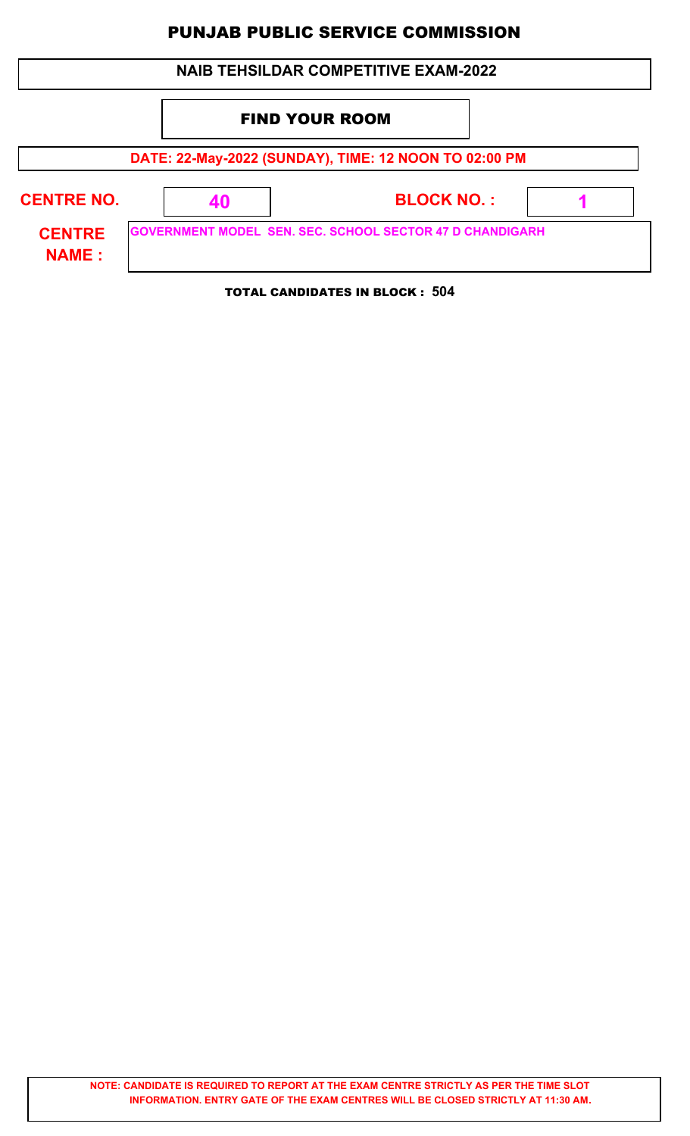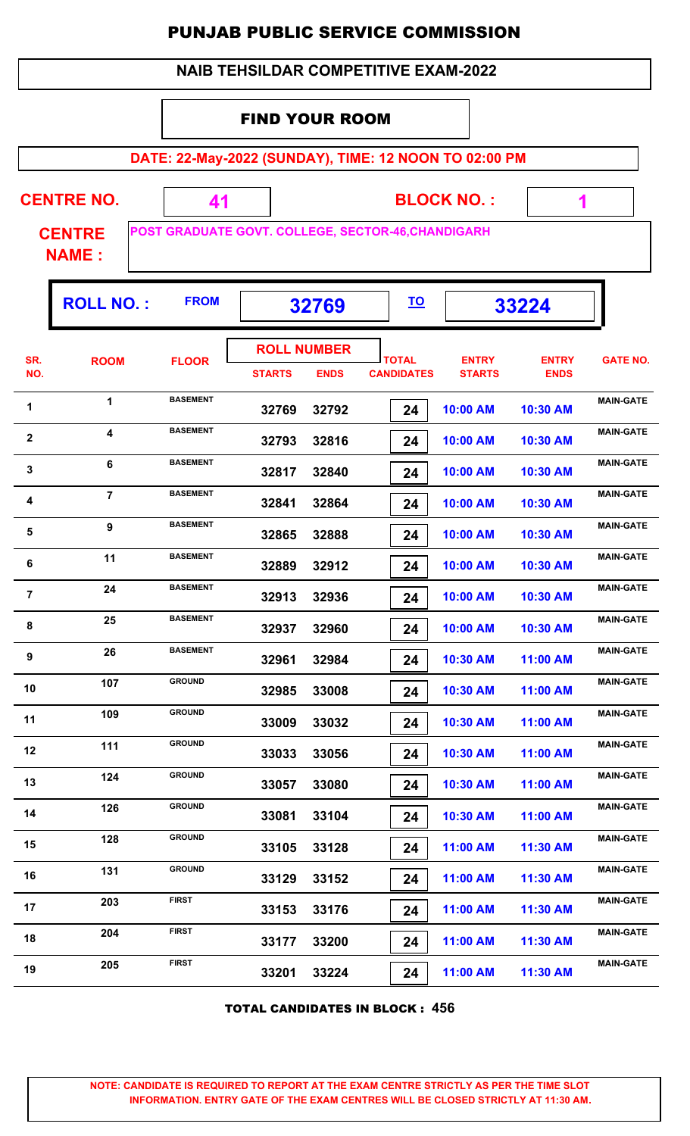|                |                                    |                                                       |                                                                              |                                   |                                             | <b>PUNJAB PUBLIC SERVICE COMMISSION</b> |                             |                  |  |
|----------------|------------------------------------|-------------------------------------------------------|------------------------------------------------------------------------------|-----------------------------------|---------------------------------------------|-----------------------------------------|-----------------------------|------------------|--|
|                |                                    |                                                       |                                                                              |                                   | <b>NAIB TEHSILDAR COMPETITIVE EXAM-2022</b> |                                         |                             |                  |  |
|                |                                    |                                                       | <b>FIND YOUR ROOM</b>                                                        |                                   |                                             |                                         |                             |                  |  |
|                |                                    | DATE: 22-May-2022 (SUNDAY), TIME: 12 NOON TO 02:00 PM |                                                                              |                                   |                                             |                                         |                             |                  |  |
|                | <b>CENTRE NO.</b><br><b>CENTRE</b> | 41                                                    | <b>BLOCK NO.:</b><br>1<br>POST GRADUATE GOVT. COLLEGE, SECTOR-46, CHANDIGARH |                                   |                                             |                                         |                             |                  |  |
|                | <b>NAME:</b>                       |                                                       |                                                                              |                                   |                                             |                                         |                             |                  |  |
|                | <b>ROLL NO.:</b>                   | <b>FROM</b>                                           |                                                                              | 32769                             | <u>TO</u>                                   |                                         | 33224                       |                  |  |
| SR.<br>NO.     | <b>ROOM</b>                        | <b>FLOOR</b>                                          | <b>STARTS</b>                                                                | <b>ROLL NUMBER</b><br><b>ENDS</b> | <b>TOTAL</b><br><b>CANDIDATES</b>           | <b>ENTRY</b><br><b>STARTS</b>           | <b>ENTRY</b><br><b>ENDS</b> | <b>GATE NO.</b>  |  |
| 1              | 1                                  | <b>BASEMENT</b>                                       | 32769                                                                        | 32792                             | 24                                          | 10:00 AM                                | 10:30 AM                    | <b>MAIN-GATE</b> |  |
| $\mathbf{2}$   | 4                                  | <b>BASEMENT</b>                                       | 32793                                                                        | 32816                             | 24                                          | 10:00 AM                                | 10:30 AM                    | <b>MAIN-GATE</b> |  |
| 3              | 6                                  | <b>BASEMENT</b>                                       | 32817                                                                        | 32840                             | 24                                          | 10:00 AM                                | 10:30 AM                    | <b>MAIN-GATE</b> |  |
| 4              | $\overline{7}$                     | <b>BASEMENT</b>                                       | 32841                                                                        | 32864                             | 24                                          | 10:00 AM                                | 10:30 AM                    | <b>MAIN-GATE</b> |  |
| 5              | 9                                  | <b>BASEMENT</b>                                       | 32865                                                                        | 32888                             | 24                                          | 10:00 AM                                | 10:30 AM                    | <b>MAIN-GATE</b> |  |
| 6              | 11                                 | <b>BASEMENT</b>                                       | 32889                                                                        | 32912                             | 24                                          | 10:00 AM                                | 10:30 AM                    | <b>MAIN-GATE</b> |  |
| $\overline{7}$ | 24                                 | <b>BASEMENT</b>                                       | 32913                                                                        | 32936                             | 24                                          | 10:00 AM                                | 10:30 AM                    | <b>MAIN-GATE</b> |  |
| 8              | 25                                 | <b>BASEMENT</b>                                       | 32937                                                                        | 32960                             | 24                                          | 10:00 AM                                | 10:30 AM                    | <b>MAIN-GATE</b> |  |
| 9              | 26                                 | <b>BASEMENT</b>                                       | 32961                                                                        | 32984                             | 24                                          | 10:30 AM                                | 11:00 AM                    | <b>MAIN-GATE</b> |  |
| 10             | 107                                | <b>GROUND</b>                                         | 32985                                                                        | 33008                             | 24                                          | 10:30 AM                                | 11:00 AM                    | <b>MAIN-GATE</b> |  |
| 11             | 109                                | <b>GROUND</b>                                         | 33009                                                                        | 33032                             | 24                                          | 10:30 AM                                | 11:00 AM                    | <b>MAIN-GATE</b> |  |
| 12             | 111                                | <b>GROUND</b>                                         | 33033                                                                        | 33056                             | 24                                          | 10:30 AM                                | 11:00 AM                    | <b>MAIN-GATE</b> |  |
| 13             | 124                                | <b>GROUND</b>                                         | 33057                                                                        | 33080                             | 24                                          | 10:30 AM                                | 11:00 AM                    | <b>MAIN-GATE</b> |  |
| 14             | 126                                | <b>GROUND</b>                                         | 33081                                                                        | 33104                             | 24                                          | 10:30 AM                                | 11:00 AM                    | <b>MAIN-GATE</b> |  |
| 15             | 128                                | <b>GROUND</b>                                         | 33105                                                                        | 33128                             | 24                                          | 11:00 AM                                | 11:30 AM                    | <b>MAIN-GATE</b> |  |
| 16             | 131                                | <b>GROUND</b>                                         | 33129                                                                        | 33152                             | 24                                          | 11:00 AM                                | 11:30 AM                    | <b>MAIN-GATE</b> |  |
| 17             | 203                                | <b>FIRST</b>                                          | 33153                                                                        | 33176                             | 24                                          | 11:00 AM                                | 11:30 AM                    | <b>MAIN-GATE</b> |  |
| 18             | 204                                | <b>FIRST</b>                                          | 33177                                                                        | 33200                             | 24                                          | 11:00 AM                                | 11:30 AM                    | <b>MAIN-GATE</b> |  |

TOTAL CANDIDATES IN BLOCK : **456**

**MAIN-GATE<sup>19</sup> <sup>205</sup> FIRST**

 **33201 33224 24 11:00 AM 11:30 AM**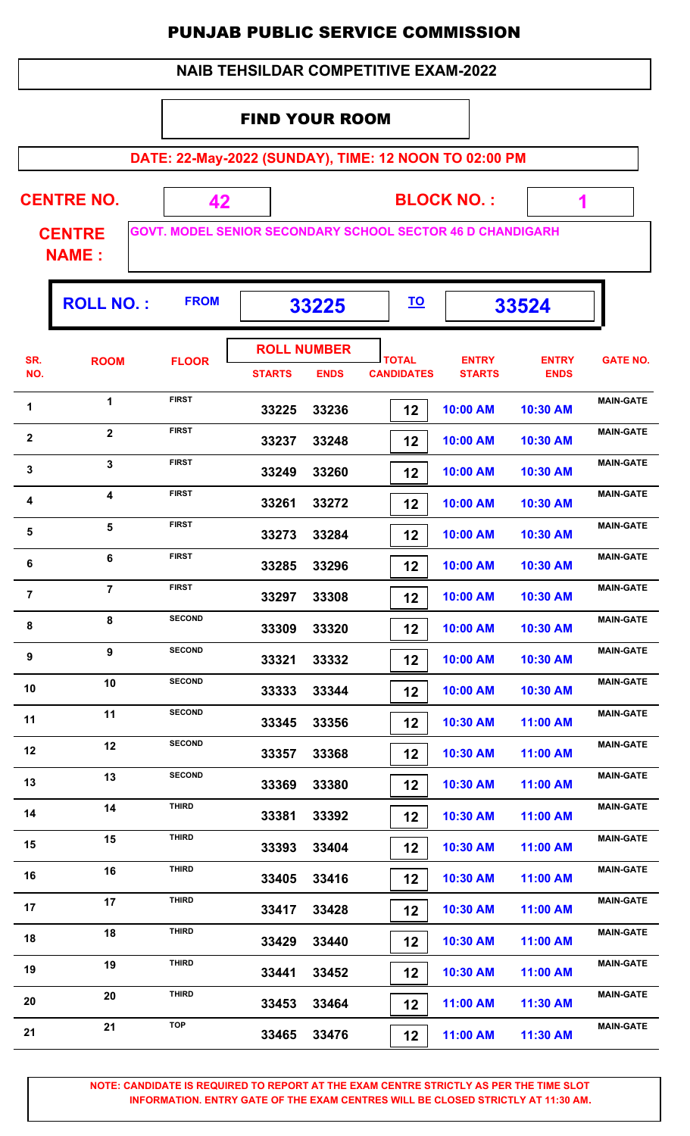#### FIND YOUR ROOM

**DATE: 22-May-2022 (SUNDAY), TIME: 12 NOON TO 02:00 PM**

 **1**

| <b>CENTRE NO.</b>             | <b>BLOCK NO.:</b>                                                 |  |
|-------------------------------|-------------------------------------------------------------------|--|
| <b>CENTRE</b><br><b>NAME:</b> | <b>GOVT. MODEL SENIOR SECONDARY SCHOOL SECTOR 46 D CHANDIGARH</b> |  |

|                | <b>ROLL NO.:</b> | <b>FROM</b>   | 33225                               |             | <u>TO</u>                         |                               | 33524                       |                  |
|----------------|------------------|---------------|-------------------------------------|-------------|-----------------------------------|-------------------------------|-----------------------------|------------------|
| SR.<br>NO.     | <b>ROOM</b>      | <b>FLOOR</b>  | <b>ROLL NUMBER</b><br><b>STARTS</b> | <b>ENDS</b> | <b>TOTAL</b><br><b>CANDIDATES</b> | <b>ENTRY</b><br><b>STARTS</b> | <b>ENTRY</b><br><b>ENDS</b> | <b>GATE NO.</b>  |
| 1              | 1                | <b>FIRST</b>  | 33225                               | 33236       | 12                                | 10:00 AM                      | 10:30 AM                    | <b>MAIN-GATE</b> |
| 2              | $\mathbf{2}$     | <b>FIRST</b>  | 33237                               | 33248       | 12                                | 10:00 AM                      | 10:30 AM                    | <b>MAIN-GATE</b> |
| 3              | 3                | <b>FIRST</b>  | 33249                               | 33260       | 12                                | 10:00 AM                      | 10:30 AM                    | <b>MAIN-GATE</b> |
| 4              | 4                | <b>FIRST</b>  | 33261                               | 33272       | 12                                | 10:00 AM                      | 10:30 AM                    | <b>MAIN-GATE</b> |
| $5\phantom{1}$ | $5\phantom{a}$   | <b>FIRST</b>  | 33273                               | 33284       | 12                                | 10:00 AM                      | 10:30 AM                    | <b>MAIN-GATE</b> |
| 6              | 6                | <b>FIRST</b>  | 33285                               | 33296       | 12                                | 10:00 AM                      | 10:30 AM                    | <b>MAIN-GATE</b> |
| $\overline{7}$ | $\overline{7}$   | <b>FIRST</b>  | 33297                               | 33308       | 12                                | 10:00 AM                      | 10:30 AM                    | <b>MAIN-GATE</b> |
| 8              | 8                | <b>SECOND</b> | 33309                               | 33320       | 12                                | 10:00 AM                      | 10:30 AM                    | <b>MAIN-GATE</b> |
| 9              | 9                | <b>SECOND</b> | 33321                               | 33332       | 12                                | 10:00 AM                      | 10:30 AM                    | <b>MAIN-GATE</b> |
| 10             | 10               | <b>SECOND</b> | 33333                               | 33344       | 12                                | 10:00 AM                      | 10:30 AM                    | <b>MAIN-GATE</b> |
| 11             | 11               | <b>SECOND</b> | 33345                               | 33356       | 12                                | 10:30 AM                      | 11:00 AM                    | <b>MAIN-GATE</b> |
| 12             | 12               | <b>SECOND</b> | 33357                               | 33368       | 12                                | 10:30 AM                      | 11:00 AM                    | <b>MAIN-GATE</b> |
| 13             | 13               | <b>SECOND</b> | 33369                               | 33380       | 12                                | 10:30 AM                      | 11:00 AM                    | <b>MAIN-GATE</b> |
| 14             | 14               | <b>THIRD</b>  | 33381                               | 33392       | 12                                | 10:30 AM                      | 11:00 AM                    | <b>MAIN-GATE</b> |
| 15             | 15               | <b>THIRD</b>  | 33393                               | 33404       | 12                                | 10:30 AM                      | 11:00 AM                    | <b>MAIN-GATE</b> |
| 16             | 16               | <b>THIRD</b>  | 33405                               | 33416       | 12                                | 10:30 AM                      | 11:00 AM                    | <b>MAIN-GATE</b> |
| 17             | 17               | <b>THIRD</b>  | 33417                               | 33428       | 12                                | 10:30 AM                      | 11:00 AM                    | <b>MAIN-GATE</b> |
| 18             | 18               | <b>THIRD</b>  | 33429                               | 33440       | 12                                | 10:30 AM                      | 11:00 AM                    | <b>MAIN-GATE</b> |
| 19             | 19               | <b>THIRD</b>  | 33441                               | 33452       | 12                                | 10:30 AM                      | 11:00 AM                    | <b>MAIN-GATE</b> |
| 20             | 20               | <b>THIRD</b>  | 33453                               | 33464       | 12                                | 11:00 AM                      | 11:30 AM                    | <b>MAIN-GATE</b> |
| 21             | 21               | <b>TOP</b>    | 33465                               | 33476       | 12                                | 11:00 AM                      | 11:30 AM                    | <b>MAIN-GATE</b> |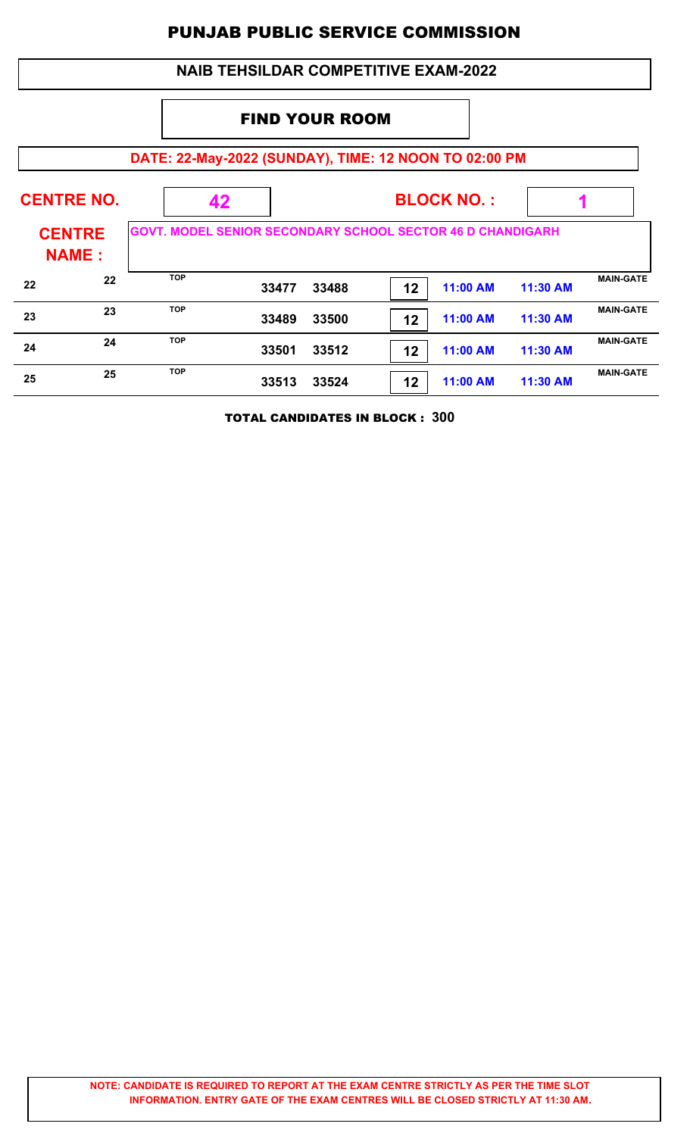| <b>NAIB TEHSILDAR COMPETITIVE EXAM-2022</b>           |                   |                                                                   |                       |                   |    |          |          |                  |  |
|-------------------------------------------------------|-------------------|-------------------------------------------------------------------|-----------------------|-------------------|----|----------|----------|------------------|--|
|                                                       |                   |                                                                   | <b>FIND YOUR ROOM</b> |                   |    |          |          |                  |  |
| DATE: 22-May-2022 (SUNDAY), TIME: 12 NOON TO 02:00 PM |                   |                                                                   |                       |                   |    |          |          |                  |  |
|                                                       | <b>CENTRE NO.</b> | 42                                                                |                       | <b>BLOCK NO.:</b> |    |          |          |                  |  |
| <b>CENTRE</b><br><b>NAME:</b>                         |                   | <b>GOVT. MODEL SENIOR SECONDARY SCHOOL SECTOR 46 D CHANDIGARH</b> |                       |                   |    |          |          |                  |  |
| 22                                                    | 22                | <b>TOP</b>                                                        | 33477                 | 33488             | 12 | 11:00 AM | 11:30 AM | <b>MAIN-GATE</b> |  |
| 23                                                    | 23                | <b>TOP</b>                                                        | 33489                 | 33500             | 12 | 11:00 AM | 11:30 AM | <b>MAIN-GATE</b> |  |
| 24                                                    | 24                | <b>TOP</b>                                                        | 33501                 | 33512             | 12 | 11:00 AM | 11:30 AM | <b>MAIN-GATE</b> |  |
| 25                                                    | 25                | <b>TOP</b>                                                        | 33513                 | 33524             | 12 | 11:00 AM | 11:30 AM | <b>MAIN-GATE</b> |  |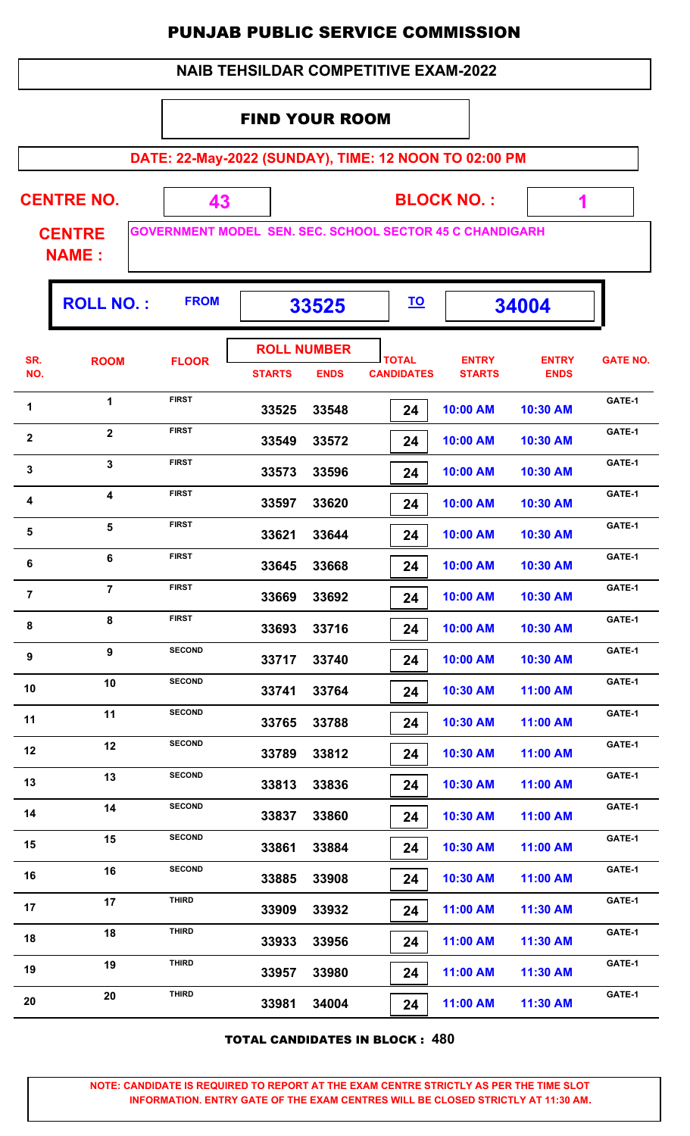| <b>NAIB TEHSILDAR COMPETITIVE EXAM-2022</b> |
|---------------------------------------------|
|---------------------------------------------|

#### FIND YOUR ROOM

**DATE: 22-May-2022 (SUNDAY), TIME: 12 NOON TO 02:00 PM**

| <b>CENTRE NO.</b> |  |
|-------------------|--|
|                   |  |

**BLOCK NO. :**

 **1**

ŋ.

**CENTRE NAME :**

**GOVERNMENT MODEL SEN. SEC. SCHOOL SECTOR 45 C CHANDIGARH**

 **43**

|                         | <b>ROLL NO.:</b> | <b>FROM</b>   | 33525         |                                   | <u>TO</u>                         |                               | 34004                       |                 |
|-------------------------|------------------|---------------|---------------|-----------------------------------|-----------------------------------|-------------------------------|-----------------------------|-----------------|
| SR.<br>NO.              | <b>ROOM</b>      | <b>FLOOR</b>  | <b>STARTS</b> | <b>ROLL NUMBER</b><br><b>ENDS</b> | <b>TOTAL</b><br><b>CANDIDATES</b> | <b>ENTRY</b><br><b>STARTS</b> | <b>ENTRY</b><br><b>ENDS</b> | <b>GATE NO.</b> |
| 1                       | 1                | <b>FIRST</b>  | 33525         | 33548                             | 24                                | 10:00 AM                      | 10:30 AM                    | GATE-1          |
| $\mathbf 2$             | $\overline{2}$   | <b>FIRST</b>  | 33549         | 33572                             | 24                                | 10:00 AM                      | 10:30 AM                    | GATE-1          |
| $\mathbf{3}$            | $\mathbf{3}$     | <b>FIRST</b>  | 33573         | 33596                             | 24                                | 10:00 AM                      | 10:30 AM                    | GATE-1          |
| $\overline{\mathbf{4}}$ | 4                | <b>FIRST</b>  | 33597         | 33620                             | 24                                | 10:00 AM                      | 10:30 AM                    | GATE-1          |
| $\sqrt{5}$              | 5                | <b>FIRST</b>  | 33621         | 33644                             | 24                                | 10:00 AM                      | 10:30 AM                    | GATE-1          |
| 6                       | $6\phantom{1}$   | <b>FIRST</b>  | 33645         | 33668                             | 24                                | 10:00 AM                      | 10:30 AM                    | GATE-1          |
| $\overline{7}$          | $\overline{7}$   | <b>FIRST</b>  | 33669         | 33692                             | 24                                | 10:00 AM                      | 10:30 AM                    | GATE-1          |
| 8                       | 8                | <b>FIRST</b>  | 33693         | 33716                             | 24                                | 10:00 AM                      | 10:30 AM                    | GATE-1          |
| 9                       | $\boldsymbol{9}$ | <b>SECOND</b> | 33717         | 33740                             | 24                                | 10:00 AM                      | 10:30 AM                    | GATE-1          |
| 10                      | 10               | <b>SECOND</b> | 33741         | 33764                             | 24                                | 10:30 AM                      | 11:00 AM                    | GATE-1          |
| 11                      | 11               | <b>SECOND</b> | 33765         | 33788                             | 24                                | 10:30 AM                      | 11:00 AM                    | GATE-1          |
| 12                      | 12               | <b>SECOND</b> | 33789         | 33812                             | 24                                | 10:30 AM                      | 11:00 AM                    | GATE-1          |
| 13                      | 13               | <b>SECOND</b> | 33813         | 33836                             | 24                                | 10:30 AM                      | 11:00 AM                    | GATE-1          |
| 14                      | 14               | <b>SECOND</b> | 33837         | 33860                             | 24                                | 10:30 AM                      | 11:00 AM                    | GATE-1          |
| 15                      | 15               | <b>SECOND</b> | 33861         | 33884                             | 24                                | 10:30 AM                      | 11:00 AM                    | GATE-1          |
| 16                      | 16               | <b>SECOND</b> | 33885         | 33908                             | 24                                | 10:30 AM                      | 11:00 AM                    | GATE-1          |
| 17                      | 17               | <b>THIRD</b>  | 33909         | 33932                             | 24                                | 11:00 AM                      | 11:30 AM                    | GATE-1          |
| 18                      | 18               | <b>THIRD</b>  | 33933         | 33956                             | 24                                | 11:00 AM                      | 11:30 AM                    | GATE-1          |
| 19                      | 19               | <b>THIRD</b>  | 33957         | 33980                             | 24                                | 11:00 AM                      | 11:30 AM                    | GATE-1          |
| 20                      | 20               | <b>THIRD</b>  | 33981         | 34004                             | 24                                | 11:00 AM                      | 11:30 AM                    | GATE-1          |
|                         |                  |               |               |                                   |                                   |                               |                             |                 |

TOTAL CANDIDATES IN BLOCK : **480**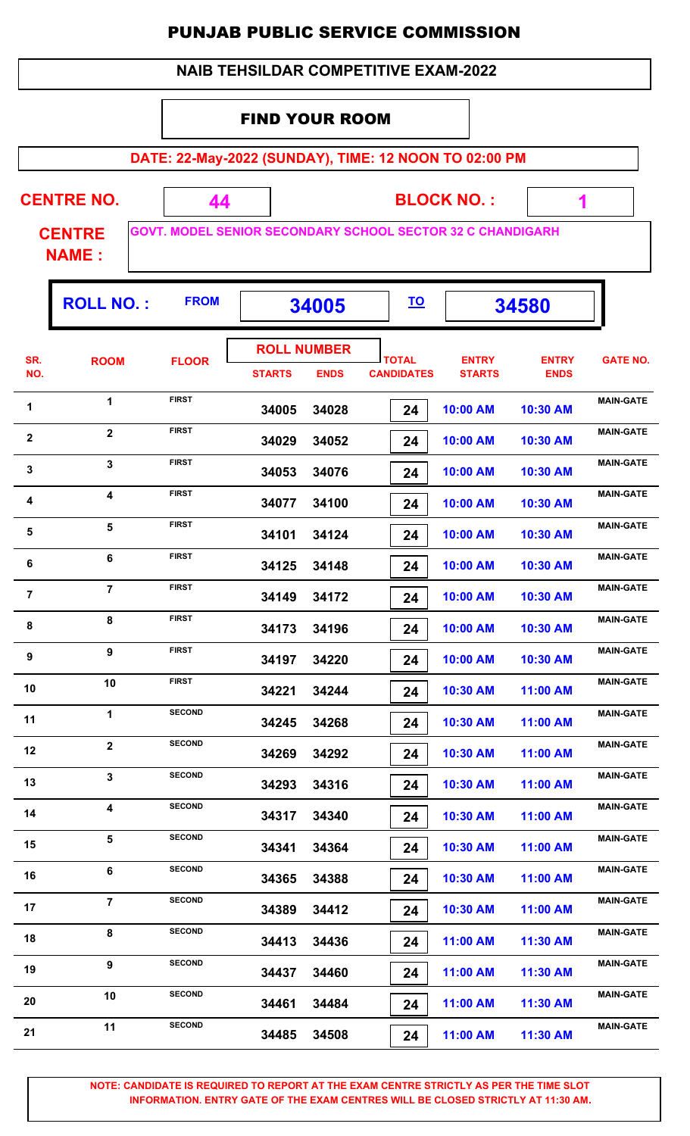#### FIND YOUR ROOM

**DATE: 22-May-2022 (SUNDAY), TIME: 12 NOON TO 02:00 PM**

 **1**

| <b>CENTRE NO.</b> | <b>BLOCK NO.:</b>                                                 |  |
|-------------------|-------------------------------------------------------------------|--|
| <b>CENTRE</b>     | <b>GOVT. MODEL SENIOR SECONDARY SCHOOL SECTOR 32 C CHANDIGARH</b> |  |
| <b>NAME:</b>      |                                                                   |  |

|                         | <b>ROLL NO.:</b> | <b>FROM</b>   | 34005                               |             | <u>TO</u>                         |                               | 34580                       |                  |
|-------------------------|------------------|---------------|-------------------------------------|-------------|-----------------------------------|-------------------------------|-----------------------------|------------------|
| SR.<br>NO.              | <b>ROOM</b>      | <b>FLOOR</b>  | <b>ROLL NUMBER</b><br><b>STARTS</b> | <b>ENDS</b> | <b>TOTAL</b><br><b>CANDIDATES</b> | <b>ENTRY</b><br><b>STARTS</b> | <b>ENTRY</b><br><b>ENDS</b> | <b>GATE NO.</b>  |
| $\blacktriangleleft$    | 1                | <b>FIRST</b>  | 34005                               | 34028       | 24                                | 10:00 AM                      | 10:30 AM                    | <b>MAIN-GATE</b> |
| $\overline{\mathbf{2}}$ | $\mathbf{2}$     | <b>FIRST</b>  | 34029                               | 34052       | 24                                | 10:00 AM                      | 10:30 AM                    | <b>MAIN-GATE</b> |
| $\mathbf{3}$            | 3                | <b>FIRST</b>  | 34053                               | 34076       | 24                                | 10:00 AM                      | 10:30 AM                    | <b>MAIN-GATE</b> |
| 4                       | 4                | <b>FIRST</b>  | 34077                               | 34100       | 24                                | 10:00 AM                      | 10:30 AM                    | <b>MAIN-GATE</b> |
| 5                       | 5                | <b>FIRST</b>  | 34101                               | 34124       | 24                                | 10:00 AM                      | 10:30 AM                    | <b>MAIN-GATE</b> |
| 6                       | 6                | <b>FIRST</b>  | 34125                               | 34148       | 24                                | 10:00 AM                      | 10:30 AM                    | <b>MAIN-GATE</b> |
| $\overline{7}$          | $\overline{7}$   | <b>FIRST</b>  | 34149                               | 34172       | 24                                | 10:00 AM                      | 10:30 AM                    | <b>MAIN-GATE</b> |
| 8                       | 8                | <b>FIRST</b>  | 34173                               | 34196       | 24                                | 10:00 AM                      | 10:30 AM                    | <b>MAIN-GATE</b> |
| $\boldsymbol{9}$        | 9                | <b>FIRST</b>  | 34197                               | 34220       | 24                                | 10:00 AM                      | 10:30 AM                    | <b>MAIN-GATE</b> |
| 10                      | 10               | <b>FIRST</b>  | 34221                               | 34244       | 24                                | 10:30 AM                      | 11:00 AM                    | <b>MAIN-GATE</b> |
| 11                      | 1                | <b>SECOND</b> | 34245                               | 34268       | 24                                | 10:30 AM                      | 11:00 AM                    | <b>MAIN-GATE</b> |
| 12                      | $\mathbf 2$      | <b>SECOND</b> | 34269                               | 34292       | 24                                | 10:30 AM                      | 11:00 AM                    | <b>MAIN-GATE</b> |
| 13                      | 3                | <b>SECOND</b> | 34293                               | 34316       | 24                                | 10:30 AM                      | 11:00 AM                    | <b>MAIN-GATE</b> |
| 14                      | 4                | <b>SECOND</b> | 34317                               | 34340       | 24                                | 10:30 AM                      | 11:00 AM                    | <b>MAIN-GATE</b> |
| 15                      | 5                | <b>SECOND</b> | 34341                               | 34364       | 24                                | 10:30 AM                      | 11:00 AM                    | <b>MAIN-GATE</b> |
| 16                      | 6                | <b>SECOND</b> | 34365                               | 34388       | 24                                | 10:30 AM                      | 11:00 AM                    | <b>MAIN-GATE</b> |
| 17                      | $\overline{7}$   | <b>SECOND</b> | 34389                               | 34412       | 24                                | 10:30 AM                      | 11:00 AM                    | <b>MAIN-GATE</b> |
| 18                      | 8                | <b>SECOND</b> | 34413                               | 34436       | 24                                | 11:00 AM                      | 11:30 AM                    | <b>MAIN-GATE</b> |
| 19                      | 9                | <b>SECOND</b> | 34437                               | 34460       | 24                                | 11:00 AM                      | 11:30 AM                    | <b>MAIN-GATE</b> |
| 20                      | 10               | <b>SECOND</b> | 34461                               | 34484       | 24                                | 11:00 AM                      | 11:30 AM                    | <b>MAIN-GATE</b> |
| 21                      | 11               | <b>SECOND</b> | 34485                               | 34508       | 24                                | 11:00 AM                      | 11:30 AM                    | <b>MAIN-GATE</b> |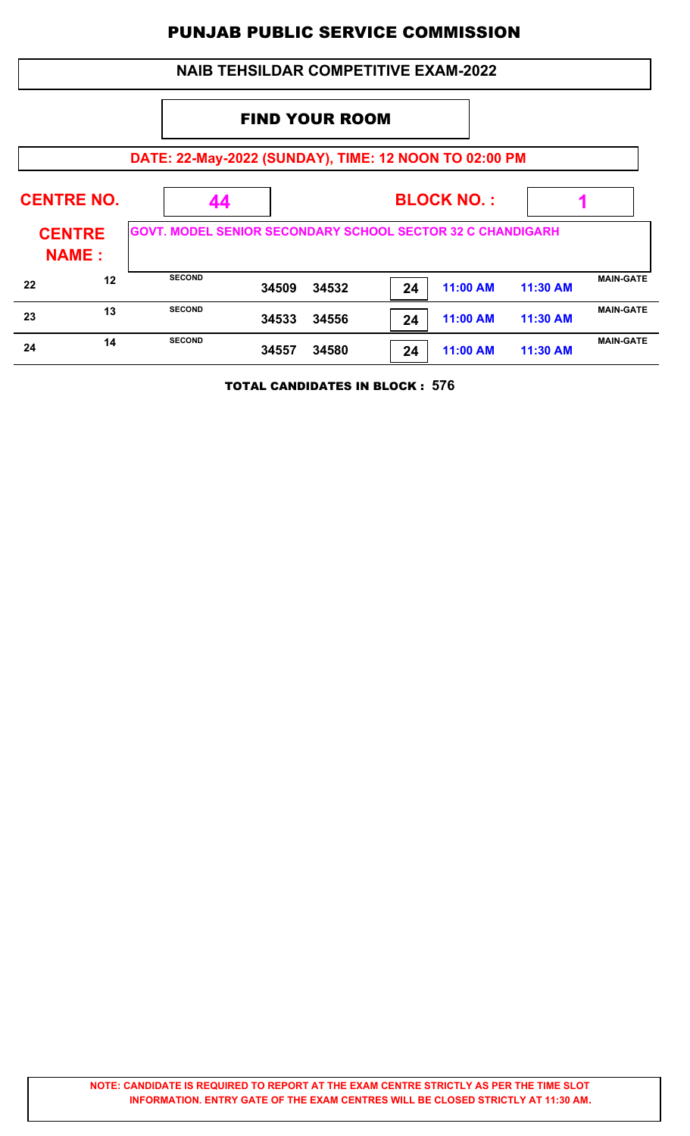|    |                               |                                                                   | <b>NAIB TEHSILDAR COMPETITIVE EXAM-2022</b> |       |    |                 |            |                  |
|----|-------------------------------|-------------------------------------------------------------------|---------------------------------------------|-------|----|-----------------|------------|------------------|
|    | <b>FIND YOUR ROOM</b>         |                                                                   |                                             |       |    |                 |            |                  |
|    |                               | DATE: 22-May-2022 (SUNDAY), TIME: 12 NOON TO 02:00 PM             |                                             |       |    |                 |            |                  |
|    | <b>CENTRE NO.</b>             | 44                                                                | <b>BLOCK NO.:</b>                           |       |    |                 |            |                  |
|    | <b>CENTRE</b><br><b>NAME:</b> | <b>GOVT. MODEL SENIOR SECONDARY SCHOOL SECTOR 32 C CHANDIGARH</b> |                                             |       |    |                 |            |                  |
| 22 | 12                            | <b>SECOND</b>                                                     | 34509                                       | 34532 | 24 | 11:00 AM        | $11:30$ AM | <b>MAIN-GATE</b> |
| 23 | 13                            | <b>SECOND</b>                                                     | 34533                                       | 34556 | 24 | 11:00 AM        | 11:30 AM   | <b>MAIN-GATE</b> |
| 24 | 14                            | <b>SECOND</b>                                                     | 34557                                       | 34580 | 24 | <b>11:00 AM</b> | 11:30 AM   | <b>MAIN-GATE</b> |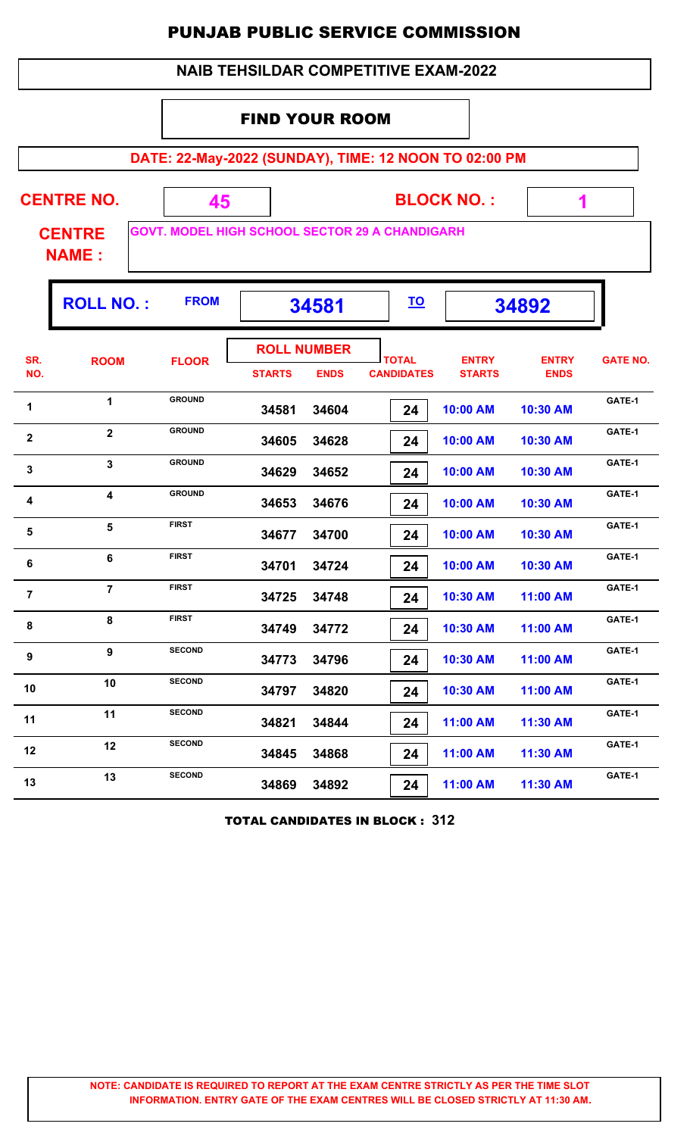|                | <b>NAIB TEHSILDAR COMPETITIVE EXAM-2022</b>           |                                                             |                       |                                   |                                   |                               |                             |                 |  |
|----------------|-------------------------------------------------------|-------------------------------------------------------------|-----------------------|-----------------------------------|-----------------------------------|-------------------------------|-----------------------------|-----------------|--|
|                |                                                       |                                                             | <b>FIND YOUR ROOM</b> |                                   |                                   |                               |                             |                 |  |
|                | DATE: 22-May-2022 (SUNDAY), TIME: 12 NOON TO 02:00 PM |                                                             |                       |                                   |                                   |                               |                             |                 |  |
|                | <b>CENTRE NO.</b><br><b>CENTRE</b><br><b>NAME:</b>    | 45<br><b>GOVT. MODEL HIGH SCHOOL SECTOR 29 A CHANDIGARH</b> |                       |                                   |                                   | <b>BLOCK NO.:</b>             | 1                           |                 |  |
|                | <b>ROLL NO.:</b>                                      | <b>FROM</b>                                                 |                       | 34581                             | <u>TO</u>                         |                               | 34892                       |                 |  |
| SR.<br>NO.     | <b>ROOM</b>                                           | <b>FLOOR</b>                                                | <b>STARTS</b>         | <b>ROLL NUMBER</b><br><b>ENDS</b> | <b>TOTAL</b><br><b>CANDIDATES</b> | <b>ENTRY</b><br><b>STARTS</b> | <b>ENTRY</b><br><b>ENDS</b> | <b>GATE NO.</b> |  |
| 1              | 1                                                     | <b>GROUND</b>                                               | 34581                 | 34604                             | 24                                | 10:00 AM                      | 10:30 AM                    | GATE-1          |  |
| $\mathbf 2$    | $\overline{\mathbf{2}}$                               | <b>GROUND</b>                                               | 34605                 | 34628                             | 24                                | 10:00 AM                      | 10:30 AM                    | GATE-1          |  |
| 3              | $\mathbf{3}$                                          | <b>GROUND</b>                                               | 34629                 | 34652                             | 24                                | 10:00 AM                      | 10:30 AM                    | GATE-1          |  |
| 4              | $\overline{\mathbf{4}}$                               | <b>GROUND</b>                                               | 34653                 | 34676                             | 24                                | 10:00 AM                      | 10:30 AM                    | GATE-1          |  |
| 5              | 5                                                     | <b>FIRST</b>                                                | 34677                 | 34700                             | 24                                | 10:00 AM                      | 10:30 AM                    | GATE-1          |  |
| 6              | 6                                                     | <b>FIRST</b>                                                | 34701                 | 34724                             | 24                                | 10:00 AM                      | 10:30 AM                    | GATE-1          |  |
| $\overline{7}$ | $\overline{7}$                                        | <b>FIRST</b>                                                | 34725                 | 34748                             | 24                                | 10:30 AM                      | 11:00 AM                    | GATE-1          |  |
| 8              | 8                                                     | <b>FIRST</b>                                                | 34749                 | 34772                             | 24                                | 10:30 AM                      | 11:00 AM                    | GATE-1          |  |
| 9              | 9                                                     | <b>SECOND</b>                                               | 34773                 | 34796                             | 24                                | 10:30 AM                      | 11:00 AM                    | GATE-1          |  |
| 10             | 10                                                    | <b>SECOND</b>                                               | 34797                 | 34820                             | 24                                | 10:30 AM                      | 11:00 AM                    | GATE-1          |  |
| 11             | 11                                                    | <b>SECOND</b>                                               | 34821                 | 34844                             | 24                                | 11:00 AM                      | 11:30 AM                    | GATE-1          |  |
| 12             | 12                                                    | <b>SECOND</b>                                               | 34845                 | 34868                             | 24                                | 11:00 AM                      | 11:30 AM                    | GATE-1          |  |
| 13             | 13                                                    | <b>SECOND</b>                                               | 34869                 | 34892                             | 24                                | 11:00 AM                      | 11:30 AM                    | GATE-1          |  |

TOTAL CANDIDATES IN BLOCK : **312**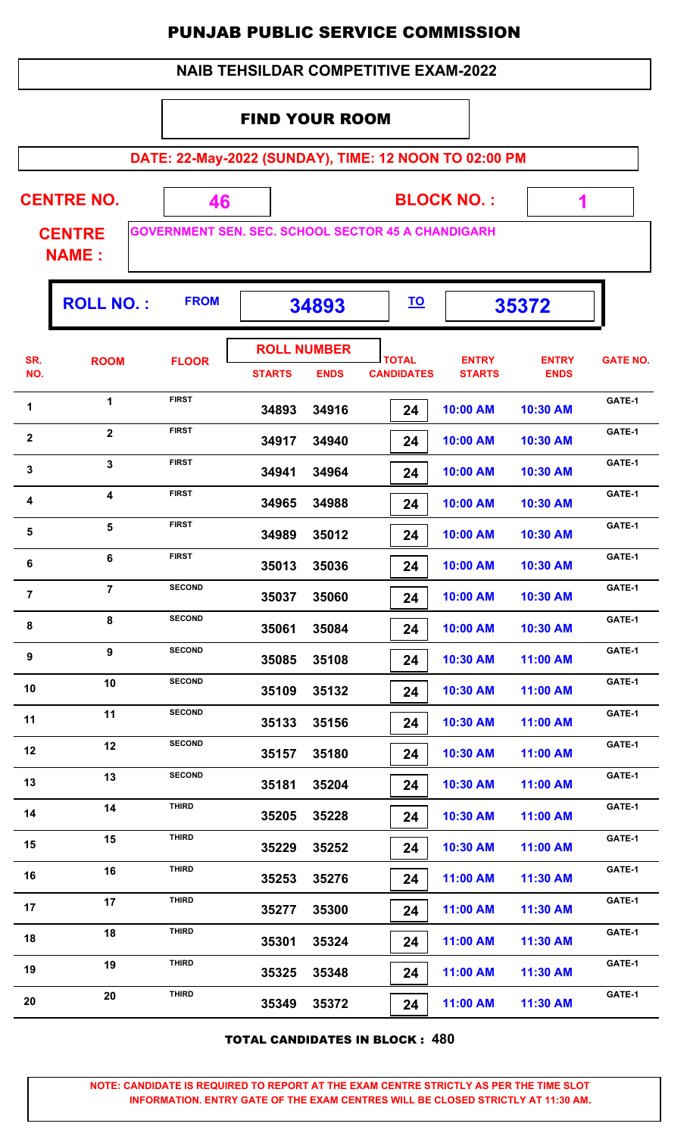| <b>NAIB TEHSILDAR COMPETITIVE EXAM-2022</b> |  |
|---------------------------------------------|--|
|---------------------------------------------|--|

#### FIND YOUR ROOM

**DATE: 22-May-2022 (SUNDAY), TIME: 12 NOON TO 02:00 PM**

 **1**

| <b>CENTRE NO.</b>             | <b>BLOCK NO.:</b>                                         |  |
|-------------------------------|-----------------------------------------------------------|--|
| <b>CENTRE</b><br><b>NAME:</b> | <b>GOVERNMENT SEN. SEC. SCHOOL SECTOR 45 A CHANDIGARH</b> |  |

|                  | <b>ROLL NO.:</b>        | <b>FROM</b>   | 34893         |                    | <u>TO</u>         |               | 35372        |                 |
|------------------|-------------------------|---------------|---------------|--------------------|-------------------|---------------|--------------|-----------------|
| SR.<br>NO.       | <b>ROOM</b>             | <b>FLOOR</b>  |               | <b>ROLL NUMBER</b> | <b>TOTAL</b>      | <b>ENTRY</b>  | <b>ENTRY</b> | <b>GATE NO.</b> |
|                  |                         |               | <b>STARTS</b> | <b>ENDS</b>        | <b>CANDIDATES</b> | <b>STARTS</b> | <b>ENDS</b>  |                 |
| 1                | $\mathbf{1}$            | <b>FIRST</b>  | 34893         | 34916              | 24                | 10:00 AM      | 10:30 AM     | GATE-1          |
| $\mathbf{2}$     | $\overline{\mathbf{2}}$ | <b>FIRST</b>  | 34917         | 34940              | 24                | 10:00 AM      | 10:30 AM     | GATE-1          |
| $\mathbf 3$      | 3                       | <b>FIRST</b>  | 34941         | 34964              | 24                | 10:00 AM      | 10:30 AM     | GATE-1          |
| 4                | $\boldsymbol{4}$        | <b>FIRST</b>  | 34965         | 34988              | 24                | 10:00 AM      | 10:30 AM     | GATE-1          |
| 5                | 5                       | <b>FIRST</b>  | 34989         | 35012              | 24                | 10:00 AM      | 10:30 AM     | GATE-1          |
| 6                | 6                       | <b>FIRST</b>  | 35013         | 35036              | 24                | 10:00 AM      | 10:30 AM     | GATE-1          |
| $\overline{7}$   | $\overline{7}$          | <b>SECOND</b> | 35037         | 35060              | 24                | 10:00 AM      | 10:30 AM     | GATE-1          |
| 8                | 8                       | <b>SECOND</b> | 35061         | 35084              | 24                | 10:00 AM      | 10:30 AM     | GATE-1          |
| $\boldsymbol{9}$ | 9                       | <b>SECOND</b> | 35085         | 35108              | 24                | 10:30 AM      | 11:00 AM     | GATE-1          |
| 10               | 10                      | <b>SECOND</b> | 35109         | 35132              | 24                | 10:30 AM      | 11:00 AM     | GATE-1          |
| 11               | 11                      | <b>SECOND</b> | 35133         | 35156              | 24                | 10:30 AM      | 11:00 AM     | GATE-1          |
| 12               | 12                      | <b>SECOND</b> | 35157         | 35180              | 24                | 10:30 AM      | 11:00 AM     | GATE-1          |
| 13               | 13                      | <b>SECOND</b> | 35181         | 35204              | 24                | 10:30 AM      | 11:00 AM     | GATE-1          |
| 14               | 14                      | THIRD         | 35205         | 35228              | 24                | 10:30 AM      | 11:00 AM     | GATE-1          |
| 15               | 15                      | <b>THIRD</b>  | 35229         | 35252              | 24                | 10:30 AM      | 11:00 AM     | GATE-1          |
| 16               | 16                      | <b>THIRD</b>  | 35253         | 35276              | 24                | 11:00 AM      | 11:30 AM     | GATE-1          |
| 17               | 17                      | <b>THIRD</b>  | 35277         | 35300              | 24                | 11:00 AM      | 11:30 AM     | GATE-1          |
| 18               | 18                      | <b>THIRD</b>  | 35301         | 35324              | 24                | 11:00 AM      | 11:30 AM     | GATE-1          |
| 19               | 19                      | <b>THIRD</b>  | 35325         | 35348              | 24                | 11:00 AM      | 11:30 AM     | GATE-1          |
| 20               | 20                      | <b>THIRD</b>  | 35349         | 35372              | 24                | 11:00 AM      | 11:30 AM     | GATE-1          |
|                  |                         |               |               |                    |                   |               |              |                 |

TOTAL CANDIDATES IN BLOCK : **480**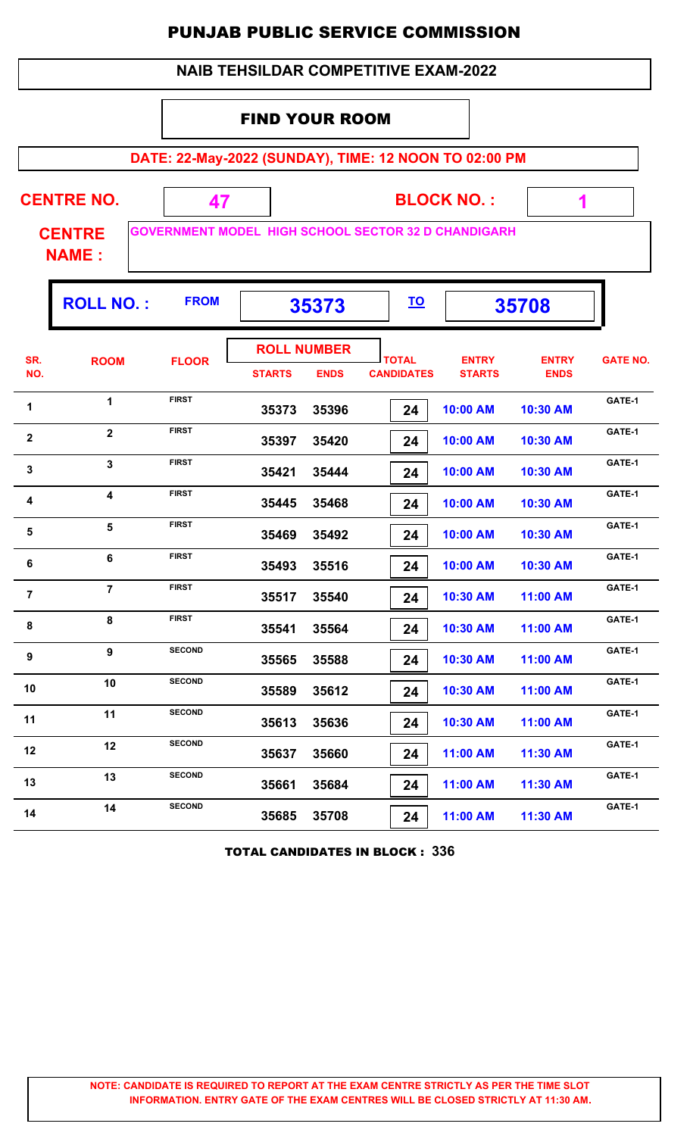| <b>NAIB TEHSILDAR COMPETITIVE EXAM-2022</b> |
|---------------------------------------------|
|---------------------------------------------|

#### FIND YOUR ROOM

**DATE: 22-May-2022 (SUNDAY), TIME: 12 NOON TO 02:00 PM**

 **1**

| <b>CENTRE NO.</b> | <b>BLOCK NO.:</b>                                           |  |
|-------------------|-------------------------------------------------------------|--|
| <b>CENTRE</b>     | <b>GOVERNMENT MODEL  HIGH SCHOOL SECTOR 32 D CHANDIGARH</b> |  |

**NAME :**

|                         | <b>ROLL NO.:</b>        | <b>FROM</b>   | 35373                               |             | <u>TO</u>                         |                               | 35708                       |                 |
|-------------------------|-------------------------|---------------|-------------------------------------|-------------|-----------------------------------|-------------------------------|-----------------------------|-----------------|
| SR.<br>NO.              | <b>ROOM</b>             | <b>FLOOR</b>  | <b>ROLL NUMBER</b><br><b>STARTS</b> | <b>ENDS</b> | <b>TOTAL</b><br><b>CANDIDATES</b> | <b>ENTRY</b><br><b>STARTS</b> | <b>ENTRY</b><br><b>ENDS</b> | <b>GATE NO.</b> |
| 1                       | $\mathbf{1}$            | <b>FIRST</b>  | 35373                               | 35396       | 24                                | 10:00 AM                      | 10:30 AM                    | GATE-1          |
| $\mathbf 2$             | $\overline{\mathbf{2}}$ | <b>FIRST</b>  | 35397                               | 35420       | 24                                | 10:00 AM                      | 10:30 AM                    | GATE-1          |
| $\overline{\mathbf{3}}$ | 3                       | <b>FIRST</b>  | 35421                               | 35444       | 24                                | 10:00 AM                      | 10:30 AM                    | GATE-1          |
| 4                       | $\overline{\mathbf{4}}$ | <b>FIRST</b>  | 35445                               | 35468       | 24                                | 10:00 AM                      | 10:30 AM                    | GATE-1          |
| 5                       | 5                       | <b>FIRST</b>  | 35469                               | 35492       | 24                                | 10:00 AM                      | 10:30 AM                    | GATE-1          |
| 6                       | 6                       | <b>FIRST</b>  | 35493                               | 35516       | 24                                | 10:00 AM                      | 10:30 AM                    | GATE-1          |
| $\overline{7}$          | $\overline{7}$          | <b>FIRST</b>  | 35517                               | 35540       | 24                                | 10:30 AM                      | 11:00 AM                    | GATE-1          |
| 8                       | 8                       | <b>FIRST</b>  | 35541                               | 35564       | 24                                | 10:30 AM                      | 11:00 AM                    | GATE-1          |
| 9                       | $\overline{9}$          | <b>SECOND</b> | 35565                               | 35588       | 24                                | 10:30 AM                      | 11:00 AM                    | GATE-1          |
| 10                      | 10                      | <b>SECOND</b> | 35589                               | 35612       | 24                                | 10:30 AM                      | 11:00 AM                    | GATE-1          |
| 11                      | 11                      | <b>SECOND</b> | 35613                               | 35636       | 24                                | 10:30 AM                      | 11:00 AM                    | GATE-1          |
| 12                      | 12                      | <b>SECOND</b> | 35637                               | 35660       | 24                                | 11:00 AM                      | 11:30 AM                    | GATE-1          |
| 13                      | 13                      | <b>SECOND</b> | 35661                               | 35684       | 24                                | 11:00 AM                      | 11:30 AM                    | GATE-1          |
| 14                      | 14                      | <b>SECOND</b> | 35685                               | 35708       | 24                                | 11:00 AM                      | 11:30 AM                    | GATE-1          |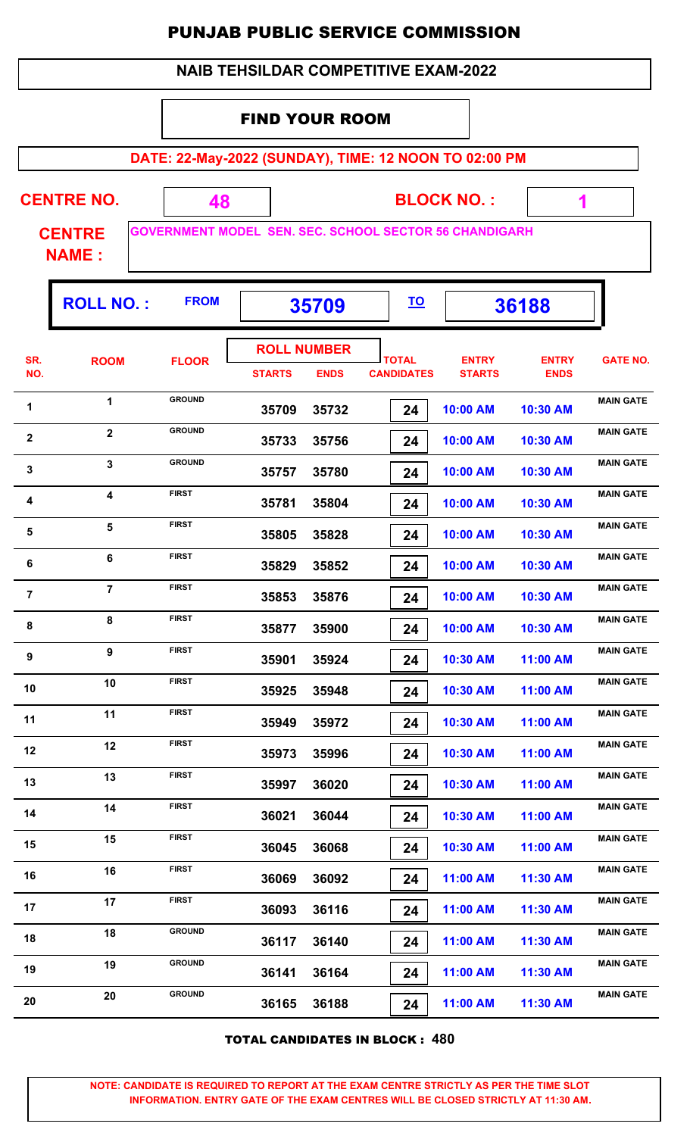| <b>NAIB TEHSILDAR COMPETITIVE EXAM-2022</b> |
|---------------------------------------------|
|---------------------------------------------|

#### FIND YOUR ROOM

**DATE: 22-May-2022 (SUNDAY), TIME: 12 NOON TO 02:00 PM**

| <b>CENTRE NO.</b> |  | <b>BLOCK NO.:</b>                                         |
|-------------------|--|-----------------------------------------------------------|
| <b>CENTRE</b>     |  | <b>GOVERNMENT MODEL SEN. SEC. SCHOOL SECTOR 56 CHANDI</b> |

**R 56 CHANDIGARH** 

 **1**

**NAME :**

|                  | <b>ROLL NO.:</b> | <b>FROM</b>   |                                     | 35709       | <u>TO</u>                         |                               | 36188                       |                  |
|------------------|------------------|---------------|-------------------------------------|-------------|-----------------------------------|-------------------------------|-----------------------------|------------------|
| SR.<br>NO.       | <b>ROOM</b>      | <b>FLOOR</b>  | <b>ROLL NUMBER</b><br><b>STARTS</b> | <b>ENDS</b> | <b>TOTAL</b><br><b>CANDIDATES</b> | <b>ENTRY</b><br><b>STARTS</b> | <b>ENTRY</b><br><b>ENDS</b> | <b>GATE NO.</b>  |
| 1                | $\mathbf 1$      | <b>GROUND</b> | 35709                               | 35732       | 24                                | 10:00 AM                      | 10:30 AM                    | <b>MAIN GATE</b> |
| $\mathbf{2}$     | $\mathbf{2}$     | <b>GROUND</b> | 35733                               | 35756       | 24                                | 10:00 AM                      | 10:30 AM                    | <b>MAIN GATE</b> |
| 3                | $\mathbf{3}$     | <b>GROUND</b> | 35757                               | 35780       | 24                                | 10:00 AM                      | 10:30 AM                    | <b>MAIN GATE</b> |
| 4                | 4                | <b>FIRST</b>  | 35781                               | 35804       | 24                                | 10:00 AM                      | 10:30 AM                    | <b>MAIN GATE</b> |
| 5                | $5\phantom{a}$   | <b>FIRST</b>  | 35805                               | 35828       | 24                                | 10:00 AM                      | 10:30 AM                    | <b>MAIN GATE</b> |
| 6                | 6                | <b>FIRST</b>  | 35829                               | 35852       | 24                                | 10:00 AM                      | 10:30 AM                    | <b>MAIN GATE</b> |
| $\overline{7}$   | $\overline{7}$   | <b>FIRST</b>  | 35853                               | 35876       | 24                                | 10:00 AM                      | 10:30 AM                    | <b>MAIN GATE</b> |
| 8                | 8                | <b>FIRST</b>  | 35877                               | 35900       | 24                                | 10:00 AM                      | 10:30 AM                    | <b>MAIN GATE</b> |
| $\boldsymbol{9}$ | 9                | <b>FIRST</b>  | 35901                               | 35924       | 24                                | 10:30 AM                      | 11:00 AM                    | <b>MAIN GATE</b> |
| 10               | 10               | <b>FIRST</b>  | 35925                               | 35948       | 24                                | 10:30 AM                      | 11:00 AM                    | <b>MAIN GATE</b> |
| 11               | 11               | <b>FIRST</b>  | 35949                               | 35972       | 24                                | 10:30 AM                      | 11:00 AM                    | <b>MAIN GATE</b> |
| 12               | 12               | <b>FIRST</b>  | 35973                               | 35996       | 24                                | 10:30 AM                      | 11:00 AM                    | <b>MAIN GATE</b> |
| 13               | 13               | <b>FIRST</b>  | 35997                               | 36020       | 24                                | 10:30 AM                      | 11:00 AM                    | <b>MAIN GATE</b> |
| 14               | 14               | <b>FIRST</b>  | 36021                               | 36044       | 24                                | 10:30 AM                      | 11:00 AM                    | <b>MAIN GATE</b> |
| 15               | 15               | <b>FIRST</b>  | 36045                               | 36068       | 24                                | 10:30 AM                      | 11:00 AM                    | <b>MAIN GATE</b> |
| 16               | 16               | <b>FIRST</b>  | 36069                               | 36092       | 24                                | 11:00 AM                      | 11:30 AM                    | <b>MAIN GATE</b> |
| 17               | 17               | <b>FIRST</b>  | 36093                               | 36116       | 24                                | 11:00 AM                      | 11:30 AM                    | <b>MAIN GATE</b> |
| 18               | 18               | <b>GROUND</b> | 36117                               | 36140       | 24                                | 11:00 AM                      | 11:30 AM                    | <b>MAIN GATE</b> |
| 19               | 19               | <b>GROUND</b> | 36141                               | 36164       | 24                                | 11:00 AM                      | 11:30 AM                    | <b>MAIN GATE</b> |
| 20               | 20               | <b>GROUND</b> | 36165                               | 36188       | 24                                | 11:00 AM                      | 11:30 AM                    | <b>MAIN GATE</b> |
|                  |                  |               |                                     |             |                                   |                               |                             |                  |

TOTAL CANDIDATES IN BLOCK : **480**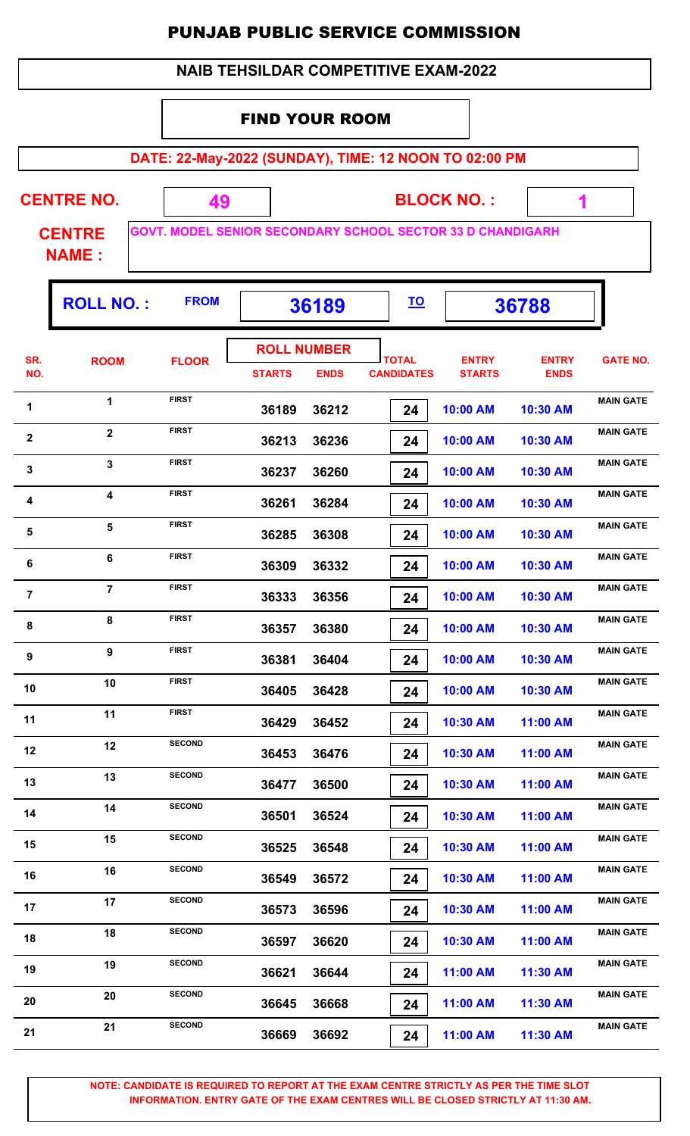|  | <b>NAIB TEHSILDAR COMPETITIVE EXAM-2022</b> |
|--|---------------------------------------------|
|--|---------------------------------------------|

#### FIND YOUR ROOM

**DATE: 22-May-2022 (SUNDAY), TIME: 12 NOON TO 02:00 PM**

 **1**

| <b>CENTRE NO.</b>             |  | <b>BLOCK NO.:</b>                                                 |  |
|-------------------------------|--|-------------------------------------------------------------------|--|
| <b>CENTRE</b><br><b>NAME:</b> |  | <b>GOVT. MODEL SENIOR SECONDARY SCHOOL SECTOR 33 D CHANDIGARH</b> |  |

|                  | <b>ROLL NO.:</b> | <b>FROM</b>   |                    | 36189       | <u>TO</u>                         |                               | 36788                       |                  |
|------------------|------------------|---------------|--------------------|-------------|-----------------------------------|-------------------------------|-----------------------------|------------------|
|                  |                  |               | <b>ROLL NUMBER</b> |             |                                   |                               |                             |                  |
| SR.<br>NO.       | <b>ROOM</b>      | <b>FLOOR</b>  | <b>STARTS</b>      | <b>ENDS</b> | <b>TOTAL</b><br><b>CANDIDATES</b> | <b>ENTRY</b><br><b>STARTS</b> | <b>ENTRY</b><br><b>ENDS</b> | <b>GATE NO.</b>  |
| 1                | $\mathbf{1}$     | <b>FIRST</b>  | 36189              | 36212       | 24                                | 10:00 AM                      | 10:30 AM                    | <b>MAIN GATE</b> |
| $\mathbf{2}$     | $\overline{2}$   | <b>FIRST</b>  | 36213              | 36236       | 24                                | 10:00 AM                      | 10:30 AM                    | <b>MAIN GATE</b> |
| $\mathbf 3$      | 3                | <b>FIRST</b>  | 36237              | 36260       | 24                                | 10:00 AM                      | 10:30 AM                    | <b>MAIN GATE</b> |
| 4                | 4                | <b>FIRST</b>  | 36261              | 36284       | 24                                | 10:00 AM                      | 10:30 AM                    | <b>MAIN GATE</b> |
| $\sqrt{5}$       | 5                | <b>FIRST</b>  | 36285              | 36308       | 24                                | 10:00 AM                      | 10:30 AM                    | <b>MAIN GATE</b> |
| 6                | $6\phantom{1}$   | <b>FIRST</b>  | 36309              | 36332       | 24                                | 10:00 AM                      | 10:30 AM                    | <b>MAIN GATE</b> |
| $\overline{7}$   | $\overline{7}$   | <b>FIRST</b>  | 36333              | 36356       | 24                                | 10:00 AM                      | 10:30 AM                    | <b>MAIN GATE</b> |
| 8                | 8                | <b>FIRST</b>  | 36357              | 36380       | 24                                | 10:00 AM                      | 10:30 AM                    | <b>MAIN GATE</b> |
| $\boldsymbol{9}$ | 9                | <b>FIRST</b>  | 36381              | 36404       | 24                                | 10:00 AM                      | 10:30 AM                    | <b>MAIN GATE</b> |
| 10               | 10               | <b>FIRST</b>  | 36405              | 36428       | 24                                | 10:00 AM                      | 10:30 AM                    | <b>MAIN GATE</b> |
| 11               | 11               | <b>FIRST</b>  | 36429              | 36452       | 24                                | 10:30 AM                      | 11:00 AM                    | <b>MAIN GATE</b> |
| 12               | 12               | <b>SECOND</b> | 36453              | 36476       | 24                                | 10:30 AM                      | 11:00 AM                    | <b>MAIN GATE</b> |
| 13               | 13               | <b>SECOND</b> | 36477              | 36500       | 24                                | 10:30 AM                      | 11:00 AM                    | <b>MAIN GATE</b> |
| 14               | 14               | <b>SECOND</b> | 36501              | 36524       | 24                                | 10:30 AM                      | 11:00 AM                    | <b>MAIN GATE</b> |
| 15               | 15               | <b>SECOND</b> | 36525              | 36548       | 24                                | 10:30 AM                      | 11:00 AM                    | <b>MAIN GATE</b> |
| 16               | 16               | <b>SECOND</b> | 36549              | 36572       | 24                                | 10:30 AM                      | 11:00 AM                    | <b>MAIN GATE</b> |
| 17               | 17               | <b>SECOND</b> | 36573              | 36596       | 24                                | 10:30 AM                      | 11:00 AM                    | <b>MAIN GATE</b> |
| 18               | 18               | <b>SECOND</b> | 36597              | 36620       | 24                                | 10:30 AM                      | 11:00 AM                    | <b>MAIN GATE</b> |
| 19               | 19               | <b>SECOND</b> | 36621              | 36644       | 24                                | 11:00 AM                      | 11:30 AM                    | <b>MAIN GATE</b> |
| 20               | 20               | <b>SECOND</b> | 36645              | 36668       | 24                                | 11:00 AM                      | 11:30 AM                    | <b>MAIN GATE</b> |
| 21               | 21               | <b>SECOND</b> | 36669              | 36692       | 24                                | 11:00 AM                      | 11:30 AM                    | <b>MAIN GATE</b> |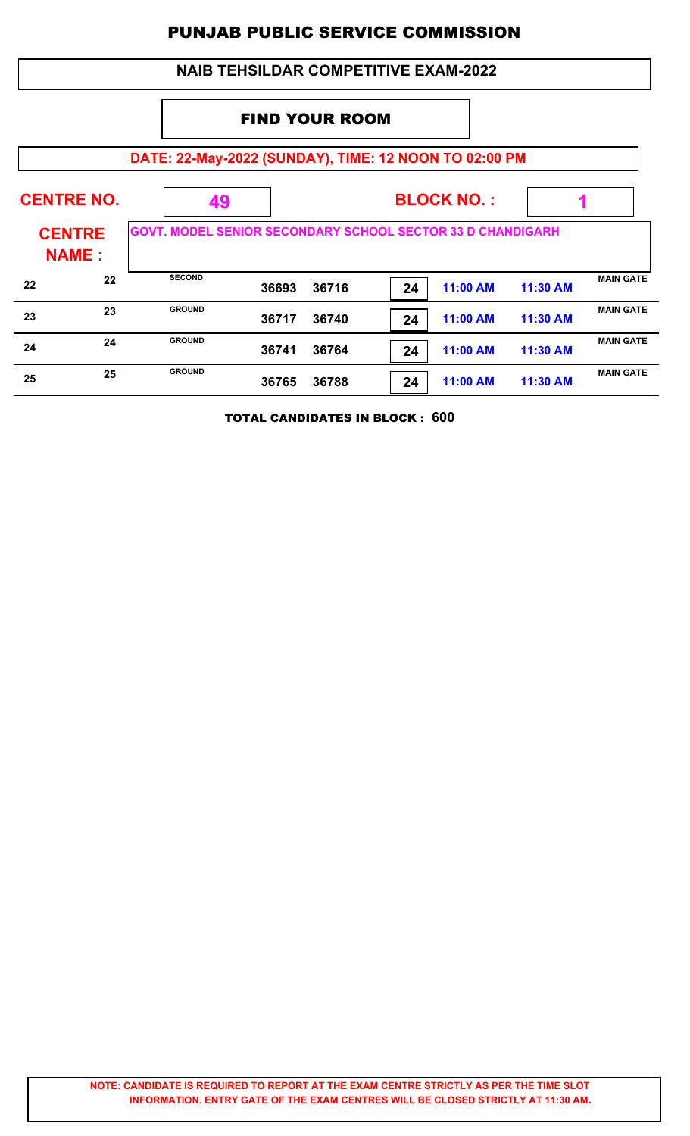|                               |                                              |                                                                   |       |       |    | <b>NAIB TEHSILDAR COMPETITIVE EXAM-2022</b> |          |                  |
|-------------------------------|----------------------------------------------|-------------------------------------------------------------------|-------|-------|----|---------------------------------------------|----------|------------------|
|                               |                                              | <b>FIND YOUR ROOM</b>                                             |       |       |    |                                             |          |                  |
|                               |                                              | DATE: 22-May-2022 (SUNDAY), TIME: 12 NOON TO 02:00 PM             |       |       |    |                                             |          |                  |
|                               | <b>CENTRE NO.</b><br><b>BLOCK NO.:</b><br>49 |                                                                   |       |       |    |                                             |          |                  |
| <b>CENTRE</b><br><b>NAME:</b> |                                              | <b>GOVT. MODEL SENIOR SECONDARY SCHOOL SECTOR 33 D CHANDIGARH</b> |       |       |    |                                             |          |                  |
| 22                            | 22                                           | <b>SECOND</b>                                                     | 36693 | 36716 | 24 | 11:00 AM                                    | 11:30 AM | <b>MAIN GATE</b> |
| 23                            | 23                                           | <b>GROUND</b>                                                     | 36717 | 36740 | 24 | 11:00 AM                                    | 11:30 AM | <b>MAIN GATE</b> |
| 24                            | 24                                           | <b>GROUND</b>                                                     | 36741 | 36764 | 24 | 11:00 AM                                    | 11:30 AM | <b>MAIN GATE</b> |
| 25                            | 25                                           | <b>GROUND</b>                                                     | 36765 | 36788 | 24 | 11:00 AM                                    | 11:30 AM | <b>MAIN GATE</b> |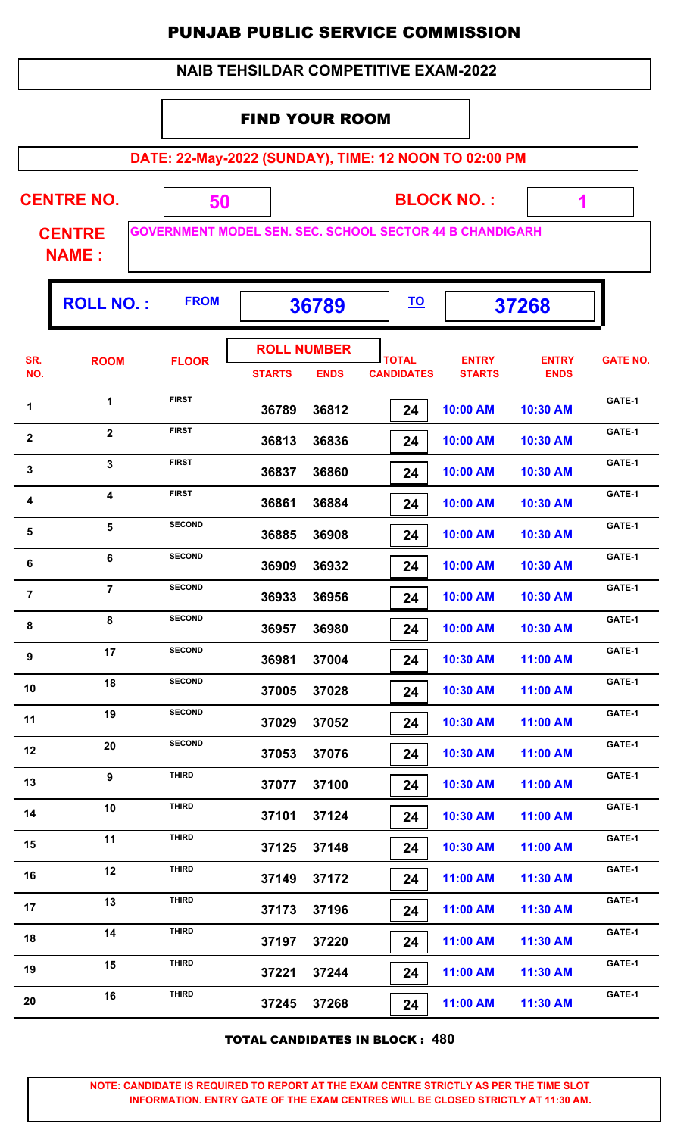|  | <b>NAIB TEHSILDAR COMPETITIVE EXAM-2022</b> |
|--|---------------------------------------------|
|--|---------------------------------------------|

#### FIND YOUR ROOM

**DATE: 22-May-2022 (SUNDAY), TIME: 12 NOON TO 02:00 PM**

**CENTRE NO.** 

**BLOCK NO. :**

 **1**

**CENTRE NAME :**

**GOVERNMENT MODEL SEN. SEC. SCHOOL SECTOR 44 B CHANDIGARH**

 **50**

|                         | <b>ROLL NO.:</b> | <b>FROM</b>   | 36789                               |             | <u>TO</u>                         |                               | 37268                       |                 |
|-------------------------|------------------|---------------|-------------------------------------|-------------|-----------------------------------|-------------------------------|-----------------------------|-----------------|
| SR.<br>NO.              | <b>ROOM</b>      | <b>FLOOR</b>  | <b>ROLL NUMBER</b><br><b>STARTS</b> | <b>ENDS</b> | <b>TOTAL</b><br><b>CANDIDATES</b> | <b>ENTRY</b><br><b>STARTS</b> | <b>ENTRY</b><br><b>ENDS</b> | <b>GATE NO.</b> |
| 1                       | 1                | <b>FIRST</b>  | 36789                               | 36812       | 24                                | 10:00 AM                      | 10:30 AM                    | GATE-1          |
| $\mathbf{2}$            | $\mathbf{2}$     | <b>FIRST</b>  | 36813                               | 36836       | 24                                | 10:00 AM                      | 10:30 AM                    | GATE-1          |
| $\mathbf 3$             | 3                | <b>FIRST</b>  | 36837                               | 36860       | 24                                | 10:00 AM                      | 10:30 AM                    | GATE-1          |
| $\overline{\mathbf{4}}$ | 4                | <b>FIRST</b>  | 36861                               | 36884       | 24                                | 10:00 AM                      | 10:30 AM                    | GATE-1          |
| 5                       | 5                | <b>SECOND</b> | 36885                               | 36908       | 24                                | 10:00 AM                      | 10:30 AM                    | GATE-1          |
| 6                       | 6                | <b>SECOND</b> | 36909                               | 36932       | 24                                | 10:00 AM                      | 10:30 AM                    | GATE-1          |
| $\overline{7}$          | $\overline{7}$   | <b>SECOND</b> | 36933                               | 36956       | 24                                | 10:00 AM                      | 10:30 AM                    | GATE-1          |
| 8                       | 8                | <b>SECOND</b> | 36957                               | 36980       | 24                                | 10:00 AM                      | 10:30 AM                    | GATE-1          |
| $\boldsymbol{9}$        | 17               | <b>SECOND</b> | 36981                               | 37004       | 24                                | 10:30 AM                      | 11:00 AM                    | GATE-1          |
| 10                      | 18               | <b>SECOND</b> | 37005                               | 37028       | 24                                | 10:30 AM                      | 11:00 AM                    | GATE-1          |
| 11                      | 19               | <b>SECOND</b> | 37029                               | 37052       | 24                                | 10:30 AM                      | 11:00 AM                    | GATE-1          |
| 12                      | 20               | <b>SECOND</b> | 37053                               | 37076       | 24                                | 10:30 AM                      | 11:00 AM                    | GATE-1          |
| 13                      | 9                | <b>THIRD</b>  | 37077                               | 37100       | 24                                | 10:30 AM                      | 11:00 AM                    | GATE-1          |
| 14                      | 10               | <b>THIRD</b>  | 37101                               | 37124       | 24                                | 10:30 AM                      | 11:00 AM                    | GATE-1          |
| 15                      | 11               | <b>THIRD</b>  | 37125                               | 37148       | 24                                | 10:30 AM                      | 11:00 AM                    | GATE-1          |
| 16                      | 12               | <b>THIRD</b>  | 37149                               | 37172       | 24                                | 11:00 AM                      | 11:30 AM                    | GATE-1          |
| 17                      | 13               | <b>THIRD</b>  | 37173                               | 37196       | 24                                | 11:00 AM                      | 11:30 AM                    | GATE-1          |
| 18                      | 14               | <b>THIRD</b>  | 37197                               | 37220       | 24                                | 11:00 AM                      | 11:30 AM                    | GATE-1          |
| 19                      | 15               | <b>THIRD</b>  | 37221                               | 37244       | 24                                | 11:00 AM                      | 11:30 AM                    | GATE-1          |
| 20                      | 16               | <b>THIRD</b>  | 37245                               | 37268       | 24                                | 11:00 AM                      | 11:30 AM                    | GATE-1          |
|                         |                  |               |                                     |             |                                   |                               |                             |                 |

TOTAL CANDIDATES IN BLOCK : **480**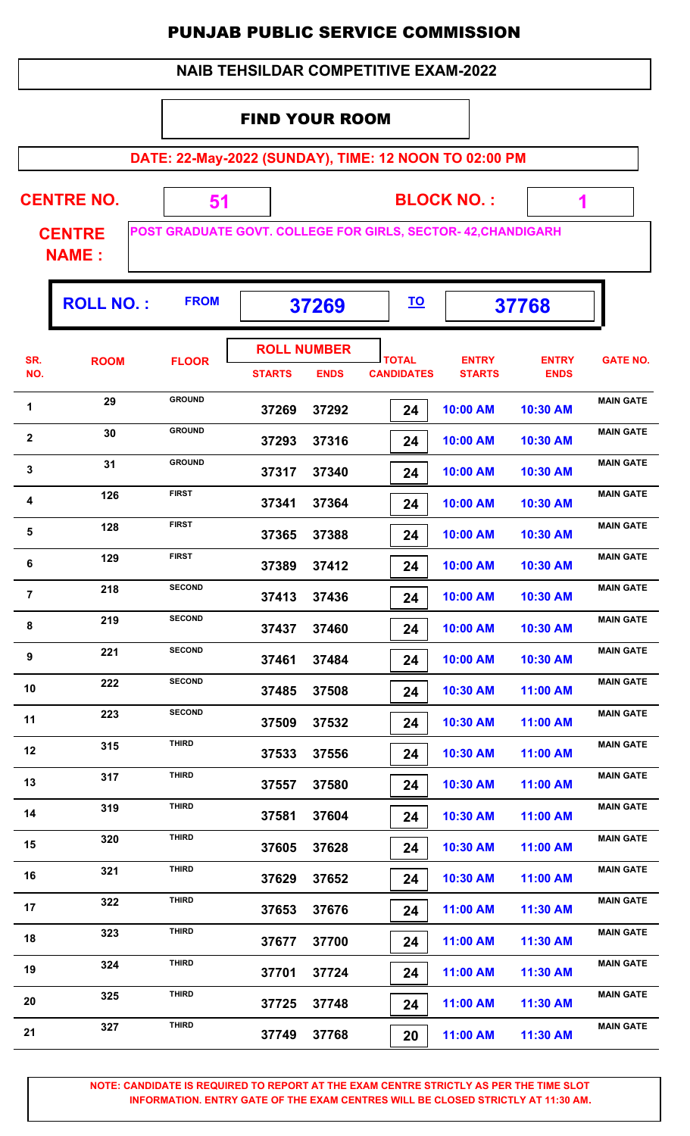|  | <b>NAIB TEHSILDAR COMPETITIVE EXAM-2022</b> |
|--|---------------------------------------------|
|--|---------------------------------------------|

#### FIND YOUR ROOM

**DATE: 22-May-2022 (SUNDAY), TIME: 12 NOON TO 02:00 PM**

| <b>CENTRE NO.</b> |  |
|-------------------|--|
|                   |  |

**BLOCK NO. :**

 **1**

Τ

**CENTRE NAME :**

Г

**POST GRADUATE GOVT. COLLEGE FOR GIRLS, SECTOR- 42,CHANDIGARH**

 **51**

|                  | <b>ROLL NO.:</b> | <b>FROM</b>   | 37269         |                                   | <u>TO</u>                         |                               | 37768                       |                  |
|------------------|------------------|---------------|---------------|-----------------------------------|-----------------------------------|-------------------------------|-----------------------------|------------------|
| SR.<br>NO.       | <b>ROOM</b>      | <b>FLOOR</b>  | <b>STARTS</b> | <b>ROLL NUMBER</b><br><b>ENDS</b> | <b>TOTAL</b><br><b>CANDIDATES</b> | <b>ENTRY</b><br><b>STARTS</b> | <b>ENTRY</b><br><b>ENDS</b> | <b>GATE NO.</b>  |
| 1                | 29               | <b>GROUND</b> | 37269         | 37292                             | 24                                | 10:00 AM                      | 10:30 AM                    | <b>MAIN GATE</b> |
| $\boldsymbol{2}$ | 30               | <b>GROUND</b> | 37293         | 37316                             | 24                                | 10:00 AM                      | 10:30 AM                    | <b>MAIN GATE</b> |
| $\mathbf 3$      | 31               | <b>GROUND</b> | 37317         | 37340                             | 24                                | 10:00 AM                      | 10:30 AM                    | <b>MAIN GATE</b> |
| 4                | 126              | <b>FIRST</b>  | 37341         | 37364                             | 24                                | 10:00 AM                      | 10:30 AM                    | <b>MAIN GATE</b> |
| 5                | 128              | <b>FIRST</b>  | 37365         | 37388                             | 24                                | 10:00 AM                      | 10:30 AM                    | <b>MAIN GATE</b> |
| 6                | 129              | <b>FIRST</b>  | 37389         | 37412                             | 24                                | 10:00 AM                      | 10:30 AM                    | <b>MAIN GATE</b> |
| $\overline{7}$   | 218              | <b>SECOND</b> | 37413         | 37436                             | 24                                | 10:00 AM                      | 10:30 AM                    | <b>MAIN GATE</b> |
| $\bf 8$          | 219              | <b>SECOND</b> | 37437         | 37460                             | 24                                | 10:00 AM                      | 10:30 AM                    | <b>MAIN GATE</b> |
| 9                | 221              | <b>SECOND</b> | 37461         | 37484                             | 24                                | 10:00 AM                      | 10:30 AM                    | <b>MAIN GATE</b> |
| 10               | 222              | <b>SECOND</b> | 37485         | 37508                             | 24                                | 10:30 AM                      | 11:00 AM                    | <b>MAIN GATE</b> |
| 11               | 223              | <b>SECOND</b> | 37509         | 37532                             | 24                                | 10:30 AM                      | 11:00 AM                    | <b>MAIN GATE</b> |
| 12               | 315              | <b>THIRD</b>  | 37533         | 37556                             | 24                                | 10:30 AM                      | 11:00 AM                    | <b>MAIN GATE</b> |
| 13               | 317              | <b>THIRD</b>  | 37557         | 37580                             | 24                                | 10:30 AM                      | 11:00 AM                    | <b>MAIN GATE</b> |
| 14               | 319              | <b>THIRD</b>  | 37581         | 37604                             | 24                                | 10:30 AM                      | 11:00 AM                    | <b>MAIN GATE</b> |
| 15               | 320              | <b>THIRD</b>  | 37605         | 37628                             | 24                                | 10:30 AM                      | 11:00 AM                    | <b>MAIN GATE</b> |
| 16               | 321              | <b>THIRD</b>  | 37629         | 37652                             | 24                                | 10:30 AM                      | 11:00 AM                    | <b>MAIN GATE</b> |
| 17               | 322              | <b>THIRD</b>  | 37653         | 37676                             | 24                                | 11:00 AM                      | 11:30 AM                    | <b>MAIN GATE</b> |
| 18               | 323              | <b>THIRD</b>  | 37677         | 37700                             | 24                                | 11:00 AM                      | 11:30 AM                    | <b>MAIN GATE</b> |
| 19               | 324              | <b>THIRD</b>  | 37701         | 37724                             | 24                                | 11:00 AM                      | 11:30 AM                    | <b>MAIN GATE</b> |
| 20               | 325              | THIRD         | 37725         | 37748                             | 24                                | 11:00 AM                      | 11:30 AM                    | <b>MAIN GATE</b> |
| 21               | 327              | <b>THIRD</b>  | 37749         | 37768                             | 20                                | 11:00 AM                      | 11:30 AM                    | <b>MAIN GATE</b> |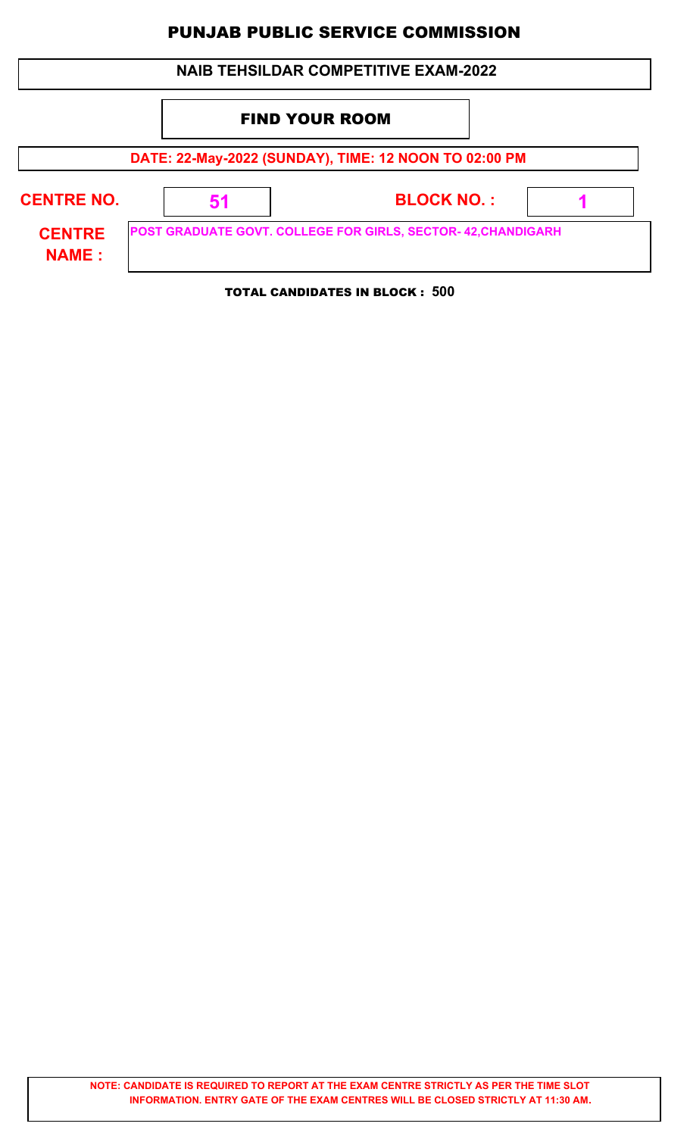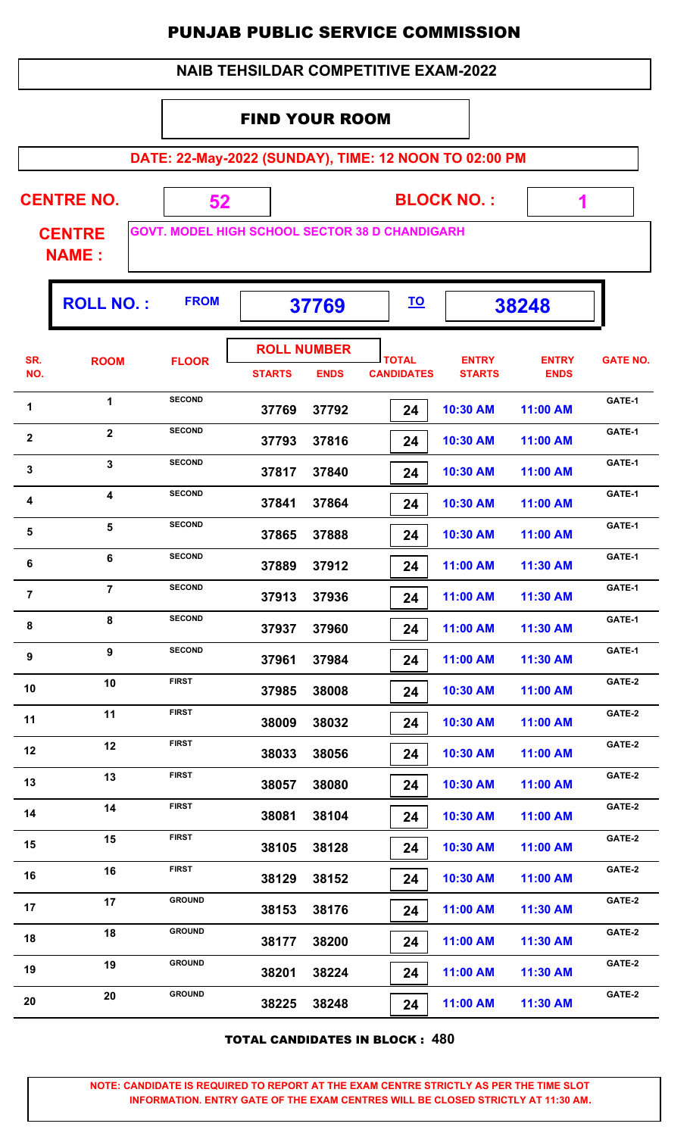|                | <b>NAIB TEHSILDAR COMPETITIVE EXAM-2022</b>                            |                                                       |                       |                    |  |                   |               |              |                 |  |  |
|----------------|------------------------------------------------------------------------|-------------------------------------------------------|-----------------------|--------------------|--|-------------------|---------------|--------------|-----------------|--|--|
|                |                                                                        |                                                       | <b>FIND YOUR ROOM</b> |                    |  |                   |               |              |                 |  |  |
|                |                                                                        | DATE: 22-May-2022 (SUNDAY), TIME: 12 NOON TO 02:00 PM |                       |                    |  |                   |               |              |                 |  |  |
|                |                                                                        |                                                       |                       |                    |  |                   |               |              |                 |  |  |
|                | <b>CENTRE NO.</b><br><b>BLOCK NO.:</b><br>52<br>1                      |                                                       |                       |                    |  |                   |               |              |                 |  |  |
|                | <b>GOVT. MODEL HIGH SCHOOL SECTOR 38 D CHANDIGARH</b><br><b>CENTRE</b> |                                                       |                       |                    |  |                   |               |              |                 |  |  |
|                | <b>NAME:</b>                                                           |                                                       |                       |                    |  |                   |               |              |                 |  |  |
|                | <b>ROLL NO.:</b>                                                       | <b>FROM</b>                                           |                       | 37769              |  | <u>TO</u>         |               | 38248        |                 |  |  |
| SR.            | <b>ROOM</b>                                                            |                                                       |                       | <b>ROLL NUMBER</b> |  | <b>TOTAL</b>      | <b>ENTRY</b>  | <b>ENTRY</b> | <b>GATE NO.</b> |  |  |
| NO.            |                                                                        | <b>FLOOR</b>                                          | <b>STARTS</b>         | <b>ENDS</b>        |  | <b>CANDIDATES</b> | <b>STARTS</b> | <b>ENDS</b>  |                 |  |  |
| 1              | $\mathbf{1}$                                                           | <b>SECOND</b>                                         | 37769                 | 37792              |  | 24                | 10:30 AM      | 11:00 AM     | GATE-1          |  |  |
| $\mathbf{2}$   | $\overline{2}$                                                         | <b>SECOND</b>                                         | 37793                 | 37816              |  | 24                | 10:30 AM      | 11:00 AM     | GATE-1          |  |  |
| 3              | $\mathbf{3}$                                                           | <b>SECOND</b>                                         | 37817                 | 37840              |  | 24                | 10:30 AM      | 11:00 AM     | GATE-1          |  |  |
| 4              | $\overline{\mathbf{4}}$                                                | <b>SECOND</b>                                         | 37841                 | 37864              |  | 24                | 10:30 AM      | 11:00 AM     | GATE-1          |  |  |
| 5              | 5                                                                      | <b>SECOND</b>                                         | 37865                 | 37888              |  | 24                | 10:30 AM      | 11:00 AM     | GATE-1          |  |  |
| 6              | 6                                                                      | <b>SECOND</b>                                         | 37889                 | 37912              |  | 24                | 11:00 AM      | 11:30 AM     | GATE-1          |  |  |
| $\overline{7}$ | $\overline{7}$                                                         | <b>SECOND</b>                                         | 37913                 | 37936              |  | 24                | 11:00 AM      | 11:30 AM     | GATE-1          |  |  |
| 8              | 8                                                                      | <b>SECOND</b>                                         | 37937                 | 37960              |  | 24                | 11:00 AM      | 11:30 AM     | GATE-1          |  |  |
| 9              | $\boldsymbol{9}$                                                       | <b>SECOND</b>                                         | 37961                 | 37984              |  | 24                | 11:00 AM      | 11:30 AM     | GATE-1          |  |  |
| 10             | 10                                                                     | <b>FIRST</b>                                          | 37985                 | 38008              |  | 24                | 10:30 AM      | 11:00 AM     | GATE-2          |  |  |
| 11             | 11                                                                     | <b>FIRST</b>                                          | 38009                 | 38032              |  | 24                | 10:30 AM      | 11:00 AM     | GATE-2          |  |  |
| 12             | 12                                                                     | <b>FIRST</b>                                          | 38033                 | 38056              |  | 24                | 10:30 AM      | 11:00 AM     | GATE-2          |  |  |
| 13             | 13                                                                     | <b>FIRST</b>                                          | 38057                 | 38080              |  | 24                | 10:30 AM      | 11:00 AM     | GATE-2          |  |  |
| 14             | 14                                                                     | <b>FIRST</b>                                          | 38081                 | 38104              |  | 24                | 10:30 AM      | 11:00 AM     | GATE-2          |  |  |
| 15             | 15                                                                     | <b>FIRST</b>                                          | 38105                 | 38128              |  | 24                | 10:30 AM      | 11:00 AM     | GATE-2          |  |  |
| 16             | 16                                                                     | <b>FIRST</b>                                          | 38129                 | 38152              |  | 24                | 10:30 AM      | 11:00 AM     | GATE-2          |  |  |
| 17             | 17                                                                     | <b>GROUND</b>                                         | 38153                 | 38176              |  | 24                | 11:00 AM      | 11:30 AM     | GATE-2          |  |  |
| 18             | 18                                                                     | <b>GROUND</b>                                         | 38177                 | 38200              |  | 24                | 11:00 AM      | 11:30 AM     | GATE-2          |  |  |
| 19             | 19                                                                     | <b>GROUND</b>                                         | 38201                 | 38224              |  | 24                | 11:00 AM      | 11:30 AM     | GATE-2          |  |  |
| 20             | 20                                                                     | <b>GROUND</b>                                         | 38225                 | 38248              |  | 24                | 11:00 AM      | 11:30 AM     | GATE-2          |  |  |

TOTAL CANDIDATES IN BLOCK : **480**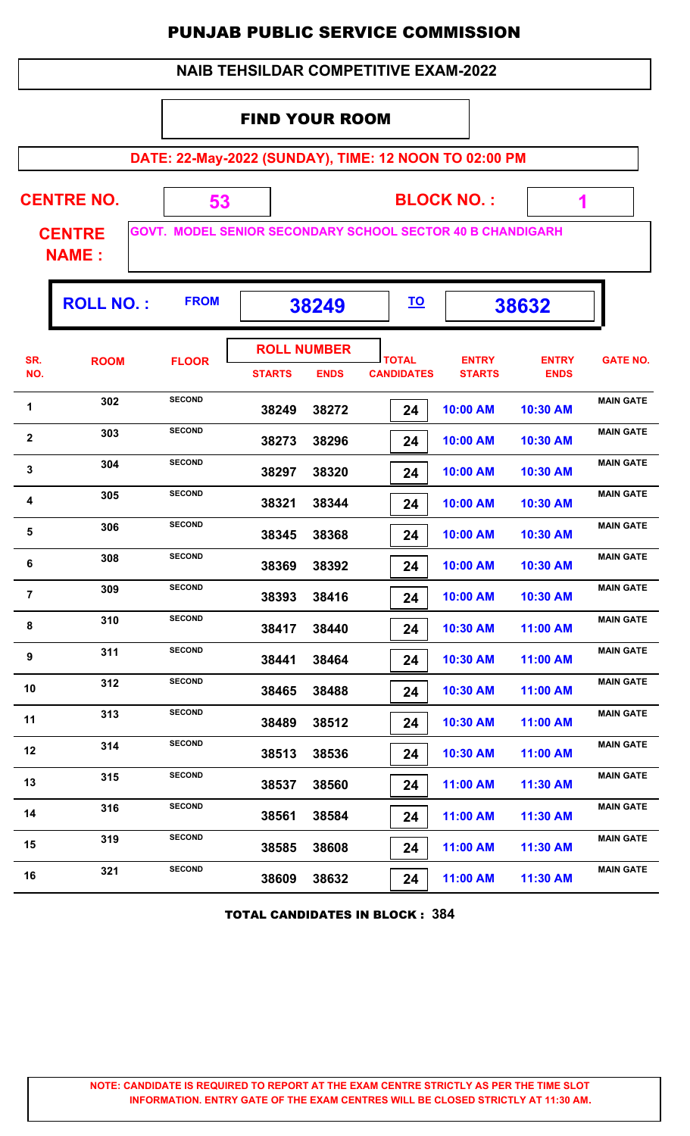| <b>NAIB TEHSILDAR COMPETITIVE EXAM-2022</b> |  |
|---------------------------------------------|--|
|---------------------------------------------|--|

#### FIND YOUR ROOM

**DATE: 22-May-2022 (SUNDAY), TIME: 12 NOON TO 02:00 PM**

 $\mathbf{r}$ 

T.

| <b>CENTRE NO.</b>             |  | <b>BLOCK NO.:</b>                                                 |  |
|-------------------------------|--|-------------------------------------------------------------------|--|
| <b>CENTRE</b><br><b>NAME:</b> |  | <b>GOVT. MODEL SENIOR SECONDARY SCHOOL SECTOR 40 B CHANDIGARH</b> |  |

Г

Г

|                         | <b>ROLL NO.:</b> | <b>FROM</b>   | 38249              |             | <u>TO</u>         |               | 38632        |                  |
|-------------------------|------------------|---------------|--------------------|-------------|-------------------|---------------|--------------|------------------|
| SR.                     | <b>ROOM</b>      | <b>FLOOR</b>  | <b>ROLL NUMBER</b> |             | <b>TOTAL</b>      | <b>ENTRY</b>  | <b>ENTRY</b> | <b>GATE NO.</b>  |
| NO.                     |                  |               | <b>STARTS</b>      | <b>ENDS</b> | <b>CANDIDATES</b> | <b>STARTS</b> | <b>ENDS</b>  |                  |
| 1                       | 302              | <b>SECOND</b> | 38249              | 38272       | 24                | 10:00 AM      | 10:30 AM     | <b>MAIN GATE</b> |
| $\boldsymbol{2}$        | 303              | <b>SECOND</b> | 38273              | 38296       | 24                | 10:00 AM      | 10:30 AM     | <b>MAIN GATE</b> |
| 3                       | 304              | <b>SECOND</b> | 38297              | 38320       | 24                | 10:00 AM      | 10:30 AM     | <b>MAIN GATE</b> |
| 4                       | 305              | <b>SECOND</b> | 38321              | 38344       | 24                | 10:00 AM      | 10:30 AM     | <b>MAIN GATE</b> |
| ${\bf 5}$               | 306              | <b>SECOND</b> | 38345              | 38368       | 24                | 10:00 AM      | 10:30 AM     | <b>MAIN GATE</b> |
| 6                       | 308              | <b>SECOND</b> | 38369              | 38392       | 24                | 10:00 AM      | 10:30 AM     | <b>MAIN GATE</b> |
| $\overline{\mathbf{7}}$ | 309              | <b>SECOND</b> | 38393              | 38416       | 24                | 10:00 AM      | 10:30 AM     | <b>MAIN GATE</b> |
| 8                       | 310              | <b>SECOND</b> | 38417              | 38440       | 24                | 10:30 AM      | 11:00 AM     | <b>MAIN GATE</b> |
| 9                       | 311              | <b>SECOND</b> | 38441              | 38464       | 24                | 10:30 AM      | 11:00 AM     | <b>MAIN GATE</b> |
| 10                      | 312              | <b>SECOND</b> | 38465              | 38488       | 24                | 10:30 AM      | 11:00 AM     | <b>MAIN GATE</b> |
| 11                      | 313              | <b>SECOND</b> | 38489              | 38512       | 24                | 10:30 AM      | 11:00 AM     | <b>MAIN GATE</b> |
| 12                      | 314              | <b>SECOND</b> | 38513              | 38536       | 24                | 10:30 AM      | 11:00 AM     | <b>MAIN GATE</b> |
| 13                      | 315              | <b>SECOND</b> | 38537              | 38560       | 24                | 11:00 AM      | 11:30 AM     | <b>MAIN GATE</b> |
| 14                      | 316              | <b>SECOND</b> | 38561              | 38584       | 24                | 11:00 AM      | 11:30 AM     | <b>MAIN GATE</b> |
| 15                      | 319              | <b>SECOND</b> | 38585              | 38608       | 24                | 11:00 AM      | 11:30 AM     | <b>MAIN GATE</b> |
| 16                      | 321              | <b>SECOND</b> | 38609              | 38632       | 24                | 11:00 AM      | 11:30 AM     | <b>MAIN GATE</b> |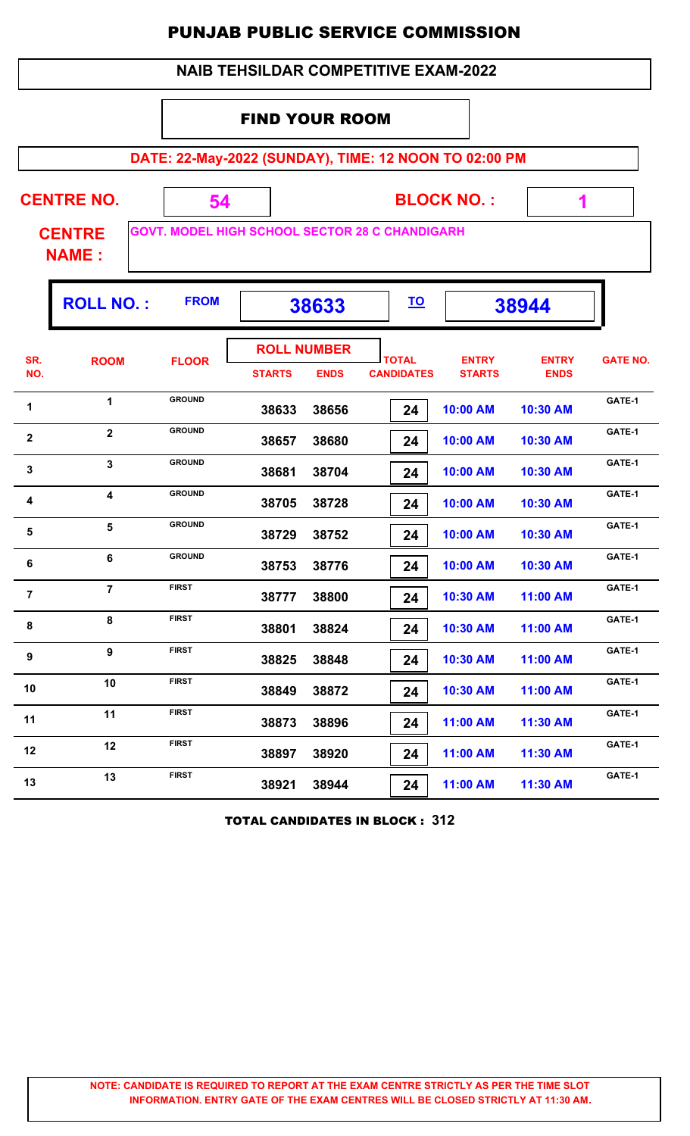|                |                               |                                                       |               |                                   | <b>NAIB TEHSILDAR COMPETITIVE EXAM-2022</b> |                               |                             |                 |  |  |  |
|----------------|-------------------------------|-------------------------------------------------------|---------------|-----------------------------------|---------------------------------------------|-------------------------------|-----------------------------|-----------------|--|--|--|
|                | <b>FIND YOUR ROOM</b>         |                                                       |               |                                   |                                             |                               |                             |                 |  |  |  |
|                |                               | DATE: 22-May-2022 (SUNDAY), TIME: 12 NOON TO 02:00 PM |               |                                   |                                             |                               |                             |                 |  |  |  |
|                | <b>CENTRE NO.</b>             | 54                                                    |               |                                   |                                             | <b>BLOCK NO.:</b>             |                             |                 |  |  |  |
|                | <b>CENTRE</b><br><b>NAME:</b> | <b>GOVT. MODEL HIGH SCHOOL SECTOR 28 C CHANDIGARH</b> |               |                                   |                                             |                               |                             |                 |  |  |  |
|                | <b>ROLL NO.:</b>              | <b>FROM</b>                                           |               | 38633                             | <u>TO</u>                                   |                               | 38944                       |                 |  |  |  |
| SR.<br>NO.     | <b>ROOM</b>                   | <b>FLOOR</b>                                          | <b>STARTS</b> | <b>ROLL NUMBER</b><br><b>ENDS</b> | <b>TOTAL</b><br><b>CANDIDATES</b>           | <b>ENTRY</b><br><b>STARTS</b> | <b>ENTRY</b><br><b>ENDS</b> | <b>GATE NO.</b> |  |  |  |
| 1              | 1                             | <b>GROUND</b>                                         | 38633         | 38656                             | 24                                          | 10:00 AM                      | 10:30 AM                    | GATE-1          |  |  |  |
| $\mathbf{2}$   | $\overline{\mathbf{2}}$       | <b>GROUND</b>                                         | 38657         | 38680                             | 24                                          | 10:00 AM                      | 10:30 AM                    | GATE-1          |  |  |  |
| $\mathbf{3}$   | 3                             | <b>GROUND</b>                                         | 38681         | 38704                             | 24                                          | 10:00 AM                      | 10:30 AM                    | GATE-1          |  |  |  |
| 4              | $\overline{\mathbf{4}}$       | <b>GROUND</b>                                         | 38705         | 38728                             | 24                                          | 10:00 AM                      | 10:30 AM                    | GATE-1          |  |  |  |
| 5              | 5                             | <b>GROUND</b>                                         | 38729         | 38752                             | 24                                          | 10:00 AM                      | 10:30 AM                    | GATE-1          |  |  |  |
| 6              | 6                             | <b>GROUND</b>                                         | 38753         | 38776                             | 24                                          | 10:00 AM                      | 10:30 AM                    | GATE-1          |  |  |  |
| $\overline{7}$ | $\overline{7}$                | <b>FIRST</b>                                          | 38777         | 38800                             | 24                                          | 10:30 AM                      | 11:00 AM                    | GATE-1          |  |  |  |
| 8              | 8                             | <b>FIRST</b>                                          | 38801         | 38824                             | 24                                          | 10:30 AM                      | 11:00 AM                    | GATE-1          |  |  |  |
| 9              | 9                             | <b>FIRST</b>                                          | 38825         | 38848                             | 24                                          | 10:30 AM                      | 11:00 AM                    | GATE-1          |  |  |  |
| 10             | 10                            | <b>FIRST</b>                                          | 38849         | 38872                             | 24                                          | 10:30 AM                      | 11:00 AM                    | GATE-1          |  |  |  |
| 11             | 11                            | <b>FIRST</b>                                          | 38873         | 38896                             | 24                                          | 11:00 AM                      | 11:30 AM                    | GATE-1          |  |  |  |
| 12             | 12                            | <b>FIRST</b>                                          | 38897         | 38920                             | 24                                          | 11:00 AM                      | 11:30 AM                    | GATE-1          |  |  |  |
| 13             | 13                            | <b>FIRST</b>                                          | 38921         | 38944                             | 24                                          | 11:00 AM                      | 11:30 AM                    | GATE-1          |  |  |  |

TOTAL CANDIDATES IN BLOCK : **312**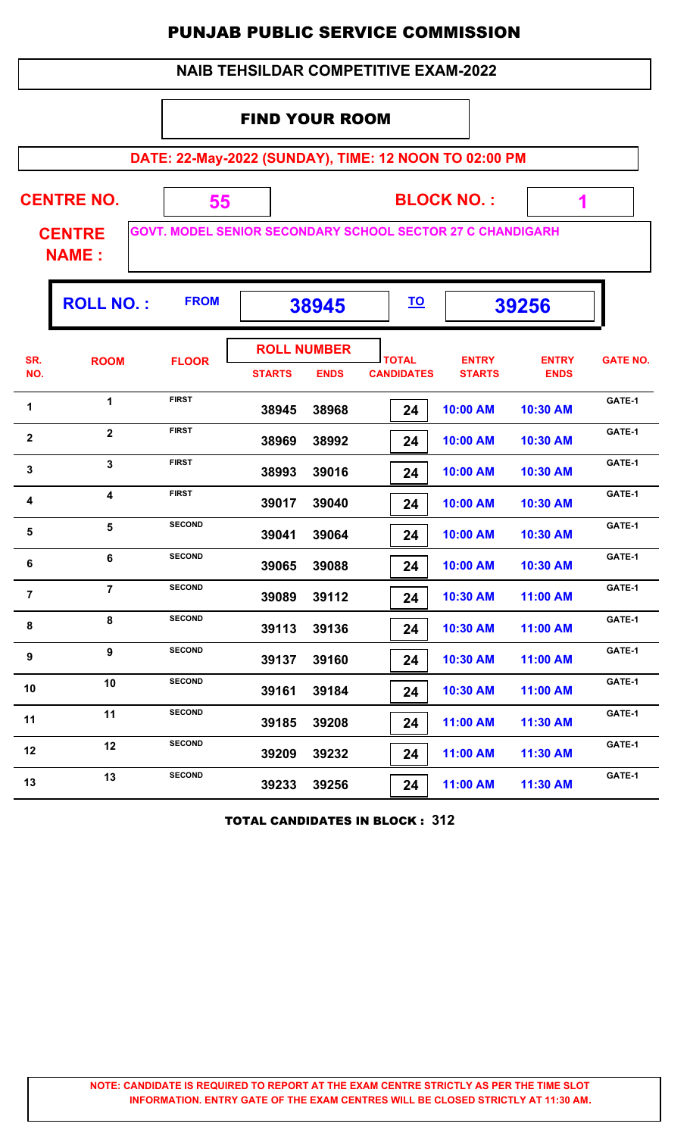|                |                               |                                                                   |                       |                                   | <b>NAIB TEHSILDAR COMPETITIVE EXAM-2022</b> |                               |                             |                 |
|----------------|-------------------------------|-------------------------------------------------------------------|-----------------------|-----------------------------------|---------------------------------------------|-------------------------------|-----------------------------|-----------------|
|                |                               |                                                                   | <b>FIND YOUR ROOM</b> |                                   |                                             |                               |                             |                 |
|                |                               | DATE: 22-May-2022 (SUNDAY), TIME: 12 NOON TO 02:00 PM             |                       |                                   |                                             |                               |                             |                 |
|                | <b>CENTRE NO.</b>             | 55                                                                |                       |                                   |                                             | <b>BLOCK NO.:</b>             | 1                           |                 |
|                | <b>CENTRE</b><br><b>NAME:</b> | <b>GOVT. MODEL SENIOR SECONDARY SCHOOL SECTOR 27 C CHANDIGARH</b> |                       |                                   |                                             |                               |                             |                 |
|                | <b>ROLL NO.:</b>              | <b>FROM</b>                                                       |                       | 38945                             | <u>TO</u>                                   |                               | 39256                       |                 |
| SR.<br>NO.     | <b>ROOM</b>                   | <b>FLOOR</b>                                                      | <b>STARTS</b>         | <b>ROLL NUMBER</b><br><b>ENDS</b> | <b>TOTAL</b><br><b>CANDIDATES</b>           | <b>ENTRY</b><br><b>STARTS</b> | <b>ENTRY</b><br><b>ENDS</b> | <b>GATE NO.</b> |
| 1              | 1                             | <b>FIRST</b>                                                      | 38945                 | 38968                             | 24                                          | 10:00 AM                      | 10:30 AM                    | GATE-1          |
| $\overline{2}$ | $\overline{2}$                | <b>FIRST</b>                                                      | 38969                 | 38992                             | 24                                          | 10:00 AM                      | 10:30 AM                    | GATE-1          |
| $\mathbf{3}$   | 3                             | <b>FIRST</b>                                                      | 38993                 | 39016                             | 24                                          | 10:00 AM                      | 10:30 AM                    | GATE-1          |
| 4              | 4                             | <b>FIRST</b>                                                      | 39017                 | 39040                             | 24                                          | 10:00 AM                      | 10:30 AM                    | GATE-1          |
| 5              | 5                             | <b>SECOND</b>                                                     | 39041                 | 39064                             | 24                                          | 10:00 AM                      | 10:30 AM                    | GATE-1          |
| $\bf 6$        | 6                             | <b>SECOND</b>                                                     | 39065                 | 39088                             | 24                                          | 10:00 AM                      | 10:30 AM                    | GATE-1          |
| $\overline{7}$ | $\overline{7}$                | <b>SECOND</b>                                                     | 39089                 | 39112                             | 24                                          | 10:30 AM                      | 11:00 AM                    | GATE-1          |
| 8              | 8                             | <b>SECOND</b>                                                     | 39113                 | 39136                             | 24                                          | 10:30 AM                      | 11:00 AM                    | GATE-1          |
| 9              | 9                             | <b>SECOND</b>                                                     | 39137                 | 39160                             | 24                                          | 10:30 AM                      | 11:00 AM                    | GATE-1          |
| 10             | 10                            | <b>SECOND</b>                                                     | 39161                 | 39184                             | 24                                          | 10:30 AM                      | 11:00 AM                    | GATE-1          |
| 11             | 11                            | <b>SECOND</b>                                                     | 39185                 | 39208                             | 24                                          | 11:00 AM                      | 11:30 AM                    | GATE-1          |
| 12             | 12                            | <b>SECOND</b>                                                     | 39209                 | 39232                             | 24                                          | 11:00 AM                      | 11:30 AM                    | GATE-1          |
| 13             | 13                            | <b>SECOND</b>                                                     | 39233                 | 39256                             | 24                                          | 11:00 AM                      | 11:30 AM                    | GATE-1          |

TOTAL CANDIDATES IN BLOCK : **312**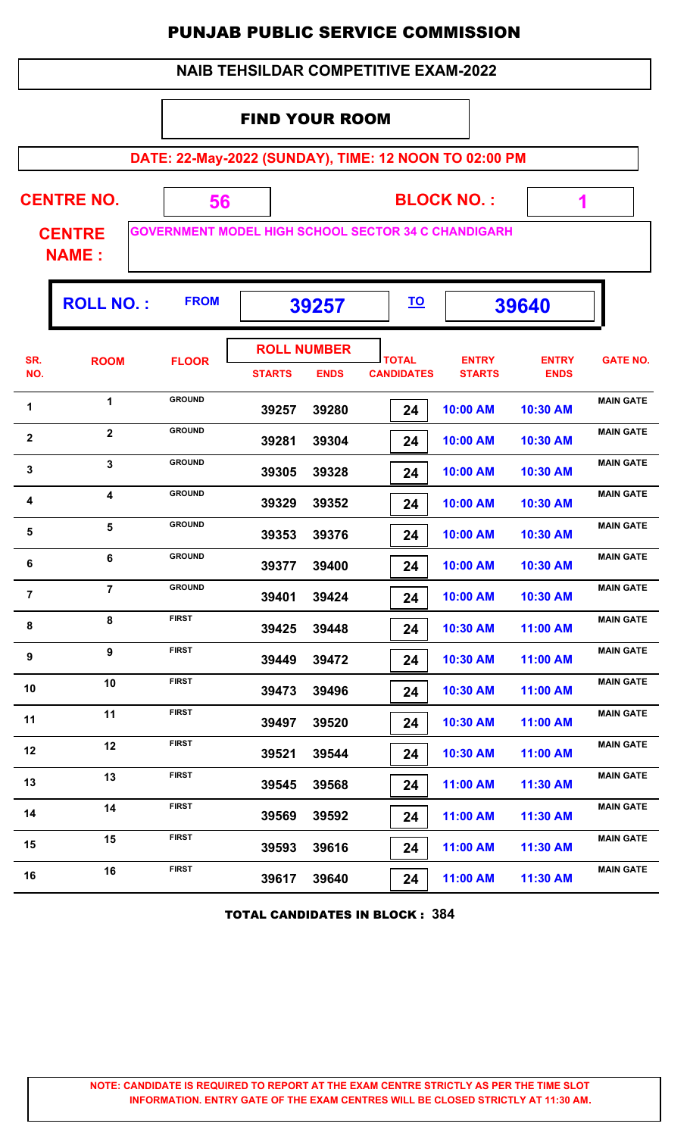|  | <b>NAIB TEHSILDAR COMPETITIVE EXAM-2022</b> |
|--|---------------------------------------------|
|--|---------------------------------------------|

#### FIND YOUR ROOM

**DATE: 22-May-2022 (SUNDAY), TIME: 12 NOON TO 02:00 PM**

 **1**

| <b>CENTRE NO.</b>       |  | <b>BLOCK NO.:</b>                                          |
|-------------------------|--|------------------------------------------------------------|
| <b>CENTRE</b><br>NIAME. |  | <b>GOVERNMENT MODEL HIGH SCHOOL SECTOR 34 C CHANDIGARH</b> |

**NAME :**

|                | NAME:            |               |               |                    |                   |               |              |                  |
|----------------|------------------|---------------|---------------|--------------------|-------------------|---------------|--------------|------------------|
|                | <b>ROLL NO.:</b> | <b>FROM</b>   |               | 39257              | <u>TO</u>         |               | 39640        |                  |
| SR.            | <b>ROOM</b>      | <b>FLOOR</b>  |               | <b>ROLL NUMBER</b> | <b>TOTAL</b>      | <b>ENTRY</b>  | <b>ENTRY</b> | <b>GATE NO.</b>  |
| NO.            |                  |               | <b>STARTS</b> | <b>ENDS</b>        | <b>CANDIDATES</b> | <b>STARTS</b> | <b>ENDS</b>  |                  |
| $\overline{a}$ |                  | <b>GROUND</b> | -----         |                    |                   | . <b>.</b>    | .            | <b>MAIN GATE</b> |

| SR.                     | <b>ROOM</b>             | <b>FLOOR</b>  |               |             | <b>TOTAL</b>      | <b>ENTRY</b>  | <b>ENTRY</b> | <b>GATE NO.</b>  |
|-------------------------|-------------------------|---------------|---------------|-------------|-------------------|---------------|--------------|------------------|
| NO.                     |                         |               | <b>STARTS</b> | <b>ENDS</b> | <b>CANDIDATES</b> | <b>STARTS</b> | <b>ENDS</b>  |                  |
| 1                       | $\mathbf{1}$            | <b>GROUND</b> | 39257         | 39280       | 24                | 10:00 AM      | 10:30 AM     | <b>MAIN GATE</b> |
| $\mathbf 2$             | $\overline{\mathbf{2}}$ | <b>GROUND</b> | 39281         | 39304       | 24                | 10:00 AM      | 10:30 AM     | <b>MAIN GATE</b> |
| $\mathbf{3}$            | $\overline{\mathbf{3}}$ | <b>GROUND</b> | 39305         | 39328       | 24                | 10:00 AM      | 10:30 AM     | <b>MAIN GATE</b> |
| $\overline{\mathbf{4}}$ | $\overline{\mathbf{4}}$ | <b>GROUND</b> | 39329         | 39352       | 24                | 10:00 AM      | 10:30 AM     | <b>MAIN GATE</b> |
| $\sqrt{5}$              | $5\phantom{a}$          | <b>GROUND</b> | 39353         | 39376       | 24                | 10:00 AM      | 10:30 AM     | <b>MAIN GATE</b> |
| 6                       | $6\phantom{a}$          | <b>GROUND</b> | 39377         | 39400       | 24                | 10:00 AM      | 10:30 AM     | <b>MAIN GATE</b> |
| $\overline{7}$          | $\overline{7}$          | <b>GROUND</b> | 39401         | 39424       | 24                | 10:00 AM      | 10:30 AM     | <b>MAIN GATE</b> |
| 8                       | 8                       | <b>FIRST</b>  | 39425         | 39448       | 24                | 10:30 AM      | 11:00 AM     | <b>MAIN GATE</b> |
| $\boldsymbol{9}$        | 9                       | <b>FIRST</b>  | 39449         | 39472       | 24                | 10:30 AM      | 11:00 AM     | <b>MAIN GATE</b> |
| 10                      | 10                      | <b>FIRST</b>  | 39473         | 39496       | 24                | 10:30 AM      | 11:00 AM     | <b>MAIN GATE</b> |
| 11                      | 11                      | <b>FIRST</b>  | 39497         | 39520       | 24                | 10:30 AM      | 11:00 AM     | <b>MAIN GATE</b> |
| 12                      | 12                      | <b>FIRST</b>  | 39521         | 39544       | 24                | 10:30 AM      | 11:00 AM     | <b>MAIN GATE</b> |
| 13                      | 13                      | <b>FIRST</b>  | 39545         | 39568       | 24                | 11:00 AM      | 11:30 AM     | <b>MAIN GATE</b> |
| 14                      | 14                      | <b>FIRST</b>  | 39569         | 39592       | 24                | 11:00 AM      | 11:30 AM     | <b>MAIN GATE</b> |
| 15                      | 15                      | <b>FIRST</b>  | 39593         | 39616       | 24                | 11:00 AM      | 11:30 AM     | <b>MAIN GATE</b> |
| 16                      | 16                      | <b>FIRST</b>  | 39617         | 39640       | 24                | 11:00 AM      | 11:30 AM     | <b>MAIN GATE</b> |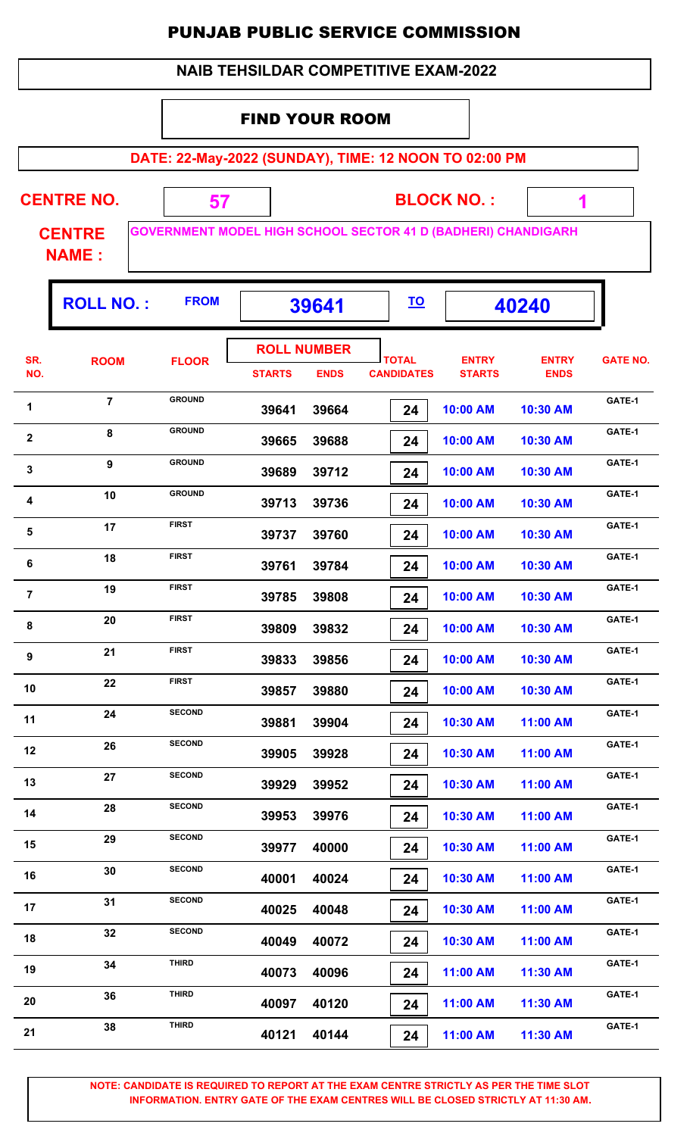| <b>NAIB TEHSILDAR COMPETITIVE EXAM-2022</b> |  |  |
|---------------------------------------------|--|--|
|---------------------------------------------|--|--|

#### FIND YOUR ROOM

**DATE: 22-May-2022 (SUNDAY), TIME: 12 NOON TO 02:00 PM**

7

| <b>CENTRE NO.</b> |  | <b>BLOCK NO.:</b>                                                    |  |
|-------------------|--|----------------------------------------------------------------------|--|
| <b>CENTRE</b>     |  | <b>GOVERNMENT MODEL HIGH SCHOOL SECTOR 41 D (BADHERI) CHANDIGARH</b> |  |

**NAME :**

| Ε. |  | <b>GOVERNMENT MODEL HIGH SCHOOL SECTO</b> |
|----|--|-------------------------------------------|
|    |  |                                           |
|    |  |                                           |

|                | <b>ROLL NO.:</b> | <b>FROM</b>   |               | 39641                             | <u>TO</u>                         |                               | 40240                       |                 |
|----------------|------------------|---------------|---------------|-----------------------------------|-----------------------------------|-------------------------------|-----------------------------|-----------------|
| SR.<br>NO.     | <b>ROOM</b>      | <b>FLOOR</b>  | <b>STARTS</b> | <b>ROLL NUMBER</b><br><b>ENDS</b> | <b>TOTAL</b><br><b>CANDIDATES</b> | <b>ENTRY</b><br><b>STARTS</b> | <b>ENTRY</b><br><b>ENDS</b> | <b>GATE NO.</b> |
| 1              | $\overline{7}$   | <b>GROUND</b> | 39641         | 39664                             | 24                                | 10:00 AM                      | 10:30 AM                    | GATE-1          |
| $\mathbf{2}$   | 8                | <b>GROUND</b> | 39665         | 39688                             | 24                                | 10:00 AM                      | 10:30 AM                    | GATE-1          |
| $\mathbf 3$    | 9                | <b>GROUND</b> | 39689         | 39712                             | 24                                | 10:00 AM                      | 10:30 AM                    | GATE-1          |
| 4              | 10               | <b>GROUND</b> | 39713         | 39736                             | 24                                | 10:00 AM                      | 10:30 AM                    | GATE-1          |
| ${\bf 5}$      | 17               | <b>FIRST</b>  | 39737         | 39760                             | 24                                | 10:00 AM                      | 10:30 AM                    | GATE-1          |
| 6              | 18               | <b>FIRST</b>  | 39761         | 39784                             | 24                                | 10:00 AM                      | 10:30 AM                    | GATE-1          |
| $\overline{7}$ | 19               | <b>FIRST</b>  | 39785         | 39808                             | 24                                | 10:00 AM                      | 10:30 AM                    | GATE-1          |
| 8              | 20               | <b>FIRST</b>  | 39809         | 39832                             | 24                                | 10:00 AM                      | 10:30 AM                    | GATE-1          |
| 9              | 21               | <b>FIRST</b>  | 39833         | 39856                             | 24                                | 10:00 AM                      | 10:30 AM                    | GATE-1          |
| 10             | 22               | <b>FIRST</b>  | 39857         | 39880                             | 24                                | 10:00 AM                      | 10:30 AM                    | GATE-1          |
| 11             | 24               | <b>SECOND</b> | 39881         | 39904                             | 24                                | 10:30 AM                      | 11:00 AM                    | GATE-1          |
| 12             | 26               | <b>SECOND</b> | 39905         | 39928                             | 24                                | 10:30 AM                      | 11:00 AM                    | GATE-1          |
| 13             | 27               | <b>SECOND</b> | 39929         | 39952                             | 24                                | 10:30 AM                      | 11:00 AM                    | GATE-1          |
| 14             | 28               | <b>SECOND</b> | 39953         | 39976                             | 24                                | 10:30 AM                      | 11:00 AM                    | GATE-1          |
| 15             | 29               | <b>SECOND</b> | 39977         | 40000                             | 24                                | 10:30 AM                      | 11:00 AM                    | GATE-1          |
| 16             | 30               | <b>SECOND</b> | 40001         | 40024                             | 24                                | 10:30 AM                      | 11:00 AM                    | GATE-1          |
| 17             | 31               | <b>SECOND</b> | 40025         | 40048                             | 24                                | 10:30 AM                      | 11:00 AM                    | GATE-1          |
| 18             | 32               | <b>SECOND</b> | 40049         | 40072                             | 24                                | 10:30 AM                      | 11:00 AM                    | GATE-1          |
| 19             | 34               | <b>THIRD</b>  | 40073         | 40096                             | 24                                | 11:00 AM                      | 11:30 AM                    | GATE-1          |
| 20             | 36               | <b>THIRD</b>  | 40097         | 40120                             | 24                                | 11:00 AM                      | 11:30 AM                    | GATE-1          |
| 21             | 38               | <b>THIRD</b>  | 40121         | 40144                             | 24                                | 11:00 AM                      | 11:30 AM                    | GATE-1          |
|                |                  |               |               |                                   |                                   |                               |                             |                 |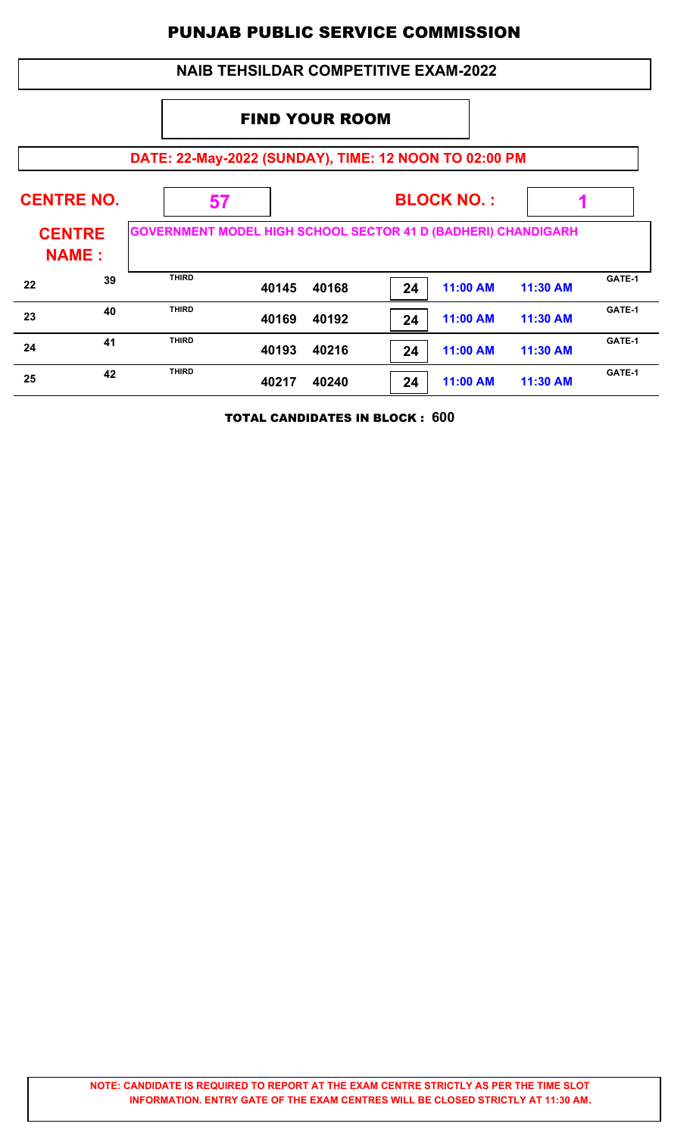|                                                                                                       | <b>NAIB TEHSILDAR COMPETITIVE EXAM-2022</b>           |              |       |       |    |          |          |        |
|-------------------------------------------------------------------------------------------------------|-------------------------------------------------------|--------------|-------|-------|----|----------|----------|--------|
| <b>FIND YOUR ROOM</b>                                                                                 |                                                       |              |       |       |    |          |          |        |
|                                                                                                       | DATE: 22-May-2022 (SUNDAY), TIME: 12 NOON TO 02:00 PM |              |       |       |    |          |          |        |
|                                                                                                       | <b>CENTRE NO.</b><br><b>BLOCK NO.:</b><br>57          |              |       |       |    |          |          |        |
| <b>GOVERNMENT MODEL HIGH SCHOOL SECTOR 41 D (BADHERI) CHANDIGARH</b><br><b>CENTRE</b><br><b>NAME:</b> |                                                       |              |       |       |    |          |          |        |
| 22                                                                                                    | 39                                                    | <b>THIRD</b> | 40145 | 40168 | 24 | 11:00 AM | 11:30 AM | GATE-1 |
| 23                                                                                                    | 40                                                    | <b>THIRD</b> | 40169 | 40192 | 24 | 11:00 AM | 11:30 AM | GATE-1 |
| 24                                                                                                    | 41                                                    | <b>THIRD</b> | 40193 | 40216 | 24 | 11:00 AM | 11:30 AM | GATE-1 |
| 25                                                                                                    | 42                                                    | <b>THIRD</b> | 40217 | 40240 | 24 | 11:00 AM | 11:30 AM | GATE-1 |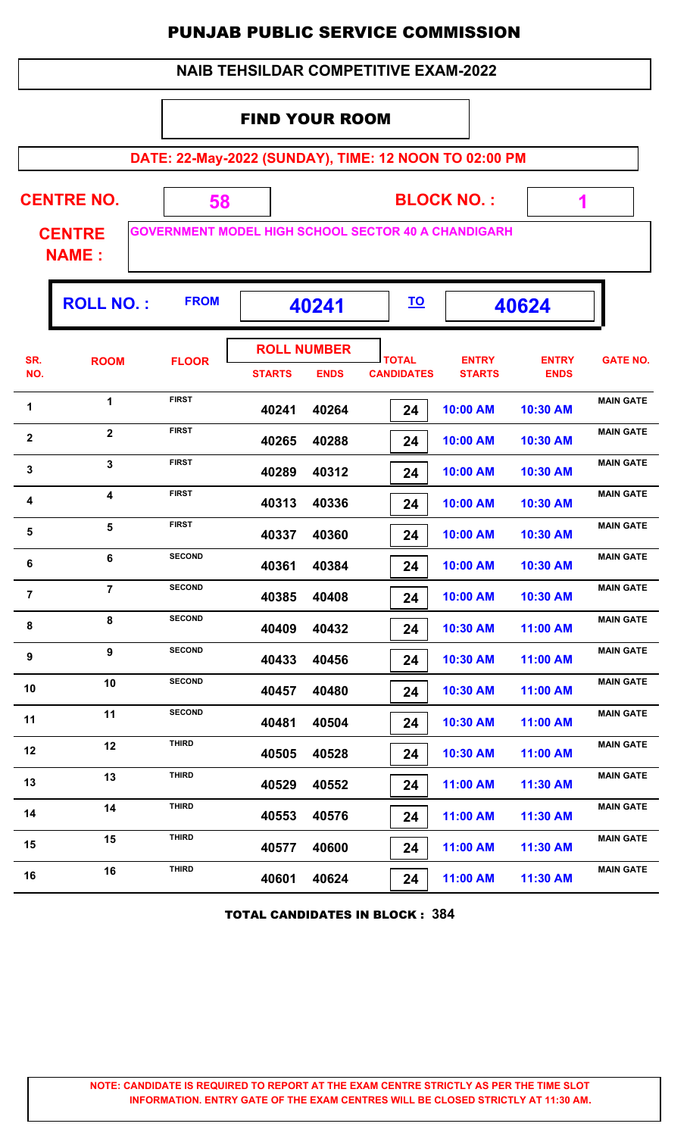| <b>NAIB TEHSILDAR COMPETITIVE EXAM-2022</b> |
|---------------------------------------------|
|---------------------------------------------|

#### FIND YOUR ROOM

**DATE: 22-May-2022 (SUNDAY), TIME: 12 NOON TO 02:00 PM**

| <b>CENTRE NO.</b> | <b>BLOCK NO.:</b>                                         |  |
|-------------------|-----------------------------------------------------------|--|
| <b>CENTRE</b>     | <b>GOVERNMENT MODEL HIGH SCHOOL SECTOR 40 A CHANDIGAL</b> |  |

**CHANDIGARH** 

 **1**

Ŧ

**NAME :**

Г

|                  | <b>ROLL NO.:</b>        | <b>FROM</b>   |                                     | 40241       | <u>TO</u>                         |                               | 40624                       |                  |
|------------------|-------------------------|---------------|-------------------------------------|-------------|-----------------------------------|-------------------------------|-----------------------------|------------------|
| SR.<br>NO.       | <b>ROOM</b>             | <b>FLOOR</b>  | <b>ROLL NUMBER</b><br><b>STARTS</b> | <b>ENDS</b> | <b>TOTAL</b><br><b>CANDIDATES</b> | <b>ENTRY</b><br><b>STARTS</b> | <b>ENTRY</b><br><b>ENDS</b> | <b>GATE NO.</b>  |
| 1                | 1                       | <b>FIRST</b>  | 40241                               | 40264       | 24                                | 10:00 AM                      | 10:30 AM                    | <b>MAIN GATE</b> |
| $\mathbf{2}$     | $\overline{2}$          | <b>FIRST</b>  | 40265                               | 40288       | 24                                | 10:00 AM                      | 10:30 AM                    | <b>MAIN GATE</b> |
| $\mathbf 3$      | 3                       | <b>FIRST</b>  | 40289                               | 40312       | 24                                | 10:00 AM                      | 10:30 AM                    | <b>MAIN GATE</b> |
| $\boldsymbol{4}$ | $\overline{\mathbf{4}}$ | <b>FIRST</b>  | 40313                               | 40336       | 24                                | 10:00 AM                      | 10:30 AM                    | <b>MAIN GATE</b> |
| 5                | 5                       | <b>FIRST</b>  | 40337                               | 40360       | 24                                | 10:00 AM                      | 10:30 AM                    | <b>MAIN GATE</b> |
| $\bf 6$          | 6                       | <b>SECOND</b> | 40361                               | 40384       | 24                                | 10:00 AM                      | 10:30 AM                    | <b>MAIN GATE</b> |
| $\overline{7}$   | $\overline{7}$          | <b>SECOND</b> | 40385                               | 40408       | 24                                | 10:00 AM                      | 10:30 AM                    | <b>MAIN GATE</b> |
| 8                | 8                       | <b>SECOND</b> | 40409                               | 40432       | 24                                | 10:30 AM                      | 11:00 AM                    | <b>MAIN GATE</b> |
| 9                | 9                       | <b>SECOND</b> | 40433                               | 40456       | 24                                | 10:30 AM                      | 11:00 AM                    | <b>MAIN GATE</b> |
| 10               | 10                      | <b>SECOND</b> | 40457                               | 40480       | 24                                | 10:30 AM                      | 11:00 AM                    | <b>MAIN GATE</b> |
| 11               | 11                      | <b>SECOND</b> | 40481                               | 40504       | 24                                | 10:30 AM                      | 11:00 AM                    | <b>MAIN GATE</b> |
| 12               | 12                      | <b>THIRD</b>  | 40505                               | 40528       | 24                                | 10:30 AM                      | 11:00 AM                    | <b>MAIN GATE</b> |
| 13               | 13                      | <b>THIRD</b>  | 40529                               | 40552       | 24                                | 11:00 AM                      | 11:30 AM                    | <b>MAIN GATE</b> |
| 14               | 14                      | <b>THIRD</b>  | 40553                               | 40576       | 24                                | 11:00 AM                      | 11:30 AM                    | <b>MAIN GATE</b> |
| 15               | 15                      | <b>THIRD</b>  | 40577                               | 40600       | 24                                | 11:00 AM                      | 11:30 AM                    | <b>MAIN GATE</b> |
| 16               | 16                      | <b>THIRD</b>  | 40601                               | 40624       | 24                                | 11:00 AM                      | 11:30 AM                    | <b>MAIN GATE</b> |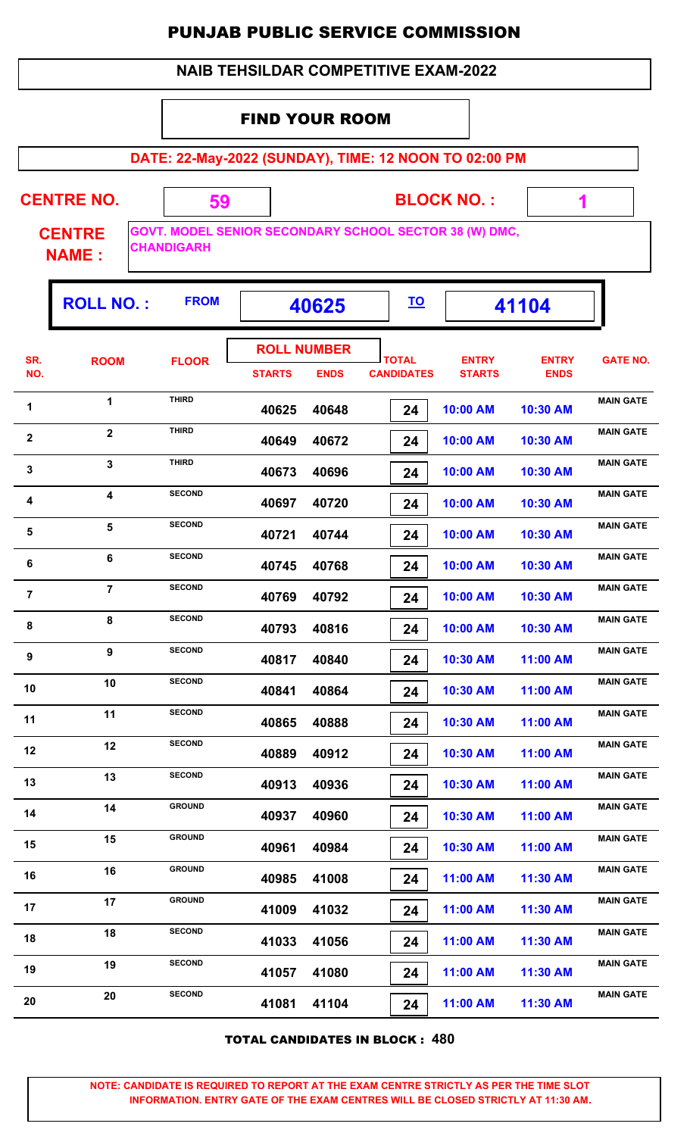|  | <b>NAIB TEHSILDAR COMPETITIVE EXAM-2022</b> |
|--|---------------------------------------------|
|--|---------------------------------------------|

#### FIND YOUR ROOM

**DATE: 22-May-2022 (SUNDAY), TIME: 12 NOON TO 02:00 PM**

|  | <b>CENTRE NC</b> |  |
|--|------------------|--|
|  |                  |  |

**BLOCK NO. :**

 **1**

ı,

**CENTRE NAME :**

**GOVT. MODEL SENIOR SECONDARY SCHOOL SECTOR 38 (W) DMC, CHANDIGARH**

 **59**

| <b>ROLL NUMBER</b><br>SR.<br><b>ENTRY</b><br><b>ENTRY</b><br><b>TOTAL</b><br><b>ROOM</b><br><b>FLOOR</b><br>NO.<br><b>CANDIDATES</b><br><b>STARTS</b><br><b>ENDS</b><br><b>STARTS</b><br><b>ENDS</b> | <b>GATE NO.</b><br><b>MAIN GATE</b> |
|------------------------------------------------------------------------------------------------------------------------------------------------------------------------------------------------------|-------------------------------------|
|                                                                                                                                                                                                      |                                     |
| <b>THIRD</b><br>$\mathbf{1}$<br>1<br>40625<br>40648<br>10:00 AM<br>10:30 AM<br>24                                                                                                                    |                                     |
| <b>THIRD</b><br>$\overline{2}$<br>$\boldsymbol{2}$<br>40649<br>40672<br>24<br>10:00 AM<br>10:30 AM                                                                                                   | <b>MAIN GATE</b>                    |
| <b>THIRD</b><br>$\overline{\mathbf{3}}$<br>$\mathbf 3$<br>40673<br>40696<br>10:00 AM<br>10:30 AM<br>24                                                                                               | <b>MAIN GATE</b>                    |
| <b>SECOND</b><br>$\overline{\mathbf{4}}$<br>4<br>40697<br>40720<br>10:00 AM<br>10:30 AM<br>24                                                                                                        | <b>MAIN GATE</b>                    |
| <b>SECOND</b><br>5<br>${\bf 5}$<br>40721<br>40744<br>10:00 AM<br>10:30 AM<br>24                                                                                                                      | <b>MAIN GATE</b>                    |
| <b>SECOND</b><br>6<br>6<br>40768<br>10:00 AM<br>10:30 AM<br>40745<br>24                                                                                                                              | <b>MAIN GATE</b>                    |
| <b>SECOND</b><br>$\overline{7}$<br>$\overline{7}$<br>40769<br>40792<br>10:00 AM<br>10:30 AM<br>24                                                                                                    | <b>MAIN GATE</b>                    |
| <b>SECOND</b><br>8<br>8<br>40793<br>40816<br>10:00 AM<br>24<br>10:30 AM                                                                                                                              | <b>MAIN GATE</b>                    |
| <b>SECOND</b><br>9<br>9<br>40817<br>40840<br>10:30 AM<br>11:00 AM<br>24                                                                                                                              | <b>MAIN GATE</b>                    |
| <b>SECOND</b><br>10<br>10<br>40841<br>40864<br>10:30 AM<br>11:00 AM<br>24                                                                                                                            | <b>MAIN GATE</b>                    |
| <b>SECOND</b><br>11<br>11<br>40865<br>40888<br>10:30 AM<br>11:00 AM<br>24                                                                                                                            | <b>MAIN GATE</b>                    |
| <b>SECOND</b><br>12<br>12<br>40889<br>40912<br>10:30 AM<br>11:00 AM<br>24                                                                                                                            | <b>MAIN GATE</b>                    |
| <b>SECOND</b><br>13<br>13<br>40913<br>40936<br>24<br>10:30 AM<br>11:00 AM                                                                                                                            | <b>MAIN GATE</b>                    |
| <b>GROUND</b><br>14<br>14<br>40960<br>10:30 AM<br>40937<br>11:00 AM<br>24                                                                                                                            | <b>MAIN GATE</b>                    |
| <b>GROUND</b><br>15<br>15<br>40961<br>40984<br>10:30 AM<br>11:00 AM<br>24                                                                                                                            | <b>MAIN GATE</b>                    |
| <b>GROUND</b><br>16<br>16<br>41008<br>40985<br>11:00 AM<br>11:30 AM<br>24                                                                                                                            | <b>MAIN GATE</b>                    |
| <b>GROUND</b><br>17<br>17<br>41009<br>41032<br>11:00 AM<br>11:30 AM<br>24                                                                                                                            | <b>MAIN GATE</b>                    |
| <b>SECOND</b><br>18<br>18<br>41033<br>41056<br>24<br>11:00 AM<br>11:30 AM                                                                                                                            | <b>MAIN GATE</b>                    |
| <b>SECOND</b><br>19<br>19<br>41080<br>41057<br>11:00 AM<br>11:30 AM<br>24                                                                                                                            | <b>MAIN GATE</b>                    |
| <b>SECOND</b><br>20<br>20<br>41104<br>41081<br>11:00 AM<br>11:30 AM<br>24                                                                                                                            | <b>MAIN GATE</b>                    |

TOTAL CANDIDATES IN BLOCK : **480**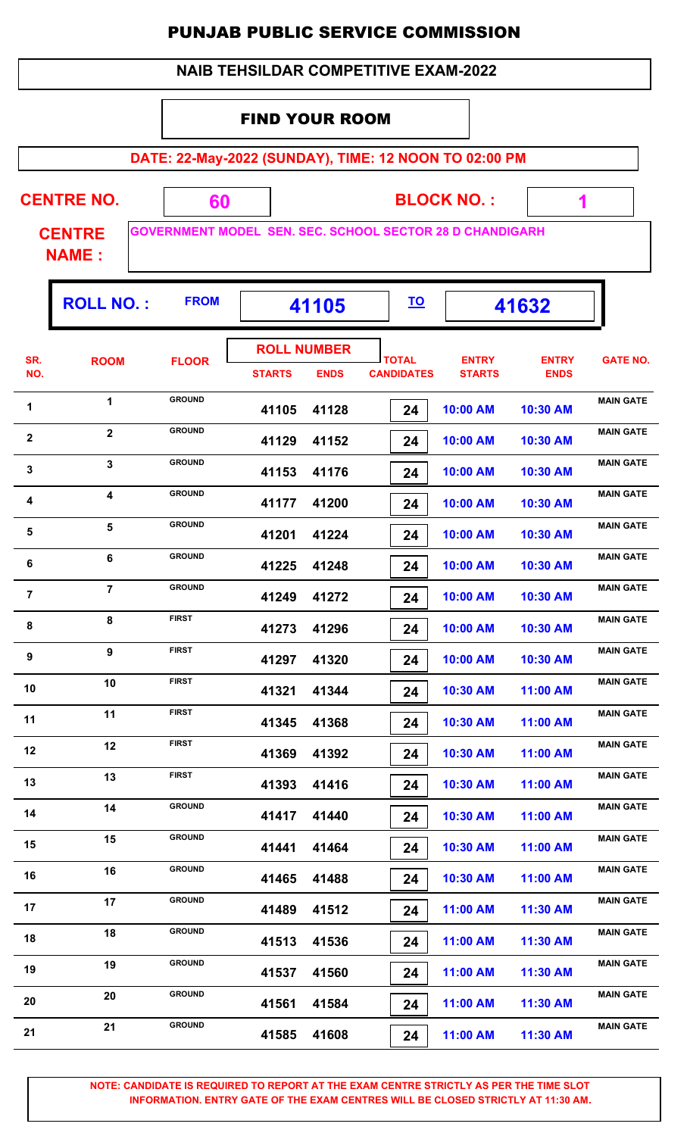| <b>NAIB TEHSILDAR COMPETITIVE EXAM-2022</b> |  |
|---------------------------------------------|--|
|---------------------------------------------|--|

#### FIND YOUR ROOM

**DATE: 22-May-2022 (SUNDAY), TIME: 12 NOON TO 02:00 PM**

 **1**

٦.

| <b>CENTRE NO.</b> | <b>BLOCK NO.:</b>                                                |
|-------------------|------------------------------------------------------------------|
| <b>CENTRE</b>     | <b>IGOVERNMENT MODEL SEN. SEC. SCHOOL SECTOR 28 D CHANDIGARH</b> |

**NAME :**

|                         | <b>ROLL NO.:</b>        | <b>FROM</b>   |               | 41105                             |                                   |                               | 41632                       |                  |
|-------------------------|-------------------------|---------------|---------------|-----------------------------------|-----------------------------------|-------------------------------|-----------------------------|------------------|
| SR.<br>NO.              | <b>ROOM</b>             | <b>FLOOR</b>  | <b>STARTS</b> | <b>ROLL NUMBER</b><br><b>ENDS</b> | <b>TOTAL</b><br><b>CANDIDATES</b> | <b>ENTRY</b><br><b>STARTS</b> | <b>ENTRY</b><br><b>ENDS</b> | <b>GATE NO.</b>  |
| 1                       | 1                       | <b>GROUND</b> | 41105         | 41128                             | 24                                | 10:00 AM                      | 10:30 AM                    | <b>MAIN GATE</b> |
| $\boldsymbol{2}$        | $\overline{2}$          | <b>GROUND</b> | 41129         | 41152                             | 24                                | 10:00 AM                      | 10:30 AM                    | <b>MAIN GATE</b> |
| $\mathbf 3$             | $\overline{\mathbf{3}}$ | <b>GROUND</b> | 41153         | 41176                             | 24                                | 10:00 AM                      | 10:30 AM                    | <b>MAIN GATE</b> |
| 4                       | 4                       | <b>GROUND</b> | 41177         | 41200                             | 24                                | 10:00 AM                      | 10:30 AM                    | <b>MAIN GATE</b> |
| $\overline{\mathbf{5}}$ | 5                       | <b>GROUND</b> | 41201         | 41224                             | 24                                | 10:00 AM                      | 10:30 AM                    | <b>MAIN GATE</b> |
| 6                       | 6                       | <b>GROUND</b> | 41225         | 41248                             | 24                                | 10:00 AM                      | 10:30 AM                    | <b>MAIN GATE</b> |
| $\overline{\mathbf{7}}$ | $\overline{7}$          | <b>GROUND</b> | 41249         | 41272                             | 24                                | 10:00 AM                      | 10:30 AM                    | <b>MAIN GATE</b> |
| 8                       | 8                       | <b>FIRST</b>  | 41273         | 41296                             | 24                                | 10:00 AM                      | 10:30 AM                    | <b>MAIN GATE</b> |
| 9                       | 9                       | <b>FIRST</b>  | 41297         | 41320                             | 24                                | 10:00 AM                      | 10:30 AM                    | <b>MAIN GATE</b> |
| 10                      | 10                      | <b>FIRST</b>  | 41321         | 41344                             | 24                                | 10:30 AM                      | 11:00 AM                    | <b>MAIN GATE</b> |
| 11                      | 11                      | <b>FIRST</b>  | 41345         | 41368                             | 24                                | 10:30 AM                      | 11:00 AM                    | <b>MAIN GATE</b> |
| 12                      | 12                      | <b>FIRST</b>  | 41369         | 41392                             | 24                                | 10:30 AM                      | 11:00 AM                    | <b>MAIN GATE</b> |
| 13                      | 13                      | <b>FIRST</b>  | 41393         | 41416                             | 24                                | 10:30 AM                      | 11:00 AM                    | <b>MAIN GATE</b> |
| 14                      | 14                      | <b>GROUND</b> | 41417         | 41440                             | 24                                | 10:30 AM                      | 11:00 AM                    | <b>MAIN GATE</b> |
| 15                      | 15                      | <b>GROUND</b> | 41441         | 41464                             | 24                                | 10:30 AM                      | 11:00 AM                    | <b>MAIN GATE</b> |
| 16                      | 16                      | <b>GROUND</b> | 41465         | 41488                             | 24                                | 10:30 AM                      | 11:00 AM                    | <b>MAIN GATE</b> |
| 17                      | 17                      | <b>GROUND</b> | 41489         | 41512                             | 24                                | 11:00 AM                      | 11:30 AM                    | <b>MAIN GATE</b> |
| 18                      | 18                      | <b>GROUND</b> | 41513         | 41536                             | 24                                | 11:00 AM                      | 11:30 AM                    | <b>MAIN GATE</b> |
| 19                      | 19                      | <b>GROUND</b> | 41537         | 41560                             | 24                                | 11:00 AM                      | 11:30 AM                    | <b>MAIN GATE</b> |
| 20                      | 20                      | <b>GROUND</b> | 41561         | 41584                             | 24                                | 11:00 AM                      | 11:30 AM                    | <b>MAIN GATE</b> |
| 21                      | 21                      | <b>GROUND</b> | 41585         | 41608                             | 24                                | 11:00 AM                      | 11:30 AM                    | <b>MAIN GATE</b> |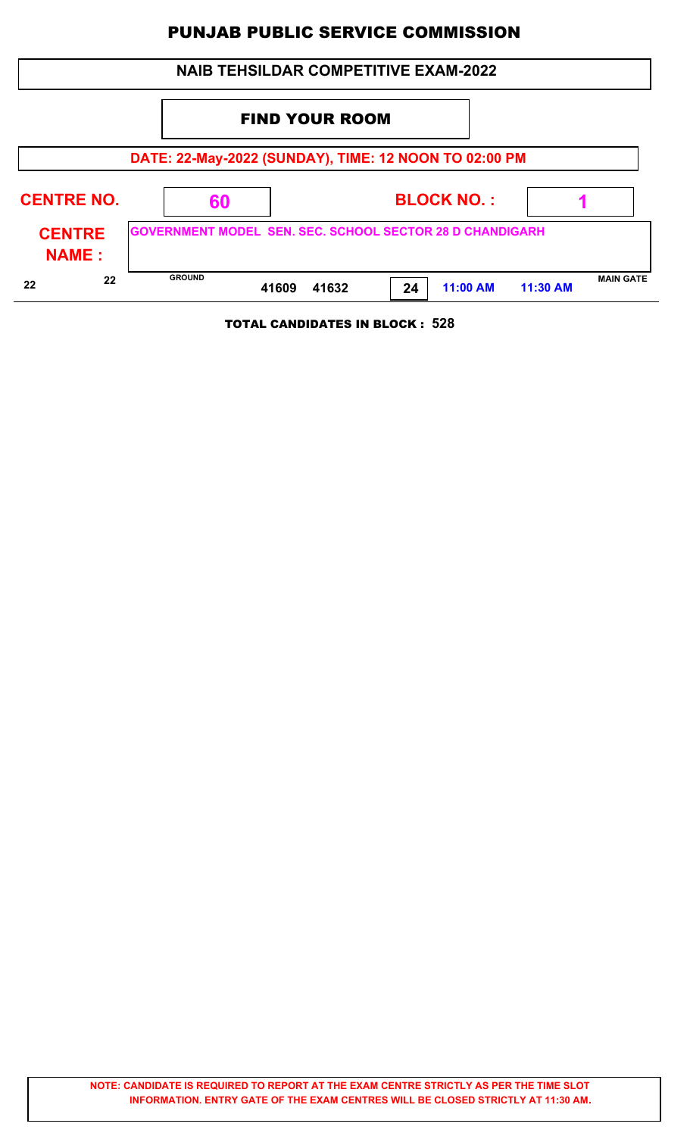| <b>NAIB TEHSILDAR COMPETITIVE EXAM-2022</b> |  |                                                                 |                       |       |    |                   |          |                  |  |  |
|---------------------------------------------|--|-----------------------------------------------------------------|-----------------------|-------|----|-------------------|----------|------------------|--|--|
|                                             |  |                                                                 | <b>FIND YOUR ROOM</b> |       |    |                   |          |                  |  |  |
|                                             |  | DATE: 22-May-2022 (SUNDAY), TIME: 12 NOON TO 02:00 PM           |                       |       |    |                   |          |                  |  |  |
| <b>CENTRE NO.</b>                           |  | 60                                                              |                       |       |    | <b>BLOCK NO.:</b> |          |                  |  |  |
| <b>CENTRE</b><br><b>NAME:</b>               |  | <b>GOVERNMENT MODEL SEN. SEC. SCHOOL SECTOR 28 D CHANDIGARH</b> |                       |       |    |                   |          |                  |  |  |
| 22<br>22                                    |  | <b>GROUND</b>                                                   | 41609                 | 41632 | 24 | 11:00 AM          | 11:30 AM | <b>MAIN GATE</b> |  |  |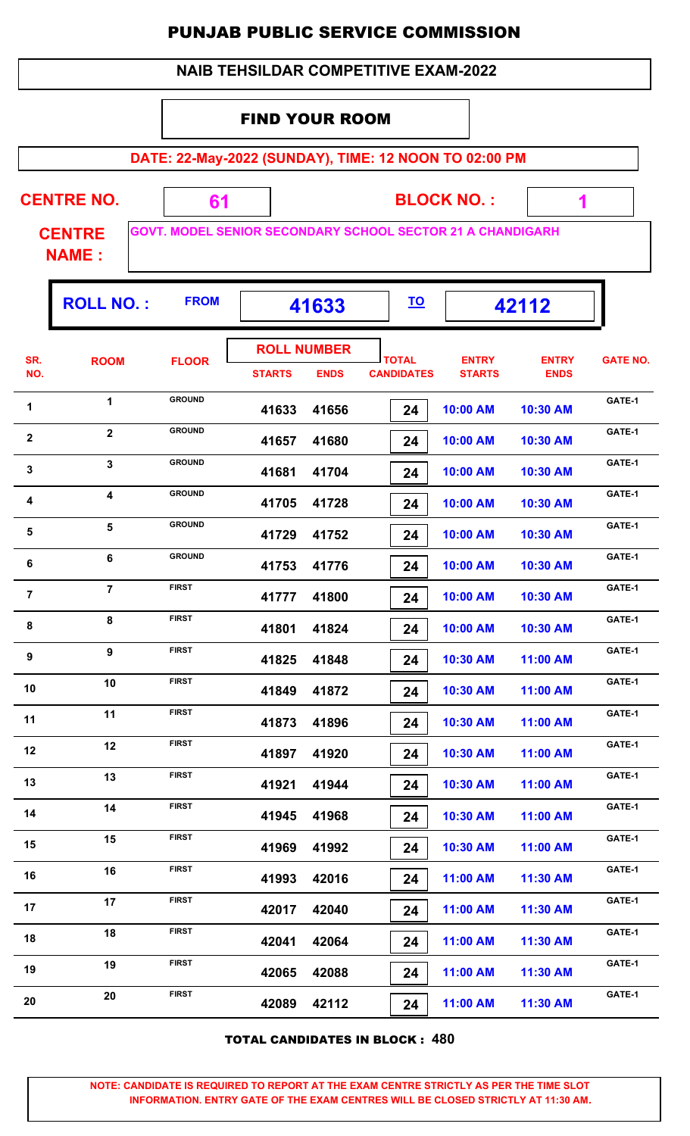|                                                                | <b>NAIB TEHSILDAR COMPETITIVE EXAM-2022</b>                                                   |               |               |                                   |                                   |                               |                             |                 |  |  |  |  |  |
|----------------------------------------------------------------|-----------------------------------------------------------------------------------------------|---------------|---------------|-----------------------------------|-----------------------------------|-------------------------------|-----------------------------|-----------------|--|--|--|--|--|
|                                                                | <b>FIND YOUR ROOM</b>                                                                         |               |               |                                   |                                   |                               |                             |                 |  |  |  |  |  |
|                                                                | DATE: 22-May-2022 (SUNDAY), TIME: 12 NOON TO 02:00 PM                                         |               |               |                                   |                                   |                               |                             |                 |  |  |  |  |  |
|                                                                | <b>CENTRE NO.</b><br><b>BLOCK NO.:</b>                                                        |               |               |                                   |                                   |                               |                             |                 |  |  |  |  |  |
|                                                                | 61<br>1<br><b>GOVT. MODEL SENIOR SECONDARY SCHOOL SECTOR 21 A CHANDIGARH</b><br><b>CENTRE</b> |               |               |                                   |                                   |                               |                             |                 |  |  |  |  |  |
| <b>NAME:</b>                                                   |                                                                                               |               |               |                                   |                                   |                               |                             |                 |  |  |  |  |  |
| <b>FROM</b><br><b>ROLL NO.:</b><br><u>TO</u><br>42112<br>41633 |                                                                                               |               |               |                                   |                                   |                               |                             |                 |  |  |  |  |  |
| SR.<br>NO.                                                     | <b>ROOM</b>                                                                                   | <b>FLOOR</b>  | <b>STARTS</b> | <b>ROLL NUMBER</b><br><b>ENDS</b> | <b>TOTAL</b><br><b>CANDIDATES</b> | <b>ENTRY</b><br><b>STARTS</b> | <b>ENTRY</b><br><b>ENDS</b> | <b>GATE NO.</b> |  |  |  |  |  |
| 1                                                              | $\mathbf{1}$                                                                                  | <b>GROUND</b> | 41633         | 41656                             | 24                                | 10:00 AM                      | 10:30 AM                    | GATE-1          |  |  |  |  |  |
| $\boldsymbol{2}$                                               | $\mathbf{2}$                                                                                  | <b>GROUND</b> | 41657         | 41680                             | 24                                | 10:00 AM                      | 10:30 AM                    | GATE-1          |  |  |  |  |  |
| 3                                                              | 3                                                                                             | <b>GROUND</b> | 41681         | 41704                             | 24                                | 10:00 AM                      | 10:30 AM                    | GATE-1          |  |  |  |  |  |
| 4                                                              | 4                                                                                             | <b>GROUND</b> | 41705         | 41728                             | 24                                | 10:00 AM                      | 10:30 AM                    | GATE-1          |  |  |  |  |  |
| 5                                                              | 5                                                                                             | <b>GROUND</b> | 41729         | 41752                             | 24                                | 10:00 AM                      | 10:30 AM                    | GATE-1          |  |  |  |  |  |
| 6                                                              | 6                                                                                             | <b>GROUND</b> | 41753         | 41776                             | 24                                | 10:00 AM                      | 10:30 AM                    | GATE-1          |  |  |  |  |  |
| $\overline{7}$                                                 | $\overline{7}$                                                                                | <b>FIRST</b>  | 41777         | 41800                             | 24                                | 10:00 AM                      | 10:30 AM                    | GATE-1          |  |  |  |  |  |
| 8                                                              | 8                                                                                             | <b>FIRST</b>  | 41801         | 41824                             | 24                                | 10:00 AM                      | 10:30 AM                    | GATE-1          |  |  |  |  |  |
| 9                                                              | $\boldsymbol{9}$                                                                              | <b>FIRST</b>  | 41825         | 41848                             | 24                                | 10:30 AM                      | 11:00 AM                    | GATE-1          |  |  |  |  |  |
| 10                                                             | 10                                                                                            | <b>FIRST</b>  | 41849         | 41872                             | 24                                | 10:30 AM                      | 11:00 AM                    | GATE-1          |  |  |  |  |  |
| 11                                                             | 11                                                                                            | <b>FIRST</b>  | 41873         | 41896                             | 24                                | 10:30 AM                      | 11:00 AM                    | GATE-1          |  |  |  |  |  |
| 12                                                             | 12                                                                                            | <b>FIRST</b>  | 41897         | 41920                             | 24                                | 10:30 AM                      | 11:00 AM                    | GATE-1          |  |  |  |  |  |
| 13                                                             | 13                                                                                            | <b>FIRST</b>  | 41921         | 41944                             | 24                                | 10:30 AM                      | 11:00 AM                    | GATE-1          |  |  |  |  |  |
| 14                                                             | 14                                                                                            | <b>FIRST</b>  | 41945         | 41968                             | 24                                | 10:30 AM                      | 11:00 AM                    | GATE-1          |  |  |  |  |  |
| 15                                                             | 15                                                                                            | <b>FIRST</b>  | 41969         | 41992                             | 24                                | 10:30 AM                      | 11:00 AM                    | GATE-1          |  |  |  |  |  |
| 16                                                             | 16                                                                                            | <b>FIRST</b>  | 41993         | 42016                             | 24                                | 11:00 AM                      | 11:30 AM                    | GATE-1          |  |  |  |  |  |
| 17                                                             | 17                                                                                            | <b>FIRST</b>  | 42017         | 42040                             | 24                                | 11:00 AM                      | 11:30 AM                    | GATE-1          |  |  |  |  |  |
| 18                                                             | 18                                                                                            | <b>FIRST</b>  | 42041         | 42064                             | 24                                | 11:00 AM                      | 11:30 AM                    | GATE-1          |  |  |  |  |  |
| 19                                                             | 19                                                                                            | <b>FIRST</b>  | 42065         | 42088                             | 24                                | 11:00 AM                      | 11:30 AM                    | GATE-1          |  |  |  |  |  |
| 20                                                             | 20                                                                                            | <b>FIRST</b>  | 42089         | 42112                             | 24                                | 11:00 AM                      | 11:30 AM                    | GATE-1          |  |  |  |  |  |

TOTAL CANDIDATES IN BLOCK : **480**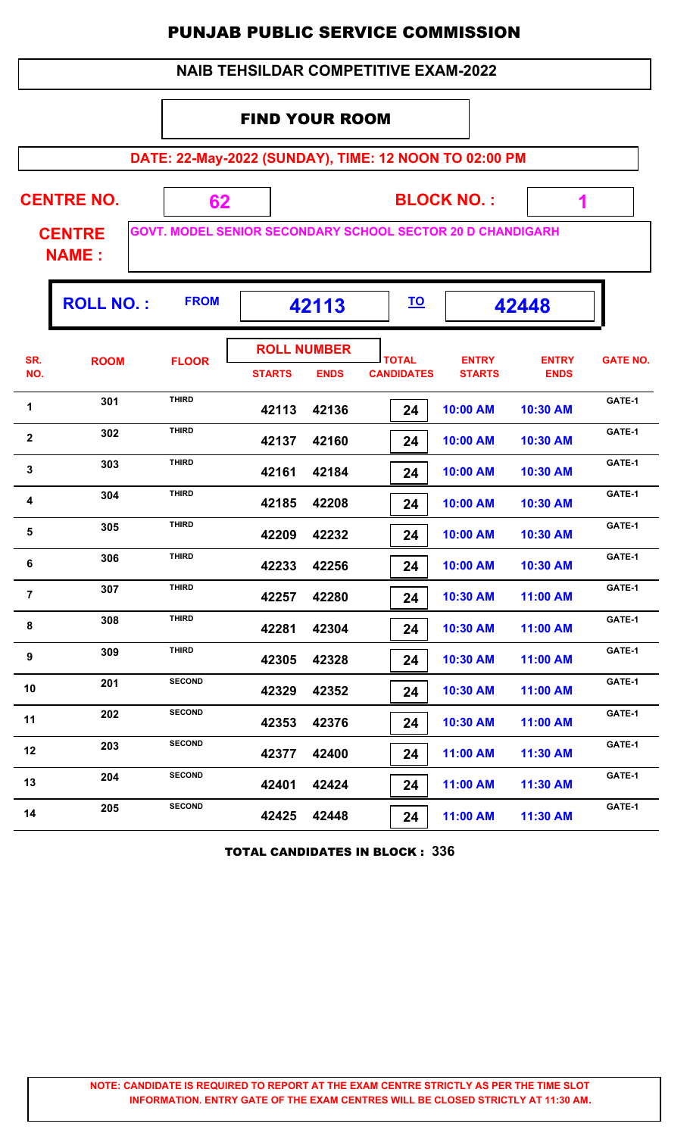|                |                               |                                                                   |                                     |             |                                             | <b>PUNJAB PUBLIC SERVICE COMMISSION</b> |                             |                 |
|----------------|-------------------------------|-------------------------------------------------------------------|-------------------------------------|-------------|---------------------------------------------|-----------------------------------------|-----------------------------|-----------------|
|                |                               |                                                                   |                                     |             | <b>NAIB TEHSILDAR COMPETITIVE EXAM-2022</b> |                                         |                             |                 |
|                |                               |                                                                   | <b>FIND YOUR ROOM</b>               |             |                                             |                                         |                             |                 |
|                |                               | DATE: 22-May-2022 (SUNDAY), TIME: 12 NOON TO 02:00 PM             |                                     |             |                                             |                                         |                             |                 |
|                | <b>CENTRE NO.</b>             | 62                                                                |                                     |             |                                             | <b>BLOCK NO.:</b>                       |                             |                 |
|                | <b>CENTRE</b><br><b>NAME:</b> | <b>GOVT. MODEL SENIOR SECONDARY SCHOOL SECTOR 20 D CHANDIGARH</b> |                                     |             |                                             |                                         |                             |                 |
|                | <b>ROLL NO.:</b>              | <b>FROM</b>                                                       |                                     | 42113       | <u>TO</u>                                   |                                         | 42448                       |                 |
| SR.<br>NO.     | <b>ROOM</b>                   | <b>FLOOR</b>                                                      | <b>ROLL NUMBER</b><br><b>STARTS</b> | <b>ENDS</b> | <b>TOTAL</b><br><b>CANDIDATES</b>           | <b>ENTRY</b><br><b>STARTS</b>           | <b>ENTRY</b><br><b>ENDS</b> | <b>GATE NO.</b> |
| 1              | 301                           | <b>THIRD</b>                                                      | 42113                               | 42136       | 24                                          | 10:00 AM                                | 10:30 AM                    | GATE-1          |
| $\mathbf{2}$   | 302                           | <b>THIRD</b>                                                      | 42137                               | 42160       | 24                                          | 10:00 AM                                | 10:30 AM                    | GATE-1          |
| 3              | 303                           | <b>THIRD</b>                                                      | 42161                               | 42184       | 24                                          | 10:00 AM                                | 10:30 AM                    | GATE-1          |
| 4              | 304                           | <b>THIRD</b>                                                      | 42185                               | 42208       | 24                                          | 10:00 AM                                | 10:30 AM                    | GATE-1          |
| 5              | 305                           | <b>THIRD</b>                                                      | 42209                               | 42232       | 24                                          | 10:00 AM                                | 10:30 AM                    | GATE-1          |
| 6              | 306                           | <b>THIRD</b>                                                      | 42233                               | 42256       | 24                                          | 10:00 AM                                | 10:30 AM                    | GATE-1          |
| $\overline{7}$ | 307                           | <b>THIRD</b>                                                      | 42257                               | 42280       | 24                                          | 10:30 AM                                | 11:00 AM                    | GATE-1          |
| 8              | 308                           | <b>THIRD</b>                                                      | 42281                               | 42304       | 24                                          | 10:30 AM                                | 11:00 AM                    | GATE-1          |
| 9              | 309                           | <b>THIRD</b>                                                      | 42305                               | 42328       | 24                                          | 10:30 AM                                | 11:00 AM                    | GATE-1          |
| 10             | 201                           | <b>SECOND</b>                                                     | 42329                               | 42352       | 24                                          | 10:30 AM                                | 11:00 AM                    | GATE-1          |
| 11             | 202                           | <b>SECOND</b>                                                     | 42353                               | 42376       | 24                                          | 10:30 AM                                | 11:00 AM                    | GATE-1          |
| 12             | 203                           | <b>SECOND</b>                                                     | 42377                               | 42400       | 24                                          | 11:00 AM                                | 11:30 AM                    | GATE-1          |

TOTAL CANDIDATES IN BLOCK : **336**

13 204 SECOND 42401 42424 24 11:00 AM 11:30 AM GATE-1

**GATE-1<sup>14</sup> <sup>205</sup> SECOND**

 **42401 42424 24 11:00 AM 11:30 AM**

 $\overline{\phantom{0}}$ 

 **42425 42448 24 11:00 AM 11:30 AM**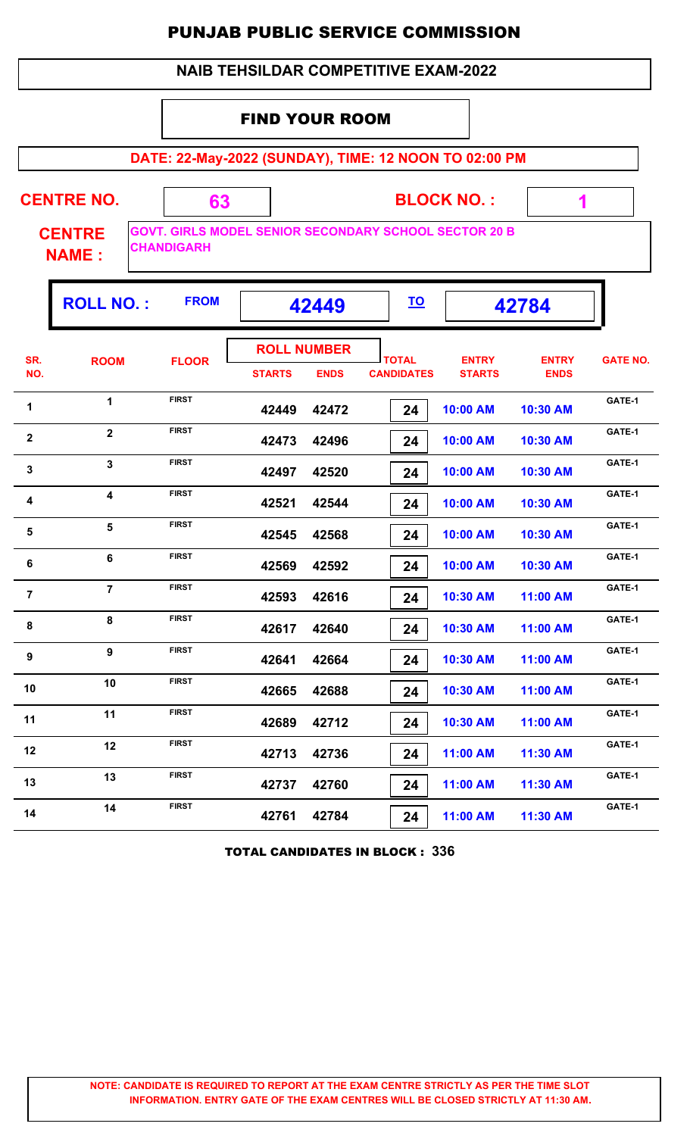#### FIND YOUR ROOM

**DATE: 22-May-2022 (SUNDAY), TIME: 12 NOON TO 02:00 PM**

| <b>CENTRE NO.</b>             |                    | <b>BLOCK NO.:</b>                                            |  |
|-------------------------------|--------------------|--------------------------------------------------------------|--|
| <b>CENTRE</b><br><b>NAME:</b> | <b>ICHANDIGARH</b> | <b>GOVT. GIRLS MODEL SENIOR SECONDARY SCHOOL SECTOR 20 B</b> |  |

Г

|                         | <b>ROLL NO.:</b>        | <b>FROM</b>  |               | 42449                             | <u>TO</u>                         |                               | 42784                       |                 |
|-------------------------|-------------------------|--------------|---------------|-----------------------------------|-----------------------------------|-------------------------------|-----------------------------|-----------------|
| SR.<br>NO.              | <b>ROOM</b>             | <b>FLOOR</b> | <b>STARTS</b> | <b>ROLL NUMBER</b><br><b>ENDS</b> | <b>TOTAL</b><br><b>CANDIDATES</b> | <b>ENTRY</b><br><b>STARTS</b> | <b>ENTRY</b><br><b>ENDS</b> | <b>GATE NO.</b> |
| $\mathbf{1}$            | $\mathbf{1}$            | <b>FIRST</b> | 42449         | 42472                             | 24                                | 10:00 AM                      | 10:30 AM                    | GATE-1          |
| $\overline{\mathbf{2}}$ | $\overline{\mathbf{2}}$ | <b>FIRST</b> | 42473         | 42496                             | 24                                | 10:00 AM                      | 10:30 AM                    | GATE-1          |
| $\mathbf{3}$            | $\overline{\mathbf{3}}$ | <b>FIRST</b> | 42497         | 42520                             | 24                                | 10:00 AM                      | 10:30 AM                    | GATE-1          |
| 4                       | $\boldsymbol{4}$        | <b>FIRST</b> | 42521         | 42544                             | 24                                | 10:00 AM                      | 10:30 AM                    | GATE-1          |
| 5                       | $\overline{\mathbf{5}}$ | <b>FIRST</b> | 42545         | 42568                             | 24                                | 10:00 AM                      | 10:30 AM                    | GATE-1          |
| 6                       | 6                       | <b>FIRST</b> | 42569         | 42592                             | 24                                | 10:00 AM                      | 10:30 AM                    | GATE-1          |
| $\overline{7}$          | $\overline{7}$          | <b>FIRST</b> | 42593         | 42616                             | 24                                | 10:30 AM                      | 11:00 AM                    | GATE-1          |
| ${\bf 8}$               | 8                       | <b>FIRST</b> | 42617         | 42640                             | 24                                | 10:30 AM                      | 11:00 AM                    | GATE-1          |
| $\boldsymbol{9}$        | 9                       | <b>FIRST</b> | 42641         | 42664                             | 24                                | 10:30 AM                      | 11:00 AM                    | GATE-1          |
| 10                      | 10                      | <b>FIRST</b> | 42665         | 42688                             | 24                                | 10:30 AM                      | 11:00 AM                    | GATE-1          |
| 11                      | 11                      | <b>FIRST</b> | 42689         | 42712                             | 24                                | 10:30 AM                      | 11:00 AM                    | GATE-1          |
| 12                      | 12                      | <b>FIRST</b> | 42713         | 42736                             | 24                                | 11:00 AM                      | 11:30 AM                    | GATE-1          |
| 13                      | 13                      | <b>FIRST</b> | 42737         | 42760                             | 24                                | 11:00 AM                      | 11:30 AM                    | GATE-1          |
| 14                      | 14                      | <b>FIRST</b> | 42761         | 42784                             | 24                                | 11:00 AM                      | 11:30 AM                    | GATE-1          |

TOTAL CANDIDATES IN BLOCK : **336**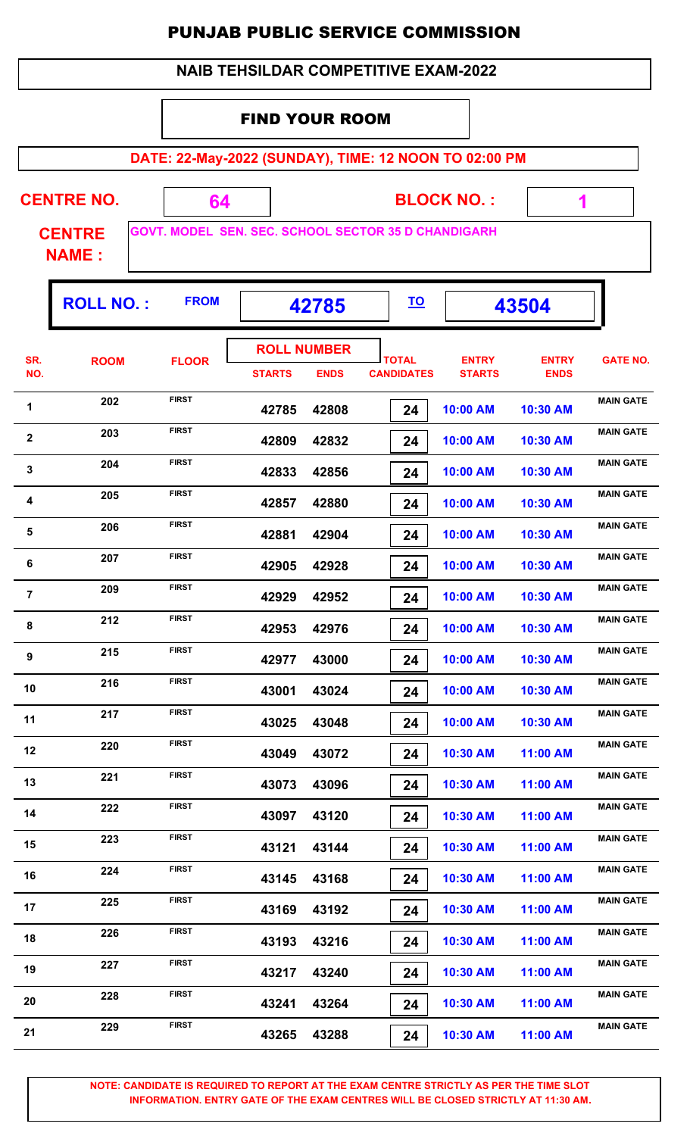| <b>NAIB TEHSILDAR COMPETITIVE EXAM-2022</b> |
|---------------------------------------------|
|---------------------------------------------|

#### FIND YOUR ROOM

**DATE: 22-May-2022 (SUNDAY), TIME: 12 NOON TO 02:00 PM**

| <b>CENTRE NO.</b> |  |                                          |
|-------------------|--|------------------------------------------|
| <b>CENTRE</b>     |  | <b>GOVT. MODEL SEN. SEC. SCHOOL SECT</b> |

**TOR 35 D CHANDIGARH** 

**BLOCK NO. :**

 **1**

**NAME :**

|                | <b>ROLL NO.:</b> | <b>FROM</b>  |               | 42785                             | <u>TO</u>                         |                               | 43504                       |                  |
|----------------|------------------|--------------|---------------|-----------------------------------|-----------------------------------|-------------------------------|-----------------------------|------------------|
| SR.<br>NO.     | <b>ROOM</b>      | <b>FLOOR</b> | <b>STARTS</b> | <b>ROLL NUMBER</b><br><b>ENDS</b> | <b>TOTAL</b><br><b>CANDIDATES</b> | <b>ENTRY</b><br><b>STARTS</b> | <b>ENTRY</b><br><b>ENDS</b> | <b>GATE NO.</b>  |
| $\mathbf{1}$   | 202              | <b>FIRST</b> | 42785         | 42808                             | 24                                | 10:00 AM                      | 10:30 AM                    | <b>MAIN GATE</b> |
| $\mathbf{2}$   | 203              | <b>FIRST</b> | 42809         | 42832                             | 24                                | 10:00 AM                      | 10:30 AM                    | <b>MAIN GATE</b> |
| 3              | 204              | <b>FIRST</b> | 42833         | 42856                             | 24                                | 10:00 AM                      | 10:30 AM                    | <b>MAIN GATE</b> |
| 4              | 205              | <b>FIRST</b> | 42857         | 42880                             | 24                                | 10:00 AM                      | 10:30 AM                    | <b>MAIN GATE</b> |
| 5              | 206              | <b>FIRST</b> | 42881         | 42904                             | 24                                | 10:00 AM                      | 10:30 AM                    | <b>MAIN GATE</b> |
| 6              | 207              | <b>FIRST</b> | 42905         | 42928                             | 24                                | 10:00 AM                      | 10:30 AM                    | <b>MAIN GATE</b> |
| $\overline{7}$ | 209              | <b>FIRST</b> | 42929         | 42952                             | 24                                | 10:00 AM                      | 10:30 AM                    | <b>MAIN GATE</b> |
| 8              | 212              | <b>FIRST</b> | 42953         | 42976                             | 24                                | 10:00 AM                      | 10:30 AM                    | <b>MAIN GATE</b> |
| 9              | 215              | <b>FIRST</b> | 42977         | 43000                             | 24                                | 10:00 AM                      | 10:30 AM                    | <b>MAIN GATE</b> |
| 10             | 216              | <b>FIRST</b> | 43001         | 43024                             | 24                                | 10:00 AM                      | 10:30 AM                    | <b>MAIN GATE</b> |
| 11             | 217              | <b>FIRST</b> | 43025         | 43048                             | 24                                | 10:00 AM                      | 10:30 AM                    | <b>MAIN GATE</b> |
| 12             | 220              | <b>FIRST</b> | 43049         | 43072                             | 24                                | 10:30 AM                      | 11:00 AM                    | <b>MAIN GATE</b> |
| 13             | 221              | <b>FIRST</b> | 43073         | 43096                             | 24                                | 10:30 AM                      | 11:00 AM                    | <b>MAIN GATE</b> |
| 14             | 222              | <b>FIRST</b> | 43097         | 43120                             | 24                                | 10:30 AM                      | 11:00 AM                    | <b>MAIN GATE</b> |
| 15             | 223              | <b>FIRST</b> | 43121         | 43144                             | 24                                | 10:30 AM                      | 11:00 AM                    | <b>MAIN GATE</b> |
| 16             | 224              | <b>FIRST</b> | 43145         | 43168                             | 24                                | 10:30 AM                      | 11:00 AM                    | <b>MAIN GATE</b> |
| 17             | 225              | <b>FIRST</b> | 43169         | 43192                             | 24                                | 10:30 AM                      | 11:00 AM                    | <b>MAIN GATE</b> |
| 18             | 226              | <b>FIRST</b> | 43193         | 43216                             | 24                                | 10:30 AM                      | 11:00 AM                    | <b>MAIN GATE</b> |
| 19             | 227              | <b>FIRST</b> | 43217         | 43240                             | 24                                | 10:30 AM                      | 11:00 AM                    | <b>MAIN GATE</b> |
| 20             | 228              | <b>FIRST</b> | 43241         | 43264                             | 24                                | 10:30 AM                      | 11:00 AM                    | <b>MAIN GATE</b> |
| 21             | 229              | <b>FIRST</b> | 43265         | 43288                             | 24                                | 10:30 AM                      | 11:00 AM                    | <b>MAIN GATE</b> |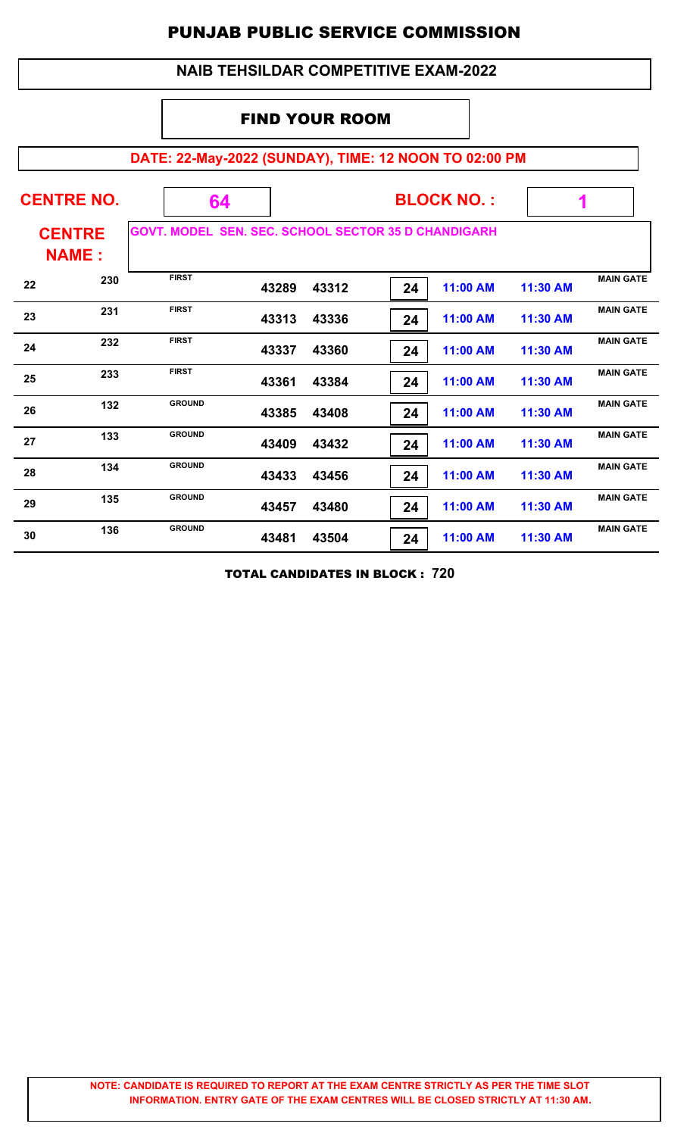#### **NAIB TEHSILDAR COMPETITIVE EXAM-2022**

#### FIND YOUR ROOM

# **DATE: 22-May-2022 (SUNDAY), TIME: 12 NOON TO 02:00 PM**

|    | <b>CENTRE NO.</b>             | 64                 |       | <b>BLOCK NO.:</b> |    |                                                |          |                  |
|----|-------------------------------|--------------------|-------|-------------------|----|------------------------------------------------|----------|------------------|
|    | <b>CENTRE</b><br><b>NAME:</b> | <b>GOVT. MODEL</b> |       |                   |    | <b>SEN. SEC. SCHOOL SECTOR 35 D CHANDIGARH</b> |          |                  |
| 22 | 230                           | <b>FIRST</b>       | 43289 | 43312             | 24 | 11:00 AM                                       | 11:30 AM | <b>MAIN GATE</b> |
| 23 | 231                           | <b>FIRST</b>       | 43313 | 43336             | 24 | 11:00 AM                                       | 11:30 AM | <b>MAIN GATE</b> |
| 24 | 232                           | <b>FIRST</b>       | 43337 | 43360             | 24 | 11:00 AM                                       | 11:30 AM | <b>MAIN GATE</b> |
| 25 | 233                           | <b>FIRST</b>       | 43361 | 43384             | 24 | 11:00 AM                                       | 11:30 AM | <b>MAIN GATE</b> |
| 26 | 132                           | <b>GROUND</b>      | 43385 | 43408             | 24 | 11:00 AM                                       | 11:30 AM | <b>MAIN GATE</b> |
| 27 | 133                           | <b>GROUND</b>      | 43409 | 43432             | 24 | 11:00 AM                                       | 11:30 AM | <b>MAIN GATE</b> |
| 28 | 134                           | <b>GROUND</b>      | 43433 | 43456             | 24 | 11:00 AM                                       | 11:30 AM | <b>MAIN GATE</b> |
| 29 | 135                           | <b>GROUND</b>      | 43457 | 43480             | 24 | 11:00 AM                                       | 11:30 AM | <b>MAIN GATE</b> |
| 30 | 136                           | <b>GROUND</b>      | 43481 | 43504             | 24 | 11:00 AM                                       | 11:30 AM | <b>MAIN GATE</b> |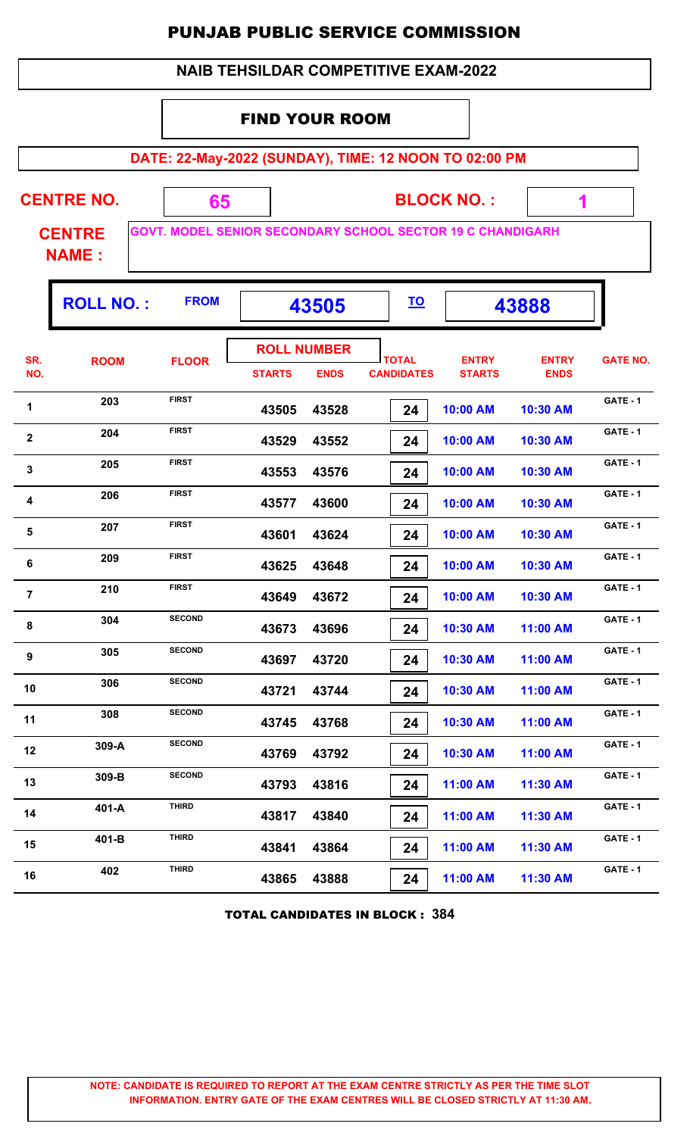|              |                               |                                                                   | PUNJAB PUBLIC SERVICE COMMISSION            |                                   |                                   |                               |                             |                 |
|--------------|-------------------------------|-------------------------------------------------------------------|---------------------------------------------|-----------------------------------|-----------------------------------|-------------------------------|-----------------------------|-----------------|
|              |                               |                                                                   | <b>NAIB TEHSILDAR COMPETITIVE EXAM-2022</b> |                                   |                                   |                               |                             |                 |
|              |                               |                                                                   |                                             | <b>FIND YOUR ROOM</b>             |                                   |                               |                             |                 |
|              |                               | DATE: 22-May-2022 (SUNDAY), TIME: 12 NOON TO 02:00 PM             |                                             |                                   |                                   |                               |                             |                 |
|              | <b>CENTRE NO.</b>             |                                                                   | 65                                          |                                   |                                   | <b>BLOCK NO.:</b>             |                             |                 |
|              | <b>CENTRE</b><br><b>NAME:</b> | <b>GOVT. MODEL SENIOR SECONDARY SCHOOL SECTOR 19 C CHANDIGARH</b> |                                             |                                   |                                   |                               |                             |                 |
|              | <b>ROLL NO.:</b>              | <b>FROM</b>                                                       |                                             | 43505                             | <u>TO</u>                         |                               | 43888                       |                 |
| SR.<br>NO.   | <b>ROOM</b>                   | <b>FLOOR</b>                                                      | <b>STARTS</b>                               | <b>ROLL NUMBER</b><br><b>ENDS</b> | <b>TOTAL</b><br><b>CANDIDATES</b> | <b>ENTRY</b><br><b>STARTS</b> | <b>ENTRY</b><br><b>ENDS</b> | <b>GATE NO.</b> |
| 1            | 203                           | <b>FIRST</b>                                                      | 43505                                       | 43528                             | 24                                | 10:00 AM                      | 10:30 AM                    | <b>GATE - 1</b> |
| $\mathbf{2}$ | 204                           | <b>FIRST</b>                                                      | 43529                                       | 43552                             | 24                                | 10:00 AM                      | 10:30 AM                    | GATE - 1        |
| $\mathbf{3}$ | 205                           | <b>FIRST</b>                                                      | 43553                                       | 43576                             | 24                                | 10:00 AM                      | 10:30 AM                    | GATE - 1        |
| 4            | 206                           | <b>FIRST</b>                                                      | 43577                                       | 43600                             | 24                                | 10:00 AM                      | 10:30 AM                    | GATE - 1        |
| 5            | 207                           | <b>FIRST</b>                                                      | 43601                                       | 43624                             | 24                                | 10:00 AM                      | 10:30 AM                    | <b>GATE - 1</b> |
| 6            | 209                           | <b>FIRST</b>                                                      | 43625                                       | 43648                             | 24                                | 10:00 AM                      | 10:30 AM                    | <b>GATE - 1</b> |
| 7            | 210                           | <b>FIRST</b>                                                      | 43649                                       | 43672                             | 24                                | 10:00 AM                      | 10:30 AM                    | GATE - 1        |
| 8            | 304                           | <b>SECOND</b>                                                     | 43673                                       | 43696                             | 24                                | 10:30 AM                      | 11:00 AM                    | GATE - 1        |
| 9            | 305                           | <b>SECOND</b>                                                     | 43697                                       | 43720                             | 24                                | 10:30 AM                      | 11:00 AM                    | GATE - 1        |
| 10           | 306                           | <b>SECOND</b>                                                     | 43721                                       | 43744                             | 24                                | 10:30 AM                      | 11:00 AM                    | GATE - 1        |
| 11           | 308                           | <b>SECOND</b>                                                     | 43745                                       | 43768                             | 24                                | 10:30 AM                      | 11:00 AM                    | GATE - 1        |
| 12           | 309-A                         | <b>SECOND</b>                                                     | 43769                                       | 43792                             | 24                                | 10:30 AM                      | 11:00 AM                    | GATE - 1        |
| 13           | 309-B                         | <b>SECOND</b>                                                     | 43793                                       | 43816                             | 24                                | 11:00 AM                      | 11:30 AM                    | GATE - 1        |
| 14           | 401-A                         | <b>THIRD</b>                                                      | 43817                                       | 43840                             | 24                                | 11:00 AM                      | 11:30 AM                    | GATE - 1        |
| 15           | 401-B                         | <b>THIRD</b>                                                      | 43841                                       | 43864                             | 24                                | 11:00 AM                      | 11:30 AM                    | GATE - 1        |
| 16           | 402                           | <b>THIRD</b>                                                      | 43865                                       | 43888                             | 24                                | 11:00 AM                      | 11:30 AM                    | GATE - 1        |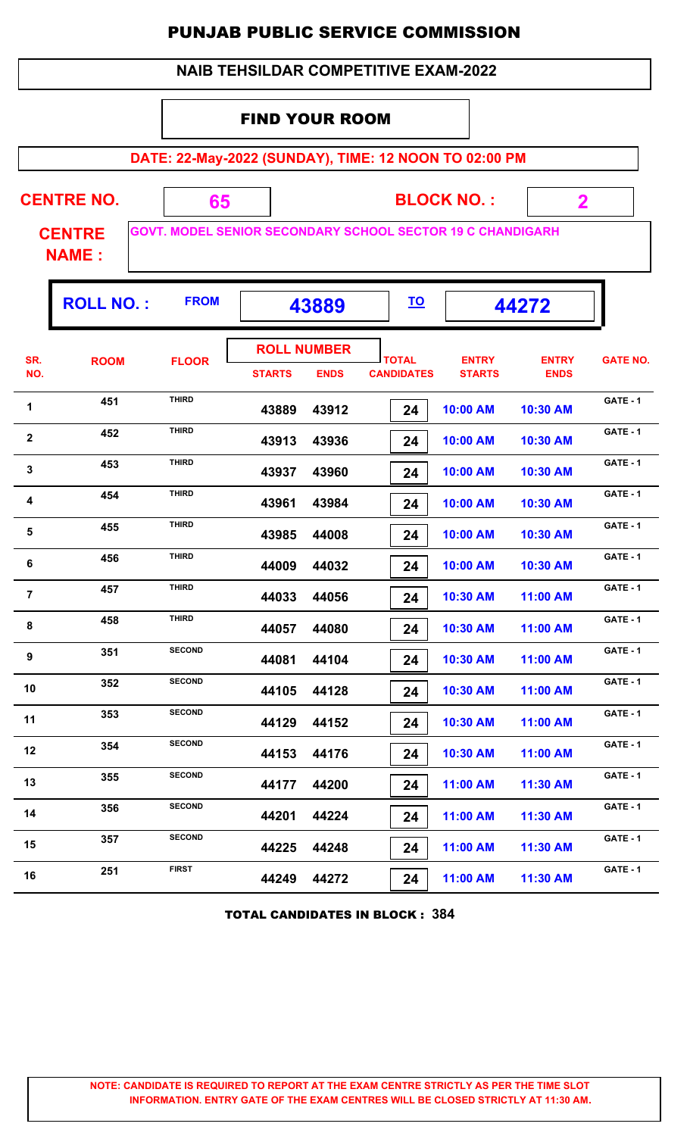|                |                               |                                                                   |                       |                                   | <b>NAIB TEHSILDAR COMPETITIVE EXAM-2022</b> |                               |                             |                 |
|----------------|-------------------------------|-------------------------------------------------------------------|-----------------------|-----------------------------------|---------------------------------------------|-------------------------------|-----------------------------|-----------------|
|                |                               |                                                                   | <b>FIND YOUR ROOM</b> |                                   |                                             |                               |                             |                 |
|                |                               | DATE: 22-May-2022 (SUNDAY), TIME: 12 NOON TO 02:00 PM             |                       |                                   |                                             |                               |                             |                 |
|                | <b>CENTRE NO.</b>             | 65                                                                |                       |                                   |                                             | <b>BLOCK NO.:</b>             | $\overline{\mathbf{2}}$     |                 |
|                | <b>CENTRE</b><br><b>NAME:</b> | <b>GOVT. MODEL SENIOR SECONDARY SCHOOL SECTOR 19 C CHANDIGARH</b> |                       |                                   |                                             |                               |                             |                 |
|                | <b>ROLL NO.:</b>              | <b>FROM</b>                                                       |                       | 43889                             | <u>TO</u>                                   |                               | 44272                       |                 |
| SR.<br>NO.     | <b>ROOM</b>                   | <b>FLOOR</b>                                                      | <b>STARTS</b>         | <b>ROLL NUMBER</b><br><b>ENDS</b> | <b>TOTAL</b><br><b>CANDIDATES</b>           | <b>ENTRY</b><br><b>STARTS</b> | <b>ENTRY</b><br><b>ENDS</b> | <b>GATE NO.</b> |
| 1              | 451                           | <b>THIRD</b>                                                      | 43889                 | 43912                             | 24                                          | 10:00 AM                      | 10:30 AM                    | GATE - 1        |
| $\mathbf{2}$   | 452                           | <b>THIRD</b>                                                      | 43913                 | 43936                             | 24                                          | 10:00 AM                      | 10:30 AM                    | <b>GATE - 1</b> |
| 3              | 453                           | <b>THIRD</b>                                                      | 43937                 | 43960                             | 24                                          | 10:00 AM                      | 10:30 AM                    | GATE - 1        |
| 4              | 454                           | <b>THIRD</b>                                                      | 43961                 | 43984                             | 24                                          | 10:00 AM                      | 10:30 AM                    | <b>GATE - 1</b> |
| 5              | 455                           | <b>THIRD</b>                                                      | 43985                 | 44008                             | 24                                          | 10:00 AM                      | 10:30 AM                    | GATE - 1        |
| 6              | 456                           | <b>THIRD</b>                                                      | 44009                 | 44032                             | 24                                          | 10:00 AM                      | 10:30 AM                    | GATE - 1        |
| $\overline{7}$ | 457                           | <b>THIRD</b>                                                      | 44033                 | 44056                             | 24                                          | 10:30 AM                      | 11:00 AM                    | <b>GATE - 1</b> |
| 8              | 458                           | <b>THIRD</b>                                                      | 44057                 | 44080                             | 24                                          | 10:30 AM                      | 11:00 AM                    | <b>GATE - 1</b> |
| 9              | 351                           | <b>SECOND</b>                                                     | 44081                 | 44104                             | 24                                          | 10:30 AM                      | 11:00 AM                    | <b>GATE - 1</b> |
| 10             | 352                           | <b>SECOND</b>                                                     | 44105                 | 44128                             | 24                                          | 10:30 AM                      | 11:00 AM                    | <b>GATE - 1</b> |
| 11             | 353                           | <b>SECOND</b>                                                     | 44129                 | 44152                             | 24                                          | 10:30 AM                      | 11:00 AM                    | GATE - 1        |
| 12             | 354                           | <b>SECOND</b>                                                     | 44153                 | 44176                             | 24                                          | 10:30 AM                      | 11:00 AM                    | <b>GATE - 1</b> |
| 13             | 355                           | <b>SECOND</b>                                                     | 44177                 | 44200                             | 24                                          | 11:00 AM                      | 11:30 AM                    | <b>GATE - 1</b> |
| 14             | 356                           | <b>SECOND</b>                                                     | 44201                 | 44224                             | 24                                          | 11:00 AM                      | 11:30 AM                    | <b>GATE - 1</b> |
| 15             | 357                           | <b>SECOND</b>                                                     | 44225                 | 44248                             | 24                                          | 11:00 AM                      | 11:30 AM                    | GATE - 1        |
| 16             | 251                           | <b>FIRST</b>                                                      | 44249                 | 44272                             | 24                                          | 11:00 AM                      | 11:30 AM                    | GATE - 1        |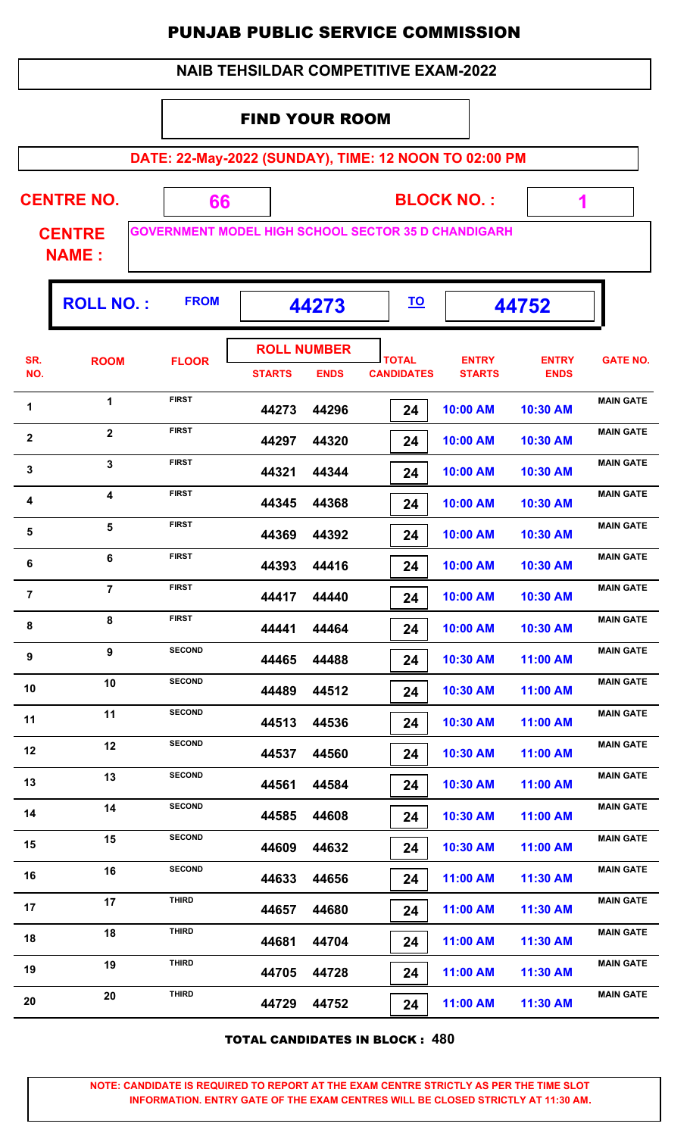|                         |                               |               |                       |                    |                                             | <b>PUNJAB PUBLIC SERVICE COMMISSION</b>                    |                             |                  |
|-------------------------|-------------------------------|---------------|-----------------------|--------------------|---------------------------------------------|------------------------------------------------------------|-----------------------------|------------------|
|                         |                               |               |                       |                    | <b>NAIB TEHSILDAR COMPETITIVE EXAM-2022</b> |                                                            |                             |                  |
|                         |                               |               | <b>FIND YOUR ROOM</b> |                    |                                             |                                                            |                             |                  |
|                         |                               |               |                       |                    |                                             | DATE: 22-May-2022 (SUNDAY), TIME: 12 NOON TO 02:00 PM      |                             |                  |
|                         | <b>CENTRE NO.</b>             |               |                       |                    |                                             | <b>BLOCK NO.:</b>                                          |                             |                  |
|                         |                               | 66            |                       |                    |                                             | <b>GOVERNMENT MODEL HIGH SCHOOL SECTOR 35 D CHANDIGARH</b> | 1                           |                  |
|                         | <b>CENTRE</b><br><b>NAME:</b> |               |                       |                    |                                             |                                                            |                             |                  |
|                         | <b>ROLL NO.:</b>              | <b>FROM</b>   |                       | 44273              | <u>TO</u>                                   |                                                            | 44752                       |                  |
|                         |                               |               |                       | <b>ROLL NUMBER</b> |                                             |                                                            |                             |                  |
| SR.<br>NO.              | <b>ROOM</b>                   | <b>FLOOR</b>  | <b>STARTS</b>         | <b>ENDS</b>        | <b>TOTAL</b><br><b>CANDIDATES</b>           | <b>ENTRY</b><br><b>STARTS</b>                              | <b>ENTRY</b><br><b>ENDS</b> | <b>GATE NO.</b>  |
| 1                       | 1                             | <b>FIRST</b>  | 44273                 | 44296              | 24                                          | 10:00 AM                                                   | 10:30 AM                    | <b>MAIN GATE</b> |
| $\overline{\mathbf{2}}$ | $\mathbf{2}$                  | <b>FIRST</b>  | 44297                 | 44320              | 24                                          | 10:00 AM                                                   | 10:30 AM                    | <b>MAIN GATE</b> |
| $\mathbf{3}$            | $\overline{\mathbf{3}}$       | <b>FIRST</b>  | 44321                 | 44344              | 24                                          | 10:00 AM                                                   | 10:30 AM                    | <b>MAIN GATE</b> |
| 4                       | 4                             | <b>FIRST</b>  | 44345                 | 44368              | 24                                          | 10:00 AM                                                   | 10:30 AM                    | <b>MAIN GATE</b> |
| 5                       | 5                             | <b>FIRST</b>  | 44369                 | 44392              | 24                                          | 10:00 AM                                                   | 10:30 AM                    | <b>MAIN GATE</b> |
| 6                       | 6                             | <b>FIRST</b>  | 44393                 | 44416              | 24                                          | 10:00 AM                                                   | 10:30 AM                    | <b>MAIN GATE</b> |
| 7                       | $\overline{7}$                | <b>FIRST</b>  | 44417                 | 44440              | 24                                          | 10:00 AM                                                   | 10:30 AM                    | <b>MAIN GATE</b> |
| 8                       | 8                             | <b>FIRST</b>  | 44441                 | 44464              | 24                                          | 10:00 AM                                                   | 10:30 AM                    | <b>MAIN GATE</b> |
| 9                       | 9                             | <b>SECOND</b> | 44465                 | 44488              | 24                                          | 10:30 AM                                                   | 11:00 AM                    | <b>MAIN GATE</b> |
| 10                      | 10                            | <b>SECOND</b> | 44489                 | 44512              | 24                                          | 10:30 AM                                                   | 11:00 AM                    | <b>MAIN GATE</b> |
| 11                      | 11                            | <b>SECOND</b> | 44513                 | 44536              | 24                                          | 10:30 AM                                                   | 11:00 AM                    | <b>MAIN GATE</b> |
| 12                      | 12                            | <b>SECOND</b> | 44537                 | 44560              | 24                                          | 10:30 AM                                                   | 11:00 AM                    | <b>MAIN GATE</b> |
| 13                      | 13                            | <b>SECOND</b> | 44561                 | 44584              | 24                                          | 10:30 AM                                                   | 11:00 AM                    | <b>MAIN GATE</b> |
| 14                      | 14                            | <b>SECOND</b> | 44585                 | 44608              | 24                                          | 10:30 AM                                                   | 11:00 AM                    | <b>MAIN GATE</b> |
| 15                      | 15                            | <b>SECOND</b> | 44609                 | 44632              | 24                                          | 10:30 AM                                                   | 11:00 AM                    | <b>MAIN GATE</b> |
| 16                      | 16                            | <b>SECOND</b> | 44633                 | 44656              | 24                                          | 11:00 AM                                                   | 11:30 AM                    | <b>MAIN GATE</b> |
| 17                      | 17                            | <b>THIRD</b>  | 44657                 | 44680              | 24                                          | 11:00 AM                                                   | 11:30 AM                    | <b>MAIN GATE</b> |
| 18                      | 18                            | <b>THIRD</b>  | 44681                 | 44704              | 24                                          | 11:00 AM                                                   | 11:30 AM                    | <b>MAIN GATE</b> |
| 19                      | 19                            | <b>THIRD</b>  | 44705                 | 44728              | 24                                          | 11:00 AM                                                   | 11:30 AM                    | <b>MAIN GATE</b> |

TOTAL CANDIDATES IN BLOCK : **480**

**20 MAIN GATE**<br>**44729 <b>44752 20 20 MAIN GATE** 

 **44729 44752 24 11:00 AM 11:30 AM**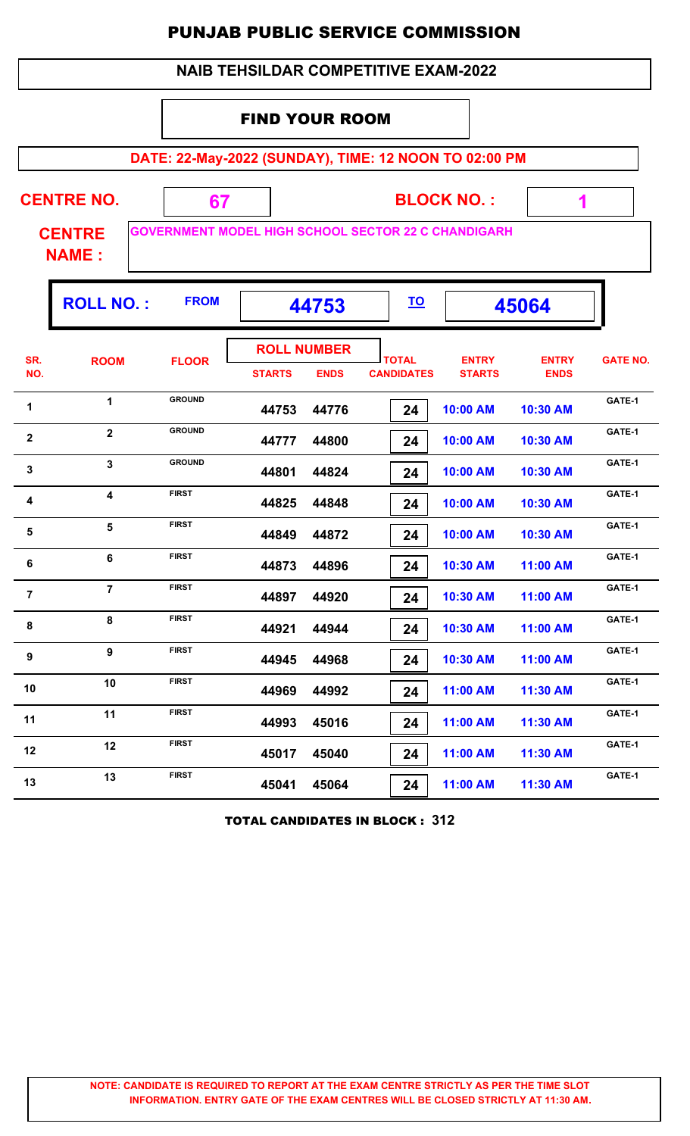|                |                               |               | <b>NAIB TEHSILDAR COMPETITIVE EXAM-2022</b>                |                                   |                               |                             |                 |
|----------------|-------------------------------|---------------|------------------------------------------------------------|-----------------------------------|-------------------------------|-----------------------------|-----------------|
|                |                               |               | <b>FIND YOUR ROOM</b>                                      |                                   |                               |                             |                 |
|                |                               |               |                                                            |                                   |                               |                             |                 |
|                |                               |               | DATE: 22-May-2022 (SUNDAY), TIME: 12 NOON TO 02:00 PM      |                                   |                               |                             |                 |
|                | <b>CENTRE NO.</b>             | 67            |                                                            |                                   | <b>BLOCK NO.:</b>             | 1                           |                 |
|                | <b>CENTRE</b><br><b>NAME:</b> |               | <b>GOVERNMENT MODEL HIGH SCHOOL SECTOR 22 C CHANDIGARH</b> |                                   |                               |                             |                 |
|                | <b>ROLL NO.:</b>              | <b>FROM</b>   | 44753                                                      | <u>TO</u>                         |                               | 45064                       |                 |
| SR.<br>NO.     | <b>ROOM</b>                   | <b>FLOOR</b>  | <b>ROLL NUMBER</b><br><b>STARTS</b><br><b>ENDS</b>         | <b>TOTAL</b><br><b>CANDIDATES</b> | <b>ENTRY</b><br><b>STARTS</b> | <b>ENTRY</b><br><b>ENDS</b> | <b>GATE NO.</b> |
| 1              | $\mathbf{1}$                  | <b>GROUND</b> | 44753<br>44776                                             | 24                                | 10:00 AM                      | 10:30 AM                    | GATE-1          |
| $\mathbf{2}$   | $\overline{2}$                | <b>GROUND</b> | 44777<br>44800                                             | 24                                | 10:00 AM                      | 10:30 AM                    | GATE-1          |
| 3              | $\mathbf{3}$                  | <b>GROUND</b> | 44801<br>44824                                             | 24                                | 10:00 AM                      | 10:30 AM                    | GATE-1          |
| 4              | $\overline{\mathbf{4}}$       | <b>FIRST</b>  | 44825<br>44848                                             | 24                                | 10:00 AM                      | 10:30 AM                    | GATE-1          |
| 5              | 5                             | <b>FIRST</b>  | 44849<br>44872                                             | 24                                | 10:00 AM                      | 10:30 AM                    | GATE-1          |
| 6              | 6                             | <b>FIRST</b>  | 44873<br>44896                                             | 24                                | 10:30 AM                      | 11:00 AM                    | GATE-1          |
| $\overline{7}$ | $\overline{7}$                | <b>FIRST</b>  | 44897<br>44920                                             | 24                                | 10:30 AM                      | 11:00 AM                    | GATE-1          |
| 8              | 8                             | <b>FIRST</b>  | 44921<br>44944                                             | 24                                | 10:30 AM                      | 11:00 AM                    | GATE-1          |
| 9              | $\mathbf{9}$                  | <b>FIRST</b>  | 44968<br>44945                                             | 24                                | 10:30 AM                      | 11:00 AM                    | GATE-1          |
| 10             | 10                            | <b>FIRST</b>  | 44969<br>44992                                             | 24                                | 11:00 AM                      | 11:30 AM                    | GATE-1          |
| 11             | 11                            | <b>FIRST</b>  | 44993<br>45016                                             | 24                                | 11:00 AM                      | 11:30 AM                    | GATE-1          |
| 12             | 12                            | <b>FIRST</b>  | 45017<br>45040                                             | 24                                | 11:00 AM                      | 11:30 AM                    | GATE-1          |
| 13             | 13                            | <b>FIRST</b>  | 45041<br>45064                                             | 24                                | 11:00 AM                      | 11:30 AM                    | GATE-1          |

TOTAL CANDIDATES IN BLOCK : **312**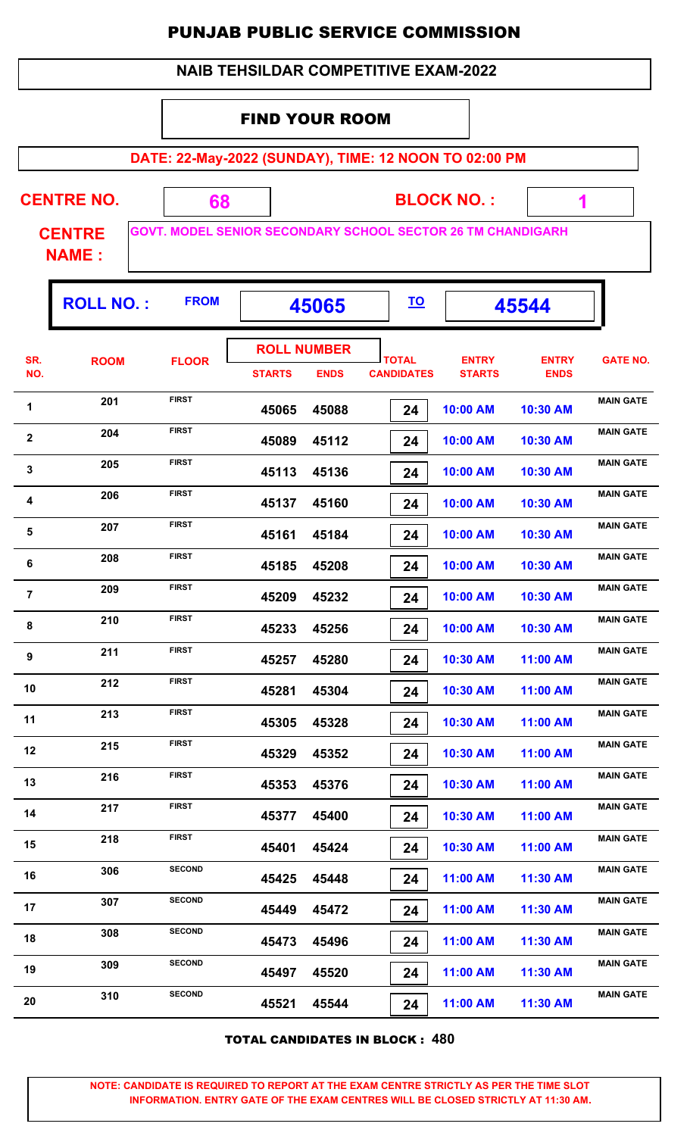|  | <b>NAIB TEHSILDAR COMPETITIVE EXAM-2022</b> |
|--|---------------------------------------------|
|--|---------------------------------------------|

#### FIND YOUR ROOM

**DATE: 22-May-2022 (SUNDAY), TIME: 12 NOON TO 02:00 PM**

| <b>CENTRE NO.</b> |  | <b>BLOCK NO.:</b>                                                  |  |
|-------------------|--|--------------------------------------------------------------------|--|
| <b>CENTRE</b>     |  | <b>GOVT. MODEL SENIOR SECONDARY SCHOOL SECTOR 26 TM CHANDIGARH</b> |  |
| <b>NAME:</b>      |  |                                                                    |  |

|                | <b>ROLL NO.:</b> | <b>FROM</b>   |                                     | 45065       |                                   |                               | 45544                       |                  |
|----------------|------------------|---------------|-------------------------------------|-------------|-----------------------------------|-------------------------------|-----------------------------|------------------|
| SR.<br>NO.     | <b>ROOM</b>      | <b>FLOOR</b>  | <b>ROLL NUMBER</b><br><b>STARTS</b> | <b>ENDS</b> | <b>TOTAL</b><br><b>CANDIDATES</b> | <b>ENTRY</b><br><b>STARTS</b> | <b>ENTRY</b><br><b>ENDS</b> | <b>GATE NO.</b>  |
| 1              | 201              | <b>FIRST</b>  | 45065                               | 45088       | 24                                | 10:00 AM                      | 10:30 AM                    | <b>MAIN GATE</b> |
| $\mathbf{2}$   | 204              | <b>FIRST</b>  | 45089                               | 45112       | 24                                | 10:00 AM                      | 10:30 AM                    | <b>MAIN GATE</b> |
| $\mathbf 3$    | 205              | <b>FIRST</b>  | 45113                               | 45136       | 24                                | 10:00 AM                      | 10:30 AM                    | <b>MAIN GATE</b> |
| 4              | 206              | <b>FIRST</b>  | 45137                               | 45160       | 24                                | 10:00 AM                      | 10:30 AM                    | <b>MAIN GATE</b> |
| 5              | 207              | <b>FIRST</b>  | 45161                               | 45184       | 24                                | 10:00 AM                      | 10:30 AM                    | <b>MAIN GATE</b> |
| 6              | 208              | <b>FIRST</b>  | 45185                               | 45208       | 24                                | 10:00 AM                      | 10:30 AM                    | <b>MAIN GATE</b> |
| $\overline{7}$ | 209              | <b>FIRST</b>  | 45209                               | 45232       | 24                                | 10:00 AM                      | 10:30 AM                    | <b>MAIN GATE</b> |
| 8              | 210              | <b>FIRST</b>  | 45233                               | 45256       | 24                                | 10:00 AM                      | 10:30 AM                    | <b>MAIN GATE</b> |
| 9              | 211              | <b>FIRST</b>  | 45257                               | 45280       | 24                                | 10:30 AM                      | 11:00 AM                    | <b>MAIN GATE</b> |
| 10             | 212              | <b>FIRST</b>  | 45281                               | 45304       | 24                                | 10:30 AM                      | 11:00 AM                    | <b>MAIN GATE</b> |
| 11             | 213              | <b>FIRST</b>  | 45305                               | 45328       | 24                                | 10:30 AM                      | 11:00 AM                    | <b>MAIN GATE</b> |
| 12             | 215              | <b>FIRST</b>  | 45329                               | 45352       | 24                                | 10:30 AM                      | 11:00 AM                    | <b>MAIN GATE</b> |
| 13             | 216              | <b>FIRST</b>  | 45353                               | 45376       | 24                                | 10:30 AM                      | 11:00 AM                    | <b>MAIN GATE</b> |
| 14             | 217              | <b>FIRST</b>  | 45377                               | 45400       | 24                                | 10:30 AM                      | 11:00 AM                    | <b>MAIN GATE</b> |
| 15             | 218              | <b>FIRST</b>  | 45401                               | 45424       | 24                                | 10:30 AM                      | 11:00 AM                    | <b>MAIN GATE</b> |
| 16             | 306              | <b>SECOND</b> | 45425                               | 45448       | 24                                | 11:00 AM                      | 11:30 AM                    | <b>MAIN GATE</b> |
| 17             | 307              | <b>SECOND</b> | 45449                               | 45472       | 24                                | 11:00 AM                      | 11:30 AM                    | <b>MAIN GATE</b> |
| 18             | 308              | <b>SECOND</b> | 45473                               | 45496       | 24                                | 11:00 AM                      | 11:30 AM                    | <b>MAIN GATE</b> |
| 19             | 309              | <b>SECOND</b> | 45497                               | 45520       | 24                                | 11:00 AM                      | 11:30 AM                    | <b>MAIN GATE</b> |
| 20             | 310              | <b>SECOND</b> | 45521                               | 45544       | 24                                | 11:00 AM                      | 11:30 AM                    | <b>MAIN GATE</b> |

TOTAL CANDIDATES IN BLOCK : **480**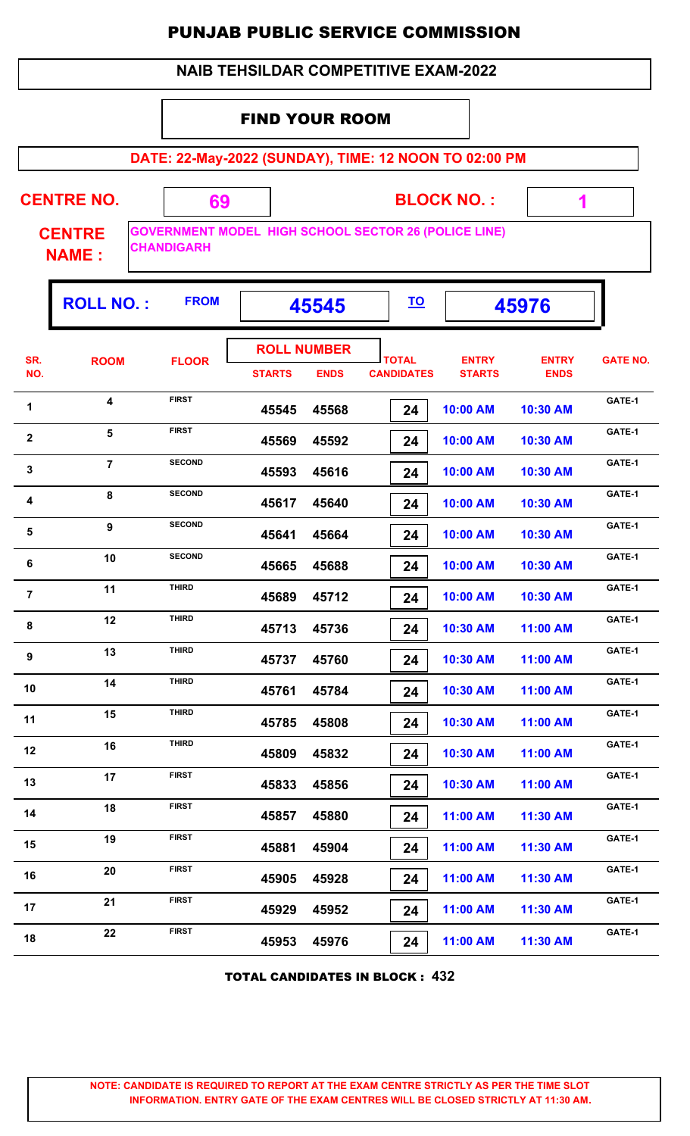#### FIND YOUR ROOM

**DATE: 22-May-2022 (SUNDAY), TIME: 12 NOON TO 02:00 PM**

| <b>CENTRE NO.</b>             | 69                | <b>BLOCK NO.:</b>                                           |  |
|-------------------------------|-------------------|-------------------------------------------------------------|--|
| <b>CENTRE</b><br><b>NAME:</b> | <b>CHANDIGARH</b> | <b>GOVERNMENT MODEL HIGH SCHOOL SECTOR 26 (POLICE LINE)</b> |  |

Г

|                | <b>ROLL NO.:</b> | <b>FROM</b>   |               | 45545                             | <u>TO</u>                         |                               | 45976                       |                 |
|----------------|------------------|---------------|---------------|-----------------------------------|-----------------------------------|-------------------------------|-----------------------------|-----------------|
| SR.<br>NO.     | <b>ROOM</b>      | <b>FLOOR</b>  | <b>STARTS</b> | <b>ROLL NUMBER</b><br><b>ENDS</b> | <b>TOTAL</b><br><b>CANDIDATES</b> | <b>ENTRY</b><br><b>STARTS</b> | <b>ENTRY</b><br><b>ENDS</b> | <b>GATE NO.</b> |
| 1              | 4                | <b>FIRST</b>  | 45545         | 45568                             | 24                                | 10:00 AM                      | 10:30 AM                    | GATE-1          |
| $\mathbf 2$    | 5                | <b>FIRST</b>  | 45569         | 45592                             | 24                                | 10:00 AM                      | 10:30 AM                    | GATE-1          |
| $\mathbf 3$    | $\overline{7}$   | <b>SECOND</b> | 45593         | 45616                             | 24                                | 10:00 AM                      | 10:30 AM                    | GATE-1          |
| 4              | 8                | <b>SECOND</b> | 45617         | 45640                             | 24                                | 10:00 AM                      | 10:30 AM                    | GATE-1          |
| 5              | 9                | <b>SECOND</b> | 45641         | 45664                             | 24                                | 10:00 AM                      | 10:30 AM                    | GATE-1          |
| 6              | 10               | <b>SECOND</b> | 45665         | 45688                             | 24                                | 10:00 AM                      | 10:30 AM                    | GATE-1          |
| $\overline{7}$ | 11               | <b>THIRD</b>  | 45689         | 45712                             | 24                                | 10:00 AM                      | 10:30 AM                    | GATE-1          |
| 8              | 12               | <b>THIRD</b>  | 45713         | 45736                             | 24                                | 10:30 AM                      | 11:00 AM                    | GATE-1          |
| 9              | 13               | <b>THIRD</b>  | 45737         | 45760                             | 24                                | 10:30 AM                      | 11:00 AM                    | GATE-1          |
| 10             | 14               | <b>THIRD</b>  | 45761         | 45784                             | 24                                | 10:30 AM                      | 11:00 AM                    | GATE-1          |
| 11             | 15               | <b>THIRD</b>  | 45785         | 45808                             | 24                                | 10:30 AM                      | 11:00 AM                    | GATE-1          |
| 12             | 16               | <b>THIRD</b>  | 45809         | 45832                             | 24                                | 10:30 AM                      | 11:00 AM                    | GATE-1          |
| 13             | 17               | <b>FIRST</b>  | 45833         | 45856                             | 24                                | 10:30 AM                      | 11:00 AM                    | GATE-1          |
| 14             | 18               | FIRST         | 45857         | 45880                             | 24                                | 11:00 AM                      | 11:30 AM                    | GATE-1          |
| 15             | 19               | <b>FIRST</b>  | 45881         | 45904                             | 24                                | 11:00 AM                      | 11:30 AM                    | GATE-1          |
| 16             | 20               | <b>FIRST</b>  | 45905         | 45928                             | 24                                | 11:00 AM                      | 11:30 AM                    | GATE-1          |
| 17             | 21               | <b>FIRST</b>  | 45929         | 45952                             | 24                                | 11:00 AM                      | 11:30 AM                    | GATE-1          |
| 18             | 22               | <b>FIRST</b>  | 45953         | 45976                             | 24                                | 11:00 AM                      | 11:30 AM                    | GATE-1          |
|                |                  |               |               |                                   |                                   |                               |                             |                 |

TOTAL CANDIDATES IN BLOCK : **432**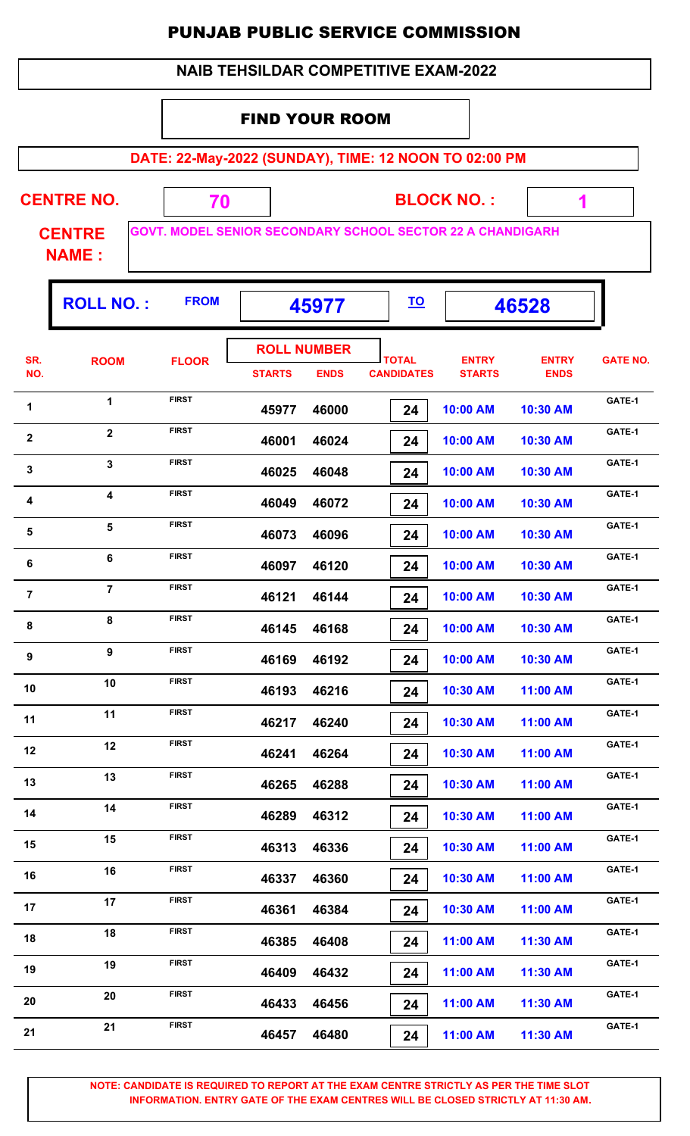| <b>NAIB TEHSILDAR COMPETITIVE EXAM-2022</b> |                               |                                                            |                       |                                   |                                   |                               |                             |                 |  |  |  |
|---------------------------------------------|-------------------------------|------------------------------------------------------------|-----------------------|-----------------------------------|-----------------------------------|-------------------------------|-----------------------------|-----------------|--|--|--|
|                                             |                               |                                                            | <b>FIND YOUR ROOM</b> |                                   |                                   |                               |                             |                 |  |  |  |
|                                             |                               | DATE: 22-May-2022 (SUNDAY), TIME: 12 NOON TO 02:00 PM      |                       |                                   |                                   |                               |                             |                 |  |  |  |
|                                             | <b>CENTRE NO.</b>             | 70                                                         |                       |                                   |                                   | <b>BLOCK NO.:</b>             | 1                           |                 |  |  |  |
|                                             | <b>CENTRE</b><br><b>NAME:</b> | GOVT. MODEL SENIOR SECONDARY SCHOOL SECTOR 22 A CHANDIGARH |                       |                                   |                                   |                               |                             |                 |  |  |  |
|                                             | <b>ROLL NO.:</b>              | <b>FROM</b>                                                |                       | 45977                             | <u>TO</u>                         |                               | 46528                       |                 |  |  |  |
| SR.<br>NO.                                  | <b>ROOM</b>                   | <b>FLOOR</b>                                               | <b>STARTS</b>         | <b>ROLL NUMBER</b><br><b>ENDS</b> | <b>TOTAL</b><br><b>CANDIDATES</b> | <b>ENTRY</b><br><b>STARTS</b> | <b>ENTRY</b><br><b>ENDS</b> | <b>GATE NO.</b> |  |  |  |
| 1                                           | 1                             | <b>FIRST</b>                                               | 45977                 | 46000                             | 24                                | 10:00 AM                      | 10:30 AM                    | GATE-1          |  |  |  |
| $\overline{2}$                              | $\overline{2}$                | <b>FIRST</b>                                               | 46001                 | 46024                             | 24                                | 10:00 AM                      | 10:30 AM                    | GATE-1          |  |  |  |
| 3                                           | 3                             | <b>FIRST</b>                                               | 46025                 | 46048                             | 24                                | 10:00 AM                      | 10:30 AM                    | GATE-1          |  |  |  |
| 4                                           | $\overline{\mathbf{4}}$       | <b>FIRST</b>                                               | 46049                 | 46072                             | 24                                | 10:00 AM                      | 10:30 AM                    | GATE-1          |  |  |  |
| 5                                           | 5                             | <b>FIRST</b>                                               | 46073                 | 46096                             | 24                                | 10:00 AM                      | 10:30 AM                    | GATE-1          |  |  |  |
| 6                                           | 6                             | <b>FIRST</b>                                               | 46097                 | 46120                             | 24                                | 10:00 AM                      | 10:30 AM                    | GATE-1          |  |  |  |
| $\overline{7}$                              | $\overline{7}$                | <b>FIRST</b>                                               | 46121                 | 46144                             | 24                                | 10:00 AM                      | 10:30 AM                    | GATE-1          |  |  |  |
| 8                                           | $\bf 8$                       | <b>FIRST</b>                                               | 46145                 | 46168                             | 24                                | 10:00 AM                      | 10:30 AM                    | GATE-1          |  |  |  |
| 9                                           | 9                             | <b>FIRST</b>                                               | 46169                 | 46192                             | 24                                | 10:00 AM                      | 10:30 AM                    | GATE-1          |  |  |  |
| 10                                          | 10                            | <b>FIRST</b>                                               | 46193                 | 46216                             | 24                                | 10:30 AM                      | 11:00 AM                    | GATE-1          |  |  |  |
| 11                                          | 11                            | <b>FIRST</b>                                               | 46217                 | 46240                             | 24                                | 10:30 AM                      | 11:00 AM                    | GATE-1          |  |  |  |
| 12                                          | 12                            | <b>FIRST</b>                                               | 46241                 | 46264                             | 24                                | 10:30 AM                      | 11:00 AM                    | GATE-1          |  |  |  |
| 13                                          | 13                            | <b>FIRST</b>                                               | 46265                 | 46288                             | 24                                | 10:30 AM                      | 11:00 AM                    | GATE-1          |  |  |  |
| 14                                          | 14                            | <b>FIRST</b>                                               | 46289                 | 46312                             | 24                                | 10:30 AM                      | 11:00 AM                    | GATE-1          |  |  |  |
| 15                                          | 15                            | <b>FIRST</b>                                               | 46313                 | 46336                             | 24                                | 10:30 AM                      | 11:00 AM                    | GATE-1          |  |  |  |
| 16                                          | 16                            | <b>FIRST</b>                                               | 46337                 | 46360                             | 24                                | 10:30 AM                      | 11:00 AM                    | GATE-1          |  |  |  |
| 17                                          | 17                            | <b>FIRST</b>                                               | 46361                 | 46384                             | 24                                | 10:30 AM                      | 11:00 AM                    | GATE-1          |  |  |  |
| 18                                          | 18                            | <b>FIRST</b>                                               | 46385                 | 46408                             | 24                                | 11:00 AM                      | 11:30 AM                    | GATE-1          |  |  |  |
| 19                                          | 19                            | <b>FIRST</b>                                               | 46409                 | 46432                             | 24                                | 11:00 AM                      | 11:30 AM                    | GATE-1          |  |  |  |
| 20                                          | 20                            | <b>FIRST</b>                                               | 46433                 | 46456                             | 24                                | 11:00 AM                      | 11:30 AM                    | GATE-1          |  |  |  |
| 21                                          | 21                            | <b>FIRST</b>                                               | 46457                 | 46480                             | 24                                | 11:00 AM                      | 11:30 AM                    | GATE-1          |  |  |  |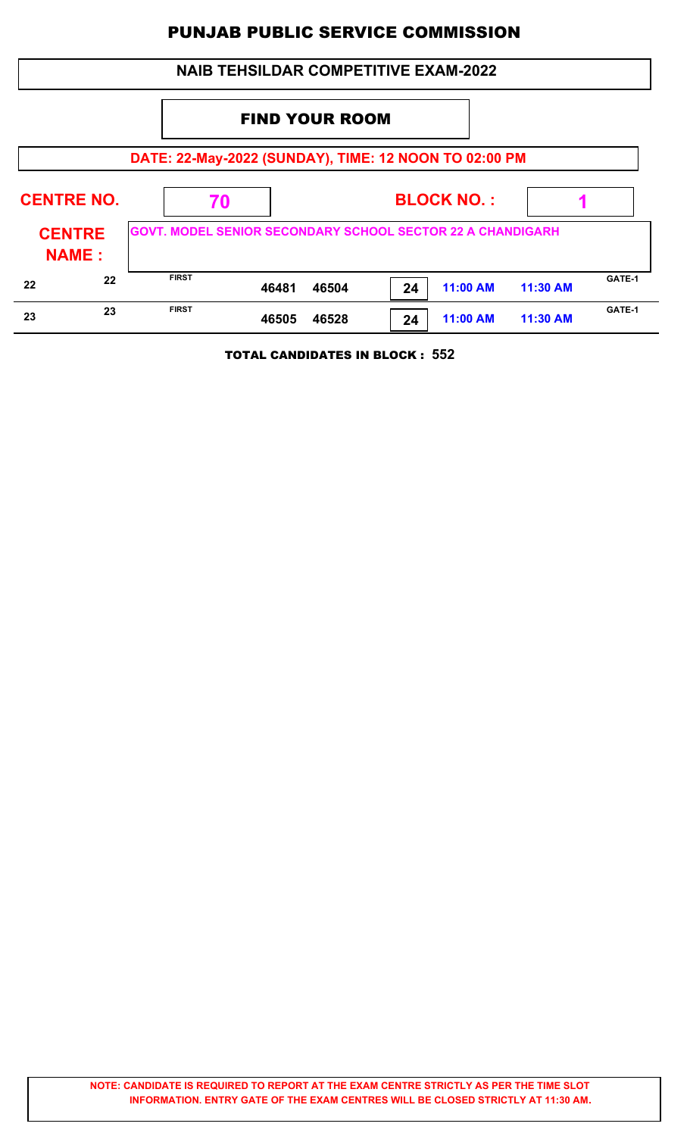|                   |                               |                                                                   | <b>NAIB TEHSILDAR COMPETITIVE EXAM-2022</b> |                   |    |          |          |        |
|-------------------|-------------------------------|-------------------------------------------------------------------|---------------------------------------------|-------------------|----|----------|----------|--------|
|                   | <b>FIND YOUR ROOM</b>         |                                                                   |                                             |                   |    |          |          |        |
|                   |                               | DATE: 22-May-2022 (SUNDAY), TIME: 12 NOON TO 02:00 PM             |                                             |                   |    |          |          |        |
| <b>CENTRE NO.</b> |                               | 70                                                                |                                             | <b>BLOCK NO.:</b> |    |          |          |        |
|                   | <b>CENTRE</b><br><b>NAME:</b> | <b>GOVT. MODEL SENIOR SECONDARY SCHOOL SECTOR 22 A CHANDIGARH</b> |                                             |                   |    |          |          |        |
| 22                | 22                            | <b>FIRST</b>                                                      | 46481                                       | 46504             | 24 | 11:00 AM | 11:30 AM | GATE-1 |
| 23                | 23                            | <b>FIRST</b>                                                      | 46505                                       | 46528             | 24 | 11:00 AM | 11:30 AM | GATE-1 |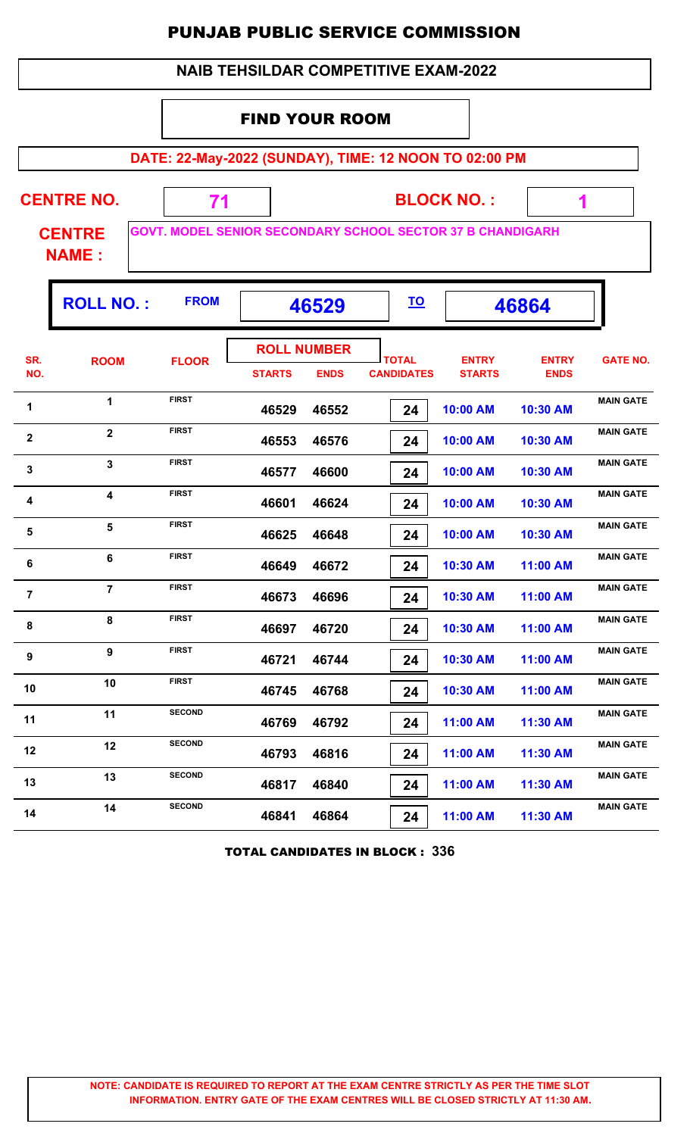|                | <b>NAIB TEHSILDAR COMPETITIVE EXAM-2022</b>           |               |                                                                                             |                                   |                               |                             |                  |  |  |  |  |
|----------------|-------------------------------------------------------|---------------|---------------------------------------------------------------------------------------------|-----------------------------------|-------------------------------|-----------------------------|------------------|--|--|--|--|
|                |                                                       |               | <b>FIND YOUR ROOM</b>                                                                       |                                   |                               |                             |                  |  |  |  |  |
|                | DATE: 22-May-2022 (SUNDAY), TIME: 12 NOON TO 02:00 PM |               |                                                                                             |                                   |                               |                             |                  |  |  |  |  |
|                | <b>CENTRE NO.</b><br><b>CENTRE</b>                    | 71            | <b>BLOCK NO.:</b><br>1<br><b>GOVT. MODEL SENIOR SECONDARY SCHOOL SECTOR 37 B CHANDIGARH</b> |                                   |                               |                             |                  |  |  |  |  |
|                | <b>NAME:</b>                                          |               |                                                                                             |                                   |                               |                             |                  |  |  |  |  |
|                | <b>ROLL NO.:</b>                                      | <b>FROM</b>   | 46529                                                                                       | <u>TO</u>                         |                               | 46864                       |                  |  |  |  |  |
| SR.<br>NO.     | <b>ROOM</b>                                           | <b>FLOOR</b>  | <b>ROLL NUMBER</b><br><b>STARTS</b><br><b>ENDS</b>                                          | <b>TOTAL</b><br><b>CANDIDATES</b> | <b>ENTRY</b><br><b>STARTS</b> | <b>ENTRY</b><br><b>ENDS</b> | <b>GATE NO.</b>  |  |  |  |  |
| 1              | $\mathbf{1}$                                          | <b>FIRST</b>  | 46529<br>46552                                                                              | 24                                | 10:00 AM                      | 10:30 AM                    | <b>MAIN GATE</b> |  |  |  |  |
| $\mathbf{2}$   | $\overline{2}$                                        | <b>FIRST</b>  | 46553<br>46576                                                                              | 24                                | 10:00 AM                      | 10:30 AM                    | <b>MAIN GATE</b> |  |  |  |  |
| 3              | $\mathbf{3}$                                          | <b>FIRST</b>  | 46600<br>46577                                                                              | 24                                | 10:00 AM                      | 10:30 AM                    | <b>MAIN GATE</b> |  |  |  |  |
| 4              | 4                                                     | <b>FIRST</b>  | 46601<br>46624                                                                              | 24                                | 10:00 AM                      | 10:30 AM                    | <b>MAIN GATE</b> |  |  |  |  |
| 5              | 5                                                     | <b>FIRST</b>  | 46625<br>46648                                                                              | 24                                | 10:00 AM                      | 10:30 AM                    | <b>MAIN GATE</b> |  |  |  |  |
| 6              | 6                                                     | <b>FIRST</b>  | 46649<br>46672                                                                              | 24                                | 10:30 AM                      | 11:00 AM                    | <b>MAIN GATE</b> |  |  |  |  |
| $\overline{7}$ | $\overline{7}$                                        | <b>FIRST</b>  | 46696<br>46673                                                                              | 24                                | 10:30 AM                      | 11:00 AM                    | <b>MAIN GATE</b> |  |  |  |  |
| 8              | 8                                                     | <b>FIRST</b>  | 46697<br>46720                                                                              | 24                                | 10:30 AM                      | 11:00 AM                    | <b>MAIN GATE</b> |  |  |  |  |
| 9              | $\overline{9}$                                        | <b>FIRST</b>  | 46721<br>46744                                                                              | 24                                | 10:30 AM                      | 11:00 AM                    | <b>MAIN GATE</b> |  |  |  |  |
| 10             | 10                                                    | <b>FIRST</b>  | 46745<br>46768                                                                              | 24                                | 10:30 AM                      | 11:00 AM                    | <b>MAIN GATE</b> |  |  |  |  |
| 11             | 11                                                    | <b>SECOND</b> | 46769<br>46792                                                                              | 24                                | 11:00 AM                      | 11:30 AM                    | <b>MAIN GATE</b> |  |  |  |  |
| 12             | 12                                                    | <b>SECOND</b> | 46816<br>46793                                                                              | 24                                | 11:00 AM                      | 11:30 AM                    | <b>MAIN GATE</b> |  |  |  |  |
| 13             | 13                                                    | <b>SECOND</b> | 46840<br>46817                                                                              | 24                                | 11:00 AM                      | 11:30 AM                    | <b>MAIN GATE</b> |  |  |  |  |
| 14             | 14                                                    | <b>SECOND</b> | 46841<br>46864                                                                              | 24                                | 11:00 AM                      | 11:30 AM                    | <b>MAIN GATE</b> |  |  |  |  |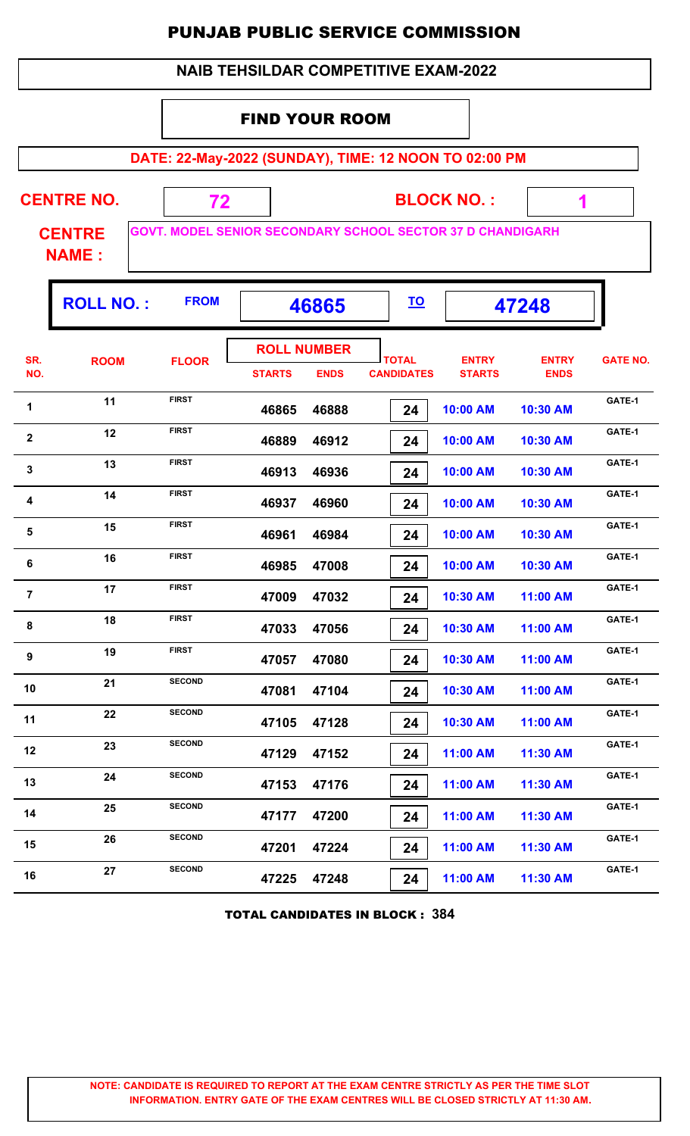| <b>NAIB TEHSILDAR COMPETITIVE EXAM-2022</b>                                                        |                       |               |               |                                   |                                   |                               |                             |                 |  |  |
|----------------------------------------------------------------------------------------------------|-----------------------|---------------|---------------|-----------------------------------|-----------------------------------|-------------------------------|-----------------------------|-----------------|--|--|
|                                                                                                    | <b>FIND YOUR ROOM</b> |               |               |                                   |                                   |                               |                             |                 |  |  |
| DATE: 22-May-2022 (SUNDAY), TIME: 12 NOON TO 02:00 PM                                              |                       |               |               |                                   |                                   |                               |                             |                 |  |  |
|                                                                                                    | <b>CENTRE NO.</b>     | 72            |               |                                   |                                   | <b>BLOCK NO.:</b>             | 1                           |                 |  |  |
| <b>GOVT. MODEL SENIOR SECONDARY SCHOOL SECTOR 37 D CHANDIGARH</b><br><b>CENTRE</b><br><b>NAME:</b> |                       |               |               |                                   |                                   |                               |                             |                 |  |  |
| <b>FROM</b><br><b>ROLL NO.:</b><br><u>TO</u><br>47248<br>46865                                     |                       |               |               |                                   |                                   |                               |                             |                 |  |  |
| SR.<br>NO.                                                                                         | <b>ROOM</b>           | <b>FLOOR</b>  | <b>STARTS</b> | <b>ROLL NUMBER</b><br><b>ENDS</b> | <b>TOTAL</b><br><b>CANDIDATES</b> | <b>ENTRY</b><br><b>STARTS</b> | <b>ENTRY</b><br><b>ENDS</b> | <b>GATE NO.</b> |  |  |
| 1                                                                                                  | 11                    | <b>FIRST</b>  | 46865         | 46888                             | 24                                | 10:00 AM                      | 10:30 AM                    | GATE-1          |  |  |
| $\mathbf{2}$                                                                                       | 12                    | <b>FIRST</b>  | 46889         | 46912                             | 24                                | 10:00 AM                      | 10:30 AM                    | GATE-1          |  |  |
| 3                                                                                                  | 13                    | <b>FIRST</b>  | 46913         | 46936                             | 24                                | 10:00 AM                      | 10:30 AM                    | GATE-1          |  |  |
| 4                                                                                                  | 14                    | <b>FIRST</b>  | 46937         | 46960                             | 24                                | 10:00 AM                      | 10:30 AM                    | GATE-1          |  |  |
| 5                                                                                                  | 15                    | <b>FIRST</b>  | 46961         | 46984                             | 24                                | 10:00 AM                      | 10:30 AM                    | GATE-1          |  |  |
| 6                                                                                                  | 16                    | <b>FIRST</b>  | 46985         | 47008                             | 24                                | 10:00 AM                      | 10:30 AM                    | GATE-1          |  |  |
| $\overline{7}$                                                                                     | 17                    | <b>FIRST</b>  | 47009         | 47032                             | 24                                | 10:30 AM                      | 11:00 AM                    | GATE-1          |  |  |
| 8                                                                                                  | 18                    | <b>FIRST</b>  | 47033         | 47056                             | 24                                | 10:30 AM                      | 11:00 AM                    | GATE-1          |  |  |
| 9                                                                                                  | 19                    | <b>FIRST</b>  | 47057         | 47080                             | 24                                | 10:30 AM                      | 11:00 AM                    | GATE-1          |  |  |
| 10                                                                                                 | 21                    | <b>SECOND</b> | 47081         | 47104                             | 24                                | 10:30 AM                      | 11:00 AM                    | GATE-1          |  |  |
| 11                                                                                                 | 22                    | <b>SECOND</b> | 47105         | 47128                             | 24                                | 10:30 AM                      | 11:00 AM                    | GATE-1          |  |  |
| 12                                                                                                 | 23                    | <b>SECOND</b> | 47129         | 47152                             | 24                                | 11:00 AM                      | 11:30 AM                    | GATE-1          |  |  |
| 13                                                                                                 | 24                    | <b>SECOND</b> | 47153         | 47176                             | 24                                | 11:00 AM                      | 11:30 AM                    | GATE-1          |  |  |
| 14                                                                                                 | 25                    | <b>SECOND</b> | 47177         | 47200                             | 24                                | 11:00 AM                      | 11:30 AM                    | GATE-1          |  |  |
| 15                                                                                                 | 26                    | <b>SECOND</b> | 47201         | 47224                             | 24                                | 11:00 AM                      | 11:30 AM                    | GATE-1          |  |  |
| 16                                                                                                 | 27                    | <b>SECOND</b> | 47225         | 47248                             | 24                                | 11:00 AM                      | 11:30 AM                    | GATE-1          |  |  |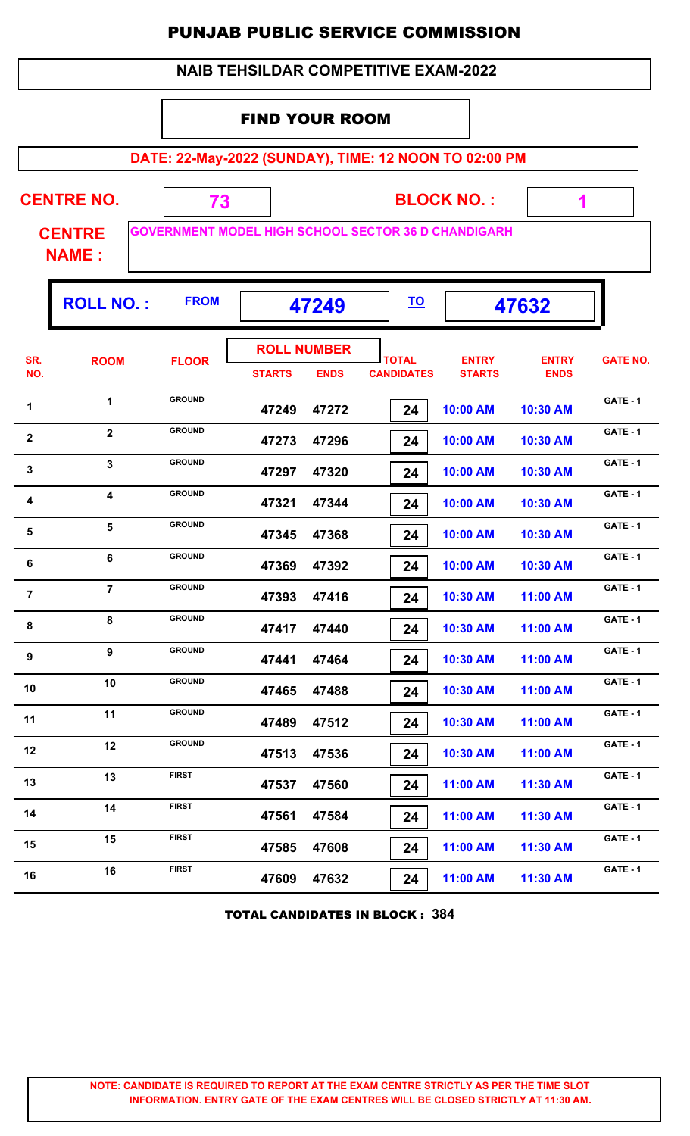| <b>NAIB TEHSILDAR COMPETITIVE EXAM-2022</b>                    |                               |                                                            |               |                                   |                                   |                               |                             |                 |  |  |  |
|----------------------------------------------------------------|-------------------------------|------------------------------------------------------------|---------------|-----------------------------------|-----------------------------------|-------------------------------|-----------------------------|-----------------|--|--|--|
|                                                                | <b>FIND YOUR ROOM</b>         |                                                            |               |                                   |                                   |                               |                             |                 |  |  |  |
| DATE: 22-May-2022 (SUNDAY), TIME: 12 NOON TO 02:00 PM          |                               |                                                            |               |                                   |                                   |                               |                             |                 |  |  |  |
|                                                                | <b>CENTRE NO.</b>             | 73                                                         |               |                                   |                                   | <b>BLOCK NO.:</b>             | 1                           |                 |  |  |  |
|                                                                | <b>CENTRE</b><br><b>NAME:</b> | <b>GOVERNMENT MODEL HIGH SCHOOL SECTOR 36 D CHANDIGARH</b> |               |                                   |                                   |                               |                             |                 |  |  |  |
| <b>ROLL NO.:</b><br><b>FROM</b><br><u>TO</u><br>47249<br>47632 |                               |                                                            |               |                                   |                                   |                               |                             |                 |  |  |  |
| SR.<br>NO.                                                     | <b>ROOM</b>                   | <b>FLOOR</b>                                               | <b>STARTS</b> | <b>ROLL NUMBER</b><br><b>ENDS</b> | <b>TOTAL</b><br><b>CANDIDATES</b> | <b>ENTRY</b><br><b>STARTS</b> | <b>ENTRY</b><br><b>ENDS</b> | <b>GATE NO.</b> |  |  |  |
| 1                                                              | 1                             | <b>GROUND</b>                                              | 47249         | 47272                             | 24                                | 10:00 AM                      | 10:30 AM                    | GATE - 1        |  |  |  |
| $\overline{2}$                                                 | $\overline{2}$                | <b>GROUND</b>                                              | 47273         | 47296                             | 24                                | 10:00 AM                      | 10:30 AM                    | GATE - 1        |  |  |  |
| 3                                                              | $\overline{\mathbf{3}}$       | <b>GROUND</b>                                              | 47297         | 47320                             | 24                                | 10:00 AM                      | 10:30 AM                    | GATE - 1        |  |  |  |
| 4                                                              | 4                             | <b>GROUND</b>                                              | 47321         | 47344                             | 24                                | 10:00 AM                      | 10:30 AM                    | <b>GATE - 1</b> |  |  |  |
| 5                                                              | 5                             | <b>GROUND</b>                                              | 47345         | 47368                             | 24                                | 10:00 AM                      | 10:30 AM                    | GATE - 1        |  |  |  |
| 6                                                              | 6                             | <b>GROUND</b>                                              | 47369         | 47392                             | 24                                | 10:00 AM                      | 10:30 AM                    | GATE - 1        |  |  |  |
| $\overline{7}$                                                 | $\overline{7}$                | <b>GROUND</b>                                              | 47393         | 47416                             | 24                                | 10:30 AM                      | 11:00 AM                    | GATE - 1        |  |  |  |
| 8                                                              | 8                             | <b>GROUND</b>                                              | 47417         | 47440                             | 24                                | 10:30 AM                      | 11:00 AM                    | GATE - 1        |  |  |  |
| 9                                                              | 9                             | <b>GROUND</b>                                              | 47441         | 47464                             | 24                                | 10:30 AM                      | 11:00 AM                    | GATE - 1        |  |  |  |
| 10                                                             | 10                            | <b>GROUND</b>                                              | 47465         | 47488                             | 24                                | 10:30 AM                      | 11:00 AM                    | GATE - 1        |  |  |  |
| 11                                                             | 11                            | <b>GROUND</b>                                              | 47489         | 47512                             | 24                                | 10:30 AM                      | 11:00 AM                    | GATE - 1        |  |  |  |
| 12                                                             | 12                            | <b>GROUND</b>                                              | 47513         | 47536                             | 24                                | 10:30 AM                      | 11:00 AM                    | GATE - 1        |  |  |  |
| 13                                                             | 13                            | <b>FIRST</b>                                               | 47537         | 47560                             | 24                                | 11:00 AM                      | 11:30 AM                    | <b>GATE - 1</b> |  |  |  |
| 14                                                             | 14                            | <b>FIRST</b>                                               | 47561         | 47584                             | 24                                | 11:00 AM                      | 11:30 AM                    | GATE - 1        |  |  |  |
| 15                                                             | 15                            | <b>FIRST</b>                                               | 47585         | 47608                             | 24                                | 11:00 AM                      | 11:30 AM                    | GATE - 1        |  |  |  |
| 16                                                             | 16                            | <b>FIRST</b>                                               | 47609         | 47632                             | 24                                | 11:00 AM                      | 11:30 AM                    | GATE - 1        |  |  |  |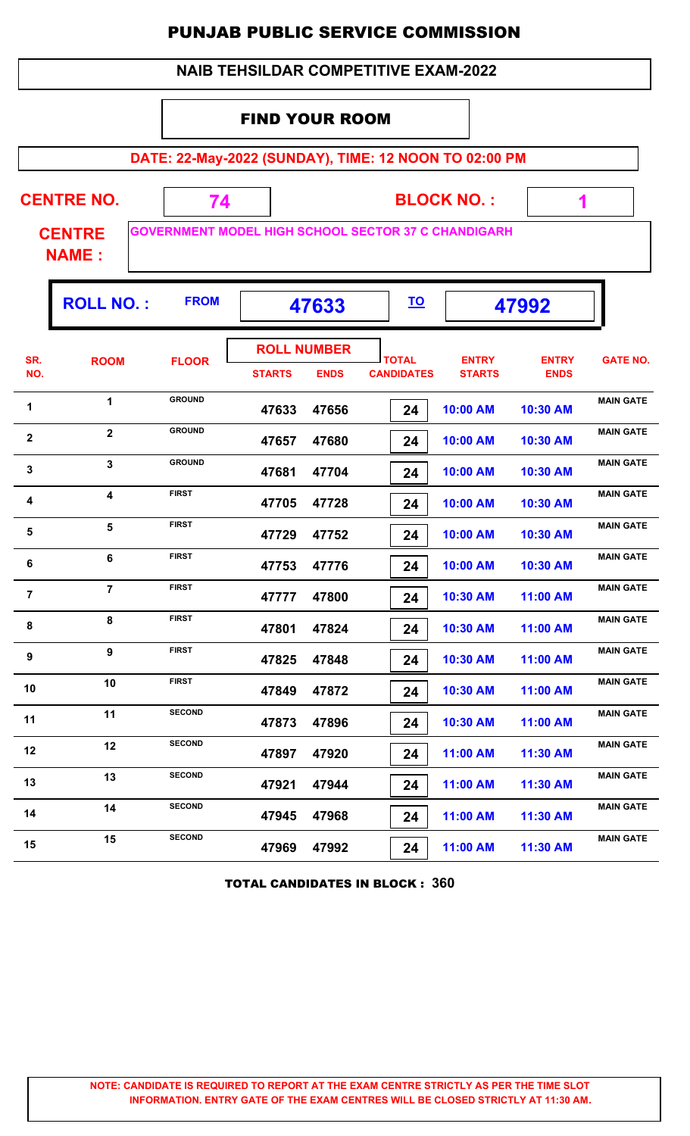|                               |                                                                |                                                            |                        |                                   | <b>NAIB TEHSILDAR COMPETITIVE EXAM-2022</b> |                               |                             |                  |  |  |
|-------------------------------|----------------------------------------------------------------|------------------------------------------------------------|------------------------|-----------------------------------|---------------------------------------------|-------------------------------|-----------------------------|------------------|--|--|
|                               | <b>FIND YOUR ROOM</b>                                          |                                                            |                        |                                   |                                             |                               |                             |                  |  |  |
|                               |                                                                | DATE: 22-May-2022 (SUNDAY), TIME: 12 NOON TO 02:00 PM      |                        |                                   |                                             |                               |                             |                  |  |  |
|                               | <b>CENTRE NO.</b>                                              | 74                                                         | <b>BLOCK NO.:</b><br>1 |                                   |                                             |                               |                             |                  |  |  |
| <b>CENTRE</b><br><b>NAME:</b> |                                                                | <b>GOVERNMENT MODEL HIGH SCHOOL SECTOR 37 C CHANDIGARH</b> |                        |                                   |                                             |                               |                             |                  |  |  |
|                               | <b>ROLL NO.:</b><br><b>FROM</b><br><u>TO</u><br>47633<br>47992 |                                                            |                        |                                   |                                             |                               |                             |                  |  |  |
| SR.<br>NO.                    | <b>ROOM</b>                                                    | <b>FLOOR</b>                                               | <b>STARTS</b>          | <b>ROLL NUMBER</b><br><b>ENDS</b> | <b>TOTAL</b><br><b>CANDIDATES</b>           | <b>ENTRY</b><br><b>STARTS</b> | <b>ENTRY</b><br><b>ENDS</b> | <b>GATE NO.</b>  |  |  |
| 1                             | $\mathbf{1}$                                                   | <b>GROUND</b>                                              | 47633                  | 47656                             | 24                                          | 10:00 AM                      | 10:30 AM                    | <b>MAIN GATE</b> |  |  |
| $\mathbf{2}$                  | $\mathbf{2}$                                                   | <b>GROUND</b>                                              | 47657                  | 47680                             | 24                                          | 10:00 AM                      | 10:30 AM                    | <b>MAIN GATE</b> |  |  |
| 3                             | $\overline{3}$                                                 | <b>GROUND</b>                                              | 47681                  | 47704                             | 24                                          | 10:00 AM                      | 10:30 AM                    | <b>MAIN GATE</b> |  |  |
| 4                             | $\overline{\mathbf{4}}$                                        | <b>FIRST</b>                                               | 47705                  | 47728                             | 24                                          | 10:00 AM                      | 10:30 AM                    | <b>MAIN GATE</b> |  |  |
| 5                             | 5                                                              | <b>FIRST</b>                                               | 47729                  | 47752                             | 24                                          | 10:00 AM                      | 10:30 AM                    | <b>MAIN GATE</b> |  |  |
| 6                             | 6                                                              | <b>FIRST</b>                                               | 47753                  | 47776                             | 24                                          | 10:00 AM                      | 10:30 AM                    | <b>MAIN GATE</b> |  |  |
| $\overline{7}$                | $\overline{7}$                                                 | <b>FIRST</b>                                               | 47777                  | 47800                             | 24                                          | 10:30 AM                      | 11:00 AM                    | <b>MAIN GATE</b> |  |  |
| 8                             | 8                                                              | <b>FIRST</b>                                               | 47801                  | 47824                             | 24                                          | 10:30 AM                      | 11:00 AM                    | <b>MAIN GATE</b> |  |  |
| 9                             | 9                                                              | <b>FIRST</b>                                               | 47825                  | 47848                             | 24                                          | 10:30 AM                      | 11:00 AM                    | <b>MAIN GATE</b> |  |  |
| 10                            | 10                                                             | <b>FIRST</b>                                               | 47849                  | 47872                             | 24                                          | 10:30 AM                      | 11:00 AM                    | <b>MAIN GATE</b> |  |  |
| 11                            | 11                                                             | <b>SECOND</b>                                              | 47873                  | 47896                             | 24                                          | 10:30 AM                      | 11:00 AM                    | <b>MAIN GATE</b> |  |  |
| 12                            | 12                                                             | <b>SECOND</b>                                              | 47897                  | 47920                             | 24                                          | 11:00 AM                      | 11:30 AM                    | <b>MAIN GATE</b> |  |  |
| 13                            | 13                                                             | <b>SECOND</b>                                              | 47921                  | 47944                             | 24                                          | 11:00 AM                      | 11:30 AM                    | <b>MAIN GATE</b> |  |  |
| 14                            | 14                                                             | <b>SECOND</b>                                              | 47945                  | 47968                             | 24                                          | 11:00 AM                      | 11:30 AM                    | <b>MAIN GATE</b> |  |  |
| 15                            | 15                                                             | <b>SECOND</b>                                              | 47969                  | 47992                             | 24                                          | 11:00 AM                      | 11:30 AM                    | <b>MAIN GATE</b> |  |  |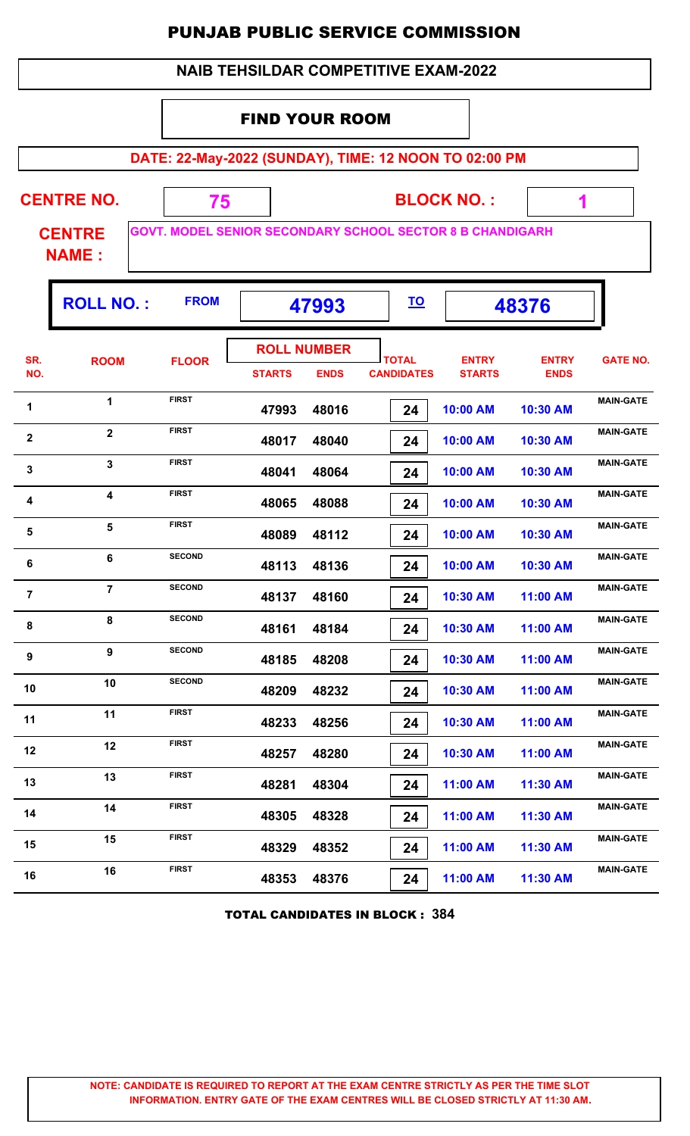| <b>NAIB TEHSILDAR COMPETITIVE EXAM-2022</b>           |                               |                                                                  |               |                                   |                                   |                               |                             |                  |  |  |  |
|-------------------------------------------------------|-------------------------------|------------------------------------------------------------------|---------------|-----------------------------------|-----------------------------------|-------------------------------|-----------------------------|------------------|--|--|--|
|                                                       | <b>FIND YOUR ROOM</b>         |                                                                  |               |                                   |                                   |                               |                             |                  |  |  |  |
| DATE: 22-May-2022 (SUNDAY), TIME: 12 NOON TO 02:00 PM |                               |                                                                  |               |                                   |                                   |                               |                             |                  |  |  |  |
| <b>CENTRE NO.</b><br><b>BLOCK NO.:</b><br>75<br>1     |                               |                                                                  |               |                                   |                                   |                               |                             |                  |  |  |  |
|                                                       | <b>CENTRE</b><br><b>NAME:</b> | <b>GOVT. MODEL SENIOR SECONDARY SCHOOL SECTOR 8 B CHANDIGARH</b> |               |                                   |                                   |                               |                             |                  |  |  |  |
|                                                       | <b>ROLL NO.:</b>              | <b>FROM</b>                                                      |               | 47993                             | <u>TO</u>                         |                               | 48376                       |                  |  |  |  |
| SR.<br>NO.                                            | <b>ROOM</b>                   | <b>FLOOR</b>                                                     | <b>STARTS</b> | <b>ROLL NUMBER</b><br><b>ENDS</b> | <b>TOTAL</b><br><b>CANDIDATES</b> | <b>ENTRY</b><br><b>STARTS</b> | <b>ENTRY</b><br><b>ENDS</b> | <b>GATE NO.</b>  |  |  |  |
| 1                                                     | $\mathbf{1}$                  | <b>FIRST</b>                                                     | 47993         | 48016                             | 24                                | 10:00 AM                      | 10:30 AM                    | <b>MAIN-GATE</b> |  |  |  |
| $\mathbf 2$                                           | $\overline{2}$                | <b>FIRST</b>                                                     | 48017         | 48040                             | 24                                | 10:00 AM                      | 10:30 AM                    | <b>MAIN-GATE</b> |  |  |  |
| 3                                                     | 3                             | <b>FIRST</b>                                                     | 48041         | 48064                             | 24                                | 10:00 AM                      | 10:30 AM                    | <b>MAIN-GATE</b> |  |  |  |
| 4                                                     | 4                             | <b>FIRST</b>                                                     | 48065         | 48088                             | 24                                | 10:00 AM                      | 10:30 AM                    | <b>MAIN-GATE</b> |  |  |  |
| 5                                                     | 5                             | <b>FIRST</b>                                                     | 48089         | 48112                             | 24                                | 10:00 AM                      | 10:30 AM                    | <b>MAIN-GATE</b> |  |  |  |
| 6                                                     | 6                             | <b>SECOND</b>                                                    | 48113         | 48136                             | 24                                | 10:00 AM                      | 10:30 AM                    | <b>MAIN-GATE</b> |  |  |  |
| $\overline{7}$                                        | $\overline{7}$                | <b>SECOND</b>                                                    | 48137         | 48160                             | 24                                | 10:30 AM                      | 11:00 AM                    | <b>MAIN-GATE</b> |  |  |  |
| 8                                                     | 8                             | <b>SECOND</b>                                                    | 48161         | 48184                             | 24                                | 10:30 AM                      | 11:00 AM                    | <b>MAIN-GATE</b> |  |  |  |
| 9                                                     | 9                             | <b>SECOND</b>                                                    | 48185         | 48208                             | 24                                | 10:30 AM                      | 11:00 AM                    | <b>MAIN-GATE</b> |  |  |  |
| 10                                                    | 10                            | <b>SECOND</b>                                                    | 48209         | 48232                             | 24                                | 10:30 AM                      | 11:00 AM                    | <b>MAIN-GATE</b> |  |  |  |
| 11                                                    | 11                            | <b>FIRST</b>                                                     | 48233         | 48256                             | 24                                | 10:30 AM                      | 11:00 AM                    | <b>MAIN-GATE</b> |  |  |  |
| 12                                                    | 12                            | <b>FIRST</b>                                                     | 48257         | 48280                             | 24                                | 10:30 AM                      | 11:00 AM                    | <b>MAIN-GATE</b> |  |  |  |
| 13                                                    | 13                            | <b>FIRST</b>                                                     | 48281         | 48304                             | 24                                | 11:00 AM                      | 11:30 AM                    | <b>MAIN-GATE</b> |  |  |  |
| 14                                                    | 14                            | <b>FIRST</b>                                                     | 48305         | 48328                             | 24                                | 11:00 AM                      | 11:30 AM                    | <b>MAIN-GATE</b> |  |  |  |
| 15                                                    | 15                            | <b>FIRST</b>                                                     | 48329         | 48352                             | 24                                | 11:00 AM                      | 11:30 AM                    | <b>MAIN-GATE</b> |  |  |  |
| 16                                                    | 16                            | <b>FIRST</b>                                                     | 48353         | 48376                             | 24                                | 11:00 AM                      | 11:30 AM                    | <b>MAIN-GATE</b> |  |  |  |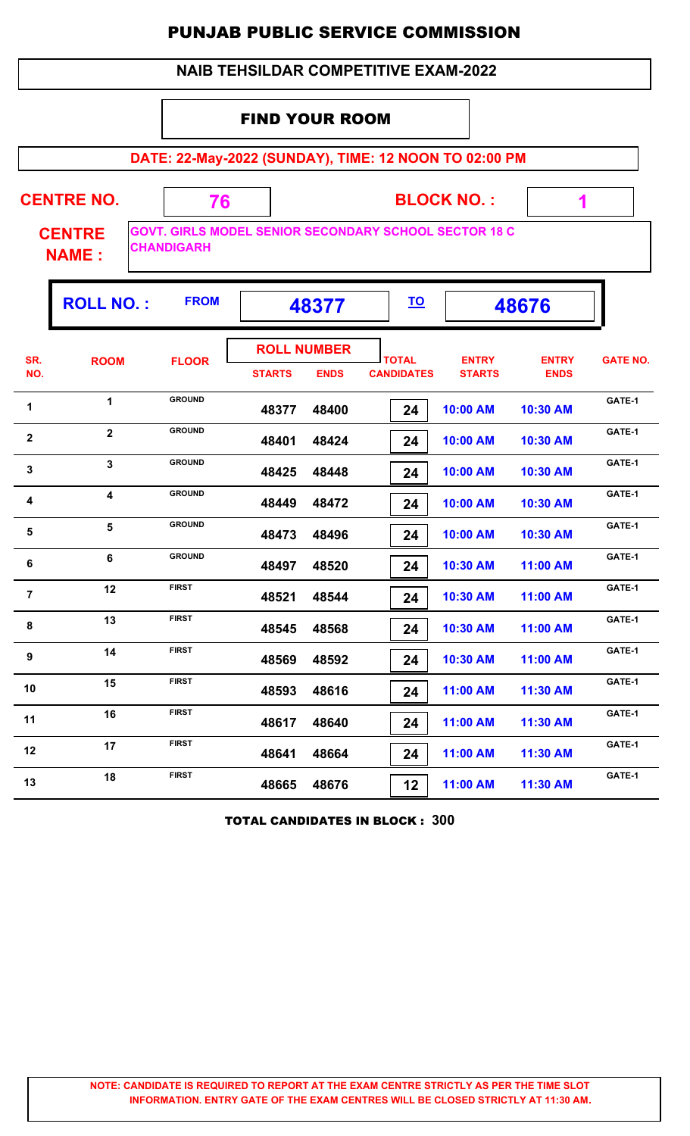|                |                               |                   | <b>PUNJAB PUBLIC SERVICE COMMISSION</b>                      |                                   |                               |                             |                 |
|----------------|-------------------------------|-------------------|--------------------------------------------------------------|-----------------------------------|-------------------------------|-----------------------------|-----------------|
|                |                               |                   | <b>NAIB TEHSILDAR COMPETITIVE EXAM-2022</b>                  |                                   |                               |                             |                 |
|                |                               |                   | <b>FIND YOUR ROOM</b>                                        |                                   |                               |                             |                 |
|                |                               |                   | DATE: 22-May-2022 (SUNDAY), TIME: 12 NOON TO 02:00 PM        |                                   |                               |                             |                 |
|                | <b>CENTRE NO.</b>             | 76                |                                                              |                                   | <b>BLOCK NO.:</b>             | $\blacktriangleleft$        |                 |
|                | <b>CENTRE</b><br><b>NAME:</b> | <b>CHANDIGARH</b> | <b>GOVT. GIRLS MODEL SENIOR SECONDARY SCHOOL SECTOR 18 C</b> |                                   |                               |                             |                 |
|                | <b>ROLL NO.:</b>              | <b>FROM</b>       | 48377                                                        | <u>TO</u>                         |                               | 48676                       |                 |
| SR.<br>NO.     | <b>ROOM</b>                   | <b>FLOOR</b>      | <b>ROLL NUMBER</b><br><b>STARTS</b><br><b>ENDS</b>           | <b>TOTAL</b><br><b>CANDIDATES</b> | <b>ENTRY</b><br><b>STARTS</b> | <b>ENTRY</b><br><b>ENDS</b> | <b>GATE NO.</b> |
| 1              | 1                             | <b>GROUND</b>     | 48377<br>48400                                               | 24                                | 10:00 AM                      | 10:30 AM                    | GATE-1          |
| $\mathbf{2}$   | $\overline{\mathbf{2}}$       | <b>GROUND</b>     | 48401<br>48424                                               | 24                                | 10:00 AM                      | 10:30 AM                    | GATE-1          |
| 3              | $\mathbf{3}$                  | <b>GROUND</b>     | 48425<br>48448                                               | 24                                | 10:00 AM                      | 10:30 AM                    | GATE-1          |
| 4              | 4                             | <b>GROUND</b>     | 48449<br>48472                                               | 24                                | 10:00 AM                      | 10:30 AM                    | GATE-1          |
| 5              | 5                             | <b>GROUND</b>     | 48473<br>48496                                               | 24                                | 10:00 AM                      | 10:30 AM                    | GATE-1          |
| 6              | 6                             | <b>GROUND</b>     | 48520<br>48497                                               | 24                                | 10:30 AM                      | 11:00 AM                    | GATE-1          |
| $\overline{7}$ | 12                            | <b>FIRST</b>      | 48521<br>48544                                               | 24                                | 10:30 AM                      | 11:00 AM                    | GATE-1          |
| 8              | 13                            | <b>FIRST</b>      | 48568<br>48545                                               | 24                                | 10:30 AM                      | 11:00 AM                    | GATE-1          |
| 9              | 14                            | FIRST             | 48569<br>48592                                               | 24                                | 10:30 AM                      | 11:00 AM                    | GATE-1          |
| 10             | 15                            | <b>FIRST</b>      | 48593<br>48616                                               | 24                                | 11:00 AM                      | 11:30 AM                    | GATE-1          |
| 11             | 16                            | <b>FIRST</b>      | 48640<br>48617                                               | 24                                | 11:00 AM                      | 11:30 AM                    | GATE-1          |
| 12             | 17                            | <b>FIRST</b>      | 48641<br>48664                                               | 24                                | 11:00 AM                      | 11:30 AM                    | GATE-1          |

TOTAL CANDIDATES IN BLOCK : **300**

13 **18** FIRST **48665 48676 12 11:00 AM 11:30 AM GATE-1** 

 **48665 48676 12 11:00 AM 11:30 AM**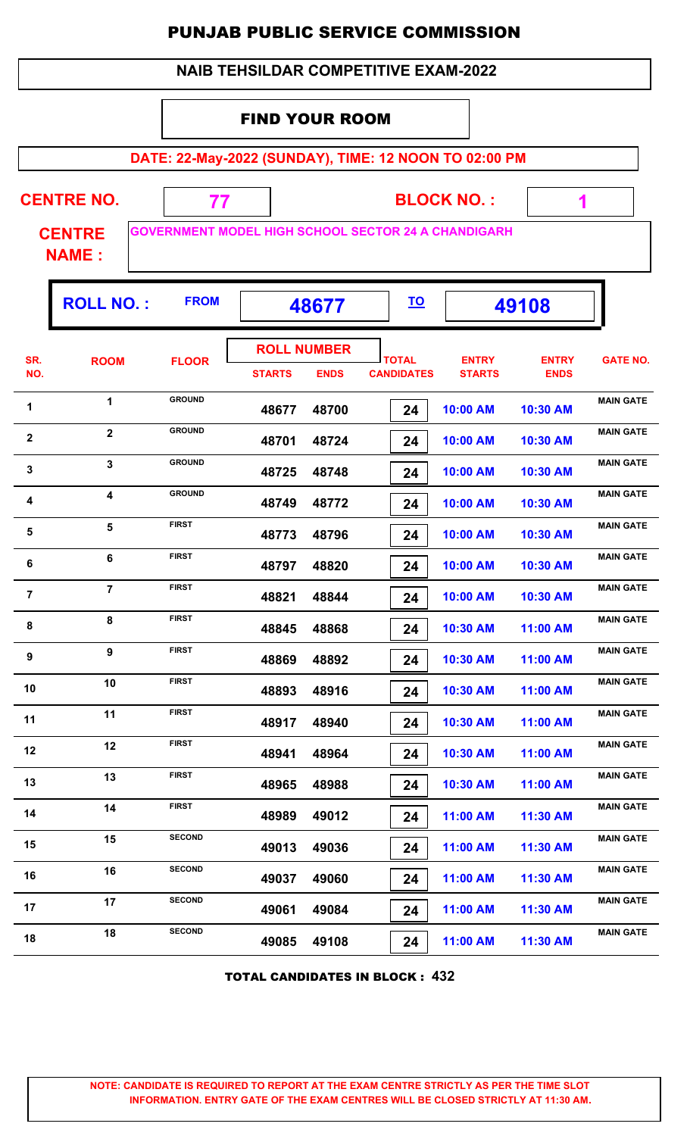|                |                                    |                                                                  |                                             |             |                                   |           | <b>PUNJAB PUBLIC SERVICE COMMISSION</b> |                             |                  |
|----------------|------------------------------------|------------------------------------------------------------------|---------------------------------------------|-------------|-----------------------------------|-----------|-----------------------------------------|-----------------------------|------------------|
|                |                                    |                                                                  | <b>NAIB TEHSILDAR COMPETITIVE EXAM-2022</b> |             |                                   |           |                                         |                             |                  |
|                |                                    |                                                                  | <b>FIND YOUR ROOM</b>                       |             |                                   |           |                                         |                             |                  |
|                |                                    | DATE: 22-May-2022 (SUNDAY), TIME: 12 NOON TO 02:00 PM            |                                             |             |                                   |           |                                         |                             |                  |
|                | <b>CENTRE NO.</b><br><b>CENTRE</b> | 77<br><b>GOVERNMENT MODEL HIGH SCHOOL SECTOR 24 A CHANDIGARH</b> |                                             |             |                                   |           | <b>BLOCK NO.:</b>                       | 1                           |                  |
|                | <b>NAME:</b>                       |                                                                  |                                             |             |                                   |           |                                         |                             |                  |
|                | <b>ROLL NO.:</b>                   | <b>FROM</b>                                                      |                                             | 48677       |                                   | <u>TO</u> |                                         | 49108                       |                  |
| SR.<br>NO.     | <b>ROOM</b>                        | <b>FLOOR</b>                                                     | <b>ROLL NUMBER</b><br><b>STARTS</b>         | <b>ENDS</b> | <b>TOTAL</b><br><b>CANDIDATES</b> |           | <b>ENTRY</b><br><b>STARTS</b>           | <b>ENTRY</b><br><b>ENDS</b> | <b>GATE NO.</b>  |
| $\mathbf 1$    | 1                                  | <b>GROUND</b>                                                    | 48677                                       | 48700       |                                   | 24        | 10:00 AM                                | 10:30 AM                    | <b>MAIN GATE</b> |
| $\overline{2}$ | $\overline{2}$                     | <b>GROUND</b>                                                    | 48701                                       | 48724       |                                   | 24        | 10:00 AM                                | 10:30 AM                    | <b>MAIN GATE</b> |
| 3              | $\mathbf{3}$                       | <b>GROUND</b>                                                    | 48725                                       | 48748       |                                   | 24        | 10:00 AM                                | 10:30 AM                    | <b>MAIN GATE</b> |
| 4              | $\overline{\mathbf{4}}$            | <b>GROUND</b>                                                    | 48749                                       | 48772       |                                   | 24        | 10:00 AM                                | 10:30 AM                    | <b>MAIN GATE</b> |
| 5              | 5.                                 | <b>FIRST</b>                                                     | 48773                                       | 48796       |                                   | 24        | 10:00 AM                                | 10:30 AM                    | <b>MAIN GATE</b> |
| 6              | 6                                  | <b>FIRST</b>                                                     | 48797                                       | 48820       |                                   | 24        | 10:00 AM                                | 10:30 AM                    | <b>MAIN GATE</b> |
| $\overline{7}$ | $\overline{7}$                     | <b>FIRST</b>                                                     | 48821                                       | 48844       |                                   | 24        | 10:00 AM                                | 10:30 AM                    | <b>MAIN GATE</b> |
| 8              | 8                                  | <b>FIRST</b>                                                     | 48845                                       | 48868       |                                   | 24        | 10:30 AM                                | 11:00 AM                    | <b>MAIN GATE</b> |
| 9              | 9                                  | <b>FIRST</b>                                                     | 48869                                       | 48892       |                                   | 24        | 10:30 AM                                | 11:00 AM                    | <b>MAIN GATE</b> |
| 10             | 10                                 | <b>FIRST</b>                                                     | 48893                                       | 48916       |                                   | 24        | 10:30 AM                                | 11:00 AM                    | <b>MAIN GATE</b> |
| 11             | 11                                 | <b>FIRST</b>                                                     | 48917                                       | 48940       |                                   | 24        | 10:30 AM                                | 11:00 AM                    | <b>MAIN GATE</b> |
| 12             | 12                                 | <b>FIRST</b>                                                     | 48941                                       | 48964       |                                   | 24        | 10:30 AM                                | 11:00 AM                    | <b>MAIN GATE</b> |
| 13             | 13                                 | <b>FIRST</b>                                                     | 48965                                       | 48988       |                                   | 24        | 10:30 AM                                | 11:00 AM                    | <b>MAIN GATE</b> |
| 14             | 14                                 | <b>FIRST</b>                                                     | 48989                                       | 49012       |                                   | 24        | 11:00 AM                                | 11:30 AM                    | <b>MAIN GATE</b> |
| 15             | 15                                 | <b>SECOND</b>                                                    | 49013                                       | 49036       |                                   | 24        | 11:00 AM                                | 11:30 AM                    | <b>MAIN GATE</b> |
| 16             | 16                                 | <b>SECOND</b>                                                    | 49037                                       | 49060       |                                   | 24        | 11:00 AM                                | 11:30 AM                    | <b>MAIN GATE</b> |
| 17             | 17                                 | <b>SECOND</b>                                                    | 49061                                       | 49084       |                                   | 24        | 11:00 AM                                | 11:30 AM                    | <b>MAIN GATE</b> |
| 18             | 18                                 | <b>SECOND</b>                                                    | 49085                                       | 49108       |                                   | 24        | 11:00 AM                                | 11:30 AM                    | <b>MAIN GATE</b> |

TOTAL CANDIDATES IN BLOCK : **432**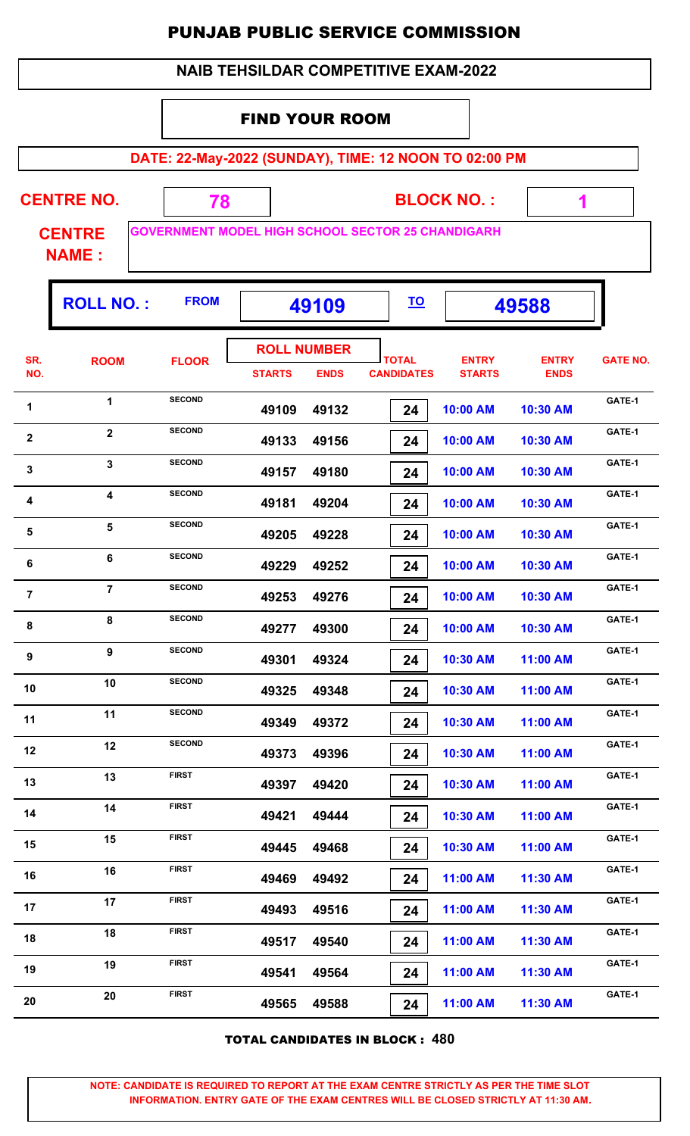|                                          | <b>NAIB TEHSILDAR COMPETITIVE EXAM-2022</b> |                                                          |               |                                   |  |                                   |                               |                             |                 |  |  |
|------------------------------------------|---------------------------------------------|----------------------------------------------------------|---------------|-----------------------------------|--|-----------------------------------|-------------------------------|-----------------------------|-----------------|--|--|
|                                          | <b>FIND YOUR ROOM</b>                       |                                                          |               |                                   |  |                                   |                               |                             |                 |  |  |
|                                          |                                             |                                                          |               |                                   |  |                                   |                               |                             |                 |  |  |
|                                          |                                             | DATE: 22-May-2022 (SUNDAY), TIME: 12 NOON TO 02:00 PM    |               |                                   |  |                                   |                               |                             |                 |  |  |
|                                          | <b>CENTRE NO.</b>                           | 78                                                       |               |                                   |  |                                   | <b>BLOCK NO.:</b>             | 1                           |                 |  |  |
|                                          | <b>CENTRE</b><br><b>NAME:</b>               | <b>GOVERNMENT MODEL HIGH SCHOOL SECTOR 25 CHANDIGARH</b> |               |                                   |  |                                   |                               |                             |                 |  |  |
| <b>ROLL NO.:</b><br><b>FROM</b><br>49109 |                                             |                                                          |               |                                   |  |                                   |                               | 49588                       |                 |  |  |
| SR.<br>NO.                               | <b>ROOM</b>                                 | <b>FLOOR</b>                                             | <b>STARTS</b> | <b>ROLL NUMBER</b><br><b>ENDS</b> |  | <b>TOTAL</b><br><b>CANDIDATES</b> | <b>ENTRY</b><br><b>STARTS</b> | <b>ENTRY</b><br><b>ENDS</b> | <b>GATE NO.</b> |  |  |
| 1                                        | 1                                           | <b>SECOND</b>                                            | 49109         | 49132                             |  | 24                                | 10:00 AM                      | 10:30 AM                    | GATE-1          |  |  |
| $\mathbf{2}$                             | $\overline{2}$                              | <b>SECOND</b>                                            | 49133         | 49156                             |  | 24                                | 10:00 AM                      | 10:30 AM                    | GATE-1          |  |  |
| 3                                        | $\overline{3}$                              | <b>SECOND</b>                                            | 49157         | 49180                             |  | 24                                | 10:00 AM                      | 10:30 AM                    | GATE-1          |  |  |
| 4                                        | 4                                           | <b>SECOND</b>                                            | 49181         | 49204                             |  | 24                                | 10:00 AM                      | 10:30 AM                    | GATE-1          |  |  |
| 5                                        | 5                                           | <b>SECOND</b>                                            | 49205         | 49228                             |  | 24                                | 10:00 AM                      | 10:30 AM                    | GATE-1          |  |  |
| 6                                        | 6                                           | <b>SECOND</b>                                            | 49229         | 49252                             |  | 24                                | 10:00 AM                      | 10:30 AM                    | GATE-1          |  |  |
| $\overline{7}$                           | $\overline{7}$                              | <b>SECOND</b>                                            | 49253         | 49276                             |  | 24                                | 10:00 AM                      | 10:30 AM                    | GATE-1          |  |  |
| 8                                        | 8                                           | <b>SECOND</b>                                            | 49277         | 49300                             |  | 24                                | 10:00 AM                      | 10:30 AM                    | GATE-1          |  |  |
| 9                                        | $\boldsymbol{9}$                            | <b>SECOND</b>                                            | 49301         | 49324                             |  | 24                                | 10:30 AM                      | 11:00 AM                    | GATE-1          |  |  |
| 10                                       | 10                                          | <b>SECOND</b>                                            | 49325         | 49348                             |  | 24                                | 10:30 AM                      | 11:00 AM                    | GATE-1          |  |  |
| 11                                       | 11                                          | <b>SECOND</b>                                            | 49349         | 49372                             |  | 24                                | 10:30 AM                      | 11:00 AM                    | GATE-1          |  |  |
| 12                                       | 12                                          | <b>SECOND</b>                                            | 49373         | 49396                             |  | 24                                | 10:30 AM                      | 11:00 AM                    | GATE-1          |  |  |
| 13                                       | 13                                          | <b>FIRST</b>                                             | 49397         | 49420                             |  | 24                                | 10:30 AM                      | 11:00 AM                    | GATE-1          |  |  |
| 14                                       | 14                                          | <b>FIRST</b>                                             | 49421         | 49444                             |  | 24                                | 10:30 AM                      | 11:00 AM                    | GATE-1          |  |  |
| 15                                       | 15                                          | <b>FIRST</b>                                             | 49445         | 49468                             |  | 24                                | 10:30 AM                      | 11:00 AM                    | GATE-1          |  |  |
| 16                                       | 16                                          | <b>FIRST</b>                                             | 49469         | 49492                             |  | 24                                | 11:00 AM                      | 11:30 AM                    | GATE-1          |  |  |
| 17                                       | 17                                          | <b>FIRST</b>                                             | 49493         | 49516                             |  | 24                                | 11:00 AM                      | 11:30 AM                    | GATE-1          |  |  |
| 18                                       | 18                                          | <b>FIRST</b>                                             | 49517         | 49540                             |  | 24                                | 11:00 AM                      | 11:30 AM                    | GATE-1          |  |  |
| 19                                       | 19                                          | <b>FIRST</b>                                             | 49541         | 49564                             |  | 24                                | 11:00 AM                      | 11:30 AM                    | GATE-1          |  |  |
| 20                                       | 20                                          | <b>FIRST</b>                                             | 49565         | 49588                             |  | 24                                | 11:00 AM                      | 11:30 AM                    | GATE-1          |  |  |

TOTAL CANDIDATES IN BLOCK : **480**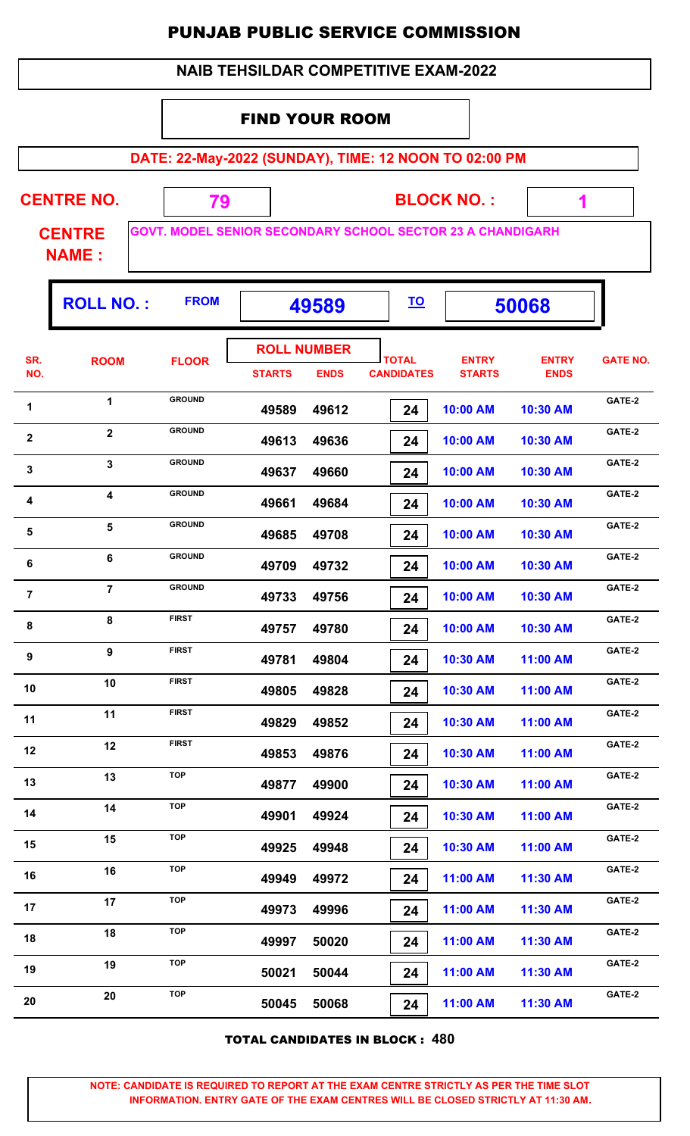|                         |                               |               |                       |                                   | <b>PUNJAB PUBLIC SERVICE COMMISSION</b>                           |                               |                             |                 |
|-------------------------|-------------------------------|---------------|-----------------------|-----------------------------------|-------------------------------------------------------------------|-------------------------------|-----------------------------|-----------------|
|                         |                               |               |                       |                                   | <b>NAIB TEHSILDAR COMPETITIVE EXAM-2022</b>                       |                               |                             |                 |
|                         |                               |               | <b>FIND YOUR ROOM</b> |                                   |                                                                   |                               |                             |                 |
|                         |                               |               |                       |                                   | DATE: 22-May-2022 (SUNDAY), TIME: 12 NOON TO 02:00 PM             |                               |                             |                 |
|                         | <b>CENTRE NO.</b>             | 79            |                       |                                   |                                                                   | <b>BLOCK NO.:</b>             | 1                           |                 |
|                         | <b>CENTRE</b><br><b>NAME:</b> |               |                       |                                   | <b>GOVT. MODEL SENIOR SECONDARY SCHOOL SECTOR 23 A CHANDIGARH</b> |                               |                             |                 |
|                         | <b>ROLL NO.:</b>              | <b>FROM</b>   |                       | 49589                             | <u>TO</u>                                                         |                               | 50068                       |                 |
| SR.<br>NO.              | <b>ROOM</b>                   | <b>FLOOR</b>  | <b>STARTS</b>         | <b>ROLL NUMBER</b><br><b>ENDS</b> | <b>TOTAL</b><br><b>CANDIDATES</b>                                 | <b>ENTRY</b><br><b>STARTS</b> | <b>ENTRY</b><br><b>ENDS</b> | <b>GATE NO.</b> |
| 1                       | 1                             | <b>GROUND</b> | 49589                 | 49612                             | 24                                                                | 10:00 AM                      | 10:30 AM                    | GATE-2          |
| $\overline{\mathbf{2}}$ | $\overline{2}$                | <b>GROUND</b> | 49613                 | 49636                             | 24                                                                | 10:00 AM                      | 10:30 AM                    | GATE-2          |
| $\mathbf{3}$            | 3                             | <b>GROUND</b> | 49637                 | 49660                             | 24                                                                | 10:00 AM                      | 10:30 AM                    | GATE-2          |
| 4                       | $\overline{\mathbf{4}}$       | <b>GROUND</b> | 49661                 | 49684                             | 24                                                                | 10:00 AM                      | 10:30 AM                    | GATE-2          |
| 5                       | 5                             | <b>GROUND</b> | 49685                 | 49708                             | 24                                                                | 10:00 AM                      | 10:30 AM                    | GATE-2          |
| 6                       | 6                             | <b>GROUND</b> | 49709                 | 49732                             | 24                                                                | 10:00 AM                      | 10:30 AM                    | GATE-2          |
| 7                       | $\overline{7}$                | <b>GROUND</b> | 49733                 | 49756                             | 24                                                                | 10:00 AM                      | 10:30 AM                    | GATE-2          |
| 8                       | 8                             | <b>FIRST</b>  | 49757                 | 49780                             | 24                                                                | 10:00 AM                      | 10:30 AM                    | GATE-2          |
| 9                       | 9                             | <b>FIRST</b>  | 49781                 | 49804                             | 24                                                                | 10:30 AM                      | 11:00 AM                    | GATE-2          |
| 10                      | 10                            | <b>FIRST</b>  | 49805                 | 49828                             | 24                                                                | 10:30 AM                      | 11:00 AM                    | GATE-2          |
| 11                      | 11                            | <b>FIRST</b>  | 49829                 | 49852                             | 24                                                                | 10:30 AM                      | 11:00 AM                    | GATE-2          |
| 12                      | 12                            | <b>FIRST</b>  | 49853                 | 49876                             | 24                                                                | 10:30 AM                      | 11:00 AM                    | GATE-2          |
| 13                      | 13                            | <b>TOP</b>    | 49877                 | 49900                             | 24                                                                | 10:30 AM                      | 11:00 AM                    | GATE-2          |
| 14                      | 14                            | <b>TOP</b>    | 49901                 | 49924                             | 24                                                                | 10:30 AM                      | 11:00 AM                    | GATE-2          |
| 15                      | 15                            | <b>TOP</b>    | 49925                 | 49948                             | 24                                                                | 10:30 AM                      | 11:00 AM                    | GATE-2          |
| 16                      | 16                            | <b>TOP</b>    | 49949                 | 49972                             | 24                                                                | 11:00 AM                      | 11:30 AM                    | GATE-2          |
| 17                      | 17                            | <b>TOP</b>    | 49973                 | 49996                             | 24                                                                | 11:00 AM                      | 11:30 AM                    | GATE-2          |
| 18                      | 18                            | <b>TOP</b>    | 49997                 | 50020                             | 24                                                                | 11:00 AM                      | 11:30 AM                    | GATE-2          |
| 19                      | 19                            | <b>TOP</b>    | 50021                 | 50044                             | 24                                                                | 11:00 AM                      | 11:30 AM                    | GATE-2          |

TOTAL CANDIDATES IN BLOCK : **480**

**CATE-2 CATE-2 EXELUTE: CATE-2 CATE-2 CATE-2 CATE-2 CATE-2 CATE-2** 

 **50045 50068 24 11:00 AM 11:30 AM**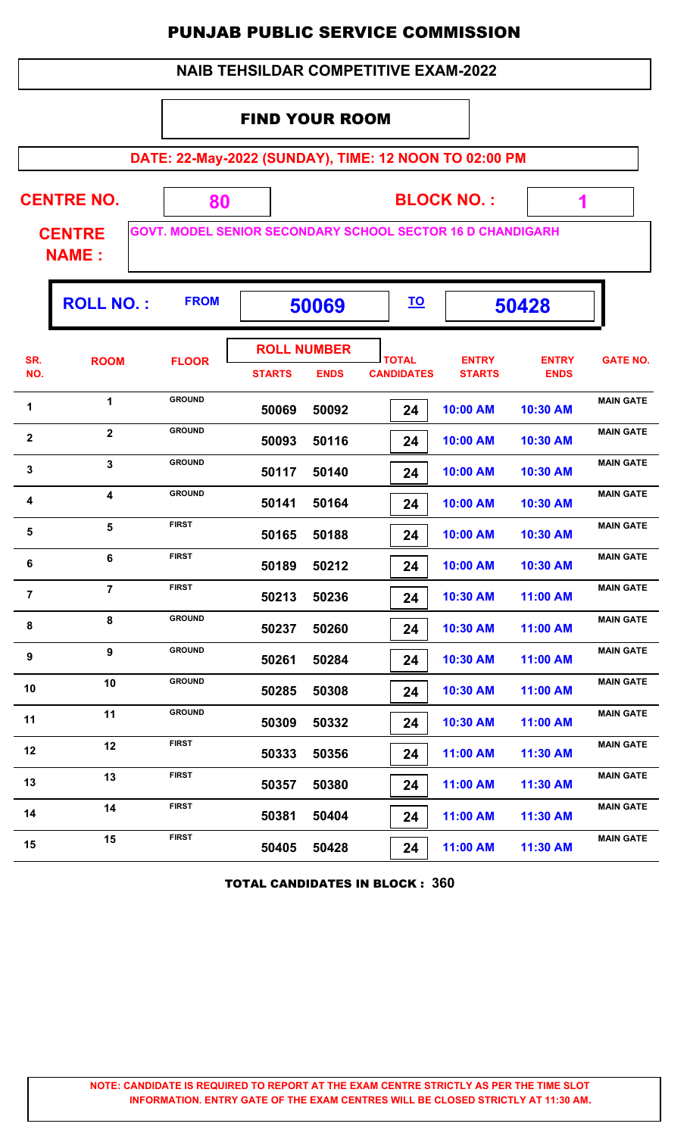|                |                               |                                                                   |                       |                                   | <b>NAIB TEHSILDAR COMPETITIVE EXAM-2022</b> |                               |                             |                  |  |  |
|----------------|-------------------------------|-------------------------------------------------------------------|-----------------------|-----------------------------------|---------------------------------------------|-------------------------------|-----------------------------|------------------|--|--|
|                |                               |                                                                   | <b>FIND YOUR ROOM</b> |                                   |                                             |                               |                             |                  |  |  |
|                |                               | DATE: 22-May-2022 (SUNDAY), TIME: 12 NOON TO 02:00 PM             |                       |                                   |                                             |                               |                             |                  |  |  |
|                | <b>CENTRE NO.</b>             | 80                                                                |                       |                                   |                                             | <b>BLOCK NO.:</b><br>1        |                             |                  |  |  |
|                | <b>CENTRE</b><br><b>NAME:</b> | <b>GOVT. MODEL SENIOR SECONDARY SCHOOL SECTOR 16 D CHANDIGARH</b> |                       |                                   |                                             |                               |                             |                  |  |  |
|                | <b>ROLL NO.:</b>              | <b>FROM</b>                                                       |                       | 50069                             | <u>TO</u>                                   |                               | 50428                       |                  |  |  |
| SR.<br>NO.     | <b>ROOM</b>                   | <b>FLOOR</b>                                                      | <b>STARTS</b>         | <b>ROLL NUMBER</b><br><b>ENDS</b> | <b>TOTAL</b><br><b>CANDIDATES</b>           | <b>ENTRY</b><br><b>STARTS</b> | <b>ENTRY</b><br><b>ENDS</b> | <b>GATE NO.</b>  |  |  |
| 1              | 1                             | <b>GROUND</b>                                                     | 50069                 | 50092                             | 24                                          | 10:00 AM                      | 10:30 AM                    | <b>MAIN GATE</b> |  |  |
| $\mathbf{2}$   | $\overline{2}$                | <b>GROUND</b>                                                     | 50093                 | 50116                             | 24                                          | 10:00 AM                      | 10:30 AM                    | <b>MAIN GATE</b> |  |  |
| $\mathbf{3}$   | $\overline{3}$                | <b>GROUND</b>                                                     | 50117                 | 50140                             | 24                                          | 10:00 AM                      | 10:30 AM                    | <b>MAIN GATE</b> |  |  |
| 4              | $\overline{\mathbf{4}}$       | <b>GROUND</b>                                                     | 50141                 | 50164                             | 24                                          | 10:00 AM                      | 10:30 AM                    | <b>MAIN GATE</b> |  |  |
| 5              | 5                             | <b>FIRST</b>                                                      | 50165                 | 50188                             | 24                                          | 10:00 AM                      | 10:30 AM                    | <b>MAIN GATE</b> |  |  |
| 6              | 6                             | <b>FIRST</b>                                                      | 50189                 | 50212                             | 24                                          | 10:00 AM                      | 10:30 AM                    | <b>MAIN GATE</b> |  |  |
| $\overline{7}$ | $\overline{7}$                | <b>FIRST</b>                                                      | 50213                 | 50236                             | 24                                          | 10:30 AM                      | 11:00 AM                    | <b>MAIN GATE</b> |  |  |
| 8              | 8                             | <b>GROUND</b>                                                     | 50237                 | 50260                             | 24                                          | 10:30 AM                      | 11:00 AM                    | <b>MAIN GATE</b> |  |  |
| 9              | 9                             | <b>GROUND</b>                                                     | 50261                 | 50284                             | 24                                          | 10:30 AM                      | 11:00 AM                    | <b>MAIN GATE</b> |  |  |
| 10             | 10                            | <b>GROUND</b>                                                     | 50285                 | 50308                             | 24                                          | 10:30 AM                      | 11:00 AM                    | <b>MAIN GATE</b> |  |  |
| 11             | 11                            | <b>GROUND</b>                                                     | 50309                 | 50332                             | 24                                          | 10:30 AM                      | 11:00 AM                    | <b>MAIN GATE</b> |  |  |
| 12             | 12                            | <b>FIRST</b>                                                      | 50333                 | 50356                             | 24                                          | 11:00 AM                      | 11:30 AM                    | <b>MAIN GATE</b> |  |  |
| 13             | 13                            | <b>FIRST</b>                                                      | 50357                 | 50380                             | 24                                          | 11:00 AM                      | 11:30 AM                    | <b>MAIN GATE</b> |  |  |
| 14             | 14                            | <b>FIRST</b>                                                      | 50381                 | 50404                             | 24                                          | 11:00 AM                      | 11:30 AM                    | <b>MAIN GATE</b> |  |  |
| 15             | 15                            | <b>FIRST</b>                                                      | 50405                 | 50428                             | 24                                          | 11:00 AM                      | 11:30 AM                    | <b>MAIN GATE</b> |  |  |

TOTAL CANDIDATES IN BLOCK : **360**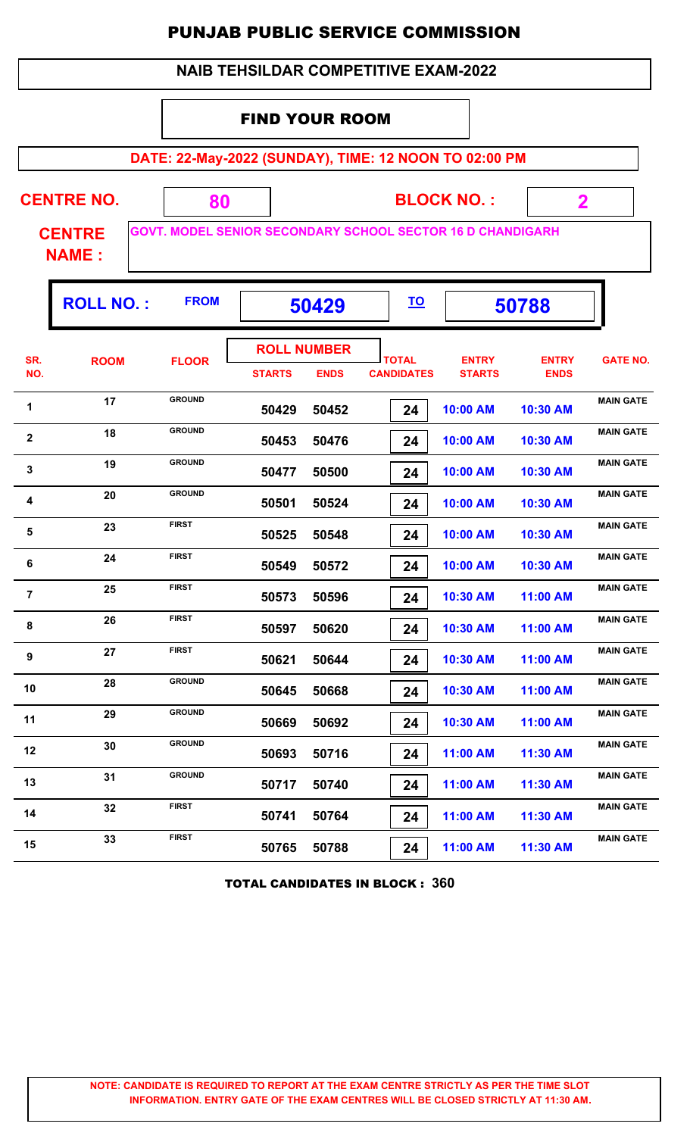|                |                               | <b>PUNJAB PUBLIC SERVICE COMMISSION</b>                           |                       |                                   |                                             |                   |                               |                             |                  |
|----------------|-------------------------------|-------------------------------------------------------------------|-----------------------|-----------------------------------|---------------------------------------------|-------------------|-------------------------------|-----------------------------|------------------|
|                |                               |                                                                   |                       |                                   | <b>NAIB TEHSILDAR COMPETITIVE EXAM-2022</b> |                   |                               |                             |                  |
|                |                               |                                                                   | <b>FIND YOUR ROOM</b> |                                   |                                             |                   |                               |                             |                  |
|                |                               |                                                                   |                       |                                   |                                             |                   |                               |                             |                  |
|                |                               | DATE: 22-May-2022 (SUNDAY), TIME: 12 NOON TO 02:00 PM             |                       |                                   |                                             |                   |                               |                             |                  |
|                | <b>CENTRE NO.</b>             | 80                                                                |                       |                                   |                                             | <b>BLOCK NO.:</b> |                               | $\mathbf{2}$                |                  |
|                | <b>CENTRE</b><br><b>NAME:</b> | <b>GOVT. MODEL SENIOR SECONDARY SCHOOL SECTOR 16 D CHANDIGARH</b> |                       |                                   |                                             |                   |                               |                             |                  |
|                | <b>ROLL NO.:</b>              | <b>FROM</b>                                                       |                       | 50429                             | <u>TO</u>                                   |                   |                               | 50788                       |                  |
| SR.<br>NO.     | <b>ROOM</b>                   | <b>FLOOR</b>                                                      | <b>STARTS</b>         | <b>ROLL NUMBER</b><br><b>ENDS</b> | <b>TOTAL</b><br><b>CANDIDATES</b>           |                   | <b>ENTRY</b><br><b>STARTS</b> | <b>ENTRY</b><br><b>ENDS</b> | <b>GATE NO.</b>  |
| 1              | 17                            | <b>GROUND</b>                                                     | 50429                 | 50452                             | 24                                          | 10:00 AM          |                               | 10:30 AM                    | <b>MAIN GATE</b> |
| $\mathbf{2}$   | 18                            | <b>GROUND</b>                                                     | 50453                 | 50476                             | 24                                          | 10:00 AM          |                               | 10:30 AM                    | <b>MAIN GATE</b> |
| $\mathbf 3$    | 19                            | <b>GROUND</b>                                                     | 50477                 | 50500                             | 24                                          | 10:00 AM          |                               | 10:30 AM                    | <b>MAIN GATE</b> |
| 4              | 20                            | <b>GROUND</b>                                                     | 50501                 | 50524                             | 24                                          | 10:00 AM          |                               | 10:30 AM                    | <b>MAIN GATE</b> |
| 5              | 23                            | <b>FIRST</b>                                                      | 50525                 | 50548                             | 24                                          | 10:00 AM          |                               | 10:30 AM                    | <b>MAIN GATE</b> |
| 6              | 24                            | <b>FIRST</b>                                                      | 50549                 | 50572                             | 24                                          | 10:00 AM          |                               | 10:30 AM                    | <b>MAIN GATE</b> |
| $\overline{7}$ | 25                            | <b>FIRST</b>                                                      | 50573                 | 50596                             | 24                                          | 10:30 AM          |                               | 11:00 AM                    | <b>MAIN GATE</b> |
| 8              | 26                            | <b>FIRST</b>                                                      | 50597                 | 50620                             | 24                                          | 10:30 AM          |                               | 11:00 AM                    | <b>MAIN GATE</b> |
| 9              | 27                            | <b>FIRST</b>                                                      | 50621                 | 50644                             | 24                                          | 10:30 AM          |                               | 11:00 AM                    | <b>MAIN GATE</b> |
| 10             | 28                            | <b>GROUND</b>                                                     | 50645                 | 50668                             | 24                                          | 10:30 AM          |                               | 11:00 AM                    | <b>MAIN GATE</b> |
| 11             | 29                            | <b>GROUND</b>                                                     | 50669                 | 50692                             | 24                                          | 10:30 AM          |                               | 11:00 AM                    | <b>MAIN GATE</b> |
| 12             | 30                            | <b>GROUND</b>                                                     | 50693                 | 50716                             | 24                                          | 11:00 AM          |                               | 11:30 AM                    | <b>MAIN GATE</b> |
| 13             | 31                            | <b>GROUND</b>                                                     | 50717                 | 50740                             | 24                                          | 11:00 AM          |                               | 11:30 AM                    | <b>MAIN GATE</b> |
| 14             | 32                            | <b>FIRST</b>                                                      | 50741                 | 50764                             | 24                                          | 11:00 AM          |                               | 11:30 AM                    | <b>MAIN GATE</b> |

TOTAL CANDIDATES IN BLOCK : **360**

15 **15** 33 FIRST 50765 50788 **11:00 AM** 11:30 AM

 **50765 50788 24 11:00 AM 11:30 AM**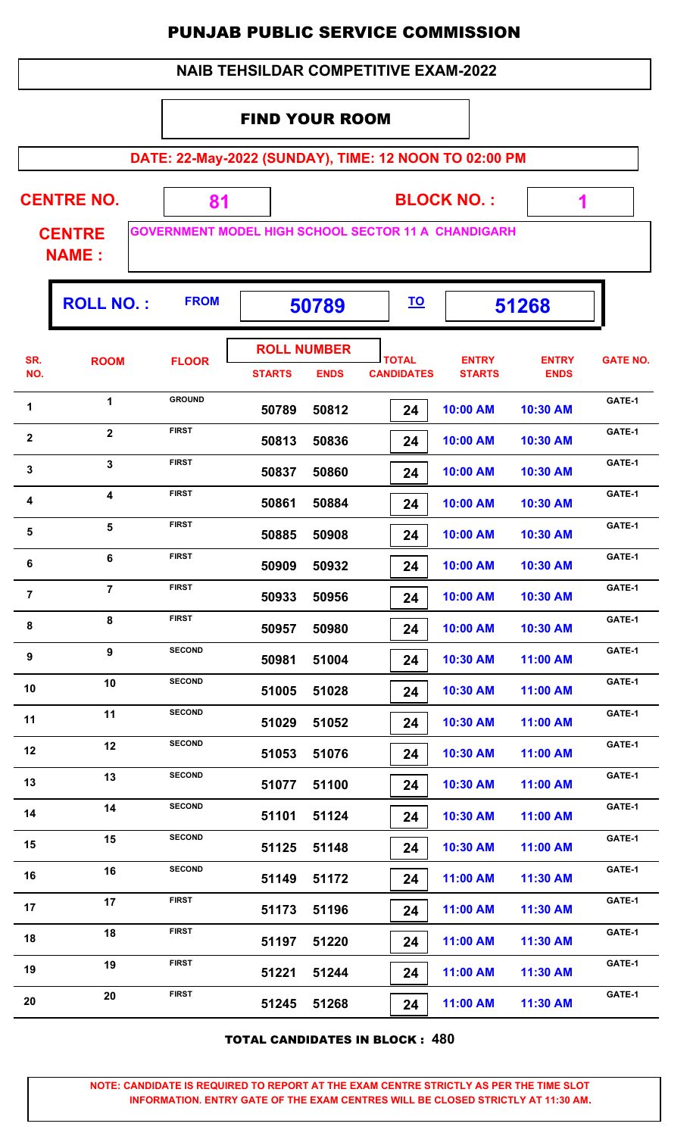|                                                                | <b>NAIB TEHSILDAR COMPETITIVE EXAM-2022</b> |                                                            |                       |                                   |                                   |    |                               |                             |                 |  |  |
|----------------------------------------------------------------|---------------------------------------------|------------------------------------------------------------|-----------------------|-----------------------------------|-----------------------------------|----|-------------------------------|-----------------------------|-----------------|--|--|
|                                                                |                                             |                                                            | <b>FIND YOUR ROOM</b> |                                   |                                   |    |                               |                             |                 |  |  |
|                                                                |                                             | DATE: 22-May-2022 (SUNDAY), TIME: 12 NOON TO 02:00 PM      |                       |                                   |                                   |    |                               |                             |                 |  |  |
|                                                                | <b>CENTRE NO.</b>                           | 81                                                         |                       |                                   |                                   |    | <b>BLOCK NO.:</b>             | 1                           |                 |  |  |
|                                                                | <b>CENTRE</b><br><b>NAME:</b>               | <b>GOVERNMENT MODEL HIGH SCHOOL SECTOR 11 A CHANDIGARH</b> |                       |                                   |                                   |    |                               |                             |                 |  |  |
| <b>FROM</b><br><b>ROLL NO.:</b><br><u>TO</u><br>51268<br>50789 |                                             |                                                            |                       |                                   |                                   |    |                               |                             |                 |  |  |
| SR.<br>NO.                                                     | <b>ROOM</b>                                 | <b>FLOOR</b>                                               | <b>STARTS</b>         | <b>ROLL NUMBER</b><br><b>ENDS</b> | <b>TOTAL</b><br><b>CANDIDATES</b> |    | <b>ENTRY</b><br><b>STARTS</b> | <b>ENTRY</b><br><b>ENDS</b> | <b>GATE NO.</b> |  |  |
| 1                                                              | 1                                           | <b>GROUND</b>                                              | 50789                 | 50812                             |                                   | 24 | 10:00 AM                      | 10:30 AM                    | GATE-1          |  |  |
| $\mathbf{2}$                                                   | $\overline{2}$                              | <b>FIRST</b>                                               | 50813                 | 50836                             |                                   | 24 | 10:00 AM                      | 10:30 AM                    | GATE-1          |  |  |
| 3                                                              | $\overline{3}$                              | <b>FIRST</b>                                               | 50837                 | 50860                             |                                   | 24 | 10:00 AM                      | 10:30 AM                    | GATE-1          |  |  |
| 4                                                              | $\overline{\mathbf{4}}$                     | <b>FIRST</b>                                               | 50861                 | 50884                             |                                   | 24 | 10:00 AM                      | 10:30 AM                    | GATE-1          |  |  |
| 5                                                              | 5                                           | <b>FIRST</b>                                               | 50885                 | 50908                             |                                   | 24 | 10:00 AM                      | 10:30 AM                    | GATE-1          |  |  |
| 6                                                              | 6                                           | <b>FIRST</b>                                               | 50909                 | 50932                             |                                   | 24 | 10:00 AM                      | 10:30 AM                    | GATE-1          |  |  |
| $\overline{7}$                                                 | $\overline{7}$                              | <b>FIRST</b>                                               | 50933                 | 50956                             |                                   | 24 | 10:00 AM                      | 10:30 AM                    | GATE-1          |  |  |
| 8                                                              | 8                                           | <b>FIRST</b>                                               | 50957                 | 50980                             |                                   | 24 | 10:00 AM                      | 10:30 AM                    | GATE-1          |  |  |
| 9                                                              | 9                                           | <b>SECOND</b>                                              | 50981                 | 51004                             |                                   | 24 | 10:30 AM                      | 11:00 AM                    | GATE-1          |  |  |
| 10                                                             | 10                                          | <b>SECOND</b>                                              | 51005                 | 51028                             |                                   | 24 | 10:30 AM                      | 11:00 AM                    | GATE-1          |  |  |
| 11                                                             | 11                                          | <b>SECOND</b>                                              | 51029                 | 51052                             |                                   | 24 | 10:30 AM                      | 11:00 AM                    | GATE-1          |  |  |
| 12                                                             | 12                                          | <b>SECOND</b>                                              | 51053                 | 51076                             |                                   | 24 | 10:30 AM                      | 11:00 AM                    | GATE-1          |  |  |
| 13                                                             | 13                                          | <b>SECOND</b>                                              | 51077                 | 51100                             |                                   | 24 | 10:30 AM                      | 11:00 AM                    | GATE-1          |  |  |
| 14                                                             | 14                                          | <b>SECOND</b>                                              | 51101                 | 51124                             |                                   | 24 | 10:30 AM                      | 11:00 AM                    | GATE-1          |  |  |
| 15                                                             | 15                                          | <b>SECOND</b>                                              | 51125                 | 51148                             |                                   | 24 | 10:30 AM                      | 11:00 AM                    | GATE-1          |  |  |
| 16                                                             | 16                                          | <b>SECOND</b>                                              | 51149                 | 51172                             |                                   | 24 | 11:00 AM                      | 11:30 AM                    | GATE-1          |  |  |
| 17                                                             | 17                                          | <b>FIRST</b>                                               | 51173                 | 51196                             |                                   | 24 | 11:00 AM                      | 11:30 AM                    | GATE-1          |  |  |
| 18                                                             | 18                                          | <b>FIRST</b>                                               | 51197                 | 51220                             |                                   | 24 | 11:00 AM                      | 11:30 AM                    | GATE-1          |  |  |
| 19                                                             | 19                                          | <b>FIRST</b>                                               | 51221                 | 51244                             |                                   | 24 | 11:00 AM                      | 11:30 AM                    | GATE-1          |  |  |
| 20                                                             | 20                                          | <b>FIRST</b>                                               | 51245                 | 51268                             |                                   | 24 | 11:00 AM                      | 11:30 AM                    | GATE-1          |  |  |

TOTAL CANDIDATES IN BLOCK : **480**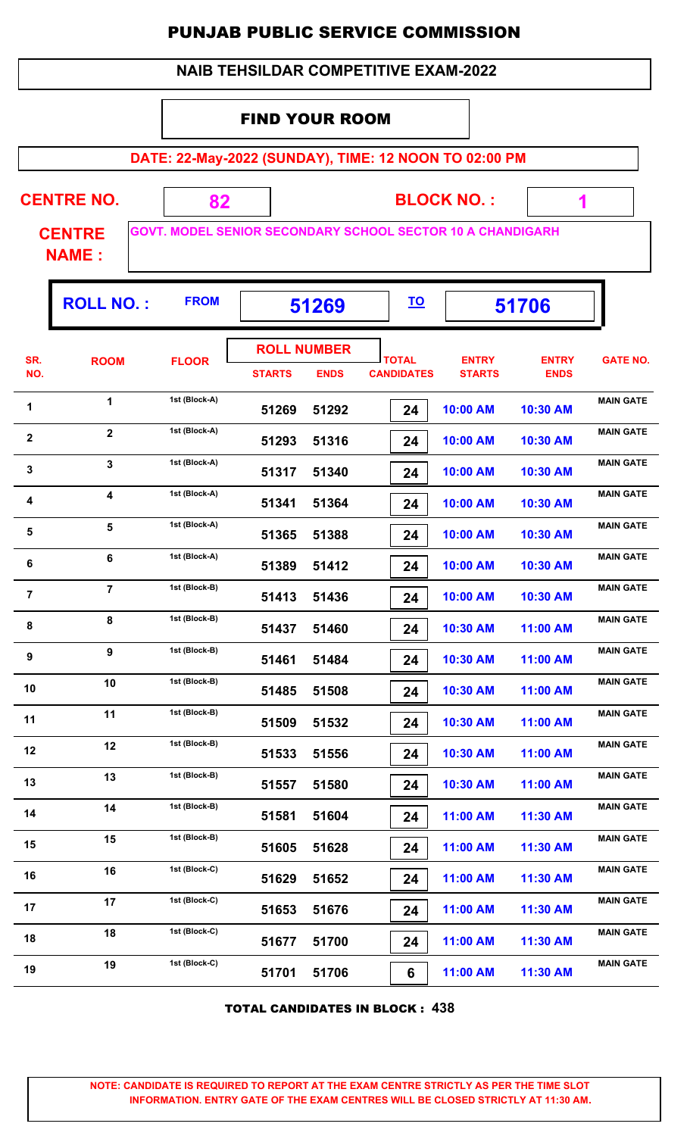#### FIND YOUR ROOM

**DATE: 22-May-2022 (SUNDAY), TIME: 12 NOON TO 02:00 PM**

 **1**

ŋ.

| <b>CENTRE NO.</b> |  | <b>BLOCK NO.:</b>                                                 |  |
|-------------------|--|-------------------------------------------------------------------|--|
| <b>CENTRE</b>     |  | <b>GOVT. MODEL SENIOR SECONDARY SCHOOL SECTOR 10 A CHANDIGARH</b> |  |

**NAME :**

|                  | <b>ROLL NO.:</b>        | <b>FROM</b>   | 51269                               |             | <u>TO</u>                         |                               | 51706                       |                  |
|------------------|-------------------------|---------------|-------------------------------------|-------------|-----------------------------------|-------------------------------|-----------------------------|------------------|
| SR.<br>NO.       | <b>ROOM</b>             | <b>FLOOR</b>  | <b>ROLL NUMBER</b><br><b>STARTS</b> | <b>ENDS</b> | <b>TOTAL</b><br><b>CANDIDATES</b> | <b>ENTRY</b><br><b>STARTS</b> | <b>ENTRY</b><br><b>ENDS</b> | <b>GATE NO.</b>  |
| 1                | 1                       | 1st (Block-A) | 51269                               | 51292       | 24                                | 10:00 AM                      | 10:30 AM                    | <b>MAIN GATE</b> |
| $\boldsymbol{2}$ | $\overline{2}$          | 1st (Block-A) | 51293                               | 51316       | 24                                | 10:00 AM                      | 10:30 AM                    | <b>MAIN GATE</b> |
| $\mathbf 3$      | 3                       | 1st (Block-A) | 51317                               | 51340       | 24                                | 10:00 AM                      | 10:30 AM                    | <b>MAIN GATE</b> |
| $\boldsymbol{4}$ | $\overline{\mathbf{4}}$ | 1st (Block-A) | 51341                               | 51364       | 24                                | 10:00 AM                      | 10:30 AM                    | <b>MAIN GATE</b> |
| 5                | 5                       | 1st (Block-A) | 51365                               | 51388       | 24                                | 10:00 AM                      | 10:30 AM                    | <b>MAIN GATE</b> |
| 6                | 6                       | 1st (Block-A) | 51389                               | 51412       | 24                                | 10:00 AM                      | 10:30 AM                    | <b>MAIN GATE</b> |
| $\overline{7}$   | $\overline{7}$          | 1st (Block-B) | 51413                               | 51436       | 24                                | 10:00 AM                      | 10:30 AM                    | <b>MAIN GATE</b> |
| 8                | 8                       | 1st (Block-B) | 51437                               | 51460       | 24                                | 10:30 AM                      | 11:00 AM                    | <b>MAIN GATE</b> |
| 9                | 9                       | 1st (Block-B) | 51461                               | 51484       | 24                                | 10:30 AM                      | 11:00 AM                    | <b>MAIN GATE</b> |
| 10               | 10                      | 1st (Block-B) | 51485                               | 51508       | 24                                | 10:30 AM                      | 11:00 AM                    | <b>MAIN GATE</b> |
| 11               | 11                      | 1st (Block-B) | 51509                               | 51532       | 24                                | 10:30 AM                      | 11:00 AM                    | <b>MAIN GATE</b> |
| 12               | 12                      | 1st (Block-B) | 51533                               | 51556       | 24                                | 10:30 AM                      | 11:00 AM                    | <b>MAIN GATE</b> |
| 13               | 13                      | 1st (Block-B) | 51557                               | 51580       | 24                                | 10:30 AM                      | 11:00 AM                    | <b>MAIN GATE</b> |
| 14               | 14                      | 1st (Block-B) | 51581                               | 51604       | 24                                | 11:00 AM                      | 11:30 AM                    | <b>MAIN GATE</b> |
| 15               | 15                      | 1st (Block-B) | 51605                               | 51628       | 24                                | 11:00 AM                      | 11:30 AM                    | <b>MAIN GATE</b> |
| 16               | 16                      | 1st (Block-C) | 51629                               | 51652       | 24                                | 11:00 AM                      | 11:30 AM                    | <b>MAIN GATE</b> |
| 17               | 17                      | 1st (Block-C) | 51653                               | 51676       | 24                                | 11:00 AM                      | 11:30 AM                    | <b>MAIN GATE</b> |
| 18               | 18                      | 1st (Block-C) | 51677                               | 51700       | 24                                | 11:00 AM                      | 11:30 AM                    | <b>MAIN GATE</b> |
| 19               | 19                      | 1st (Block-C) | 51701                               | 51706       | 6                                 | 11:00 AM                      | 11:30 AM                    | <b>MAIN GATE</b> |

TOTAL CANDIDATES IN BLOCK : **438**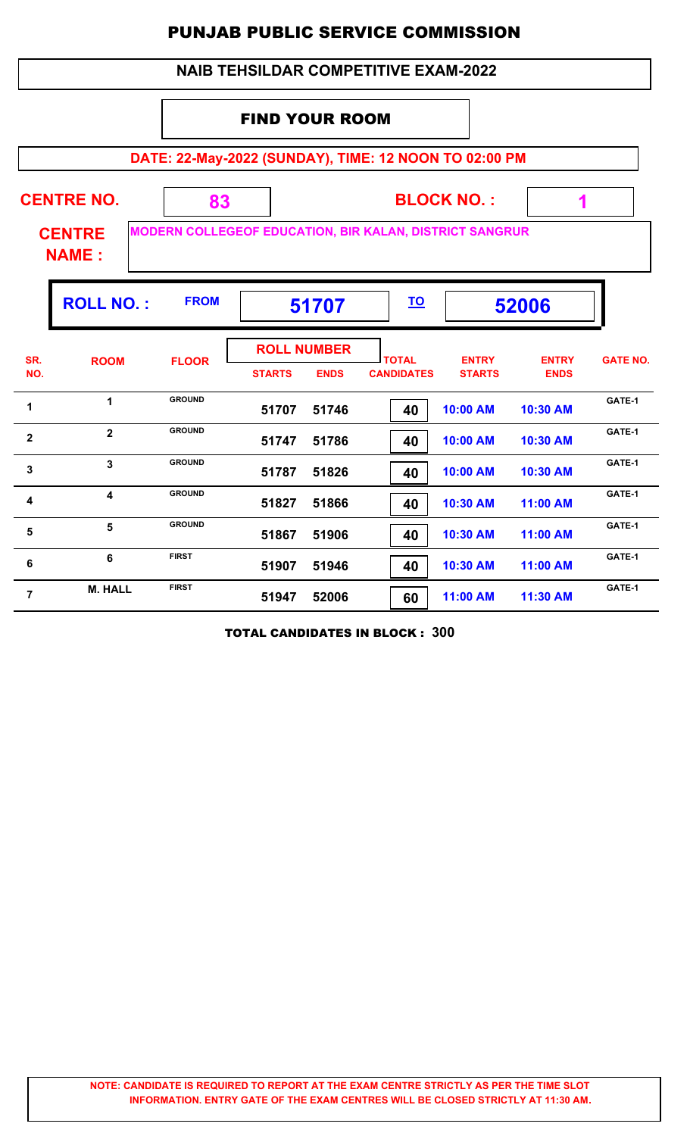|                |                                 |               |                       |                                   | <b>NAIB TEHSILDAR COMPETITIVE EXAM-2022</b>                    |                               |                             |                 |
|----------------|---------------------------------|---------------|-----------------------|-----------------------------------|----------------------------------------------------------------|-------------------------------|-----------------------------|-----------------|
|                |                                 |               | <b>FIND YOUR ROOM</b> |                                   |                                                                |                               |                             |                 |
|                |                                 |               |                       |                                   | DATE: 22-May-2022 (SUNDAY), TIME: 12 NOON TO 02:00 PM          |                               |                             |                 |
|                | <b>CENTRE NO.</b>               | 83            |                       |                                   |                                                                | <b>BLOCK NO.:</b>             | 1                           |                 |
|                | <b>CENTRE</b><br><b>NAME:</b>   |               |                       |                                   | <b>MODERN COLLEGEOF EDUCATION, BIR KALAN, DISTRICT SANGRUR</b> |                               |                             |                 |
|                | <b>ROLL NO.:</b><br><b>FROM</b> |               | 51707                 |                                   | <u>TO</u>                                                      | 52006                         |                             |                 |
| SR.<br>NO.     | <b>ROOM</b>                     | <b>FLOOR</b>  | <b>STARTS</b>         | <b>ROLL NUMBER</b><br><b>ENDS</b> | <b>TOTAL</b><br><b>CANDIDATES</b>                              | <b>ENTRY</b><br><b>STARTS</b> | <b>ENTRY</b><br><b>ENDS</b> | <b>GATE NO.</b> |
| 1              | $\mathbf{1}$                    | <b>GROUND</b> | 51707                 | 51746                             | 40                                                             | 10:00 AM                      | 10:30 AM                    | GATE-1          |
| 2              | $\overline{2}$                  | <b>GROUND</b> | 51747                 | 51786                             | 40                                                             | 10:00 AM                      | 10:30 AM                    | GATE-1          |
| 3              | $\overline{3}$                  | <b>GROUND</b> | 51787                 | 51826                             | 40                                                             | 10:00 AM                      | 10:30 AM                    | GATE-1          |
| 4              | $\overline{\mathbf{4}}$         | <b>GROUND</b> | 51827                 | 51866                             | 40                                                             | 10:30 AM                      | 11:00 AM                    | GATE-1          |
| 5              | 5                               | <b>GROUND</b> | 51867                 | 51906                             | 40                                                             | 10:30 AM                      | 11:00 AM                    | GATE-1          |
| 6              | 6                               | <b>FIRST</b>  | 51907                 | 51946                             | 40                                                             | 10:30 AM                      | 11:00 AM                    | GATE-1          |
| $\overline{7}$ | <b>M. HALL</b>                  | <b>FIRST</b>  | 51947                 | 52006                             | 60                                                             | 11:00 AM                      | 11:30 AM                    | GATE-1          |

TOTAL CANDIDATES IN BLOCK : **300**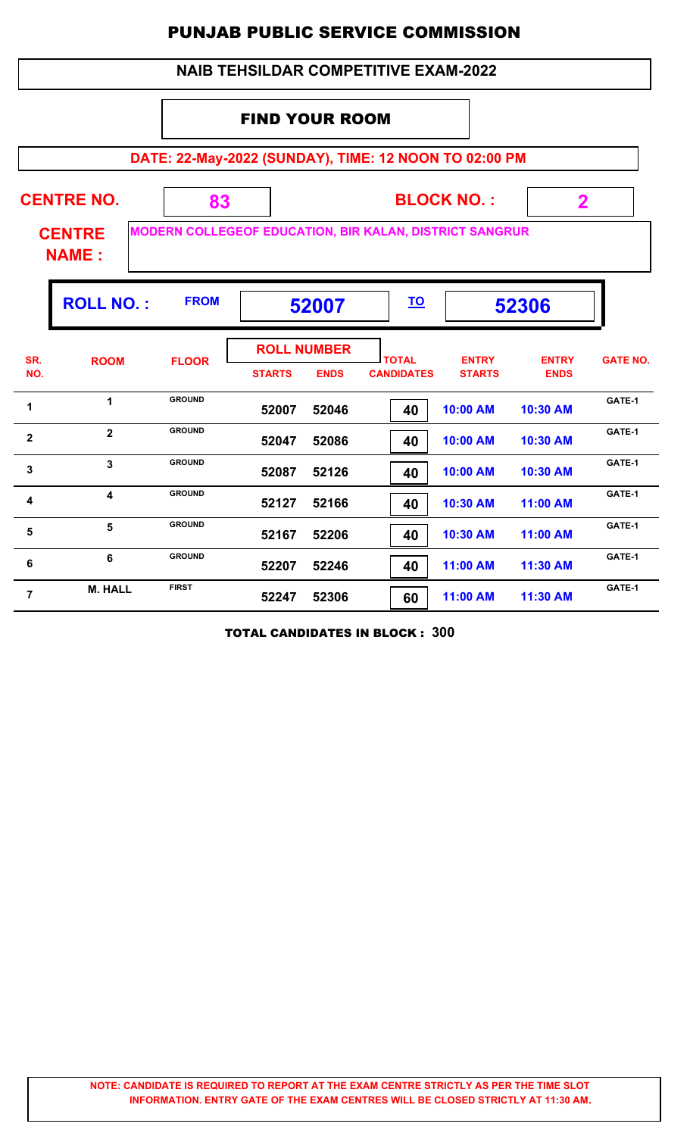#### **DATE: 22-May-2022 (SUNDAY), TIME: 12 NOON TO 02:00 PM BLOCK NO. : CENTRE NAME : CENTRE NO. 83 MODERN COLLEGEOF EDUCATION, BIR KALAN, DISTRICT SANGRUR 2** FIND YOUR ROOM  **NAIB TEHSILDAR COMPETITIVE EXAM-2022 ROLL NO. : 52007 52306 FROM TO TOTAL STARTS ENDS CANDIDATES SR. NO.** ROOM FLOOR **International FLOOR** *ENTRY* **STARTS ENTRY ENDS FLOOR GATE NO. ROLL NUMBER 52007 52046 40 10:00 AM 10:30 AM** 1 **1 GROUND** 52007 52046 **1 40 10:00 AM 10:30 AM GATE-1 GROUND 52047 52086 40 10:00 AM 10:30 AM 2 BROUND Example 10:00 AM 10:30 AM GATE-1 GROUND 52087 52126 40 10:00 AM 10:30 AM GATE-1<sup>3</sup> <sup>3</sup> GROUND 52127 52166 40 10:30 AM 11:00 AM** 4 **GROUND** 52127 52166 **4 10:30 AM** 11:00 AM **GATE-1 GROUND 52167 52206 40 10:30 AM 11:00 AM** 5 5 GROUND 52167 52206 **10:30 AM 11:00 AM** GATE-1 **GROUND 52207 52246 40 11:00 AM 11:30 AM GATE-1<sup>6</sup> <sup>6</sup> GROUND 52247 52306 60 11:00 AM 11:30 AM M. HALL** FIRST 52247 52306 60 11:00 AM 11:30 AM 6ATE-1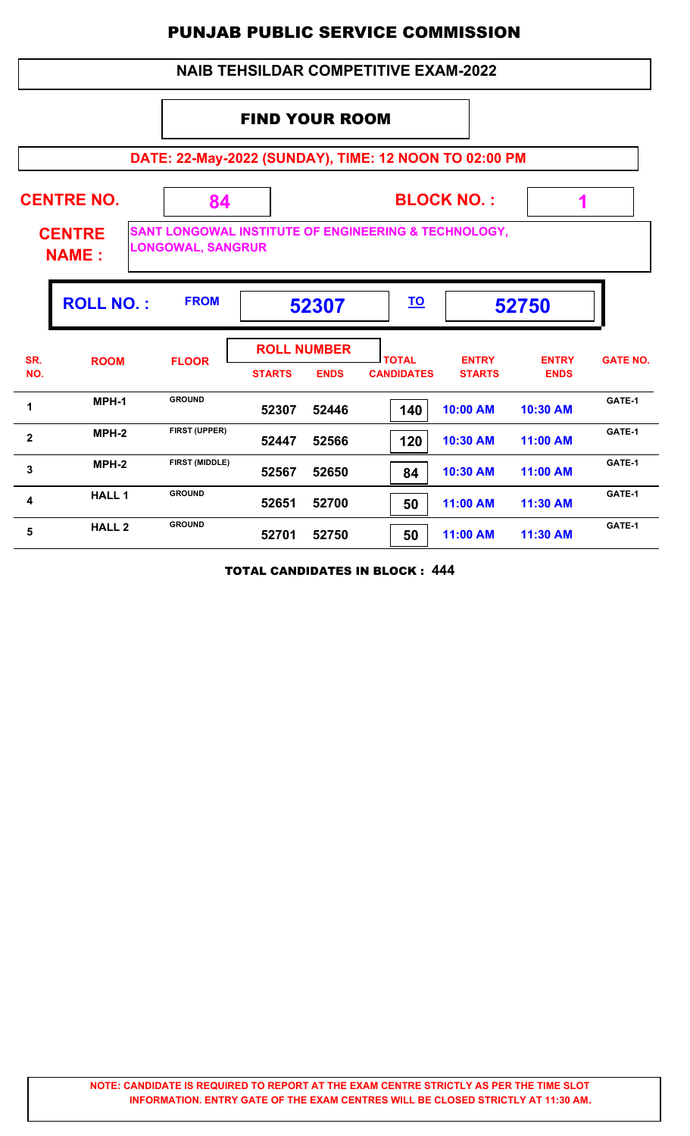#### **NAIB TEHSILDAR COMPETITIVE EXAM-2022**

#### FIND YOUR ROOM

**DATE: 22-May-2022 (SUNDAY), TIME: 12 NOON TO 02:00 PM**

| <b>CENTRE NO.</b><br><b>CENTRE</b><br><b>NAME:</b> |                  | 84                    | <b>BLOCK NO.:</b><br>1<br><b>SANT LONGOWAL INSTITUTE OF ENGINEERING &amp; TECHNOLOGY,</b><br><b>LONGOWAL, SANGRUR</b> |             |                                   |                               |                             |                 |  |
|----------------------------------------------------|------------------|-----------------------|-----------------------------------------------------------------------------------------------------------------------|-------------|-----------------------------------|-------------------------------|-----------------------------|-----------------|--|
|                                                    | <b>ROLL NO.:</b> | <b>FROM</b>           |                                                                                                                       | 52307       | <u>TO</u>                         |                               | 52750                       |                 |  |
| SR.<br>NO.                                         | <b>ROOM</b>      | <b>FLOOR</b>          | <b>ROLL NUMBER</b><br><b>STARTS</b>                                                                                   | <b>ENDS</b> | <b>TOTAL</b><br><b>CANDIDATES</b> | <b>ENTRY</b><br><b>STARTS</b> | <b>ENTRY</b><br><b>ENDS</b> | <b>GATE NO.</b> |  |
| 1                                                  | MPH-1            | <b>GROUND</b>         | 52307                                                                                                                 | 52446       | 140                               | 10:00 AM                      | 10:30 AM                    | GATE-1          |  |
| $\overline{2}$                                     | $MPH-2$          | FIRST (UPPER)         | 52447                                                                                                                 | 52566       | 120                               | 10:30 AM                      | 11:00 AM                    | GATE-1          |  |
| 3                                                  | $MPH-2$          | <b>FIRST (MIDDLE)</b> | 52567                                                                                                                 | 52650       | 84                                | 10:30 AM                      | 11:00 AM                    | GATE-1          |  |
| 4                                                  | <b>HALL1</b>     | <b>GROUND</b>         | 52651                                                                                                                 | 52700       | 50                                | 11:00 AM                      | 11:30 AM                    | GATE-1          |  |
| 5                                                  | <b>HALL 2</b>    | <b>GROUND</b>         | 52701                                                                                                                 | 52750       | 50                                | 11:00 AM                      | 11:30 AM                    | GATE-1          |  |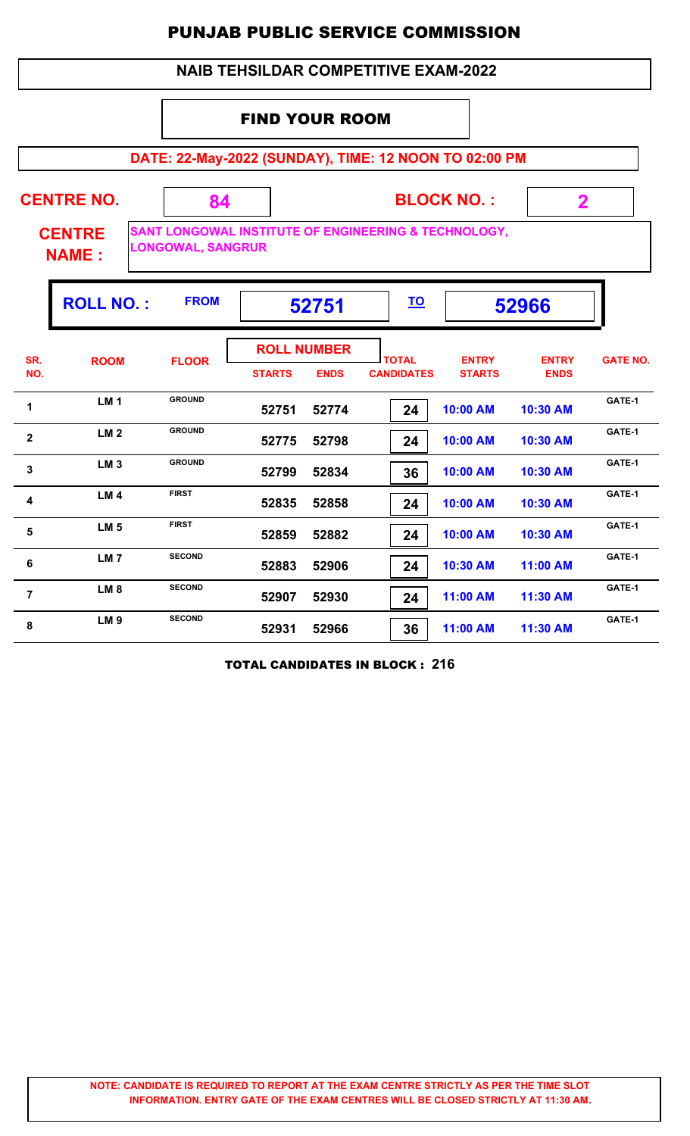#### **NAIB TEHSILDAR COMPETITIVE EXAM-2022**

#### FIND YOUR ROOM

**DATE: 22-May-2022 (SUNDAY), TIME: 12 NOON TO 02:00 PM**

| <b>CENTRE NO.</b>             | 34                       | <b>BLOCK NO.:</b>                                    |  |
|-------------------------------|--------------------------|------------------------------------------------------|--|
| <b>CENTRE</b><br><b>NAME:</b> | <b>LONGOWAL, SANGRUR</b> | SANT LONGOWAL INSTITUTE OF ENGINEERING & TECHNOLOGY, |  |

ıІ

|              | <b>ROLL NO.:</b> | <b>FROM</b>   |                                     | 52751       |                                   |                               | 52966                       |                 |
|--------------|------------------|---------------|-------------------------------------|-------------|-----------------------------------|-------------------------------|-----------------------------|-----------------|
| SR.<br>NO.   | <b>ROOM</b>      | <b>FLOOR</b>  | <b>ROLL NUMBER</b><br><b>STARTS</b> | <b>ENDS</b> | <b>TOTAL</b><br><b>CANDIDATES</b> | <b>ENTRY</b><br><b>STARTS</b> | <b>ENTRY</b><br><b>ENDS</b> | <b>GATE NO.</b> |
| 1            | <b>LM1</b>       | <b>GROUND</b> | 52751                               | 52774       | 24                                | 10:00 AM                      | 10:30 AM                    | GATE-1          |
| $\mathbf{2}$ | LM <sub>2</sub>  | <b>GROUND</b> | 52775                               | 52798       | 24                                | 10:00 AM                      | 10:30 AM                    | GATE-1          |
| 3            | LM <sub>3</sub>  | <b>GROUND</b> | 52799                               | 52834       | 36                                | 10:00 AM                      | 10:30 AM                    | GATE-1          |
| 4            | LM <sub>4</sub>  | <b>FIRST</b>  | 52835                               | 52858       | 24                                | 10:00 AM                      | 10:30 AM                    | GATE-1          |
| 5            | LM <sub>5</sub>  | <b>FIRST</b>  | 52859                               | 52882       | 24                                | 10:00 AM                      | 10:30 AM                    | GATE-1          |
| 6            | LM <sub>7</sub>  | <b>SECOND</b> | 52883                               | 52906       | 24                                | 10:30 AM                      | 11:00 AM                    | GATE-1          |
| 7            | LM <sub>8</sub>  | <b>SECOND</b> | 52907                               | 52930       | 24                                | 11:00 AM                      | 11:30 AM                    | GATE-1          |
| 8            | LM <sub>9</sub>  | <b>SECOND</b> | 52931                               | 52966       | 36                                | 11:00 AM                      | 11:30 AM                    | GATE-1          |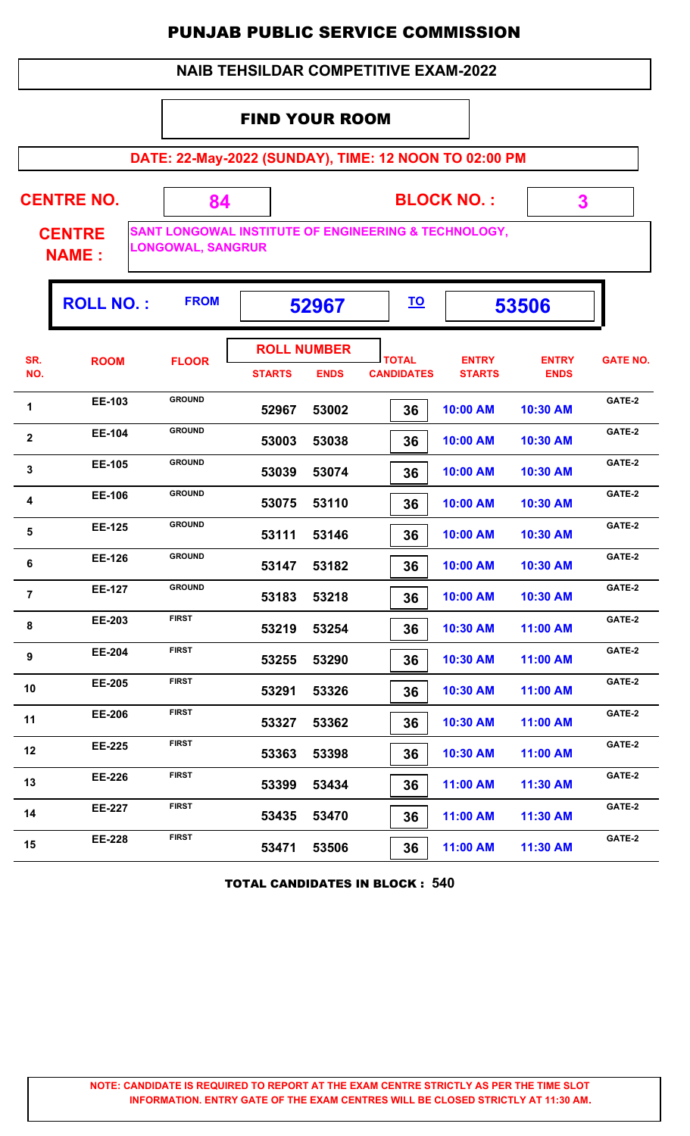#### **NAIB TEHSILDAR COMPETITIVE EXAM-2022**

#### FIND YOUR ROOM

**DATE: 22-May-2022 (SUNDAY), TIME: 12 NOON TO 02:00 PM**

**CENTRE NO.** 

**BLOCK NO. :**

 **3**

**CENTRE NAME :**

**SANT LONGOWAL INSTITUTE OF ENGINEERING & TECHNOLOGY, LONGOWAL, SANGRUR**

 **84**

|                | <b>ROLL NO.:</b> | <b>FROM</b>   | 52967                               |             | <u>TO</u>                         |                               | 53506                       |                 |
|----------------|------------------|---------------|-------------------------------------|-------------|-----------------------------------|-------------------------------|-----------------------------|-----------------|
| SR.<br>NO.     | <b>ROOM</b>      | <b>FLOOR</b>  | <b>ROLL NUMBER</b><br><b>STARTS</b> | <b>ENDS</b> | <b>TOTAL</b><br><b>CANDIDATES</b> | <b>ENTRY</b><br><b>STARTS</b> | <b>ENTRY</b><br><b>ENDS</b> | <b>GATE NO.</b> |
| 1              | EE-103           | <b>GROUND</b> | 52967                               | 53002       | 36                                | 10:00 AM                      | 10:30 AM                    | GATE-2          |
| $\mathbf{2}$   | EE-104           | <b>GROUND</b> | 53003                               | 53038       | 36                                | 10:00 AM                      | 10:30 AM                    | GATE-2          |
| 3              | EE-105           | <b>GROUND</b> | 53039                               | 53074       | 36                                | 10:00 AM                      | 10:30 AM                    | GATE-2          |
| 4              | EE-106           | <b>GROUND</b> | 53075                               | 53110       | 36                                | 10:00 AM                      | 10:30 AM                    | GATE-2          |
| $5\phantom{1}$ | <b>EE-125</b>    | <b>GROUND</b> | 53111                               | 53146       | 36                                | 10:00 AM                      | 10:30 AM                    | GATE-2          |
| 6              | <b>EE-126</b>    | <b>GROUND</b> | 53147                               | 53182       | 36                                | 10:00 AM                      | 10:30 AM                    | GATE-2          |
| $\overline{7}$ | <b>EE-127</b>    | <b>GROUND</b> | 53183                               | 53218       | 36                                | 10:00 AM                      | 10:30 AM                    | GATE-2          |
| 8              | EE-203           | <b>FIRST</b>  | 53219                               | 53254       | 36                                | 10:30 AM                      | 11:00 AM                    | GATE-2          |
| 9              | EE-204           | <b>FIRST</b>  | 53255                               | 53290       | 36                                | 10:30 AM                      | 11:00 AM                    | GATE-2          |
| 10             | <b>EE-205</b>    | <b>FIRST</b>  | 53291                               | 53326       | 36                                | 10:30 AM                      | 11:00 AM                    | GATE-2          |
| 11             | <b>EE-206</b>    | <b>FIRST</b>  | 53327                               | 53362       | 36                                | 10:30 AM                      | 11:00 AM                    | GATE-2          |
| 12             | <b>EE-225</b>    | <b>FIRST</b>  | 53363                               | 53398       | 36                                | 10:30 AM                      | 11:00 AM                    | GATE-2          |
| 13             | EE-226           | <b>FIRST</b>  | 53399                               | 53434       | 36                                | 11:00 AM                      | 11:30 AM                    | GATE-2          |
| 14             | <b>EE-227</b>    | <b>FIRST</b>  | 53435                               | 53470       | 36                                | 11:00 AM                      | 11:30 AM                    | GATE-2          |
| 15             | <b>EE-228</b>    | <b>FIRST</b>  | 53471                               | 53506       | 36                                | 11:00 AM                      | 11:30 AM                    | GATE-2          |
|                |                  |               |                                     |             |                                   |                               |                             |                 |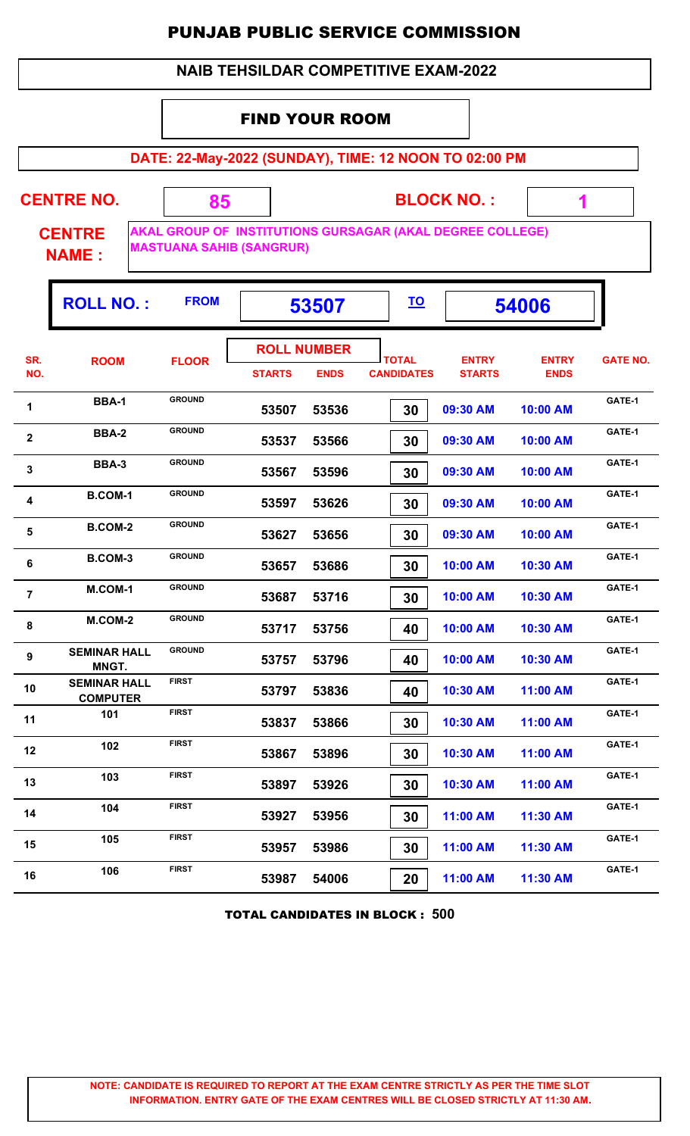#### **NAIB TEHSILDAR COMPETITIVE EXAM-2022**

#### FIND YOUR ROOM

 **85**

**DATE: 22-May-2022 (SUNDAY), TIME: 12 NOON TO 02:00 PM**

**CENTRE NO.** 

**BLOCK NO. :**

 **1**

۵Ţ.

**CENTRE NAME :**

**AKAL GROUP OF INSTITUTIONS GURSAGAR (AKAL DEGREE COLLEGE) MASTUANA SAHIB (SANGRUR)**

|                | <b>ROLL NO.:</b>                       | <b>FROM</b>   |                                     | 53507       |                                   |                               | 54006                       |                 |
|----------------|----------------------------------------|---------------|-------------------------------------|-------------|-----------------------------------|-------------------------------|-----------------------------|-----------------|
| SR.<br>NO.     | <b>ROOM</b>                            | <b>FLOOR</b>  | <b>ROLL NUMBER</b><br><b>STARTS</b> | <b>ENDS</b> | <b>TOTAL</b><br><b>CANDIDATES</b> | <b>ENTRY</b><br><b>STARTS</b> | <b>ENTRY</b><br><b>ENDS</b> | <b>GATE NO.</b> |
| 1              | <b>BBA-1</b>                           | <b>GROUND</b> | 53507                               | 53536       | 30                                | 09:30 AM                      | 10:00 AM                    | GATE-1          |
| $\mathbf 2$    | <b>BBA-2</b>                           | <b>GROUND</b> | 53537                               | 53566       | 30                                | 09:30 AM                      | 10:00 AM                    | GATE-1          |
| $\mathbf 3$    | <b>BBA-3</b>                           | <b>GROUND</b> | 53567                               | 53596       | 30                                | 09:30 AM                      | 10:00 AM                    | GATE-1          |
| 4              | <b>B.COM-1</b>                         | <b>GROUND</b> | 53597                               | 53626       | 30                                | 09:30 AM                      | 10:00 AM                    | GATE-1          |
| $5\phantom{1}$ | <b>B.COM-2</b>                         | <b>GROUND</b> | 53627                               | 53656       | 30                                | 09:30 AM                      | 10:00 AM                    | GATE-1          |
| 6              | <b>B.COM-3</b>                         | <b>GROUND</b> | 53657                               | 53686       | 30                                | 10:00 AM                      | 10:30 AM                    | GATE-1          |
| $\overline{7}$ | M.COM-1                                | <b>GROUND</b> | 53687                               | 53716       | 30                                | 10:00 AM                      | 10:30 AM                    | GATE-1          |
| 8              | M.COM-2                                | <b>GROUND</b> | 53717                               | 53756       | 40                                | 10:00 AM                      | 10:30 AM                    | GATE-1          |
| 9              | <b>SEMINAR HALL</b><br>MNGT.           | <b>GROUND</b> | 53757                               | 53796       | 40                                | 10:00 AM                      | 10:30 AM                    | GATE-1          |
| 10             | <b>SEMINAR HALL</b><br><b>COMPUTER</b> | <b>FIRST</b>  | 53797                               | 53836       | 40                                | 10:30 AM                      | 11:00 AM                    | GATE-1          |
| 11             | 101                                    | <b>FIRST</b>  | 53837                               | 53866       | 30                                | 10:30 AM                      | 11:00 AM                    | GATE-1          |
| 12             | 102                                    | <b>FIRST</b>  | 53867                               | 53896       | 30                                | 10:30 AM                      | 11:00 AM                    | GATE-1          |
| 13             | 103                                    | <b>FIRST</b>  | 53897                               | 53926       | 30                                | 10:30 AM                      | 11:00 AM                    | GATE-1          |
| 14             | 104                                    | <b>FIRST</b>  | 53927                               | 53956       | 30                                | 11:00 AM                      | 11:30 AM                    | GATE-1          |
| 15             | 105                                    | <b>FIRST</b>  | 53957                               | 53986       | 30                                | 11:00 AM                      | 11:30 AM                    | GATE-1          |
| 16             | 106                                    | <b>FIRST</b>  | 53987                               | 54006       | 20                                | 11:00 AM                      | 11:30 AM                    | GATE-1          |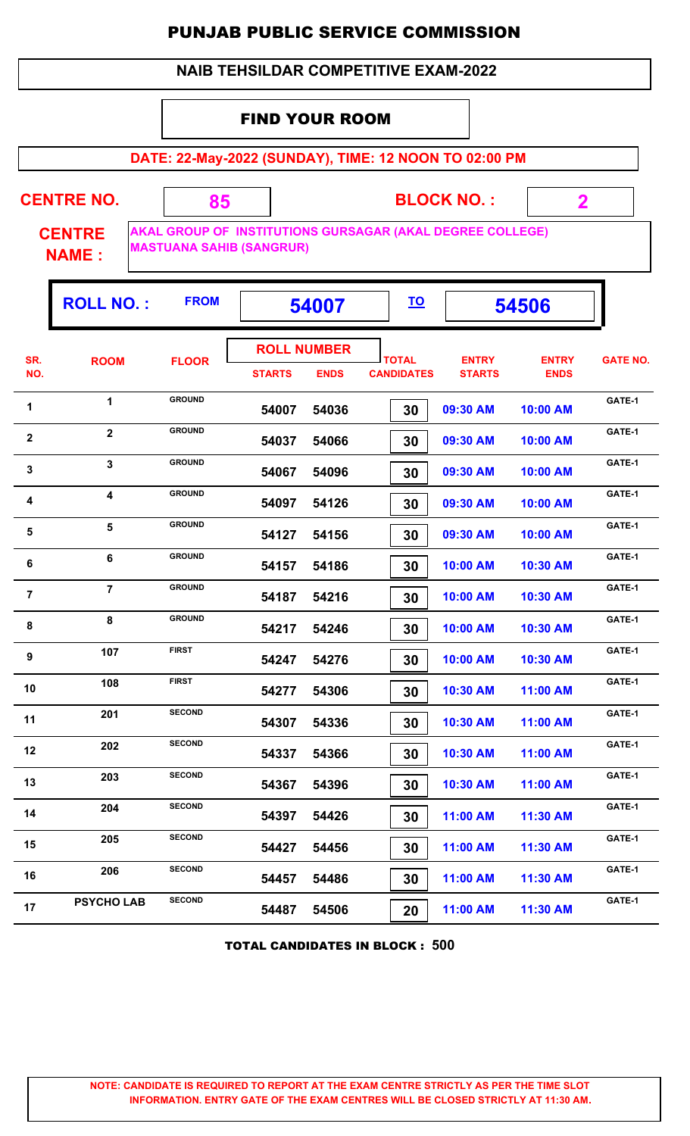#### **NAIB TEHSILDAR COMPETITIVE EXAM-2022**

#### FIND YOUR ROOM

 **85**

**DATE: 22-May-2022 (SUNDAY), TIME: 12 NOON TO 02:00 PM**

**CENTRE NO.** 

**BLOCK NO. :**

 **2**

ŋ.

**CENTRE NAME :**

**AKAL GROUP OF INSTITUTIONS GURSAGAR (AKAL DEGREE COLLEGE) MASTUANA SAHIB (SANGRUR)**

| <b>ROLL NUMBER</b><br>SR.<br><b>TOTAL</b><br><b>ENTRY</b><br><b>ENTRY</b><br><b>ROOM</b><br><b>FLOOR</b><br>NO.<br><b>CANDIDATES</b><br><b>STARTS</b><br><b>ENDS</b><br><b>STARTS</b><br><b>ENDS</b><br><b>GROUND</b><br>$\mathbf{1}$<br>1<br>54007<br>54036<br>30<br>09:30 AM<br>10:00 AM<br><b>GROUND</b><br>$\mathbf{2}$<br>$\boldsymbol{2}$<br>54037<br>54066<br>09:30 AM<br>10:00 AM<br>30<br><b>GROUND</b><br>$\overline{\mathbf{3}}$<br>$\mathbf{3}$<br>54096<br>09:30 AM<br>54067<br>30<br>10:00 AM<br><b>GROUND</b><br>$\overline{\mathbf{4}}$<br>4<br>54097<br>54126<br>09:30 AM<br>10:00 AM<br>30<br>5<br><b>GROUND</b><br>5<br>54127<br>54156<br>09:30 AM<br>30<br>10:00 AM<br><b>GROUND</b><br>6<br>6<br>54157<br>54186<br>30<br>10:00 AM<br>10:30 AM<br><b>GROUND</b><br>$\overline{7}$<br>$\overline{7}$<br>54187<br>54216<br>10:30 AM<br>30<br>10:00 AM<br><b>GROUND</b><br>8<br>8<br>54217<br>54246<br>30<br>10:00 AM<br>10:30 AM<br><b>FIRST</b><br>107<br>$\boldsymbol{9}$<br>54247<br>54276<br>30<br>10:00 AM<br>10:30 AM<br><b>FIRST</b><br>108<br>10<br>54277<br>54306<br>10:30 AM<br>11:00 AM<br>30<br><b>SECOND</b><br>201<br>11<br>54307<br>54336<br>10:30 AM<br>11:00 AM<br>30<br><b>SECOND</b><br>202<br>12<br>54337<br>54366<br>30<br>10:30 AM<br>11:00 AM<br><b>SECOND</b><br>203<br>13<br>54396<br>54367<br>30<br>10:30 AM<br>11:00 AM<br><b>SECOND</b><br>204<br>14<br>11:00 AM<br>54397<br>54426<br>11:30 AM<br>30<br><b>SECOND</b><br>205<br>15<br>54427<br>54456<br>30<br>11:00 AM<br>11:30 AM<br><b>SECOND</b><br>206<br>16<br>54457<br>54486<br>30<br>11:00 AM<br>11:30 AM<br><b>SECOND</b><br><b>PSYCHO LAB</b> |    | <b>ROLL NO.:</b> | <b>FROM</b> |       | 54007 |    |          | 54506    |                 |
|------------------------------------------------------------------------------------------------------------------------------------------------------------------------------------------------------------------------------------------------------------------------------------------------------------------------------------------------------------------------------------------------------------------------------------------------------------------------------------------------------------------------------------------------------------------------------------------------------------------------------------------------------------------------------------------------------------------------------------------------------------------------------------------------------------------------------------------------------------------------------------------------------------------------------------------------------------------------------------------------------------------------------------------------------------------------------------------------------------------------------------------------------------------------------------------------------------------------------------------------------------------------------------------------------------------------------------------------------------------------------------------------------------------------------------------------------------------------------------------------------------------------------------------------------------------------------------------------------------------------------------------------------|----|------------------|-------------|-------|-------|----|----------|----------|-----------------|
|                                                                                                                                                                                                                                                                                                                                                                                                                                                                                                                                                                                                                                                                                                                                                                                                                                                                                                                                                                                                                                                                                                                                                                                                                                                                                                                                                                                                                                                                                                                                                                                                                                                      |    |                  |             |       |       |    |          |          | <b>GATE NO.</b> |
|                                                                                                                                                                                                                                                                                                                                                                                                                                                                                                                                                                                                                                                                                                                                                                                                                                                                                                                                                                                                                                                                                                                                                                                                                                                                                                                                                                                                                                                                                                                                                                                                                                                      |    |                  |             |       |       |    |          |          |                 |
|                                                                                                                                                                                                                                                                                                                                                                                                                                                                                                                                                                                                                                                                                                                                                                                                                                                                                                                                                                                                                                                                                                                                                                                                                                                                                                                                                                                                                                                                                                                                                                                                                                                      |    |                  |             |       |       |    |          |          | GATE-1          |
|                                                                                                                                                                                                                                                                                                                                                                                                                                                                                                                                                                                                                                                                                                                                                                                                                                                                                                                                                                                                                                                                                                                                                                                                                                                                                                                                                                                                                                                                                                                                                                                                                                                      |    |                  |             |       |       |    |          |          | GATE-1          |
|                                                                                                                                                                                                                                                                                                                                                                                                                                                                                                                                                                                                                                                                                                                                                                                                                                                                                                                                                                                                                                                                                                                                                                                                                                                                                                                                                                                                                                                                                                                                                                                                                                                      |    |                  |             |       |       |    |          |          | GATE-1          |
|                                                                                                                                                                                                                                                                                                                                                                                                                                                                                                                                                                                                                                                                                                                                                                                                                                                                                                                                                                                                                                                                                                                                                                                                                                                                                                                                                                                                                                                                                                                                                                                                                                                      |    |                  |             |       |       |    |          |          | GATE-1          |
|                                                                                                                                                                                                                                                                                                                                                                                                                                                                                                                                                                                                                                                                                                                                                                                                                                                                                                                                                                                                                                                                                                                                                                                                                                                                                                                                                                                                                                                                                                                                                                                                                                                      |    |                  |             |       |       |    |          |          | GATE-1          |
|                                                                                                                                                                                                                                                                                                                                                                                                                                                                                                                                                                                                                                                                                                                                                                                                                                                                                                                                                                                                                                                                                                                                                                                                                                                                                                                                                                                                                                                                                                                                                                                                                                                      |    |                  |             |       |       |    |          |          | GATE-1          |
|                                                                                                                                                                                                                                                                                                                                                                                                                                                                                                                                                                                                                                                                                                                                                                                                                                                                                                                                                                                                                                                                                                                                                                                                                                                                                                                                                                                                                                                                                                                                                                                                                                                      |    |                  |             |       |       |    |          |          | GATE-1          |
|                                                                                                                                                                                                                                                                                                                                                                                                                                                                                                                                                                                                                                                                                                                                                                                                                                                                                                                                                                                                                                                                                                                                                                                                                                                                                                                                                                                                                                                                                                                                                                                                                                                      |    |                  |             |       |       |    |          |          | GATE-1          |
|                                                                                                                                                                                                                                                                                                                                                                                                                                                                                                                                                                                                                                                                                                                                                                                                                                                                                                                                                                                                                                                                                                                                                                                                                                                                                                                                                                                                                                                                                                                                                                                                                                                      |    |                  |             |       |       |    |          |          | GATE-1          |
|                                                                                                                                                                                                                                                                                                                                                                                                                                                                                                                                                                                                                                                                                                                                                                                                                                                                                                                                                                                                                                                                                                                                                                                                                                                                                                                                                                                                                                                                                                                                                                                                                                                      |    |                  |             |       |       |    |          |          | GATE-1          |
|                                                                                                                                                                                                                                                                                                                                                                                                                                                                                                                                                                                                                                                                                                                                                                                                                                                                                                                                                                                                                                                                                                                                                                                                                                                                                                                                                                                                                                                                                                                                                                                                                                                      |    |                  |             |       |       |    |          |          | GATE-1          |
|                                                                                                                                                                                                                                                                                                                                                                                                                                                                                                                                                                                                                                                                                                                                                                                                                                                                                                                                                                                                                                                                                                                                                                                                                                                                                                                                                                                                                                                                                                                                                                                                                                                      |    |                  |             |       |       |    |          |          | GATE-1          |
|                                                                                                                                                                                                                                                                                                                                                                                                                                                                                                                                                                                                                                                                                                                                                                                                                                                                                                                                                                                                                                                                                                                                                                                                                                                                                                                                                                                                                                                                                                                                                                                                                                                      |    |                  |             |       |       |    |          |          | GATE-1          |
|                                                                                                                                                                                                                                                                                                                                                                                                                                                                                                                                                                                                                                                                                                                                                                                                                                                                                                                                                                                                                                                                                                                                                                                                                                                                                                                                                                                                                                                                                                                                                                                                                                                      |    |                  |             |       |       |    |          |          | GATE-1          |
|                                                                                                                                                                                                                                                                                                                                                                                                                                                                                                                                                                                                                                                                                                                                                                                                                                                                                                                                                                                                                                                                                                                                                                                                                                                                                                                                                                                                                                                                                                                                                                                                                                                      |    |                  |             |       |       |    |          |          | GATE-1          |
|                                                                                                                                                                                                                                                                                                                                                                                                                                                                                                                                                                                                                                                                                                                                                                                                                                                                                                                                                                                                                                                                                                                                                                                                                                                                                                                                                                                                                                                                                                                                                                                                                                                      |    |                  |             |       |       |    |          |          | GATE-1          |
|                                                                                                                                                                                                                                                                                                                                                                                                                                                                                                                                                                                                                                                                                                                                                                                                                                                                                                                                                                                                                                                                                                                                                                                                                                                                                                                                                                                                                                                                                                                                                                                                                                                      | 17 |                  |             | 54487 | 54506 | 20 | 11:00 AM | 11:30 AM | GATE-1          |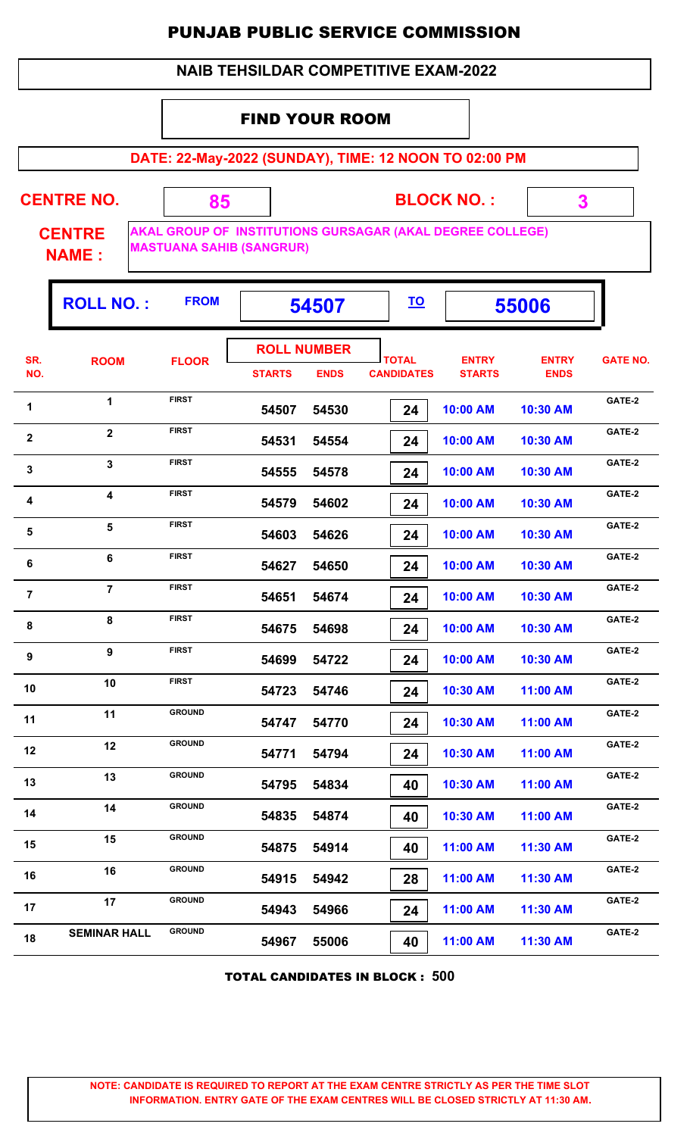#### **NAIB TEHSILDAR COMPETITIVE EXAM-2022**

#### FIND YOUR ROOM

 **85**

**DATE: 22-May-2022 (SUNDAY), TIME: 12 NOON TO 02:00 PM**

**CENTRE NO.** 

**BLOCK NO. :**

 **3**

ŋ.

**CENTRE NAME :**

**AKAL GROUP OF INSTITUTIONS GURSAGAR (AKAL DEGREE COLLEGE) MASTUANA SAHIB (SANGRUR)**

|                | <b>ROLL NO.:</b>        | <b>FROM</b>                  | 54507                               |             | <u>TO</u>                         |                               | 55006                       |                  |
|----------------|-------------------------|------------------------------|-------------------------------------|-------------|-----------------------------------|-------------------------------|-----------------------------|------------------|
| SR.<br>NO.     | <b>ROOM</b>             | <b>FLOOR</b>                 | <b>ROLL NUMBER</b><br><b>STARTS</b> | <b>ENDS</b> | <b>TOTAL</b><br><b>CANDIDATES</b> | <b>ENTRY</b><br><b>STARTS</b> | <b>ENTRY</b><br><b>ENDS</b> | <b>GATE NO.</b>  |
| 1              | $\mathbf{1}$            | <b>FIRST</b>                 | 54507                               | 54530       | 24                                | 10:00 AM                      | 10:30 AM                    | GATE-2           |
| $\mathbf 2$    | $\overline{\mathbf{2}}$ | <b>FIRST</b>                 | 54531                               | 54554       | 24                                | 10:00 AM                      | 10:30 AM                    | GATE-2           |
| $\mathbf{3}$   | $\overline{\mathbf{3}}$ | <b>FIRST</b>                 | 54555                               | 54578       | 24                                | 10:00 AM                      | 10:30 AM                    | GATE-2           |
| 4              | 4                       | <b>FIRST</b>                 | 54579                               | 54602       | 24                                | 10:00 AM                      | 10:30 AM                    | GATE-2           |
| $\sqrt{5}$     | 5                       | <b>FIRST</b>                 | 54603                               | 54626       | 24                                | 10:00 AM                      | 10:30 AM                    | GATE-2           |
| 6              | 6                       | <b>FIRST</b>                 | 54627                               | 54650       | 24                                | 10:00 AM                      | 10:30 AM                    | GATE-2           |
| $\overline{7}$ | $\overline{7}$          | <b>FIRST</b>                 | 54651                               | 54674       | 24                                | 10:00 AM                      | 10:30 AM                    | GATE-2           |
| $\bf 8$        | 8                       | <b>FIRST</b>                 | 54675                               | 54698       | 24                                | 10:00 AM                      | 10:30 AM                    | GATE-2           |
| 9              | 9                       | <b>FIRST</b><br><b>FIRST</b> | 54699                               | 54722       | 24                                | 10:00 AM                      | 10:30 AM                    | GATE-2           |
| 10             | 10                      | <b>GROUND</b>                | 54723                               | 54746       | 24                                | 10:30 AM                      | 11:00 AM                    | GATE-2<br>GATE-2 |
| 11             | 11<br>12                | <b>GROUND</b>                | 54747                               | 54770       | 24                                | 10:30 AM                      | 11:00 AM                    | GATE-2           |
| 12             | 13                      | <b>GROUND</b>                | 54771                               | 54794       | 24                                | 10:30 AM                      | 11:00 AM                    | GATE-2           |
| 13             | 14                      | <b>GROUND</b>                | 54795                               | 54834       | 40                                | 10:30 AM                      | 11:00 AM                    | GATE-2           |
| 14             | 15                      | <b>GROUND</b>                | 54835                               | 54874       | 40                                | 10:30 AM                      | 11:00 AM                    | GATE-2           |
| 15             | 16                      | <b>GROUND</b>                | 54875                               | 54914       | 40                                | 11:00 AM                      | 11:30 AM                    | GATE-2           |
| 16<br>17       | 17                      | <b>GROUND</b>                | 54915                               | 54942       | 28                                | 11:00 AM                      | 11:30 AM                    | GATE-2           |
| 18             | <b>SEMINAR HALL</b>     | <b>GROUND</b>                | 54943                               | 54966       | 24                                | 11:00 AM                      | 11:30 AM                    | GATE-2           |
|                |                         |                              | 54967                               | 55006       | 40                                | 11:00 AM                      | 11:30 AM                    |                  |

TOTAL CANDIDATES IN BLOCK : **500**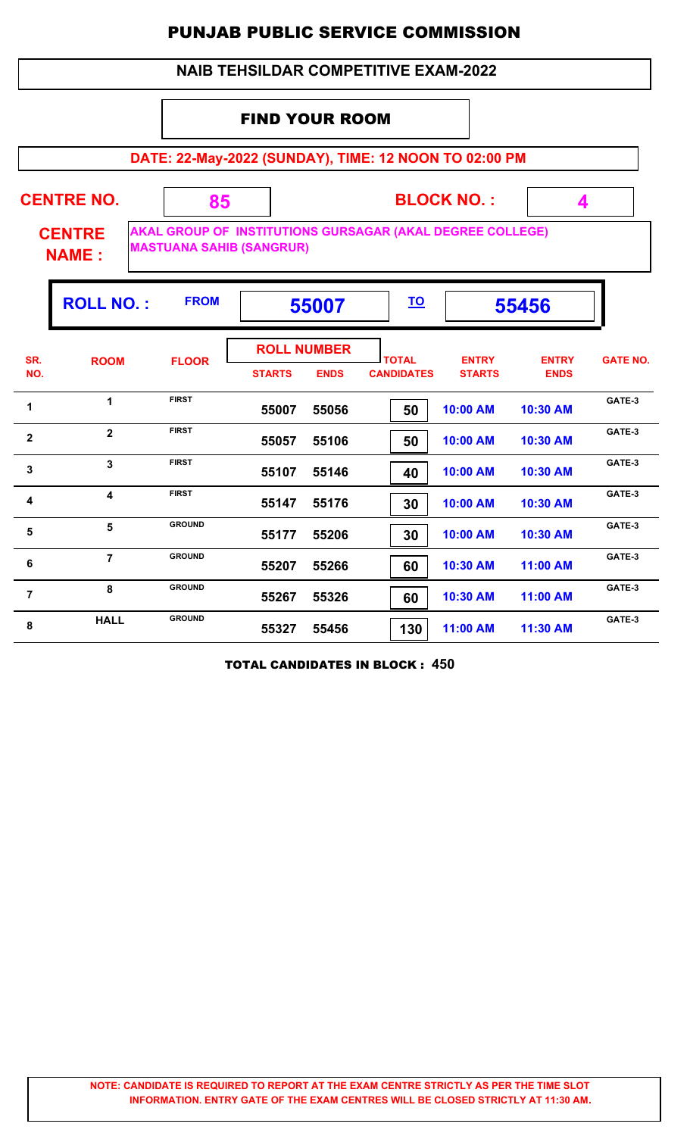#### **NAIB TEHSILDAR COMPETITIVE EXAM-2022**

#### FIND YOUR ROOM

 **85**

**DATE: 22-May-2022 (SUNDAY), TIME: 12 NOON TO 02:00 PM**

**CENTRE NO.** 

**BLOCK NO. :**

 **4**

**CENTRE NAME :**

**AKAL GROUP OF INSTITUTIONS GURSAGAR (AKAL DEGREE COLLEGE) MASTUANA SAHIB (SANGRUR)**

|                         | <b>ROLL NO.:</b>        | <b>FROM</b>   |               | 55007                             |                                   | <u>TO</u><br>55456            |                             |                 |
|-------------------------|-------------------------|---------------|---------------|-----------------------------------|-----------------------------------|-------------------------------|-----------------------------|-----------------|
| SR.<br>NO.              | <b>ROOM</b>             | <b>FLOOR</b>  | <b>STARTS</b> | <b>ROLL NUMBER</b><br><b>ENDS</b> | <b>TOTAL</b><br><b>CANDIDATES</b> | <b>ENTRY</b><br><b>STARTS</b> | <b>ENTRY</b><br><b>ENDS</b> | <b>GATE NO.</b> |
| 1                       | 1                       | <b>FIRST</b>  | 55007         | 55056                             | 50                                | 10:00 AM                      | 10:30 AM                    | GATE-3          |
| $\mathbf{2}$            | $\overline{2}$          | <b>FIRST</b>  | 55057         | 55106                             | 50                                | 10:00 AM                      | 10:30 AM                    | GATE-3          |
| $\mathbf{3}$            | 3                       | <b>FIRST</b>  | 55107         | 55146                             | 40                                | 10:00 AM                      | 10:30 AM                    | GATE-3          |
| $\overline{\mathbf{4}}$ | $\overline{\mathbf{4}}$ | <b>FIRST</b>  | 55147         | 55176                             | 30                                | 10:00 AM                      | 10:30 AM                    | GATE-3          |
| 5                       | 5                       | <b>GROUND</b> | 55177         | 55206                             | 30                                | 10:00 AM                      | 10:30 AM                    | GATE-3          |
| 6                       | $\overline{7}$          | <b>GROUND</b> | 55207         | 55266                             | 60                                | 10:30 AM                      | 11:00 AM                    | GATE-3          |
| $\overline{7}$          | 8                       | <b>GROUND</b> | 55267         | 55326                             | 60                                | 10:30 AM                      | 11:00 AM                    | GATE-3          |
| 8                       | <b>HALL</b>             | <b>GROUND</b> | 55327         | 55456                             | 130                               | 11:00 AM                      | 11:30 AM                    | GATE-3          |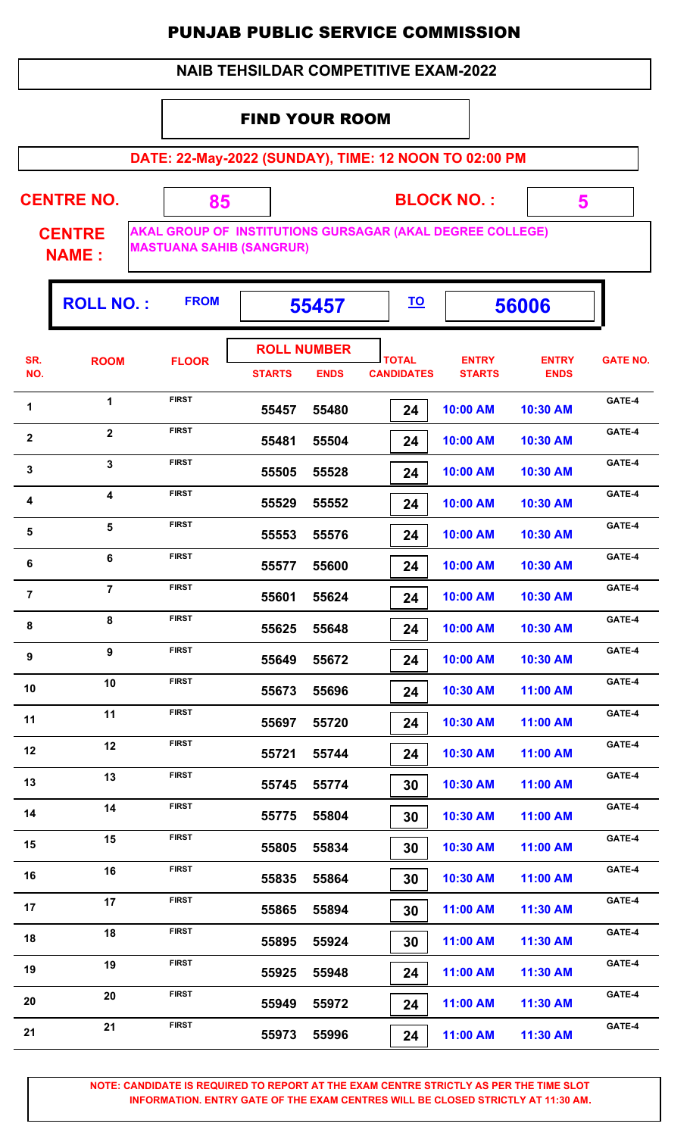#### **NAIB TEHSILDAR COMPETITIVE EXAM-2022**

#### FIND YOUR ROOM

 **85**

**DATE: 22-May-2022 (SUNDAY), TIME: 12 NOON TO 02:00 PM**

**CENTRE NO.** 

**BLOCK NO. :**

 **5**

**CENTRE NAME :**

**AKAL GROUP OF INSTITUTIONS GURSAGAR (AKAL DEGREE COLLEGE) MASTUANA SAHIB (SANGRUR)**

|                         | <b>ROLL NO.:</b> | <b>FROM</b>  |                                     | 55457       |                                   |                               | 56006                       |                 |
|-------------------------|------------------|--------------|-------------------------------------|-------------|-----------------------------------|-------------------------------|-----------------------------|-----------------|
| SR.<br>NO.              | <b>ROOM</b>      | <b>FLOOR</b> | <b>ROLL NUMBER</b><br><b>STARTS</b> | <b>ENDS</b> | <b>TOTAL</b><br><b>CANDIDATES</b> | <b>ENTRY</b><br><b>STARTS</b> | <b>ENTRY</b><br><b>ENDS</b> | <b>GATE NO.</b> |
| 1                       | 1                | <b>FIRST</b> | 55457                               | 55480       | 24                                | 10:00 AM                      | 10:30 AM                    | GATE-4          |
| $\mathbf{2}$            | $\overline{2}$   | <b>FIRST</b> | 55481                               | 55504       | 24                                | 10:00 AM                      | 10:30 AM                    | GATE-4          |
| $\mathbf 3$             | $\mathbf{3}$     | <b>FIRST</b> | 55505                               | 55528       | 24                                | 10:00 AM                      | 10:30 AM                    | GATE-4          |
| $\overline{\mathbf{4}}$ | 4                | <b>FIRST</b> | 55529                               | 55552       | 24                                | 10:00 AM                      | 10:30 AM                    | GATE-4          |
| $\overline{\mathbf{5}}$ | 5                | <b>FIRST</b> | 55553                               | 55576       | 24                                | 10:00 AM                      | 10:30 AM                    | GATE-4          |
| 6                       | 6                | <b>FIRST</b> | 55577                               | 55600       | 24                                | 10:00 AM                      | 10:30 AM                    | GATE-4          |
| $\overline{7}$          | $\overline{7}$   | <b>FIRST</b> | 55601                               | 55624       | 24                                | 10:00 AM                      | 10:30 AM                    | GATE-4          |
| 8                       | 8                | <b>FIRST</b> | 55625                               | 55648       | 24                                | 10:00 AM                      | 10:30 AM                    | GATE-4          |
| $\boldsymbol{9}$        | 9                | <b>FIRST</b> | 55649                               | 55672       | 24                                | 10:00 AM                      | 10:30 AM                    | GATE-4          |
| 10                      | 10               | <b>FIRST</b> | 55673                               | 55696       | 24                                | 10:30 AM                      | 11:00 AM                    | GATE-4          |
| 11                      | 11               | <b>FIRST</b> | 55697                               | 55720       | 24                                | 10:30 AM                      | 11:00 AM                    | GATE-4          |
| 12                      | 12               | <b>FIRST</b> | 55721                               | 55744       | 24                                | 10:30 AM                      | 11:00 AM                    | GATE-4          |
| 13                      | 13               | <b>FIRST</b> | 55745                               | 55774       | 30                                | 10:30 AM                      | 11:00 AM                    | GATE-4          |
| 14                      | 14               | <b>FIRST</b> | 55775                               | 55804       | 30                                | 10:30 AM                      | 11:00 AM                    | GATE-4          |
| 15                      | 15               | <b>FIRST</b> | 55805                               | 55834       | 30                                | 10:30 AM                      | 11:00 AM                    | GATE-4          |
| 16                      | 16               | <b>FIRST</b> | 55835                               | 55864       | 30                                | 10:30 AM                      | 11:00 AM                    | GATE-4          |
| 17                      | 17               | <b>FIRST</b> | 55865                               | 55894       | 30                                | 11:00 AM                      | 11:30 AM                    | GATE-4          |
| 18                      | 18               | <b>FIRST</b> | 55895                               | 55924       | 30                                | 11:00 AM                      | 11:30 AM                    | GATE-4          |
| 19                      | 19               | <b>FIRST</b> | 55925                               | 55948       | 24                                | 11:00 AM                      | 11:30 AM                    | GATE-4          |
| 20                      | 20               | <b>FIRST</b> | 55949                               | 55972       | 24                                | 11:00 AM                      | 11:30 AM                    | GATE-4          |
| 21                      | 21               | <b>FIRST</b> | 55973                               | 55996       | 24                                | 11:00 AM                      | 11:30 AM                    | GATE-4          |
|                         |                  |              |                                     |             |                                   |                               |                             |                 |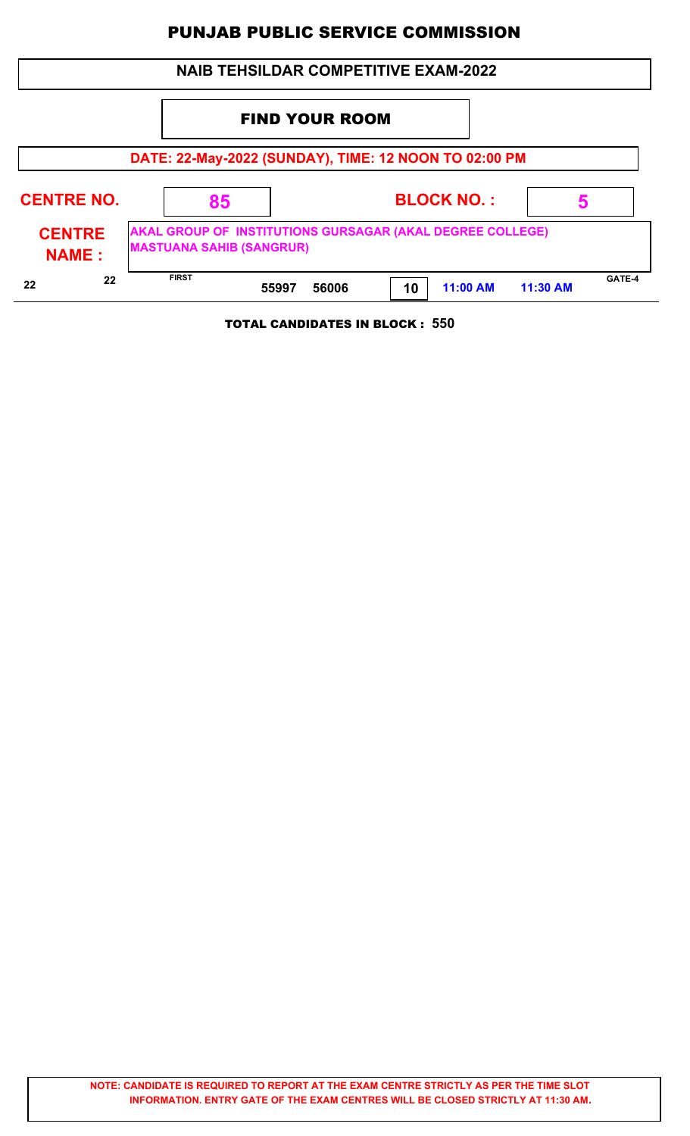| <b>NAIB TEHSILDAR COMPETITIVE EXAM-2022</b>           |  |                                 |                       |       |    |                                                           |          |        |
|-------------------------------------------------------|--|---------------------------------|-----------------------|-------|----|-----------------------------------------------------------|----------|--------|
|                                                       |  |                                 | <b>FIND YOUR ROOM</b> |       |    |                                                           |          |        |
| DATE: 22-May-2022 (SUNDAY), TIME: 12 NOON TO 02:00 PM |  |                                 |                       |       |    |                                                           |          |        |
| <b>CENTRE NO.</b>                                     |  | 85                              |                       |       |    | <b>BLOCK NO.:</b>                                         |          |        |
| <b>CENTRE</b><br><b>NAME:</b>                         |  | <b>MASTUANA SAHIB (SANGRUR)</b> |                       |       |    | AKAL GROUP OF INSTITUTIONS GURSAGAR (AKAL DEGREE COLLEGE) |          |        |
| 22<br>22                                              |  | <b>FIRST</b>                    | 55997                 | 56006 | 10 | 11:00 AM                                                  | 11:30 AM | GATE-4 |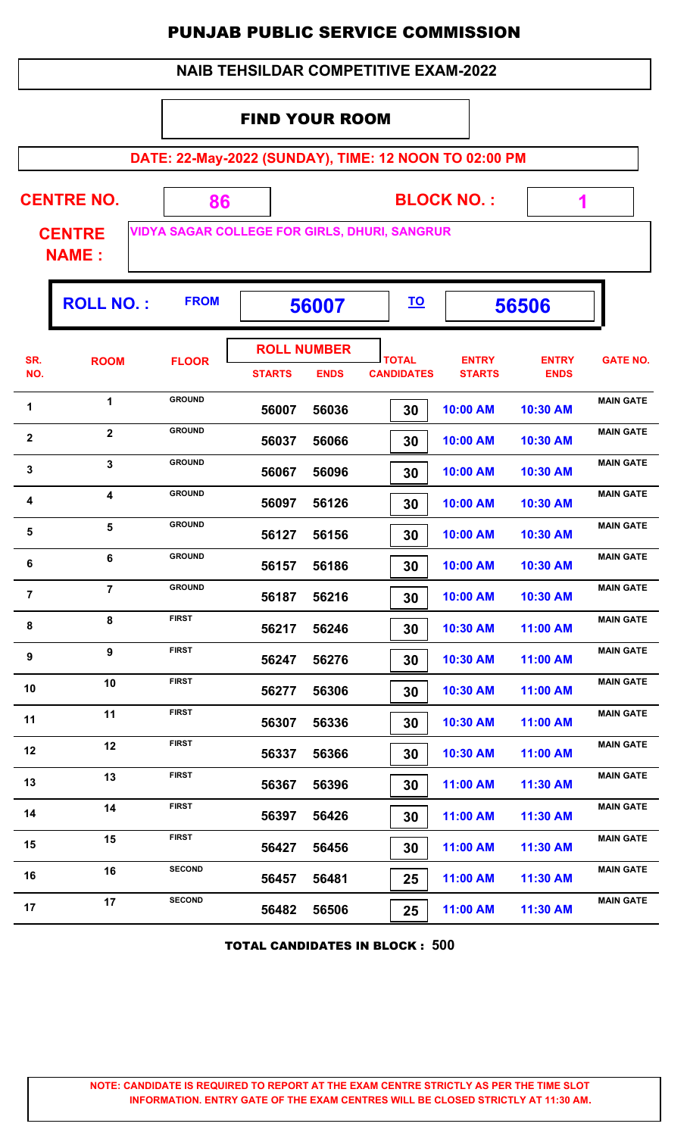| <b>NAIB TEHSILDAR COMPETITIVE EXAM-2022</b> |
|---------------------------------------------|
|---------------------------------------------|

#### FIND YOUR ROOM

**DATE: 22-May-2022 (SUNDAY), TIME: 12 NOON TO 02:00 PM**

| <b>CENTRE NO.</b>             | 86                                                   | <b>BLOCK NO.:</b>           |  |
|-------------------------------|------------------------------------------------------|-----------------------------|--|
| <b>CENTRE</b><br><b>NAME:</b> | <b>VIDYA SAGAR COLLEGE FOR GIRLS, DHURI, SANGRUR</b> |                             |  |
| <b>POLL NO</b>                | <b>FROM</b>                                          | ΤO<br><b>ECAA7</b><br>ERENR |  |

|                  | <b>ROLL NO.:</b>        | <b>FROM</b>   | 56007              |             | <u>TO</u>         | 56506         |              |                  |
|------------------|-------------------------|---------------|--------------------|-------------|-------------------|---------------|--------------|------------------|
| SR.              | <b>ROOM</b>             | <b>FLOOR</b>  | <b>ROLL NUMBER</b> |             | <b>TOTAL</b>      | <b>ENTRY</b>  | <b>ENTRY</b> | <b>GATE NO.</b>  |
| NO.              |                         |               | <b>STARTS</b>      | <b>ENDS</b> | <b>CANDIDATES</b> | <b>STARTS</b> | <b>ENDS</b>  |                  |
| 1                | 1                       | <b>GROUND</b> | 56007              | 56036       | 30                | 10:00 AM      | 10:30 AM     | <b>MAIN GATE</b> |
| $\boldsymbol{2}$ | $\overline{2}$          | <b>GROUND</b> | 56037              | 56066       | 30                | 10:00 AM      | 10:30 AM     | <b>MAIN GATE</b> |
| $\mathbf 3$      | $\overline{\mathbf{3}}$ | <b>GROUND</b> | 56067              | 56096       | 30                | 10:00 AM      | 10:30 AM     | <b>MAIN GATE</b> |
| 4                | 4                       | <b>GROUND</b> | 56097              | 56126       | 30                | 10:00 AM      | 10:30 AM     | <b>MAIN GATE</b> |
| 5                | 5                       | <b>GROUND</b> | 56127              | 56156       | 30                | 10:00 AM      | 10:30 AM     | <b>MAIN GATE</b> |
| 6                | 6                       | <b>GROUND</b> | 56157              | 56186       | 30                | 10:00 AM      | 10:30 AM     | <b>MAIN GATE</b> |
| $\overline{7}$   | $\overline{7}$          | <b>GROUND</b> | 56187              | 56216       | 30                | 10:00 AM      | 10:30 AM     | <b>MAIN GATE</b> |
| 8                | 8                       | <b>FIRST</b>  | 56217              | 56246       | 30                | 10:30 AM      | 11:00 AM     | <b>MAIN GATE</b> |
| $\boldsymbol{9}$ | 9                       | <b>FIRST</b>  | 56247              | 56276       | 30                | 10:30 AM      | 11:00 AM     | <b>MAIN GATE</b> |
| 10               | 10                      | <b>FIRST</b>  | 56277              | 56306       | 30                | 10:30 AM      | 11:00 AM     | <b>MAIN GATE</b> |
| 11               | 11                      | <b>FIRST</b>  | 56307              | 56336       | 30                | 10:30 AM      | 11:00 AM     | <b>MAIN GATE</b> |
| 12               | 12                      | <b>FIRST</b>  | 56337              | 56366       | 30                | 10:30 AM      | 11:00 AM     | <b>MAIN GATE</b> |
| 13               | 13                      | <b>FIRST</b>  | 56367              | 56396       | 30                | 11:00 AM      | 11:30 AM     | <b>MAIN GATE</b> |
| 14               | 14                      | <b>FIRST</b>  | 56397              | 56426       | 30                | 11:00 AM      | 11:30 AM     | <b>MAIN GATE</b> |
| 15               | 15                      | <b>FIRST</b>  | 56427              | 56456       | 30                | 11:00 AM      | 11:30 AM     | <b>MAIN GATE</b> |
| 16               | 16                      | <b>SECOND</b> | 56457              | 56481       | 25                | 11:00 AM      | 11:30 AM     | <b>MAIN GATE</b> |
| 17               | 17                      | <b>SECOND</b> | 56482              | 56506       | 25                | 11:00 AM      | 11:30 AM     | <b>MAIN GATE</b> |
|                  |                         |               |                    |             |                   |               |              |                  |

TOTAL CANDIDATES IN BLOCK : **500**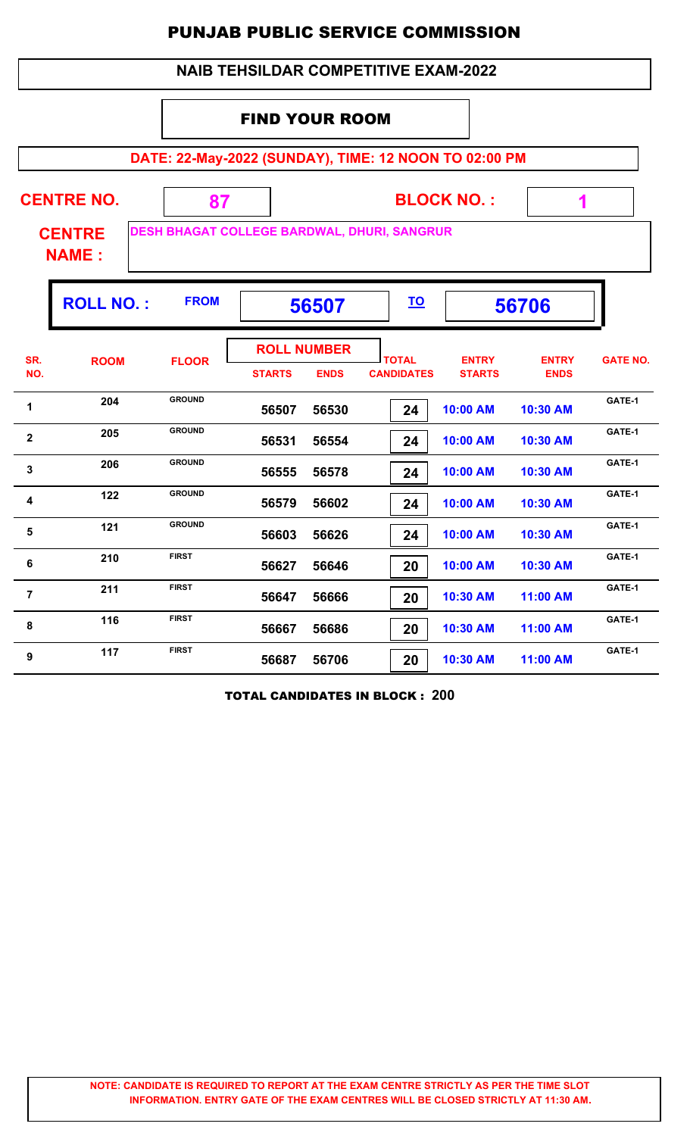|                 |                               |                                                       |                                     |             | <b>PUNJAB PUBLIC SERVICE COMMISSION</b>     |                               |                             |                 |
|-----------------|-------------------------------|-------------------------------------------------------|-------------------------------------|-------------|---------------------------------------------|-------------------------------|-----------------------------|-----------------|
|                 |                               |                                                       |                                     |             | <b>NAIB TEHSILDAR COMPETITIVE EXAM-2022</b> |                               |                             |                 |
|                 |                               |                                                       | <b>FIND YOUR ROOM</b>               |             |                                             |                               |                             |                 |
|                 |                               | DATE: 22-May-2022 (SUNDAY), TIME: 12 NOON TO 02:00 PM |                                     |             |                                             |                               |                             |                 |
|                 | <b>CENTRE NO.</b>             | 87                                                    |                                     |             |                                             | <b>BLOCK NO.:</b>             | 1                           |                 |
|                 | <b>CENTRE</b><br><b>NAME:</b> | DESH BHAGAT COLLEGE BARDWAL, DHURI, SANGRUR           |                                     |             |                                             |                               |                             |                 |
|                 | <b>ROLL NO.:</b>              | <b>FROM</b>                                           |                                     | 56507       | <u>TO</u>                                   |                               | 56706                       |                 |
| SR.<br>NO.      | <b>ROOM</b>                   | <b>FLOOR</b>                                          | <b>ROLL NUMBER</b><br><b>STARTS</b> | <b>ENDS</b> | <b>TOTAL</b><br><b>CANDIDATES</b>           | <b>ENTRY</b><br><b>STARTS</b> | <b>ENTRY</b><br><b>ENDS</b> | <b>GATE NO.</b> |
| 1               | 204                           | <b>GROUND</b>                                         | 56507                               | 56530       | 24                                          | 10:00 AM                      | 10:30 AM                    | GATE-1          |
| 2               | 205                           | <b>GROUND</b>                                         | 56531                               | 56554       | 24                                          | 10:00 AM                      | 10:30 AM                    | GATE-1          |
| 3               | 206                           | <b>GROUND</b>                                         | 56555                               | 56578       | 24                                          | 10:00 AM                      | 10:30 AM                    | GATE-1          |
|                 | 122                           | <b>GROUND</b>                                         | 56579                               | 56602       | 24                                          | 10:00 AM                      | 10:30 AM                    | GATE-1          |
| $5\phantom{.0}$ | 121                           | <b>GROUND</b>                                         | 56603                               | 56626       | 24                                          | 10:00 AM                      | 10:30 AM                    | GATE-1          |
| $6\phantom{1}6$ | 210                           | <b>FIRST</b>                                          | 56627                               | 56646       | 20                                          | 10:00 AM                      | 10:30 AM                    | GATE-1          |
| 7               | 211                           | <b>FIRST</b>                                          | 56647                               | 56666       | 20                                          | 10:30 AM                      | 11:00 AM                    | GATE-1          |
| 8               | 116                           | <b>FIRST</b>                                          | 56667                               | 56686       | 20 <sub>1</sub>                             | 10:30 AM                      | $11:00$ AM                  | GATE-1          |

TOTAL CANDIDATES IN BLOCK : **200**

**9 117 FIRST 56687 56706 20 10:30 AM 11:00 AM GATE-1** 

 **56667 56686 20 10:30 AM 11:00 AM**

 **56687 56706 20 10:30 AM 11:00 AM**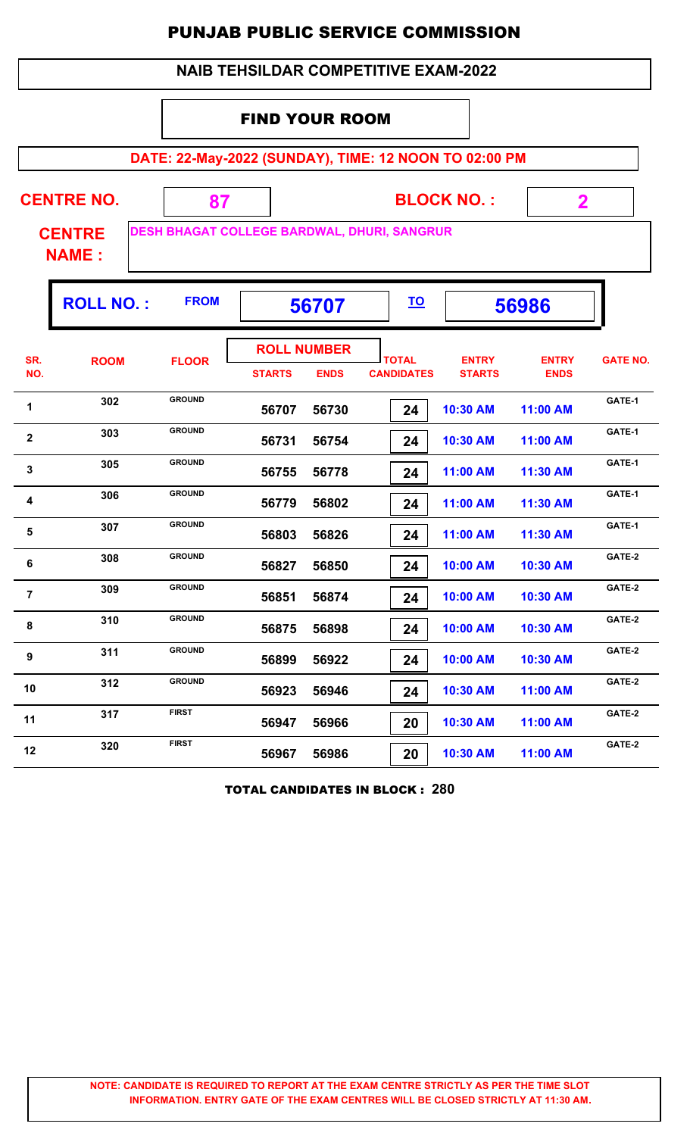|  |  | <b>NAIB TEHSILDAR COMPETITIVE EXAM-2022</b> |
|--|--|---------------------------------------------|
|--|--|---------------------------------------------|

#### FIND YOUR ROOM

**DATE: 22-May-2022 (SUNDAY), TIME: 12 NOON TO 02:00 PM**

**BLOCK NO. : CENTRE NAME : CENTRE NO. 87 DESH BHAGAT COLLEGE BARDWAL, DHURI, SANGRUR 2**

|                | <b>ROLL NO.:</b> | <b>FROM</b>   | 56707                               |             | <u>TO</u>                         | 56986                         |                             |                 |
|----------------|------------------|---------------|-------------------------------------|-------------|-----------------------------------|-------------------------------|-----------------------------|-----------------|
| SR.<br>NO.     | <b>ROOM</b>      | <b>FLOOR</b>  | <b>ROLL NUMBER</b><br><b>STARTS</b> | <b>ENDS</b> | <b>TOTAL</b><br><b>CANDIDATES</b> | <b>ENTRY</b><br><b>STARTS</b> | <b>ENTRY</b><br><b>ENDS</b> | <b>GATE NO.</b> |
| 1              | 302              | <b>GROUND</b> | 56707                               | 56730       | 24                                | 10:30 AM                      | 11:00 AM                    | GATE-1          |
| $\mathbf 2$    | 303              | <b>GROUND</b> | 56731                               | 56754       | 24                                | 10:30 AM                      | 11:00 AM                    | GATE-1          |
| 3              | 305              | <b>GROUND</b> | 56755                               | 56778       | 24                                | 11:00 AM                      | 11:30 AM                    | GATE-1          |
| 4              | 306              | <b>GROUND</b> | 56779                               | 56802       | 24                                | 11:00 AM                      | 11:30 AM                    | GATE-1          |
| 5              | 307              | <b>GROUND</b> | 56803                               | 56826       | 24                                | 11:00 AM                      | 11:30 AM                    | GATE-1          |
| 6              | 308              | <b>GROUND</b> | 56827                               | 56850       | 24                                | 10:00 AM                      | 10:30 AM                    | GATE-2          |
| $\overline{7}$ | 309              | <b>GROUND</b> | 56851                               | 56874       | 24                                | 10:00 AM                      | 10:30 AM                    | GATE-2          |
| 8              | 310              | <b>GROUND</b> | 56875                               | 56898       | 24                                | 10:00 AM                      | 10:30 AM                    | GATE-2          |
| 9              | 311              | <b>GROUND</b> | 56899                               | 56922       | 24                                | 10:00 AM                      | 10:30 AM                    | GATE-2          |
| 10             | 312              | <b>GROUND</b> | 56923                               | 56946       | 24                                | 10:30 AM                      | 11:00 AM                    | GATE-2          |
| 11             | 317              | <b>FIRST</b>  | 56947                               | 56966       | 20                                | 10:30 AM                      | 11:00 AM                    | GATE-2          |
| 12             | 320              | <b>FIRST</b>  | 56967                               | 56986       | 20                                | 10:30 AM                      | 11:00 AM                    | GATE-2          |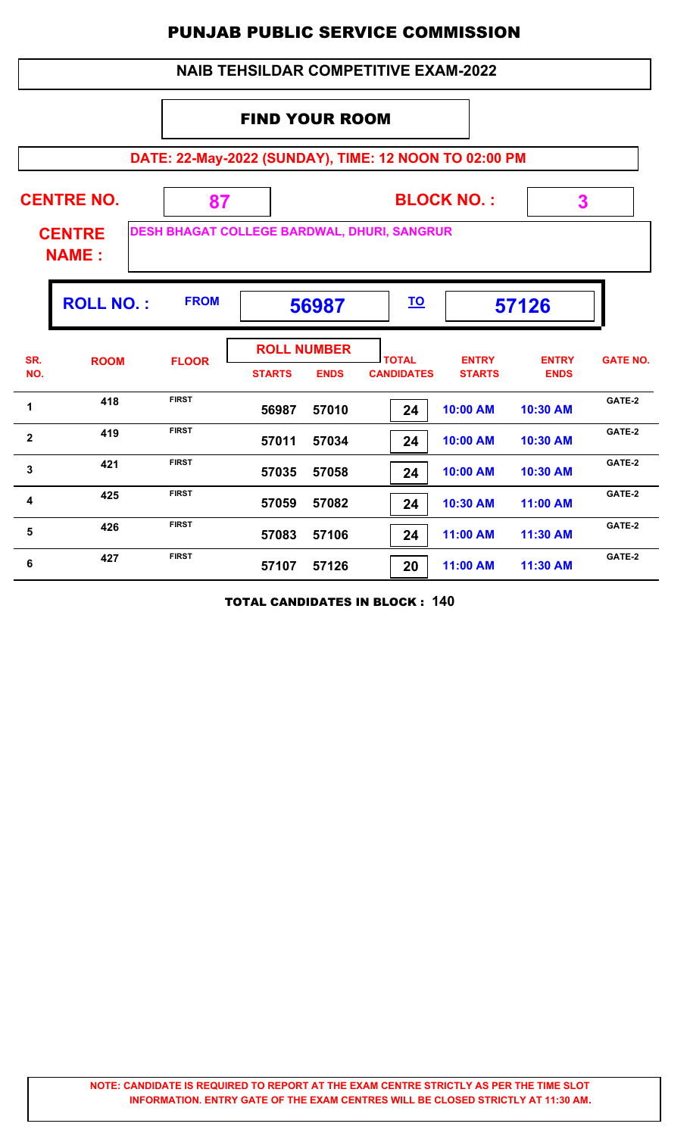#### **DATE: 22-May-2022 (SUNDAY), TIME: 12 NOON TO 02:00 PM BLOCK NO. : CENTRE NAME : CENTRE NO. 87 DESH BHAGAT COLLEGE BARDWAL, DHURI, SANGRUR 3** FIND YOUR ROOM  **NAIB TEHSILDAR COMPETITIVE EXAM-2022 ROLL NO. :** FROM | 56987 |  $\overline{10}$  | 57126 **TOTAL STARTS ENDS CANDIDATES SR. NO.** ROOM FLOOR **International FLOOR** *ENTRY* **STARTS ENTRY ENDS FLOOR GATE NO. ROLL NUMBER 56987 57010 24 10:00 AM 10:30 AM 418** FIRST **56987 57010 24 10:00 AM 10:30 AM GATE-2 57011 57034 24 10:00 AM 10:30 AM a FIRST EXAMPLE 19 FIRST EXAMPLE 10:00 AM 10:30 AM GATE-2 57035 57058 24 10:00 AM 10:30 AM 421 FIRST 6ATE-2**<br>**57035 57058 24 10:00 AM 10:30 AM 6ATE-2 57059 57082 24 10:30 AM 11:00 AM 4 425 FIRST 6ATE-2**<br>**57059 57082 24 10:30 AM 11:00 AM 6ATE-2 57083 57106 24 11:00 AM 11:30 AM 426 FIRST 6ATE-2**<br>**57083 57106 24 11:00 AM 11:30 AM GATE-2 57107 57126 20 11:00 AM 11:30 AM 6 427 FIRST 57107 57126 70 11:00 AM 11:30 AM GATE-2**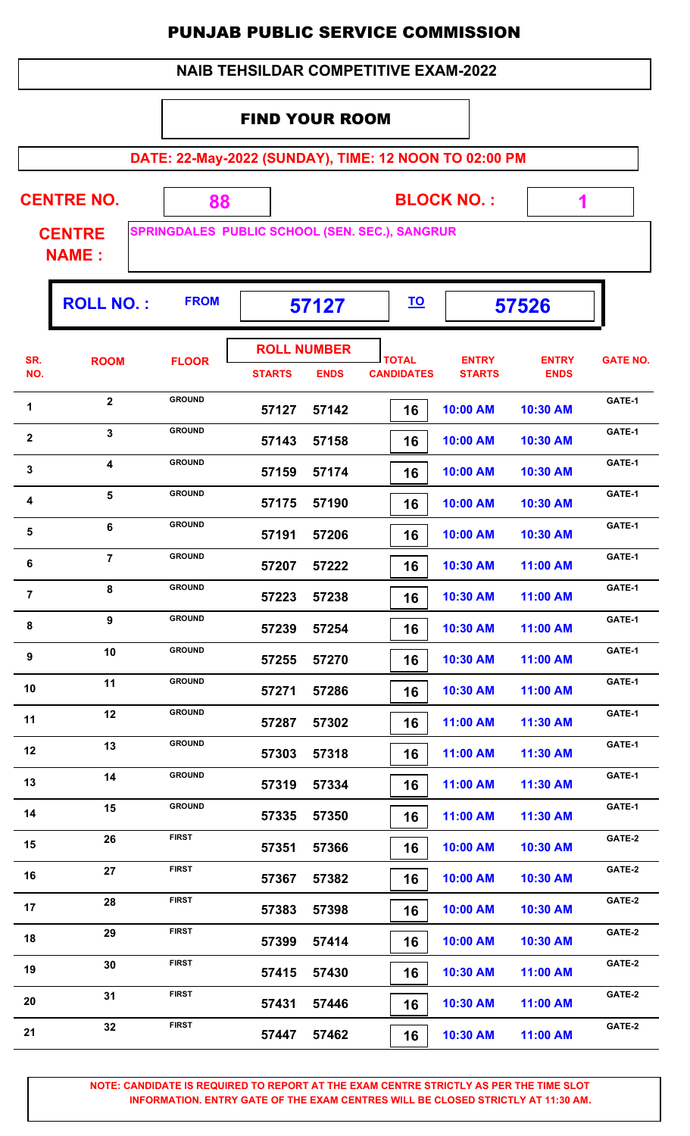#### FIND YOUR ROOM

**DATE: 22-May-2022 (SUNDAY), TIME: 12 NOON TO 02:00 PM**

| <b>CENTRE NO.</b>             | <b>BLOCK NO.:</b>                                     |  |
|-------------------------------|-------------------------------------------------------|--|
| <b>CENTRE</b><br><b>NAME:</b> | <b>SPRINGDALES PUBLIC SCHOOL (SEN. SEC.), SANGRUR</b> |  |

|                  | <b>ROLL NO.:</b>        | <b>FROM</b>   | 57127                               |             | <u>TO</u>                         |                               | 57526                       |                 |
|------------------|-------------------------|---------------|-------------------------------------|-------------|-----------------------------------|-------------------------------|-----------------------------|-----------------|
| SR.<br>NO.       | <b>ROOM</b>             | <b>FLOOR</b>  | <b>ROLL NUMBER</b><br><b>STARTS</b> | <b>ENDS</b> | <b>TOTAL</b><br><b>CANDIDATES</b> | <b>ENTRY</b><br><b>STARTS</b> | <b>ENTRY</b><br><b>ENDS</b> | <b>GATE NO.</b> |
| 1                | $\mathbf{2}$            | <b>GROUND</b> | 57127                               | 57142       | 16                                | 10:00 AM                      | 10:30 AM                    | GATE-1          |
| 2                | $\overline{\mathbf{3}}$ | <b>GROUND</b> | 57143                               | 57158       | 16                                | 10:00 AM                      | 10:30 AM                    | GATE-1          |
| $\mathbf{3}$     | 4                       | <b>GROUND</b> | 57159                               | 57174       | 16                                | 10:00 AM                      | 10:30 AM                    | GATE-1          |
| 4                | $5\phantom{1}$          | <b>GROUND</b> | 57175                               | 57190       | 16                                | 10:00 AM                      | 10:30 AM                    | GATE-1          |
| 5                | 6                       | <b>GROUND</b> | 57191                               | 57206       | 16                                | 10:00 AM                      | 10:30 AM                    | GATE-1          |
| 6                | $\overline{7}$          | <b>GROUND</b> | 57207                               | 57222       | 16                                | 10:30 AM                      | 11:00 AM                    | GATE-1          |
| $\overline{7}$   | 8                       | <b>GROUND</b> | 57223                               | 57238       | 16                                | 10:30 AM                      | 11:00 AM                    | GATE-1          |
| 8                | 9                       | <b>GROUND</b> | 57239                               | 57254       | 16                                | 10:30 AM                      | 11:00 AM                    | GATE-1          |
| $\boldsymbol{9}$ | 10                      | <b>GROUND</b> | 57255                               | 57270       | 16                                | 10:30 AM                      | 11:00 AM                    | GATE-1          |
| 10               | 11                      | <b>GROUND</b> | 57271                               | 57286       | 16                                | 10:30 AM                      | 11:00 AM                    | GATE-1          |
| 11               | 12                      | <b>GROUND</b> | 57287                               | 57302       | 16                                | 11:00 AM                      | 11:30 AM                    | GATE-1          |
| 12               | 13                      | <b>GROUND</b> | 57303                               | 57318       | 16                                | 11:00 AM                      | 11:30 AM                    | GATE-1          |
| 13               | 14                      | <b>GROUND</b> | 57319                               | 57334       | 16                                | 11:00 AM                      | 11:30 AM                    | GATE-1          |
| 14               | 15                      | <b>GROUND</b> | 57335                               | 57350       | 16                                | 11:00 AM                      | 11:30 AM                    | GATE-1          |
| 15               | 26                      | <b>FIRST</b>  | 57351                               | 57366       | 16                                | 10:00 AM                      | 10:30 AM                    | GATE-2          |
| 16               | 27                      | <b>FIRST</b>  | 57367                               | 57382       | 16                                | 10:00 AM                      | 10:30 AM                    | GATE-2          |
| 17               | 28                      | <b>FIRST</b>  | 57383                               | 57398       | 16                                | 10:00 AM                      | 10:30 AM                    | GATE-2          |
| 18               | 29                      | <b>FIRST</b>  | 57399                               | 57414       | 16                                | 10:00 AM                      | 10:30 AM                    | GATE-2          |
| 19               | 30                      | <b>FIRST</b>  | 57415                               | 57430       | 16                                | 10:30 AM                      | 11:00 AM                    | GATE-2          |
| 20               | 31                      | <b>FIRST</b>  | 57431                               | 57446       | 16                                | 10:30 AM                      | 11:00 AM                    | GATE-2          |
| 21               | 32                      | <b>FIRST</b>  | 57447                               | 57462       | 16                                | 10:30 AM                      | 11:00 AM                    | GATE-2          |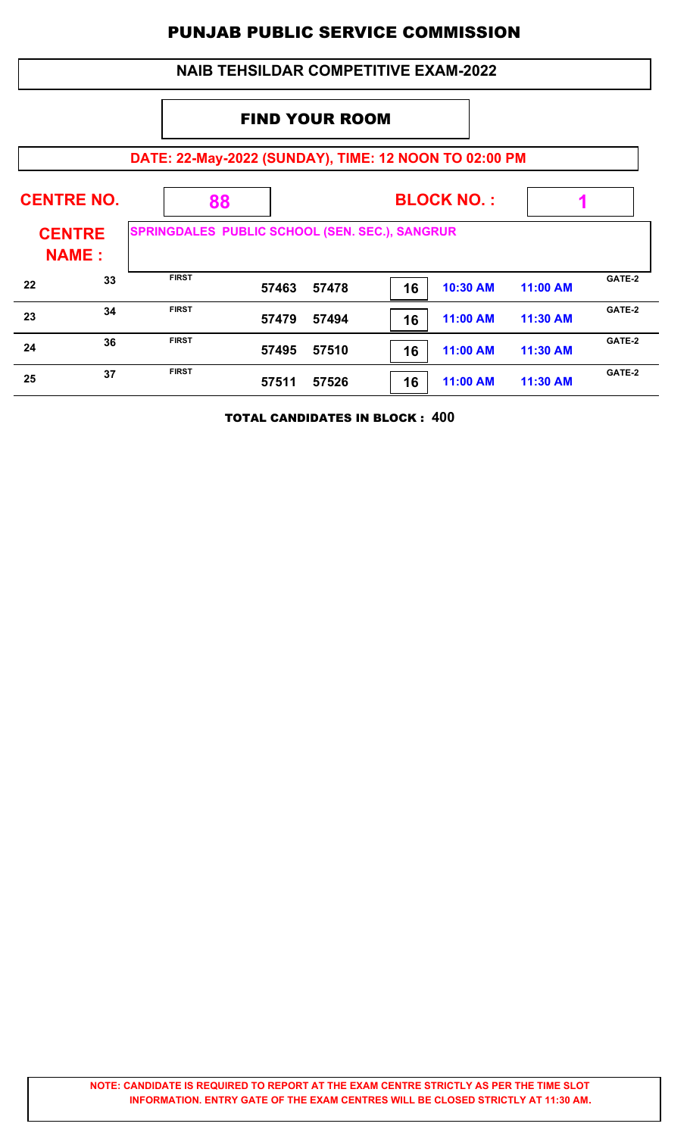### **DATE: 22-May-2022 (SUNDAY), TIME: 12 NOON TO 02:00 PM BLOCK NO. : CENTRE NAME : CENTRE NO. 88 SPRINGDALES PUBLIC SCHOOL (SEN. SEC.), SANGRUR 1** FIND YOUR ROOM  **NAIB TEHSILDAR COMPETITIVE EXAM-2022 57463 57478 16 10:30 AM 11:00 AM CATE-2**<br>**57463 57478 10:30 AM 11:00 AM CATE-2 57479 57494 16 11:00 AM 11:30 AM CATE-2**<br>**EXAMPLE 11:00 AM**<br>**EXAMPLE 11:00 AM**<br>**EXAMPLE 11:00 AM**<br>**EXAMPLE 11:00 AM 57495 57510 16 11:00 AM 11:30 AM 24 CATE-2**<br>**57495 57510 11:00 AM 11:30 AM CATE-2 57511 57526 16 11:00 AM 11:30 AM 25 CATE-2**<br>**57511 57526 11:00 AM 11:30 AM CATE-2**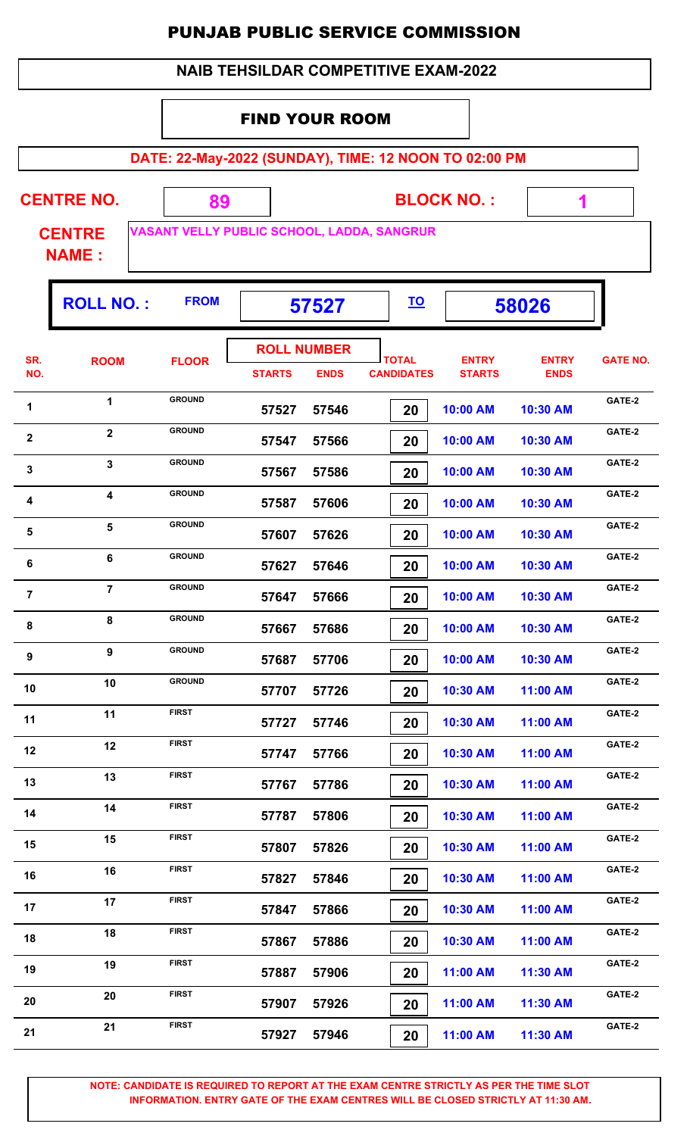| <b>NAIB TEHSILDAR COMPETITIVE EXAM-2022</b> |  |
|---------------------------------------------|--|
|---------------------------------------------|--|

#### FIND YOUR ROOM

**DATE: 22-May-2022 (SUNDAY), TIME: 12 NOON TO 02:00 PM**

| VASANT VELLY PUBLIC SCHOOL, LADDA, SANGRUR<br><b>CENTRE</b><br><b>NAME:</b><br><b>FROM</b><br><b>ROLL NO.:</b><br><u>TO</u><br>58026<br>57527<br><b>ROLL NUMBER</b><br>SR.<br><b>TOTAL</b><br><b>ENTRY</b><br><b>ENTRY</b><br><b>ROOM</b><br><b>FLOOR</b><br>NO.<br><b>STARTS</b><br><b>ENDS</b><br><b>CANDIDATES</b><br><b>STARTS</b><br><b>ENDS</b><br><b>GROUND</b><br>$\mathbf 1$<br>1<br>10:00 AM<br>57527<br>57546<br>10:30 AM<br>20<br><b>GROUND</b><br>$\mathbf 2$<br>$\mathbf{2}$<br>10:00 AM<br>57547<br>57566<br>20<br>10:30 AM<br><b>GROUND</b><br>3<br>3<br>57567<br>57586<br>20<br>10:00 AM<br>10:30 AM<br><b>GROUND</b><br>4<br>4<br>57587<br>57606<br>10:00 AM<br>10:30 AM<br>20<br><b>GROUND</b><br>5<br>5<br>57607<br>57626<br>10:00 AM<br>10:30 AM<br>20<br><b>GROUND</b><br>$\bf 6$<br>6<br>57627<br>57646<br>20<br>10:00 AM<br>10:30 AM<br><b>GROUND</b><br>$\overline{7}$<br>7<br>57666<br>57647<br>10:00 AM<br>10:30 AM<br>20<br><b>GROUND</b><br>8<br>8<br>10:00 AM<br>57667<br>57686<br>10:30 AM<br>20<br><b>GROUND</b><br>9<br>9<br>57687<br>57706<br>10:00 AM<br>10:30 AM<br>20<br><b>GROUND</b><br>10<br>10<br>10:30 AM<br>11:00 AM<br>57707<br>57726<br>20<br><b>FIRST</b><br>11<br>11<br>57727<br>57746<br>10:30 AM<br>11:00 AM<br>20<br><b>FIRST</b><br>12<br>12<br>57766<br>10:30 AM<br>11:00 AM<br>57747<br>20<br><b>FIRST</b><br>13<br>13<br>57767<br>57786<br>10:30 AM<br>11:00 AM<br>20<br><b>FIRST</b><br>14<br>14<br>57787<br>57806<br>10:30 AM<br>11:00 AM<br>20<br><b>FIRST</b><br>15 | <b>GATE NO.</b> |
|-------------------------------------------------------------------------------------------------------------------------------------------------------------------------------------------------------------------------------------------------------------------------------------------------------------------------------------------------------------------------------------------------------------------------------------------------------------------------------------------------------------------------------------------------------------------------------------------------------------------------------------------------------------------------------------------------------------------------------------------------------------------------------------------------------------------------------------------------------------------------------------------------------------------------------------------------------------------------------------------------------------------------------------------------------------------------------------------------------------------------------------------------------------------------------------------------------------------------------------------------------------------------------------------------------------------------------------------------------------------------------------------------------------------------------------------------------------------------------------------------------------------------------|-----------------|
|                                                                                                                                                                                                                                                                                                                                                                                                                                                                                                                                                                                                                                                                                                                                                                                                                                                                                                                                                                                                                                                                                                                                                                                                                                                                                                                                                                                                                                                                                                                               |                 |
|                                                                                                                                                                                                                                                                                                                                                                                                                                                                                                                                                                                                                                                                                                                                                                                                                                                                                                                                                                                                                                                                                                                                                                                                                                                                                                                                                                                                                                                                                                                               |                 |
|                                                                                                                                                                                                                                                                                                                                                                                                                                                                                                                                                                                                                                                                                                                                                                                                                                                                                                                                                                                                                                                                                                                                                                                                                                                                                                                                                                                                                                                                                                                               |                 |
|                                                                                                                                                                                                                                                                                                                                                                                                                                                                                                                                                                                                                                                                                                                                                                                                                                                                                                                                                                                                                                                                                                                                                                                                                                                                                                                                                                                                                                                                                                                               | GATE-2          |
|                                                                                                                                                                                                                                                                                                                                                                                                                                                                                                                                                                                                                                                                                                                                                                                                                                                                                                                                                                                                                                                                                                                                                                                                                                                                                                                                                                                                                                                                                                                               | GATE-2          |
|                                                                                                                                                                                                                                                                                                                                                                                                                                                                                                                                                                                                                                                                                                                                                                                                                                                                                                                                                                                                                                                                                                                                                                                                                                                                                                                                                                                                                                                                                                                               | GATE-2          |
|                                                                                                                                                                                                                                                                                                                                                                                                                                                                                                                                                                                                                                                                                                                                                                                                                                                                                                                                                                                                                                                                                                                                                                                                                                                                                                                                                                                                                                                                                                                               | GATE-2          |
|                                                                                                                                                                                                                                                                                                                                                                                                                                                                                                                                                                                                                                                                                                                                                                                                                                                                                                                                                                                                                                                                                                                                                                                                                                                                                                                                                                                                                                                                                                                               | GATE-2          |
|                                                                                                                                                                                                                                                                                                                                                                                                                                                                                                                                                                                                                                                                                                                                                                                                                                                                                                                                                                                                                                                                                                                                                                                                                                                                                                                                                                                                                                                                                                                               | GATE-2          |
|                                                                                                                                                                                                                                                                                                                                                                                                                                                                                                                                                                                                                                                                                                                                                                                                                                                                                                                                                                                                                                                                                                                                                                                                                                                                                                                                                                                                                                                                                                                               | GATE-2          |
|                                                                                                                                                                                                                                                                                                                                                                                                                                                                                                                                                                                                                                                                                                                                                                                                                                                                                                                                                                                                                                                                                                                                                                                                                                                                                                                                                                                                                                                                                                                               | GATE-2          |
|                                                                                                                                                                                                                                                                                                                                                                                                                                                                                                                                                                                                                                                                                                                                                                                                                                                                                                                                                                                                                                                                                                                                                                                                                                                                                                                                                                                                                                                                                                                               | GATE-2          |
|                                                                                                                                                                                                                                                                                                                                                                                                                                                                                                                                                                                                                                                                                                                                                                                                                                                                                                                                                                                                                                                                                                                                                                                                                                                                                                                                                                                                                                                                                                                               | GATE-2          |
|                                                                                                                                                                                                                                                                                                                                                                                                                                                                                                                                                                                                                                                                                                                                                                                                                                                                                                                                                                                                                                                                                                                                                                                                                                                                                                                                                                                                                                                                                                                               | GATE-2          |
|                                                                                                                                                                                                                                                                                                                                                                                                                                                                                                                                                                                                                                                                                                                                                                                                                                                                                                                                                                                                                                                                                                                                                                                                                                                                                                                                                                                                                                                                                                                               | GATE-2          |
|                                                                                                                                                                                                                                                                                                                                                                                                                                                                                                                                                                                                                                                                                                                                                                                                                                                                                                                                                                                                                                                                                                                                                                                                                                                                                                                                                                                                                                                                                                                               | GATE-2          |
|                                                                                                                                                                                                                                                                                                                                                                                                                                                                                                                                                                                                                                                                                                                                                                                                                                                                                                                                                                                                                                                                                                                                                                                                                                                                                                                                                                                                                                                                                                                               | GATE-2          |
| 15<br>57826<br>10:30 AM<br>57807<br>11:00 AM<br>20                                                                                                                                                                                                                                                                                                                                                                                                                                                                                                                                                                                                                                                                                                                                                                                                                                                                                                                                                                                                                                                                                                                                                                                                                                                                                                                                                                                                                                                                            | GATE-2          |
| <b>FIRST</b><br>16<br>16<br>57827<br>57846<br>10:30 AM<br>11:00 AM<br>20                                                                                                                                                                                                                                                                                                                                                                                                                                                                                                                                                                                                                                                                                                                                                                                                                                                                                                                                                                                                                                                                                                                                                                                                                                                                                                                                                                                                                                                      | GATE-2          |
| <b>FIRST</b><br>17<br>17<br>57866<br>10:30 AM<br>57847<br>11:00 AM<br>20                                                                                                                                                                                                                                                                                                                                                                                                                                                                                                                                                                                                                                                                                                                                                                                                                                                                                                                                                                                                                                                                                                                                                                                                                                                                                                                                                                                                                                                      | GATE-2          |
| <b>FIRST</b><br>18<br>18<br>57867<br>57886<br>20<br>10:30 AM<br>11:00 AM                                                                                                                                                                                                                                                                                                                                                                                                                                                                                                                                                                                                                                                                                                                                                                                                                                                                                                                                                                                                                                                                                                                                                                                                                                                                                                                                                                                                                                                      | GATE-2          |
| <b>FIRST</b><br>19<br>19<br>11:00 AM<br>57887<br>57906<br>11:30 AM<br>20                                                                                                                                                                                                                                                                                                                                                                                                                                                                                                                                                                                                                                                                                                                                                                                                                                                                                                                                                                                                                                                                                                                                                                                                                                                                                                                                                                                                                                                      | GATE-2          |
| <b>FIRST</b><br>20<br>20<br>11:00 AM<br>57907<br>57926<br>11:30 AM<br>20                                                                                                                                                                                                                                                                                                                                                                                                                                                                                                                                                                                                                                                                                                                                                                                                                                                                                                                                                                                                                                                                                                                                                                                                                                                                                                                                                                                                                                                      | GATE-2          |
| <b>FIRST</b><br>21<br>21<br>11:30 AM<br>57927<br>57946<br>11:00 AM<br>20                                                                                                                                                                                                                                                                                                                                                                                                                                                                                                                                                                                                                                                                                                                                                                                                                                                                                                                                                                                                                                                                                                                                                                                                                                                                                                                                                                                                                                                      |                 |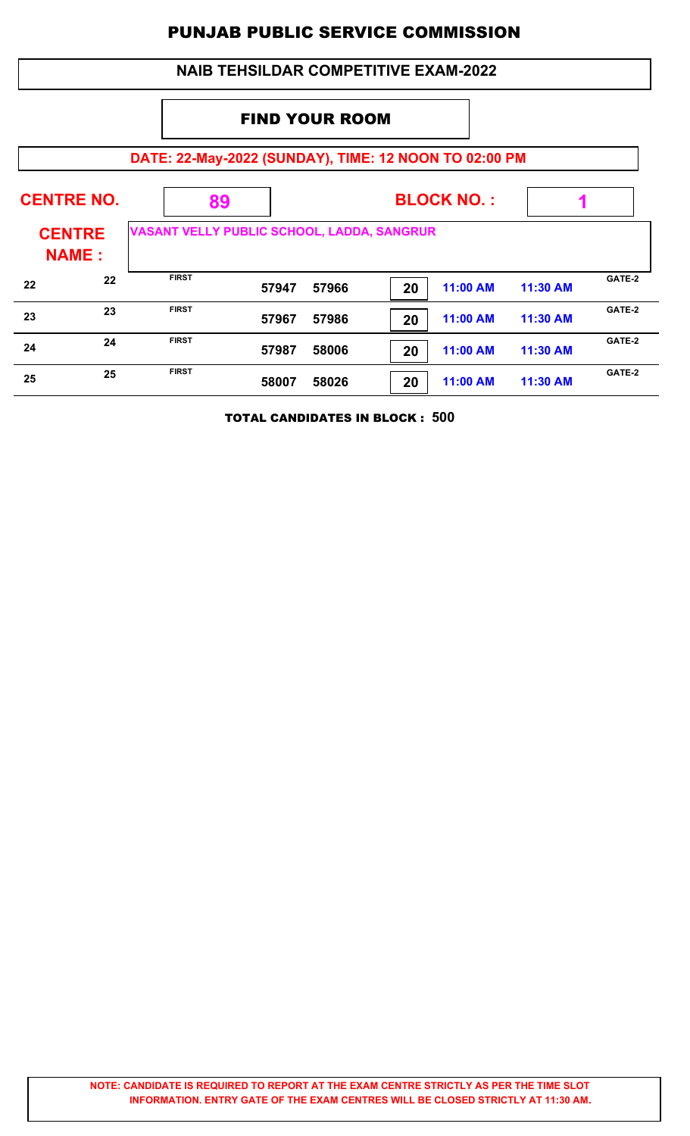### **DATE: 22-May-2022 (SUNDAY), TIME: 12 NOON TO 02:00 PM BLOCK NO. : CENTRE NAME : CENTRE NO. 89 VASANT VELLY PUBLIC SCHOOL, LADDA, SANGRUR 1** FIND YOUR ROOM  **NAIB TEHSILDAR COMPETITIVE EXAM-2022 57947 57966 20 11:00 AM 11:30 AM 22 EIRST EIRST EIRST 57947 57966 20 11:00 AM 11:30 AM CATE-2 57967 57986 20 11:00 AM 11:30 AM 23 EIRST EIRST EIRST 57967 57986 20 21:00 AM 11:30 AM CATE-2 57987 58006 20 11:00 AM 11:30 AM 24 EIRST 57987 58006 24 CATE-2 CATE-2 58007 58026 20 11:00 AM 11:30 AM 25 EIRST EIRST EIRST EIGLE-2 58007 58026 20 21:00 AM 11:30 AM CATE-2**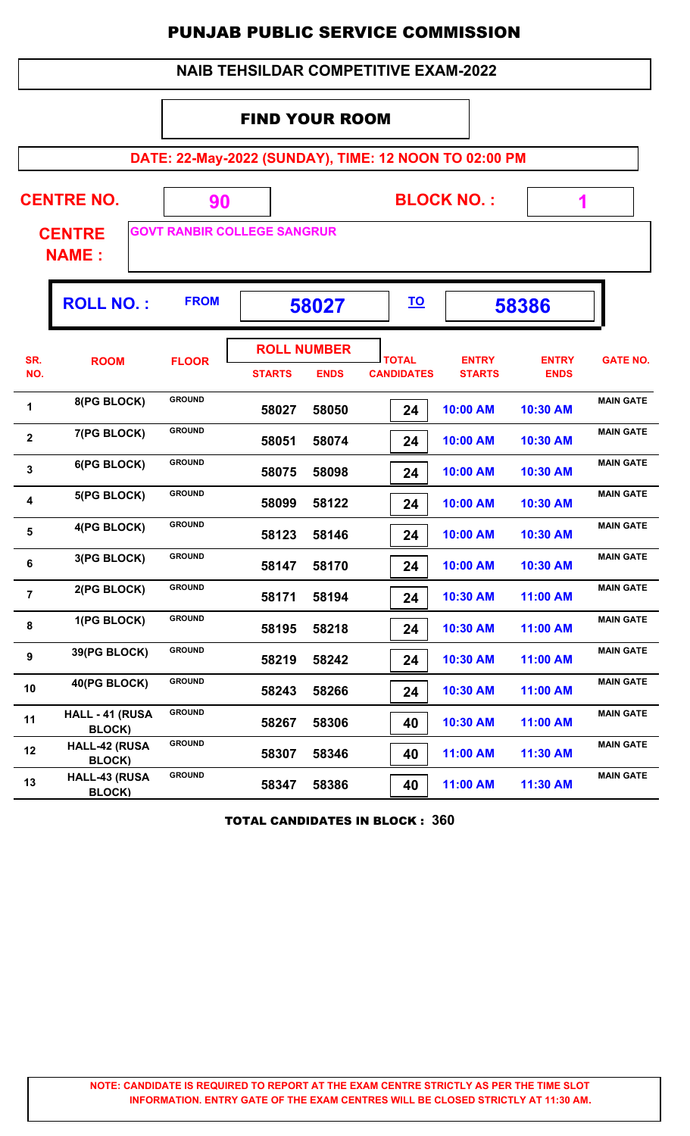| <b>NAIB TEHSILDAR COMPETITIVE EXAM-2022</b> |
|---------------------------------------------|
|---------------------------------------------|

#### FIND YOUR ROOM

**DATE: 22-May-2022 (SUNDAY), TIME: 12 NOON TO 02:00 PM**

| <b>BLOCK NO.:</b>                                                                              |                                  |               |                                     |             |                                   |                               |                             |                  |  |
|------------------------------------------------------------------------------------------------|----------------------------------|---------------|-------------------------------------|-------------|-----------------------------------|-------------------------------|-----------------------------|------------------|--|
| <b>CENTRE NO.</b><br>90<br><b>GOVT RANBIR COLLEGE SANGRUR</b><br><b>CENTRE</b><br><b>NAME:</b> |                                  |               |                                     |             |                                   |                               |                             |                  |  |
|                                                                                                | <b>FROM</b><br><b>ROLL NO.:</b>  |               | 58027                               |             |                                   | <u>TO</u>                     | 58386                       |                  |  |
| SR.<br>NO.                                                                                     | <b>ROOM</b>                      | <b>FLOOR</b>  | <b>ROLL NUMBER</b><br><b>STARTS</b> | <b>ENDS</b> | <b>TOTAL</b><br><b>CANDIDATES</b> | <b>ENTRY</b><br><b>STARTS</b> | <b>ENTRY</b><br><b>ENDS</b> | <b>GATE NO.</b>  |  |
| 1                                                                                              | 8(PG BLOCK)                      | <b>GROUND</b> | 58027                               | 58050       | 24                                | 10:00 AM                      | 10:30 AM                    | <b>MAIN GATE</b> |  |
| $\overline{\mathbf{2}}$                                                                        | 7(PG BLOCK)                      | <b>GROUND</b> | 58051                               | 58074       | 24                                | 10:00 AM                      | 10:30 AM                    | <b>MAIN GATE</b> |  |
| 3                                                                                              | 6(PG BLOCK)                      | <b>GROUND</b> | 58075                               | 58098       | 24                                | 10:00 AM                      | 10:30 AM                    | <b>MAIN GATE</b> |  |
| 4                                                                                              | 5(PG BLOCK)                      | <b>GROUND</b> | 58099                               | 58122       | 24                                | 10:00 AM                      | 10:30 AM                    | <b>MAIN GATE</b> |  |
| 5                                                                                              | 4(PG BLOCK)                      | <b>GROUND</b> | 58123                               | 58146       | 24                                | 10:00 AM                      | 10:30 AM                    | <b>MAIN GATE</b> |  |
| 6                                                                                              | 3(PG BLOCK)                      | <b>GROUND</b> | 58147                               | 58170       | 24                                | 10:00 AM                      | 10:30 AM                    | <b>MAIN GATE</b> |  |
| $\overline{7}$                                                                                 | 2(PG BLOCK)                      | <b>GROUND</b> | 58171                               | 58194       | 24                                | 10:30 AM                      | 11:00 AM                    | <b>MAIN GATE</b> |  |
| 8                                                                                              | 1(PG BLOCK)                      | <b>GROUND</b> | 58195                               | 58218       | 24                                | 10:30 AM                      | 11:00 AM                    | <b>MAIN GATE</b> |  |
| $\boldsymbol{9}$                                                                               | 39(PG BLOCK)                     | <b>GROUND</b> | 58219                               | 58242       | 24                                | 10:30 AM                      | 11:00 AM                    | <b>MAIN GATE</b> |  |
| 10                                                                                             | 40(PG BLOCK)                     | <b>GROUND</b> | 58243                               | 58266       | 24                                | 10:30 AM                      | 11:00 AM                    | <b>MAIN GATE</b> |  |
| 11                                                                                             | HALL - 41 (RUSA<br><b>BLOCK)</b> | <b>GROUND</b> | 58267                               | 58306       | 40                                | 10:30 AM                      | 11:00 AM                    | <b>MAIN GATE</b> |  |
| 12                                                                                             | HALL-42 (RUSA<br><b>BLOCK)</b>   | <b>GROUND</b> | 58307                               | 58346       | 40                                | 11:00 AM                      | 11:30 AM                    | <b>MAIN GATE</b> |  |
| 13                                                                                             | HALL-43 (RUSA<br><b>BLOCK)</b>   | <b>GROUND</b> | 58347                               | 58386       | 40                                | 11:00 AM                      | 11:30 AM                    | <b>MAIN GATE</b> |  |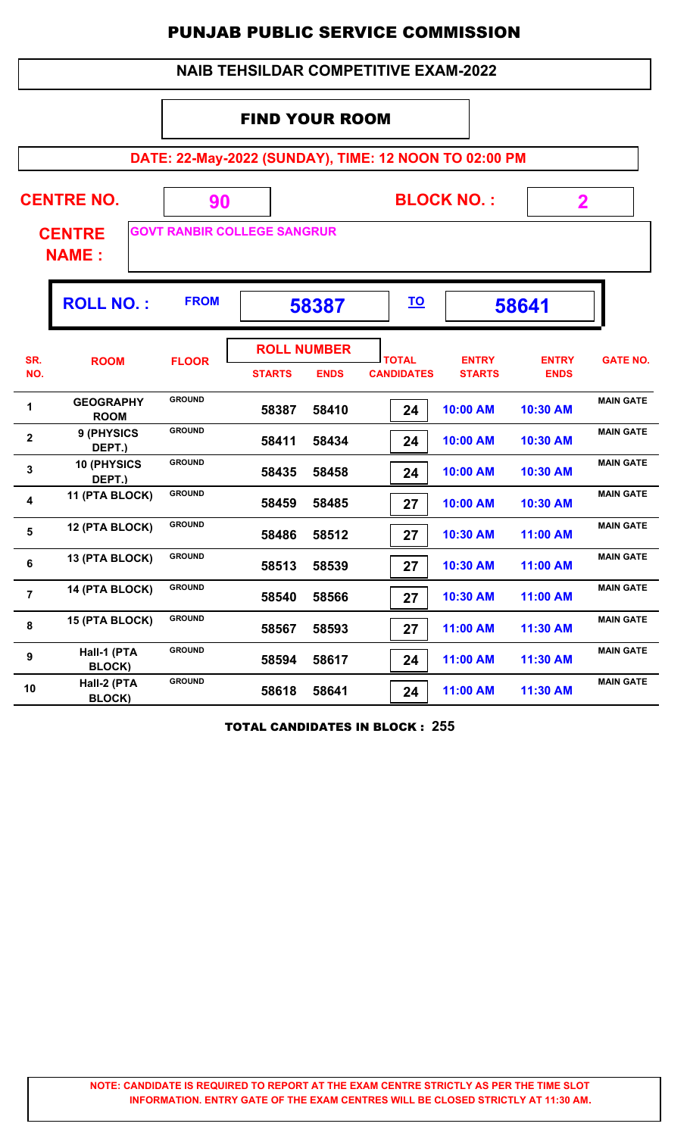| <b>NAIB TEHSILDAR COMPETITIVE EXAM-2022</b> |
|---------------------------------------------|
|---------------------------------------------|

#### FIND YOUR ROOM

**DATE: 22-May-2022 (SUNDAY), TIME: 12 NOON TO 02:00 PM**

| <b>CENTRE NO.</b><br><b>CENTRE</b><br><b>NAME:</b> |                                 | 90            | <b>BLOCK NO.:</b><br><b>GOVT RANBIR COLLEGE SANGRUR</b> |                                   |                                   | $\mathbf 2$                   |                             |                  |
|----------------------------------------------------|---------------------------------|---------------|---------------------------------------------------------|-----------------------------------|-----------------------------------|-------------------------------|-----------------------------|------------------|
|                                                    | <b>ROLL NO.:</b>                | <b>FROM</b>   |                                                         | 58387                             |                                   |                               | 58641                       |                  |
| SR.<br>NO.                                         | <b>ROOM</b>                     | <b>FLOOR</b>  | <b>STARTS</b>                                           | <b>ROLL NUMBER</b><br><b>ENDS</b> | <b>TOTAL</b><br><b>CANDIDATES</b> | <b>ENTRY</b><br><b>STARTS</b> | <b>ENTRY</b><br><b>ENDS</b> | <b>GATE NO.</b>  |
| 1                                                  | <b>GEOGRAPHY</b><br><b>ROOM</b> | <b>GROUND</b> | 58387                                                   | 58410                             | 24                                | 10:00 AM                      | 10:30 AM                    | <b>MAIN GATE</b> |
| $\overline{\mathbf{2}}$                            | 9 (PHYSICS<br>DEPT.)            | <b>GROUND</b> | 58411                                                   | 58434                             | 24                                | 10:00 AM                      | 10:30 AM                    | <b>MAIN GATE</b> |
| 3                                                  | 10 (PHYSICS<br>DEPT.)           | <b>GROUND</b> | 58435                                                   | 58458                             | 24                                | 10:00 AM                      | 10:30 AM                    | <b>MAIN GATE</b> |
| 4                                                  | 11 (PTA BLOCK)                  | <b>GROUND</b> | 58459                                                   | 58485                             | 27                                | 10:00 AM                      | 10:30 AM                    | <b>MAIN GATE</b> |
| 5                                                  | 12 (PTA BLOCK)                  | <b>GROUND</b> | 58486                                                   | 58512                             | 27                                | 10:30 AM                      | 11:00 AM                    | <b>MAIN GATE</b> |
| 6                                                  | 13 (PTA BLOCK)                  | <b>GROUND</b> | 58513                                                   | 58539                             | 27                                | 10:30 AM                      | 11:00 AM                    | <b>MAIN GATE</b> |
| $\overline{7}$                                     | 14 (PTA BLOCK)                  | <b>GROUND</b> | 58540                                                   | 58566                             | 27                                | 10:30 AM                      | 11:00 AM                    | <b>MAIN GATE</b> |
| 8                                                  | 15 (PTA BLOCK)                  | <b>GROUND</b> | 58567                                                   | 58593                             | 27                                | 11:00 AM                      | 11:30 AM                    | <b>MAIN GATE</b> |
| 9                                                  | Hall-1 (PTA<br>BLOCK)           | <b>GROUND</b> | 58594                                                   | 58617                             | 24                                | 11:00 AM                      | 11:30 AM                    | <b>MAIN GATE</b> |
| 10                                                 | Hall-2 (PTA<br><b>BLOCK)</b>    | <b>GROUND</b> | 58618                                                   | 58641                             | 24                                | 11:00 AM                      | 11:30 AM                    | <b>MAIN GATE</b> |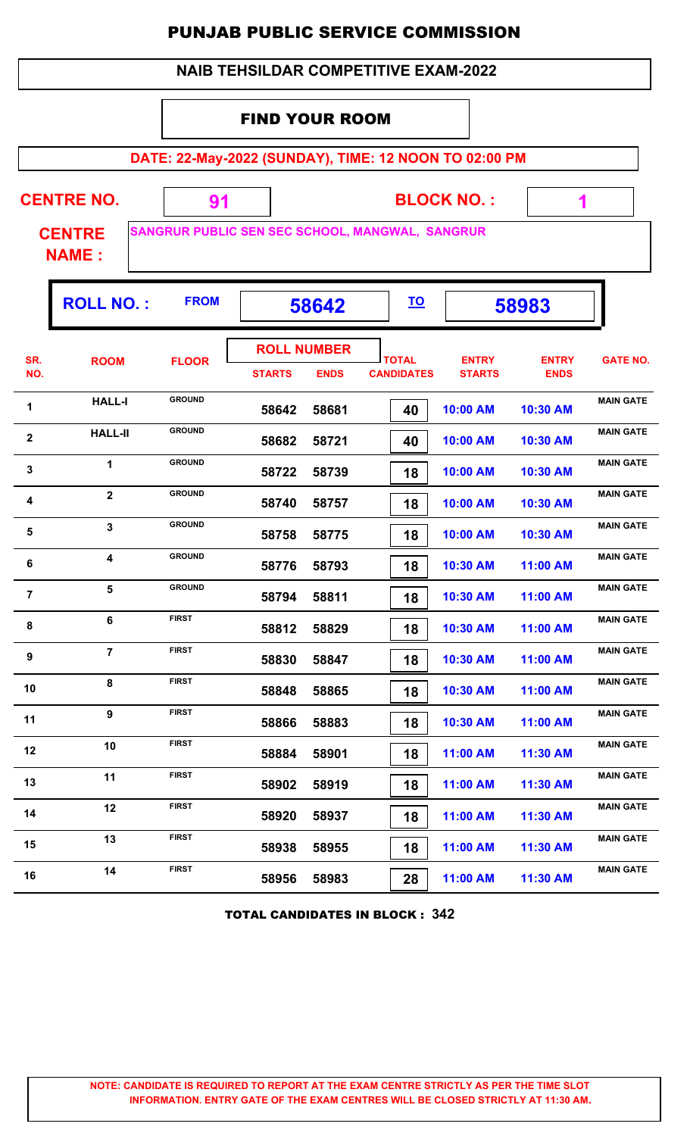| <b>NAIB TEHSILDAR COMPETITIVE EXAM-2022</b>           |                               |                                                 |                       |                                   |                                   |                               |                             |                  |  |  |  |
|-------------------------------------------------------|-------------------------------|-------------------------------------------------|-----------------------|-----------------------------------|-----------------------------------|-------------------------------|-----------------------------|------------------|--|--|--|
|                                                       |                               |                                                 | <b>FIND YOUR ROOM</b> |                                   |                                   |                               |                             |                  |  |  |  |
| DATE: 22-May-2022 (SUNDAY), TIME: 12 NOON TO 02:00 PM |                               |                                                 |                       |                                   |                                   |                               |                             |                  |  |  |  |
| <b>CENTRE NO.</b><br><b>BLOCK NO.:</b><br>91<br>1     |                               |                                                 |                       |                                   |                                   |                               |                             |                  |  |  |  |
|                                                       | <b>CENTRE</b><br><b>NAME:</b> | SANGRUR PUBLIC SEN SEC SCHOOL, MANGWAL, SANGRUR |                       |                                   |                                   |                               |                             |                  |  |  |  |
|                                                       | <b>ROLL NO.:</b>              | <b>FROM</b>                                     |                       | 58642                             | <u>TO</u>                         |                               | 58983                       |                  |  |  |  |
| SR.<br>NO.                                            | <b>ROOM</b>                   | <b>FLOOR</b>                                    | <b>STARTS</b>         | <b>ROLL NUMBER</b><br><b>ENDS</b> | <b>TOTAL</b><br><b>CANDIDATES</b> | <b>ENTRY</b><br><b>STARTS</b> | <b>ENTRY</b><br><b>ENDS</b> | <b>GATE NO.</b>  |  |  |  |
| 1                                                     | <b>HALL-I</b>                 | <b>GROUND</b>                                   | 58642                 | 58681                             | 40                                | 10:00 AM                      | 10:30 AM                    | <b>MAIN GATE</b> |  |  |  |
| $\overline{\mathbf{2}}$                               | <b>HALL-II</b>                | <b>GROUND</b>                                   | 58682                 | 58721                             | 40                                | 10:00 AM                      | 10:30 AM                    | <b>MAIN GATE</b> |  |  |  |
| 3                                                     | 1                             | <b>GROUND</b>                                   | 58722                 | 58739                             | 18                                | 10:00 AM                      | 10:30 AM                    | <b>MAIN GATE</b> |  |  |  |
| 4                                                     | $\overline{2}$                | <b>GROUND</b>                                   | 58740                 | 58757                             | 18                                | 10:00 AM                      | 10:30 AM                    | <b>MAIN GATE</b> |  |  |  |
| 5                                                     | 3                             | <b>GROUND</b>                                   | 58758                 | 58775                             | 18                                | 10:00 AM                      | 10:30 AM                    | <b>MAIN GATE</b> |  |  |  |
| 6                                                     | 4                             | <b>GROUND</b>                                   | 58776                 | 58793                             | 18                                | 10:30 AM                      | 11:00 AM                    | <b>MAIN GATE</b> |  |  |  |
| $\overline{7}$                                        | 5                             | <b>GROUND</b>                                   | 58794                 | 58811                             | 18                                | 10:30 AM                      | 11:00 AM                    | <b>MAIN GATE</b> |  |  |  |
| 8                                                     | 6                             | <b>FIRST</b>                                    | 58812                 | 58829                             | 18                                | 10:30 AM                      | 11:00 AM                    | <b>MAIN GATE</b> |  |  |  |
| 9                                                     | $\overline{7}$                | <b>FIRST</b>                                    | 58830                 | 58847                             | 18                                | 10:30 AM                      | 11:00 AM                    | <b>MAIN GATE</b> |  |  |  |
| 10                                                    | 8                             | <b>FIRST</b>                                    | 58848                 | 58865                             | 18                                | 10:30 AM                      | 11:00 AM                    | <b>MAIN GATE</b> |  |  |  |
| 11                                                    | 9                             | <b>FIRST</b>                                    | 58866                 | 58883                             | 18                                | 10:30 AM                      | 11:00 AM                    | <b>MAIN GATE</b> |  |  |  |
| 12                                                    | 10                            | <b>FIRST</b>                                    | 58884                 | 58901                             | 18                                | 11:00 AM                      | 11:30 AM                    | <b>MAIN GATE</b> |  |  |  |
| 13                                                    | 11                            | <b>FIRST</b>                                    | 58902                 | 58919                             | 18                                | 11:00 AM                      | 11:30 AM                    | <b>MAIN GATE</b> |  |  |  |
| 14                                                    | 12                            | <b>FIRST</b>                                    | 58920                 | 58937                             | 18                                | 11:00 AM                      | 11:30 AM                    | <b>MAIN GATE</b> |  |  |  |
| 15                                                    | 13                            | <b>FIRST</b>                                    | 58938                 | 58955                             | 18                                | 11:00 AM                      | 11:30 AM                    | <b>MAIN GATE</b> |  |  |  |
| 16                                                    | 14                            | <b>FIRST</b>                                    | 58956                 | 58983                             | 28                                | 11:00 AM                      | 11:30 AM                    | <b>MAIN GATE</b> |  |  |  |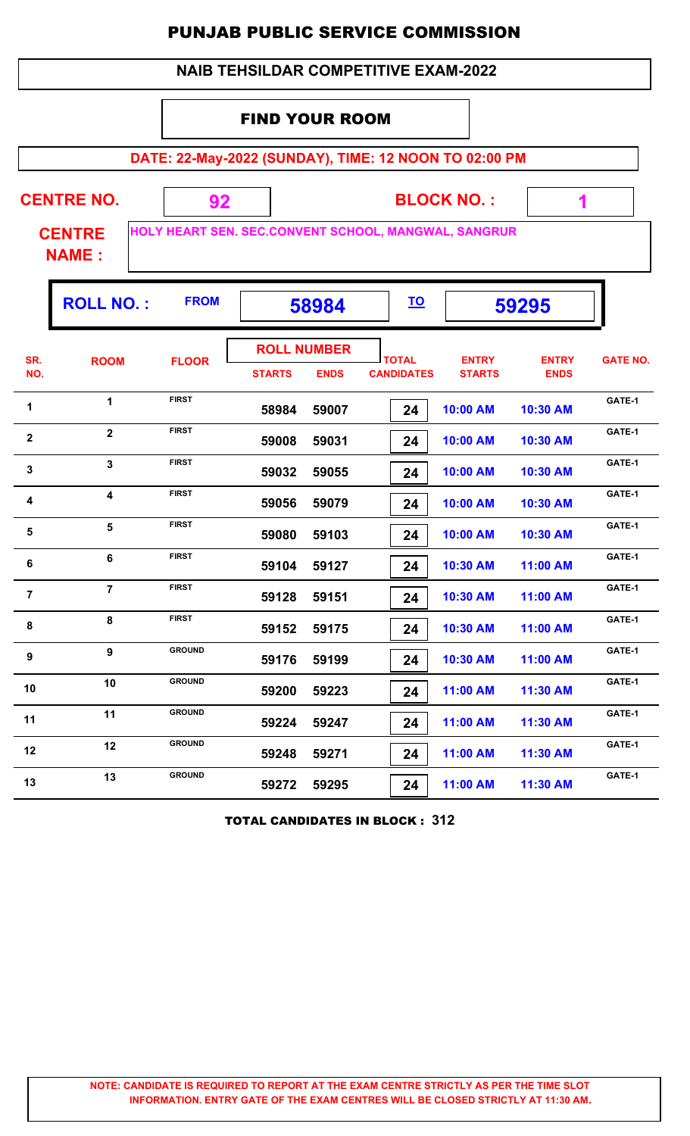|                |                                    |                                                            |                                     |             |                                             | PUNJAD PUBLIG SERVIGE GUIVIIVIISSIUN |                             |                 |
|----------------|------------------------------------|------------------------------------------------------------|-------------------------------------|-------------|---------------------------------------------|--------------------------------------|-----------------------------|-----------------|
|                |                                    |                                                            |                                     |             | <b>NAIB TEHSILDAR COMPETITIVE EXAM-2022</b> |                                      |                             |                 |
|                |                                    |                                                            | <b>FIND YOUR ROOM</b>               |             |                                             |                                      |                             |                 |
|                |                                    | DATE: 22-May-2022 (SUNDAY), TIME: 12 NOON TO 02:00 PM      |                                     |             |                                             |                                      |                             |                 |
|                | <b>CENTRE NO.</b><br><b>CENTRE</b> | 92<br>HOLY HEART SEN. SEC.CONVENT SCHOOL, MANGWAL, SANGRUR |                                     |             |                                             | <b>BLOCK NO.:</b>                    | 1                           |                 |
|                | <b>NAME:</b><br><b>ROLL NO.:</b>   | <b>FROM</b>                                                |                                     | 58984       | <u>TO</u>                                   |                                      | 59295                       |                 |
| SR.<br>NO.     | <b>ROOM</b>                        | <b>FLOOR</b>                                               | <b>ROLL NUMBER</b><br><b>STARTS</b> | <b>ENDS</b> | <b>TOTAL</b><br><b>CANDIDATES</b>           | <b>ENTRY</b><br><b>STARTS</b>        | <b>ENTRY</b><br><b>ENDS</b> | <b>GATE NO.</b> |
| 1              | $\mathbf 1$                        | <b>FIRST</b>                                               | 58984                               | 59007       | 24                                          | 10:00 AM                             | 10:30 AM                    | GATE-1          |
| $\mathbf{2}$   | $\overline{2}$                     | <b>FIRST</b>                                               | 59008                               | 59031       | 24                                          | 10:00 AM                             | 10:30 AM                    | GATE-1          |
| 3              | $\mathbf{3}$                       | <b>FIRST</b>                                               | 59032                               | 59055       | 24                                          | 10:00 AM                             | 10:30 AM                    | GATE-1          |
| 4              | $\overline{\mathbf{4}}$            | <b>FIRST</b>                                               | 59056                               | 59079       | 24                                          | 10:00 AM                             | 10:30 AM                    | GATE-1          |
| 5              | $5\phantom{a}$                     | <b>FIRST</b>                                               | 59080                               | 59103       | 24                                          | 10:00 AM                             | 10:30 AM                    | GATE-1          |
| - 6            | 6                                  | <b>FIRST</b>                                               | 59104                               | 59127       | 24                                          | 10:30 AM                             | 11:00 AM                    | GATE-1          |
| $\overline{7}$ | $\overline{7}$                     | <b>FIRST</b>                                               | 59128                               | 59151       | 24                                          | 10:30 AM                             | 11:00 AM                    | GATE-1          |
| 8              | 8                                  | <b>FIRST</b>                                               | 59152                               | 59175       | 24                                          | 10:30 AM                             | 11:00 AM                    | GATE-1          |
| 9              | 9                                  | <b>GROUND</b>                                              | 59176                               | 59199       | 24                                          | 10:30 AM                             | 11:00 AM                    | GATE-1          |
| 10             | 10                                 | <b>GROUND</b>                                              | 59200                               | 59223       | 24                                          | 11:00 AM                             | 11:30 AM                    | GATE-1          |
| 11             | 11                                 | <b>GROUND</b>                                              | 59224                               | 59247       | 24                                          | 11:00 AM                             | 11:30 AM                    | GATE-1          |
| 12             | 12                                 | <b>GROUND</b>                                              | 59248                               | 59271       | 24                                          | 11:00 AM                             | 11:30 AM                    | GATE-1          |
| 13             | 13                                 | <b>GROUND</b>                                              | 59272                               | 59295       | 24                                          | 11:00 AM                             | 11:30 AM                    | GATE-1          |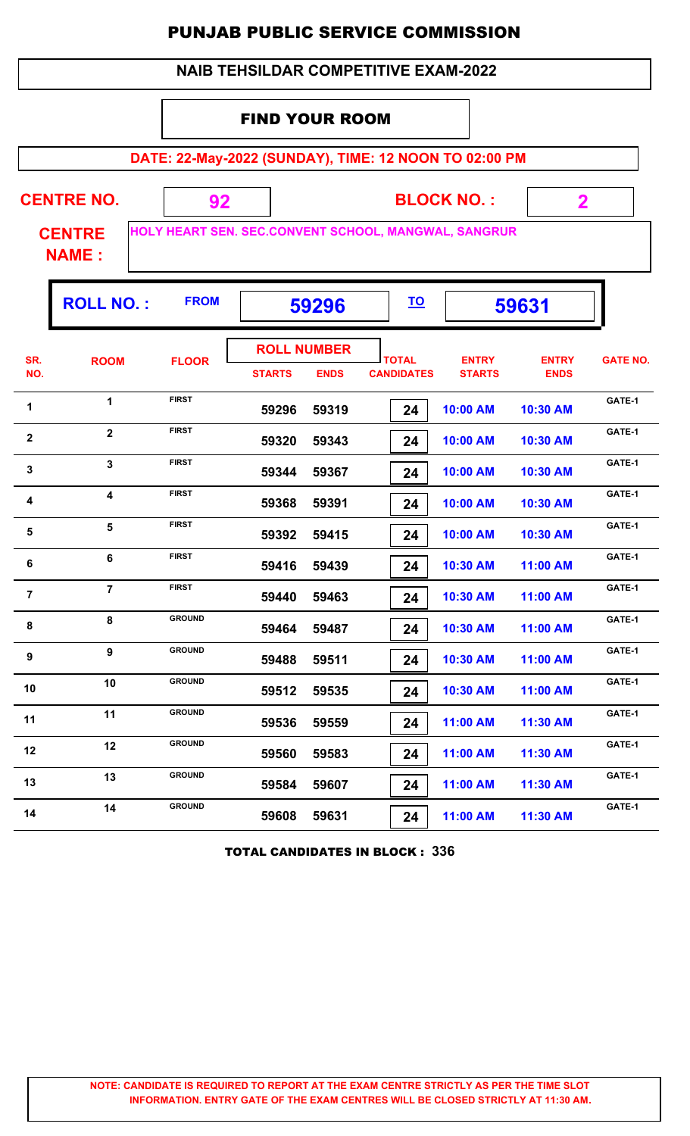|                  |                               |                                                       | <b>NAIB TEHSILDAR COMPETITIVE EXAM-2022</b> |                                   |                                   |           |                               |                             |                 |
|------------------|-------------------------------|-------------------------------------------------------|---------------------------------------------|-----------------------------------|-----------------------------------|-----------|-------------------------------|-----------------------------|-----------------|
|                  |                               |                                                       | <b>FIND YOUR ROOM</b>                       |                                   |                                   |           |                               |                             |                 |
|                  |                               | DATE: 22-May-2022 (SUNDAY), TIME: 12 NOON TO 02:00 PM |                                             |                                   |                                   |           |                               |                             |                 |
|                  | <b>CENTRE NO.</b>             | 92                                                    |                                             |                                   |                                   |           | <b>BLOCK NO.:</b>             | $\mathbf{2}$                |                 |
|                  | <b>CENTRE</b><br><b>NAME:</b> | HOLY HEART SEN. SEC.CONVENT SCHOOL, MANGWAL, SANGRUR  |                                             |                                   |                                   |           |                               |                             |                 |
|                  | <b>ROLL NO.:</b>              | <b>FROM</b>                                           |                                             | 59296                             |                                   | <u>TO</u> |                               | 59631                       |                 |
| SR.<br>NO.       | <b>ROOM</b>                   | <b>FLOOR</b>                                          | <b>STARTS</b>                               | <b>ROLL NUMBER</b><br><b>ENDS</b> | <b>TOTAL</b><br><b>CANDIDATES</b> |           | <b>ENTRY</b><br><b>STARTS</b> | <b>ENTRY</b><br><b>ENDS</b> | <b>GATE NO.</b> |
| 1                | $\mathbf 1$                   | <b>FIRST</b>                                          | 59296                                       | 59319                             |                                   | 24        | 10:00 AM                      | 10:30 AM                    | GATE-1          |
| $\mathbf{2}$     | $\overline{2}$                | <b>FIRST</b>                                          | 59320                                       | 59343                             |                                   | 24        | 10:00 AM                      | 10:30 AM                    | GATE-1          |
| $\mathbf 3$      | $\overline{3}$                | <b>FIRST</b>                                          | 59344                                       | 59367                             |                                   | 24        | 10:00 AM                      | 10:30 AM                    | GATE-1          |
| 4                | $\overline{\mathbf{4}}$       | <b>FIRST</b>                                          | 59368                                       | 59391                             |                                   | 24        | 10:00 AM                      | 10:30 AM                    | GATE-1          |
| 5                | 5                             | <b>FIRST</b>                                          | 59392                                       | 59415                             |                                   | 24        | 10:00 AM                      | 10:30 AM                    | GATE-1          |
| 6                | 6                             | <b>FIRST</b>                                          | 59416                                       | 59439                             |                                   | 24        | 10:30 AM                      | 11:00 AM                    | GATE-1          |
| $\overline{7}$   | $\overline{7}$                | <b>FIRST</b>                                          | 59440                                       | 59463                             |                                   | 24        | 10:30 AM                      | 11:00 AM                    | GATE-1          |
| 8                | 8                             | <b>GROUND</b>                                         | 59464                                       | 59487                             |                                   | 24        | 10:30 AM                      | 11:00 AM                    | GATE-1          |
| $\boldsymbol{9}$ | 9                             | <b>GROUND</b>                                         | 59488                                       | 59511                             |                                   | 24        | 10:30 AM                      | 11:00 AM                    | GATE-1          |
| 10               | 10                            | <b>GROUND</b>                                         | 59512                                       | 59535                             |                                   | 24        | 10:30 AM                      | 11:00 AM                    | GATE-1          |
| 11               | 11                            | <b>GROUND</b>                                         | 59536                                       | 59559                             |                                   | 24        | 11:00 AM                      | 11:30 AM                    | GATE-1          |
| 12               | 12                            | <b>GROUND</b>                                         | 59560                                       | 59583                             |                                   | 24        | 11:00 AM                      | 11:30 AM                    | GATE-1          |
| 13               | 13                            | <b>GROUND</b>                                         | 59584                                       | 59607                             |                                   | 24        | 11:00 AM                      | 11:30 AM                    | GATE-1          |
| 14               | 14                            | <b>GROUND</b>                                         | 59608                                       | 59631                             |                                   | 24        | 11:00 AM                      | 11:30 AM                    | GATE-1          |

TOTAL CANDIDATES IN BLOCK : **336**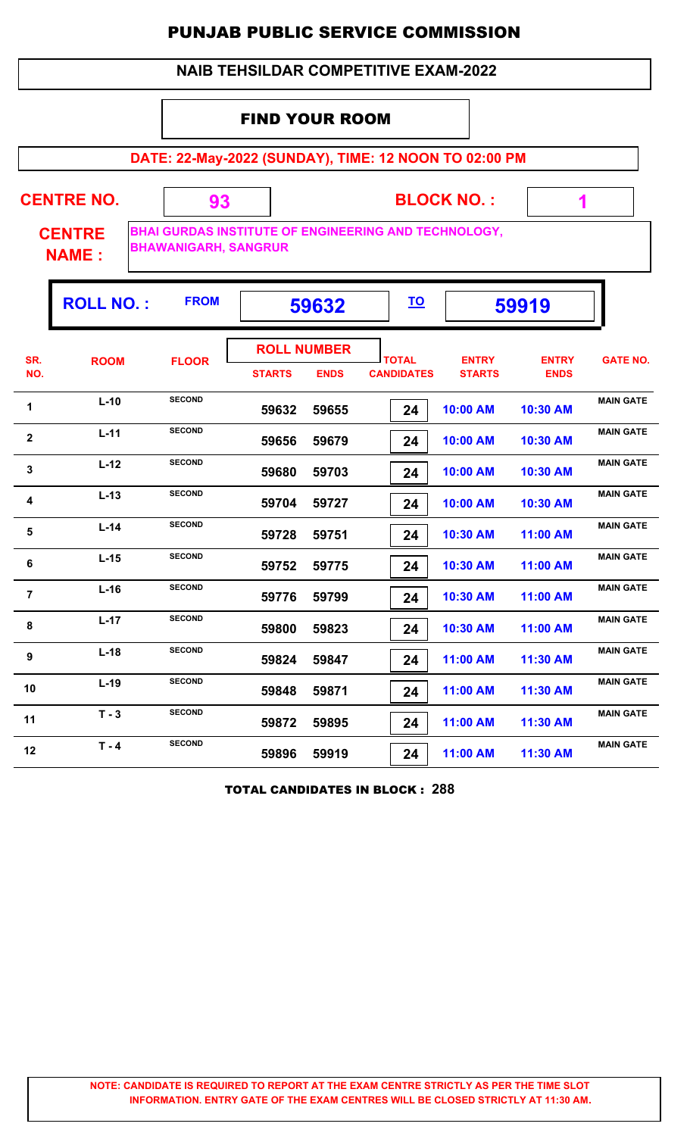## **NAIB TEHSILDAR COMPETITIVE EXAM-2022**

## FIND YOUR ROOM

**DATE: 22-May-2022 (SUNDAY), TIME: 12 NOON TO 02:00 PM**

**CENTRE NO.** 

**BLOCK NO. :**

 **1**

**CENTRE NAME :**

**BHAI GURDAS INSTITUTE OF ENGINEERING AND TECHNOLOGY, BHAWANIGARH, SANGRUR**

 **93**

|                | <b>ROLL NO.:</b> | <b>FROM</b>   | 59632                               |             | <u>TO</u>                         |                               | 59919                       |                  |
|----------------|------------------|---------------|-------------------------------------|-------------|-----------------------------------|-------------------------------|-----------------------------|------------------|
| SR.<br>NO.     | <b>ROOM</b>      | <b>FLOOR</b>  | <b>ROLL NUMBER</b><br><b>STARTS</b> | <b>ENDS</b> | <b>TOTAL</b><br><b>CANDIDATES</b> | <b>ENTRY</b><br><b>STARTS</b> | <b>ENTRY</b><br><b>ENDS</b> | <b>GATE NO.</b>  |
| 1              | $L-10$           | <b>SECOND</b> | 59632                               | 59655       | 24                                | 10:00 AM                      | 10:30 AM                    | <b>MAIN GATE</b> |
| $\mathbf 2$    | $L-11$           | <b>SECOND</b> | 59656                               | 59679       | 24                                | 10:00 AM                      | 10:30 AM                    | <b>MAIN GATE</b> |
| 3              | $L-12$           | <b>SECOND</b> | 59680                               | 59703       | 24                                | 10:00 AM                      | 10:30 AM                    | <b>MAIN GATE</b> |
| 4              | $L-13$           | <b>SECOND</b> | 59704                               | 59727       | 24                                | 10:00 AM                      | 10:30 AM                    | <b>MAIN GATE</b> |
| 5              | $L-14$           | <b>SECOND</b> | 59728                               | 59751       | 24                                | 10:30 AM                      | 11:00 AM                    | <b>MAIN GATE</b> |
| 6              | $L-15$           | <b>SECOND</b> | 59752                               | 59775       | 24                                | 10:30 AM                      | 11:00 AM                    | <b>MAIN GATE</b> |
| $\overline{7}$ | $L-16$           | <b>SECOND</b> | 59776                               | 59799       | 24                                | 10:30 AM                      | 11:00 AM                    | <b>MAIN GATE</b> |
| 8              | $L-17$           | <b>SECOND</b> | 59800                               | 59823       | 24                                | 10:30 AM                      | 11:00 AM                    | <b>MAIN GATE</b> |
| $9$            | $L-18$           | <b>SECOND</b> | 59824                               | 59847       | 24                                | 11:00 AM                      | 11:30 AM                    | <b>MAIN GATE</b> |
| 10             | $L-19$           | <b>SECOND</b> | 59848                               | 59871       | 24                                | 11:00 AM                      | 11:30 AM                    | <b>MAIN GATE</b> |
| 11             | $T - 3$          | <b>SECOND</b> | 59872                               | 59895       | 24                                | 11:00 AM                      | 11:30 AM                    | <b>MAIN GATE</b> |
| 12             | $T - 4$          | <b>SECOND</b> | 59896                               | 59919       | 24                                | 11:00 AM                      | 11:30 AM                    | <b>MAIN GATE</b> |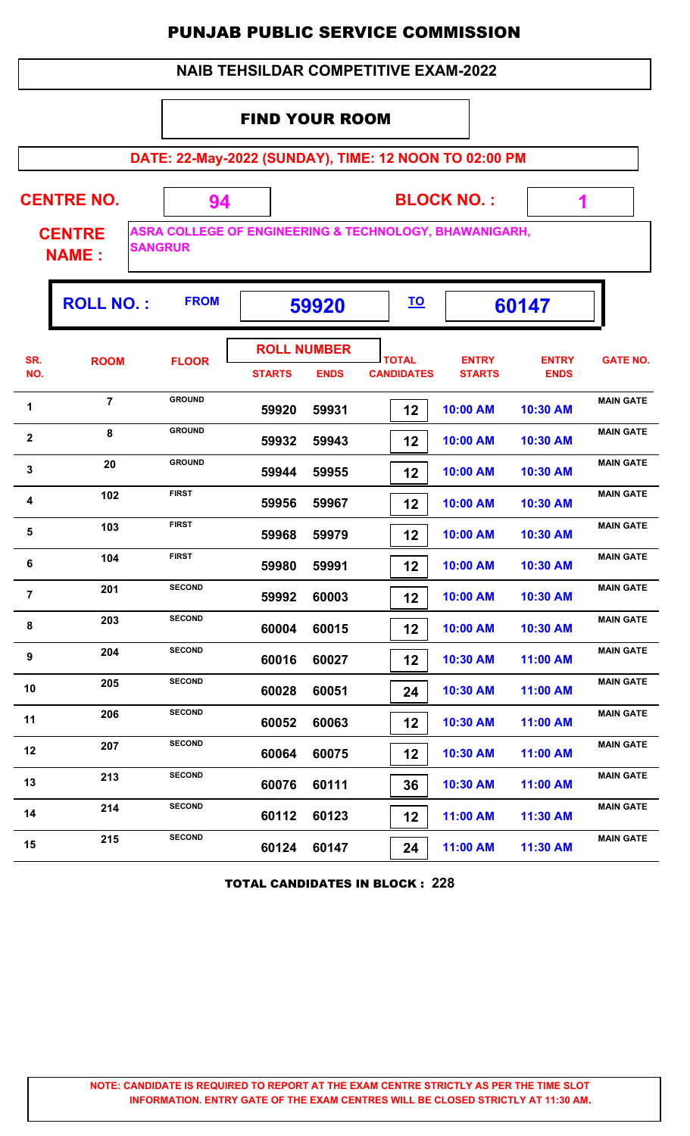|                   |                               |                                                                                     |                       |                                   |                                   | <b>NAIB TEHSILDAR COMPETITIVE EXAM-2022</b> |                             |                  |  |  |  |
|-------------------|-------------------------------|-------------------------------------------------------------------------------------|-----------------------|-----------------------------------|-----------------------------------|---------------------------------------------|-----------------------------|------------------|--|--|--|
|                   |                               |                                                                                     | <b>FIND YOUR ROOM</b> |                                   |                                   |                                             |                             |                  |  |  |  |
|                   |                               | DATE: 22-May-2022 (SUNDAY), TIME: 12 NOON TO 02:00 PM                               |                       |                                   |                                   |                                             |                             |                  |  |  |  |
| <b>CENTRE NO.</b> |                               | 94                                                                                  |                       | <b>BLOCK NO.:</b><br>1            |                                   |                                             |                             |                  |  |  |  |
|                   | <b>CENTRE</b><br><b>NAME:</b> | <b>ASRA COLLEGE OF ENGINEERING &amp; TECHNOLOGY, BHAWANIGARH,</b><br><b>SANGRUR</b> |                       |                                   |                                   |                                             |                             |                  |  |  |  |
|                   | <b>ROLL NO.:</b>              | <b>FROM</b>                                                                         |                       | 59920                             | <u>TO</u>                         |                                             | 60147                       |                  |  |  |  |
| SR.<br>NO.        | <b>ROOM</b>                   | <b>FLOOR</b>                                                                        | <b>STARTS</b>         | <b>ROLL NUMBER</b><br><b>ENDS</b> | <b>TOTAL</b><br><b>CANDIDATES</b> | <b>ENTRY</b><br><b>STARTS</b>               | <b>ENTRY</b><br><b>ENDS</b> | <b>GATE NO.</b>  |  |  |  |
| 1                 | $\overline{7}$                | <b>GROUND</b>                                                                       | 59920                 | 59931                             | 12                                | 10:00 AM                                    | 10:30 AM                    | <b>MAIN GATE</b> |  |  |  |
| $\mathbf{2}$      | 8                             | <b>GROUND</b>                                                                       | 59932                 | 59943                             | 12                                | 10:00 AM                                    | 10:30 AM                    | <b>MAIN GATE</b> |  |  |  |
| 3                 | 20                            | <b>GROUND</b>                                                                       | 59944                 | 59955                             | 12                                | 10:00 AM                                    | 10:30 AM                    | <b>MAIN GATE</b> |  |  |  |
| 4                 | 102                           | <b>FIRST</b>                                                                        | 59956                 | 59967                             | 12                                | 10:00 AM                                    | 10:30 AM                    | <b>MAIN GATE</b> |  |  |  |
| 5                 | 103                           | <b>FIRST</b>                                                                        | 59968                 | 59979                             | 12                                | 10:00 AM                                    | 10:30 AM                    | <b>MAIN GATE</b> |  |  |  |
| 6                 | 104                           | <b>FIRST</b>                                                                        | 59980                 | 59991                             | 12                                | 10:00 AM                                    | 10:30 AM                    | <b>MAIN GATE</b> |  |  |  |
| $\overline{7}$    | 201                           | <b>SECOND</b>                                                                       | 59992                 | 60003                             | 12                                | 10:00 AM                                    | 10:30 AM                    | <b>MAIN GATE</b> |  |  |  |
| 8                 | 203                           | <b>SECOND</b>                                                                       | 60004                 | 60015                             | 12                                | 10:00 AM                                    | 10:30 AM                    | <b>MAIN GATE</b> |  |  |  |
| 9                 | 204                           | <b>SECOND</b>                                                                       | 60016                 | 60027                             | 12                                | 10:30 AM                                    | 11:00 AM                    | <b>MAIN GATE</b> |  |  |  |
| 10                | 205                           | <b>SECOND</b>                                                                       | 60028                 | 60051                             | 24                                | 10:30 AM                                    | 11:00 AM                    | <b>MAIN GATE</b> |  |  |  |
| 11                | 206                           | <b>SECOND</b>                                                                       | 60052                 | 60063                             | 12                                | 10:30 AM                                    | 11:00 AM                    | <b>MAIN GATE</b> |  |  |  |
| 12                | 207                           | <b>SECOND</b>                                                                       | 60064                 | 60075                             | 12                                | 10:30 AM                                    | 11:00 AM                    | <b>MAIN GATE</b> |  |  |  |
| 13                | 213                           | <b>SECOND</b>                                                                       | 60076                 | 60111                             | 36                                | 10:30 AM                                    | 11:00 AM                    | <b>MAIN GATE</b> |  |  |  |
| 14                | 214                           | <b>SECOND</b>                                                                       | 60112                 | 60123                             | 12                                | 11:00 AM                                    | 11:30 AM                    | <b>MAIN GATE</b> |  |  |  |
| 15                | 215                           | <b>SECOND</b>                                                                       | 60124                 | 60147                             | 24                                | 11:00 AM                                    | 11:30 AM                    | <b>MAIN GATE</b> |  |  |  |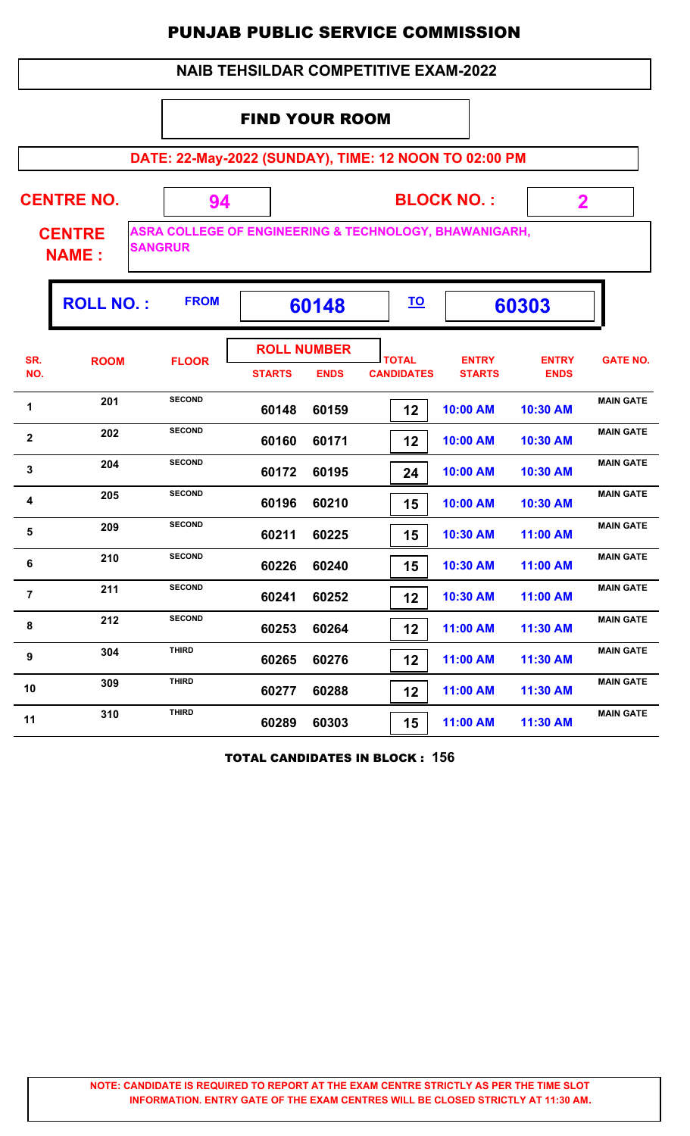|                                                              |                                                       |                                                                                     |                                     |             | <b>NAIB TEHSILDAR COMPETITIVE EXAM-2022</b> |                               |                             |                  |  |  |  |  |  |
|--------------------------------------------------------------|-------------------------------------------------------|-------------------------------------------------------------------------------------|-------------------------------------|-------------|---------------------------------------------|-------------------------------|-----------------------------|------------------|--|--|--|--|--|
|                                                              | <b>FIND YOUR ROOM</b>                                 |                                                                                     |                                     |             |                                             |                               |                             |                  |  |  |  |  |  |
|                                                              | DATE: 22-May-2022 (SUNDAY), TIME: 12 NOON TO 02:00 PM |                                                                                     |                                     |             |                                             |                               |                             |                  |  |  |  |  |  |
| <b>CENTRE NO.</b><br><b>BLOCK NO.:</b><br>94<br>$\mathbf{2}$ |                                                       |                                                                                     |                                     |             |                                             |                               |                             |                  |  |  |  |  |  |
|                                                              | <b>CENTRE</b><br><b>NAME:</b>                         | <b>ASRA COLLEGE OF ENGINEERING &amp; TECHNOLOGY, BHAWANIGARH,</b><br><b>SANGRUR</b> |                                     |             |                                             |                               |                             |                  |  |  |  |  |  |
|                                                              | <b>ROLL NO.:</b>                                      | <b>FROM</b>                                                                         |                                     | 60148       | <u>TO</u>                                   |                               | 60303                       |                  |  |  |  |  |  |
| SR.<br>NO.                                                   | <b>ROOM</b>                                           | <b>FLOOR</b>                                                                        | <b>ROLL NUMBER</b><br><b>STARTS</b> | <b>ENDS</b> | <b>TOTAL</b><br><b>CANDIDATES</b>           | <b>ENTRY</b><br><b>STARTS</b> | <b>ENTRY</b><br><b>ENDS</b> | <b>GATE NO.</b>  |  |  |  |  |  |
| 1                                                            | 201                                                   | <b>SECOND</b>                                                                       | 60148                               | 60159       | 12                                          | 10:00 AM                      | 10:30 AM                    | <b>MAIN GATE</b> |  |  |  |  |  |
| $\mathbf{2}$                                                 | 202                                                   | <b>SECOND</b>                                                                       | 60160                               | 60171       | 12                                          | 10:00 AM                      | 10:30 AM                    | <b>MAIN GATE</b> |  |  |  |  |  |
| 3                                                            | 204                                                   | <b>SECOND</b>                                                                       | 60172                               | 60195       | 24                                          | 10:00 AM                      | 10:30 AM                    | <b>MAIN GATE</b> |  |  |  |  |  |
| 4                                                            | 205                                                   | <b>SECOND</b>                                                                       | 60196                               | 60210       | 15                                          | 10:00 AM                      | 10:30 AM                    | <b>MAIN GATE</b> |  |  |  |  |  |
| 5                                                            | 209                                                   | <b>SECOND</b>                                                                       | 60211                               | 60225       | 15                                          | 10:30 AM                      | 11:00 AM                    | <b>MAIN GATE</b> |  |  |  |  |  |
| 6                                                            | 210                                                   | <b>SECOND</b>                                                                       | 60226                               | 60240       | 15                                          | 10:30 AM                      | 11:00 AM                    | <b>MAIN GATE</b> |  |  |  |  |  |
| $\overline{7}$                                               | 211                                                   | <b>SECOND</b>                                                                       | 60241                               | 60252       | 12                                          | 10:30 AM                      | 11:00 AM                    | <b>MAIN GATE</b> |  |  |  |  |  |
| 8                                                            | 212                                                   | <b>SECOND</b>                                                                       | 60253                               | 60264       | 12                                          | 11:00 AM                      | 11:30 AM                    | <b>MAIN GATE</b> |  |  |  |  |  |
| 9                                                            | 304                                                   | <b>THIRD</b>                                                                        | 60265                               | 60276       | 12                                          | 11:00 AM                      | 11:30 AM                    | <b>MAIN GATE</b> |  |  |  |  |  |
| 10                                                           | 309                                                   | <b>THIRD</b>                                                                        | 60277                               | 60288       | 12                                          | 11:00 AM                      | 11:30 AM                    | <b>MAIN GATE</b> |  |  |  |  |  |
| 11                                                           | 310                                                   | <b>THIRD</b>                                                                        | 60289                               | 60303       | 15                                          | 11:00 AM                      | 11:30 AM                    | <b>MAIN GATE</b> |  |  |  |  |  |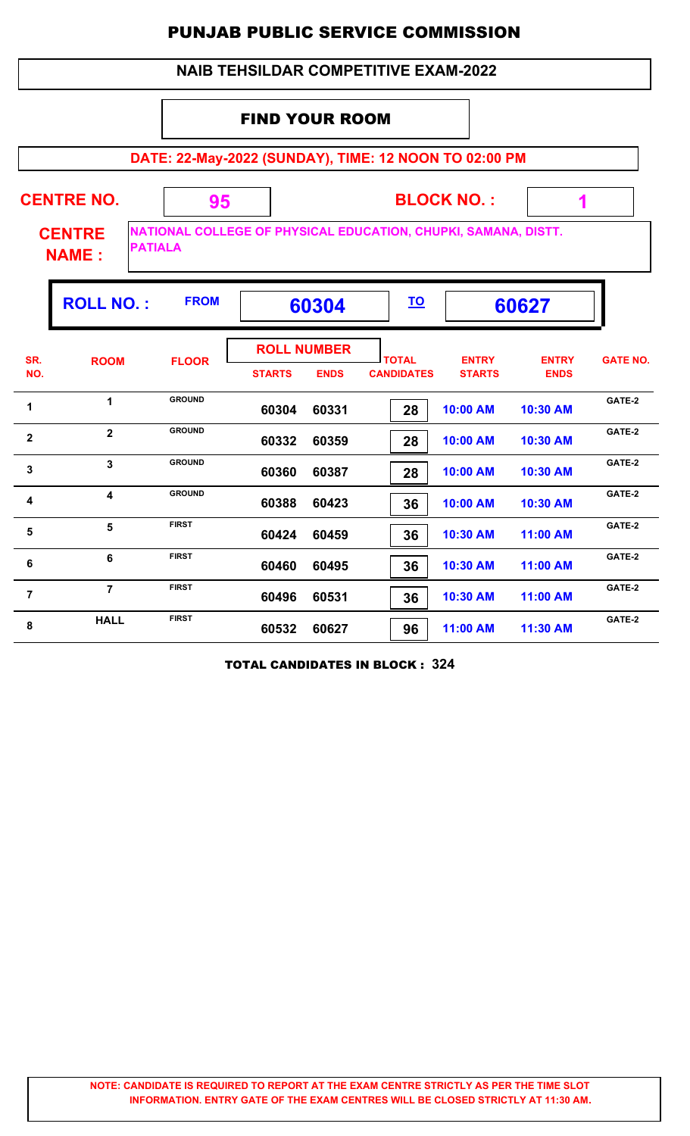# **NAIB TEHSILDAR COMPETITIVE EXAM-2022**

## FIND YOUR ROOM

**DATE: 22-May-2022 (SUNDAY), TIME: 12 NOON TO 02:00 PM**

| <b>CENTRE NO.</b><br><b>CENTRE</b><br><b>PATIALA</b><br><b>NAME:</b> |                      | 95            |               |                                   |                                   | <b>BLOCK NO.:</b><br>1<br>NATIONAL COLLEGE OF PHYSICAL EDUCATION, CHUPKI, SAMANA, DISTT. |                             |                 |  |
|----------------------------------------------------------------------|----------------------|---------------|---------------|-----------------------------------|-----------------------------------|------------------------------------------------------------------------------------------|-----------------------------|-----------------|--|
|                                                                      | <b>ROLL NO.:</b>     | <b>FROM</b>   |               | 60304                             | <u>TO</u>                         |                                                                                          | 60627                       |                 |  |
| SR.<br>NO.                                                           | <b>ROOM</b>          | <b>FLOOR</b>  | <b>STARTS</b> | <b>ROLL NUMBER</b><br><b>ENDS</b> | <b>TOTAL</b><br><b>CANDIDATES</b> | <b>ENTRY</b><br><b>STARTS</b>                                                            | <b>ENTRY</b><br><b>ENDS</b> | <b>GATE NO.</b> |  |
| 1                                                                    | $\blacktriangleleft$ | <b>GROUND</b> | 60304         | 60331                             | 28                                | 10:00 AM                                                                                 | 10:30 AM                    | GATE-2          |  |
| $\overline{\mathbf{2}}$                                              | $\overline{2}$       | <b>GROUND</b> | 60332         | 60359                             | 28                                | 10:00 AM                                                                                 | 10:30 AM                    | GATE-2          |  |
| $\mathbf{3}$                                                         | $\overline{3}$       | <b>GROUND</b> | 60360         | 60387                             | 28                                | 10:00 AM                                                                                 | 10:30 AM                    | GATE-2          |  |
| 4                                                                    | 4                    | <b>GROUND</b> | 60388         | 60423                             | 36                                | 10:00 AM                                                                                 | 10:30 AM                    | GATE-2          |  |
| 5                                                                    | $5\phantom{a}$       | <b>FIRST</b>  | 60424         | 60459                             | 36                                | 10:30 AM                                                                                 | 11:00 AM                    | GATE-2          |  |
| 6                                                                    | 6                    | <b>FIRST</b>  | 60460         | 60495                             | 36                                | 10:30 AM                                                                                 | 11:00 AM                    | GATE-2          |  |
| $\overline{7}$                                                       | $\overline{7}$       | <b>FIRST</b>  | 60496         | 60531                             | 36                                | 10:30 AM                                                                                 | 11:00 AM                    | GATE-2          |  |
| 8                                                                    | <b>HALL</b>          | <b>FIRST</b>  | 60532         | 60627                             | 96                                | 11:00 AM                                                                                 | 11:30 AM                    | GATE-2          |  |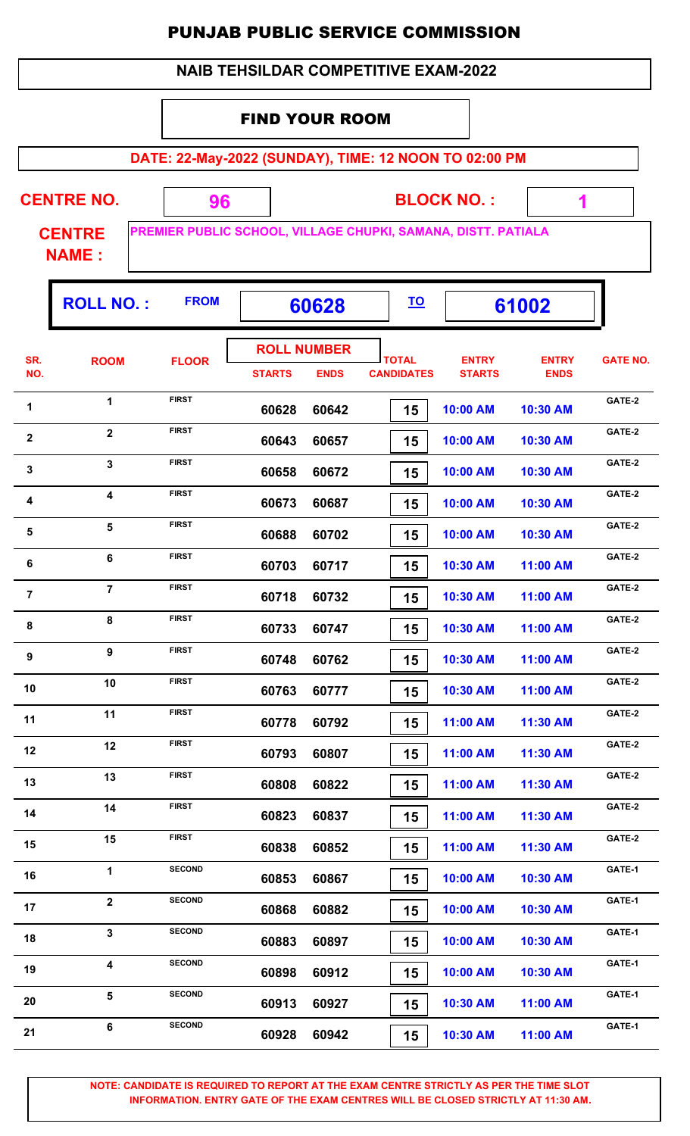|  | <b>NAIB TEHSILDAR COMPETITIVE EXAM-2022</b> |
|--|---------------------------------------------|
|--|---------------------------------------------|

## FIND YOUR ROOM

**DATE: 22-May-2022 (SUNDAY), TIME: 12 NOON TO 02:00 PM**

 **1**

ŋ.

| <b>CENTRE NO.</b> | <b>BLOCK NO.:</b>                                                    |  |
|-------------------|----------------------------------------------------------------------|--|
| <b>CENTRE</b>     | <b>PREMIER PUBLIC SCHOOL, VILLAGE CHUPKI, SAMANA, DISTT. PATIALA</b> |  |

**NAME :**

|                         | <b>ROLL NO.:</b>        | <b>FROM</b>   |               | 60628              |                   |               | 61002        |                 |
|-------------------------|-------------------------|---------------|---------------|--------------------|-------------------|---------------|--------------|-----------------|
| SR.                     | <b>ROOM</b>             | <b>FLOOR</b>  |               | <b>ROLL NUMBER</b> | <b>TOTAL</b>      | <b>ENTRY</b>  | <b>ENTRY</b> | <b>GATE NO.</b> |
| NO.                     |                         |               | <b>STARTS</b> | <b>ENDS</b>        | <b>CANDIDATES</b> | <b>STARTS</b> | <b>ENDS</b>  |                 |
| 1                       | $\mathbf{1}$            | <b>FIRST</b>  | 60628         | 60642              | 15                | 10:00 AM      | 10:30 AM     | GATE-2          |
| $\mathbf{2}$            | $\overline{2}$          | <b>FIRST</b>  | 60643         | 60657              | 15                | 10:00 AM      | 10:30 AM     | GATE-2          |
| $\mathbf{3}$            | $\overline{\mathbf{3}}$ | <b>FIRST</b>  | 60658         | 60672              | 15                | 10:00 AM      | 10:30 AM     | GATE-2          |
| 4                       | 4                       | <b>FIRST</b>  | 60673         | 60687              | 15                | 10:00 AM      | 10:30 AM     | GATE-2          |
| $\overline{\mathbf{5}}$ | 5                       | <b>FIRST</b>  | 60688         | 60702              | 15                | 10:00 AM      | 10:30 AM     | GATE-2          |
| 6                       | $\bf 6$                 | <b>FIRST</b>  | 60703         | 60717              | 15                | 10:30 AM      | 11:00 AM     | GATE-2          |
| $\overline{7}$          | $\overline{7}$          | <b>FIRST</b>  | 60718         | 60732              | 15                | 10:30 AM      | 11:00 AM     | GATE-2          |
| 8                       | 8                       | <b>FIRST</b>  | 60733         | 60747              | 15                | 10:30 AM      | 11:00 AM     | GATE-2          |
| 9                       | 9                       | <b>FIRST</b>  | 60748         | 60762              | 15                | 10:30 AM      | 11:00 AM     | GATE-2          |
| 10                      | 10                      | <b>FIRST</b>  | 60763         | 60777              | 15                | 10:30 AM      | 11:00 AM     | GATE-2          |
| 11                      | 11                      | <b>FIRST</b>  | 60778         | 60792              | 15                | 11:00 AM      | 11:30 AM     | GATE-2          |
| 12                      | 12                      | <b>FIRST</b>  | 60793         | 60807              | 15                | 11:00 AM      | 11:30 AM     | GATE-2          |
| 13                      | 13                      | <b>FIRST</b>  | 60808         | 60822              | 15                | 11:00 AM      | 11:30 AM     | GATE-2          |
| 14                      | 14                      | <b>FIRST</b>  | 60823         | 60837              | 15                | 11:00 AM      | 11:30 AM     | GATE-2          |
| 15                      | 15                      | <b>FIRST</b>  | 60838         | 60852              | 15                | 11:00 AM      | 11:30 AM     | GATE-2          |
| 16                      | $\mathbf{1}$            | <b>SECOND</b> | 60853         | 60867              | 15                | 10:00 AM      | 10:30 AM     | GATE-1          |
| 17                      | $\overline{2}$          | <b>SECOND</b> | 60868         | 60882              | 15                | 10:00 AM      | 10:30 AM     | GATE-1          |
| 18                      | $\mathbf{3}$            | <b>SECOND</b> | 60883         | 60897              | 15                | 10:00 AM      | 10:30 AM     | GATE-1          |
| 19                      | $\overline{\mathbf{4}}$ | <b>SECOND</b> | 60898         | 60912              | 15                | 10:00 AM      | 10:30 AM     | GATE-1          |
| 20                      | 5                       | <b>SECOND</b> | 60913         | 60927              | 15                | 10:30 AM      | 11:00 AM     | GATE-1          |
| 21                      | 6                       | <b>SECOND</b> | 60928         | 60942              | 15                | 10:30 AM      | 11:00 AM     | GATE-1          |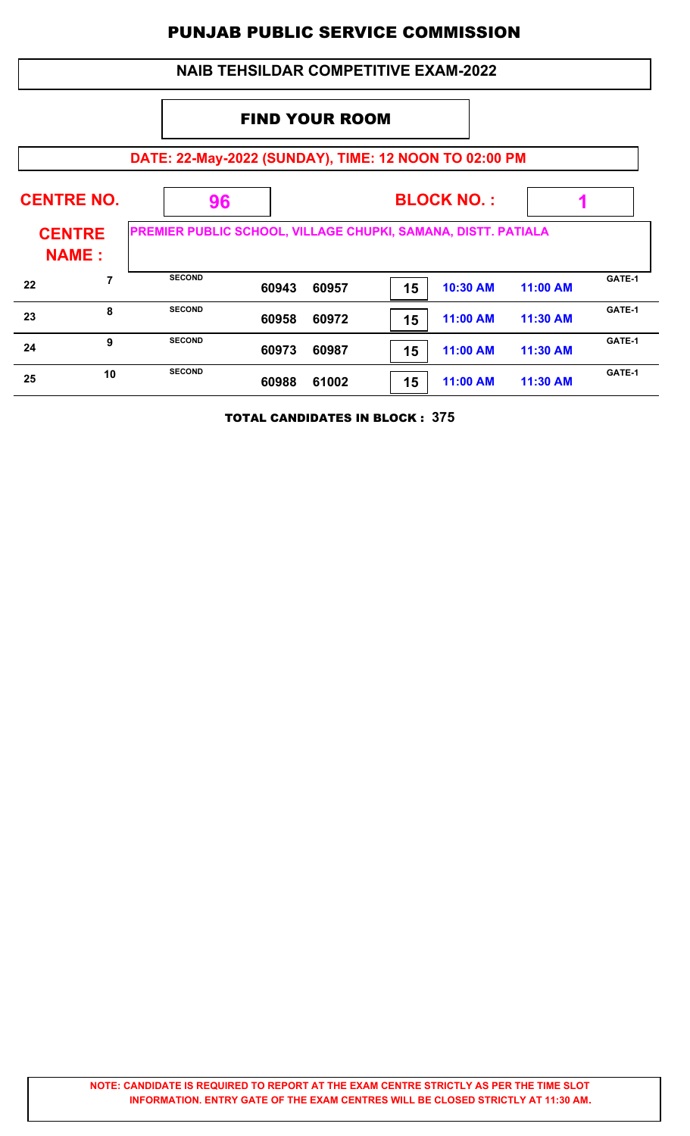|                                                       | <b>NAIB TEHSILDAR COMPETITIVE EXAM-2022</b> |                                                               |       |       |                   |          |                 |        |  |  |  |
|-------------------------------------------------------|---------------------------------------------|---------------------------------------------------------------|-------|-------|-------------------|----------|-----------------|--------|--|--|--|
|                                                       | <b>FIND YOUR ROOM</b>                       |                                                               |       |       |                   |          |                 |        |  |  |  |
| DATE: 22-May-2022 (SUNDAY), TIME: 12 NOON TO 02:00 PM |                                             |                                                               |       |       |                   |          |                 |        |  |  |  |
|                                                       | <b>CENTRE NO.</b>                           | 96                                                            |       |       | <b>BLOCK NO.:</b> |          |                 |        |  |  |  |
| <b>CENTRE</b><br><b>NAME:</b>                         |                                             | PREMIER PUBLIC SCHOOL, VILLAGE CHUPKI, SAMANA, DISTT. PATIALA |       |       |                   |          |                 |        |  |  |  |
| 22                                                    | 7                                           | <b>SECOND</b>                                                 | 60943 | 60957 | 15                | 10:30 AM | <b>11:00 AM</b> | GATE-1 |  |  |  |
| 23                                                    | 8                                           | <b>SECOND</b>                                                 | 60958 | 60972 | 15                | 11:00 AM | 11:30 AM        | GATE-1 |  |  |  |
| 24                                                    | 9                                           | <b>SECOND</b>                                                 | 60973 | 60987 | 15                | 11:00 AM | 11:30 AM        | GATE-1 |  |  |  |
| 25                                                    | 10                                          | <b>SECOND</b>                                                 | 60988 | 61002 | 15                | 11:00 AM | 11:30 AM        | GATE-1 |  |  |  |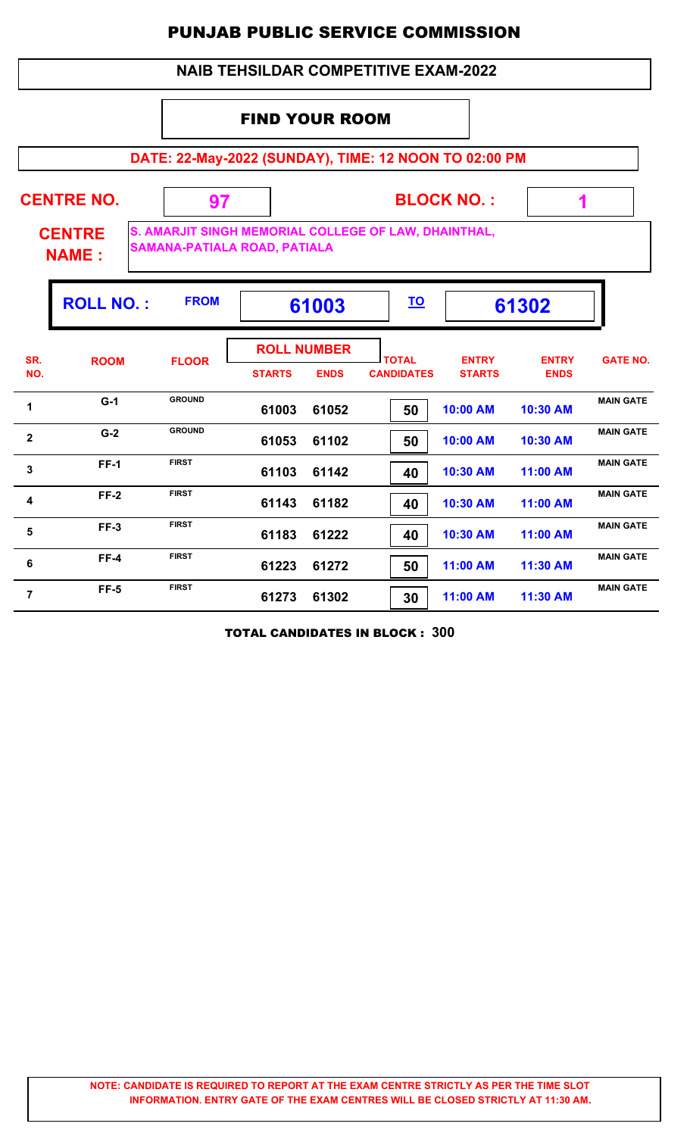## **NAIB TEHSILDAR COMPETITIVE EXAM-2022**

## FIND YOUR ROOM

**DATE: 22-May-2022 (SUNDAY), TIME: 12 NOON TO 02:00 PM**

|                | <b>CENTRE NO.</b><br><b>CENTRE</b><br><b>NAME:</b> | 97<br>S. AMARJIT SINGH MEMORIAL COLLEGE OF LAW, DHAINTHAL,<br><b>SAMANA-PATIALA ROAD, PATIALA</b> |                                     |             |                                   | <b>BLOCK NO.:</b>             | 1                           |                  |
|----------------|----------------------------------------------------|---------------------------------------------------------------------------------------------------|-------------------------------------|-------------|-----------------------------------|-------------------------------|-----------------------------|------------------|
|                | <b>ROLL NO.:</b>                                   | <b>FROM</b>                                                                                       |                                     | 61003       | <u>TO</u>                         |                               | 61302                       |                  |
| SR.<br>NO.     | <b>ROOM</b>                                        | <b>FLOOR</b>                                                                                      | <b>ROLL NUMBER</b><br><b>STARTS</b> | <b>ENDS</b> | <b>TOTAL</b><br><b>CANDIDATES</b> | <b>ENTRY</b><br><b>STARTS</b> | <b>ENTRY</b><br><b>ENDS</b> | <b>GATE NO.</b>  |
| $\mathbf 1$    | $G-1$                                              | <b>GROUND</b>                                                                                     | 61003                               | 61052       | 50                                | 10:00 AM                      | 10:30 AM                    | <b>MAIN GATE</b> |
| 2              | $G-2$                                              | <b>GROUND</b>                                                                                     | 61053                               | 61102       | 50                                | 10:00 AM                      | 10:30 AM                    | <b>MAIN GATE</b> |
| 3              | $FF-1$                                             | <b>FIRST</b>                                                                                      | 61103                               | 61142       | 40                                | 10:30 AM                      | 11:00 AM                    | <b>MAIN GATE</b> |
| 4              | $FF-2$                                             | <b>FIRST</b>                                                                                      | 61143                               | 61182       | 40                                | 10:30 AM                      | 11:00 AM                    | <b>MAIN GATE</b> |
| 5              | $FF-3$                                             | <b>FIRST</b>                                                                                      | 61183                               | 61222       | 40                                | 10:30 AM                      | 11:00 AM                    | <b>MAIN GATE</b> |
| 6              | $FF-4$                                             | <b>FIRST</b>                                                                                      | 61223                               | 61272       | 50                                | 11:00 AM                      | 11:30 AM                    | <b>MAIN GATE</b> |
| $\overline{7}$ | $FF-5$                                             | <b>FIRST</b>                                                                                      | 61273                               | 61302       | 30                                | 11:00 AM                      | 11:30 AM                    | <b>MAIN GATE</b> |

TOTAL CANDIDATES IN BLOCK : **300**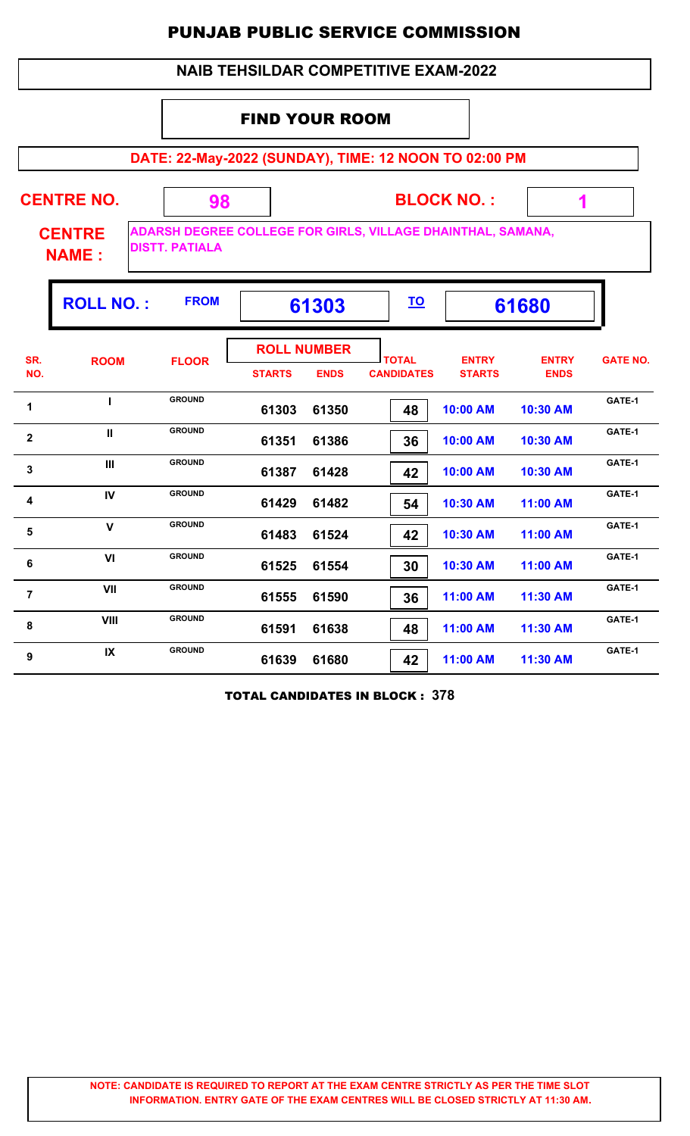## **NAIB TEHSILDAR COMPETITIVE EXAM-2022**

## FIND YOUR ROOM

**DATE: 22-May-2022 (SUNDAY), TIME: 12 NOON TO 02:00 PM**

| <b>CENTRE NO.</b>             |                       | <b>BLOCK NO.:</b>                                                  |  |
|-------------------------------|-----------------------|--------------------------------------------------------------------|--|
| <b>CENTRE</b><br><b>NAME:</b> | <b>DISTT, PATIALA</b> | <b>ADARSH DEGREE COLLEGE FOR GIRLS, VILLAGE DHAINTHAL, SAMANA,</b> |  |

|                         | <b>ROLL NO.:</b> | <b>FROM</b>   | 61303                               |             | <u>TO</u>                         |                               | 61680                       |                 |
|-------------------------|------------------|---------------|-------------------------------------|-------------|-----------------------------------|-------------------------------|-----------------------------|-----------------|
| SR.<br>NO.              | <b>ROOM</b>      | <b>FLOOR</b>  | <b>ROLL NUMBER</b><br><b>STARTS</b> | <b>ENDS</b> | <b>TOTAL</b><br><b>CANDIDATES</b> | <b>ENTRY</b><br><b>STARTS</b> | <b>ENTRY</b><br><b>ENDS</b> | <b>GATE NO.</b> |
| 1                       |                  | <b>GROUND</b> | 61303                               | 61350       | 48                                | 10:00 AM                      | 10:30 AM                    | GATE-1          |
| $\overline{\mathbf{2}}$ | $\mathbf{II}$    | <b>GROUND</b> | 61351                               | 61386       | 36                                | 10:00 AM                      | 10:30 AM                    | GATE-1          |
| $\mathbf{3}$            | Ш                | <b>GROUND</b> | 61387                               | 61428       | 42                                | 10:00 AM                      | 10:30 AM                    | GATE-1          |
| 4                       | IV               | <b>GROUND</b> | 61429                               | 61482       | 54                                | 10:30 AM                      | 11:00 AM                    | GATE-1          |
| 5                       | $\mathbf v$      | <b>GROUND</b> | 61483                               | 61524       | 42                                | 10:30 AM                      | 11:00 AM                    | GATE-1          |
| 6                       | VI               | <b>GROUND</b> | 61525                               | 61554       | 30                                | 10:30 AM                      | 11:00 AM                    | GATE-1          |
| $\overline{7}$          | VII              | <b>GROUND</b> | 61555                               | 61590       | 36                                | 11:00 AM                      | 11:30 AM                    | GATE-1          |
| 8                       | <b>VIII</b>      | <b>GROUND</b> | 61591                               | 61638       | 48                                | 11:00 AM                      | 11:30 AM                    | GATE-1          |
| 9                       | IX               | <b>GROUND</b> | 61639                               | 61680       | 42                                | 11:00 AM                      | 11:30 AM                    | GATE-1          |

TOTAL CANDIDATES IN BLOCK : **378**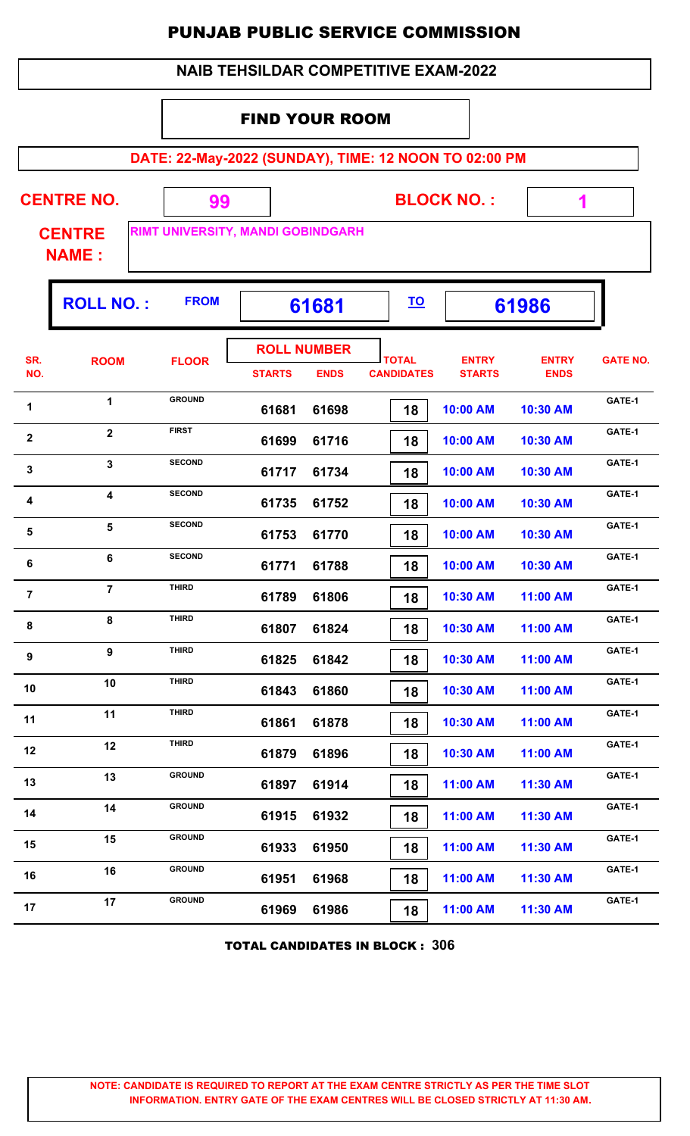|  | <b>NAIB TEHSILDAR COMPETITIVE EXAM-2022</b> |
|--|---------------------------------------------|
|--|---------------------------------------------|

## FIND YOUR ROOM

|              | DATE: 22-May-2022 (SUNDAY), TIME: 12 NOON TO 02:00 PM |                                         |               |                                   |                                   |                               |                             |                 |  |  |  |  |  |
|--------------|-------------------------------------------------------|-----------------------------------------|---------------|-----------------------------------|-----------------------------------|-------------------------------|-----------------------------|-----------------|--|--|--|--|--|
|              | <b>CENTRE NO.</b><br><b>CENTRE</b><br><b>NAME:</b>    | 99<br>RIMT UNIVERSITY, MANDI GOBINDGARH |               |                                   |                                   | <b>BLOCK NO.:</b>             | 1                           |                 |  |  |  |  |  |
|              | <b>ROLL NO.:</b>                                      | <b>FROM</b>                             |               | 61681                             | <u>TO</u>                         |                               | 61986                       |                 |  |  |  |  |  |
| SR.<br>NO.   | <b>ROOM</b>                                           | <b>FLOOR</b>                            | <b>STARTS</b> | <b>ROLL NUMBER</b><br><b>ENDS</b> | <b>TOTAL</b><br><b>CANDIDATES</b> | <b>ENTRY</b><br><b>STARTS</b> | <b>ENTRY</b><br><b>ENDS</b> | <b>GATE NO.</b> |  |  |  |  |  |
| 1            | 1                                                     | <b>GROUND</b>                           | 61681         | 61698                             | 18                                | 10:00 AM                      | 10:30 AM                    | GATE-1          |  |  |  |  |  |
| $\mathbf{2}$ | $\overline{2}$                                        | <b>FIRST</b>                            | 61699         | 61716                             | 18                                | 10:00 AM                      | 10:30 AM                    | GATE-1          |  |  |  |  |  |
| 3            | $\overline{3}$                                        | <b>SECOND</b>                           | 61717         | 61734                             | 18                                | 10:00 AM                      | 10:30 AM                    | GATE-1          |  |  |  |  |  |
| 4            | $\overline{\mathbf{4}}$                               | <b>SECOND</b>                           | 61735         | 61752                             | 18                                | 10:00 AM                      | 10:30 AM                    | GATE-1          |  |  |  |  |  |
| 5            | 5                                                     | <b>SECOND</b>                           | 61753         | 61770                             | 18                                | 10:00 AM                      | 10:30 AM                    | GATE-1          |  |  |  |  |  |
| 6            | 6                                                     | <b>SECOND</b>                           | 61771         | 61788                             | 18                                | 10:00 AM                      | 10:30 AM                    | GATE-1          |  |  |  |  |  |

| 6              | 6              | <b>SECOND</b> | 61771 | 61788 | 18 | 10:00 AM | 10:30 AM | GATE-1 |
|----------------|----------------|---------------|-------|-------|----|----------|----------|--------|
| $\overline{7}$ | $\overline{7}$ | <b>THIRD</b>  | 61789 | 61806 | 18 | 10:30 AM | 11:00 AM | GATE-1 |
| 8              | 8              | <b>THIRD</b>  | 61807 | 61824 | 18 | 10:30 AM | 11:00 AM | GATE-1 |
| 9              | 9              | <b>THIRD</b>  | 61825 | 61842 | 18 | 10:30 AM | 11:00 AM | GATE-1 |
| 10             | 10             | <b>THIRD</b>  | 61843 | 61860 | 18 | 10:30 AM | 11:00 AM | GATE-1 |
| 11             | 11             | <b>THIRD</b>  | 61861 | 61878 | 18 | 10:30 AM | 11:00 AM | GATE-1 |
| 12             | 12             | <b>THIRD</b>  | 61879 | 61896 | 18 | 10:30 AM | 11:00 AM | GATE-1 |
| 13             | 13             | <b>GROUND</b> | 61897 | 61914 | 18 | 11:00 AM | 11:30 AM | GATE-1 |
| 14             | 14             | <b>GROUND</b> | 61915 | 61932 | 18 | 11:00 AM | 11:30 AM | GATE-1 |
| 15             | 15             | <b>GROUND</b> | 61933 | 61950 | 18 | 11:00 AM | 11:30 AM | GATE-1 |
| 16             | 16             | <b>GROUND</b> | 61951 | 61968 | 18 | 11:00 AM | 11:30 AM | GATE-1 |
| 17             | 17             | <b>GROUND</b> | 61969 | 61986 | 18 | 11:00 AM | 11:30 AM | GATE-1 |
|                |                |               |       |       |    |          |          |        |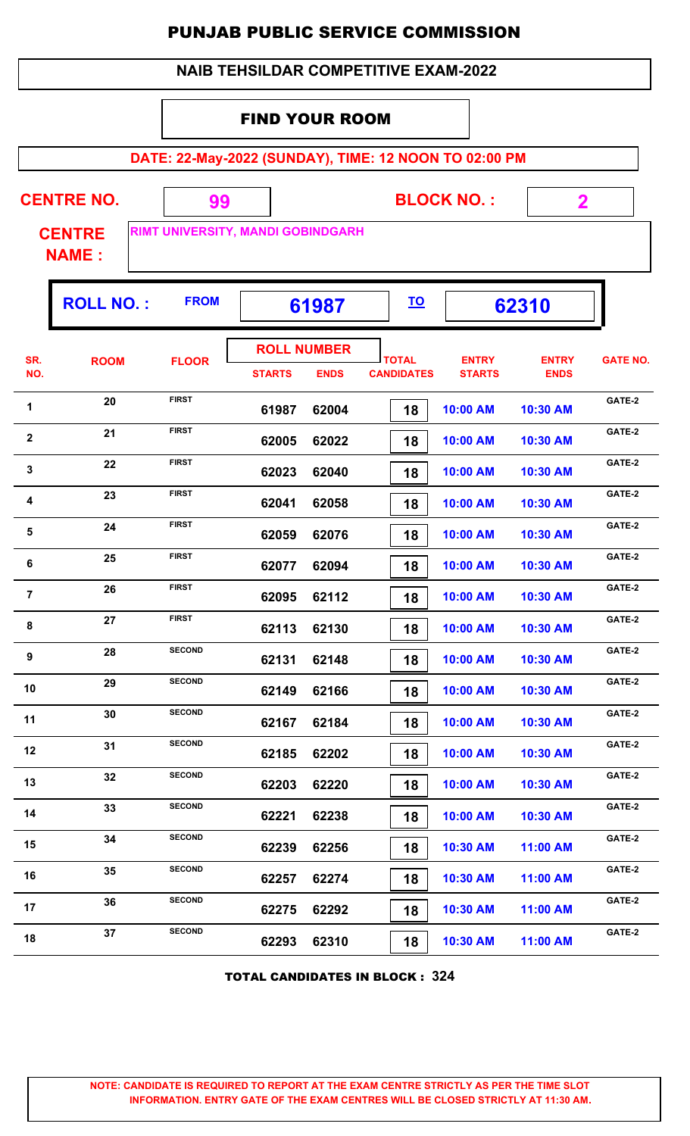|  | <b>NAIB TEHSILDAR COMPETITIVE EXAM-2022</b> |
|--|---------------------------------------------|
|--|---------------------------------------------|

## FIND YOUR ROOM

**DATE: 22-May-2022 (SUNDAY), TIME: 12 NOON TO 02:00 PM**

| <b>CENTRE NO.</b>             | 99          |                                          | <b>BLOCK NO.:</b> |       |  |
|-------------------------------|-------------|------------------------------------------|-------------------|-------|--|
| <b>CENTRE</b><br><b>NAME:</b> |             | <b>RIMT UNIVERSITY, MANDI GOBINDGARH</b> |                   |       |  |
| <b>ROLL NO.:</b>              | <b>FROM</b> | 61987                                    | <u>TO</u>         | 62310 |  |

|                |             |               | <b>ROLL NUMBER</b> |             |                                   |                               |                             |                 |
|----------------|-------------|---------------|--------------------|-------------|-----------------------------------|-------------------------------|-----------------------------|-----------------|
| SR.<br>NO.     | <b>ROOM</b> | <b>FLOOR</b>  | <b>STARTS</b>      | <b>ENDS</b> | <b>TOTAL</b><br><b>CANDIDATES</b> | <b>ENTRY</b><br><b>STARTS</b> | <b>ENTRY</b><br><b>ENDS</b> | <b>GATE NO.</b> |
| 1              | 20          | <b>FIRST</b>  | 61987              | 62004       | 18                                | 10:00 AM                      | 10:30 AM                    | GATE-2          |
| $\mathbf{2}$   | 21          | <b>FIRST</b>  | 62005              | 62022       | 18                                | 10:00 AM                      | 10:30 AM                    | GATE-2          |
| $\mathbf{3}$   | 22          | <b>FIRST</b>  | 62023              | 62040       | 18                                | 10:00 AM                      | 10:30 AM                    | GATE-2          |
| 4              | 23          | <b>FIRST</b>  | 62041              | 62058       | 18                                | 10:00 AM                      | 10:30 AM                    | GATE-2          |
| 5              | 24          | <b>FIRST</b>  | 62059              | 62076       | 18                                | 10:00 AM                      | 10:30 AM                    | GATE-2          |
| 6              | 25          | <b>FIRST</b>  | 62077              | 62094       | 18                                | 10:00 AM                      | 10:30 AM                    | GATE-2          |
| $\overline{7}$ | 26          | <b>FIRST</b>  | 62095              | 62112       | 18                                | 10:00 AM                      | 10:30 AM                    | GATE-2          |
| 8              | 27          | <b>FIRST</b>  | 62113              | 62130       | 18                                | 10:00 AM                      | 10:30 AM                    | GATE-2          |
| 9              | 28          | <b>SECOND</b> | 62131              | 62148       | 18                                | 10:00 AM                      | 10:30 AM                    | GATE-2          |
| 10             | 29          | <b>SECOND</b> | 62149              | 62166       | 18                                | 10:00 AM                      | 10:30 AM                    | GATE-2          |
| 11             | 30          | <b>SECOND</b> | 62167              | 62184       | 18                                | 10:00 AM                      | 10:30 AM                    | GATE-2          |
| 12             | 31          | <b>SECOND</b> | 62185              | 62202       | 18                                | 10:00 AM                      | 10:30 AM                    | GATE-2          |
| 13             | 32          | <b>SECOND</b> | 62203              | 62220       | 18                                | 10:00 AM                      | 10:30 AM                    | GATE-2          |
| 14             | 33          | <b>SECOND</b> | 62221              | 62238       | 18                                | 10:00 AM                      | 10:30 AM                    | GATE-2          |
| 15             | 34          | <b>SECOND</b> | 62239              | 62256       | 18                                | 10:30 AM                      | 11:00 AM                    | GATE-2          |
| 16             | 35          | <b>SECOND</b> | 62257              | 62274       | 18                                | 10:30 AM                      | 11:00 AM                    | GATE-2          |
| 17             | 36          | <b>SECOND</b> | 62275              | 62292       | 18                                | 10:30 AM                      | 11:00 AM                    | GATE-2          |
| 18             | 37          | <b>SECOND</b> | 62293              | 62310       | 18                                | 10:30 AM                      | 11:00 AM                    | GATE-2          |
|                |             |               |                    |             |                                   |                               |                             |                 |

TOTAL CANDIDATES IN BLOCK : **324**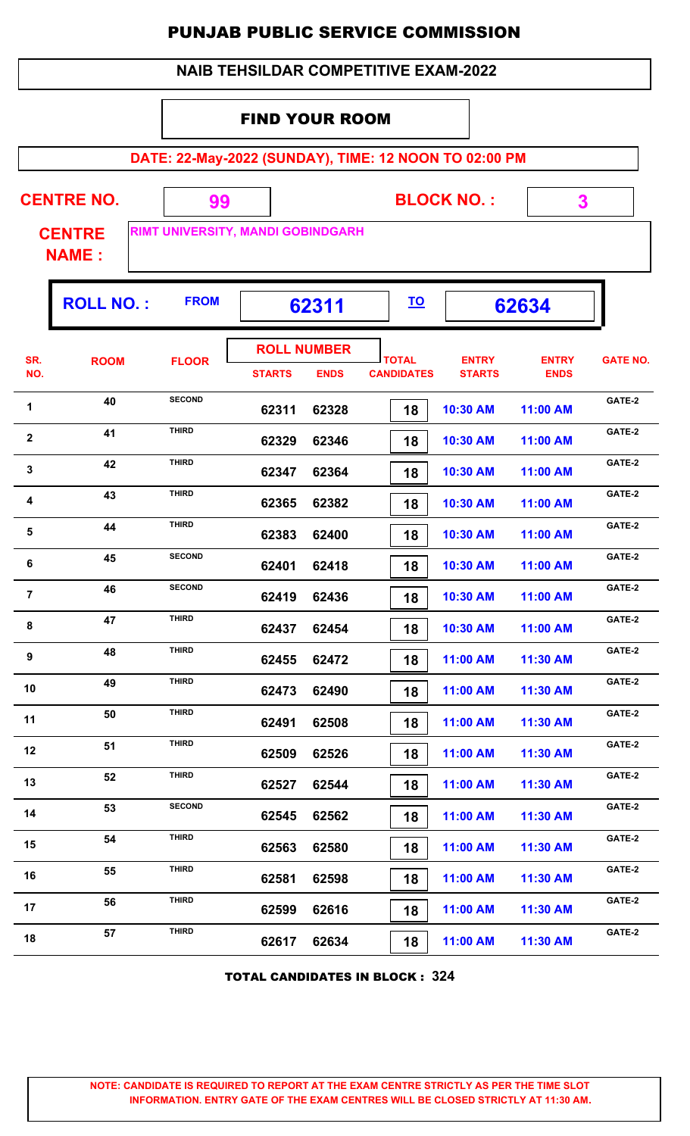|  | <b>NAIB TEHSILDAR COMPETITIVE EXAM-2022</b> |
|--|---------------------------------------------|
|--|---------------------------------------------|

## FIND YOUR ROOM

**DATE: 22-May-2022 (SUNDAY), TIME: 12 NOON TO 02:00 PM**

| <b>CENTRE NO.</b><br><b>CENTRE</b><br><b>NAME:</b> |                  | 99<br><b>RIMT UNIVERSITY, MANDI GOBINDGARH</b> |               |                                   |                                   | <b>BLOCK NO.:</b>             |                             |                 |
|----------------------------------------------------|------------------|------------------------------------------------|---------------|-----------------------------------|-----------------------------------|-------------------------------|-----------------------------|-----------------|
|                                                    | <b>ROLL NO.:</b> | <b>FROM</b>                                    |               | 62311                             | <u>TO</u>                         |                               | 62634                       |                 |
| SR.<br>NO.                                         | <b>ROOM</b>      | <b>FLOOR</b>                                   | <b>STARTS</b> | <b>ROLL NUMBER</b><br><b>ENDS</b> | <b>TOTAL</b><br><b>CANDIDATES</b> | <b>ENTRY</b><br><b>STARTS</b> | <b>ENTRY</b><br><b>ENDS</b> | <b>GATE NO.</b> |
| 1                                                  | 40               | <b>SECOND</b>                                  | 62311         | 62328                             | 18                                | 10:30 AM                      | 11:00 AM                    | GATE-2          |

| 1              | 4V | ᇦᄂᇰᇦᇽᇦ        | 62311 | 62328 | 18 | 10:30 AM | 11:00 AM | <b>SAIL-4</b> |
|----------------|----|---------------|-------|-------|----|----------|----------|---------------|
| $\mathbf{2}$   | 41 | <b>THIRD</b>  | 62329 | 62346 | 18 | 10:30 AM | 11:00 AM | GATE-2        |
| $\mathbf{3}$   | 42 | <b>THIRD</b>  | 62347 | 62364 | 18 | 10:30 AM | 11:00 AM | GATE-2        |
| 4              | 43 | <b>THIRD</b>  | 62365 | 62382 | 18 | 10:30 AM | 11:00 AM | GATE-2        |
| 5              | 44 | <b>THIRD</b>  | 62383 | 62400 | 18 | 10:30 AM | 11:00 AM | GATE-2        |
| 6              | 45 | <b>SECOND</b> | 62401 | 62418 | 18 | 10:30 AM | 11:00 AM | GATE-2        |
| $\overline{7}$ | 46 | <b>SECOND</b> | 62419 | 62436 | 18 | 10:30 AM | 11:00 AM | GATE-2        |
| 8              | 47 | <b>THIRD</b>  | 62437 | 62454 | 18 | 10:30 AM | 11:00 AM | GATE-2        |
| 9              | 48 | <b>THIRD</b>  | 62455 | 62472 | 18 | 11:00 AM | 11:30 AM | GATE-2        |
| 10             | 49 | <b>THIRD</b>  | 62473 | 62490 | 18 | 11:00 AM | 11:30 AM | GATE-2        |
| 11             | 50 | <b>THIRD</b>  | 62491 | 62508 | 18 | 11:00 AM | 11:30 AM | GATE-2        |
| 12             | 51 | <b>THIRD</b>  | 62509 | 62526 | 18 | 11:00 AM | 11:30 AM | GATE-2        |
| 13             | 52 | <b>THIRD</b>  | 62527 | 62544 | 18 | 11:00 AM | 11:30 AM | GATE-2        |
| 14             | 53 | <b>SECOND</b> | 62545 | 62562 | 18 | 11:00 AM | 11:30 AM | GATE-2        |
| 15             | 54 | <b>THIRD</b>  | 62563 | 62580 | 18 | 11:00 AM | 11:30 AM | GATE-2        |
| 16             | 55 | <b>THIRD</b>  | 62581 | 62598 | 18 | 11:00 AM | 11:30 AM | GATE-2        |
| 17             | 56 | <b>THIRD</b>  | 62599 | 62616 | 18 | 11:00 AM | 11:30 AM | GATE-2        |
| 18             | 57 | <b>THIRD</b>  | 62617 | 62634 | 18 | 11:00 AM | 11:30 AM | GATE-2        |
|                |    |               |       |       |    |          |          |               |

TOTAL CANDIDATES IN BLOCK : **324**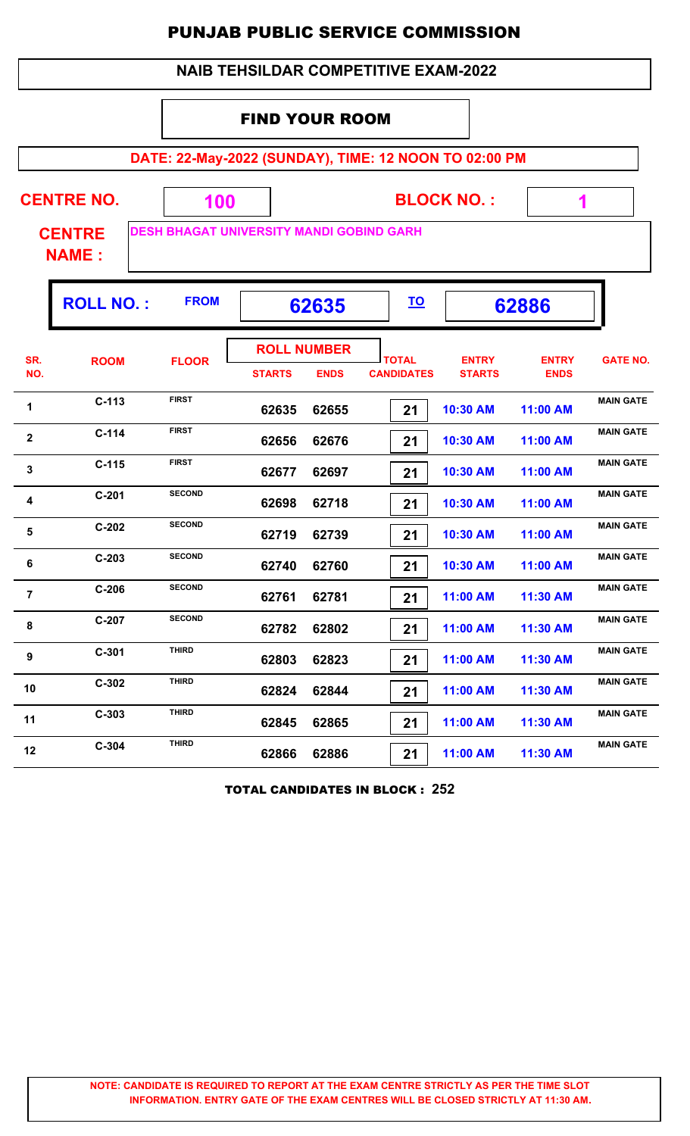|                         | <b>NAIB TEHSILDAR COMPETITIVE EXAM-2022</b>        |                                                        |                                     |             |                                                       |                               |                             |                  |  |  |  |
|-------------------------|----------------------------------------------------|--------------------------------------------------------|-------------------------------------|-------------|-------------------------------------------------------|-------------------------------|-----------------------------|------------------|--|--|--|
| <b>FIND YOUR ROOM</b>   |                                                    |                                                        |                                     |             |                                                       |                               |                             |                  |  |  |  |
|                         |                                                    |                                                        |                                     |             | DATE: 22-May-2022 (SUNDAY), TIME: 12 NOON TO 02:00 PM |                               |                             |                  |  |  |  |
|                         | <b>CENTRE NO.</b><br><b>CENTRE</b><br><b>NAME:</b> | 100<br><b>DESH BHAGAT UNIVERSITY MANDI GOBIND GARH</b> |                                     |             |                                                       | <b>BLOCK NO.:</b>             | 1                           |                  |  |  |  |
|                         | <b>ROLL NO.:</b>                                   | <b>FROM</b>                                            |                                     | 62635       | <u>TO</u>                                             |                               | 62886                       |                  |  |  |  |
| SR.<br>NO.              | <b>ROOM</b>                                        | <b>FLOOR</b>                                           | <b>ROLL NUMBER</b><br><b>STARTS</b> | <b>ENDS</b> | <b>TOTAL</b><br><b>CANDIDATES</b>                     | <b>ENTRY</b><br><b>STARTS</b> | <b>ENTRY</b><br><b>ENDS</b> | <b>GATE NO.</b>  |  |  |  |
| 1                       | $C-113$                                            | <b>FIRST</b>                                           | 62635                               | 62655       | 21                                                    | 10:30 AM                      | 11:00 AM                    | <b>MAIN GATE</b> |  |  |  |
| $\overline{\mathbf{2}}$ | $C-114$                                            | <b>FIRST</b>                                           | 62656                               | 62676       | 21                                                    | 10:30 AM                      | 11:00 AM                    | <b>MAIN GATE</b> |  |  |  |
| 3                       | $C-115$                                            | <b>FIRST</b>                                           | 62677                               | 62697       | 21                                                    | 10:30 AM                      | 11:00 AM                    | <b>MAIN GATE</b> |  |  |  |
| 4                       | $C-201$                                            | <b>SECOND</b>                                          | 62698                               | 62718       | 21                                                    | 10:30 AM                      | 11:00 AM                    | <b>MAIN GATE</b> |  |  |  |
| 5                       | $C-202$                                            | <b>SECOND</b>                                          | 62719                               | 62739       | 21                                                    | 10:30 AM                      | 11:00 AM                    | <b>MAIN GATE</b> |  |  |  |
| 6                       | $C-203$                                            | <b>SECOND</b>                                          | 62740                               | 62760       | 21                                                    | 10:30 AM                      | 11:00 AM                    | <b>MAIN GATE</b> |  |  |  |
| $\overline{7}$          | $C-206$                                            | <b>SECOND</b>                                          | 62761                               | 62781       | 21                                                    | 11:00 AM                      | 11:30 AM                    | <b>MAIN GATE</b> |  |  |  |
| 8                       | $C-207$                                            | <b>SECOND</b>                                          | 62782                               | 62802       | 21                                                    | 11:00 AM                      | 11:30 AM                    | <b>MAIN GATE</b> |  |  |  |
| 9                       | $C-301$                                            | <b>THIRD</b>                                           | 62803                               | 62823       | 21                                                    | 11:00 AM                      | 11:30 AM                    | <b>MAIN GATE</b> |  |  |  |
| 10                      | $C-302$                                            | <b>THIRD</b>                                           | 62824                               | 62844       | 21                                                    | 11:00 AM                      | 11:30 AM                    | <b>MAIN GATE</b> |  |  |  |
| 11                      | $C-303$                                            | <b>THIRD</b>                                           | 62845                               | 62865       | 21                                                    | 11:00 AM                      | 11:30 AM                    | <b>MAIN GATE</b> |  |  |  |
| 12                      | $C-304$                                            | <b>THIRD</b>                                           | 62866                               | 62886       | 21                                                    | 11:00 AM                      | 11:30 AM                    | <b>MAIN GATE</b> |  |  |  |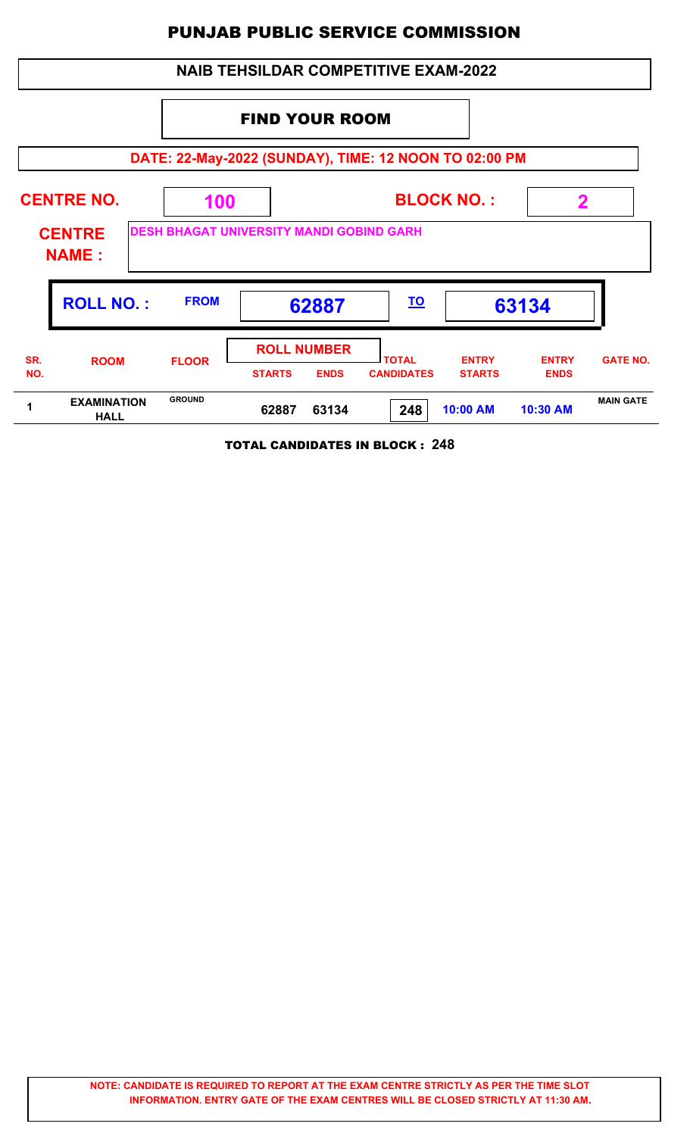| <b>NAIB TEHSILDAR COMPETITIVE EXAM-2022</b>           |                                   |               |                                                    |                                   |                               |                             |                  |  |  |  |
|-------------------------------------------------------|-----------------------------------|---------------|----------------------------------------------------|-----------------------------------|-------------------------------|-----------------------------|------------------|--|--|--|
|                                                       | <b>FIND YOUR ROOM</b>             |               |                                                    |                                   |                               |                             |                  |  |  |  |
| DATE: 22-May-2022 (SUNDAY), TIME: 12 NOON TO 02:00 PM |                                   |               |                                                    |                                   |                               |                             |                  |  |  |  |
|                                                       | <b>CENTRE NO.</b>                 | 100           | <b>BLOCK NO.:</b>                                  |                                   |                               | 2                           |                  |  |  |  |
| <b>CENTRE</b><br><b>NAME:</b>                         |                                   |               | <b>DESH BHAGAT UNIVERSITY MANDI GOBIND GARH</b>    |                                   |                               |                             |                  |  |  |  |
|                                                       | <b>ROLL NO.:</b>                  | <b>FROM</b>   | 62887                                              | <u>TO</u>                         |                               | 63134                       |                  |  |  |  |
| SR.<br>NO.                                            | <b>ROOM</b>                       | <b>FLOOR</b>  | <b>ROLL NUMBER</b><br><b>STARTS</b><br><b>ENDS</b> | <b>TOTAL</b><br><b>CANDIDATES</b> | <b>ENTRY</b><br><b>STARTS</b> | <b>ENTRY</b><br><b>ENDS</b> | <b>GATE NO.</b>  |  |  |  |
| 1                                                     | <b>EXAMINATION</b><br><b>HALL</b> | <b>GROUND</b> | 62887<br>63134                                     | 248                               | 10:00 AM                      | 10:30 AM                    | <b>MAIN GATE</b> |  |  |  |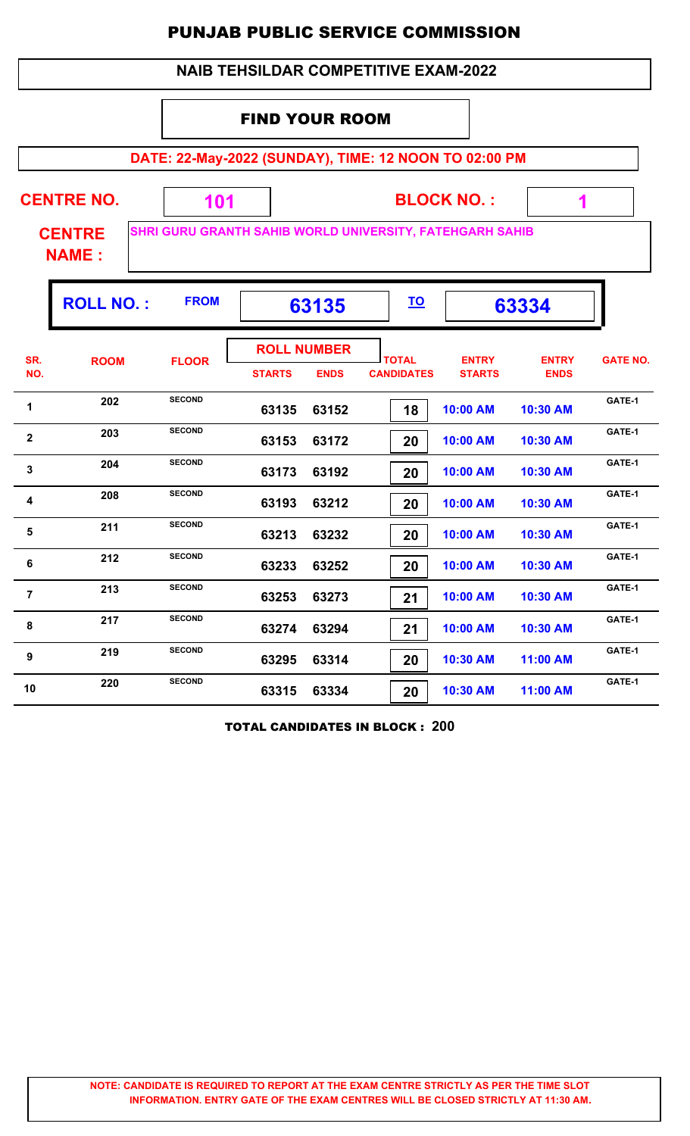|                |                               |                                                          |                       |                                   | <b>NAIB TEHSILDAR COMPETITIVE EXAM-2022</b> |                               |                             |                 |
|----------------|-------------------------------|----------------------------------------------------------|-----------------------|-----------------------------------|---------------------------------------------|-------------------------------|-----------------------------|-----------------|
|                |                               |                                                          | <b>FIND YOUR ROOM</b> |                                   |                                             |                               |                             |                 |
|                |                               | DATE: 22-May-2022 (SUNDAY), TIME: 12 NOON TO 02:00 PM    |                       |                                   |                                             |                               |                             |                 |
|                | <b>CENTRE NO.</b>             | 101                                                      |                       |                                   |                                             | <b>BLOCK NO.:</b>             | 1                           |                 |
|                | <b>CENTRE</b><br><b>NAME:</b> | SHRI GURU GRANTH SAHIB WORLD UNIVERSITY, FATEHGARH SAHIB |                       |                                   |                                             |                               |                             |                 |
|                | <b>ROLL NO.:</b>              | <b>FROM</b>                                              |                       | 63135                             | <u>TO</u>                                   |                               | 63334                       |                 |
| SR.<br>NO.     | <b>ROOM</b>                   | <b>FLOOR</b>                                             | <b>STARTS</b>         | <b>ROLL NUMBER</b><br><b>ENDS</b> | <b>TOTAL</b><br><b>CANDIDATES</b>           | <b>ENTRY</b><br><b>STARTS</b> | <b>ENTRY</b><br><b>ENDS</b> | <b>GATE NO.</b> |
| 1              | 202                           | <b>SECOND</b>                                            | 63135                 | 63152                             | 18                                          | 10:00 AM                      | 10:30 AM                    | GATE-1          |
| $\mathbf{2}$   | 203                           | <b>SECOND</b>                                            | 63153                 | 63172                             | 20                                          | 10:00 AM                      | 10:30 AM                    | GATE-1          |
| 3              | 204                           | <b>SECOND</b>                                            | 63173                 | 63192                             | 20                                          | 10:00 AM                      | 10:30 AM                    | GATE-1          |
| 4              | 208                           | <b>SECOND</b>                                            | 63193                 | 63212                             | 20                                          | 10:00 AM                      | 10:30 AM                    | GATE-1          |
| 5              | 211                           | <b>SECOND</b>                                            | 63213                 | 63232                             | 20                                          | 10:00 AM                      | 10:30 AM                    | GATE-1          |
| 6              | 212                           | <b>SECOND</b>                                            | 63233                 | 63252                             | 20                                          | 10:00 AM                      | 10:30 AM                    | GATE-1          |
| $\overline{7}$ | 213                           | <b>SECOND</b>                                            | 63253                 | 63273                             | 21                                          | 10:00 AM                      | 10:30 AM                    | GATE-1          |
| 8              | 217                           | <b>SECOND</b>                                            | 63274                 | 63294                             | 21                                          | 10:00 AM                      | 10:30 AM                    | GATE-1          |
| 9              | 219                           | <b>SECOND</b>                                            | 63295                 | 63314                             | 20                                          | 10:30 AM                      | 11:00 AM                    | GATE-1          |
| 10             | 220                           | <b>SECOND</b>                                            | 63315                 | 63334                             | 20                                          | 10:30 AM                      | 11:00 AM                    | GATE-1          |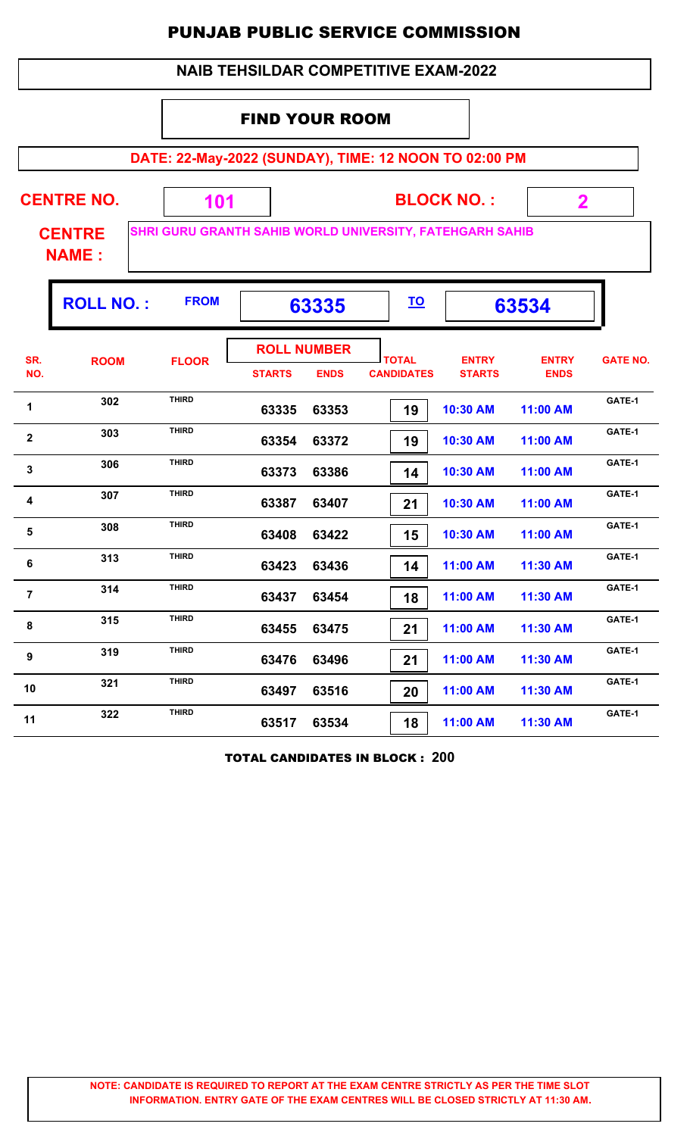| <b>NAIB TEHSILDAR COMPETITIVE EXAM-2022</b>                                               |                                                                |              |               |                                   |                                                       |                               |                             |                 |  |
|-------------------------------------------------------------------------------------------|----------------------------------------------------------------|--------------|---------------|-----------------------------------|-------------------------------------------------------|-------------------------------|-----------------------------|-----------------|--|
| <b>FIND YOUR ROOM</b>                                                                     |                                                                |              |               |                                   |                                                       |                               |                             |                 |  |
|                                                                                           |                                                                |              |               |                                   | DATE: 22-May-2022 (SUNDAY), TIME: 12 NOON TO 02:00 PM |                               |                             |                 |  |
| <b>CENTRE NO.</b><br><b>BLOCK NO.:</b><br>101<br>$\mathbf 2$                              |                                                                |              |               |                                   |                                                       |                               |                             |                 |  |
| SHRI GURU GRANTH SAHIB WORLD UNIVERSITY, FATEHGARH SAHIB<br><b>CENTRE</b><br><b>NAME:</b> |                                                                |              |               |                                   |                                                       |                               |                             |                 |  |
|                                                                                           | <b>ROLL NO.:</b><br><b>FROM</b><br><u>TO</u><br>63335<br>63534 |              |               |                                   |                                                       |                               |                             |                 |  |
| SR.<br>NO.                                                                                | <b>ROOM</b>                                                    | <b>FLOOR</b> | <b>STARTS</b> | <b>ROLL NUMBER</b><br><b>ENDS</b> | <b>TOTAL</b><br><b>CANDIDATES</b>                     | <b>ENTRY</b><br><b>STARTS</b> | <b>ENTRY</b><br><b>ENDS</b> | <b>GATE NO.</b> |  |
| 1                                                                                         | 302                                                            | <b>THIRD</b> | 63335         | 63353                             | 19                                                    | 10:30 AM                      | 11:00 AM                    | GATE-1          |  |
| $\overline{\mathbf{2}}$                                                                   | 303                                                            | <b>THIRD</b> | 63354         | 63372                             | 19                                                    | 10:30 AM                      | 11:00 AM                    | GATE-1          |  |
| 3                                                                                         | 306                                                            | <b>THIRD</b> | 63373         | 63386                             | 14                                                    | 10:30 AM                      | 11:00 AM                    | GATE-1          |  |
| 4                                                                                         | 307                                                            | <b>THIRD</b> | 63387         | 63407                             | 21                                                    | 10:30 AM                      | 11:00 AM                    | GATE-1          |  |
| 5                                                                                         | 308                                                            | <b>THIRD</b> | 63408         | 63422                             | 15                                                    | 10:30 AM                      | 11:00 AM                    | GATE-1          |  |
| 6                                                                                         | 313                                                            | THIRD        | 63423         | 63436                             | 14                                                    | 11:00 AM                      | 11:30 AM                    | GATE-1          |  |
| $\overline{7}$                                                                            | 314                                                            | <b>THIRD</b> | 63437         | 63454                             | 18                                                    | 11:00 AM                      | 11:30 AM                    | GATE-1          |  |
| 8                                                                                         | 315                                                            | <b>THIRD</b> | 63455         | 63475                             | 21                                                    | 11:00 AM                      | 11:30 AM                    | GATE-1          |  |
| 9                                                                                         | 319                                                            | <b>THIRD</b> | 63476         | 63496                             | 21                                                    | 11:00 AM                      | 11:30 AM                    | GATE-1          |  |
| 10                                                                                        | 321                                                            | <b>THIRD</b> | 63497         | 63516                             | 20                                                    | 11:00 AM                      | 11:30 AM                    | GATE-1          |  |
| 11                                                                                        | 322                                                            | <b>THIRD</b> | 63517         | 63534                             | 18                                                    | 11:00 AM                      | 11:30 AM                    | GATE-1          |  |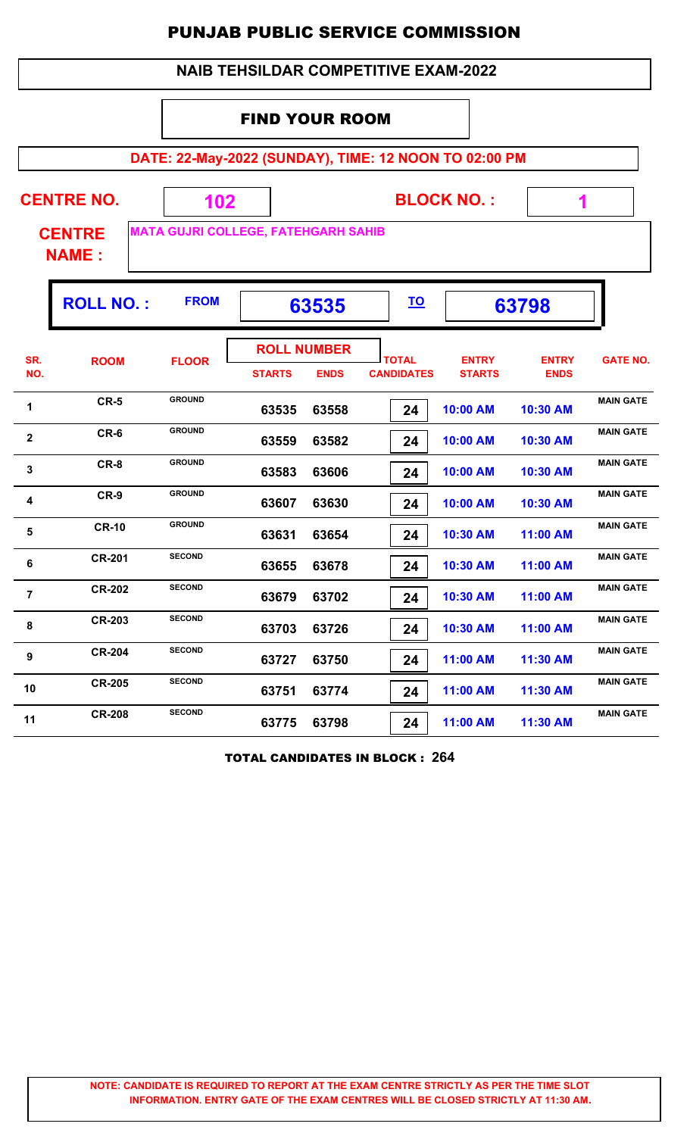|                                                                | <b>NAIB TEHSILDAR COMPETITIVE EXAM-2022</b> |               |                                                       |                                   |                               |                             |                  |  |
|----------------------------------------------------------------|---------------------------------------------|---------------|-------------------------------------------------------|-----------------------------------|-------------------------------|-----------------------------|------------------|--|
|                                                                |                                             |               | <b>FIND YOUR ROOM</b>                                 |                                   |                               |                             |                  |  |
|                                                                |                                             |               | DATE: 22-May-2022 (SUNDAY), TIME: 12 NOON TO 02:00 PM |                                   |                               |                             |                  |  |
| <b>CENTRE NO.</b><br><b>BLOCK NO.:</b><br>102<br>1             |                                             |               |                                                       |                                   |                               |                             |                  |  |
|                                                                | <b>CENTRE</b><br><b>NAME:</b>               |               | <b>MATA GUJRI COLLEGE, FATEHGARH SAHIB</b>            |                                   |                               |                             |                  |  |
| <b>FROM</b><br><b>ROLL NO.:</b><br><u>TO</u><br>63535<br>63798 |                                             |               |                                                       |                                   |                               |                             |                  |  |
| SR.<br>NO.                                                     | <b>ROOM</b>                                 | <b>FLOOR</b>  | <b>ROLL NUMBER</b><br><b>STARTS</b><br><b>ENDS</b>    | <b>TOTAL</b><br><b>CANDIDATES</b> | <b>ENTRY</b><br><b>STARTS</b> | <b>ENTRY</b><br><b>ENDS</b> | <b>GATE NO.</b>  |  |
| 1                                                              | $CR-5$                                      | <b>GROUND</b> | 63535<br>63558                                        | 24                                | 10:00 AM                      | 10:30 AM                    | <b>MAIN GATE</b> |  |
| $\mathbf{2}$                                                   | CR-6                                        | <b>GROUND</b> | 63559<br>63582                                        | 24                                | 10:00 AM                      | 10:30 AM                    | <b>MAIN GATE</b> |  |
| 3                                                              | CR-8                                        | <b>GROUND</b> | 63583<br>63606                                        | 24                                | 10:00 AM                      | 10:30 AM                    | <b>MAIN GATE</b> |  |
| 4                                                              | $CR-9$                                      | <b>GROUND</b> | 63607<br>63630                                        | 24                                | 10:00 AM                      | 10:30 AM                    | <b>MAIN GATE</b> |  |
| 5                                                              | <b>CR-10</b>                                | <b>GROUND</b> | 63631<br>63654                                        | 24                                | 10:30 AM                      | 11:00 AM                    | <b>MAIN GATE</b> |  |
| 6                                                              | <b>CR-201</b>                               | <b>SECOND</b> | 63655<br>63678                                        | 24                                | 10:30 AM                      | 11:00 AM                    | <b>MAIN GATE</b> |  |
| $\overline{7}$                                                 | <b>CR-202</b>                               | <b>SECOND</b> | 63679<br>63702                                        | 24                                | 10:30 AM                      | 11:00 AM                    | <b>MAIN GATE</b> |  |
| 8                                                              | <b>CR-203</b>                               | <b>SECOND</b> | 63703<br>63726                                        | 24                                | 10:30 AM                      | 11:00 AM                    | <b>MAIN GATE</b> |  |
| 9                                                              | <b>CR-204</b>                               | <b>SECOND</b> | 63750<br>63727                                        | 24                                | 11:00 AM                      | 11:30 AM                    | <b>MAIN GATE</b> |  |
| 10                                                             | <b>CR-205</b>                               | <b>SECOND</b> | 63751<br>63774                                        | 24                                | 11:00 AM                      | 11:30 AM                    | <b>MAIN GATE</b> |  |
| 11                                                             | <b>CR-208</b>                               | <b>SECOND</b> | 63775<br>63798                                        | 24                                | 11:00 AM                      | 11:30 AM                    | <b>MAIN GATE</b> |  |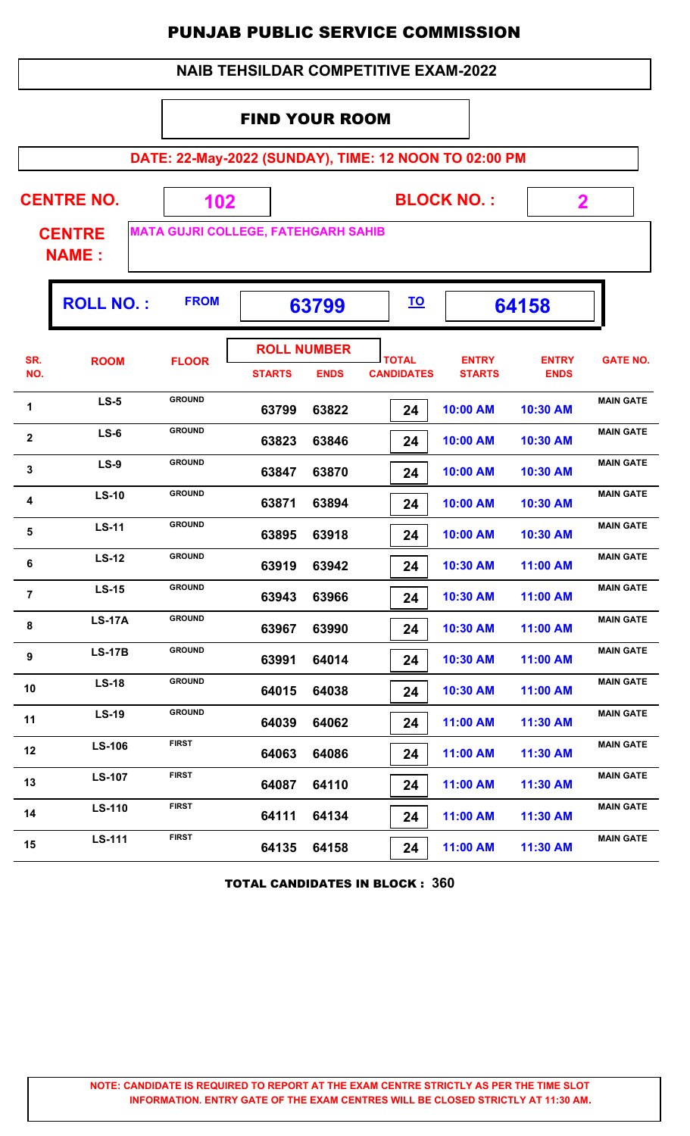|                       | <b>NAIB TEHSILDAR COMPETITIVE EXAM-2022</b>           |                                            |                             |                                   |                                   |                               |                             |                  |  |  |
|-----------------------|-------------------------------------------------------|--------------------------------------------|-----------------------------|-----------------------------------|-----------------------------------|-------------------------------|-----------------------------|------------------|--|--|
| <b>FIND YOUR ROOM</b> |                                                       |                                            |                             |                                   |                                   |                               |                             |                  |  |  |
|                       | DATE: 22-May-2022 (SUNDAY), TIME: 12 NOON TO 02:00 PM |                                            |                             |                                   |                                   |                               |                             |                  |  |  |
|                       | <b>CENTRE NO.</b>                                     |                                            | <b>BLOCK NO.:</b><br>102    |                                   |                                   |                               |                             | $\mathbf 2$      |  |  |
|                       | <b>CENTRE</b><br><b>NAME:</b>                         | <b>MATA GUJRI COLLEGE, FATEHGARH SAHIB</b> |                             |                                   |                                   |                               |                             |                  |  |  |
|                       | <b>ROLL NO.:</b>                                      | <b>FROM</b>                                | <u>TO</u><br>63799<br>64158 |                                   |                                   |                               |                             |                  |  |  |
| SR.<br>NO.            | <b>ROOM</b>                                           | <b>FLOOR</b>                               | <b>STARTS</b>               | <b>ROLL NUMBER</b><br><b>ENDS</b> | <b>TOTAL</b><br><b>CANDIDATES</b> | <b>ENTRY</b><br><b>STARTS</b> | <b>ENTRY</b><br><b>ENDS</b> | <b>GATE NO.</b>  |  |  |
| 1                     | $LS-5$                                                | <b>GROUND</b>                              | 63799                       | 63822                             | 24                                | 10:00 AM                      | 10:30 AM                    | <b>MAIN GATE</b> |  |  |
| $\overline{2}$        | $LS-6$                                                | <b>GROUND</b>                              | 63823                       | 63846                             | 24                                | 10:00 AM                      | 10:30 AM                    | <b>MAIN GATE</b> |  |  |
| 3                     | <b>LS-9</b>                                           | <b>GROUND</b>                              | 63847                       | 63870                             | 24                                | 10:00 AM                      | 10:30 AM                    | <b>MAIN GATE</b> |  |  |
| 4                     | $LS-10$                                               | <b>GROUND</b>                              | 63871                       | 63894                             | 24                                | 10:00 AM                      | 10:30 AM                    | <b>MAIN GATE</b> |  |  |
| 5                     | <b>LS-11</b>                                          | <b>GROUND</b>                              | 63895                       | 63918                             | 24                                | 10:00 AM                      | 10:30 AM                    | <b>MAIN GATE</b> |  |  |
| 6                     | <b>LS-12</b>                                          | <b>GROUND</b>                              | 63919                       | 63942                             | 24                                | 10:30 AM                      | 11:00 AM                    | <b>MAIN GATE</b> |  |  |
| $\overline{7}$        | $LS-15$                                               | <b>GROUND</b>                              | 63943                       | 63966                             | 24                                | 10:30 AM                      | 11:00 AM                    | <b>MAIN GATE</b> |  |  |
| 8                     | <b>LS-17A</b>                                         | <b>GROUND</b>                              | 63967                       | 63990                             | 24                                | 10:30 AM                      | 11:00 AM                    | <b>MAIN GATE</b> |  |  |
| 9                     | <b>LS-17B</b>                                         | <b>GROUND</b>                              | 63991                       | 64014                             | 24                                | 10:30 AM                      | 11:00 AM                    | <b>MAIN GATE</b> |  |  |
| 10                    | <b>LS-18</b>                                          | <b>GROUND</b>                              | 64015                       | 64038                             | 24                                | 10:30 AM                      | 11:00 AM                    | <b>MAIN GATE</b> |  |  |
| 11                    | <b>LS-19</b>                                          | <b>GROUND</b>                              | 64039                       | 64062                             | 24                                | 11:00 AM                      | 11:30 AM                    | <b>MAIN GATE</b> |  |  |
| 12                    | <b>LS-106</b>                                         | <b>FIRST</b>                               | 64063                       | 64086                             | 24                                | 11:00 AM                      | 11:30 AM                    | <b>MAIN GATE</b> |  |  |
| 13                    | <b>LS-107</b>                                         | <b>FIRST</b>                               | 64087                       | 64110                             | 24                                | 11:00 AM                      | 11:30 AM                    | <b>MAIN GATE</b> |  |  |
| 14                    | <b>LS-110</b>                                         | <b>FIRST</b>                               | 64111                       | 64134                             | 24                                | 11:00 AM                      | 11:30 AM                    | <b>MAIN GATE</b> |  |  |
| 15                    | <b>LS-111</b>                                         | <b>FIRST</b>                               | 64135                       | 64158                             | 24                                | 11:00 AM                      | 11:30 AM                    | <b>MAIN GATE</b> |  |  |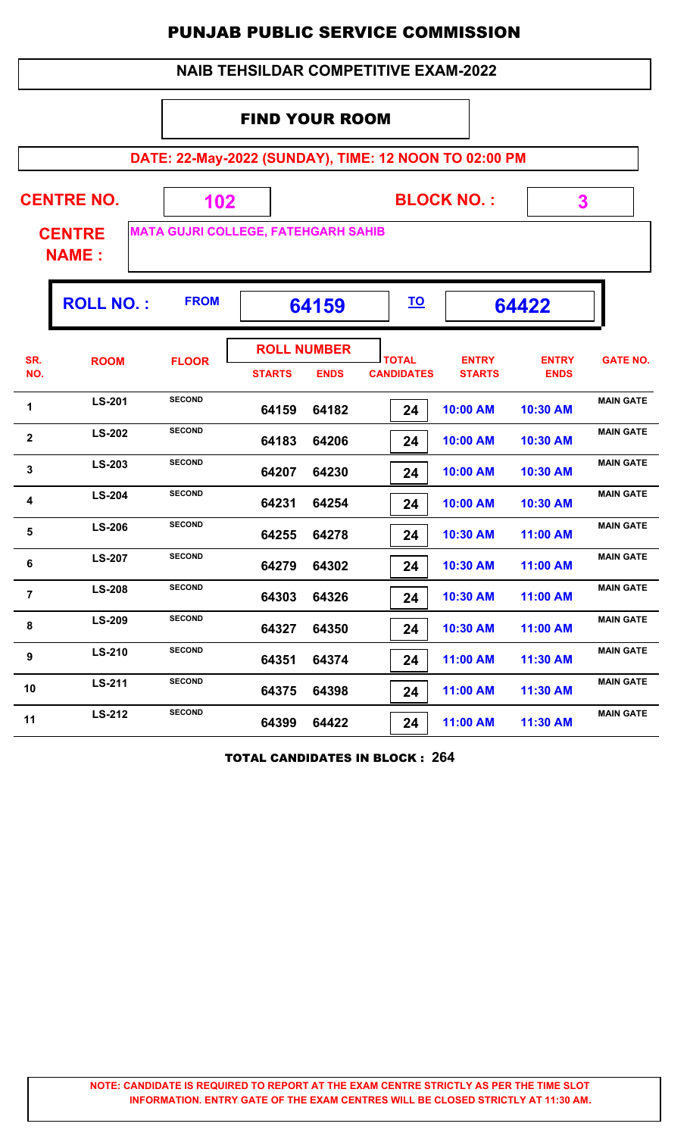|                       | <b>NAIB TEHSILDAR COMPETITIVE EXAM-2022</b>                    |                                            |                                     |             |                                                       |                               |                             |                  |  |  |
|-----------------------|----------------------------------------------------------------|--------------------------------------------|-------------------------------------|-------------|-------------------------------------------------------|-------------------------------|-----------------------------|------------------|--|--|
| <b>FIND YOUR ROOM</b> |                                                                |                                            |                                     |             |                                                       |                               |                             |                  |  |  |
|                       |                                                                |                                            |                                     |             | DATE: 22-May-2022 (SUNDAY), TIME: 12 NOON TO 02:00 PM |                               |                             |                  |  |  |
|                       | <b>CENTRE NO.</b><br><b>BLOCK NO.:</b><br>3<br>102             |                                            |                                     |             |                                                       |                               |                             |                  |  |  |
|                       | <b>CENTRE</b><br><b>NAME:</b>                                  | <b>MATA GUJRI COLLEGE, FATEHGARH SAHIB</b> |                                     |             |                                                       |                               |                             |                  |  |  |
|                       | <b>FROM</b><br><b>ROLL NO.:</b><br><u>TO</u><br>64422<br>64159 |                                            |                                     |             |                                                       |                               |                             |                  |  |  |
| SR.<br>NO.            | <b>ROOM</b>                                                    | <b>FLOOR</b>                               | <b>ROLL NUMBER</b><br><b>STARTS</b> | <b>ENDS</b> | <b>TOTAL</b><br><b>CANDIDATES</b>                     | <b>ENTRY</b><br><b>STARTS</b> | <b>ENTRY</b><br><b>ENDS</b> | <b>GATE NO.</b>  |  |  |
| 1                     | <b>LS-201</b>                                                  | <b>SECOND</b>                              | 64159                               | 64182       | 24                                                    | 10:00 AM                      | 10:30 AM                    | <b>MAIN GATE</b> |  |  |
| $\mathbf{2}$          | <b>LS-202</b>                                                  | <b>SECOND</b>                              | 64183                               | 64206       | 24                                                    | 10:00 AM                      | 10:30 AM                    | <b>MAIN GATE</b> |  |  |
| 3                     | <b>LS-203</b>                                                  | <b>SECOND</b>                              | 64207                               | 64230       | 24                                                    | 10:00 AM                      | 10:30 AM                    | <b>MAIN GATE</b> |  |  |
| 4                     | <b>LS-204</b>                                                  | <b>SECOND</b>                              | 64231                               | 64254       | 24                                                    | 10:00 AM                      | 10:30 AM                    | <b>MAIN GATE</b> |  |  |
| 5                     | <b>LS-206</b>                                                  | <b>SECOND</b>                              | 64255                               | 64278       | 24                                                    | 10:30 AM                      | 11:00 AM                    | <b>MAIN GATE</b> |  |  |
| 6                     | <b>LS-207</b>                                                  | <b>SECOND</b>                              | 64279                               | 64302       | 24                                                    | 10:30 AM                      | 11:00 AM                    | <b>MAIN GATE</b> |  |  |
| $\overline{7}$        | <b>LS-208</b>                                                  | <b>SECOND</b>                              | 64303                               | 64326       | 24                                                    | 10:30 AM                      | 11:00 AM                    | <b>MAIN GATE</b> |  |  |
| 8                     | <b>LS-209</b>                                                  | <b>SECOND</b>                              | 64327                               | 64350       | 24                                                    | 10:30 AM                      | 11:00 AM                    | <b>MAIN GATE</b> |  |  |
| 9                     | <b>SECOND</b><br>LS-210<br>64374<br>64351<br>11:00 AM<br>24    |                                            |                                     | 11:30 AM    | <b>MAIN GATE</b>                                      |                               |                             |                  |  |  |
| 10                    | LS-211                                                         | <b>SECOND</b>                              | 64375                               | 64398       | 24                                                    | 11:00 AM                      | 11:30 AM                    | <b>MAIN GATE</b> |  |  |
| 11                    | LS-212                                                         | <b>SECOND</b>                              | 64399                               | 64422       | 24                                                    | 11:00 AM                      | 11:30 AM                    | <b>MAIN GATE</b> |  |  |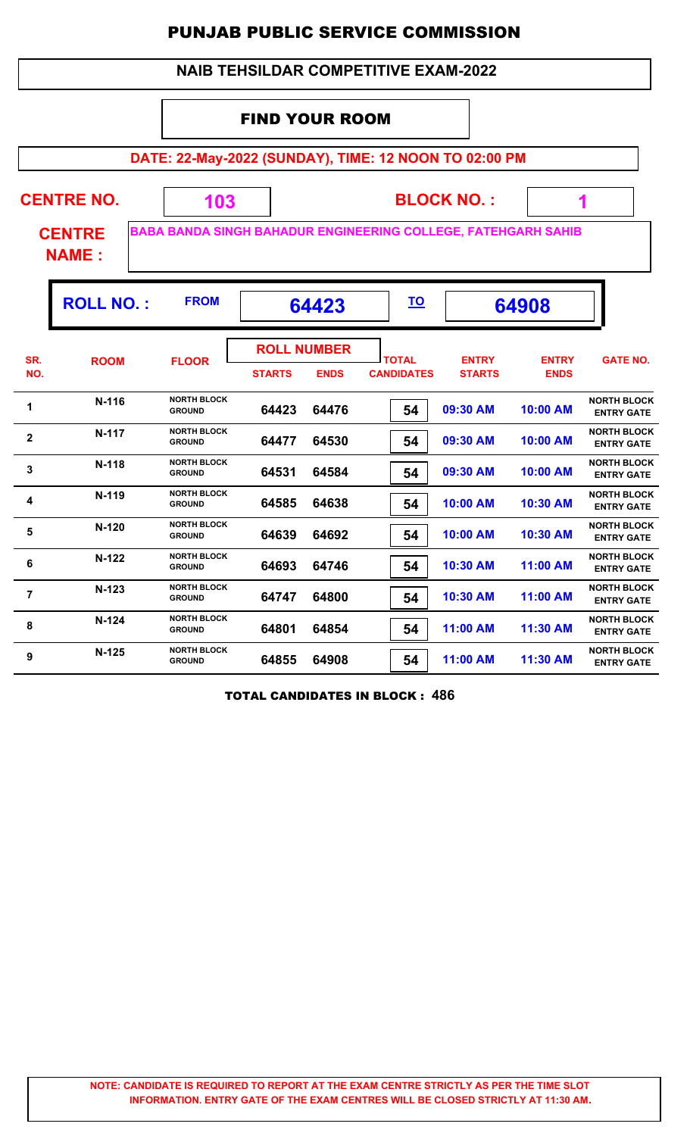|                | <b>NAIB TEHSILDAR COMPETITIVE EXAM-2022</b> |                                                                      |                       |                                   |                                   |                               |                             |                                         |
|----------------|---------------------------------------------|----------------------------------------------------------------------|-----------------------|-----------------------------------|-----------------------------------|-------------------------------|-----------------------------|-----------------------------------------|
|                |                                             |                                                                      | <b>FIND YOUR ROOM</b> |                                   |                                   |                               |                             |                                         |
|                |                                             | DATE: 22-May-2022 (SUNDAY), TIME: 12 NOON TO 02:00 PM                |                       |                                   |                                   |                               |                             |                                         |
|                | <b>CENTRE NO.</b>                           | 103                                                                  |                       |                                   |                                   | <b>BLOCK NO.:</b>             |                             |                                         |
|                | <b>CENTRE</b><br><b>NAME:</b>               | <b>BABA BANDA SINGH BAHADUR ENGINEERING COLLEGE, FATEHGARH SAHIB</b> |                       |                                   |                                   |                               |                             |                                         |
|                | <b>ROLL NO.:</b>                            | <b>FROM</b>                                                          |                       | 64423                             | <u>TO</u>                         |                               | 64908                       |                                         |
| SR.<br>NO.     | <b>ROOM</b>                                 | <b>FLOOR</b>                                                         | <b>STARTS</b>         | <b>ROLL NUMBER</b><br><b>ENDS</b> | <b>TOTAL</b><br><b>CANDIDATES</b> | <b>ENTRY</b><br><b>STARTS</b> | <b>ENTRY</b><br><b>ENDS</b> | <b>GATE NO.</b>                         |
| 1              | N-116                                       | <b>NORTH BLOCK</b><br><b>GROUND</b>                                  | 64423                 | 64476                             | 54                                | 09:30 AM                      | 10:00 AM                    | <b>NORTH BLOCK</b><br><b>ENTRY GATE</b> |
| $\mathbf{2}$   | N-117                                       | <b>NORTH BLOCK</b><br><b>GROUND</b>                                  | 64477                 | 64530                             | 54                                | 09:30 AM                      | 10:00 AM                    | <b>NORTH BLOCK</b><br><b>ENTRY GATE</b> |
| 3              | N-118                                       | <b>NORTH BLOCK</b><br><b>GROUND</b>                                  | 64531                 | 64584                             | 54                                | 09:30 AM                      | 10:00 AM                    | <b>NORTH BLOCK</b><br><b>ENTRY GATE</b> |
| 4              | $N-119$                                     | <b>NORTH BLOCK</b><br><b>GROUND</b>                                  | 64585                 | 64638                             | 54                                | 10:00 AM                      | 10:30 AM                    | <b>NORTH BLOCK</b><br><b>ENTRY GATE</b> |
| 5              | $N-120$                                     | <b>NORTH BLOCK</b><br><b>GROUND</b>                                  | 64639                 | 64692                             | 54                                | 10:00 AM                      | 10:30 AM                    | <b>NORTH BLOCK</b><br><b>ENTRY GATE</b> |
| 6              | $N-122$                                     | <b>NORTH BLOCK</b><br><b>GROUND</b>                                  | 64693                 | 64746                             | 54                                | 10:30 AM                      | 11:00 AM                    | <b>NORTH BLOCK</b><br><b>ENTRY GATE</b> |
| $\overline{7}$ | $N-123$                                     | <b>NORTH BLOCK</b><br><b>GROUND</b>                                  | 64747                 | 64800                             | 54                                | 10:30 AM                      | 11:00 AM                    | <b>NORTH BLOCK</b><br><b>ENTRY GATE</b> |
| 8              | $N-124$                                     | <b>NORTH BLOCK</b><br><b>GROUND</b>                                  | 64801                 | 64854                             | 54                                | 11:00 AM                      | 11:30 AM                    | <b>NORTH BLOCK</b><br><b>ENTRY GATE</b> |
| 9              | $N-125$                                     | <b>NORTH BLOCK</b><br><b>GROUND</b>                                  | 64855                 | 64908                             | 54                                | 11:00 AM                      | 11:30 AM                    | <b>NORTH BLOCK</b><br><b>ENTRY GATE</b> |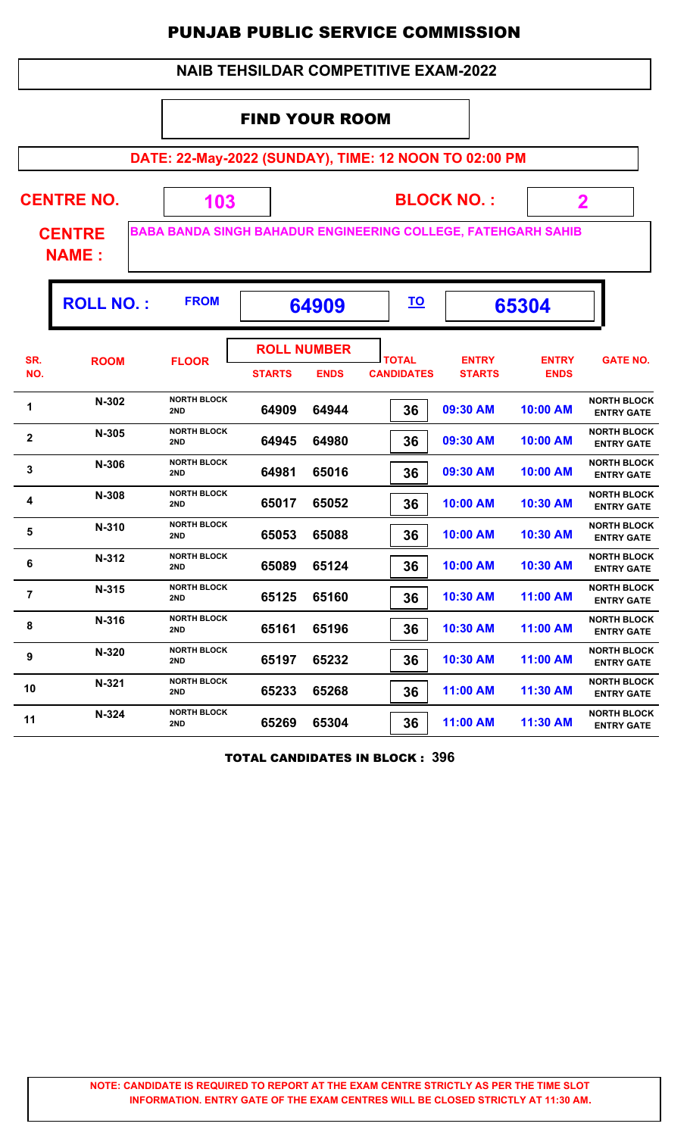|                | <b>NAIB TEHSILDAR COMPETITIVE EXAM-2022</b>                    |                           |                                     |             |                                                                      |                               |                             |                                         |  |
|----------------|----------------------------------------------------------------|---------------------------|-------------------------------------|-------------|----------------------------------------------------------------------|-------------------------------|-----------------------------|-----------------------------------------|--|
|                | <b>FIND YOUR ROOM</b>                                          |                           |                                     |             |                                                                      |                               |                             |                                         |  |
|                |                                                                |                           |                                     |             | DATE: 22-May-2022 (SUNDAY), TIME: 12 NOON TO 02:00 PM                |                               |                             |                                         |  |
|                | <b>CENTRE NO.</b><br><b>BLOCK NO.:</b><br>$\mathbf 2$<br>103   |                           |                                     |             |                                                                      |                               |                             |                                         |  |
|                | <b>CENTRE</b><br><b>NAME:</b>                                  |                           |                                     |             | <b>BABA BANDA SINGH BAHADUR ENGINEERING COLLEGE, FATEHGARH SAHIB</b> |                               |                             |                                         |  |
|                | <b>ROLL NO.:</b><br><b>FROM</b><br><u>TO</u><br>64909<br>65304 |                           |                                     |             |                                                                      |                               |                             |                                         |  |
| SR.<br>NO.     | <b>ROOM</b>                                                    | <b>FLOOR</b>              | <b>ROLL NUMBER</b><br><b>STARTS</b> | <b>ENDS</b> | <b>TOTAL</b><br><b>CANDIDATES</b>                                    | <b>ENTRY</b><br><b>STARTS</b> | <b>ENTRY</b><br><b>ENDS</b> | <b>GATE NO.</b>                         |  |
| 1              | N-302                                                          | <b>NORTH BLOCK</b><br>2ND | 64909                               | 64944       | 36                                                                   | 09:30 AM                      | 10:00 AM                    | <b>NORTH BLOCK</b><br><b>ENTRY GATE</b> |  |
| $\mathbf{2}$   | N-305                                                          | <b>NORTH BLOCK</b><br>2ND | 64945                               | 64980       | 36                                                                   | 09:30 AM                      | 10:00 AM                    | <b>NORTH BLOCK</b><br><b>ENTRY GATE</b> |  |
| 3              | N-306                                                          | <b>NORTH BLOCK</b><br>2ND | 64981                               | 65016       | 36                                                                   | 09:30 AM                      | 10:00 AM                    | <b>NORTH BLOCK</b><br><b>ENTRY GATE</b> |  |
| 4              | N-308                                                          | <b>NORTH BLOCK</b><br>2ND | 65017                               | 65052       | 36                                                                   | 10:00 AM                      | 10:30 AM                    | <b>NORTH BLOCK</b><br><b>ENTRY GATE</b> |  |
| 5              | N-310                                                          | <b>NORTH BLOCK</b><br>2ND | 65053                               | 65088       | 36                                                                   | 10:00 AM                      | 10:30 AM                    | <b>NORTH BLOCK</b><br><b>ENTRY GATE</b> |  |
| 6              | N-312                                                          | <b>NORTH BLOCK</b><br>2ND | 65089                               | 65124       | 36                                                                   | 10:00 AM                      | 10:30 AM                    | <b>NORTH BLOCK</b><br><b>ENTRY GATE</b> |  |
| $\overline{7}$ | N-315                                                          | <b>NORTH BLOCK</b><br>2ND | 65125                               | 65160       | 36                                                                   | 10:30 AM                      | 11:00 AM                    | <b>NORTH BLOCK</b><br><b>ENTRY GATE</b> |  |
| 8              | <b>NORTH BLOCK</b><br>N-316<br>2ND                             |                           | 65161                               | 65196       | 36                                                                   | 10:30 AM                      | 11:00 AM                    | <b>NORTH BLOCK</b><br><b>ENTRY GATE</b> |  |
| 9              | <b>NORTH BLOCK</b><br>N-320<br>2ND                             |                           | 65197                               | 65232       | 36                                                                   | 10:30 AM                      | 11:00 AM                    | <b>NORTH BLOCK</b><br><b>ENTRY GATE</b> |  |
| 10             | $N-321$                                                        | <b>NORTH BLOCK</b><br>2ND | 65233                               | 65268       | 36                                                                   | 11:00 AM                      | 11:30 AM                    | <b>NORTH BLOCK</b><br><b>ENTRY GATE</b> |  |
| 11             | N-324                                                          | <b>NORTH BLOCK</b><br>2ND | 65269                               | 65304       | 36                                                                   | 11:00 AM                      | 11:30 AM                    | <b>NORTH BLOCK</b><br><b>ENTRY GATE</b> |  |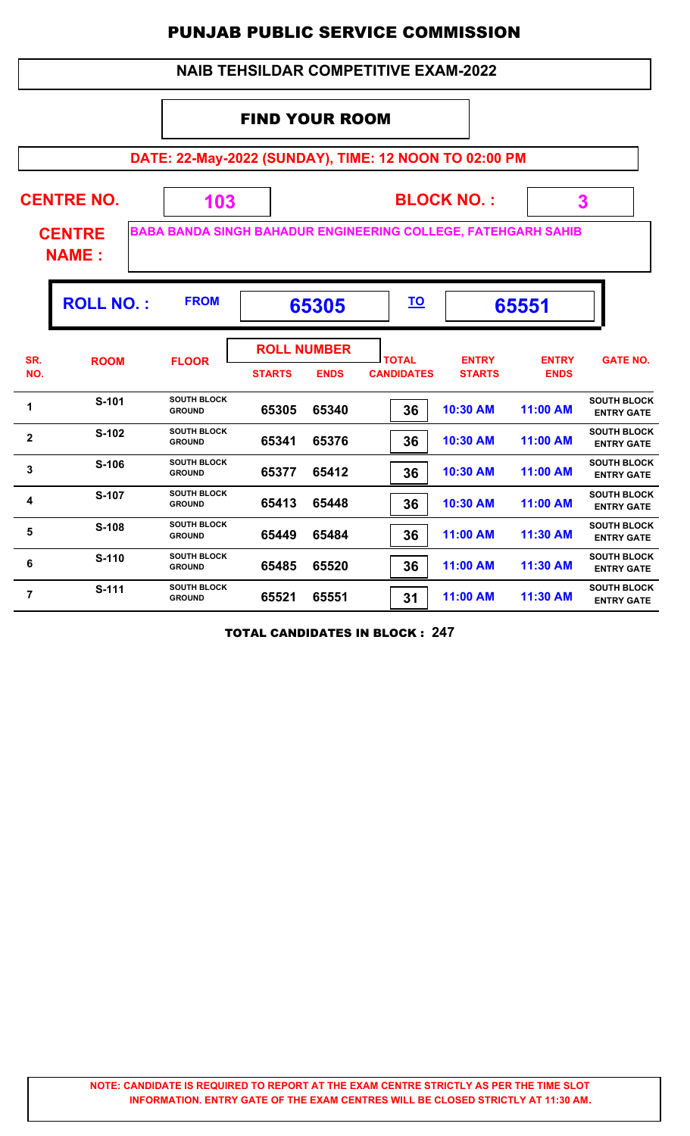#### **DATE: 22-May-2022 (SUNDAY), TIME: 12 NOON TO 02:00 PM BLOCK NO. : CENTRE NAME : CENTRE NO. 103 BABA BANDA SINGH BAHADUR ENGINEERING COLLEGE, FATEHGARH SAHIB 3** FIND YOUR ROOM  **NAIB TEHSILDAR COMPETITIVE EXAM-2022 ROLL NO. :** FROM **65305**  $\frac{TO}{2}$  **65551 TOTAL STARTS ENDS CANDIDATES SR. NO.** ROOM FLOOR **International FLOOR** *ENTRY* **STARTS ENTRY ENDS FLOOR GATE NO. ROLL NUMBER 65305 65340 36 10:30 AM 11:00 AM SOUTH BLOCK EXAMPLE SATTLE SOUTH BLOCK**<br>**ENTRY GATE**<br>**ENTRY GATE**<br>**ENTRY GATE GROUND 65341 65376 36 10:30 AM 11:00 AM SOUTH BLOCK EXAMPLE SOUTH BLOCK**<br>**ENTRY GATE**<br>**ENTRY GATE**<br>**ENTRY GATE GROUND 65377 65412 36 10:30 AM 11:00 AM SOUTH BLOCK EXAMPLE SOUTH BLOCK**<br>**ENTRY GATE**<br>**ENTRY GATE**<br>**ENTRY GATE GROUND 65413 65448 36 10:30 AM 11:00 AM SOUTH BLOCK EXECUTE SOUTH BLOCK**<br>**ENTRY GATE**<br>**ENTRY GATE**<br>**ENTRY GATE GROUND 65449 65484 36 11:00 AM 11:30 AM SOUTH BLOCK ENTRY SOUTH BLOCK**<br>**ENTRY GATE**<br>**ENTRY GATE**<br>**ENTRY GATE GROUND 65485 65520 36 11:00 AM 11:30 AM SOUTH BLOCK ENDRY SOUTH BLOCK** SOUTH BLOCK **ENTRY GATE**<br> **ENTRY GATE**<br> **ENTRY GATE GROUND 65521 65551 31 11:00 AM 11:30 AM SOUTH BLOCK EXECUTE SOUTH BLOCK**<br>**ENTRY GATE**<br>**ENTRY GATE**<br>**ENTRY GATE GROUND**

TOTAL CANDIDATES IN BLOCK : **247**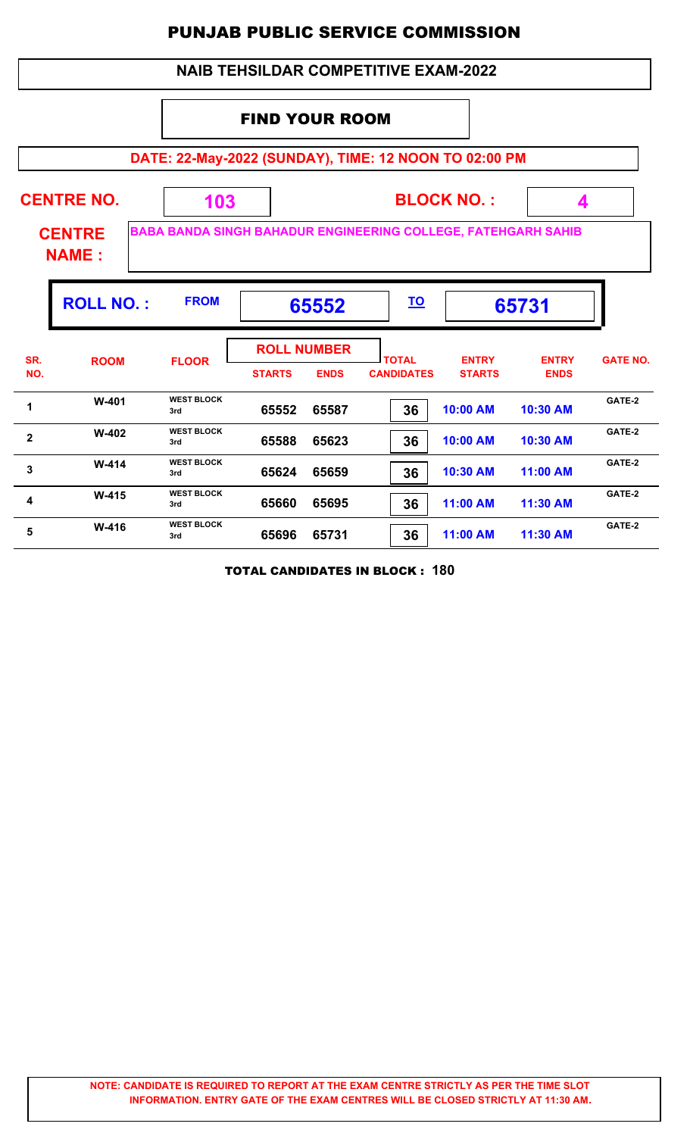|                                                                                                       |             |                          |               |                                   | <b>NAIB TEHSILDAR COMPETITIVE EXAM-2022</b> |                               |                             |                 |  |
|-------------------------------------------------------------------------------------------------------|-------------|--------------------------|---------------|-----------------------------------|---------------------------------------------|-------------------------------|-----------------------------|-----------------|--|
| <b>FIND YOUR ROOM</b>                                                                                 |             |                          |               |                                   |                                             |                               |                             |                 |  |
| DATE: 22-May-2022 (SUNDAY), TIME: 12 NOON TO 02:00 PM                                                 |             |                          |               |                                   |                                             |                               |                             |                 |  |
| <b>CENTRE NO.</b><br><b>BLOCK NO.:</b><br>103<br>4                                                    |             |                          |               |                                   |                                             |                               |                             |                 |  |
| <b>BABA BANDA SINGH BAHADUR ENGINEERING COLLEGE, FATEHGARH SAHIB</b><br><b>CENTRE</b><br><b>NAME:</b> |             |                          |               |                                   |                                             |                               |                             |                 |  |
| <b>ROLL NO.:</b><br><b>FROM</b><br><u>TO</u><br>65731<br>65552                                        |             |                          |               |                                   |                                             |                               |                             |                 |  |
| SR.<br>NO.                                                                                            | <b>ROOM</b> | <b>FLOOR</b>             | <b>STARTS</b> | <b>ROLL NUMBER</b><br><b>ENDS</b> | <b>TOTAL</b><br><b>CANDIDATES</b>           | <b>ENTRY</b><br><b>STARTS</b> | <b>ENTRY</b><br><b>ENDS</b> | <b>GATE NO.</b> |  |
| 1                                                                                                     | W-401       | <b>WEST BLOCK</b><br>3rd | 65552         | 65587                             | 36                                          | 10:00 AM                      | 10:30 AM                    | GATE-2          |  |
| $\mathbf{2}$                                                                                          | $W-402$     | <b>WEST BLOCK</b><br>3rd | 65588         | 65623                             | 36                                          | 10:00 AM                      | 10:30 AM                    | GATE-2          |  |
| 3                                                                                                     | $W-414$     | <b>WEST BLOCK</b><br>3rd | 65624         | 65659                             | 36                                          | 10:30 AM                      | 11:00 AM                    | GATE-2          |  |
| 4                                                                                                     | $W-415$     | <b>WEST BLOCK</b><br>3rd | 65660         | 65695                             | 36                                          | 11:00 AM                      | 11:30 AM                    | GATE-2          |  |
| 5                                                                                                     | W-416       | <b>WEST BLOCK</b><br>3rd | 65696         | 65731                             | 36                                          | 11:00 AM                      | 11:30 AM                    | GATE-2          |  |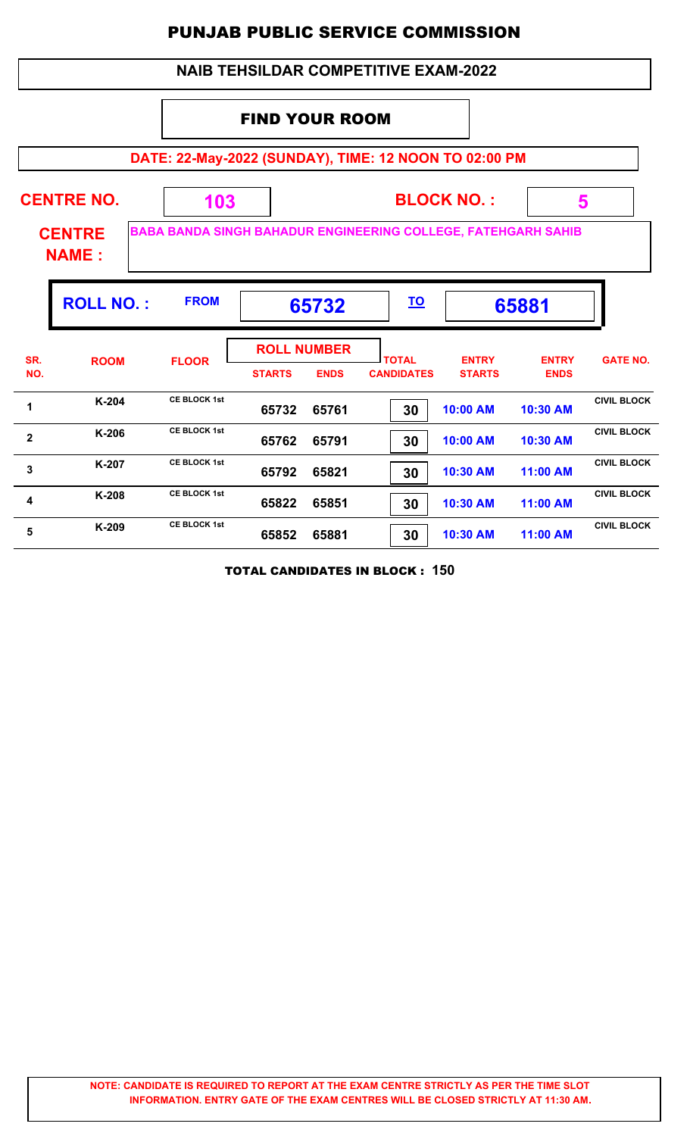|                                                                | <b>NAIB TEHSILDAR COMPETITIVE EXAM-2022</b>                                                                                                                 |                                                       |               |                                   |                                   |                               |                             |                    |  |
|----------------------------------------------------------------|-------------------------------------------------------------------------------------------------------------------------------------------------------------|-------------------------------------------------------|---------------|-----------------------------------|-----------------------------------|-------------------------------|-----------------------------|--------------------|--|
|                                                                | <b>FIND YOUR ROOM</b>                                                                                                                                       |                                                       |               |                                   |                                   |                               |                             |                    |  |
|                                                                |                                                                                                                                                             | DATE: 22-May-2022 (SUNDAY), TIME: 12 NOON TO 02:00 PM |               |                                   |                                   |                               |                             |                    |  |
|                                                                | <b>CENTRE NO.</b><br><b>BLOCK NO.:</b><br>5<br>103<br><b>BABA BANDA SINGH BAHADUR ENGINEERING COLLEGE, FATEHGARH SAHIB</b><br><b>CENTRE</b><br><b>NAME:</b> |                                                       |               |                                   |                                   |                               |                             |                    |  |
| <b>FROM</b><br><b>ROLL NO.:</b><br><u>TO</u><br>65881<br>65732 |                                                                                                                                                             |                                                       |               |                                   |                                   |                               |                             |                    |  |
| SR.<br>NO.                                                     | <b>ROOM</b>                                                                                                                                                 | <b>FLOOR</b>                                          | <b>STARTS</b> | <b>ROLL NUMBER</b><br><b>ENDS</b> | <b>TOTAL</b><br><b>CANDIDATES</b> | <b>ENTRY</b><br><b>STARTS</b> | <b>ENTRY</b><br><b>ENDS</b> | <b>GATE NO.</b>    |  |
| 1                                                              | $K-204$                                                                                                                                                     | <b>CE BLOCK 1st</b>                                   | 65732         | 65761                             | 30                                | 10:00 AM                      | 10:30 AM                    | <b>CIVIL BLOCK</b> |  |
| $\overline{2}$                                                 | $K-206$                                                                                                                                                     | <b>CE BLOCK 1st</b>                                   | 65762         | 65791                             | 30                                | 10:00 AM                      | 10:30 AM                    | <b>CIVIL BLOCK</b> |  |
| $\mathbf{3}$                                                   | K-207                                                                                                                                                       | <b>CE BLOCK 1st</b>                                   | 65792         | 65821                             | 30                                | 10:30 AM                      | 11:00 AM                    | <b>CIVIL BLOCK</b> |  |
| 4                                                              | K-208                                                                                                                                                       | <b>CE BLOCK 1st</b>                                   | 65822         | 65851                             | 30                                | 10:30 AM                      | 11:00 AM                    | <b>CIVIL BLOCK</b> |  |
| 5                                                              | K-209                                                                                                                                                       | <b>CE BLOCK 1st</b>                                   | 65852         | 65881                             | 30                                | 10:30 AM                      | 11:00 AM                    | <b>CIVIL BLOCK</b> |  |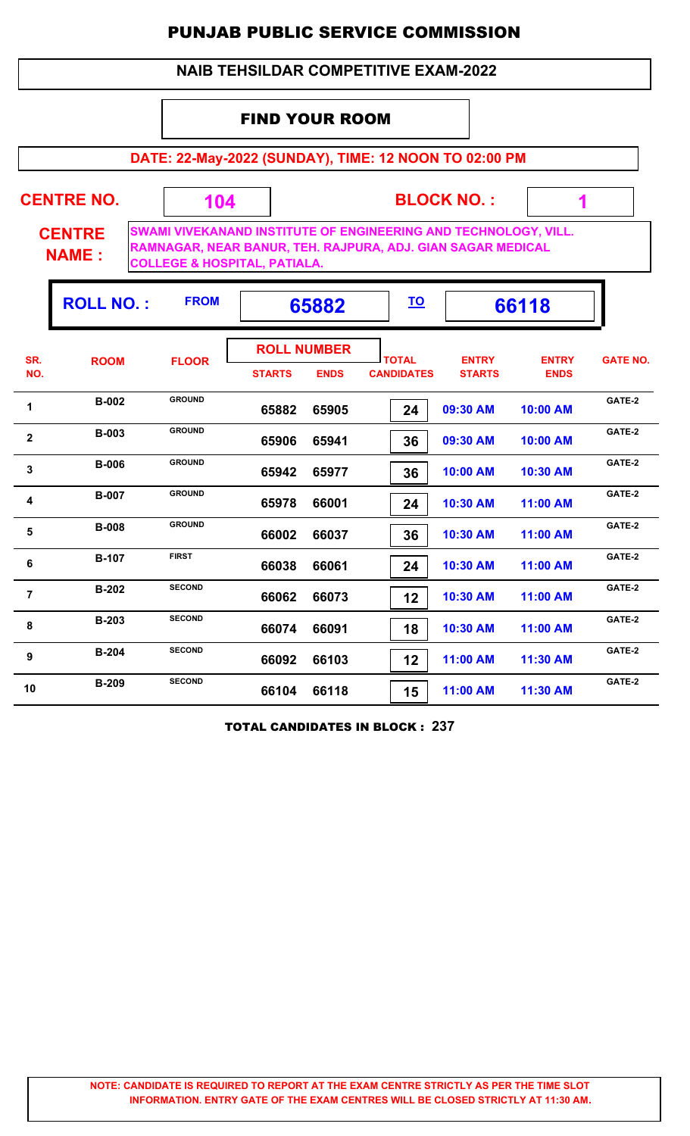## **NAIB TEHSILDAR COMPETITIVE EXAM-2022**

## FIND YOUR ROOM

**DATE: 22-May-2022 (SUNDAY), TIME: 12 NOON TO 02:00 PM**

| <b>CENTRE NO.</b>             | 104                                     | <b>BLOCK NO.:</b>                                                                                                              |  |
|-------------------------------|-----------------------------------------|--------------------------------------------------------------------------------------------------------------------------------|--|
| <b>CENTRE</b><br><b>NAME:</b> | <b>COLLEGE &amp; HOSPITAL, PATIALA.</b> | SWAMI VIVEKANAND INSTITUTE OF ENGINEERING AND TECHNOLOGY, VILL.<br>RAMNAGAR, NEAR BANUR, TEH. RAJPURA, ADJ. GIAN SAGAR MEDICAL |  |

г

|                         | <b>ROLL NO.:</b> | <b>FROM</b>   |                                     | 65882       | <u>TO</u>                         |                               | 66118                       |                 |
|-------------------------|------------------|---------------|-------------------------------------|-------------|-----------------------------------|-------------------------------|-----------------------------|-----------------|
| SR.<br>NO.              | <b>ROOM</b>      | <b>FLOOR</b>  | <b>ROLL NUMBER</b><br><b>STARTS</b> | <b>ENDS</b> | <b>TOTAL</b><br><b>CANDIDATES</b> | <b>ENTRY</b><br><b>STARTS</b> | <b>ENTRY</b><br><b>ENDS</b> | <b>GATE NO.</b> |
| 1                       | <b>B-002</b>     | <b>GROUND</b> | 65882                               | 65905       | 24                                | 09:30 AM                      | 10:00 AM                    | GATE-2          |
| $\overline{\mathbf{2}}$ | <b>B-003</b>     | <b>GROUND</b> | 65906                               | 65941       | 36                                | 09:30 AM                      | 10:00 AM                    | GATE-2          |
| 3                       | <b>B-006</b>     | <b>GROUND</b> | 65942                               | 65977       | 36                                | 10:00 AM                      | 10:30 AM                    | GATE-2          |
| 4                       | <b>B-007</b>     | <b>GROUND</b> | 65978                               | 66001       | 24                                | 10:30 AM                      | 11:00 AM                    | GATE-2          |
| 5                       | <b>B-008</b>     | <b>GROUND</b> | 66002                               | 66037       | 36                                | 10:30 AM                      | 11:00 AM                    | GATE-2          |
| 6                       | <b>B-107</b>     | <b>FIRST</b>  | 66038                               | 66061       | 24                                | 10:30 AM                      | 11:00 AM                    | GATE-2          |
| $\overline{7}$          | <b>B-202</b>     | <b>SECOND</b> | 66062                               | 66073       | 12                                | 10:30 AM                      | 11:00 AM                    | GATE-2          |
| 8                       | <b>B-203</b>     | <b>SECOND</b> | 66074                               | 66091       | 18                                | 10:30 AM                      | 11:00 AM                    | GATE-2          |
| 9                       | <b>B-204</b>     | <b>SECOND</b> | 66092                               | 66103       | 12                                | 11:00 AM                      | 11:30 AM                    | GATE-2          |
| 10                      | <b>B-209</b>     | <b>SECOND</b> | 66104                               | 66118       | 15                                | 11:00 AM                      | 11:30 AM                    | GATE-2          |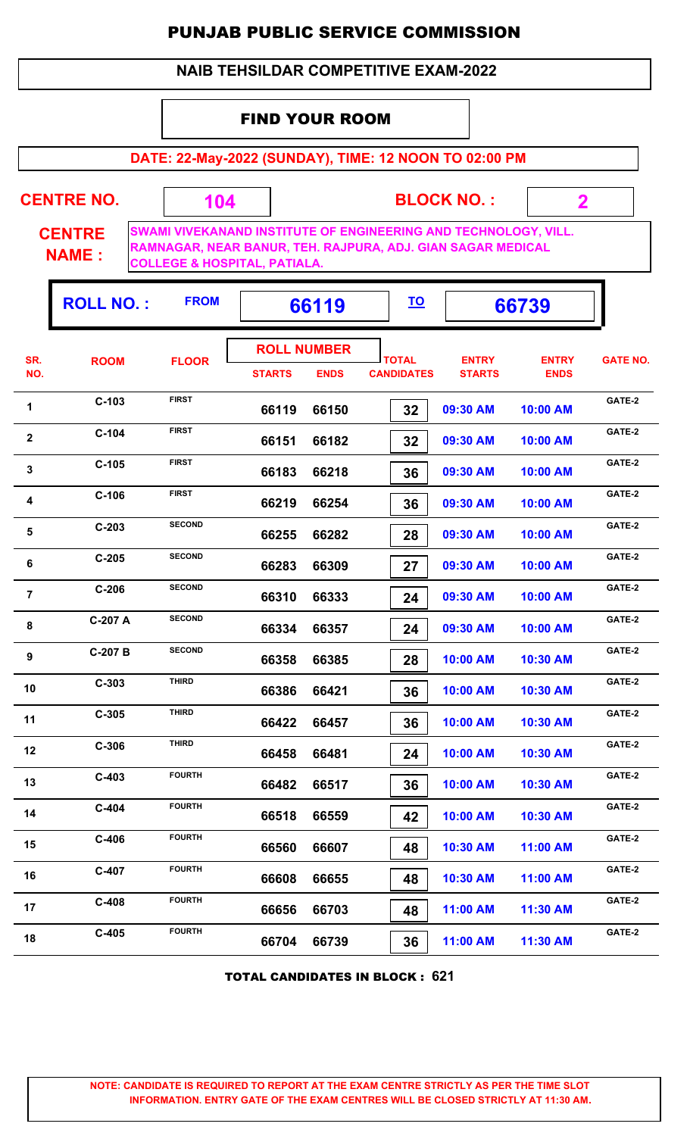#### **NAIB TEHSILDAR COMPETITIVE EXAM-2022**

## FIND YOUR ROOM

 **104**

**DATE: 22-May-2022 (SUNDAY), TIME: 12 NOON TO 02:00 PM**

**CENTRE NO.** 

**BLOCK NO. :**

 **2**

ŋ.

**CENTRE NAME :**

**SWAMI VIVEKANAND INSTITUTE OF ENGINEERING AND TECHNOLOGY, VILL. RAMNAGAR, NEAR BANUR, TEH. RAJPURA, ADJ. GIAN SAGAR MEDICAL COLLEGE & HOSPITAL, PATIALA.**

|                | <b>ROLL NO.:</b> | <b>FROM</b>   |                                     | 66119       | <u>TO</u>                         |                               | 66739                       |                 |
|----------------|------------------|---------------|-------------------------------------|-------------|-----------------------------------|-------------------------------|-----------------------------|-----------------|
| SR.<br>NO.     | <b>ROOM</b>      | <b>FLOOR</b>  | <b>ROLL NUMBER</b><br><b>STARTS</b> | <b>ENDS</b> | <b>TOTAL</b><br><b>CANDIDATES</b> | <b>ENTRY</b><br><b>STARTS</b> | <b>ENTRY</b><br><b>ENDS</b> | <b>GATE NO.</b> |
| 1              | $C-103$          | <b>FIRST</b>  | 66119                               | 66150       | 32                                | 09:30 AM                      | 10:00 AM                    | GATE-2          |
| $\mathbf{2}$   | $C-104$          | <b>FIRST</b>  | 66151                               | 66182       | 32                                | 09:30 AM                      | 10:00 AM                    | GATE-2          |
| $\mathbf 3$    | $C-105$          | <b>FIRST</b>  | 66183                               | 66218       | 36                                | 09:30 AM                      | 10:00 AM                    | GATE-2          |
| 4              | $C-106$          | <b>FIRST</b>  | 66219                               | 66254       | 36                                | 09:30 AM                      | 10:00 AM                    | GATE-2          |
| $\sqrt{5}$     | $C-203$          | <b>SECOND</b> | 66255                               | 66282       | 28                                | 09:30 AM                      | 10:00 AM                    | GATE-2          |
| 6              | $C-205$          | <b>SECOND</b> | 66283                               | 66309       | 27                                | 09:30 AM                      | 10:00 AM                    | GATE-2          |
| $\overline{7}$ | $C-206$          | <b>SECOND</b> | 66310                               | 66333       | 24                                | 09:30 AM                      | 10:00 AM                    | GATE-2          |
| 8              | C-207 A          | <b>SECOND</b> | 66334                               | 66357       | 24                                | 09:30 AM                      | 10:00 AM                    | GATE-2          |
| 9              | C-207 B          | <b>SECOND</b> | 66358                               | 66385       | 28                                | 10:00 AM                      | 10:30 AM                    | GATE-2          |
| 10             | $C-303$          | <b>THIRD</b>  | 66386                               | 66421       | 36                                | 10:00 AM                      | 10:30 AM                    | GATE-2          |
| 11             | $C-305$          | <b>THIRD</b>  | 66422                               | 66457       | 36                                | 10:00 AM                      | 10:30 AM                    | GATE-2          |
| 12             | $C-306$          | <b>THIRD</b>  | 66458                               | 66481       | 24                                | 10:00 AM                      | 10:30 AM                    | GATE-2          |
| 13             | $C-403$          | <b>FOURTH</b> | 66482                               | 66517       | 36                                | 10:00 AM                      | 10:30 AM                    | GATE-2          |
| 14             | $C-404$          | <b>FOURTH</b> | 66518                               | 66559       | 42                                | 10:00 AM                      | 10:30 AM                    | GATE-2          |
| 15             | $C-406$          | <b>FOURTH</b> | 66560                               | 66607       | 48                                | 10:30 AM                      | 11:00 AM                    | GATE-2          |
| 16             | $C-407$          | <b>FOURTH</b> | 66608                               | 66655       | 48                                | 10:30 AM                      | 11:00 AM                    | GATE-2          |
| 17             | $C-408$          | <b>FOURTH</b> | 66656                               | 66703       | 48                                | 11:00 AM                      | 11:30 AM                    | GATE-2          |
| 18             | $C-405$          | <b>FOURTH</b> | 66704                               | 66739       | 36                                | 11:00 AM                      | 11:30 AM                    | GATE-2          |

TOTAL CANDIDATES IN BLOCK : **621**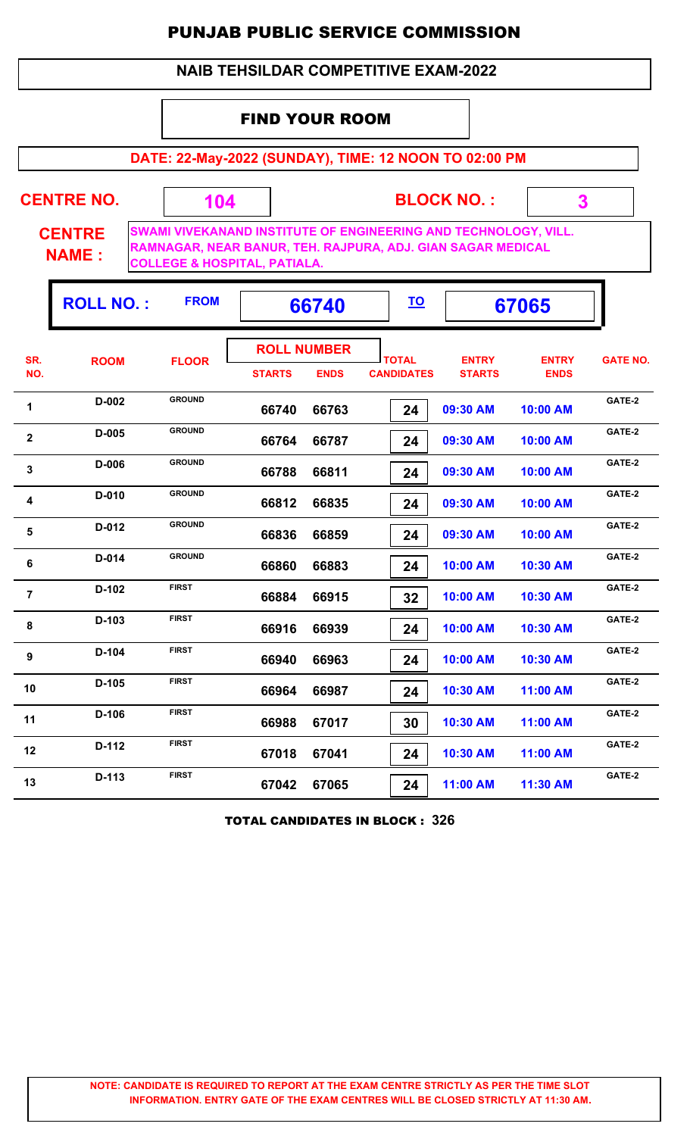#### **NAIB TEHSILDAR COMPETITIVE EXAM-2022**

## FIND YOUR ROOM

**DATE: 22-May-2022 (SUNDAY), TIME: 12 NOON TO 02:00 PM**

| <b>CENTRE NO.</b>             | 104                                     | <b>BLOCK NO.:</b>                                                                                                                     |  |
|-------------------------------|-----------------------------------------|---------------------------------------------------------------------------------------------------------------------------------------|--|
| <b>CENTRE</b><br><b>NAME:</b> | <b>COLLEGE &amp; HOSPITAL, PATIALA.</b> | <b>SWAMI VIVEKANAND INSTITUTE OF ENGINEERING AND TECHNOLOGY, VILL.</b><br>RAMNAGAR, NEAR BANUR, TEH. RAJPURA, ADJ. GIAN SAGAR MEDICAL |  |

Ŧ

|                | <b>ROLL NO.:</b> | <b>FROM</b>   |               | 66740                             |                                   |                               | 67065                       |                 |
|----------------|------------------|---------------|---------------|-----------------------------------|-----------------------------------|-------------------------------|-----------------------------|-----------------|
| SR.<br>NO.     | <b>ROOM</b>      | <b>FLOOR</b>  | <b>STARTS</b> | <b>ROLL NUMBER</b><br><b>ENDS</b> | <b>TOTAL</b><br><b>CANDIDATES</b> | <b>ENTRY</b><br><b>STARTS</b> | <b>ENTRY</b><br><b>ENDS</b> | <b>GATE NO.</b> |
| 1              | D-002            | <b>GROUND</b> | 66740         | 66763                             | 24                                | 09:30 AM                      | 10:00 AM                    | GATE-2          |
| $\mathbf{2}$   | D-005            | <b>GROUND</b> | 66764         | 66787                             | 24                                | 09:30 AM                      | 10:00 AM                    | GATE-2          |
| 3              | D-006            | <b>GROUND</b> | 66788         | 66811                             | 24                                | 09:30 AM                      | 10:00 AM                    | GATE-2          |
| 4              | D-010            | <b>GROUND</b> | 66812         | 66835                             | 24                                | 09:30 AM                      | 10:00 AM                    | GATE-2          |
| 5              | D-012            | <b>GROUND</b> | 66836         | 66859                             | 24                                | 09:30 AM                      | 10:00 AM                    | GATE-2          |
| 6              | D-014            | <b>GROUND</b> | 66860         | 66883                             | 24                                | 10:00 AM                      | 10:30 AM                    | GATE-2          |
| $\overline{7}$ | $D-102$          | <b>FIRST</b>  | 66884         | 66915                             | 32                                | 10:00 AM                      | 10:30 AM                    | GATE-2          |
| 8              | D-103            | <b>FIRST</b>  | 66916         | 66939                             | 24                                | 10:00 AM                      | 10:30 AM                    | GATE-2          |
| 9              | D-104            | <b>FIRST</b>  | 66940         | 66963                             | 24                                | 10:00 AM                      | 10:30 AM                    | GATE-2          |
| 10             | $D-105$          | <b>FIRST</b>  | 66964         | 66987                             | 24                                | 10:30 AM                      | 11:00 AM                    | GATE-2          |
| 11             | $D-106$          | <b>FIRST</b>  | 66988         | 67017                             | 30                                | 10:30 AM                      | 11:00 AM                    | GATE-2          |
| 12             | D-112            | <b>FIRST</b>  | 67018         | 67041                             | 24                                | 10:30 AM                      | 11:00 AM                    | GATE-2          |
| 13             | D-113            | <b>FIRST</b>  | 67042         | 67065                             | 24                                | 11:00 AM                      | 11:30 AM                    | GATE-2          |
|                |                  |               |               |                                   |                                   |                               |                             |                 |

TOTAL CANDIDATES IN BLOCK : **326**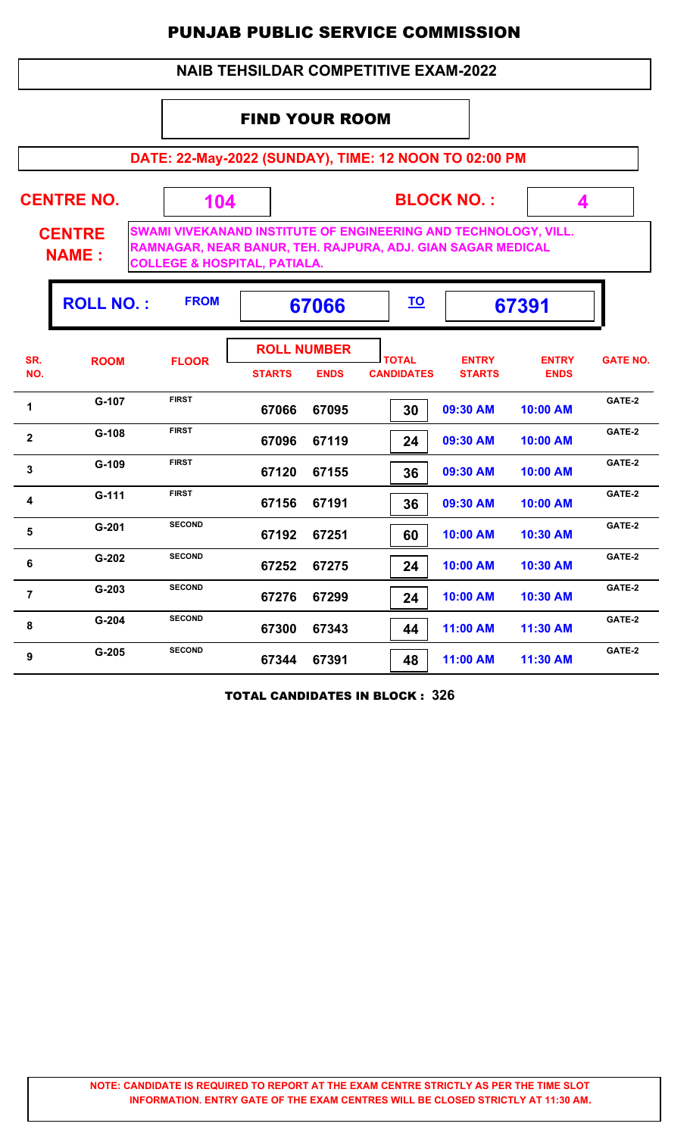## **NAIB TEHSILDAR COMPETITIVE EXAM-2022**

## FIND YOUR ROOM

**DATE: 22-May-2022 (SUNDAY), TIME: 12 NOON TO 02:00 PM**

| <b>CENTRE NO.</b>             | 104                                     | <b>BLOCK NO.:</b>                                                                                                              |  |
|-------------------------------|-----------------------------------------|--------------------------------------------------------------------------------------------------------------------------------|--|
| <b>CENTRE</b><br><b>NAME:</b> | <b>COLLEGE &amp; HOSPITAL, PATIALA.</b> | SWAMI VIVEKANAND INSTITUTE OF ENGINEERING AND TECHNOLOGY, VILL.<br>RAMNAGAR, NEAR BANUR, TEH. RAJPURA, ADJ. GIAN SAGAR MEDICAL |  |

|                | <b>ROLL NO.:</b> | <b>FROM</b>   | 67066                               |             | <u>TO</u>                         |                               | 67391                       |                 |
|----------------|------------------|---------------|-------------------------------------|-------------|-----------------------------------|-------------------------------|-----------------------------|-----------------|
| SR.<br>NO.     | <b>ROOM</b>      | <b>FLOOR</b>  | <b>ROLL NUMBER</b><br><b>STARTS</b> | <b>ENDS</b> | <b>TOTAL</b><br><b>CANDIDATES</b> | <b>ENTRY</b><br><b>STARTS</b> | <b>ENTRY</b><br><b>ENDS</b> | <b>GATE NO.</b> |
| 1              | G-107            | <b>FIRST</b>  | 67066                               | 67095       | 30                                | 09:30 AM                      | 10:00 AM                    | GATE-2          |
| $\mathbf{2}$   | $G-108$          | <b>FIRST</b>  | 67096                               | 67119       | 24                                | 09:30 AM                      | 10:00 AM                    | GATE-2          |
| 3              | $G-109$          | <b>FIRST</b>  | 67120                               | 67155       | 36                                | 09:30 AM                      | 10:00 AM                    | GATE-2          |
| 4              | $G-111$          | <b>FIRST</b>  | 67156                               | 67191       | 36                                | 09:30 AM                      | 10:00 AM                    | GATE-2          |
| 5              | $G - 201$        | <b>SECOND</b> | 67192                               | 67251       | 60                                | 10:00 AM                      | 10:30 AM                    | GATE-2          |
| 6              | $G-202$          | <b>SECOND</b> | 67252                               | 67275       | 24                                | 10:00 AM                      | 10:30 AM                    | GATE-2          |
| $\overline{7}$ | $G-203$          | <b>SECOND</b> | 67276                               | 67299       | 24                                | 10:00 AM                      | 10:30 AM                    | GATE-2          |
| 8              | $G-204$          | <b>SECOND</b> | 67300                               | 67343       | 44                                | 11:00 AM                      | 11:30 AM                    | GATE-2          |
| 9              | $G-205$          | <b>SECOND</b> | 67344                               | 67391       | 48                                | 11:00 AM                      | 11:30 AM                    | GATE-2          |

TOTAL CANDIDATES IN BLOCK : **326**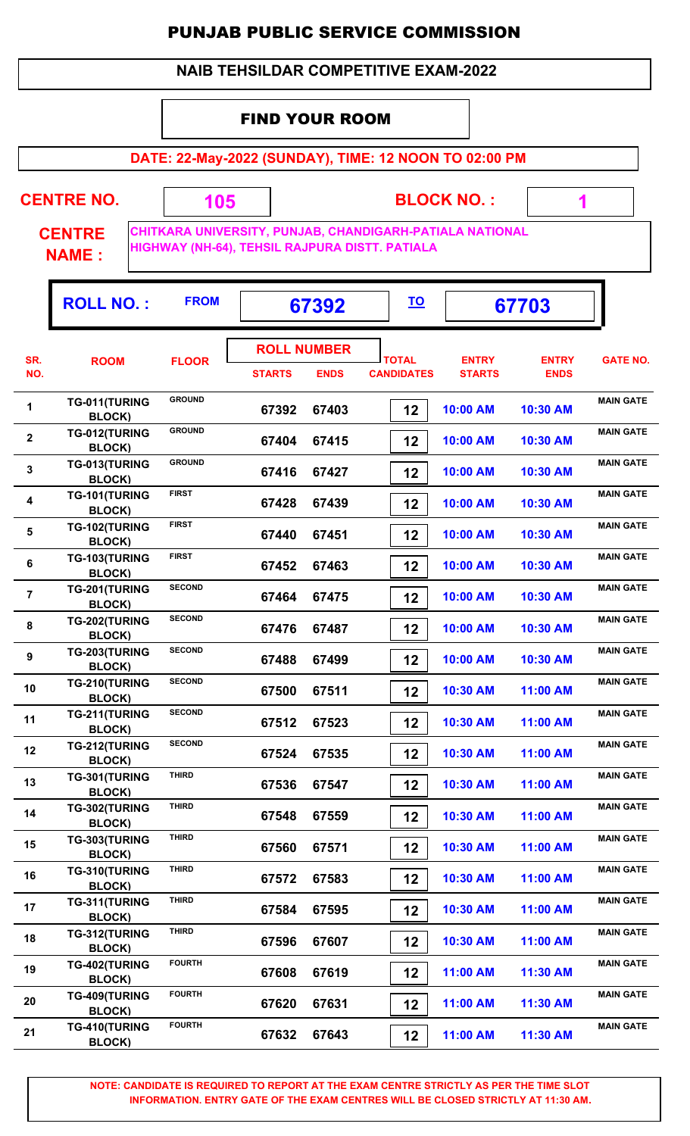## **NAIB TEHSILDAR COMPETITIVE EXAM-2022**

## FIND YOUR ROOM

**DATE: 22-May-2022 (SUNDAY), TIME: 12 NOON TO 02:00 PM**

**CENTRE NO.** 

**BLOCK NO. :**

 **1**

**CENTRE NAME :**

**CHITKARA UNIVERSITY, PUNJAB, CHANDIGARH-PATIALA NATIONAL HIGHWAY (NH-64), TEHSIL RAJPURA DISTT. PATIALA**

 **105**

|                         | <b>ROLL NO.:</b>               | <b>FROM</b>   |                                     | 67392       | <u>TO</u>                         |                               | 67703                       |                  |
|-------------------------|--------------------------------|---------------|-------------------------------------|-------------|-----------------------------------|-------------------------------|-----------------------------|------------------|
| SR.<br>NO.              | <b>ROOM</b>                    | <b>FLOOR</b>  | <b>ROLL NUMBER</b><br><b>STARTS</b> | <b>ENDS</b> | <b>TOTAL</b><br><b>CANDIDATES</b> | <b>ENTRY</b><br><b>STARTS</b> | <b>ENTRY</b><br><b>ENDS</b> | <b>GATE NO.</b>  |
| 1                       | TG-011(TURING<br><b>BLOCK)</b> | <b>GROUND</b> | 67392                               | 67403       | 12                                | 10:00 AM                      | 10:30 AM                    | <b>MAIN GATE</b> |
| $\overline{\mathbf{2}}$ | TG-012(TURING<br><b>BLOCK)</b> | <b>GROUND</b> | 67404                               | 67415       | 12                                | 10:00 AM                      | 10:30 AM                    | <b>MAIN GATE</b> |
| 3                       | TG-013(TURING<br><b>BLOCK)</b> | <b>GROUND</b> | 67416                               | 67427       | 12                                | 10:00 AM                      | 10:30 AM                    | <b>MAIN GATE</b> |
| $\boldsymbol{4}$        | TG-101(TURING<br><b>BLOCK)</b> | <b>FIRST</b>  | 67428                               | 67439       | 12                                | 10:00 AM                      | 10:30 AM                    | <b>MAIN GATE</b> |
| $\sqrt{5}$              | TG-102(TURING<br><b>BLOCK)</b> | <b>FIRST</b>  | 67440                               | 67451       | 12                                | 10:00 AM                      | 10:30 AM                    | <b>MAIN GATE</b> |
| 6                       | TG-103(TURING<br><b>BLOCK)</b> | <b>FIRST</b>  | 67452                               | 67463       | 12                                | 10:00 AM                      | 10:30 AM                    | <b>MAIN GATE</b> |
| $\overline{7}$          | TG-201(TURING<br><b>BLOCK)</b> | <b>SECOND</b> | 67464                               | 67475       | 12                                | 10:00 AM                      | 10:30 AM                    | <b>MAIN GATE</b> |
| 8                       | TG-202(TURING<br><b>BLOCK)</b> | <b>SECOND</b> | 67476                               | 67487       | 12                                | 10:00 AM                      | 10:30 AM                    | <b>MAIN GATE</b> |
| 9                       | TG-203(TURING<br><b>BLOCK)</b> | <b>SECOND</b> | 67488                               | 67499       | 12                                | 10:00 AM                      | 10:30 AM                    | <b>MAIN GATE</b> |
| 10                      | TG-210(TURING<br><b>BLOCK)</b> | <b>SECOND</b> | 67500                               | 67511       | 12                                | 10:30 AM                      | 11:00 AM                    | <b>MAIN GATE</b> |
| 11                      | TG-211(TURING<br><b>BLOCK)</b> | <b>SECOND</b> | 67512                               | 67523       | 12                                | 10:30 AM                      | 11:00 AM                    | <b>MAIN GATE</b> |
| 12                      | TG-212(TURING<br><b>BLOCK)</b> | <b>SECOND</b> | 67524                               | 67535       | 12                                | 10:30 AM                      | 11:00 AM                    | <b>MAIN GATE</b> |
| 13                      | TG-301(TURING<br><b>BLOCK)</b> | <b>THIRD</b>  | 67536                               | 67547       | 12                                | 10:30 AM                      | 11:00 AM                    | <b>MAIN GATE</b> |
| 14                      | TG-302(TURING<br><b>BLOCK)</b> | <b>THIRD</b>  | 67548                               | 67559       | 12                                | 10:30 AM                      | 11:00 AM                    | <b>MAIN GATE</b> |
| 15                      | TG-303(TURING<br><b>BLOCK)</b> | <b>THIRD</b>  | 67560                               | 67571       | 12                                | 10:30 AM                      | 11:00 AM                    | <b>MAIN GATE</b> |
| 16                      | TG-310(TURING<br><b>BLOCK)</b> | <b>THIRD</b>  | 67572                               | 67583       | 12                                | 10:30 AM                      | 11:00 AM                    | <b>MAIN GATE</b> |
| 17                      | TG-311(TURING<br><b>BLOCK)</b> | <b>THIRD</b>  | 67584                               | 67595       | 12                                | 10:30 AM                      | 11:00 AM                    | <b>MAIN GATE</b> |
| 18                      | TG-312(TURING<br><b>BLOCK)</b> | <b>THIRD</b>  | 67596                               | 67607       | 12                                | 10:30 AM                      | 11:00 AM                    | <b>MAIN GATE</b> |
| 19                      | TG-402(TURING<br><b>BLOCK)</b> | <b>FOURTH</b> | 67608                               | 67619       | 12                                | 11:00 AM                      | 11:30 AM                    | <b>MAIN GATE</b> |
| 20                      | TG-409(TURING<br><b>BLOCK)</b> | <b>FOURTH</b> | 67620                               | 67631       | 12                                | 11:00 AM                      | 11:30 AM                    | <b>MAIN GATE</b> |
| 21                      | TG-410(TURING<br><b>BLOCK)</b> | <b>FOURTH</b> | 67632                               | 67643       | 12                                | 11:00 AM                      | 11:30 AM                    | <b>MAIN GATE</b> |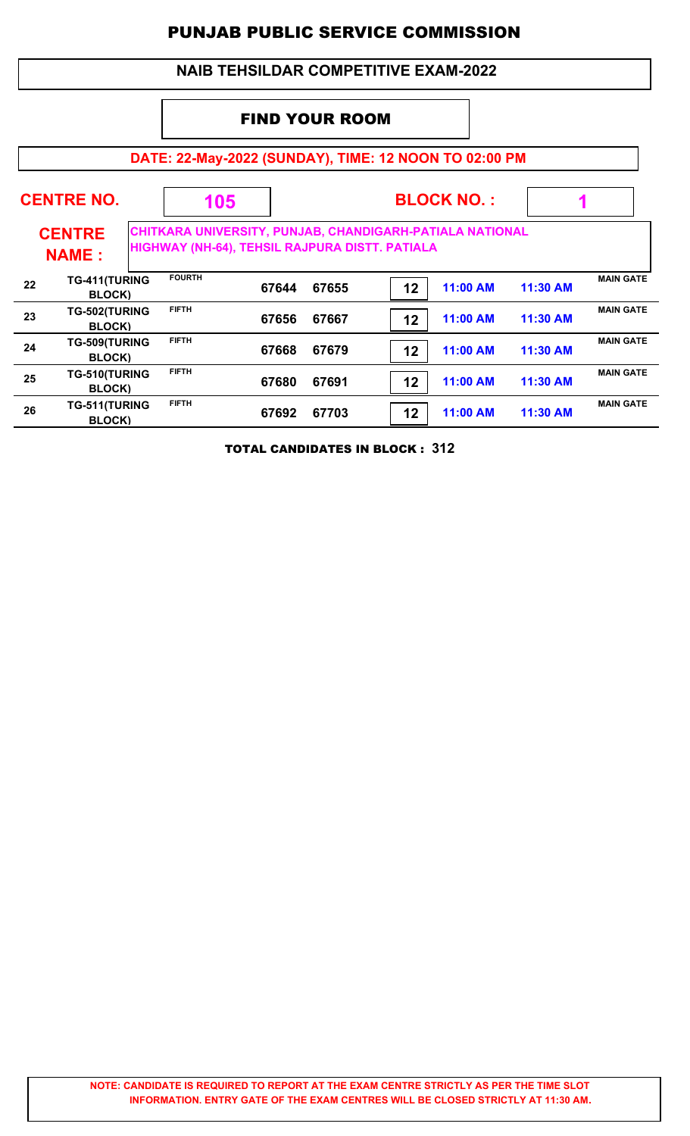## **NAIB TEHSILDAR COMPETITIVE EXAM-2022**

## FIND YOUR ROOM

# **DATE: 22-May-2022 (SUNDAY), TIME: 12 NOON TO 02:00 PM**

|    | <b>CENTRE NO.</b>               | 105                                                                                                        |       |       |    | <b>BLOCK NO.:</b> |          |                  |
|----|---------------------------------|------------------------------------------------------------------------------------------------------------|-------|-------|----|-------------------|----------|------------------|
|    | <b>CENTRE</b><br><b>NAME:</b>   | CHITKARA UNIVERSITY, PUNJAB, CHANDIGARH-PATIALA NATIONAL<br>HIGHWAY (NH-64), TEHSIL RAJPURA DISTT. PATIALA |       |       |    |                   |          |                  |
| 22 | TG-411(TURING<br><b>BLOCK)</b>  | <b>FOURTH</b>                                                                                              | 67644 | 67655 | 12 | 11:00 AM          | 11:30 AM | <b>MAIN GATE</b> |
| 23 | TG-502(TURING<br><b>BLOCK</b> ) | <b>FIFTH</b>                                                                                               | 67656 | 67667 | 12 | 11:00 AM          | 11:30 AM | <b>MAIN GATE</b> |
| 24 | TG-509(TURING<br><b>BLOCK</b> ) | <b>FIFTH</b>                                                                                               | 67668 | 67679 | 12 | 11:00 AM          | 11:30 AM | <b>MAIN GATE</b> |
| 25 | TG-510(TURING<br><b>BLOCK)</b>  | <b>FIFTH</b>                                                                                               | 67680 | 67691 | 12 | 11:00 AM          | 11:30 AM | <b>MAIN GATE</b> |
| 26 | TG-511(TURING<br><b>BLOCK</b> ) | <b>FIFTH</b>                                                                                               | 67692 | 67703 | 12 | 11:00 AM          | 11:30 AM | <b>MAIN GATE</b> |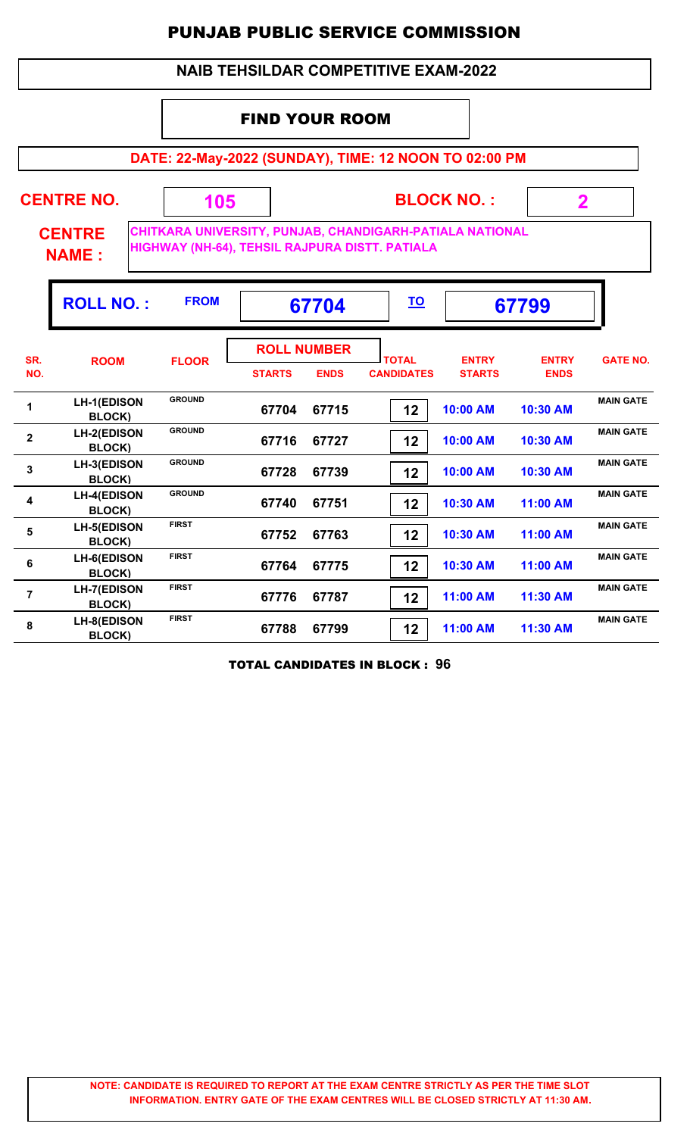## **NAIB TEHSILDAR COMPETITIVE EXAM-2022**

## FIND YOUR ROOM

**DATE: 22-May-2022 (SUNDAY), TIME: 12 NOON TO 02:00 PM**

| <b>CENTRE NO.</b><br><b>CENTRE</b><br><b>NAME:</b> |                                     | 105           |               | <b>BLOCK NO.:</b><br>$\mathbf 2$<br>CHITKARA UNIVERSITY, PUNJAB, CHANDIGARH-PATIALA NATIONAL<br>HIGHWAY (NH-64), TEHSIL RAJPURA DISTT. PATIALA |                                   |                               |                             |                  |  |  |
|----------------------------------------------------|-------------------------------------|---------------|---------------|------------------------------------------------------------------------------------------------------------------------------------------------|-----------------------------------|-------------------------------|-----------------------------|------------------|--|--|
|                                                    | <b>ROLL NO.:</b>                    | <b>FROM</b>   |               | 67704                                                                                                                                          | <u>TO</u>                         |                               | 67799                       |                  |  |  |
| SR.<br>NO.                                         | <b>ROOM</b>                         | <b>FLOOR</b>  | <b>STARTS</b> | <b>ROLL NUMBER</b><br><b>ENDS</b>                                                                                                              | <b>TOTAL</b><br><b>CANDIDATES</b> | <b>ENTRY</b><br><b>STARTS</b> | <b>ENTRY</b><br><b>ENDS</b> | <b>GATE NO.</b>  |  |  |
| 1                                                  | <b>LH-1(EDISON</b><br><b>BLOCK)</b> | <b>GROUND</b> | 67704         | 67715                                                                                                                                          | 12                                | 10:00 AM                      | 10:30 AM                    | <b>MAIN GATE</b> |  |  |
| $\overline{\mathbf{2}}$                            | <b>LH-2(EDISON</b><br><b>BLOCK)</b> | <b>GROUND</b> | 67716         | 67727                                                                                                                                          | 12                                | 10:00 AM                      | 10:30 AM                    | <b>MAIN GATE</b> |  |  |
| $\overline{\mathbf{3}}$                            | LH-3(EDISON<br><b>BLOCK)</b>        | <b>GROUND</b> | 67728         | 67739                                                                                                                                          | 12                                | 10:00 AM                      | 10:30 AM                    | <b>MAIN GATE</b> |  |  |
| 4                                                  | <b>LH-4(EDISON</b><br>BLOCK)        | <b>GROUND</b> | 67740         | 67751                                                                                                                                          | 12                                | 10:30 AM                      | 11:00 AM                    | <b>MAIN GATE</b> |  |  |
| 5                                                  | <b>LH-5(EDISON</b><br><b>BLOCK)</b> | <b>FIRST</b>  | 67752         | 67763                                                                                                                                          | 12                                | 10:30 AM                      | 11:00 AM                    | <b>MAIN GATE</b> |  |  |
| 6                                                  | <b>LH-6(EDISON</b><br>BLOCK)        | <b>FIRST</b>  | 67764         | 67775                                                                                                                                          | 12                                | 10:30 AM                      | 11:00 AM                    | <b>MAIN GATE</b> |  |  |
| $\overline{7}$                                     | <b>LH-7(EDISON</b><br>BLOCK)        | <b>FIRST</b>  | 67776         | 67787                                                                                                                                          | 12                                | 11:00 AM                      | 11:30 AM                    | <b>MAIN GATE</b> |  |  |
| 8                                                  | <b>LH-8(EDISON</b><br>BLOCK)        | <b>FIRST</b>  | 67788         | 67799                                                                                                                                          | 12                                | 11:00 AM                      | 11:30 AM                    | <b>MAIN GATE</b> |  |  |

TOTAL CANDIDATES IN BLOCK : **96**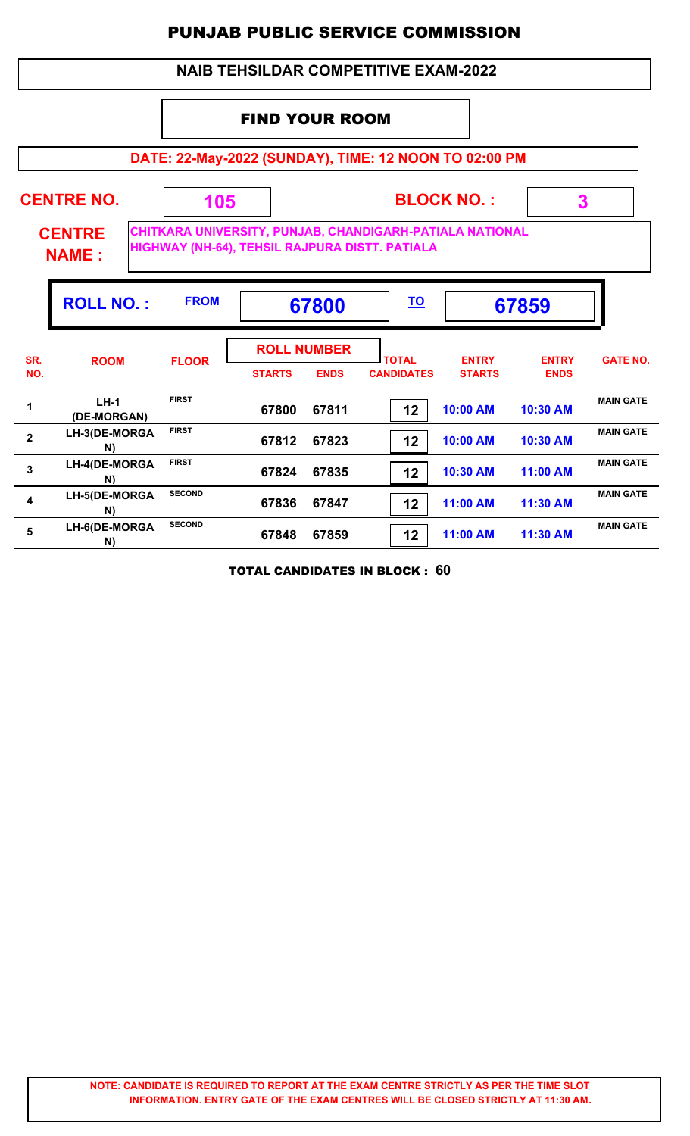## **NAIB TEHSILDAR COMPETITIVE EXAM-2022**

## FIND YOUR ROOM

**DATE: 22-May-2022 (SUNDAY), TIME: 12 NOON TO 02:00 PM**

| <b>CENTRE NO.</b><br><b>CENTRE</b><br><b>NAME:</b> |                       | 105           |               | <b>BLOCK NO.:</b><br>3<br>CHITKARA UNIVERSITY, PUNJAB, CHANDIGARH-PATIALA NATIONAL<br>HIGHWAY (NH-64), TEHSIL RAJPURA DISTT. PATIALA |                                   |                               |                             |                  |  |
|----------------------------------------------------|-----------------------|---------------|---------------|--------------------------------------------------------------------------------------------------------------------------------------|-----------------------------------|-------------------------------|-----------------------------|------------------|--|
|                                                    | <b>ROLL NO.:</b>      | <b>FROM</b>   |               | 67800                                                                                                                                | <u>TO</u>                         |                               | 67859                       |                  |  |
| SR.<br>NO.                                         | <b>ROOM</b>           | <b>FLOOR</b>  | <b>STARTS</b> | <b>ROLL NUMBER</b><br><b>ENDS</b>                                                                                                    | <b>TOTAL</b><br><b>CANDIDATES</b> | <b>ENTRY</b><br><b>STARTS</b> | <b>ENTRY</b><br><b>ENDS</b> | <b>GATE NO.</b>  |  |
| 1                                                  | $LH-1$<br>(DE-MORGAN) | <b>FIRST</b>  | 67800         | 67811                                                                                                                                | 12                                | 10:00 AM                      | 10:30 AM                    | <b>MAIN GATE</b> |  |
| $\mathbf{2}$                                       | LH-3(DE-MORGA<br>N)   | <b>FIRST</b>  | 67812         | 67823                                                                                                                                | 12                                | 10:00 AM                      | 10:30 AM                    | <b>MAIN GATE</b> |  |
| 3                                                  | LH-4(DE-MORGA<br>N)   | <b>FIRST</b>  | 67824         | 67835                                                                                                                                | 12                                | 10:30 AM                      | $11:00$ AM                  | <b>MAIN GATE</b> |  |
| $\overline{\mathbf{4}}$                            | LH-5(DE-MORGA<br>N)   | <b>SECOND</b> | 67836         | 67847                                                                                                                                | 12                                | 11:00 AM                      | 11:30 AM                    | <b>MAIN GATE</b> |  |
| 5                                                  | LH-6(DE-MORGA<br>N)   | <b>SECOND</b> | 67848         | 67859                                                                                                                                | 12                                | 11:00 AM                      | 11:30 AM                    | <b>MAIN GATE</b> |  |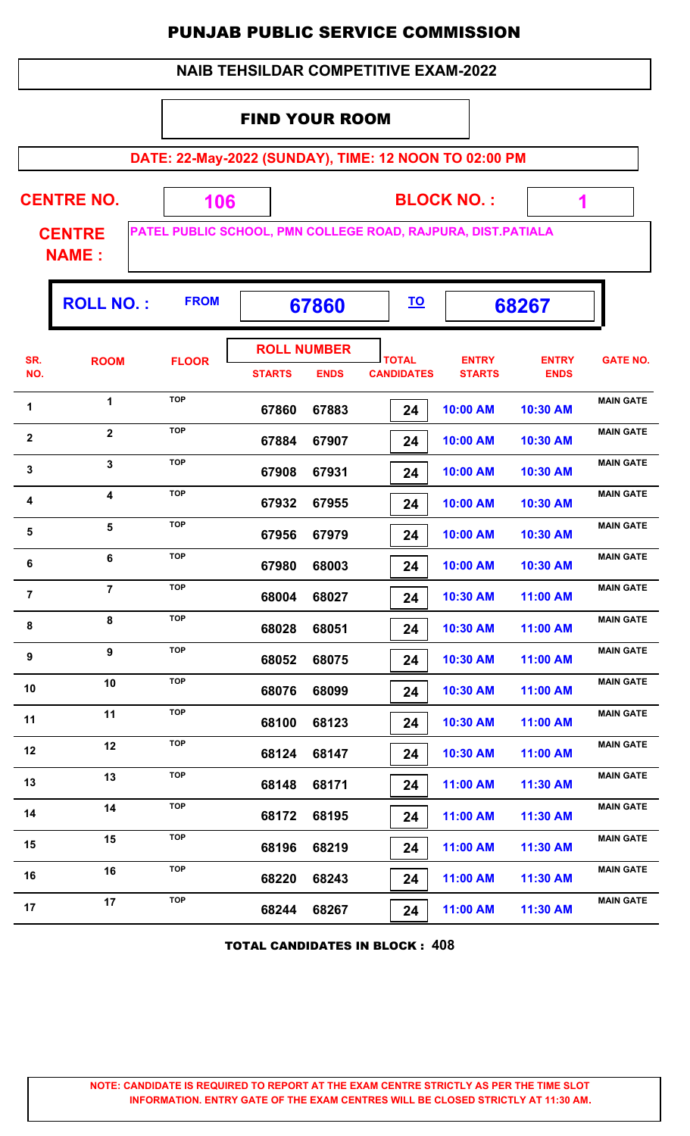|                                                    | <b>NAIB TEHSILDAR COMPETITIVE EXAM-2022</b>           |              |                             |                                   |                                   |                                                              |                             |                  |  |  |  |  |  |  |
|----------------------------------------------------|-------------------------------------------------------|--------------|-----------------------------|-----------------------------------|-----------------------------------|--------------------------------------------------------------|-----------------------------|------------------|--|--|--|--|--|--|
|                                                    |                                                       |              | <b>FIND YOUR ROOM</b>       |                                   |                                   |                                                              |                             |                  |  |  |  |  |  |  |
|                                                    | DATE: 22-May-2022 (SUNDAY), TIME: 12 NOON TO 02:00 PM |              |                             |                                   |                                   |                                                              |                             |                  |  |  |  |  |  |  |
| <b>CENTRE NO.</b><br><b>BLOCK NO.:</b><br>106<br>1 |                                                       |              |                             |                                   |                                   |                                                              |                             |                  |  |  |  |  |  |  |
|                                                    | <b>CENTRE</b><br><b>NAME:</b>                         |              |                             |                                   |                                   | PATEL PUBLIC SCHOOL, PMN COLLEGE ROAD, RAJPURA, DIST.PATIALA |                             |                  |  |  |  |  |  |  |
|                                                    | <b>ROLL NO.:</b>                                      | <b>FROM</b>  | <u>TO</u><br>67860<br>68267 |                                   |                                   |                                                              |                             |                  |  |  |  |  |  |  |
| SR.<br>NO.                                         | <b>ROOM</b>                                           | <b>FLOOR</b> | <b>STARTS</b>               | <b>ROLL NUMBER</b><br><b>ENDS</b> | <b>TOTAL</b><br><b>CANDIDATES</b> | <b>ENTRY</b><br><b>STARTS</b>                                | <b>ENTRY</b><br><b>ENDS</b> | <b>GATE NO.</b>  |  |  |  |  |  |  |
| 1                                                  | $\mathbf{1}$                                          | <b>TOP</b>   | 67860                       | 67883                             | 24                                | 10:00 AM                                                     | 10:30 AM                    | <b>MAIN GATE</b> |  |  |  |  |  |  |
| $\mathbf 2$                                        | $\overline{2}$                                        | <b>TOP</b>   | 67884                       | 67907                             | 24                                | 10:00 AM                                                     | 10:30 AM                    | <b>MAIN GATE</b> |  |  |  |  |  |  |
| 3                                                  | 3                                                     | <b>TOP</b>   | 67908                       | 67931                             | 24                                | 10:00 AM                                                     | 10:30 AM                    | <b>MAIN GATE</b> |  |  |  |  |  |  |
| 4                                                  | 4                                                     | <b>TOP</b>   | 67932                       | 67955                             | 24                                | 10:00 AM                                                     | 10:30 AM                    | <b>MAIN GATE</b> |  |  |  |  |  |  |
| 5                                                  | 5                                                     | <b>TOP</b>   | 67956                       | 67979                             | 24                                | 10:00 AM                                                     | 10:30 AM                    | <b>MAIN GATE</b> |  |  |  |  |  |  |
| 6                                                  | 6                                                     | <b>TOP</b>   | 67980                       | 68003                             | 24                                | 10:00 AM                                                     | 10:30 AM                    | <b>MAIN GATE</b> |  |  |  |  |  |  |
| $\overline{7}$                                     | $\overline{7}$                                        | <b>TOP</b>   | 68004                       | 68027                             | 24                                | 10:30 AM                                                     | 11:00 AM                    | <b>MAIN GATE</b> |  |  |  |  |  |  |
| 8                                                  | 8                                                     | <b>TOP</b>   | 68028                       | 68051                             | 24                                | 10:30 AM                                                     | 11:00 AM                    | <b>MAIN GATE</b> |  |  |  |  |  |  |
| 9                                                  | 9                                                     | <b>TOP</b>   | 68052                       | 68075                             | 24                                | 10:30 AM                                                     | 11:00 AM                    | <b>MAIN GATE</b> |  |  |  |  |  |  |
| 10                                                 | 10                                                    | <b>TOP</b>   | 68076                       | 68099                             | 24                                | 10:30 AM                                                     | 11:00 AM                    | <b>MAIN GATE</b> |  |  |  |  |  |  |
| 11                                                 | 11                                                    | <b>TOP</b>   | 68100                       | 68123                             | 24                                | 10:30 AM                                                     | 11:00 AM                    | <b>MAIN GATE</b> |  |  |  |  |  |  |
| 12                                                 | 12                                                    | <b>TOP</b>   | 68124                       | 68147                             | 24                                | 10:30 AM                                                     | 11:00 AM                    | <b>MAIN GATE</b> |  |  |  |  |  |  |
| 13                                                 | 13                                                    | <b>TOP</b>   | 68148                       | 68171                             | 24                                | 11:00 AM                                                     | 11:30 AM                    | <b>MAIN GATE</b> |  |  |  |  |  |  |
| 14                                                 | 14                                                    | <b>TOP</b>   | 68172                       | 68195                             | 24                                | 11:00 AM                                                     | 11:30 AM                    | <b>MAIN GATE</b> |  |  |  |  |  |  |
| 15                                                 | 15                                                    | <b>TOP</b>   | 68196                       | 68219                             | 24                                | 11:00 AM                                                     | 11:30 AM                    | <b>MAIN GATE</b> |  |  |  |  |  |  |
| 16                                                 | 16                                                    | <b>TOP</b>   | 68220                       | 68243                             | 24                                | 11:00 AM                                                     | 11:30 AM                    | <b>MAIN GATE</b> |  |  |  |  |  |  |
| 17                                                 | 17                                                    | <b>TOP</b>   | 68244                       | 68267                             | 24                                | 11:00 AM                                                     | 11:30 AM                    | <b>MAIN GATE</b> |  |  |  |  |  |  |

TOTAL CANDIDATES IN BLOCK : **408**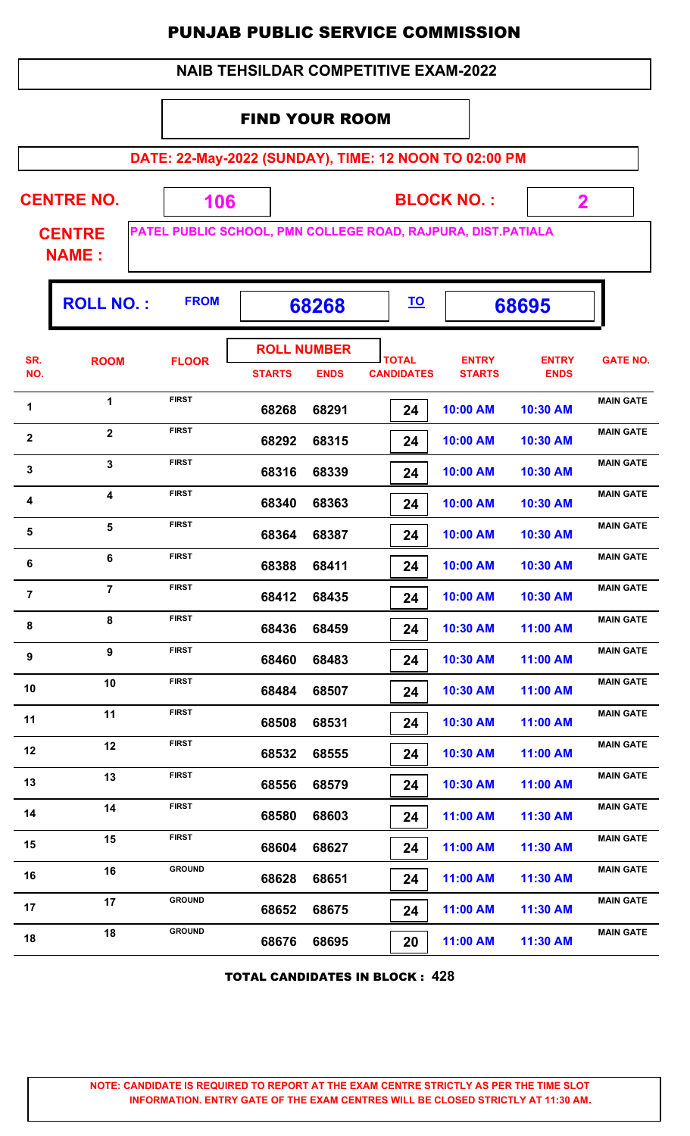|                                                                                               | <b>NAIB TEHSILDAR COMPETITIVE EXAM-2022</b> |               |                             |                    |                   |                   |              |                  |  |  |  |  |  |
|-----------------------------------------------------------------------------------------------|---------------------------------------------|---------------|-----------------------------|--------------------|-------------------|-------------------|--------------|------------------|--|--|--|--|--|
|                                                                                               |                                             |               | <b>FIND YOUR ROOM</b>       |                    |                   |                   |              |                  |  |  |  |  |  |
|                                                                                               |                                             |               |                             |                    |                   |                   |              |                  |  |  |  |  |  |
| DATE: 22-May-2022 (SUNDAY), TIME: 12 NOON TO 02:00 PM                                         |                                             |               |                             |                    |                   |                   |              |                  |  |  |  |  |  |
|                                                                                               | <b>CENTRE NO.</b>                           | 106           |                             |                    |                   | <b>BLOCK NO.:</b> | $\mathbf 2$  |                  |  |  |  |  |  |
| PATEL PUBLIC SCHOOL, PMN COLLEGE ROAD, RAJPURA, DIST.PATIALA<br><b>CENTRE</b><br><b>NAME:</b> |                                             |               |                             |                    |                   |                   |              |                  |  |  |  |  |  |
|                                                                                               | <b>ROLL NO.:</b>                            | <b>FROM</b>   | <u>TO</u><br>68268<br>68695 |                    |                   |                   |              |                  |  |  |  |  |  |
| SR.                                                                                           | <b>ROOM</b>                                 |               |                             | <b>ROLL NUMBER</b> | <b>TOTAL</b>      | <b>ENTRY</b>      | <b>ENTRY</b> | <b>GATE NO.</b>  |  |  |  |  |  |
| NO.                                                                                           |                                             | <b>FLOOR</b>  | <b>STARTS</b>               | <b>ENDS</b>        | <b>CANDIDATES</b> | <b>STARTS</b>     | <b>ENDS</b>  |                  |  |  |  |  |  |
| 1                                                                                             | $\mathbf{1}$                                | <b>FIRST</b>  | 68268                       | 68291              | 24                | 10:00 AM          | 10:30 AM     | <b>MAIN GATE</b> |  |  |  |  |  |
| $\mathbf{2}$                                                                                  | $\overline{2}$                              | <b>FIRST</b>  | 68292                       | 68315              | 24                | 10:00 AM          | 10:30 AM     | <b>MAIN GATE</b> |  |  |  |  |  |
| 3                                                                                             | 3                                           | <b>FIRST</b>  | 68316                       | 68339              | 24                | 10:00 AM          | 10:30 AM     | <b>MAIN GATE</b> |  |  |  |  |  |
| 4                                                                                             | 4                                           | <b>FIRST</b>  | 68340                       | 68363              | 24                | 10:00 AM          | 10:30 AM     | <b>MAIN GATE</b> |  |  |  |  |  |
| 5                                                                                             | 5                                           | <b>FIRST</b>  | 68364                       | 68387              | 24                | 10:00 AM          | 10:30 AM     | <b>MAIN GATE</b> |  |  |  |  |  |
| $\bf 6$                                                                                       | 6                                           | <b>FIRST</b>  | 68388                       | 68411              | 24                | 10:00 AM          | 10:30 AM     | <b>MAIN GATE</b> |  |  |  |  |  |
| $\overline{7}$                                                                                | $\overline{7}$                              | <b>FIRST</b>  | 68412                       | 68435              | 24                | 10:00 AM          | 10:30 AM     | <b>MAIN GATE</b> |  |  |  |  |  |
| 8                                                                                             | 8                                           | <b>FIRST</b>  | 68436                       | 68459              | 24                | 10:30 AM          | 11:00 AM     | <b>MAIN GATE</b> |  |  |  |  |  |
| 9                                                                                             | 9                                           | <b>FIRST</b>  | 68460                       | 68483              | 24                | 10:30 AM          | 11:00 AM     | <b>MAIN GATE</b> |  |  |  |  |  |
| 10                                                                                            | 10                                          | <b>FIRST</b>  | 68484                       | 68507              | 24                | 10:30 AM          | 11:00 AM     | <b>MAIN GATE</b> |  |  |  |  |  |
| 11                                                                                            | 11                                          | <b>FIRST</b>  | 68508                       | 68531              | 24                | 10:30 AM          | 11:00 AM     | <b>MAIN GATE</b> |  |  |  |  |  |
| 12                                                                                            | 12                                          | <b>FIRST</b>  | 68532                       | 68555              | 24                | 10:30 AM          | 11:00 AM     | <b>MAIN GATE</b> |  |  |  |  |  |
| 13                                                                                            | 13                                          | <b>FIRST</b>  | 68556                       | 68579              | 24                | 10:30 AM          | 11:00 AM     | <b>MAIN GATE</b> |  |  |  |  |  |
| 14                                                                                            | 14                                          | <b>FIRST</b>  | 68580                       | 68603              | 24                | 11:00 AM          | 11:30 AM     | <b>MAIN GATE</b> |  |  |  |  |  |
| 15                                                                                            | 15                                          | <b>FIRST</b>  | 68604                       | 68627              | 24                | 11:00 AM          | 11:30 AM     | <b>MAIN GATE</b> |  |  |  |  |  |
| 16                                                                                            | 16                                          | <b>GROUND</b> | 68628                       | 68651              | 24                | 11:00 AM          | 11:30 AM     | <b>MAIN GATE</b> |  |  |  |  |  |
| 17                                                                                            | 17                                          | <b>GROUND</b> | 68652                       | 68675              | 24                | 11:00 AM          | 11:30 AM     | <b>MAIN GATE</b> |  |  |  |  |  |
| 18                                                                                            | 18                                          | <b>GROUND</b> | 68676                       | 68695              | 20                | 11:00 AM          | 11:30 AM     | <b>MAIN GATE</b> |  |  |  |  |  |

TOTAL CANDIDATES IN BLOCK : **428**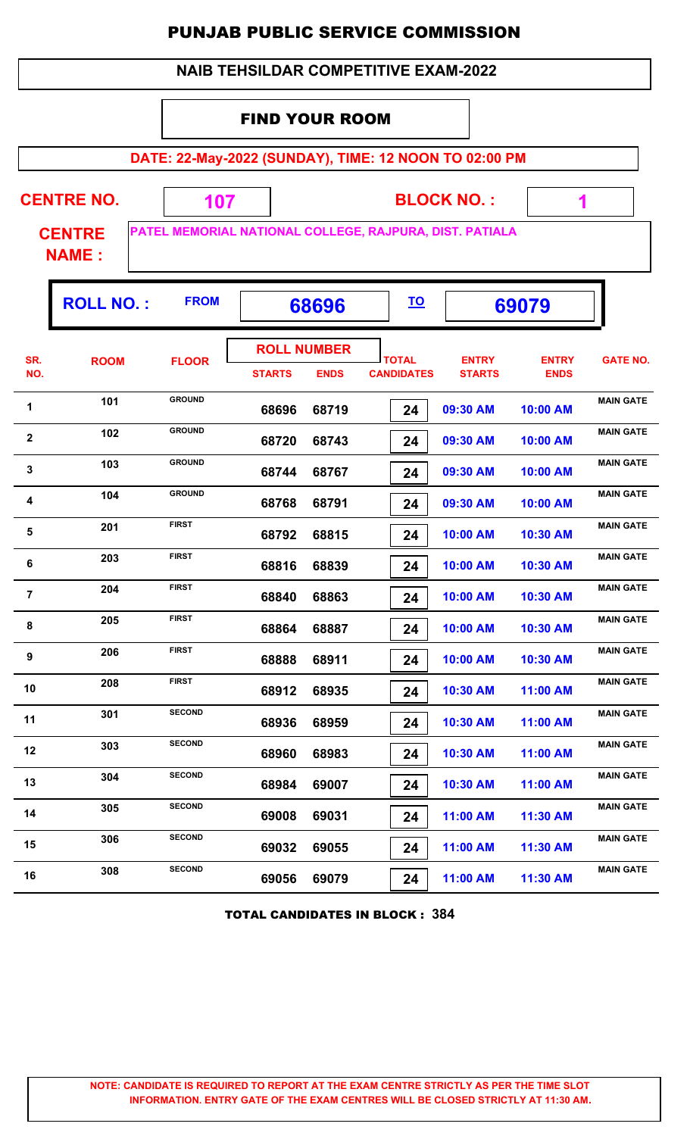|                                                       | <b>NAIB TEHSILDAR COMPETITIVE EXAM-2022</b> |                                                         |               |                                   |                                   |                               |                             |                  |  |  |  |  |  |
|-------------------------------------------------------|---------------------------------------------|---------------------------------------------------------|---------------|-----------------------------------|-----------------------------------|-------------------------------|-----------------------------|------------------|--|--|--|--|--|
|                                                       | <b>FIND YOUR ROOM</b>                       |                                                         |               |                                   |                                   |                               |                             |                  |  |  |  |  |  |
| DATE: 22-May-2022 (SUNDAY), TIME: 12 NOON TO 02:00 PM |                                             |                                                         |               |                                   |                                   |                               |                             |                  |  |  |  |  |  |
|                                                       | <b>CENTRE NO.</b>                           | 107                                                     |               |                                   |                                   | <b>BLOCK NO.:</b>             | 1                           |                  |  |  |  |  |  |
|                                                       | <b>CENTRE</b><br><b>NAME:</b>               | PATEL MEMORIAL NATIONAL COLLEGE, RAJPURA, DIST. PATIALA |               |                                   |                                   |                               |                             |                  |  |  |  |  |  |
|                                                       | <b>ROLL NO.:</b>                            | <b>FROM</b>                                             |               | 68696                             | <u>TO</u>                         |                               | 69079                       |                  |  |  |  |  |  |
| SR.<br>NO.                                            | <b>ROOM</b>                                 | <b>FLOOR</b>                                            | <b>STARTS</b> | <b>ROLL NUMBER</b><br><b>ENDS</b> | <b>TOTAL</b><br><b>CANDIDATES</b> | <b>ENTRY</b><br><b>STARTS</b> | <b>ENTRY</b><br><b>ENDS</b> | <b>GATE NO.</b>  |  |  |  |  |  |
| 1                                                     | 101                                         | <b>GROUND</b>                                           | 68696         | 68719                             | 24                                | 09:30 AM                      | 10:00 AM                    | <b>MAIN GATE</b> |  |  |  |  |  |
| $\mathbf{2}$                                          | 102                                         | <b>GROUND</b>                                           | 68720         | 68743                             | 24                                | 09:30 AM                      | 10:00 AM                    | <b>MAIN GATE</b> |  |  |  |  |  |
| 3                                                     | 103                                         | <b>GROUND</b>                                           | 68744         | 68767                             | 24                                | 09:30 AM                      | 10:00 AM                    | <b>MAIN GATE</b> |  |  |  |  |  |
| 4                                                     | 104                                         | <b>GROUND</b>                                           | 68768         | 68791                             | 24                                | 09:30 AM                      | 10:00 AM                    | <b>MAIN GATE</b> |  |  |  |  |  |
| 5                                                     | 201                                         | <b>FIRST</b>                                            | 68792         | 68815                             | 24                                | 10:00 AM                      | 10:30 AM                    | <b>MAIN GATE</b> |  |  |  |  |  |
| 6                                                     | 203                                         | FIRST                                                   | 68816         | 68839                             | 24                                | 10:00 AM                      | 10:30 AM                    | <b>MAIN GATE</b> |  |  |  |  |  |
| $\overline{7}$                                        | 204                                         | <b>FIRST</b>                                            | 68840         | 68863                             | 24                                | 10:00 AM                      | 10:30 AM                    | <b>MAIN GATE</b> |  |  |  |  |  |
| 8                                                     | 205                                         | <b>FIRST</b>                                            | 68864         | 68887                             | 24                                | 10:00 AM                      | 10:30 AM                    | <b>MAIN GATE</b> |  |  |  |  |  |
| 9                                                     | 206                                         | <b>FIRST</b>                                            | 68888         | 68911                             | 24                                | 10:00 AM                      | 10:30 AM                    | <b>MAIN GATE</b> |  |  |  |  |  |
| 10                                                    | 208                                         | <b>FIRST</b>                                            | 68912         | 68935                             | 24                                | 10:30 AM                      | 11:00 AM                    | <b>MAIN GATE</b> |  |  |  |  |  |
| 11                                                    | 301                                         | <b>SECOND</b>                                           | 68936         | 68959                             | 24                                | 10:30 AM                      | 11:00 AM                    | <b>MAIN GATE</b> |  |  |  |  |  |
| 12                                                    | 303                                         | <b>SECOND</b>                                           | 68960         | 68983                             | 24                                | 10:30 AM                      | 11:00 AM                    | <b>MAIN GATE</b> |  |  |  |  |  |
| 13                                                    | 304                                         | <b>SECOND</b>                                           | 68984         | 69007                             | 24                                | 10:30 AM                      | 11:00 AM                    | <b>MAIN GATE</b> |  |  |  |  |  |
| 14                                                    | 305                                         | <b>SECOND</b>                                           | 69008         | 69031                             | 24                                | 11:00 AM                      | 11:30 AM                    | <b>MAIN GATE</b> |  |  |  |  |  |
| 15                                                    | 306                                         | <b>SECOND</b>                                           | 69032         | 69055                             | 24                                | 11:00 AM                      | 11:30 AM                    | <b>MAIN GATE</b> |  |  |  |  |  |
| 16                                                    | 308                                         | <b>SECOND</b>                                           | 69056         | 69079                             | 24                                | 11:00 AM                      | 11:30 AM                    | <b>MAIN GATE</b> |  |  |  |  |  |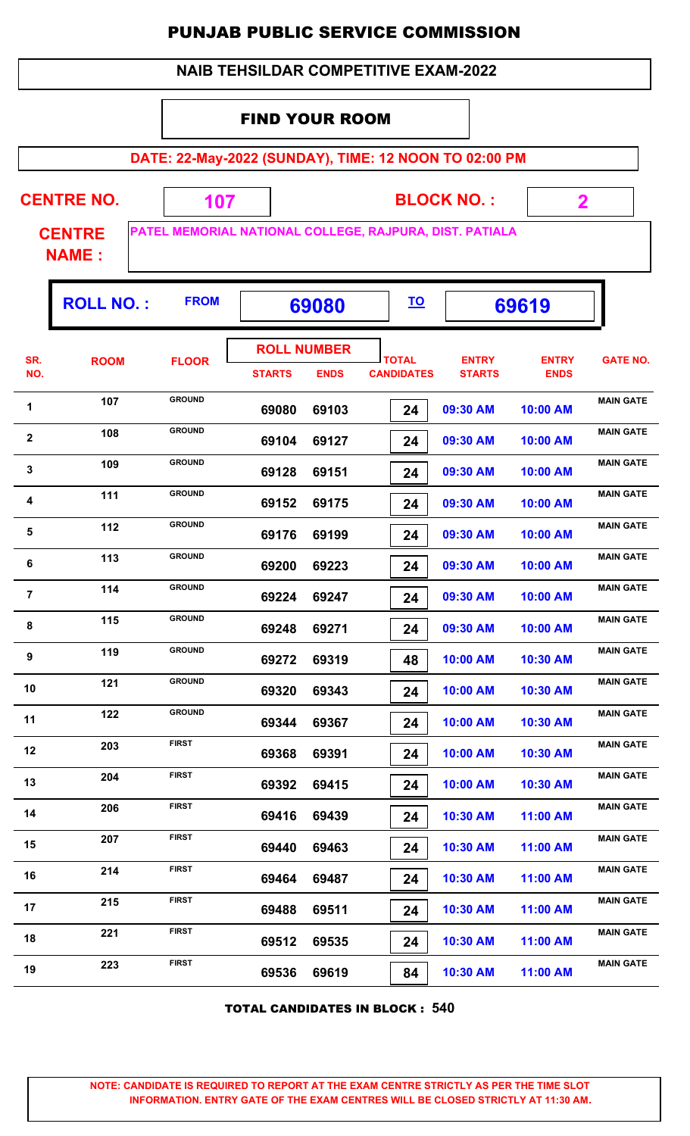|                | <b>NAIB TEHSILDAR COMPETITIVE EXAM-2022</b>                                                                    |               |               |                                   |                                   |                               |                             |                  |  |  |  |  |  |
|----------------|----------------------------------------------------------------------------------------------------------------|---------------|---------------|-----------------------------------|-----------------------------------|-------------------------------|-----------------------------|------------------|--|--|--|--|--|
|                | <b>FIND YOUR ROOM</b>                                                                                          |               |               |                                   |                                   |                               |                             |                  |  |  |  |  |  |
|                | DATE: 22-May-2022 (SUNDAY), TIME: 12 NOON TO 02:00 PM                                                          |               |               |                                   |                                   |                               |                             |                  |  |  |  |  |  |
|                | <b>CENTRE NO.</b>                                                                                              |               |               |                                   |                                   |                               |                             |                  |  |  |  |  |  |
|                | <b>BLOCK NO.:</b><br>$\overline{\mathbf{2}}$<br>107<br>PATEL MEMORIAL NATIONAL COLLEGE, RAJPURA, DIST. PATIALA |               |               |                                   |                                   |                               |                             |                  |  |  |  |  |  |
|                | <b>CENTRE</b><br><b>NAME:</b>                                                                                  |               |               |                                   |                                   |                               |                             |                  |  |  |  |  |  |
|                | <b>ROLL NO.:</b>                                                                                               | <b>FROM</b>   |               | 69080                             | <u>TO</u>                         |                               | 69619                       |                  |  |  |  |  |  |
| SR.<br>NO.     | <b>ROOM</b>                                                                                                    | <b>FLOOR</b>  | <b>STARTS</b> | <b>ROLL NUMBER</b><br><b>ENDS</b> | <b>TOTAL</b><br><b>CANDIDATES</b> | <b>ENTRY</b><br><b>STARTS</b> | <b>ENTRY</b><br><b>ENDS</b> | <b>GATE NO.</b>  |  |  |  |  |  |
| 1              | 107                                                                                                            | <b>GROUND</b> | 69080         | 69103                             | 24                                | 09:30 AM                      | 10:00 AM                    | <b>MAIN GATE</b> |  |  |  |  |  |
| $\mathbf{2}$   | 108                                                                                                            | <b>GROUND</b> | 69104         | 69127                             | 24                                | 09:30 AM                      | 10:00 AM                    | <b>MAIN GATE</b> |  |  |  |  |  |
| 3              | 109                                                                                                            | <b>GROUND</b> | 69128         | 69151                             | 24                                | 09:30 AM                      | 10:00 AM                    | <b>MAIN GATE</b> |  |  |  |  |  |
| 4              | 111                                                                                                            | <b>GROUND</b> | 69152         | 69175                             | 24                                | 09:30 AM                      | 10:00 AM                    | <b>MAIN GATE</b> |  |  |  |  |  |
| 5              | 112                                                                                                            | <b>GROUND</b> | 69176         | 69199                             | 24                                | 09:30 AM                      | 10:00 AM                    | <b>MAIN GATE</b> |  |  |  |  |  |
| $\bf 6$        | 113                                                                                                            | <b>GROUND</b> | 69200         | 69223                             | 24                                | 09:30 AM                      | 10:00 AM                    | <b>MAIN GATE</b> |  |  |  |  |  |
| $\overline{7}$ | 114                                                                                                            | <b>GROUND</b> | 69224         | 69247                             | 24                                | 09:30 AM                      | 10:00 AM                    | <b>MAIN GATE</b> |  |  |  |  |  |
| 8              | 115                                                                                                            | <b>GROUND</b> | 69248         | 69271                             | 24                                | 09:30 AM                      | 10:00 AM                    | <b>MAIN GATE</b> |  |  |  |  |  |
| 9              | 119                                                                                                            | <b>GROUND</b> | 69272         | 69319                             | 48                                | 10:00 AM                      | 10:30 AM                    | <b>MAIN GATE</b> |  |  |  |  |  |
| 10             | 121                                                                                                            | <b>GROUND</b> | 69320         | 69343                             | 24                                | 10:00 AM                      | 10:30 AM                    | <b>MAIN GATE</b> |  |  |  |  |  |
| 11             | 122                                                                                                            | <b>GROUND</b> | 69344         | 69367                             | 24                                | 10:00 AM                      | 10:30 AM                    | <b>MAIN GATE</b> |  |  |  |  |  |
| 12             | 203                                                                                                            | <b>FIRST</b>  | 69368         | 69391                             | 24                                | 10:00 AM                      | 10:30 AM                    | <b>MAIN GATE</b> |  |  |  |  |  |
| 13             | 204                                                                                                            | <b>FIRST</b>  | 69392         | 69415                             | 24                                | 10:00 AM                      | 10:30 AM                    | <b>MAIN GATE</b> |  |  |  |  |  |
| 14             | 206                                                                                                            | <b>FIRST</b>  | 69416         | 69439                             | 24                                | 10:30 AM                      | 11:00 AM                    | <b>MAIN GATE</b> |  |  |  |  |  |
| 15             | 207                                                                                                            | <b>FIRST</b>  | 69440         | 69463                             | 24                                | 10:30 AM                      | 11:00 AM                    | <b>MAIN GATE</b> |  |  |  |  |  |
| 16             | 214                                                                                                            | <b>FIRST</b>  | 69464         | 69487                             | 24                                | 10:30 AM                      | 11:00 AM                    | <b>MAIN GATE</b> |  |  |  |  |  |
| 17             | 215                                                                                                            | <b>FIRST</b>  | 69488         | 69511                             | 24                                | 10:30 AM                      | 11:00 AM                    | <b>MAIN GATE</b> |  |  |  |  |  |
| 18             | 221                                                                                                            | <b>FIRST</b>  | 69512         | 69535                             | 24                                | 10:30 AM                      | 11:00 AM                    | <b>MAIN GATE</b> |  |  |  |  |  |
| 19             | 223                                                                                                            | <b>FIRST</b>  | 69536         | 69619                             | 84                                | 10:30 AM                      | 11:00 AM                    | <b>MAIN GATE</b> |  |  |  |  |  |

TOTAL CANDIDATES IN BLOCK : **540**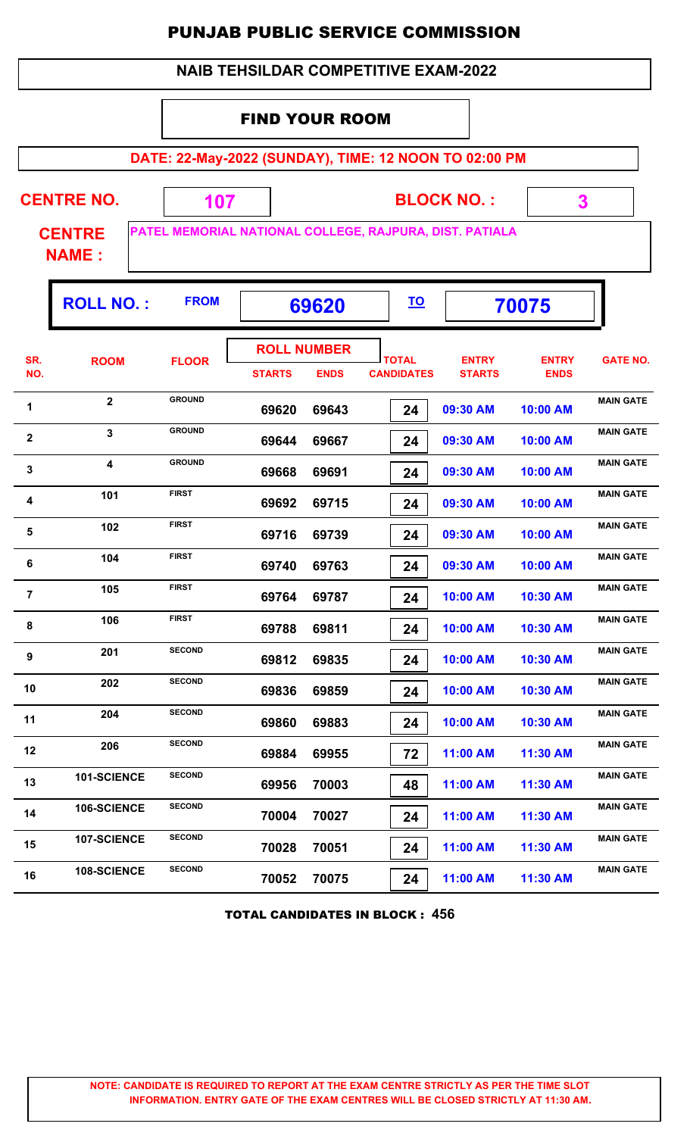| <b>NAIB TEHSILDAR COMPETITIVE EXAM-2022</b>                    |                                                       |                                                         |                       |                                   |                                   |                               |                             |                  |  |  |  |  |  |
|----------------------------------------------------------------|-------------------------------------------------------|---------------------------------------------------------|-----------------------|-----------------------------------|-----------------------------------|-------------------------------|-----------------------------|------------------|--|--|--|--|--|
|                                                                |                                                       |                                                         | <b>FIND YOUR ROOM</b> |                                   |                                   |                               |                             |                  |  |  |  |  |  |
|                                                                | DATE: 22-May-2022 (SUNDAY), TIME: 12 NOON TO 02:00 PM |                                                         |                       |                                   |                                   |                               |                             |                  |  |  |  |  |  |
|                                                                | <b>CENTRE NO.</b>                                     | 107                                                     |                       |                                   |                                   | <b>BLOCK NO.:</b>             | 3                           |                  |  |  |  |  |  |
|                                                                | <b>CENTRE</b><br><b>NAME:</b>                         | PATEL MEMORIAL NATIONAL COLLEGE, RAJPURA, DIST. PATIALA |                       |                                   |                                   |                               |                             |                  |  |  |  |  |  |
| <b>ROLL NO.:</b><br><b>FROM</b><br><u>TO</u><br>70075<br>69620 |                                                       |                                                         |                       |                                   |                                   |                               |                             |                  |  |  |  |  |  |
| SR.<br>NO.                                                     | <b>ROOM</b>                                           | <b>FLOOR</b>                                            | <b>STARTS</b>         | <b>ROLL NUMBER</b><br><b>ENDS</b> | <b>TOTAL</b><br><b>CANDIDATES</b> | <b>ENTRY</b><br><b>STARTS</b> | <b>ENTRY</b><br><b>ENDS</b> | <b>GATE NO.</b>  |  |  |  |  |  |
| 1                                                              | $\overline{2}$                                        | <b>GROUND</b>                                           | 69620                 | 69643                             | 24                                | 09:30 AM                      | 10:00 AM                    | <b>MAIN GATE</b> |  |  |  |  |  |
| $\overline{\mathbf{2}}$                                        | 3                                                     | <b>GROUND</b>                                           | 69644                 | 69667                             | 24                                | 09:30 AM                      | 10:00 AM                    | <b>MAIN GATE</b> |  |  |  |  |  |
| 3                                                              | $\overline{\mathbf{4}}$                               | <b>GROUND</b>                                           | 69668                 | 69691                             | 24                                | 09:30 AM                      | 10:00 AM                    | <b>MAIN GATE</b> |  |  |  |  |  |
| 4                                                              | 101                                                   | <b>FIRST</b>                                            | 69692                 | 69715                             | 24                                | 09:30 AM                      | 10:00 AM                    | <b>MAIN GATE</b> |  |  |  |  |  |
| 5                                                              | 102                                                   | <b>FIRST</b>                                            | 69716                 | 69739                             | 24                                | 09:30 AM                      | 10:00 AM                    | <b>MAIN GATE</b> |  |  |  |  |  |
| 6                                                              | 104                                                   | <b>FIRST</b>                                            | 69740                 | 69763                             | 24                                | 09:30 AM                      | 10:00 AM                    | <b>MAIN GATE</b> |  |  |  |  |  |
| $\overline{7}$                                                 | 105                                                   | <b>FIRST</b>                                            | 69764                 | 69787                             | 24                                | 10:00 AM                      | 10:30 AM                    | <b>MAIN GATE</b> |  |  |  |  |  |
| 8                                                              | 106                                                   | <b>FIRST</b>                                            | 69788                 | 69811                             | 24                                | 10:00 AM                      | 10:30 AM                    | <b>MAIN GATE</b> |  |  |  |  |  |
| 9                                                              | 201                                                   | <b>SECOND</b>                                           | 69812                 | 69835                             | 24                                | 10:00 AM                      | 10:30 AM                    | <b>MAIN GATE</b> |  |  |  |  |  |
| 10                                                             | 202                                                   | <b>SECOND</b>                                           | 69836                 | 69859                             | 24                                | 10:00 AM                      | 10:30 AM                    | <b>MAIN GATE</b> |  |  |  |  |  |
| 11                                                             | 204                                                   | <b>SECOND</b>                                           | 69860                 | 69883                             | 24                                | 10:00 AM                      | 10:30 AM                    | <b>MAIN GATE</b> |  |  |  |  |  |
| 12                                                             | 206                                                   | <b>SECOND</b>                                           | 69884                 | 69955                             | 72                                | 11:00 AM                      | 11:30 AM                    | <b>MAIN GATE</b> |  |  |  |  |  |
| 13                                                             | 101-SCIENCE                                           | <b>SECOND</b>                                           | 69956                 | 70003                             | 48                                | 11:00 AM                      | 11:30 AM                    | <b>MAIN GATE</b> |  |  |  |  |  |
| 14                                                             | 106-SCIENCE                                           | <b>SECOND</b>                                           | 70004                 | 70027                             | 24                                | 11:00 AM                      | 11:30 AM                    | <b>MAIN GATE</b> |  |  |  |  |  |
| 15                                                             | 107-SCIENCE                                           | <b>SECOND</b>                                           | 70028                 | 70051                             | 24                                | 11:00 AM                      | 11:30 AM                    | <b>MAIN GATE</b> |  |  |  |  |  |
| 16                                                             | 108-SCIENCE                                           | <b>SECOND</b>                                           | 70052                 | 70075                             | 24                                | 11:00 AM                      | 11:30 AM                    | <b>MAIN GATE</b> |  |  |  |  |  |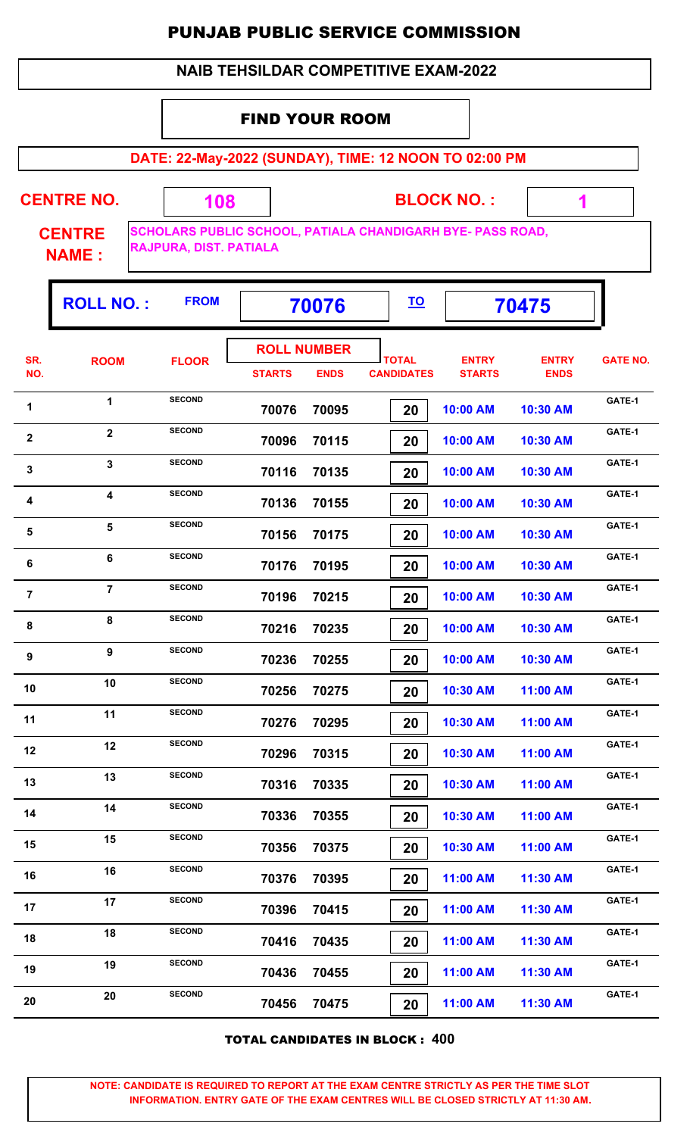#### **NAIB TEHSILDAR COMPETITIVE EXAM-2022**

#### FIND YOUR ROOM

 **108**

**DATE: 22-May-2022 (SUNDAY), TIME: 12 NOON TO 02:00 PM**

**CENTRE NO.** 

**BLOCK NO. :**

 **1**

**CENTRE NAME :**

**SCHOLARS PUBLIC SCHOOL, PATIALA CHANDIGARH BYE- PASS ROAD, RAJPURA, DIST. PATIALA**

|                         | <b>ROLL NO.:</b> | <b>FROM</b>   |                                     | 70076       |                                   | 70475                         |                             |                 |
|-------------------------|------------------|---------------|-------------------------------------|-------------|-----------------------------------|-------------------------------|-----------------------------|-----------------|
| SR.<br>NO.              | <b>ROOM</b>      | <b>FLOOR</b>  | <b>ROLL NUMBER</b><br><b>STARTS</b> | <b>ENDS</b> | <b>TOTAL</b><br><b>CANDIDATES</b> | <b>ENTRY</b><br><b>STARTS</b> | <b>ENTRY</b><br><b>ENDS</b> | <b>GATE NO.</b> |
| 1                       | 1                | <b>SECOND</b> | 70076                               | 70095       | 20                                | 10:00 AM                      | 10:30 AM                    | GATE-1          |
| $\mathbf{2}$            | $\mathbf{2}$     | <b>SECOND</b> | 70096                               | 70115       | 20                                | 10:00 AM                      | 10:30 AM                    | GATE-1          |
| 3                       | $\mathbf{3}$     | <b>SECOND</b> | 70116                               | 70135       | 20                                | 10:00 AM                      | 10:30 AM                    | GATE-1          |
| $\overline{\mathbf{4}}$ | 4                | <b>SECOND</b> | 70136                               | 70155       | 20                                | 10:00 AM                      | 10:30 AM                    | GATE-1          |
| 5                       | $5\phantom{a}$   | <b>SECOND</b> | 70156                               | 70175       | 20                                | 10:00 AM                      | 10:30 AM                    | GATE-1          |
| 6                       | 6                | <b>SECOND</b> | 70176                               | 70195       | 20                                | 10:00 AM                      | 10:30 AM                    | GATE-1          |
| $\overline{7}$          | $\overline{7}$   | <b>SECOND</b> | 70196                               | 70215       | 20                                | 10:00 AM                      | 10:30 AM                    | GATE-1          |
| 8                       | 8                | <b>SECOND</b> | 70216                               | 70235       | 20                                | 10:00 AM                      | 10:30 AM                    | GATE-1          |
| 9                       | 9                | <b>SECOND</b> | 70236                               | 70255       | 20                                | 10:00 AM                      | 10:30 AM                    | GATE-1          |
| 10                      | 10               | <b>SECOND</b> | 70256                               | 70275       | 20                                | 10:30 AM                      | 11:00 AM                    | GATE-1          |
| 11                      | 11               | <b>SECOND</b> | 70276                               | 70295       | 20                                | 10:30 AM                      | 11:00 AM                    | GATE-1          |
| 12                      | 12               | <b>SECOND</b> | 70296                               | 70315       | 20                                | 10:30 AM                      | 11:00 AM                    | GATE-1          |
| 13                      | 13               | <b>SECOND</b> | 70316                               | 70335       | 20                                | 10:30 AM                      | 11:00 AM                    | GATE-1          |
| 14                      | 14               | <b>SECOND</b> | 70336                               | 70355       | 20                                | 10:30 AM                      | 11:00 AM                    | GATE-1          |
| 15                      | 15               | <b>SECOND</b> | 70356                               | 70375       | 20                                | 10:30 AM                      | 11:00 AM                    | GATE-1          |
| 16                      | 16               | <b>SECOND</b> | 70376                               | 70395       | 20                                | 11:00 AM                      | 11:30 AM                    | GATE-1          |
| 17                      | 17               | <b>SECOND</b> | 70396                               | 70415       | 20                                | 11:00 AM                      | 11:30 AM                    | GATE-1          |
| 18                      | 18               | <b>SECOND</b> | 70416                               | 70435       | 20                                | 11:00 AM                      | 11:30 AM                    | GATE-1          |
| 19                      | 19               | <b>SECOND</b> | 70436                               | 70455       | 20                                | 11:00 AM                      | 11:30 AM                    | GATE-1          |
| 20                      | 20               | <b>SECOND</b> | 70456                               | 70475       | 20                                | 11:00 AM                      | 11:30 AM                    | GATE-1          |

TOTAL CANDIDATES IN BLOCK : **400**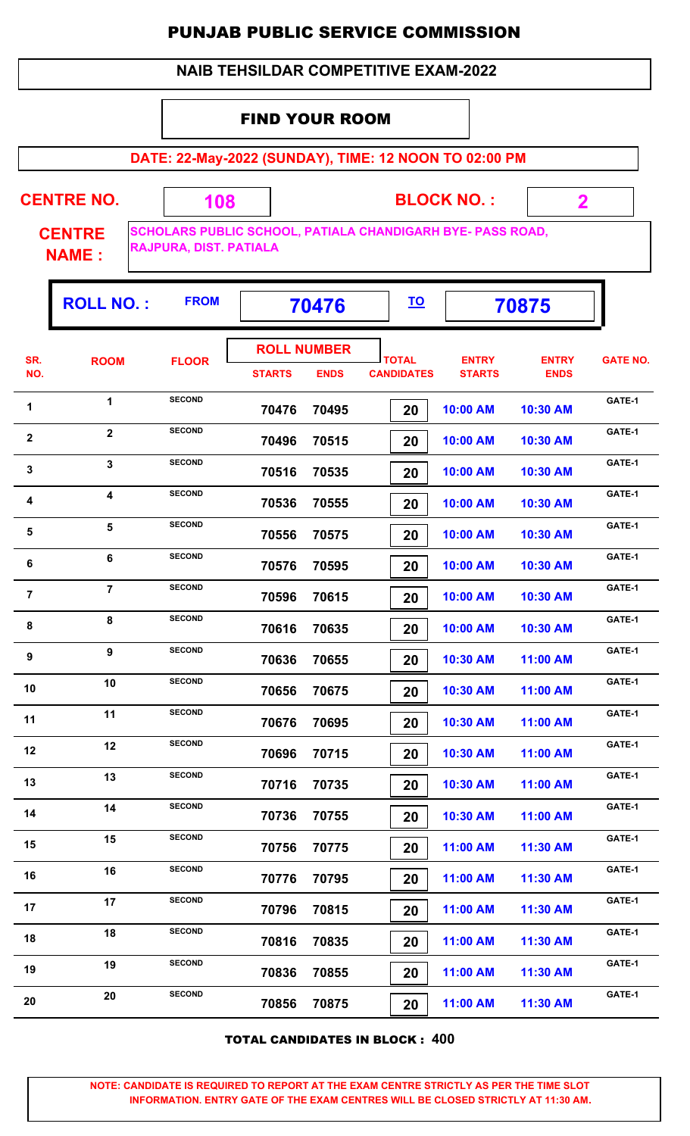#### **NAIB TEHSILDAR COMPETITIVE EXAM-2022**

#### FIND YOUR ROOM

 **108**

**DATE: 22-May-2022 (SUNDAY), TIME: 12 NOON TO 02:00 PM**

**CENTRE NO.** 

**BLOCK NO. :**

 **2**

١Ţ.

**CENTRE NAME :**

**SCHOLARS PUBLIC SCHOOL, PATIALA CHANDIGARH BYE- PASS ROAD, RAJPURA, DIST. PATIALA**

|                  | <b>ROLL NO.:</b>        | <b>FROM</b>   |               | 70476                             |                                   |                               | 70875                       |                 |
|------------------|-------------------------|---------------|---------------|-----------------------------------|-----------------------------------|-------------------------------|-----------------------------|-----------------|
| SR.<br>NO.       | <b>ROOM</b>             | <b>FLOOR</b>  | <b>STARTS</b> | <b>ROLL NUMBER</b><br><b>ENDS</b> | <b>TOTAL</b><br><b>CANDIDATES</b> | <b>ENTRY</b><br><b>STARTS</b> | <b>ENTRY</b><br><b>ENDS</b> | <b>GATE NO.</b> |
| 1                | $\mathbf{1}$            | <b>SECOND</b> | 70476         | 70495                             | 20                                | 10:00 AM                      | 10:30 AM                    | GATE-1          |
| $\boldsymbol{2}$ | $\overline{2}$          | <b>SECOND</b> | 70496         | 70515                             | 20                                | 10:00 AM                      | 10:30 AM                    | GATE-1          |
| $\mathbf{3}$     | $\mathbf{3}$            | <b>SECOND</b> | 70516         | 70535                             | 20                                | 10:00 AM                      | 10:30 AM                    | GATE-1          |
| 4                | $\overline{\mathbf{4}}$ | <b>SECOND</b> | 70536         | 70555                             | 20                                | 10:00 AM                      | 10:30 AM                    | GATE-1          |
| 5                | 5                       | <b>SECOND</b> | 70556         | 70575                             | 20                                | 10:00 AM                      | 10:30 AM                    | GATE-1          |
| 6                | 6                       | <b>SECOND</b> | 70576         | 70595                             | 20                                | 10:00 AM                      | 10:30 AM                    | GATE-1          |
| $\overline{7}$   | $\overline{7}$          | <b>SECOND</b> | 70596         | 70615                             | 20                                | 10:00 AM                      | 10:30 AM                    | GATE-1          |
| 8                | 8                       | <b>SECOND</b> | 70616         | 70635                             | 20                                | 10:00 AM                      | 10:30 AM                    | GATE-1          |
| 9                | 9                       | <b>SECOND</b> | 70636         | 70655                             | 20                                | 10:30 AM                      | 11:00 AM                    | GATE-1          |
| 10               | 10                      | <b>SECOND</b> | 70656         | 70675                             | 20                                | 10:30 AM                      | 11:00 AM                    | GATE-1          |
| 11               | 11                      | <b>SECOND</b> | 70676         | 70695                             | 20                                | 10:30 AM                      | 11:00 AM                    | GATE-1          |
| 12               | 12                      | <b>SECOND</b> | 70696         | 70715                             | 20                                | 10:30 AM                      | 11:00 AM                    | GATE-1          |
| 13               | 13                      | <b>SECOND</b> | 70716         | 70735                             | 20                                | 10:30 AM                      | 11:00 AM                    | GATE-1          |
| 14               | 14                      | <b>SECOND</b> | 70736         | 70755                             | 20                                | 10:30 AM                      | 11:00 AM                    | GATE-1          |
| 15               | 15                      | <b>SECOND</b> | 70756         | 70775                             | 20                                | 11:00 AM                      | 11:30 AM                    | GATE-1          |
| 16               | 16                      | <b>SECOND</b> | 70776         | 70795                             | 20                                | 11:00 AM                      | 11:30 AM                    | GATE-1          |
| 17               | 17                      | <b>SECOND</b> | 70796         | 70815                             | 20                                | 11:00 AM                      | 11:30 AM                    | GATE-1          |
| 18               | 18                      | <b>SECOND</b> | 70816         | 70835                             | 20                                | 11:00 AM                      | 11:30 AM                    | GATE-1          |
| 19               | 19                      | <b>SECOND</b> | 70836         | 70855                             | 20                                | 11:00 AM                      | 11:30 AM                    | GATE-1          |
| 20               | 20                      | <b>SECOND</b> | 70856         | 70875                             | 20                                | 11:00 AM                      | 11:30 AM                    | GATE-1          |

TOTAL CANDIDATES IN BLOCK : **400**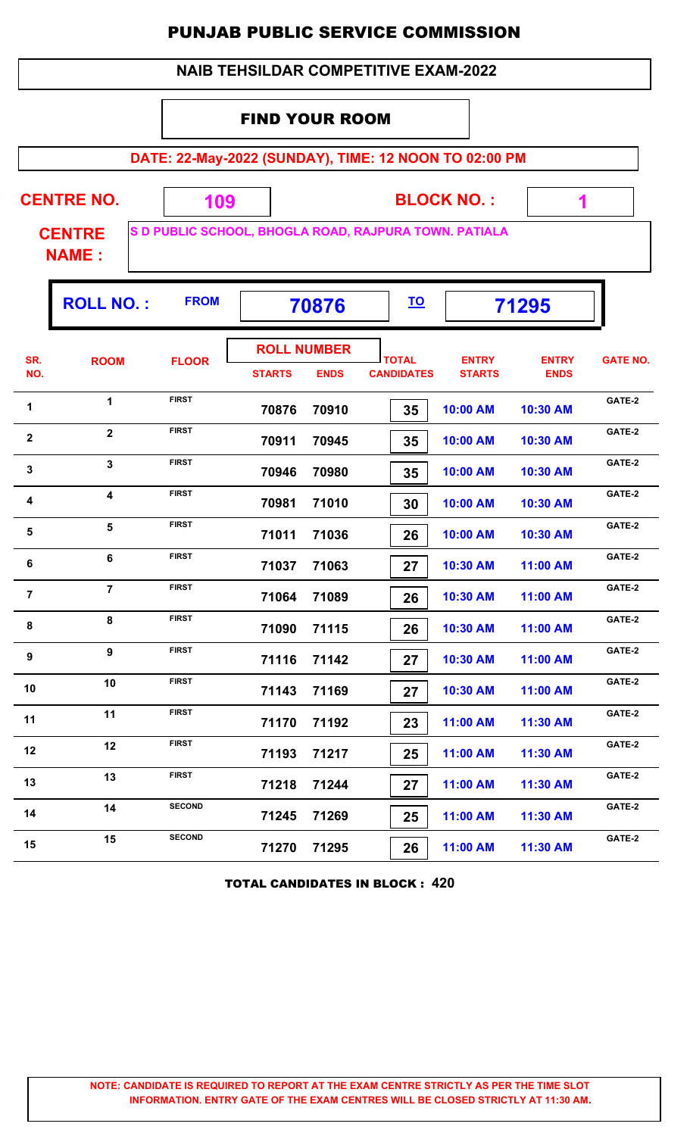| <b>NAIB TEHSILDAR COMPETITIVE EXAM-2022</b> |                               |                                                       |                   |                                   |                                   |                               |                             |                 |  |  |  |
|---------------------------------------------|-------------------------------|-------------------------------------------------------|-------------------|-----------------------------------|-----------------------------------|-------------------------------|-----------------------------|-----------------|--|--|--|
|                                             |                               |                                                       |                   | <b>FIND YOUR ROOM</b>             |                                   |                               |                             |                 |  |  |  |
|                                             |                               | DATE: 22-May-2022 (SUNDAY), TIME: 12 NOON TO 02:00 PM |                   |                                   |                                   |                               |                             |                 |  |  |  |
|                                             | <b>CENTRE NO.</b>             | 109                                                   | <b>BLOCK NO.:</b> |                                   |                                   |                               |                             |                 |  |  |  |
|                                             | <b>CENTRE</b><br><b>NAME:</b> | S D PUBLIC SCHOOL, BHOGLA ROAD, RAJPURA TOWN. PATIALA |                   |                                   |                                   |                               |                             |                 |  |  |  |
|                                             | <b>ROLL NO.:</b>              | <b>FROM</b><br><u>TO</u><br>70876<br>71295            |                   |                                   |                                   |                               |                             |                 |  |  |  |
| SR.<br>NO.                                  | <b>ROOM</b>                   | <b>FLOOR</b>                                          | <b>STARTS</b>     | <b>ROLL NUMBER</b><br><b>ENDS</b> | <b>TOTAL</b><br><b>CANDIDATES</b> | <b>ENTRY</b><br><b>STARTS</b> | <b>ENTRY</b><br><b>ENDS</b> | <b>GATE NO.</b> |  |  |  |
| 1                                           | $\mathbf{1}$                  | <b>FIRST</b>                                          | 70876             | 70910                             | 35                                | 10:00 AM                      | 10:30 AM                    | GATE-2          |  |  |  |
| $\mathbf{2}$                                | $\overline{2}$                | <b>FIRST</b>                                          | 70911             | 70945                             | 35                                | 10:00 AM                      | 10:30 AM                    | GATE-2          |  |  |  |
| 3                                           | $\mathbf{3}$                  | <b>FIRST</b>                                          | 70946             | 70980                             | 35                                | 10:00 AM                      | 10:30 AM                    | GATE-2          |  |  |  |
| 4                                           | $\overline{\mathbf{4}}$       | <b>FIRST</b>                                          | 70981             | 71010                             | 30                                | 10:00 AM                      | 10:30 AM                    | GATE-2          |  |  |  |
| 5                                           | 5                             | <b>FIRST</b>                                          | 71011             | 71036                             | 26                                | 10:00 AM                      | 10:30 AM                    | GATE-2          |  |  |  |
| 6                                           | 6                             | <b>FIRST</b>                                          | 71037             | 71063                             | 27                                | 10:30 AM                      | 11:00 AM                    | GATE-2          |  |  |  |
| $\overline{7}$                              | $\overline{7}$                | <b>FIRST</b>                                          | 71064             | 71089                             | 26                                | 10:30 AM                      | 11:00 AM                    | GATE-2          |  |  |  |
| 8                                           | 8                             | <b>FIRST</b>                                          | 71090             | 71115                             | 26                                | 10:30 AM                      | 11:00 AM                    | GATE-2          |  |  |  |
| 9                                           | 9                             | <b>FIRST</b>                                          | 71116             | 71142                             | 27                                | 10:30 AM                      | 11:00 AM                    | GATE-2          |  |  |  |
| 10                                          | 10                            | <b>FIRST</b>                                          | 71143             | 71169                             | 27                                | 10:30 AM                      | 11:00 AM                    | GATE-2          |  |  |  |
| 11                                          | 11                            | <b>FIRST</b>                                          | 71170             | 71192                             | 23                                | 11:00 AM                      | 11:30 AM                    | GATE-2          |  |  |  |
| 12                                          | 12                            | <b>FIRST</b>                                          | 71193             | 71217                             | 25                                | 11:00 AM                      | 11:30 AM                    | GATE-2          |  |  |  |
| 13                                          | 13                            | <b>FIRST</b>                                          | 71218             | 71244                             | 27                                | 11:00 AM                      | 11:30 AM                    | GATE-2          |  |  |  |
| 14                                          | 14                            | <b>SECOND</b>                                         | 71245             | 71269                             | 25                                | 11:00 AM                      | 11:30 AM                    | GATE-2          |  |  |  |
| 15                                          | 15                            | <b>SECOND</b>                                         | 71270             | 71295                             | 26                                | 11:00 AM                      | 11:30 AM                    | GATE-2          |  |  |  |

TOTAL CANDIDATES IN BLOCK : **420**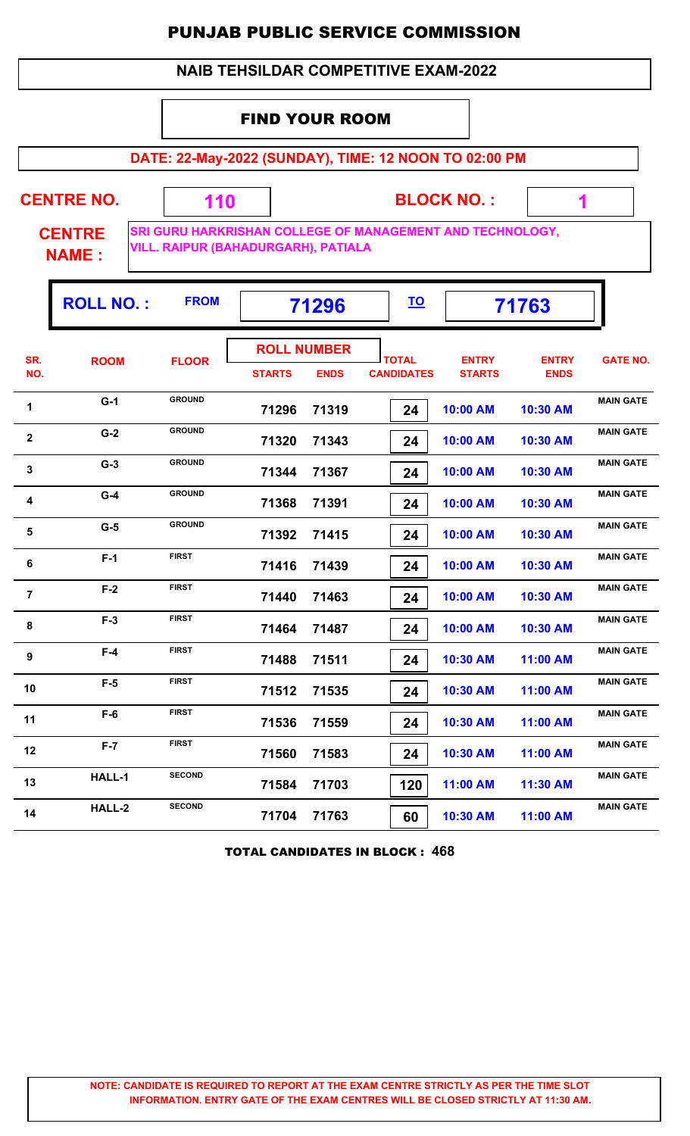#### **NAIB TEHSILDAR COMPETITIVE EXAM-2022**

### FIND YOUR ROOM

 **110**

**DATE: 22-May-2022 (SUNDAY), TIME: 12 NOON TO 02:00 PM**

**CENTRE NO.** 

**BLOCK NO. :**

 **1**

**CENTRE NAME :**

**SRI GURU HARKRISHAN COLLEGE OF MANAGEMENT AND TECHNOLOGY, VILL. RAIPUR (BAHADURGARH), PATIALA**

|                | <b>ROLL NO.:</b> | <b>FROM</b>   | 71296                               |             | <u>TO</u>                         | 71763                         |                             |                  |
|----------------|------------------|---------------|-------------------------------------|-------------|-----------------------------------|-------------------------------|-----------------------------|------------------|
| SR.<br>NO.     | <b>ROOM</b>      | <b>FLOOR</b>  | <b>ROLL NUMBER</b><br><b>STARTS</b> | <b>ENDS</b> | <b>TOTAL</b><br><b>CANDIDATES</b> | <b>ENTRY</b><br><b>STARTS</b> | <b>ENTRY</b><br><b>ENDS</b> | <b>GATE NO.</b>  |
| 1              | $G-1$            | <b>GROUND</b> | 71296                               | 71319       | 24                                | 10:00 AM                      | 10:30 AM                    | <b>MAIN GATE</b> |
| $\mathbf{2}$   | $G-2$            | <b>GROUND</b> | 71320                               | 71343       | 24                                | 10:00 AM                      | 10:30 AM                    | <b>MAIN GATE</b> |
| $\mathbf{3}$   | $G-3$            | <b>GROUND</b> | 71344                               | 71367       | 24                                | 10:00 AM                      | 10:30 AM                    | <b>MAIN GATE</b> |
| 4              | $G-4$            | <b>GROUND</b> | 71368                               | 71391       | 24                                | 10:00 AM                      | 10:30 AM                    | <b>MAIN GATE</b> |
| 5              | $G-5$            | <b>GROUND</b> | 71392                               | 71415       | 24                                | 10:00 AM                      | 10:30 AM                    | <b>MAIN GATE</b> |
| 6              | $F-1$            | <b>FIRST</b>  | 71416                               | 71439       | 24                                | 10:00 AM                      | 10:30 AM                    | <b>MAIN GATE</b> |
| $\overline{7}$ | $F-2$            | <b>FIRST</b>  | 71440                               | 71463       | 24                                | 10:00 AM                      | 10:30 AM                    | <b>MAIN GATE</b> |
| 8              | $F-3$            | <b>FIRST</b>  | 71464                               | 71487       | 24                                | 10:00 AM                      | 10:30 AM                    | <b>MAIN GATE</b> |
| 9              | $F-4$            | <b>FIRST</b>  | 71488                               | 71511       | 24                                | 10:30 AM                      | 11:00 AM                    | <b>MAIN GATE</b> |
| 10             | $F-5$            | <b>FIRST</b>  | 71512                               | 71535       | 24                                | 10:30 AM                      | 11:00 AM                    | <b>MAIN GATE</b> |
| 11             | $F-6$            | <b>FIRST</b>  | 71536                               | 71559       | 24                                | 10:30 AM                      | 11:00 AM                    | <b>MAIN GATE</b> |
| 12             | $F-7$            | <b>FIRST</b>  | 71560                               | 71583       | 24                                | 10:30 AM                      | 11:00 AM                    | <b>MAIN GATE</b> |
| 13             | HALL-1           | <b>SECOND</b> | 71584                               | 71703       | 120                               | 11:00 AM                      | 11:30 AM                    | <b>MAIN GATE</b> |
| 14             | HALL-2           | <b>SECOND</b> | 71704                               | 71763       | 60                                | 10:30 AM                      | 11:00 AM                    | <b>MAIN GATE</b> |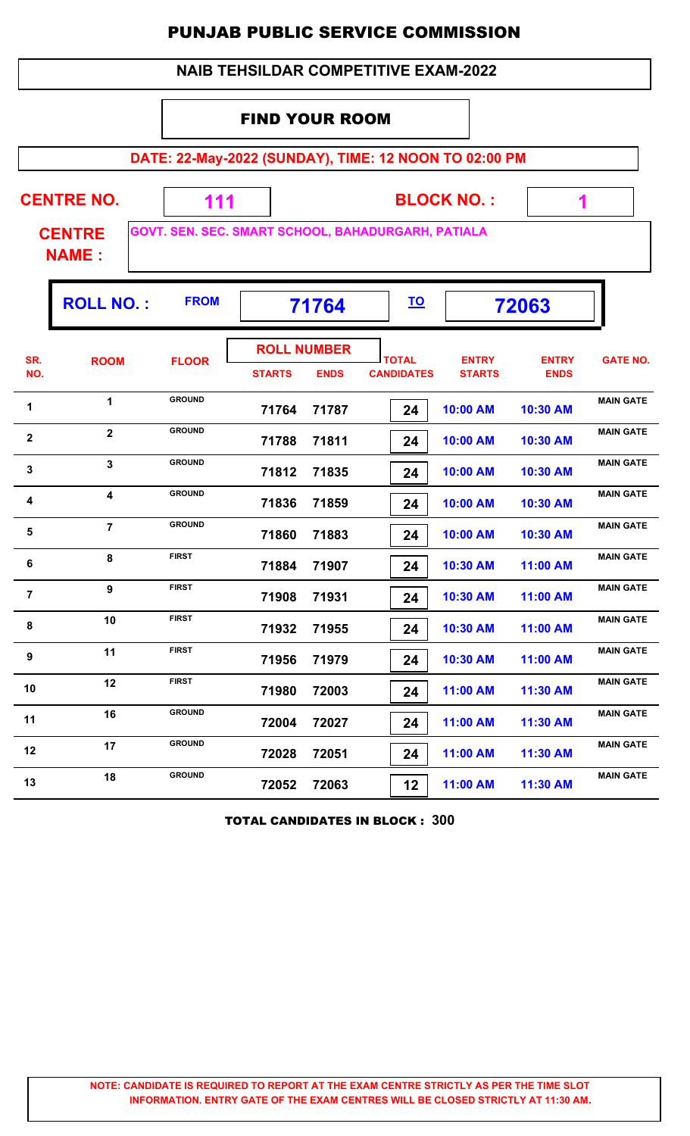|                                                                | <b>NAIB TEHSILDAR COMPETITIVE EXAM-2022</b>                                                                               |                                                       |                                     |             |                                   |                               |                             |                  |  |  |  |  |
|----------------------------------------------------------------|---------------------------------------------------------------------------------------------------------------------------|-------------------------------------------------------|-------------------------------------|-------------|-----------------------------------|-------------------------------|-----------------------------|------------------|--|--|--|--|
|                                                                |                                                                                                                           |                                                       | <b>FIND YOUR ROOM</b>               |             |                                   |                               |                             |                  |  |  |  |  |
|                                                                |                                                                                                                           | DATE: 22-May-2022 (SUNDAY), TIME: 12 NOON TO 02:00 PM |                                     |             |                                   |                               |                             |                  |  |  |  |  |
|                                                                | <b>CENTRE NO.</b><br><b>BLOCK NO.:</b><br>111<br>1<br>GOVT. SEN. SEC. SMART SCHOOL, BAHADURGARH, PATIALA<br><b>CENTRE</b> |                                                       |                                     |             |                                   |                               |                             |                  |  |  |  |  |
|                                                                | <b>NAME:</b>                                                                                                              |                                                       |                                     |             |                                   |                               |                             |                  |  |  |  |  |
| <b>ROLL NO.:</b><br><b>FROM</b><br><u>TO</u><br>71764<br>72063 |                                                                                                                           |                                                       |                                     |             |                                   |                               |                             |                  |  |  |  |  |
| SR.<br>NO.                                                     | <b>ROOM</b>                                                                                                               | <b>FLOOR</b>                                          | <b>ROLL NUMBER</b><br><b>STARTS</b> | <b>ENDS</b> | <b>TOTAL</b><br><b>CANDIDATES</b> | <b>ENTRY</b><br><b>STARTS</b> | <b>ENTRY</b><br><b>ENDS</b> | <b>GATE NO.</b>  |  |  |  |  |
| 1                                                              | $\mathbf 1$                                                                                                               | <b>GROUND</b>                                         | 71764                               | 71787       | 24                                | 10:00 AM                      | 10:30 AM                    | <b>MAIN GATE</b> |  |  |  |  |
| $\overline{\mathbf{2}}$                                        | $\overline{2}$                                                                                                            | <b>GROUND</b>                                         | 71788                               | 71811       | 24                                | 10:00 AM                      | 10:30 AM                    | <b>MAIN GATE</b> |  |  |  |  |
| 3                                                              | $\mathbf{3}$                                                                                                              | <b>GROUND</b>                                         | 71812                               | 71835       | 24                                | 10:00 AM                      | 10:30 AM                    | <b>MAIN GATE</b> |  |  |  |  |
| 4                                                              | $\overline{\mathbf{4}}$                                                                                                   | <b>GROUND</b>                                         | 71836                               | 71859       | 24                                | 10:00 AM                      | 10:30 AM                    | <b>MAIN GATE</b> |  |  |  |  |
| 5                                                              | $\overline{7}$                                                                                                            | <b>GROUND</b>                                         | 71860                               | 71883       | 24                                | 10:00 AM                      | 10:30 AM                    | <b>MAIN GATE</b> |  |  |  |  |
| $\bf 6$                                                        | 8                                                                                                                         | <b>FIRST</b>                                          | 71884                               | 71907       | 24                                | 10:30 AM                      | 11:00 AM                    | <b>MAIN GATE</b> |  |  |  |  |
| $\overline{7}$                                                 | $\boldsymbol{9}$                                                                                                          | <b>FIRST</b>                                          | 71908                               | 71931       | 24                                | 10:30 AM                      | 11:00 AM                    | <b>MAIN GATE</b> |  |  |  |  |
| 8                                                              | 10                                                                                                                        | <b>FIRST</b>                                          | 71932                               | 71955       | 24                                | 10:30 AM                      | 11:00 AM                    | <b>MAIN GATE</b> |  |  |  |  |
| 9                                                              | 11                                                                                                                        | <b>FIRST</b>                                          | 71956                               | 71979       | 24                                | 10:30 AM                      | 11:00 AM                    | <b>MAIN GATE</b> |  |  |  |  |
| 10                                                             | 12                                                                                                                        | <b>FIRST</b>                                          | 71980                               | 72003       | 24                                | 11:00 AM                      | 11:30 AM                    | <b>MAIN GATE</b> |  |  |  |  |
| 11                                                             | 16                                                                                                                        | <b>GROUND</b>                                         | 72004                               | 72027       | 24                                | 11:00 AM                      | 11:30 AM                    | <b>MAIN GATE</b> |  |  |  |  |
| 12                                                             | 17                                                                                                                        | <b>GROUND</b>                                         | 72028                               | 72051       | 24                                | 11:00 AM                      | 11:30 AM                    | <b>MAIN GATE</b> |  |  |  |  |
| 13                                                             | 18                                                                                                                        | <b>GROUND</b>                                         | 72052                               | 72063       | 12 <sub>2</sub>                   | 11:00 AM                      | 11:30 AM                    | <b>MAIN GATE</b> |  |  |  |  |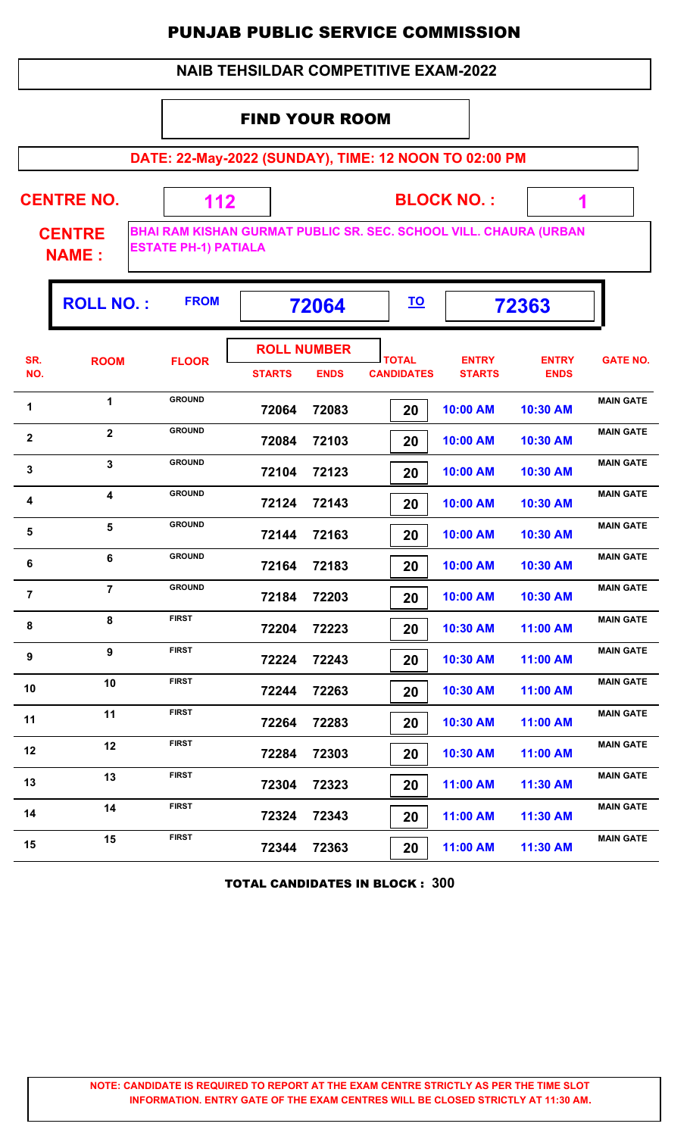#### **NAIB TEHSILDAR COMPETITIVE EXAM-2022**

### FIND YOUR ROOM

 **112**

**DATE: 22-May-2022 (SUNDAY), TIME: 12 NOON TO 02:00 PM**

**CENTRE NO.** 

**CENTRE NAME :**

**BHAI RAM KISHAN GURMAT PUBLIC SR. SEC. SCHOOL VILL. CHAURA (URBAN ESTATE PH-1) PATIALA**

**BLOCK NO. :**

 **1**

|                         | <b>ROLL NO.:</b>        | <b>FROM</b>   |                                     | 72064       | <u>TO</u>                         |                               | 72363                       |                  |
|-------------------------|-------------------------|---------------|-------------------------------------|-------------|-----------------------------------|-------------------------------|-----------------------------|------------------|
| SR.<br>NO.              | <b>ROOM</b>             | <b>FLOOR</b>  | <b>ROLL NUMBER</b><br><b>STARTS</b> | <b>ENDS</b> | <b>TOTAL</b><br><b>CANDIDATES</b> | <b>ENTRY</b><br><b>STARTS</b> | <b>ENTRY</b><br><b>ENDS</b> | <b>GATE NO.</b>  |
| 1                       | 1                       | <b>GROUND</b> | 72064                               | 72083       | 20                                | 10:00 AM                      | 10:30 AM                    | <b>MAIN GATE</b> |
| $\overline{2}$          | $\overline{\mathbf{2}}$ | <b>GROUND</b> | 72084                               | 72103       | 20                                | 10:00 AM                      | 10:30 AM                    | <b>MAIN GATE</b> |
| 3                       | 3                       | <b>GROUND</b> | 72104                               | 72123       | 20                                | 10:00 AM                      | 10:30 AM                    | <b>MAIN GATE</b> |
| 4                       | 4                       | <b>GROUND</b> | 72124                               | 72143       | 20                                | 10:00 AM                      | 10:30 AM                    | <b>MAIN GATE</b> |
| 5                       | 5                       | <b>GROUND</b> | 72144                               | 72163       | 20                                | 10:00 AM                      | 10:30 AM                    | <b>MAIN GATE</b> |
| 6                       | 6                       | <b>GROUND</b> | 72164                               | 72183       | 20                                | 10:00 AM                      | 10:30 AM                    | <b>MAIN GATE</b> |
| $\overline{\mathbf{r}}$ | $\overline{7}$          | <b>GROUND</b> | 72184                               | 72203       | 20                                | 10:00 AM                      | 10:30 AM                    | <b>MAIN GATE</b> |
| 8                       | 8                       | <b>FIRST</b>  | 72204                               | 72223       | 20                                | 10:30 AM                      | 11:00 AM                    | <b>MAIN GATE</b> |
| 9                       | 9                       | <b>FIRST</b>  | 72224                               | 72243       | 20                                | 10:30 AM                      | 11:00 AM                    | <b>MAIN GATE</b> |
| 10                      | 10                      | <b>FIRST</b>  | 72244                               | 72263       | 20                                | 10:30 AM                      | 11:00 AM                    | <b>MAIN GATE</b> |
| 11                      | 11                      | <b>FIRST</b>  | 72264                               | 72283       | 20                                | 10:30 AM                      | 11:00 AM                    | <b>MAIN GATE</b> |
| 12                      | 12                      | <b>FIRST</b>  | 72284                               | 72303       | 20                                | 10:30 AM                      | 11:00 AM                    | <b>MAIN GATE</b> |
| 13                      | 13                      | <b>FIRST</b>  | 72304                               | 72323       | 20                                | 11:00 AM                      | 11:30 AM                    | <b>MAIN GATE</b> |
| 14                      | 14                      | <b>FIRST</b>  | 72324                               | 72343       | 20                                | 11:00 AM                      | 11:30 AM                    | <b>MAIN GATE</b> |
| 15                      | 15                      | <b>FIRST</b>  | 72344                               | 72363       | 20                                | 11:00 AM                      | 11:30 AM                    | <b>MAIN GATE</b> |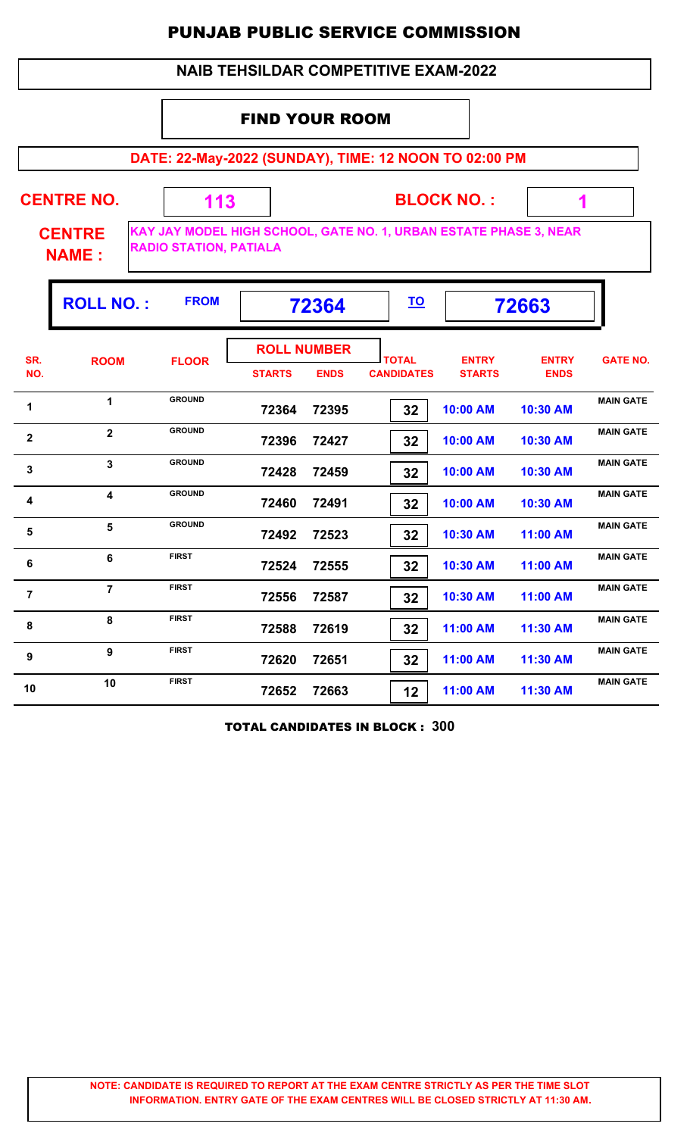#### **NAIB TEHSILDAR COMPETITIVE EXAM-2022**

### FIND YOUR ROOM

 **113**

**DATE: 22-May-2022 (SUNDAY), TIME: 12 NOON TO 02:00 PM**

**CENTRE NO.** 

**BLOCK NO. :**

 **1**

**CENTRE NAME :**

**KAY JAY MODEL HIGH SCHOOL, GATE NO. 1, URBAN ESTATE PHASE 3, NEAR RADIO STATION, PATIALA**

|                | <b>ROLL NO.:</b>        | <b>FROM</b>   |               | 72364                             |                                   | 72663                         |                             |                  |  |
|----------------|-------------------------|---------------|---------------|-----------------------------------|-----------------------------------|-------------------------------|-----------------------------|------------------|--|
| SR.<br>NO.     | <b>ROOM</b>             | <b>FLOOR</b>  | <b>STARTS</b> | <b>ROLL NUMBER</b><br><b>ENDS</b> | <b>TOTAL</b><br><b>CANDIDATES</b> | <b>ENTRY</b><br><b>STARTS</b> | <b>ENTRY</b><br><b>ENDS</b> | <b>GATE NO.</b>  |  |
| 1              | $\blacktriangleleft$    | <b>GROUND</b> | 72364         | 72395                             | 32                                | 10:00 AM                      | 10:30 AM                    | <b>MAIN GATE</b> |  |
| $\mathbf{2}$   | $\overline{2}$          | <b>GROUND</b> | 72396         | 72427                             | 32                                | 10:00 AM                      | 10:30 AM                    | <b>MAIN GATE</b> |  |
| 3              | $\overline{3}$          | <b>GROUND</b> | 72428         | 72459                             | 32                                | 10:00 AM                      | 10:30 AM                    | <b>MAIN GATE</b> |  |
| 4              | $\overline{\mathbf{4}}$ | <b>GROUND</b> | 72460         | 72491                             | 32                                | 10:00 AM                      | 10:30 AM                    | <b>MAIN GATE</b> |  |
| 5              | 5                       | <b>GROUND</b> | 72492         | 72523                             | 32                                | 10:30 AM                      | 11:00 AM                    | <b>MAIN GATE</b> |  |
| 6              | 6                       | <b>FIRST</b>  | 72524         | 72555                             | 32                                | 10:30 AM                      | 11:00 AM                    | <b>MAIN GATE</b> |  |
| $\overline{7}$ | $\overline{7}$          | <b>FIRST</b>  | 72556         | 72587                             | 32                                | 10:30 AM                      | 11:00 AM                    | <b>MAIN GATE</b> |  |
| 8              | 8                       | <b>FIRST</b>  | 72588         | 72619                             | 32                                | 11:00 AM                      | 11:30 AM                    | <b>MAIN GATE</b> |  |
| 9              | 9                       | <b>FIRST</b>  | 72620         | 72651                             | 32                                | 11:00 AM                      | 11:30 AM                    | <b>MAIN GATE</b> |  |
| 10             | 10                      | <b>FIRST</b>  | 72652         | 72663                             | 12                                | 11:00 AM                      | 11:30 AM                    | <b>MAIN GATE</b> |  |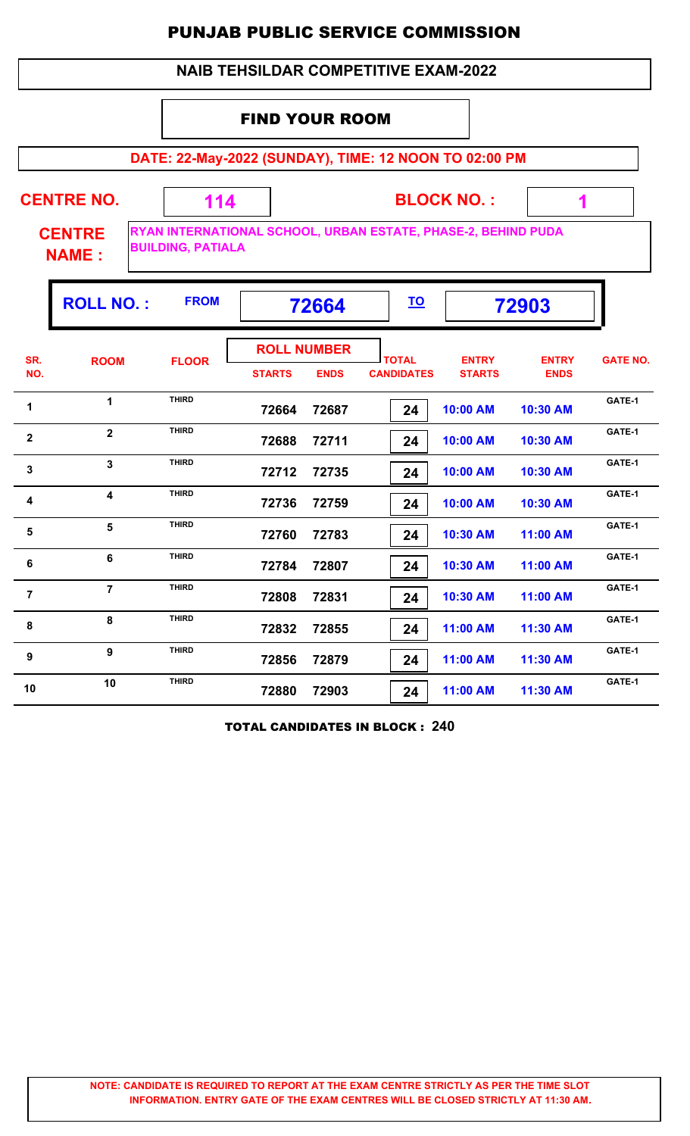#### **NAIB TEHSILDAR COMPETITIVE EXAM-2022**

### FIND YOUR ROOM

 **114**

**DATE: 22-May-2022 (SUNDAY), TIME: 12 NOON TO 02:00 PM**

**CENTRE NO.** 

**BLOCK NO. :**

 **1**

**CENTRE NAME :**

**RYAN INTERNATIONAL SCHOOL, URBAN ESTATE, PHASE-2, BEHIND PUDA BUILDING, PATIALA**

|                | <b>ROLL NO.:</b>        | <b>FROM</b>  | 72664                               |             | <u>TO</u>                         |                               | 72903                       |                 |
|----------------|-------------------------|--------------|-------------------------------------|-------------|-----------------------------------|-------------------------------|-----------------------------|-----------------|
| SR.<br>NO.     | <b>ROOM</b>             | <b>FLOOR</b> | <b>ROLL NUMBER</b><br><b>STARTS</b> | <b>ENDS</b> | <b>TOTAL</b><br><b>CANDIDATES</b> | <b>ENTRY</b><br><b>STARTS</b> | <b>ENTRY</b><br><b>ENDS</b> | <b>GATE NO.</b> |
| 1              | 1                       | <b>THIRD</b> | 72664                               | 72687       | 24                                | 10:00 AM                      | 10:30 AM                    | GATE-1          |
| $\mathbf{2}$   | $\overline{2}$          | <b>THIRD</b> | 72688                               | 72711       | 24                                | 10:00 AM                      | 10:30 AM                    | GATE-1          |
| 3              | $\overline{3}$          | <b>THIRD</b> | 72712                               | 72735       | 24                                | 10:00 AM                      | 10:30 AM                    | GATE-1          |
| 4              | $\overline{\mathbf{4}}$ | <b>THIRD</b> | 72736                               | 72759       | 24                                | 10:00 AM                      | 10:30 AM                    | GATE-1          |
| 5              | 5                       | <b>THIRD</b> | 72760                               | 72783       | 24                                | 10:30 AM                      | 11:00 AM                    | GATE-1          |
| 6              | 6                       | <b>THIRD</b> | 72784                               | 72807       | 24                                | 10:30 AM                      | 11:00 AM                    | GATE-1          |
| $\overline{7}$ | $\overline{7}$          | <b>THIRD</b> | 72808                               | 72831       | 24                                | 10:30 AM                      | 11:00 AM                    | GATE-1          |
| 8              | 8                       | <b>THIRD</b> | 72832                               | 72855       | 24                                | 11:00 AM                      | 11:30 AM                    | GATE-1          |
| 9              | 9                       | <b>THIRD</b> | 72856                               | 72879       | 24                                | 11:00 AM                      | 11:30 AM                    | GATE-1          |
| 10             | 10                      | <b>THIRD</b> | 72880                               | 72903       | 24                                | 11:00 AM                      | 11:30 AM                    | GATE-1          |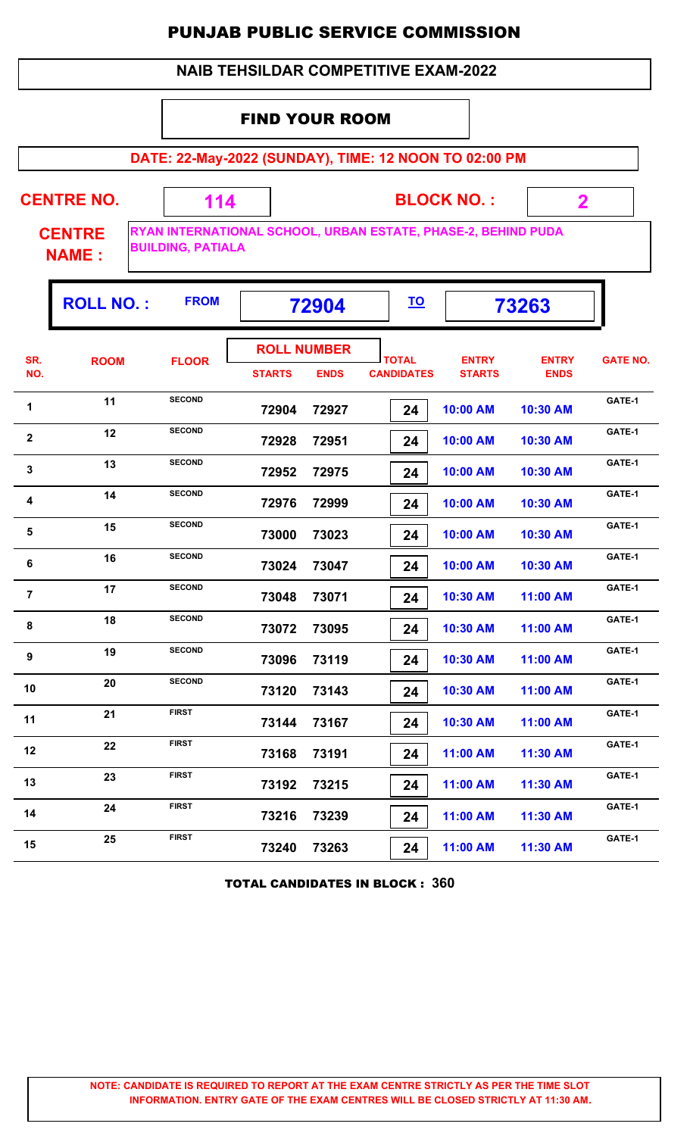#### **NAIB TEHSILDAR COMPETITIVE EXAM-2022**

#### FIND YOUR ROOM

 **114**

**DATE: 22-May-2022 (SUNDAY), TIME: 12 NOON TO 02:00 PM**

**CENTRE NO.** 

**BLOCK NO. :**

 **2**

**CENTRE NAME :**

**RYAN INTERNATIONAL SCHOOL, URBAN ESTATE, PHASE-2, BEHIND PUDA BUILDING, PATIALA**

|                | <b>ROLL NO.:</b> | <b>FROM</b>   |               | 72904                             |                                   |                               | 73263                       |                 |
|----------------|------------------|---------------|---------------|-----------------------------------|-----------------------------------|-------------------------------|-----------------------------|-----------------|
| SR.<br>NO.     | <b>ROOM</b>      | <b>FLOOR</b>  | <b>STARTS</b> | <b>ROLL NUMBER</b><br><b>ENDS</b> | <b>TOTAL</b><br><b>CANDIDATES</b> | <b>ENTRY</b><br><b>STARTS</b> | <b>ENTRY</b><br><b>ENDS</b> | <b>GATE NO.</b> |
| 1              | 11               | <b>SECOND</b> | 72904         | 72927                             | 24                                | 10:00 AM                      | 10:30 AM                    | GATE-1          |
| $\mathbf{2}$   | 12               | <b>SECOND</b> | 72928         | 72951                             | 24                                | 10:00 AM                      | 10:30 AM                    | GATE-1          |
| 3              | 13               | <b>SECOND</b> | 72952         | 72975                             | 24                                | 10:00 AM                      | 10:30 AM                    | GATE-1          |
| 4              | 14               | <b>SECOND</b> | 72976         | 72999                             | 24                                | 10:00 AM                      | 10:30 AM                    | GATE-1          |
| 5              | 15               | <b>SECOND</b> | 73000         | 73023                             | 24                                | 10:00 AM                      | 10:30 AM                    | GATE-1          |
| 6              | 16               | <b>SECOND</b> | 73024         | 73047                             | 24                                | 10:00 AM                      | 10:30 AM                    | GATE-1          |
| $\overline{7}$ | 17               | <b>SECOND</b> | 73048         | 73071                             | 24                                | 10:30 AM                      | 11:00 AM                    | GATE-1          |
| 8              | 18               | <b>SECOND</b> | 73072         | 73095                             | 24                                | 10:30 AM                      | 11:00 AM                    | GATE-1          |
| 9              | 19               | <b>SECOND</b> | 73096         | 73119                             | 24                                | 10:30 AM                      | 11:00 AM                    | GATE-1          |
| 10             | 20               | <b>SECOND</b> | 73120         | 73143                             | 24                                | 10:30 AM                      | 11:00 AM                    | GATE-1          |
| 11             | 21               | <b>FIRST</b>  | 73144         | 73167                             | 24                                | 10:30 AM                      | 11:00 AM                    | GATE-1          |
| 12             | 22               | <b>FIRST</b>  | 73168         | 73191                             | 24                                | 11:00 AM                      | 11:30 AM                    | GATE-1          |
| 13             | 23               | <b>FIRST</b>  | 73192         | 73215                             | 24                                | 11:00 AM                      | 11:30 AM                    | GATE-1          |
| 14             | 24               | <b>FIRST</b>  | 73216         | 73239                             | 24                                | 11:00 AM                      | 11:30 AM                    | GATE-1          |
| 15             | 25               | <b>FIRST</b>  | 73240         | 73263                             | 24                                | 11:00 AM                      | 11:30 AM                    | GATE-1          |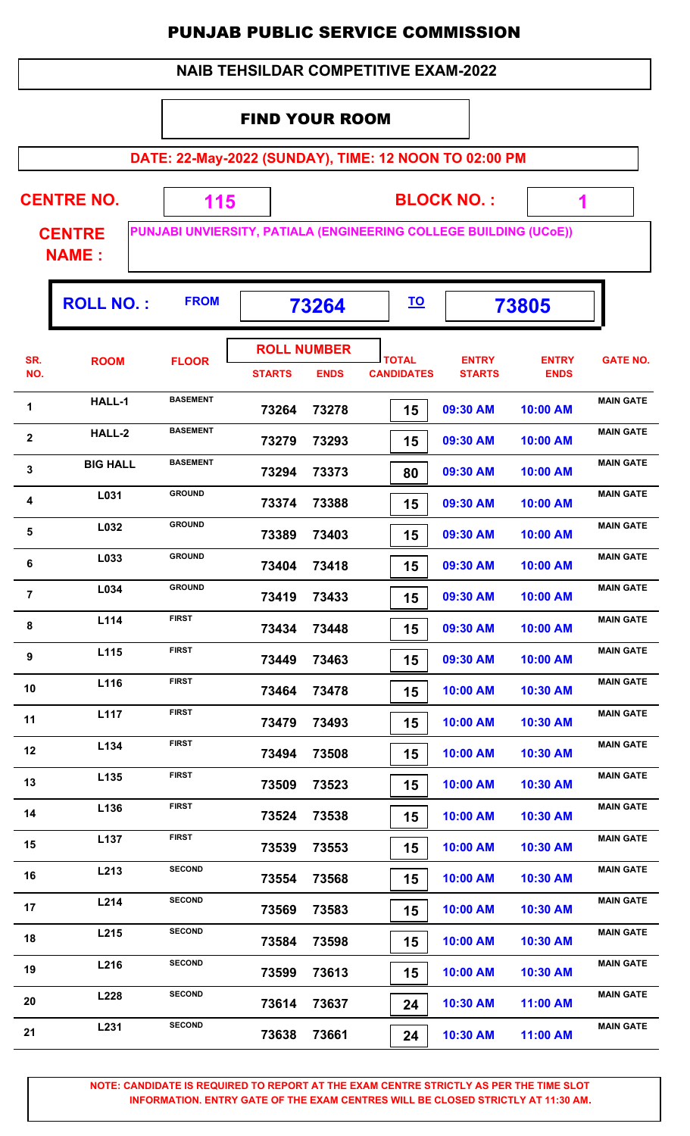|                | <b>NAIB TEHSILDAR COMPETITIVE EXAM-2022</b> |                                                                   |                       |                                   |                                   |                               |                             |                  |  |  |  |  |
|----------------|---------------------------------------------|-------------------------------------------------------------------|-----------------------|-----------------------------------|-----------------------------------|-------------------------------|-----------------------------|------------------|--|--|--|--|
|                |                                             |                                                                   | <b>FIND YOUR ROOM</b> |                                   |                                   |                               |                             |                  |  |  |  |  |
|                |                                             | DATE: 22-May-2022 (SUNDAY), TIME: 12 NOON TO 02:00 PM             |                       |                                   |                                   |                               |                             |                  |  |  |  |  |
|                |                                             |                                                                   |                       |                                   |                                   |                               |                             |                  |  |  |  |  |
|                | <b>CENTRE NO.</b>                           | 115                                                               |                       |                                   |                                   | <b>BLOCK NO.:</b>             | 1                           |                  |  |  |  |  |
|                | <b>CENTRE</b><br><b>NAME:</b>               | PUNJABI UNVIERSITY, PATIALA (ENGINEERING COLLEGE BUILDING (UCOE)) |                       |                                   |                                   |                               |                             |                  |  |  |  |  |
|                | <b>ROLL NO.:</b>                            | <b>FROM</b>                                                       |                       | 73264                             | <u>TO</u>                         |                               | 73805                       |                  |  |  |  |  |
| SR.<br>NO.     | <b>ROOM</b>                                 | <b>FLOOR</b>                                                      | <b>STARTS</b>         | <b>ROLL NUMBER</b><br><b>ENDS</b> | <b>TOTAL</b><br><b>CANDIDATES</b> | <b>ENTRY</b><br><b>STARTS</b> | <b>ENTRY</b><br><b>ENDS</b> | <b>GATE NO.</b>  |  |  |  |  |
| 1              | HALL-1<br><b>BASEMENT</b>                   |                                                                   | 73264                 | 73278                             | 15                                | 09:30 AM                      | 10:00 AM                    | <b>MAIN GATE</b> |  |  |  |  |
| $\mathbf{2}$   | <b>BASEMENT</b><br>HALL-2                   |                                                                   | 73279                 | 73293                             | 15                                | 09:30 AM                      | 10:00 AM                    | <b>MAIN GATE</b> |  |  |  |  |
| 3              | <b>BASEMENT</b><br><b>BIG HALL</b>          |                                                                   | 73294                 | 73373                             | 80                                | 09:30 AM                      | 10:00 AM                    | <b>MAIN GATE</b> |  |  |  |  |
| 4              | L031                                        | <b>GROUND</b>                                                     | 73374                 | 73388                             | 15                                | 09:30 AM                      | 10:00 AM                    | <b>MAIN GATE</b> |  |  |  |  |
| 5              | L032                                        | <b>GROUND</b>                                                     | 73389                 | 73403                             | 15                                | 09:30 AM                      | 10:00 AM                    | <b>MAIN GATE</b> |  |  |  |  |
| 6              | L033                                        | <b>GROUND</b>                                                     | 73404                 | 73418                             | 15                                | 09:30 AM                      | 10:00 AM                    | <b>MAIN GATE</b> |  |  |  |  |
| $\overline{7}$ | L034                                        | <b>GROUND</b>                                                     | 73419                 | 73433                             | 15                                | 09:30 AM                      | 10:00 AM                    | <b>MAIN GATE</b> |  |  |  |  |
| 8              | L114                                        | <b>FIRST</b>                                                      | 73434                 | 73448                             | 15                                | 09:30 AM                      | 10:00 AM                    | <b>MAIN GATE</b> |  |  |  |  |
| 9              | L115                                        | <b>FIRST</b>                                                      | 73449                 | 73463                             | 15                                | 09:30 AM                      | 10:00 AM                    | <b>MAIN GATE</b> |  |  |  |  |
| 10             | L116                                        | <b>FIRST</b>                                                      | 73464                 | 73478                             | 15                                | 10:00 AM                      | 10:30 AM                    | <b>MAIN GATE</b> |  |  |  |  |
| 11             | L <sub>117</sub>                            | <b>FIRST</b>                                                      | 73479                 | 73493                             | 15                                | 10:00 AM                      | 10:30 AM                    | <b>MAIN GATE</b> |  |  |  |  |
| 12             | L134                                        | <b>FIRST</b>                                                      | 73494                 | 73508                             | 15                                | 10:00 AM                      | 10:30 AM                    | <b>MAIN GATE</b> |  |  |  |  |
| 13             | L135                                        | <b>FIRST</b>                                                      | 73509                 | 73523                             | 15                                | 10:00 AM                      | 10:30 AM                    | <b>MAIN GATE</b> |  |  |  |  |
| 14             | L136                                        | <b>FIRST</b>                                                      | 73524                 | 73538                             | 15                                | 10:00 AM                      | 10:30 AM                    | <b>MAIN GATE</b> |  |  |  |  |
| 15             | L137                                        | <b>FIRST</b>                                                      | 73539                 | 73553                             | 15                                | 10:00 AM                      | 10:30 AM                    | <b>MAIN GATE</b> |  |  |  |  |
| 16             | L213                                        | <b>SECOND</b>                                                     | 73554                 | 73568                             | 15                                | 10:00 AM                      | 10:30 AM                    | <b>MAIN GATE</b> |  |  |  |  |
| 17             | L214                                        | <b>SECOND</b>                                                     | 73569                 | 73583                             | 15                                | 10:00 AM                      | 10:30 AM                    | <b>MAIN GATE</b> |  |  |  |  |
| 18             | L215                                        | <b>SECOND</b>                                                     | 73584                 | 73598                             | 15                                | 10:00 AM                      | 10:30 AM                    | <b>MAIN GATE</b> |  |  |  |  |
| 19             | L216                                        | <b>SECOND</b>                                                     | 73599                 | 73613                             | 15                                | 10:00 AM                      | 10:30 AM                    | <b>MAIN GATE</b> |  |  |  |  |
| 20             | L228                                        | <b>SECOND</b>                                                     | 73614                 | 73637                             | 24                                | 10:30 AM                      | 11:00 AM                    | <b>MAIN GATE</b> |  |  |  |  |
| 21             | L231                                        | <b>SECOND</b>                                                     | 73638                 | 73661                             | 24                                | 10:30 AM                      | 11:00 AM                    | <b>MAIN GATE</b> |  |  |  |  |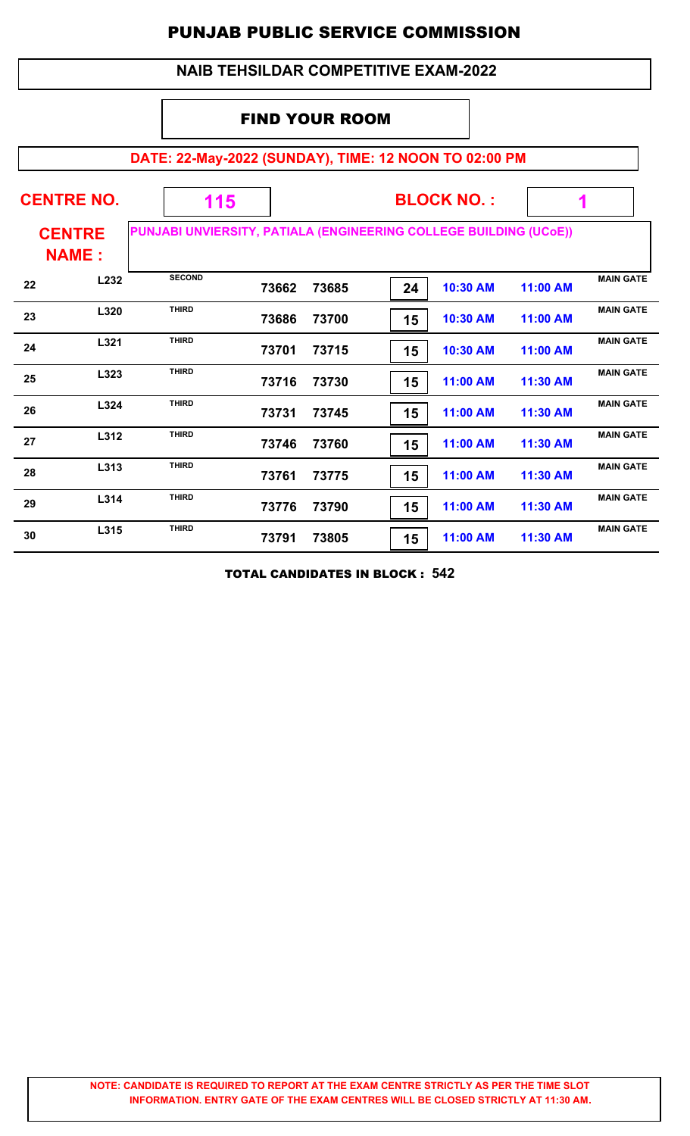### **NAIB TEHSILDAR COMPETITIVE EXAM-2022**

### FIND YOUR ROOM

# **DATE: 22-May-2022 (SUNDAY), TIME: 12 NOON TO 02:00 PM**

|    | <b>CENTRE NO.</b>             | 115                                                               |       |       |    | <b>BLOCK NO.:</b> |          |                  |
|----|-------------------------------|-------------------------------------------------------------------|-------|-------|----|-------------------|----------|------------------|
|    | <b>CENTRE</b><br><b>NAME:</b> | PUNJABI UNVIERSITY, PATIALA (ENGINEERING COLLEGE BUILDING (UCOE)) |       |       |    |                   |          |                  |
| 22 | L232                          | <b>SECOND</b>                                                     | 73662 | 73685 | 24 | 10:30 AM          | 11:00 AM | <b>MAIN GATE</b> |
| 23 | L320                          | <b>THIRD</b>                                                      | 73686 | 73700 | 15 | 10:30 AM          | 11:00 AM | <b>MAIN GATE</b> |
| 24 | L321                          | <b>THIRD</b>                                                      | 73701 | 73715 | 15 | 10:30 AM          | 11:00 AM | <b>MAIN GATE</b> |
| 25 | L323                          | <b>THIRD</b>                                                      | 73716 | 73730 | 15 | 11:00 AM          | 11:30 AM | <b>MAIN GATE</b> |
| 26 | L324                          | <b>THIRD</b>                                                      | 73731 | 73745 | 15 | 11:00 AM          | 11:30 AM | <b>MAIN GATE</b> |
| 27 | L312                          | <b>THIRD</b>                                                      | 73746 | 73760 | 15 | 11:00 AM          | 11:30 AM | <b>MAIN GATE</b> |
| 28 | L313                          | <b>THIRD</b>                                                      | 73761 | 73775 | 15 | 11:00 AM          | 11:30 AM | <b>MAIN GATE</b> |
| 29 | L314                          | <b>THIRD</b>                                                      | 73776 | 73790 | 15 | 11:00 AM          | 11:30 AM | <b>MAIN GATE</b> |
| 30 | L315                          | <b>THIRD</b>                                                      | 73791 | 73805 | 15 | 11:00 AM          | 11:30 AM | <b>MAIN GATE</b> |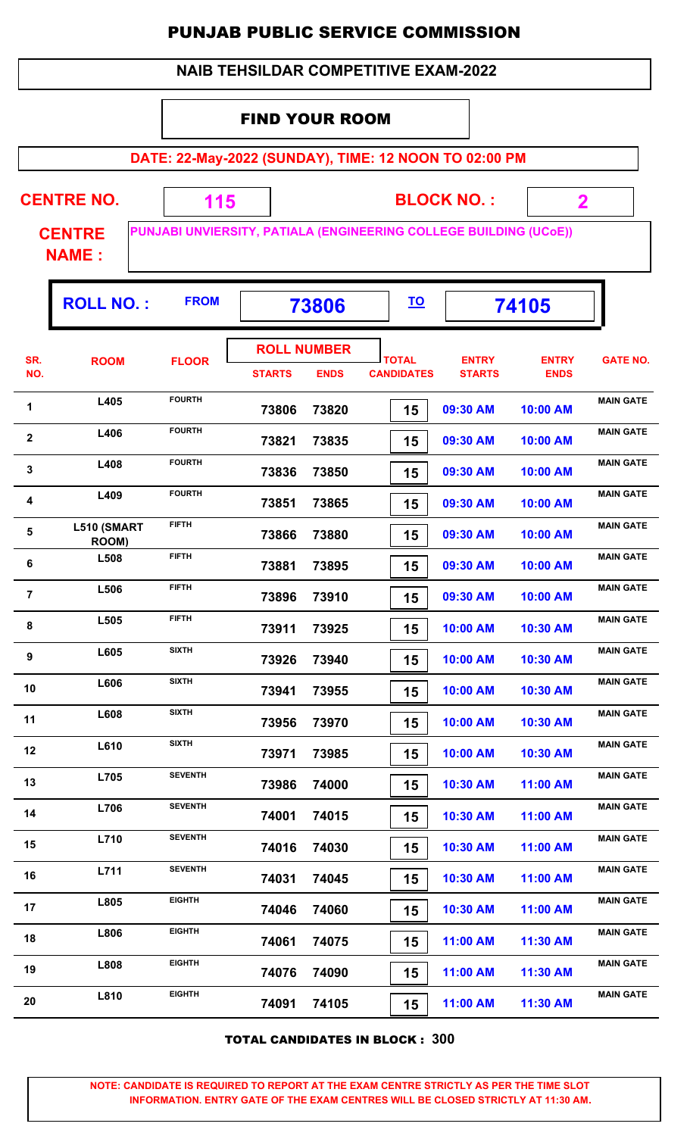|                  | <b>NAIB TEHSILDAR COMPETITIVE EXAM-2022</b> |                |                                     |             |                                   |                                                                                        |                             |                  |  |  |  |  |
|------------------|---------------------------------------------|----------------|-------------------------------------|-------------|-----------------------------------|----------------------------------------------------------------------------------------|-----------------------------|------------------|--|--|--|--|
|                  |                                             |                | <b>FIND YOUR ROOM</b>               |             |                                   |                                                                                        |                             |                  |  |  |  |  |
|                  |                                             |                |                                     |             |                                   | DATE: 22-May-2022 (SUNDAY), TIME: 12 NOON TO 02:00 PM                                  |                             |                  |  |  |  |  |
|                  | <b>CENTRE NO.</b><br><b>CENTRE</b>          | 115            |                                     |             |                                   | <b>BLOCK NO.:</b><br>PUNJABI UNVIERSITY, PATIALA (ENGINEERING COLLEGE BUILDING (UCoE)) | $\overline{\mathbf{2}}$     |                  |  |  |  |  |
|                  | <b>NAME:</b>                                |                |                                     |             |                                   |                                                                                        |                             |                  |  |  |  |  |
|                  | <b>ROLL NO.:</b>                            | <b>FROM</b>    |                                     | 73806       | <u>TO</u>                         |                                                                                        | 74105                       |                  |  |  |  |  |
| SR.<br>NO.       | <b>ROOM</b>                                 | <b>FLOOR</b>   | <b>ROLL NUMBER</b><br><b>STARTS</b> | <b>ENDS</b> | <b>TOTAL</b><br><b>CANDIDATES</b> | <b>ENTRY</b><br><b>STARTS</b>                                                          | <b>ENTRY</b><br><b>ENDS</b> | <b>GATE NO.</b>  |  |  |  |  |
| 1                | L405                                        | <b>FOURTH</b>  | 73806                               | 73820       | 15                                | 09:30 AM                                                                               | 10:00 AM                    | <b>MAIN GATE</b> |  |  |  |  |
| $\mathbf{2}$     | L406                                        | <b>FOURTH</b>  | 73821                               | 73835       | 15                                | 09:30 AM                                                                               | 10:00 AM                    | <b>MAIN GATE</b> |  |  |  |  |
| 3                | L408                                        | <b>FOURTH</b>  | 73836                               | 73850       | 15                                | 09:30 AM                                                                               | 10:00 AM                    | <b>MAIN GATE</b> |  |  |  |  |
| 4                | L409                                        | <b>FOURTH</b>  | 73851                               | 73865       | 15                                | 09:30 AM                                                                               | 10:00 AM                    | <b>MAIN GATE</b> |  |  |  |  |
| 5                | L510 (SMART<br>ROOM)                        | <b>FIFTH</b>   | 73866                               | 73880       | 15                                | 09:30 AM                                                                               | 10:00 AM                    | <b>MAIN GATE</b> |  |  |  |  |
| $\bf 6$          | L508                                        | <b>FIFTH</b>   | 73881                               | 73895       | 15                                | 09:30 AM                                                                               | 10:00 AM                    | <b>MAIN GATE</b> |  |  |  |  |
| $\overline{7}$   | L506                                        | <b>FIFTH</b>   | 73896                               | 73910       | 15                                | 09:30 AM                                                                               | 10:00 AM                    | <b>MAIN GATE</b> |  |  |  |  |
| 8                | L505                                        | <b>FIFTH</b>   | 73911                               | 73925       | 15                                | 10:00 AM                                                                               | 10:30 AM                    | <b>MAIN GATE</b> |  |  |  |  |
| $\boldsymbol{9}$ | L605                                        | <b>SIXTH</b>   | 73926                               | 73940       | 15                                | 10:00 AM                                                                               | 10:30 AM                    | <b>MAIN GATE</b> |  |  |  |  |
| 10               | L606                                        | <b>SIXTH</b>   | 73941                               | 73955       | 15                                | 10:00 AM                                                                               | 10:30 AM                    | <b>MAIN GATE</b> |  |  |  |  |
| 11               | L608                                        | <b>SIXTH</b>   | 73956                               | 73970       | 15                                | 10:00 AM                                                                               | 10:30 AM                    | <b>MAIN GATE</b> |  |  |  |  |
| 12               | L610                                        | <b>SIXTH</b>   | 73971                               | 73985       | 15                                | 10:00 AM                                                                               | 10:30 AM                    | <b>MAIN GATE</b> |  |  |  |  |
| 13               | L705                                        | <b>SEVENTH</b> | 73986                               | 74000       | 15                                | 10:30 AM                                                                               | 11:00 AM                    | <b>MAIN GATE</b> |  |  |  |  |
| 14               | L706                                        | <b>SEVENTH</b> | 74001                               | 74015       | 15                                | 10:30 AM                                                                               | 11:00 AM                    | <b>MAIN GATE</b> |  |  |  |  |
| 15               | L710                                        | <b>SEVENTH</b> | 74016                               | 74030       | 15                                | 10:30 AM                                                                               | 11:00 AM                    | <b>MAIN GATE</b> |  |  |  |  |
| 16               | L711                                        | <b>SEVENTH</b> | 74031                               | 74045       | 15                                | 10:30 AM                                                                               | 11:00 AM                    | <b>MAIN GATE</b> |  |  |  |  |
| 17               | L805                                        | <b>EIGHTH</b>  | 74046                               | 74060       | 15                                | 10:30 AM                                                                               | 11:00 AM                    | <b>MAIN GATE</b> |  |  |  |  |
| 18               | L806                                        | <b>EIGHTH</b>  | 74061                               | 74075       | 15                                | 11:00 AM                                                                               | 11:30 AM                    | <b>MAIN GATE</b> |  |  |  |  |
| 19               | L808                                        | <b>EIGHTH</b>  | 74076                               | 74090       | 15                                | 11:00 AM                                                                               | 11:30 AM                    | <b>MAIN GATE</b> |  |  |  |  |
| 20               | L810                                        | <b>EIGHTH</b>  | 74091                               | 74105       | 15                                | 11:00 AM                                                                               | 11:30 AM                    | <b>MAIN GATE</b> |  |  |  |  |

TOTAL CANDIDATES IN BLOCK : **300**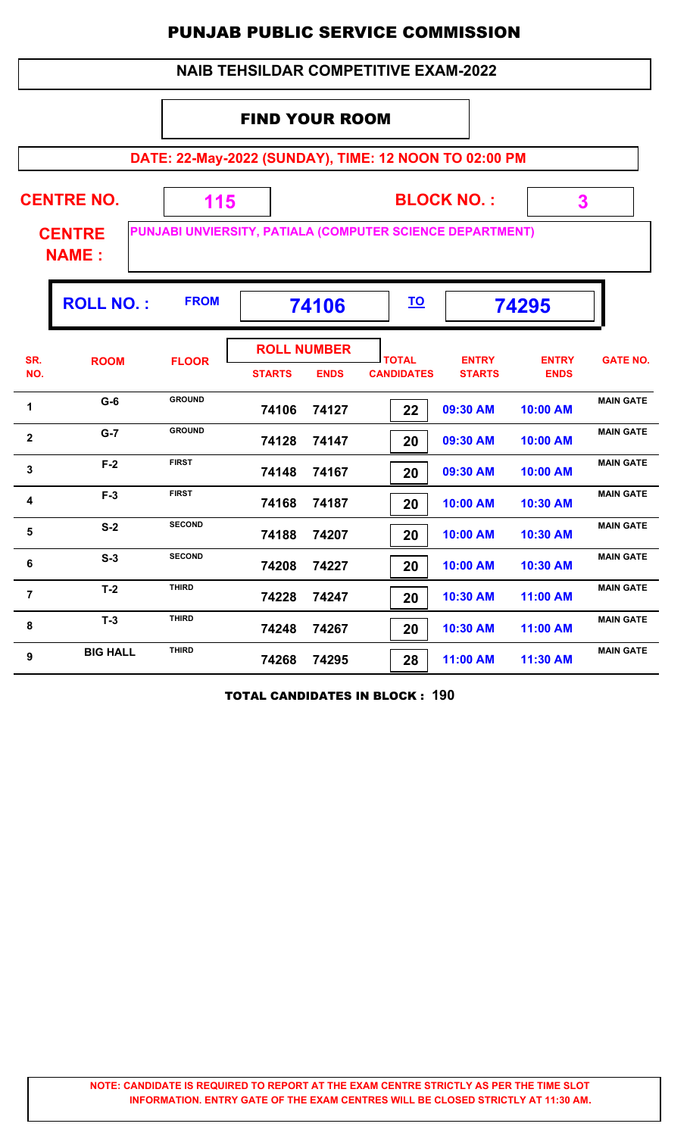|                | <b>NAIB TEHSILDAR COMPETITIVE EXAM-2022</b> |                                                           |                             |                                   |                                   |                               |                             |                  |  |  |  |  |  |
|----------------|---------------------------------------------|-----------------------------------------------------------|-----------------------------|-----------------------------------|-----------------------------------|-------------------------------|-----------------------------|------------------|--|--|--|--|--|
|                |                                             |                                                           | <b>FIND YOUR ROOM</b>       |                                   |                                   |                               |                             |                  |  |  |  |  |  |
|                |                                             | DATE: 22-May-2022 (SUNDAY), TIME: 12 NOON TO 02:00 PM     |                             |                                   |                                   |                               |                             |                  |  |  |  |  |  |
|                | <b>CENTRE NO.</b>                           | 115                                                       |                             |                                   |                                   | <b>BLOCK NO.:</b>             | 3                           |                  |  |  |  |  |  |
|                | <b>CENTRE</b><br><b>NAME:</b>               | PUNJABI UNVIERSITY, PATIALA (COMPUTER SCIENCE DEPARTMENT) |                             |                                   |                                   |                               |                             |                  |  |  |  |  |  |
|                | <b>ROLL NO.:</b>                            | <b>FROM</b>                                               | <u>TO</u><br>74106<br>74295 |                                   |                                   |                               |                             |                  |  |  |  |  |  |
| SR.<br>NO.     | <b>ROOM</b>                                 | <b>FLOOR</b>                                              | <b>STARTS</b>               | <b>ROLL NUMBER</b><br><b>ENDS</b> | <b>TOTAL</b><br><b>CANDIDATES</b> | <b>ENTRY</b><br><b>STARTS</b> | <b>ENTRY</b><br><b>ENDS</b> | <b>GATE NO.</b>  |  |  |  |  |  |
| 1              | $G-6$                                       | <b>GROUND</b>                                             | 74106                       | 74127                             | 22                                | 09:30 AM                      | 10:00 AM                    | <b>MAIN GATE</b> |  |  |  |  |  |
| $\overline{2}$ | $G-7$                                       | <b>GROUND</b>                                             | 74128                       | 74147                             | 20                                | 09:30 AM                      | 10:00 AM                    | <b>MAIN GATE</b> |  |  |  |  |  |
| 3              | $F-2$                                       | <b>FIRST</b>                                              | 74148                       | 74167                             | 20                                | 09:30 AM                      | 10:00 AM                    | <b>MAIN GATE</b> |  |  |  |  |  |
| 4              | $F-3$                                       | <b>FIRST</b>                                              | 74168                       | 74187                             | 20                                | 10:00 AM                      | 10:30 AM                    | <b>MAIN GATE</b> |  |  |  |  |  |
| 5              | $S-2$                                       | <b>SECOND</b>                                             | 74188                       | 74207                             | 20                                | 10:00 AM                      | 10:30 AM                    | <b>MAIN GATE</b> |  |  |  |  |  |
| 6              | $S-3$                                       | <b>SECOND</b>                                             | 74208                       | 74227                             | 20                                | 10:00 AM                      | 10:30 AM                    | <b>MAIN GATE</b> |  |  |  |  |  |
| $\overline{7}$ | $T-2$                                       | <b>THIRD</b>                                              | 74228                       | 74247                             | 20                                | 10:30 AM                      | 11:00 AM                    | <b>MAIN GATE</b> |  |  |  |  |  |
| 8              | $T-3$                                       | <b>THIRD</b>                                              | 74248                       | 74267                             | 20                                | 10:30 AM                      | 11:00 AM                    | <b>MAIN GATE</b> |  |  |  |  |  |
| 9              | <b>BIG HALL</b>                             | <b>THIRD</b>                                              | 74268                       | 74295                             | 28                                | 11:00 AM                      | 11:30 AM                    | <b>MAIN GATE</b> |  |  |  |  |  |

TOTAL CANDIDATES IN BLOCK : **190**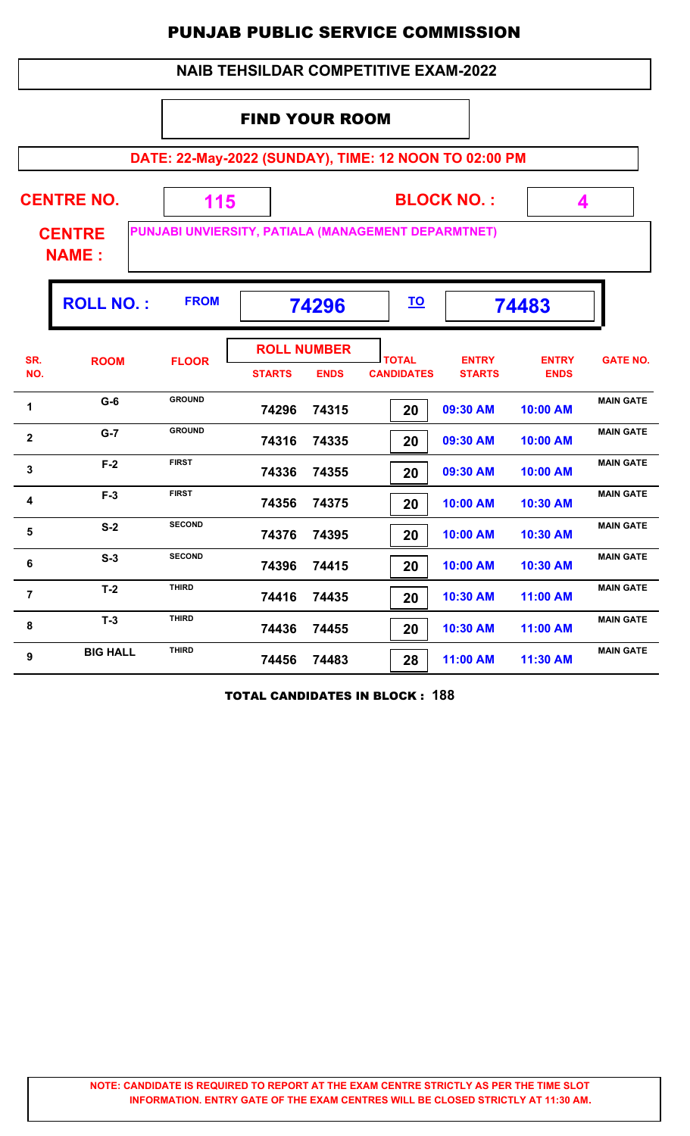|                | <b>NAIB TEHSILDAR COMPETITIVE EXAM-2022</b>                                          |               |                             |                                   |                                                       |                               |                             |                  |  |  |  |  |
|----------------|--------------------------------------------------------------------------------------|---------------|-----------------------------|-----------------------------------|-------------------------------------------------------|-------------------------------|-----------------------------|------------------|--|--|--|--|
|                |                                                                                      |               | <b>FIND YOUR ROOM</b>       |                                   |                                                       |                               |                             |                  |  |  |  |  |
|                |                                                                                      |               |                             |                                   | DATE: 22-May-2022 (SUNDAY), TIME: 12 NOON TO 02:00 PM |                               |                             |                  |  |  |  |  |
|                | <b>CENTRE NO.</b>                                                                    | 115           |                             |                                   |                                                       | <b>BLOCK NO.:</b>             | 4                           |                  |  |  |  |  |
|                | PUNJABI UNVIERSITY, PATIALA (MANAGEMENT DEPARMTNET)<br><b>CENTRE</b><br><b>NAME:</b> |               |                             |                                   |                                                       |                               |                             |                  |  |  |  |  |
|                | <b>ROLL NO.:</b>                                                                     | <b>FROM</b>   | <u>TO</u><br>74296<br>74483 |                                   |                                                       |                               |                             |                  |  |  |  |  |
| SR.<br>NO.     | <b>ROOM</b>                                                                          | <b>FLOOR</b>  | <b>STARTS</b>               | <b>ROLL NUMBER</b><br><b>ENDS</b> | <b>TOTAL</b><br><b>CANDIDATES</b>                     | <b>ENTRY</b><br><b>STARTS</b> | <b>ENTRY</b><br><b>ENDS</b> | <b>GATE NO.</b>  |  |  |  |  |
| 1              | $G-6$                                                                                | <b>GROUND</b> | 74296                       | 74315                             | 20                                                    | 09:30 AM                      | 10:00 AM                    | <b>MAIN GATE</b> |  |  |  |  |
| $\overline{2}$ | $G-7$                                                                                | <b>GROUND</b> | 74316                       | 74335                             | 20                                                    | 09:30 AM                      | 10:00 AM                    | <b>MAIN GATE</b> |  |  |  |  |
| 3              | $F-2$                                                                                | <b>FIRST</b>  | 74336                       | 74355                             | 20                                                    | 09:30 AM                      | 10:00 AM                    | <b>MAIN GATE</b> |  |  |  |  |
| 4              | $F-3$                                                                                | <b>FIRST</b>  | 74356                       | 74375                             | 20                                                    | 10:00 AM                      | 10:30 AM                    | <b>MAIN GATE</b> |  |  |  |  |
| 5              | $S-2$                                                                                | <b>SECOND</b> | 74376                       | 74395                             | 20                                                    | 10:00 AM                      | 10:30 AM                    | <b>MAIN GATE</b> |  |  |  |  |
| 6              | $S-3$                                                                                | <b>SECOND</b> | 74396                       | 74415                             | 20                                                    | 10:00 AM                      | 10:30 AM                    | <b>MAIN GATE</b> |  |  |  |  |
| $\overline{7}$ | $T-2$                                                                                | <b>THIRD</b>  | 74416                       | 74435                             | 20                                                    | 10:30 AM                      | 11:00 AM                    | <b>MAIN GATE</b> |  |  |  |  |
| 8              | $T-3$                                                                                | <b>THIRD</b>  | 74436                       | 74455                             | 20                                                    | 10:30 AM                      | 11:00 AM                    | <b>MAIN GATE</b> |  |  |  |  |
| 9              | <b>BIG HALL</b>                                                                      | <b>THIRD</b>  | 74456                       | 74483                             | 28                                                    | 11:00 AM                      | 11:30 AM                    | <b>MAIN GATE</b> |  |  |  |  |

TOTAL CANDIDATES IN BLOCK : **188**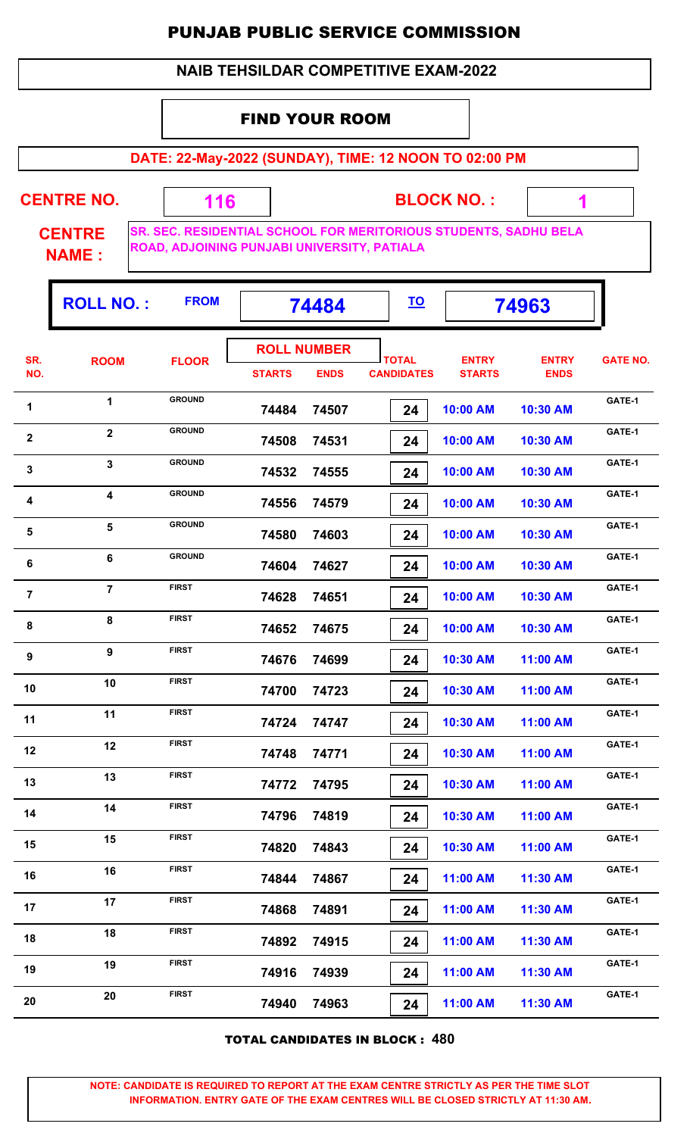#### **NAIB TEHSILDAR COMPETITIVE EXAM-2022**

#### FIND YOUR ROOM

**DATE: 22-May-2022 (SUNDAY), TIME: 12 NOON TO 02:00 PM**

**CENTRE NO.** 

**BLOCK NO. :**

 **1**

ŋ.

**CENTRE NAME :**

**SR. SEC. RESIDENTIAL SCHOOL FOR MERITORIOUS STUDENTS, SADHU BELA ROAD, ADJOINING PUNJABI UNIVERSITY, PATIALA**

 **116**

|                         | <b>ROLL NO.:</b>        | <b>FROM</b>   |               | 74484                             | <u>TO</u>                         |                               | 74963                       |                 |
|-------------------------|-------------------------|---------------|---------------|-----------------------------------|-----------------------------------|-------------------------------|-----------------------------|-----------------|
| SR.<br>NO.              | <b>ROOM</b>             | <b>FLOOR</b>  | <b>STARTS</b> | <b>ROLL NUMBER</b><br><b>ENDS</b> | <b>TOTAL</b><br><b>CANDIDATES</b> | <b>ENTRY</b><br><b>STARTS</b> | <b>ENTRY</b><br><b>ENDS</b> | <b>GATE NO.</b> |
| 1                       | $\mathbf{1}$            | <b>GROUND</b> | 74484         | 74507                             | 24                                | 10:00 AM                      | 10:30 AM                    | GATE-1          |
| $\mathbf{2}$            | $\overline{2}$          | <b>GROUND</b> | 74508         | 74531                             | 24                                | 10:00 AM                      | 10:30 AM                    | GATE-1          |
| $\mathbf{3}$            | $\overline{\mathbf{3}}$ | <b>GROUND</b> | 74532         | 74555                             | 24                                | 10:00 AM                      | 10:30 AM                    | GATE-1          |
| 4                       | $\overline{\mathbf{4}}$ | <b>GROUND</b> | 74556         | 74579                             | 24                                | 10:00 AM                      | 10:30 AM                    | GATE-1          |
| $\overline{\mathbf{5}}$ | 5                       | <b>GROUND</b> | 74580         | 74603                             | 24                                | 10:00 AM                      | 10:30 AM                    | GATE-1          |
| 6                       | 6                       | <b>GROUND</b> | 74604         | 74627                             | 24                                | 10:00 AM                      | 10:30 AM                    | GATE-1          |
| $\overline{7}$          | $\overline{7}$          | <b>FIRST</b>  | 74628         | 74651                             | 24                                | 10:00 AM                      | 10:30 AM                    | GATE-1          |
| ${\bf 8}$               | 8                       | <b>FIRST</b>  | 74652         | 74675                             | 24                                | 10:00 AM                      | 10:30 AM                    | GATE-1          |
| 9                       | $\boldsymbol{9}$        | <b>FIRST</b>  | 74676         | 74699                             | 24                                | 10:30 AM                      | 11:00 AM                    | GATE-1          |
| 10                      | 10                      | <b>FIRST</b>  | 74700         | 74723                             | 24                                | 10:30 AM                      | 11:00 AM                    | GATE-1          |
| 11                      | 11                      | <b>FIRST</b>  | 74724         | 74747                             | 24                                | 10:30 AM                      | 11:00 AM                    | GATE-1          |
| 12                      | 12                      | <b>FIRST</b>  | 74748         | 74771                             | 24                                | 10:30 AM                      | 11:00 AM                    | GATE-1          |
| 13                      | 13                      | <b>FIRST</b>  | 74772         | 74795                             | 24                                | 10:30 AM                      | 11:00 AM                    | GATE-1          |
| 14                      | 14                      | <b>FIRST</b>  | 74796         | 74819                             | 24                                | 10:30 AM                      | 11:00 AM                    | GATE-1          |
| 15                      | 15                      | <b>FIRST</b>  | 74820         | 74843                             | 24                                | 10:30 AM                      | 11:00 AM                    | GATE-1          |
| 16                      | 16                      | <b>FIRST</b>  | 74844         | 74867                             | 24                                | 11:00 AM                      | 11:30 AM                    | GATE-1          |
| 17                      | 17                      | <b>FIRST</b>  | 74868         | 74891                             | 24                                | 11:00 AM                      | 11:30 AM                    | GATE-1          |
| 18                      | 18                      | <b>FIRST</b>  | 74892         | 74915                             | 24                                | 11:00 AM                      | 11:30 AM                    | GATE-1          |
| 19                      | 19                      | <b>FIRST</b>  | 74916         | 74939                             | 24                                | 11:00 AM                      | 11:30 AM                    | GATE-1          |
| 20                      | 20                      | <b>FIRST</b>  | 74940         | 74963                             | 24                                | 11:00 AM                      | 11:30 AM                    | GATE-1          |

TOTAL CANDIDATES IN BLOCK : **480**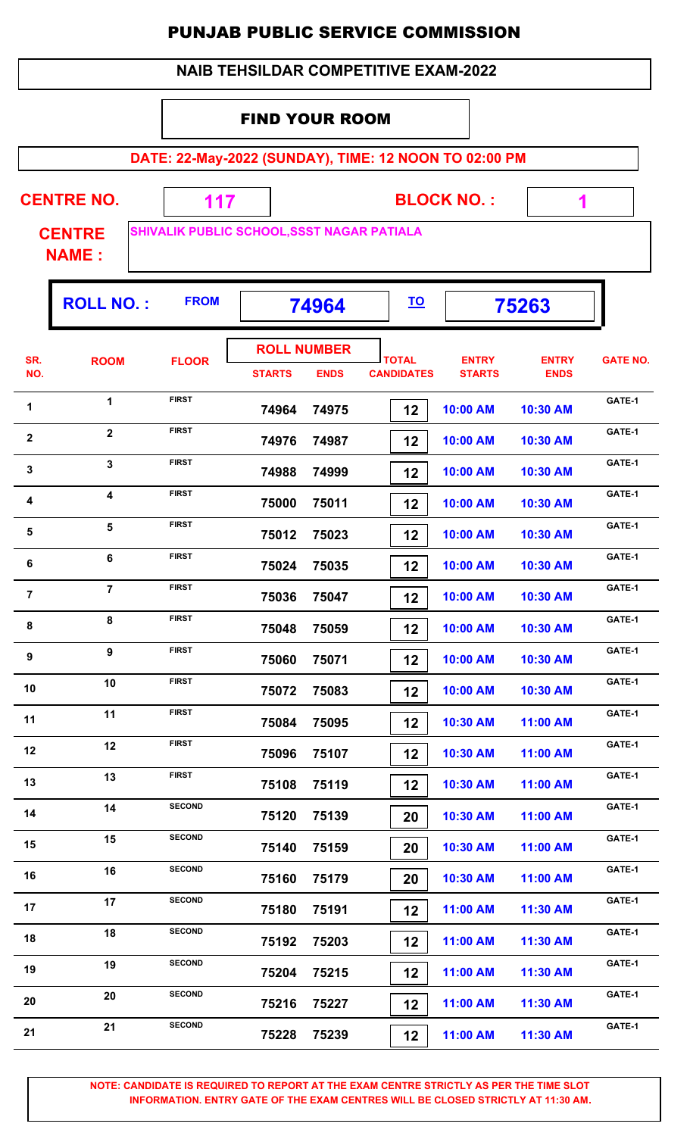| <b>NAIB TEHSILDAR COMPETITIVE EXAM-2022</b> |                               |               |                                                       |                   |                   |              |                 |  |  |  |  |
|---------------------------------------------|-------------------------------|---------------|-------------------------------------------------------|-------------------|-------------------|--------------|-----------------|--|--|--|--|
|                                             |                               |               | <b>FIND YOUR ROOM</b>                                 |                   |                   |              |                 |  |  |  |  |
|                                             |                               |               | DATE: 22-May-2022 (SUNDAY), TIME: 12 NOON TO 02:00 PM |                   |                   |              |                 |  |  |  |  |
|                                             |                               |               |                                                       |                   |                   |              |                 |  |  |  |  |
|                                             | <b>CENTRE NO.</b>             | 117           |                                                       |                   | <b>BLOCK NO.:</b> | 1            |                 |  |  |  |  |
|                                             | <b>CENTRE</b><br><b>NAME:</b> |               | SHIVALIK PUBLIC SCHOOL, SSST NAGAR PATIALA            |                   |                   |              |                 |  |  |  |  |
|                                             |                               | <b>FROM</b>   |                                                       | <u>TO</u>         |                   |              |                 |  |  |  |  |
|                                             | <b>ROLL NO.:</b>              | 75263         |                                                       |                   |                   |              |                 |  |  |  |  |
| SR.                                         | <b>ROOM</b>                   | <b>FLOOR</b>  | <b>ROLL NUMBER</b>                                    | <b>TOTAL</b>      | <b>ENTRY</b>      | <b>ENTRY</b> | <b>GATE NO.</b> |  |  |  |  |
| NO.                                         |                               |               | <b>STARTS</b><br><b>ENDS</b>                          | <b>CANDIDATES</b> | <b>STARTS</b>     | <b>ENDS</b>  |                 |  |  |  |  |
| 1                                           | $\mathbf{1}$                  | <b>FIRST</b>  | 74964<br>74975                                        | 12                | 10:00 AM          | 10:30 AM     | GATE-1          |  |  |  |  |
| $\overline{\mathbf{2}}$                     | $\overline{2}$                | <b>FIRST</b>  | 74976<br>74987                                        | 12                | 10:00 AM          | 10:30 AM     | GATE-1          |  |  |  |  |
| $\mathbf{3}$                                | 3                             | <b>FIRST</b>  | 74988<br>74999                                        | 12                | 10:00 AM          | 10:30 AM     | GATE-1          |  |  |  |  |
| 4                                           | 4                             | <b>FIRST</b>  | 75000<br>75011                                        | 12                | 10:00 AM          | 10:30 AM     | GATE-1          |  |  |  |  |
| 5                                           | 5                             | <b>FIRST</b>  | 75012<br>75023                                        | 12                | 10:00 AM          | 10:30 AM     | GATE-1          |  |  |  |  |
| 6                                           | 6                             | <b>FIRST</b>  | 75024<br>75035                                        | 12                | 10:00 AM          | 10:30 AM     | GATE-1          |  |  |  |  |
| $\overline{7}$                              | $\overline{7}$                | <b>FIRST</b>  | 75036<br>75047                                        | 12                | 10:00 AM          | 10:30 AM     | GATE-1          |  |  |  |  |
| 8                                           | 8                             | <b>FIRST</b>  | 75048<br>75059                                        | 12                | 10:00 AM          | 10:30 AM     | GATE-1          |  |  |  |  |
| $\boldsymbol{9}$                            | $\overline{9}$                | <b>FIRST</b>  | 75060<br>75071                                        | 12                | 10:00 AM          | 10:30 AM     | GATE-1          |  |  |  |  |
| 10                                          | 10                            | <b>FIRST</b>  | 75072<br>75083                                        | 12                | 10:00 AM          | 10:30 AM     | GATE-1          |  |  |  |  |
| 11                                          | 11                            | <b>FIRST</b>  | 75084<br>75095                                        | 12                | 10:30 AM          | 11:00 AM     | GATE-1          |  |  |  |  |
| 12                                          | 12                            | <b>FIRST</b>  | 75096<br>75107                                        | 12                | 10:30 AM          | 11:00 AM     | GATE-1          |  |  |  |  |
| 13                                          | 13                            | <b>FIRST</b>  | 75108<br>75119                                        | 12                | 10:30 AM          | 11:00 AM     | GATE-1          |  |  |  |  |
| 14                                          | 14                            | <b>SECOND</b> | 75120<br>75139                                        | 20                | 10:30 AM          | 11:00 AM     | GATE-1          |  |  |  |  |
| 15                                          | 15                            | <b>SECOND</b> | 75140<br>75159                                        | 20                | 10:30 AM          | 11:00 AM     | GATE-1          |  |  |  |  |
| 16                                          | 16                            | <b>SECOND</b> | 75160<br>75179                                        | 20                | 10:30 AM          | 11:00 AM     | GATE-1          |  |  |  |  |
| 17                                          | 17                            | <b>SECOND</b> | 75180<br>75191                                        | 12                | 11:00 AM          | 11:30 AM     | GATE-1          |  |  |  |  |
| 18                                          | 18                            | <b>SECOND</b> | 75192<br>75203                                        | 12                | 11:00 AM          | 11:30 AM     | GATE-1          |  |  |  |  |
| 19                                          | 19                            | <b>SECOND</b> | 75204<br>75215                                        | 12                | 11:00 AM          | 11:30 AM     | GATE-1          |  |  |  |  |
| 20                                          | 20                            | <b>SECOND</b> | 75216<br>75227                                        | 12                | 11:00 AM          | 11:30 AM     | GATE-1          |  |  |  |  |
| 21                                          | 21                            | <b>SECOND</b> | 75228<br>75239                                        | 12                | 11:00 AM          | 11:30 AM     | GATE-1          |  |  |  |  |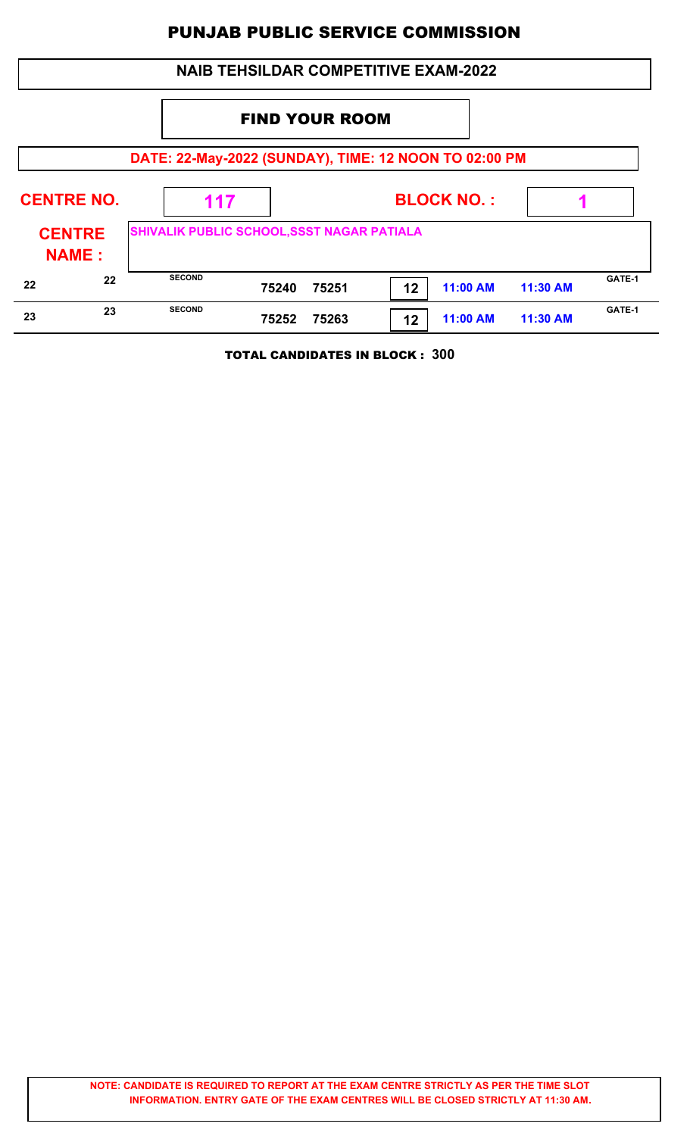|                   |                                                       |                                            |                       |       | <b>NAIB TEHSILDAR COMPETITIVE EXAM-2022</b> |                   |          |        |  |  |  |
|-------------------|-------------------------------------------------------|--------------------------------------------|-----------------------|-------|---------------------------------------------|-------------------|----------|--------|--|--|--|
|                   |                                                       |                                            | <b>FIND YOUR ROOM</b> |       |                                             |                   |          |        |  |  |  |
|                   | DATE: 22-May-2022 (SUNDAY), TIME: 12 NOON TO 02:00 PM |                                            |                       |       |                                             |                   |          |        |  |  |  |
| <b>CENTRE NO.</b> |                                                       | 117                                        |                       |       |                                             | <b>BLOCK NO.:</b> |          |        |  |  |  |
|                   | <b>CENTRE</b><br><b>NAME:</b>                         | SHIVALIK PUBLIC SCHOOL, SSST NAGAR PATIALA |                       |       |                                             |                   |          |        |  |  |  |
| 22                | 22                                                    | <b>SECOND</b>                              | 75240                 | 75251 | 12                                          | <b>11:00 AM</b>   | 11:30 AM | GATE-1 |  |  |  |
| 23                | 23                                                    | <b>SECOND</b>                              | 75252                 | 75263 | 12                                          | 11:00 AM          | 11:30 AM | GATE-1 |  |  |  |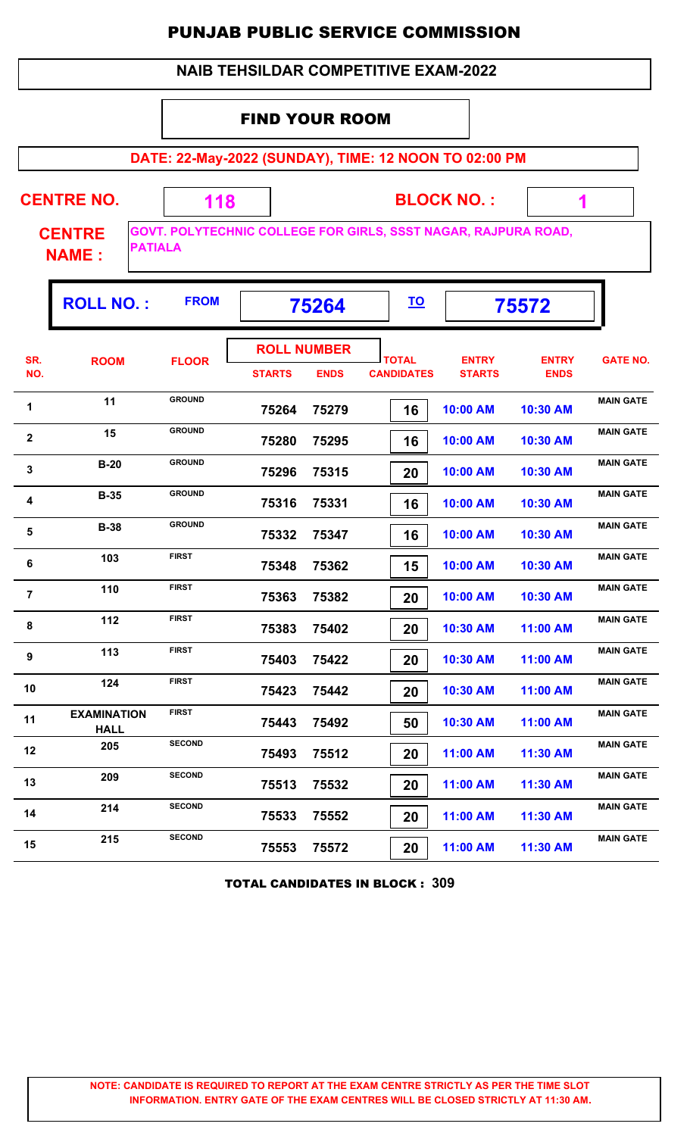| <b>NAIB TEHSILDAR COMPETITIVE EXAM-2022</b> |                                                 |                                                                |                       |                                   |                                   |           |                               |                             |                  |  |  |
|---------------------------------------------|-------------------------------------------------|----------------------------------------------------------------|-----------------------|-----------------------------------|-----------------------------------|-----------|-------------------------------|-----------------------------|------------------|--|--|
|                                             |                                                 |                                                                | <b>FIND YOUR ROOM</b> |                                   |                                   |           |                               |                             |                  |  |  |
|                                             |                                                 | DATE: 22-May-2022 (SUNDAY), TIME: 12 NOON TO 02:00 PM          |                       |                                   |                                   |           |                               |                             |                  |  |  |
|                                             | <b>CENTRE NO.</b>                               | 118                                                            |                       |                                   |                                   |           | <b>BLOCK NO.:</b>             | 1                           |                  |  |  |
|                                             | <b>CENTRE</b><br><b>PATIALA</b><br><b>NAME:</b> | GOVT. POLYTECHNIC COLLEGE FOR GIRLS, SSST NAGAR, RAJPURA ROAD, |                       |                                   |                                   |           |                               |                             |                  |  |  |
|                                             | <b>ROLL NO.:</b>                                | <b>FROM</b>                                                    |                       | 75264                             |                                   | <u>TO</u> |                               | 75572                       |                  |  |  |
| SR.<br>NO.                                  | <b>ROOM</b>                                     | <b>FLOOR</b>                                                   | <b>STARTS</b>         | <b>ROLL NUMBER</b><br><b>ENDS</b> | <b>TOTAL</b><br><b>CANDIDATES</b> |           | <b>ENTRY</b><br><b>STARTS</b> | <b>ENTRY</b><br><b>ENDS</b> | <b>GATE NO.</b>  |  |  |
| 1                                           | 11                                              | <b>GROUND</b>                                                  | 75264                 | 75279                             |                                   | 16        | 10:00 AM                      | 10:30 AM                    | <b>MAIN GATE</b> |  |  |
| 2                                           | 15                                              | <b>GROUND</b>                                                  | 75280                 | 75295                             |                                   | 16        | 10:00 AM                      | 10:30 AM                    | <b>MAIN GATE</b> |  |  |
| 3                                           | $B-20$                                          | <b>GROUND</b>                                                  | 75296                 | 75315                             |                                   | 20        | 10:00 AM                      | 10:30 AM                    | <b>MAIN GATE</b> |  |  |
| 4                                           | $B-35$                                          | <b>GROUND</b>                                                  | 75316                 | 75331                             |                                   | 16        | 10:00 AM                      | 10:30 AM                    | <b>MAIN GATE</b> |  |  |
| 5                                           | <b>B-38</b>                                     | <b>GROUND</b>                                                  | 75332                 | 75347                             |                                   | 16        | 10:00 AM                      | 10:30 AM                    | <b>MAIN GATE</b> |  |  |
| 6                                           | 103                                             | <b>FIRST</b>                                                   | 75348                 | 75362                             |                                   | 15        | 10:00 AM                      | 10:30 AM                    | <b>MAIN GATE</b> |  |  |
| $\overline{7}$                              | 110                                             | <b>FIRST</b>                                                   | 75363                 | 75382                             |                                   | 20        | 10:00 AM                      | 10:30 AM                    | <b>MAIN GATE</b> |  |  |
| 8                                           | 112                                             | <b>FIRST</b>                                                   | 75383                 | 75402                             |                                   | 20        | 10:30 AM                      | 11:00 AM                    | <b>MAIN GATE</b> |  |  |
| 9                                           | 113                                             | <b>FIRST</b>                                                   | 75403                 | 75422                             |                                   | 20        | 10:30 AM                      | 11:00 AM                    | <b>MAIN GATE</b> |  |  |
| 10                                          | 124                                             | <b>FIRST</b>                                                   | 75423                 | 75442                             |                                   | 20        | 10:30 AM                      | 11:00 AM                    | <b>MAIN GATE</b> |  |  |
| 11                                          | <b>EXAMINATION</b><br><b>HALL</b>               | <b>FIRST</b>                                                   | 75443                 | 75492                             |                                   | 50        | 10:30 AM                      | 11:00 AM                    | <b>MAIN GATE</b> |  |  |
| 12                                          | 205                                             | <b>SECOND</b>                                                  | 75493                 | 75512                             |                                   | 20        | 11:00 AM                      | 11:30 AM                    | <b>MAIN GATE</b> |  |  |
| 13                                          | 209                                             | <b>SECOND</b>                                                  | 75513                 | 75532                             |                                   | 20        | 11:00 AM                      | 11:30 AM                    | <b>MAIN GATE</b> |  |  |
| 14                                          | 214                                             | <b>SECOND</b>                                                  | 75533                 | 75552                             |                                   | 20        | 11:00 AM                      | 11:30 AM                    | <b>MAIN GATE</b> |  |  |
| 15                                          | 215                                             | <b>SECOND</b>                                                  | 75553                 | 75572                             |                                   | 20        | 11:00 AM                      | 11:30 AM                    | <b>MAIN GATE</b> |  |  |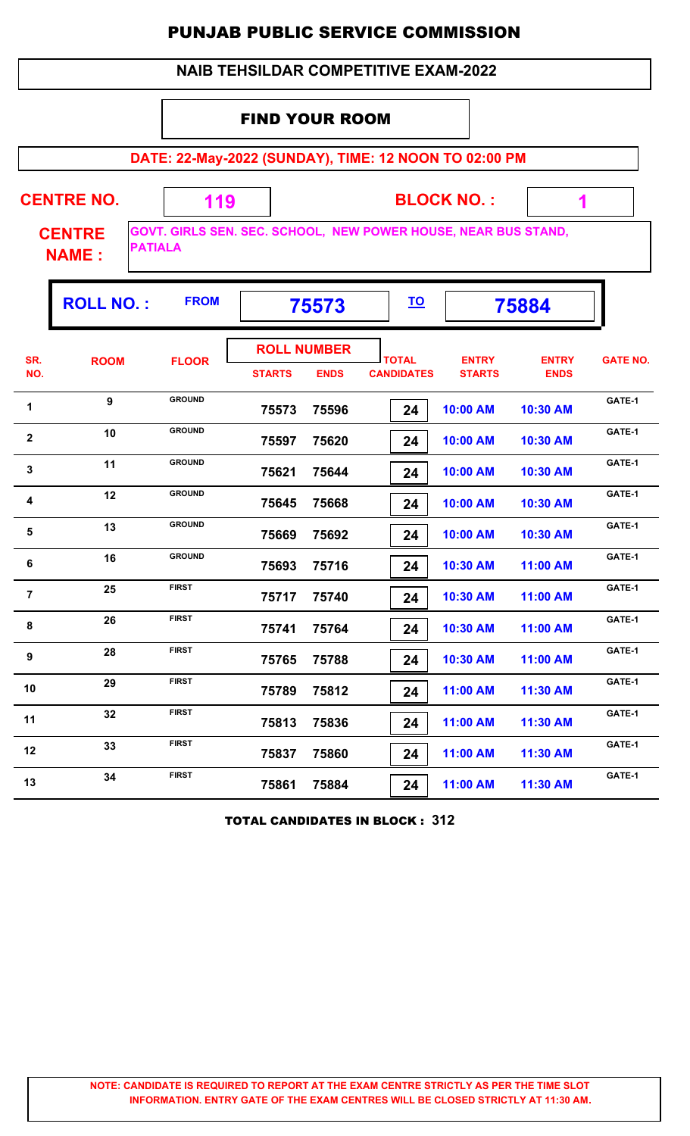|                | <b>NAIB TEHSILDAR COMPETITIVE EXAM-2022</b> |                                                                                         |                                     |             |                                   |                               |                             |                 |  |  |  |  |  |
|----------------|---------------------------------------------|-----------------------------------------------------------------------------------------|-------------------------------------|-------------|-----------------------------------|-------------------------------|-----------------------------|-----------------|--|--|--|--|--|
|                |                                             |                                                                                         |                                     |             |                                   |                               |                             |                 |  |  |  |  |  |
|                |                                             |                                                                                         | <b>FIND YOUR ROOM</b>               |             |                                   |                               |                             |                 |  |  |  |  |  |
|                |                                             | DATE: 22-May-2022 (SUNDAY), TIME: 12 NOON TO 02:00 PM                                   |                                     |             |                                   |                               |                             |                 |  |  |  |  |  |
|                | <b>CENTRE NO.</b>                           | 119                                                                                     |                                     |             |                                   | <b>BLOCK NO.:</b>             | 1                           |                 |  |  |  |  |  |
|                | <b>CENTRE</b><br><b>NAME:</b>               | <b>GOVT. GIRLS SEN. SEC. SCHOOL, NEW POWER HOUSE, NEAR BUS STAND,</b><br><b>PATIALA</b> |                                     |             |                                   |                               |                             |                 |  |  |  |  |  |
|                | <b>ROLL NO.:</b>                            | <b>FROM</b>                                                                             |                                     | 75573       | <u>TO</u>                         |                               | 75884                       |                 |  |  |  |  |  |
| SR.<br>NO.     | <b>ROOM</b>                                 | <b>FLOOR</b>                                                                            | <b>ROLL NUMBER</b><br><b>STARTS</b> | <b>ENDS</b> | <b>TOTAL</b><br><b>CANDIDATES</b> | <b>ENTRY</b><br><b>STARTS</b> | <b>ENTRY</b><br><b>ENDS</b> | <b>GATE NO.</b> |  |  |  |  |  |
| 1              | 9                                           | <b>GROUND</b>                                                                           | 75573                               | 75596       | 24                                | 10:00 AM                      | 10:30 AM                    | GATE-1          |  |  |  |  |  |
| $\mathbf{2}$   | 10                                          | <b>GROUND</b>                                                                           | 75597                               | 75620       | 24                                | 10:00 AM                      | 10:30 AM                    | GATE-1          |  |  |  |  |  |
| 3              | 11                                          | <b>GROUND</b>                                                                           | 75621                               | 75644       | 24                                | 10:00 AM                      | 10:30 AM                    | GATE-1          |  |  |  |  |  |
| 4              | 12                                          | <b>GROUND</b>                                                                           | 75645                               | 75668       | 24                                | 10:00 AM                      | 10:30 AM                    | GATE-1          |  |  |  |  |  |
| 5              | 13                                          | <b>GROUND</b>                                                                           | 75669                               | 75692       | 24                                | 10:00 AM                      | 10:30 AM                    | GATE-1          |  |  |  |  |  |
| 6              | 16                                          | <b>GROUND</b>                                                                           | 75693                               | 75716       | 24                                | 10:30 AM                      | 11:00 AM                    | GATE-1          |  |  |  |  |  |
| $\overline{7}$ | 25                                          | <b>FIRST</b>                                                                            | 75717                               | 75740       | 24                                | 10:30 AM                      | 11:00 AM                    | GATE-1          |  |  |  |  |  |
| 8              | 26                                          | <b>FIRST</b>                                                                            | 75741                               | 75764       | 24                                | 10:30 AM                      | 11:00 AM                    | GATE-1          |  |  |  |  |  |
| 9              | 28                                          | <b>FIRST</b>                                                                            | 75765                               | 75788       | 24                                | 10:30 AM                      | 11:00 AM                    | GATE-1          |  |  |  |  |  |
| 10             | 29                                          | <b>FIRST</b>                                                                            | 75789                               | 75812       | 24                                | 11:00 AM                      | 11:30 AM                    | GATE-1          |  |  |  |  |  |
| 11             | 32                                          | <b>FIRST</b>                                                                            | 75813                               | 75836       | 24                                | 11:00 AM                      | 11:30 AM                    | GATE-1          |  |  |  |  |  |
| 12             | 33                                          | <b>FIRST</b>                                                                            | 75837                               | 75860       | 24                                | 11:00 AM                      | 11:30 AM                    | GATE-1          |  |  |  |  |  |
| 13             | 34                                          | <b>FIRST</b>                                                                            | 75861                               | 75884       | 24                                | 11:00 AM                      | 11:30 AM                    | GATE-1          |  |  |  |  |  |

TOTAL CANDIDATES IN BLOCK : **312**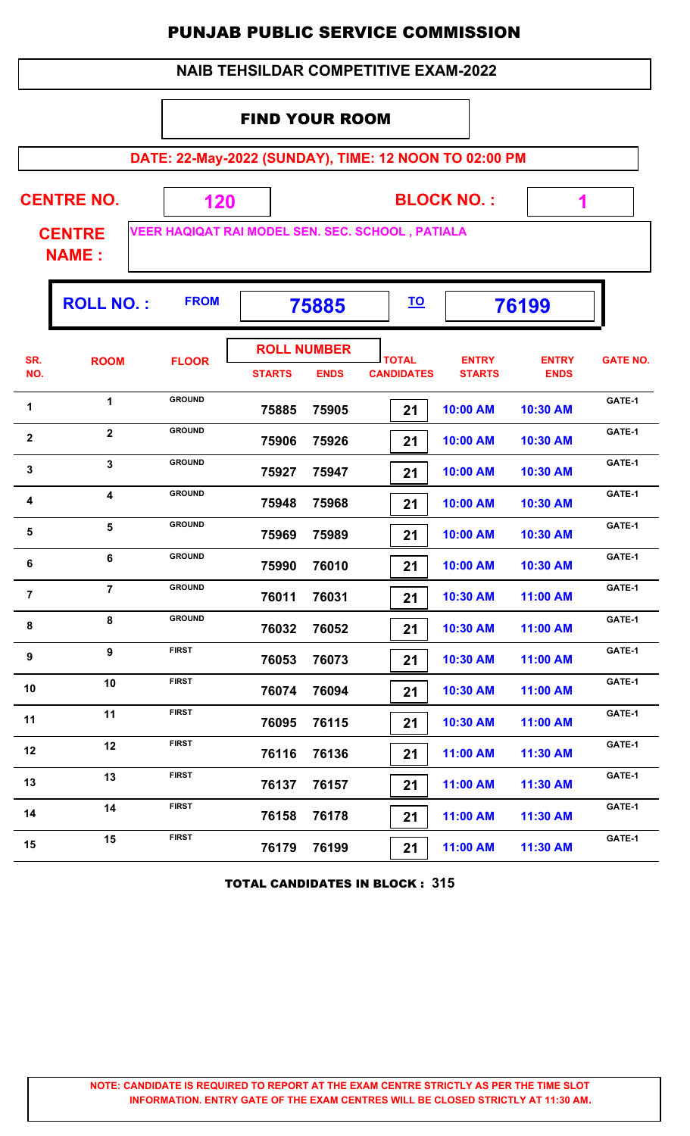| <b>NAIB TEHSILDAR COMPETITIVE EXAM-2022</b> |                               |                                                       |                       |                                   |                                   |                               |                             |                 |  |  |  |  |
|---------------------------------------------|-------------------------------|-------------------------------------------------------|-----------------------|-----------------------------------|-----------------------------------|-------------------------------|-----------------------------|-----------------|--|--|--|--|
|                                             |                               |                                                       | <b>FIND YOUR ROOM</b> |                                   |                                   |                               |                             |                 |  |  |  |  |
|                                             |                               | DATE: 22-May-2022 (SUNDAY), TIME: 12 NOON TO 02:00 PM |                       |                                   |                                   |                               |                             |                 |  |  |  |  |
|                                             | <b>CENTRE NO.</b>             | 120                                                   | <b>BLOCK NO.:</b>     |                                   |                                   |                               |                             |                 |  |  |  |  |
|                                             | <b>CENTRE</b><br><b>NAME:</b> | VEER HAQIQAT RAI MODEL SEN. SEC. SCHOOL, PATIALA      |                       |                                   |                                   |                               |                             |                 |  |  |  |  |
|                                             | <b>ROLL NO.:</b>              | <b>FROM</b>                                           |                       | 75885                             | <u>TO</u>                         |                               | 76199                       |                 |  |  |  |  |
| SR.<br>NO.                                  | <b>ROOM</b>                   | <b>FLOOR</b>                                          | <b>STARTS</b>         | <b>ROLL NUMBER</b><br><b>ENDS</b> | <b>TOTAL</b><br><b>CANDIDATES</b> | <b>ENTRY</b><br><b>STARTS</b> | <b>ENTRY</b><br><b>ENDS</b> | <b>GATE NO.</b> |  |  |  |  |
| 1                                           | 1                             | <b>GROUND</b>                                         | 75885                 | 75905                             | 21                                | 10:00 AM                      | 10:30 AM                    | GATE-1          |  |  |  |  |
| $\mathbf{2}$                                | $\mathbf{2}$                  | <b>GROUND</b>                                         | 75906                 | 75926                             | 21                                | 10:00 AM                      | 10:30 AM                    | GATE-1          |  |  |  |  |
| $\mathbf{3}$                                | 3                             | <b>GROUND</b>                                         | 75927                 | 75947                             | 21                                | 10:00 AM                      | 10:30 AM                    | GATE-1          |  |  |  |  |
| 4                                           | 4                             | <b>GROUND</b>                                         | 75948                 | 75968                             | 21                                | 10:00 AM                      | 10:30 AM                    | GATE-1          |  |  |  |  |
| 5                                           | 5                             | <b>GROUND</b>                                         | 75969                 | 75989                             | 21                                | 10:00 AM                      | 10:30 AM                    | GATE-1          |  |  |  |  |
| 6                                           | 6                             | <b>GROUND</b>                                         | 75990                 | 76010                             | 21                                | 10:00 AM                      | 10:30 AM                    | GATE-1          |  |  |  |  |
| $\overline{7}$                              | $\overline{7}$                | <b>GROUND</b>                                         | 76011                 | 76031                             | 21                                | 10:30 AM                      | 11:00 AM                    | GATE-1          |  |  |  |  |
| 8                                           | 8                             | <b>GROUND</b>                                         | 76032                 | 76052                             | 21                                | 10:30 AM                      | 11:00 AM                    | GATE-1          |  |  |  |  |
| 9                                           | $\overline{9}$                | <b>FIRST</b>                                          | 76053                 | 76073                             | 21                                | 10:30 AM                      | 11:00 AM                    | GATE-1          |  |  |  |  |
| 10                                          | 10                            | <b>FIRST</b>                                          | 76074                 | 76094                             | 21                                | 10:30 AM                      | 11:00 AM                    | GATE-1          |  |  |  |  |
| 11                                          | 11                            | <b>FIRST</b>                                          | 76095                 | 76115                             | 21                                | 10:30 AM                      | 11:00 AM                    | GATE-1          |  |  |  |  |
| 12                                          | 12                            | <b>FIRST</b>                                          | 76116                 | 76136                             | 21                                | 11:00 AM                      | 11:30 AM                    | GATE-1          |  |  |  |  |
| 13                                          | 13                            | <b>FIRST</b>                                          | 76137                 | 76157                             | 21                                | 11:00 AM                      | 11:30 AM                    | GATE-1          |  |  |  |  |
| 14                                          | 14                            | <b>FIRST</b>                                          | 76158                 | 76178                             | 21                                | 11:00 AM                      | 11:30 AM                    | GATE-1          |  |  |  |  |
| 15                                          | 15                            | <b>FIRST</b>                                          | 76179                 | 76199                             | 21                                | 11:00 AM                      | 11:30 AM                    | GATE-1          |  |  |  |  |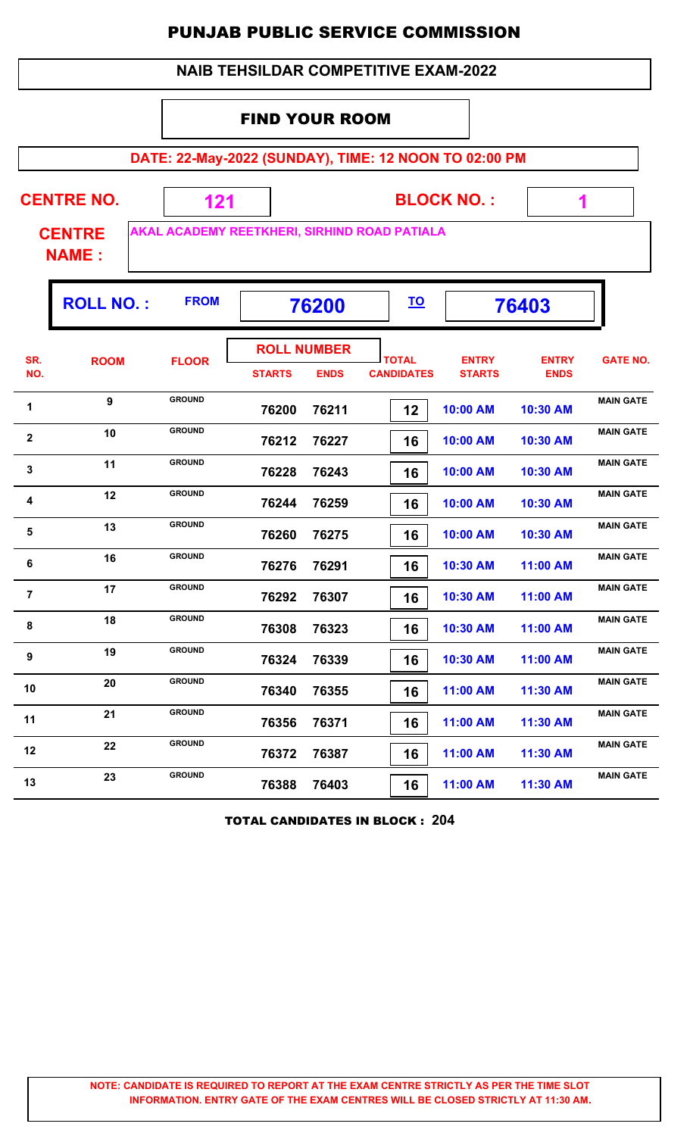|                                                                               | <b>NAIB TEHSILDAR COMPETITIVE EXAM-2022</b> |                                                       |                                     |             |                                   |                               |                             |                  |  |  |  |  |
|-------------------------------------------------------------------------------|---------------------------------------------|-------------------------------------------------------|-------------------------------------|-------------|-----------------------------------|-------------------------------|-----------------------------|------------------|--|--|--|--|
|                                                                               |                                             |                                                       | <b>FIND YOUR ROOM</b>               |             |                                   |                               |                             |                  |  |  |  |  |
|                                                                               |                                             | DATE: 22-May-2022 (SUNDAY), TIME: 12 NOON TO 02:00 PM |                                     |             |                                   |                               |                             |                  |  |  |  |  |
|                                                                               | <b>CENTRE NO.</b>                           | 121                                                   |                                     |             |                                   | <b>BLOCK NO.:</b>             |                             |                  |  |  |  |  |
| AKAL ACADEMY REETKHERI, SIRHIND ROAD PATIALA<br><b>CENTRE</b><br><b>NAME:</b> |                                             |                                                       |                                     |             |                                   |                               |                             |                  |  |  |  |  |
| <b>FROM</b><br><b>ROLL NO.:</b><br><u>TO</u><br>76200<br>76403                |                                             |                                                       |                                     |             |                                   |                               |                             |                  |  |  |  |  |
| SR.<br>NO.                                                                    | <b>ROOM</b>                                 | <b>FLOOR</b>                                          | <b>ROLL NUMBER</b><br><b>STARTS</b> | <b>ENDS</b> | <b>TOTAL</b><br><b>CANDIDATES</b> | <b>ENTRY</b><br><b>STARTS</b> | <b>ENTRY</b><br><b>ENDS</b> | <b>GATE NO.</b>  |  |  |  |  |
| 1                                                                             | $\boldsymbol{9}$                            | <b>GROUND</b>                                         | 76200                               | 76211       | 12                                | 10:00 AM                      | 10:30 AM                    | <b>MAIN GATE</b> |  |  |  |  |
| $\mathbf{2}$                                                                  | 10                                          | <b>GROUND</b>                                         | 76212                               | 76227       | 16                                | 10:00 AM                      | 10:30 AM                    | <b>MAIN GATE</b> |  |  |  |  |
| 3                                                                             | 11                                          | <b>GROUND</b>                                         | 76228                               | 76243       | 16                                | 10:00 AM                      | 10:30 AM                    | <b>MAIN GATE</b> |  |  |  |  |
| 4                                                                             | 12                                          | <b>GROUND</b>                                         | 76244                               | 76259       | 16                                | 10:00 AM                      | 10:30 AM                    | <b>MAIN GATE</b> |  |  |  |  |
| 5                                                                             | 13                                          | <b>GROUND</b>                                         | 76260                               | 76275       | 16                                | 10:00 AM                      | 10:30 AM                    | <b>MAIN GATE</b> |  |  |  |  |
| 6                                                                             | 16                                          | <b>GROUND</b>                                         | 76276                               | 76291       | 16                                | 10:30 AM                      | 11:00 AM                    | <b>MAIN GATE</b> |  |  |  |  |
| $\overline{7}$                                                                | 17                                          | <b>GROUND</b>                                         | 76292                               | 76307       | 16                                | 10:30 AM                      | 11:00 AM                    | <b>MAIN GATE</b> |  |  |  |  |
| 8                                                                             | 18                                          | <b>GROUND</b>                                         | 76308                               | 76323       | 16                                | 10:30 AM                      | 11:00 AM                    | <b>MAIN GATE</b> |  |  |  |  |
| 9                                                                             | 19                                          | <b>GROUND</b>                                         | 76324                               | 76339       | 16                                | 10:30 AM                      | 11:00 AM                    | <b>MAIN GATE</b> |  |  |  |  |
| 10                                                                            | 20                                          | <b>GROUND</b>                                         | 76340                               | 76355       | 16                                | 11:00 AM                      | 11:30 AM                    | <b>MAIN GATE</b> |  |  |  |  |
| 11                                                                            | 21                                          | <b>GROUND</b>                                         | 76356                               | 76371       | 16                                | 11:00 AM                      | 11:30 AM                    | <b>MAIN GATE</b> |  |  |  |  |
| 12                                                                            | 22                                          | <b>GROUND</b>                                         | 76372                               | 76387       | 16                                | 11:00 AM                      | 11:30 AM                    | <b>MAIN GATE</b> |  |  |  |  |
| 13                                                                            | 23                                          | <b>GROUND</b>                                         | 76388                               | 76403       | 16                                | 11:00 AM                      | 11:30 AM                    | <b>MAIN GATE</b> |  |  |  |  |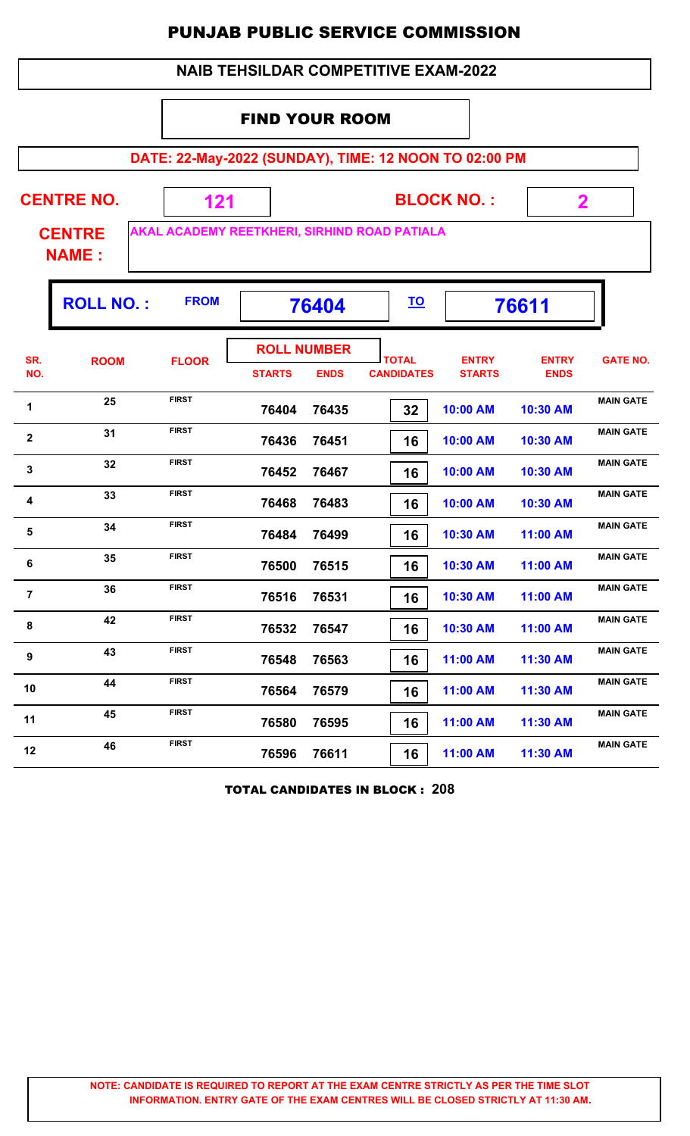|                | <b>NAIB TEHSILDAR COMPETITIVE EXAM-2022</b>                    |                                                       |                       |                                   |                                   |                               |                             |                  |  |  |  |  |  |
|----------------|----------------------------------------------------------------|-------------------------------------------------------|-----------------------|-----------------------------------|-----------------------------------|-------------------------------|-----------------------------|------------------|--|--|--|--|--|
|                |                                                                |                                                       | <b>FIND YOUR ROOM</b> |                                   |                                   |                               |                             |                  |  |  |  |  |  |
|                |                                                                | DATE: 22-May-2022 (SUNDAY), TIME: 12 NOON TO 02:00 PM |                       |                                   |                                   |                               |                             |                  |  |  |  |  |  |
|                | <b>CENTRE NO.</b><br><b>CENTRE</b><br><b>NAME:</b>             | 121<br>AKAL ACADEMY REETKHERI, SIRHIND ROAD PATIALA   |                       |                                   |                                   | <b>BLOCK NO.:</b>             | $\mathbf 2$                 |                  |  |  |  |  |  |
|                | <b>FROM</b><br><b>ROLL NO.:</b><br><u>TO</u><br>76404<br>76611 |                                                       |                       |                                   |                                   |                               |                             |                  |  |  |  |  |  |
| SR.<br>NO.     | <b>ROOM</b>                                                    | <b>FLOOR</b>                                          | <b>STARTS</b>         | <b>ROLL NUMBER</b><br><b>ENDS</b> | <b>TOTAL</b><br><b>CANDIDATES</b> | <b>ENTRY</b><br><b>STARTS</b> | <b>ENTRY</b><br><b>ENDS</b> | <b>GATE NO.</b>  |  |  |  |  |  |
| 1              | 25                                                             | <b>FIRST</b>                                          | 76404                 | 76435                             | 32                                | 10:00 AM                      | 10:30 AM                    | <b>MAIN GATE</b> |  |  |  |  |  |
| $\mathbf{2}$   | 31                                                             | <b>FIRST</b>                                          | 76436                 | 76451                             | 16                                | 10:00 AM                      | 10:30 AM                    | <b>MAIN GATE</b> |  |  |  |  |  |
| 3              | 32                                                             | <b>FIRST</b>                                          | 76452                 | 76467                             | 16                                | 10:00 AM                      | 10:30 AM                    | <b>MAIN GATE</b> |  |  |  |  |  |
| 4              | 33                                                             | <b>FIRST</b>                                          | 76468                 | 76483                             | 16                                | 10:00 AM                      | 10:30 AM                    | <b>MAIN GATE</b> |  |  |  |  |  |
| 5              | 34                                                             | <b>FIRST</b>                                          | 76484                 | 76499                             | 16                                | 10:30 AM                      | 11:00 AM                    | <b>MAIN GATE</b> |  |  |  |  |  |
| 6              | 35                                                             | <b>FIRST</b>                                          | 76500                 | 76515                             | 16                                | 10:30 AM                      | 11:00 AM                    | <b>MAIN GATE</b> |  |  |  |  |  |
| $\overline{7}$ | 36                                                             | <b>FIRST</b>                                          | 76516                 | 76531                             | 16                                | 10:30 AM                      | 11:00 AM                    | <b>MAIN GATE</b> |  |  |  |  |  |
| 8              | 42                                                             | <b>FIRST</b>                                          | 76532                 | 76547                             | 16                                | 10:30 AM                      | 11:00 AM                    | <b>MAIN GATE</b> |  |  |  |  |  |
| 9              | 43                                                             | <b>FIRST</b>                                          | 76548                 | 76563                             | 16                                | 11:00 AM                      | 11:30 AM                    | <b>MAIN GATE</b> |  |  |  |  |  |
| 10             | 44                                                             | <b>FIRST</b>                                          | 76564                 | 76579                             | 16                                | 11:00 AM                      | 11:30 AM                    | <b>MAIN GATE</b> |  |  |  |  |  |
| 11             | 45                                                             | <b>FIRST</b>                                          | 76580                 | 76595                             | 16                                | 11:00 AM                      | 11:30 AM                    | <b>MAIN GATE</b> |  |  |  |  |  |
| 12             | 46                                                             | <b>FIRST</b>                                          | 76596                 | 76611                             | 16                                | 11:00 AM                      | 11:30 AM                    | <b>MAIN GATE</b> |  |  |  |  |  |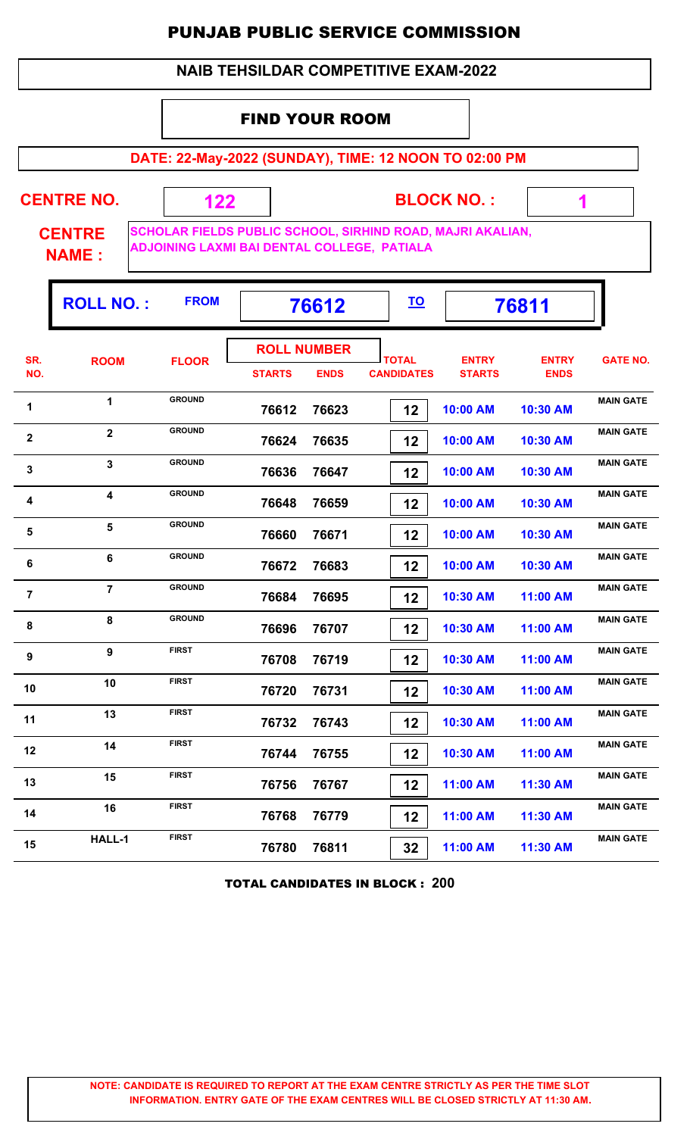#### **NAIB TEHSILDAR COMPETITIVE EXAM-2022**

#### FIND YOUR ROOM

**DATE: 22-May-2022 (SUNDAY), TIME: 12 NOON TO 02:00 PM**

**CENTRE NO.** 

**BLOCK NO. :**

 **1**

ı,

**CENTRE NAME :**

**SCHOLAR FIELDS PUBLIC SCHOOL, SIRHIND ROAD, MAJRI AKALIAN, ADJOINING LAXMI BAI DENTAL COLLEGE, PATIALA**

 **122**

|                | <b>ROLL NO.:</b> | <b>FROM</b>   |                                     | 76612       | <u>TO</u>                         |                               | 76811                       |                  |
|----------------|------------------|---------------|-------------------------------------|-------------|-----------------------------------|-------------------------------|-----------------------------|------------------|
| SR.<br>NO.     | <b>ROOM</b>      | <b>FLOOR</b>  | <b>ROLL NUMBER</b><br><b>STARTS</b> | <b>ENDS</b> | <b>TOTAL</b><br><b>CANDIDATES</b> | <b>ENTRY</b><br><b>STARTS</b> | <b>ENTRY</b><br><b>ENDS</b> | <b>GATE NO.</b>  |
| 1              | $\mathbf{1}$     | <b>GROUND</b> | 76612                               | 76623       | 12                                | 10:00 AM                      | 10:30 AM                    | <b>MAIN GATE</b> |
| $\mathbf 2$    | $\overline{2}$   | <b>GROUND</b> | 76624                               | 76635       | 12                                | 10:00 AM                      | 10:30 AM                    | <b>MAIN GATE</b> |
| 3              | 3                | <b>GROUND</b> | 76636                               | 76647       | 12                                | 10:00 AM                      | 10:30 AM                    | <b>MAIN GATE</b> |
| 4              | 4                | <b>GROUND</b> | 76648                               | 76659       | 12                                | 10:00 AM                      | 10:30 AM                    | <b>MAIN GATE</b> |
| 5              | 5                | <b>GROUND</b> | 76660                               | 76671       | 12                                | 10:00 AM                      | 10:30 AM                    | <b>MAIN GATE</b> |
| 6              | 6                | <b>GROUND</b> | 76672                               | 76683       | 12                                | 10:00 AM                      | 10:30 AM                    | <b>MAIN GATE</b> |
| $\overline{7}$ | $\overline{7}$   | <b>GROUND</b> | 76684                               | 76695       | 12                                | 10:30 AM                      | 11:00 AM                    | <b>MAIN GATE</b> |
| 8              | 8                | <b>GROUND</b> | 76696                               | 76707       | 12                                | 10:30 AM                      | 11:00 AM                    | <b>MAIN GATE</b> |
| 9              | 9                | <b>FIRST</b>  | 76708                               | 76719       | 12                                | 10:30 AM                      | 11:00 AM                    | <b>MAIN GATE</b> |
| 10             | 10               | <b>FIRST</b>  | 76720                               | 76731       | 12                                | 10:30 AM                      | 11:00 AM                    | <b>MAIN GATE</b> |
| 11             | 13               | <b>FIRST</b>  | 76732                               | 76743       | 12                                | 10:30 AM                      | 11:00 AM                    | <b>MAIN GATE</b> |
| 12             | 14               | <b>FIRST</b>  | 76744                               | 76755       | 12                                | 10:30 AM                      | 11:00 AM                    | <b>MAIN GATE</b> |
| 13             | 15               | <b>FIRST</b>  | 76756                               | 76767       | 12                                | 11:00 AM                      | 11:30 AM                    | <b>MAIN GATE</b> |
| 14             | 16               | <b>FIRST</b>  | 76768                               | 76779       | 12                                | 11:00 AM                      | 11:30 AM                    | <b>MAIN GATE</b> |
| 15             | <b>HALL-1</b>    | <b>FIRST</b>  | 76780                               | 76811       | 32                                | 11:00 AM                      | 11:30 AM                    | <b>MAIN GATE</b> |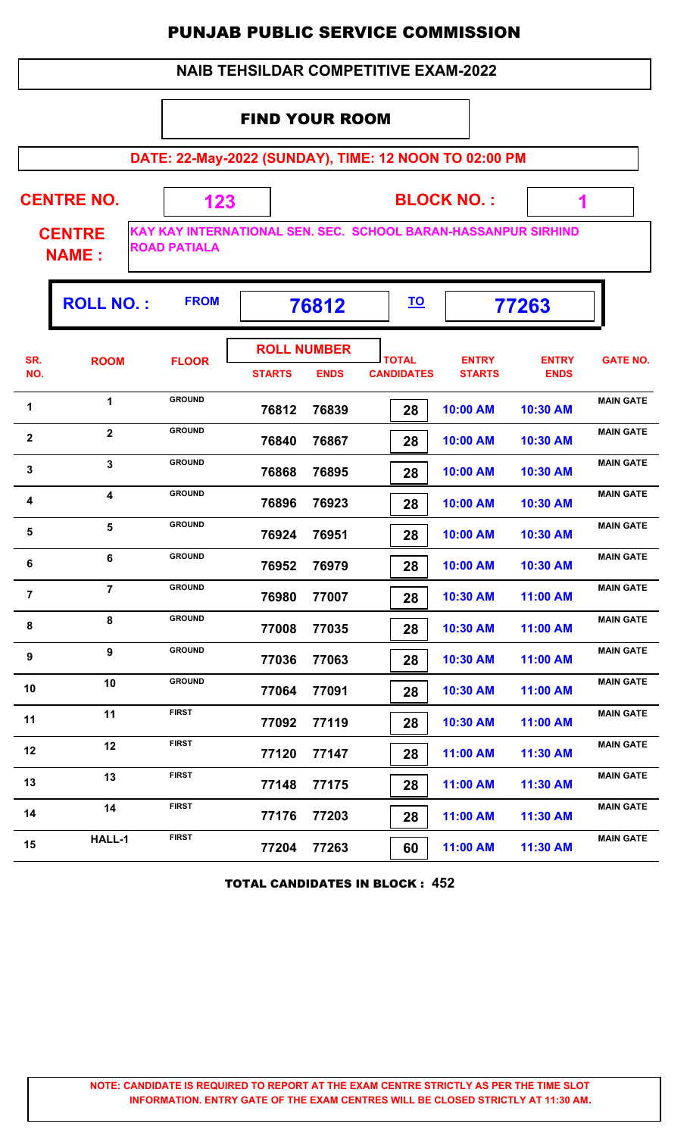#### **NAIB TEHSILDAR COMPETITIVE EXAM-2022**

### FIND YOUR ROOM

 **123**

**DATE: 22-May-2022 (SUNDAY), TIME: 12 NOON TO 02:00 PM**

**CENTRE NO.** 

**CENTRE NAME :**

**KAY KAY INTERNATIONAL SEN. SEC. SCHOOL BARAN-HASSANPUR SIRHIND ROAD PATIALA**

**BLOCK NO. :**

 **1**

|                | <b>ROLL NO.:</b>        | <b>FROM</b>   |                                     | 76812       |                                   |                               | 77263                       |                  |
|----------------|-------------------------|---------------|-------------------------------------|-------------|-----------------------------------|-------------------------------|-----------------------------|------------------|
| SR.<br>NO.     | <b>ROOM</b>             | <b>FLOOR</b>  | <b>ROLL NUMBER</b><br><b>STARTS</b> | <b>ENDS</b> | <b>TOTAL</b><br><b>CANDIDATES</b> | <b>ENTRY</b><br><b>STARTS</b> | <b>ENTRY</b><br><b>ENDS</b> | <b>GATE NO.</b>  |
| 1              | $\mathbf{1}$            | <b>GROUND</b> | 76812                               | 76839       | 28                                | 10:00 AM                      | 10:30 AM                    | <b>MAIN GATE</b> |
| $\mathbf{2}$   | $\overline{2}$          | <b>GROUND</b> | 76840                               | 76867       | 28                                | 10:00 AM                      | 10:30 AM                    | <b>MAIN GATE</b> |
| 3              | $\overline{\mathbf{3}}$ | <b>GROUND</b> | 76868                               | 76895       | 28                                | 10:00 AM                      | 10:30 AM                    | <b>MAIN GATE</b> |
| 4              | 4                       | <b>GROUND</b> | 76896                               | 76923       | 28                                | 10:00 AM                      | 10:30 AM                    | <b>MAIN GATE</b> |
| 5              | 5                       | <b>GROUND</b> | 76924                               | 76951       | 28                                | 10:00 AM                      | 10:30 AM                    | <b>MAIN GATE</b> |
| 6              | 6                       | <b>GROUND</b> | 76952                               | 76979       | 28                                | 10:00 AM                      | 10:30 AM                    | <b>MAIN GATE</b> |
| $\overline{7}$ | $\overline{7}$          | <b>GROUND</b> | 76980                               | 77007       | 28                                | 10:30 AM                      | 11:00 AM                    | <b>MAIN GATE</b> |
| 8              | 8                       | <b>GROUND</b> | 77008                               | 77035       | 28                                | 10:30 AM                      | 11:00 AM                    | <b>MAIN GATE</b> |
| 9              | 9                       | <b>GROUND</b> | 77036                               | 77063       | 28                                | 10:30 AM                      | 11:00 AM                    | <b>MAIN GATE</b> |
| 10             | 10                      | <b>GROUND</b> | 77064                               | 77091       | 28                                | 10:30 AM                      | 11:00 AM                    | <b>MAIN GATE</b> |
| 11             | 11                      | <b>FIRST</b>  | 77092                               | 77119       | 28                                | 10:30 AM                      | 11:00 AM                    | <b>MAIN GATE</b> |
| 12             | 12                      | <b>FIRST</b>  | 77120                               | 77147       | 28                                | 11:00 AM                      | 11:30 AM                    | <b>MAIN GATE</b> |
| 13             | 13                      | <b>FIRST</b>  | 77148                               | 77175       | 28                                | 11:00 AM                      | 11:30 AM                    | <b>MAIN GATE</b> |
| 14             | 14                      | <b>FIRST</b>  | 77176                               | 77203       | 28                                | 11:00 AM                      | 11:30 AM                    | <b>MAIN GATE</b> |
| 15             | HALL-1                  | <b>FIRST</b>  | 77204                               | 77263       | 60                                | 11:00 AM                      | 11:30 AM                    | <b>MAIN GATE</b> |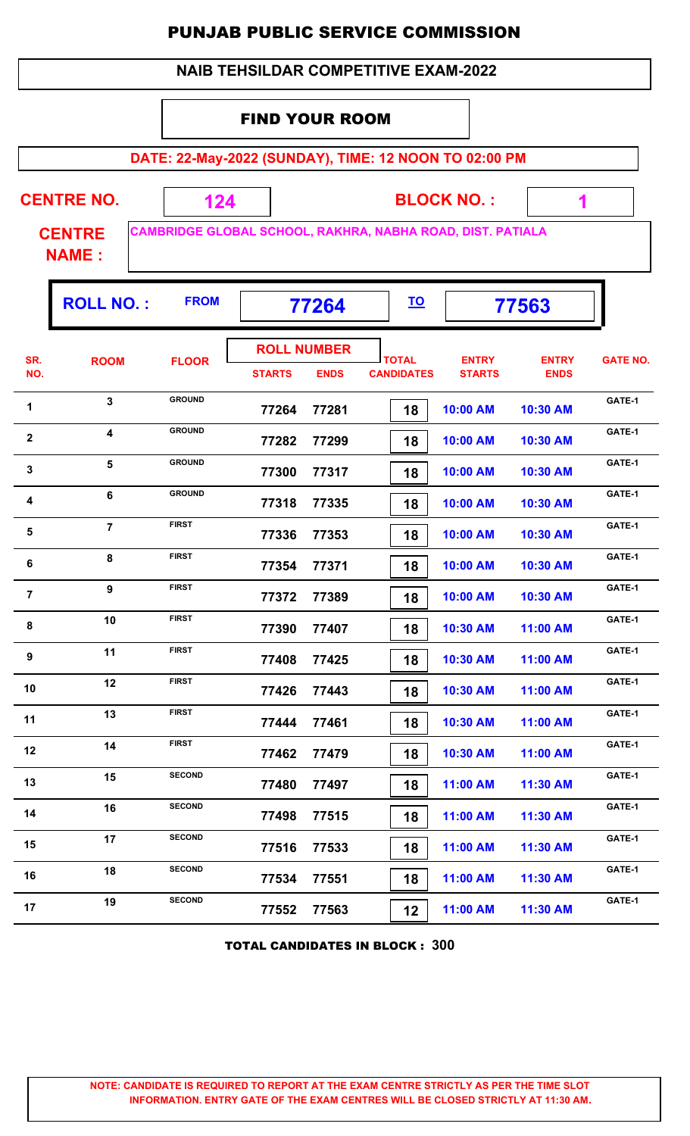| <b>NAIB TEHSILDAR COMPETITIVE EXAM-2022</b> |                               |               |                             |                                   |                                   |                                                            |                             |                 |  |  |
|---------------------------------------------|-------------------------------|---------------|-----------------------------|-----------------------------------|-----------------------------------|------------------------------------------------------------|-----------------------------|-----------------|--|--|
|                                             |                               |               | <b>FIND YOUR ROOM</b>       |                                   |                                   |                                                            |                             |                 |  |  |
|                                             |                               |               |                             |                                   |                                   | DATE: 22-May-2022 (SUNDAY), TIME: 12 NOON TO 02:00 PM      |                             |                 |  |  |
|                                             | <b>CENTRE NO.</b>             | 124           |                             |                                   |                                   | <b>BLOCK NO.:</b>                                          | 1                           |                 |  |  |
|                                             | <b>CENTRE</b><br><b>NAME:</b> |               |                             |                                   |                                   | CAMBRIDGE GLOBAL SCHOOL, RAKHRA, NABHA ROAD, DIST. PATIALA |                             |                 |  |  |
|                                             | <b>ROLL NO.:</b>              | <b>FROM</b>   | <u>TO</u><br>77264<br>77563 |                                   |                                   |                                                            |                             |                 |  |  |
| SR.<br>NO.                                  | <b>ROOM</b>                   | <b>FLOOR</b>  | <b>STARTS</b>               | <b>ROLL NUMBER</b><br><b>ENDS</b> | <b>TOTAL</b><br><b>CANDIDATES</b> | <b>ENTRY</b><br><b>STARTS</b>                              | <b>ENTRY</b><br><b>ENDS</b> | <b>GATE NO.</b> |  |  |
| 1                                           | $\overline{3}$                | <b>GROUND</b> | 77264                       | 77281                             | 18                                | 10:00 AM                                                   | 10:30 AM                    | GATE-1          |  |  |
| $\mathbf{2}$                                | 4                             | <b>GROUND</b> | 77282                       | 77299                             | 18                                | 10:00 AM                                                   | 10:30 AM                    | GATE-1          |  |  |
| $\mathbf{3}$                                | 5                             | <b>GROUND</b> | 77300                       | 77317                             | 18                                | 10:00 AM                                                   | 10:30 AM                    | GATE-1          |  |  |
| 4                                           | 6                             | <b>GROUND</b> | 77318                       | 77335                             | 18                                | 10:00 AM                                                   | 10:30 AM                    | GATE-1          |  |  |
| 5                                           | $\overline{7}$                | <b>FIRST</b>  | 77336                       | 77353                             | 18                                | 10:00 AM                                                   | 10:30 AM                    | GATE-1          |  |  |
| 6                                           | 8                             | <b>FIRST</b>  | 77354                       | 77371                             | 18                                | 10:00 AM                                                   | 10:30 AM                    | GATE-1          |  |  |
| $\overline{7}$                              | 9                             | <b>FIRST</b>  | 77372                       | 77389                             | 18                                | 10:00 AM                                                   | 10:30 AM                    | GATE-1          |  |  |
| 8                                           | 10                            | <b>FIRST</b>  | 77390                       | 77407                             | 18                                | 10:30 AM                                                   | 11:00 AM                    | GATE-1          |  |  |
| 9                                           | 11                            | <b>FIRST</b>  | 77408                       | 77425                             | 18                                | 10:30 AM                                                   | 11:00 AM                    | GATE-1          |  |  |
| 10                                          | 12                            | <b>FIRST</b>  | 77426                       | 77443                             | 18                                | 10:30 AM                                                   | 11:00 AM                    | GATE-1          |  |  |
| 11                                          | 13                            | <b>FIRST</b>  | 77444                       | 77461                             | 18                                | 10:30 AM                                                   | 11:00 AM                    | GATE-1          |  |  |
| 12                                          | 14                            | <b>FIRST</b>  | 77462                       | 77479                             | 18                                | 10:30 AM                                                   | 11:00 AM                    | GATE-1          |  |  |
| 13                                          | 15                            | <b>SECOND</b> | 77480                       | 77497                             | 18                                | 11:00 AM                                                   | 11:30 AM                    | GATE-1          |  |  |
| 14                                          | 16                            | <b>SECOND</b> | 77498                       | 77515                             | 18                                | 11:00 AM                                                   | 11:30 AM                    | GATE-1          |  |  |
| 15                                          | 17                            | <b>SECOND</b> | 77516                       | 77533                             | 18                                | 11:00 AM                                                   | 11:30 AM                    | GATE-1          |  |  |
| 16                                          | 18                            | <b>SECOND</b> | 77534                       | 77551                             | 18                                | 11:00 AM                                                   | 11:30 AM                    | GATE-1          |  |  |
| 17                                          | 19                            | <b>SECOND</b> | 77552                       | 77563                             | 12                                | 11:00 AM                                                   | 11:30 AM                    | GATE-1          |  |  |

TOTAL CANDIDATES IN BLOCK : **300**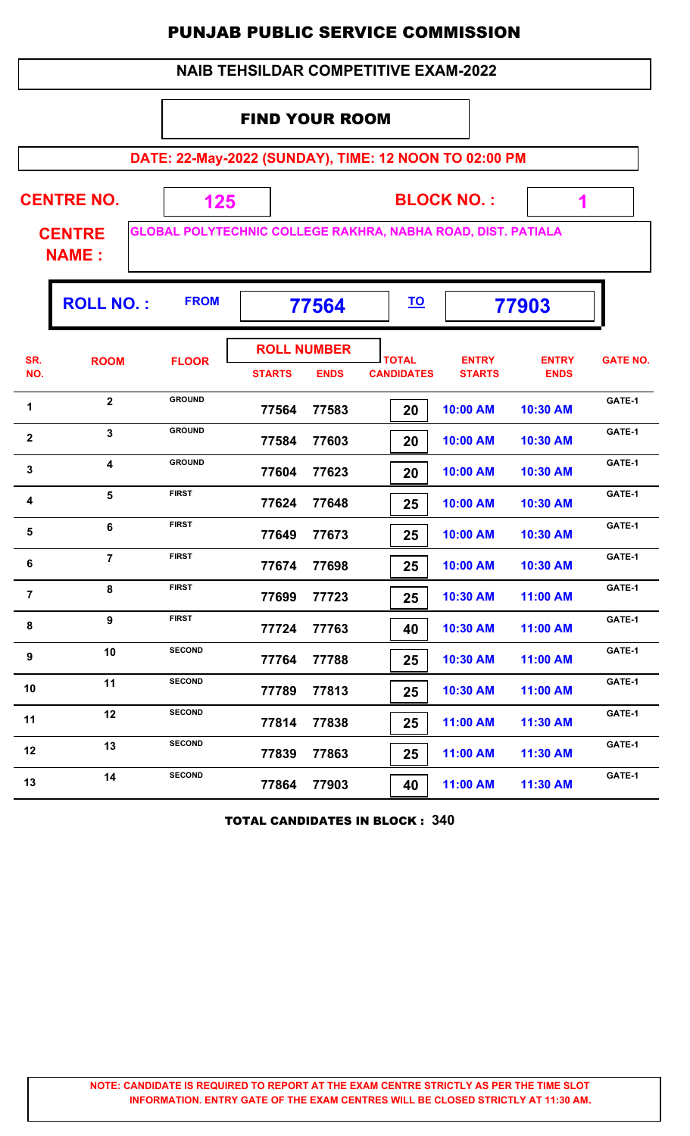|                                                                                               | <b>NAIB TEHSILDAR COMPETITIVE EXAM-2022</b> |                                                       |                       |                                   |                                   |                               |                             |                 |  |  |  |  |
|-----------------------------------------------------------------------------------------------|---------------------------------------------|-------------------------------------------------------|-----------------------|-----------------------------------|-----------------------------------|-------------------------------|-----------------------------|-----------------|--|--|--|--|
|                                                                                               |                                             |                                                       | <b>FIND YOUR ROOM</b> |                                   |                                   |                               |                             |                 |  |  |  |  |
|                                                                                               |                                             | DATE: 22-May-2022 (SUNDAY), TIME: 12 NOON TO 02:00 PM |                       |                                   |                                   |                               |                             |                 |  |  |  |  |
|                                                                                               | <b>CENTRE NO.</b>                           | 125                                                   |                       |                                   |                                   | <b>BLOCK NO.:</b>             | 1                           |                 |  |  |  |  |
| GLOBAL POLYTECHNIC COLLEGE RAKHRA, NABHA ROAD, DIST. PATIALA<br><b>CENTRE</b><br><b>NAME:</b> |                                             |                                                       |                       |                                   |                                   |                               |                             |                 |  |  |  |  |
|                                                                                               | <b>ROLL NO.:</b>                            | <b>FROM</b>                                           |                       | 77564                             | <u>TO</u>                         |                               | 77903                       |                 |  |  |  |  |
| SR.<br>NO.                                                                                    | <b>ROOM</b>                                 | <b>FLOOR</b>                                          | <b>STARTS</b>         | <b>ROLL NUMBER</b><br><b>ENDS</b> | <b>TOTAL</b><br><b>CANDIDATES</b> | <b>ENTRY</b><br><b>STARTS</b> | <b>ENTRY</b><br><b>ENDS</b> | <b>GATE NO.</b> |  |  |  |  |
| 1                                                                                             | $\overline{2}$                              | <b>GROUND</b>                                         | 77564                 | 77583                             | 20                                | 10:00 AM                      | 10:30 AM                    | GATE-1          |  |  |  |  |
| $\mathbf{2}$                                                                                  | $\mathbf{3}$                                | <b>GROUND</b>                                         | 77584                 | 77603                             | 20                                | 10:00 AM                      | 10:30 AM                    | GATE-1          |  |  |  |  |
| 3                                                                                             | $\overline{\mathbf{4}}$                     | <b>GROUND</b>                                         | 77604                 | 77623                             | 20                                | 10:00 AM                      | 10:30 AM                    | GATE-1          |  |  |  |  |
| 4                                                                                             | 5                                           | <b>FIRST</b>                                          | 77624                 | 77648                             | 25                                | 10:00 AM                      | 10:30 AM                    | GATE-1          |  |  |  |  |
| 5                                                                                             | 6                                           | <b>FIRST</b>                                          | 77649                 | 77673                             | 25                                | 10:00 AM                      | 10:30 AM                    | GATE-1          |  |  |  |  |
| 6                                                                                             | $\overline{7}$                              | <b>FIRST</b>                                          | 77674                 | 77698                             | 25                                | 10:00 AM                      | 10:30 AM                    | GATE-1          |  |  |  |  |
| $\overline{7}$                                                                                | 8                                           | <b>FIRST</b>                                          | 77699                 | 77723                             | 25                                | 10:30 AM                      | 11:00 AM                    | GATE-1          |  |  |  |  |
| 8                                                                                             | 9                                           | <b>FIRST</b>                                          | 77724                 | 77763                             | 40                                | 10:30 AM                      | 11:00 AM                    | GATE-1          |  |  |  |  |
| 9                                                                                             | 10                                          | <b>SECOND</b>                                         | 77764                 | 77788                             | 25                                | 10:30 AM                      | 11:00 AM                    | GATE-1          |  |  |  |  |
| 10                                                                                            | 11                                          | <b>SECOND</b>                                         | 77789                 | 77813                             | 25                                | 10:30 AM                      | 11:00 AM                    | GATE-1          |  |  |  |  |
| 11                                                                                            | 12                                          | <b>SECOND</b>                                         | 77814                 | 77838                             | 25                                | 11:00 AM                      | 11:30 AM                    | GATE-1          |  |  |  |  |
| 12                                                                                            | 13                                          | <b>SECOND</b>                                         | 77839                 | 77863                             | 25                                | 11:00 AM                      | 11:30 AM                    | GATE-1          |  |  |  |  |
| 13                                                                                            | 14                                          | <b>SECOND</b>                                         | 77864                 | 77903                             | 40                                | 11:00 AM                      | 11:30 AM                    | GATE-1          |  |  |  |  |

TOTAL CANDIDATES IN BLOCK : **340**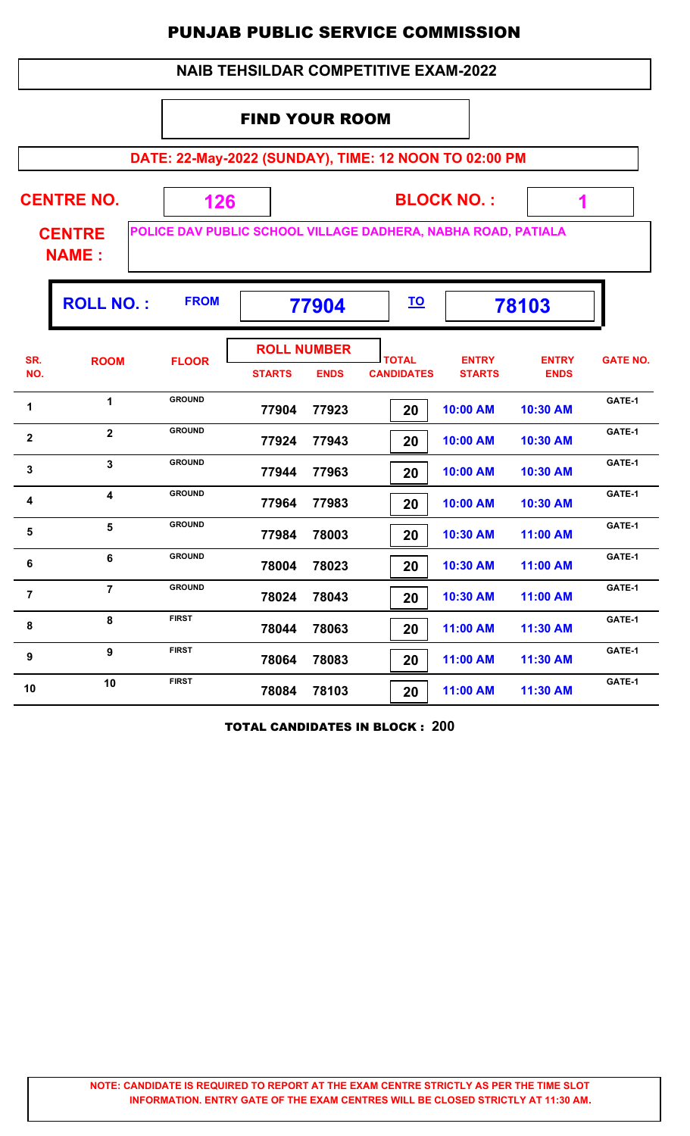| <b>NAIB TEHSILDAR COMPETITIVE EXAM-2022</b>           |                               |                                                               |                             |                                   |                                   |                               |                             |                 |  |  |  |  |
|-------------------------------------------------------|-------------------------------|---------------------------------------------------------------|-----------------------------|-----------------------------------|-----------------------------------|-------------------------------|-----------------------------|-----------------|--|--|--|--|
|                                                       |                               |                                                               | <b>FIND YOUR ROOM</b>       |                                   |                                   |                               |                             |                 |  |  |  |  |
| DATE: 22-May-2022 (SUNDAY), TIME: 12 NOON TO 02:00 PM |                               |                                                               |                             |                                   |                                   |                               |                             |                 |  |  |  |  |
| <b>CENTRE NO.</b><br><b>BLOCK NO.:</b><br>126<br>1    |                               |                                                               |                             |                                   |                                   |                               |                             |                 |  |  |  |  |
|                                                       | <b>CENTRE</b><br><b>NAME:</b> | POLICE DAV PUBLIC SCHOOL VILLAGE DADHERA, NABHA ROAD, PATIALA |                             |                                   |                                   |                               |                             |                 |  |  |  |  |
|                                                       | <b>ROLL NO.:</b>              | <b>FROM</b>                                                   | <u>TO</u><br>77904<br>78103 |                                   |                                   |                               |                             |                 |  |  |  |  |
| SR.<br>NO.                                            | <b>ROOM</b>                   | <b>FLOOR</b>                                                  | <b>STARTS</b>               | <b>ROLL NUMBER</b><br><b>ENDS</b> | <b>TOTAL</b><br><b>CANDIDATES</b> | <b>ENTRY</b><br><b>STARTS</b> | <b>ENTRY</b><br><b>ENDS</b> | <b>GATE NO.</b> |  |  |  |  |
| 1                                                     | $\mathbf{1}$                  | <b>GROUND</b>                                                 | 77904                       | 77923                             | 20                                | 10:00 AM                      | 10:30 AM                    | GATE-1          |  |  |  |  |
| $\overline{\mathbf{2}}$                               | $\overline{2}$                | <b>GROUND</b>                                                 | 77924                       | 77943                             | 20                                | 10:00 AM                      | 10:30 AM                    | GATE-1          |  |  |  |  |
| 3                                                     | $\overline{3}$                | <b>GROUND</b>                                                 | 77944                       | 77963                             | 20                                | 10:00 AM                      | 10:30 AM                    | GATE-1          |  |  |  |  |
| 4                                                     | $\overline{\mathbf{4}}$       | <b>GROUND</b>                                                 | 77964                       | 77983                             | 20                                | 10:00 AM                      | 10:30 AM                    | GATE-1          |  |  |  |  |
| 5                                                     | 5                             | <b>GROUND</b>                                                 | 77984                       | 78003                             | 20                                | 10:30 AM                      | 11:00 AM                    | GATE-1          |  |  |  |  |
| 6                                                     | 6                             | <b>GROUND</b>                                                 | 78004                       | 78023                             | 20                                | 10:30 AM                      | 11:00 AM                    | GATE-1          |  |  |  |  |
| $\overline{7}$                                        | $\overline{7}$                | <b>GROUND</b>                                                 | 78024                       | 78043                             | 20                                | 10:30 AM                      | 11:00 AM                    | GATE-1          |  |  |  |  |
| 8                                                     | 8                             | <b>FIRST</b>                                                  | 78044                       | 78063                             | 20                                | 11:00 AM                      | 11:30 AM                    | GATE-1          |  |  |  |  |
| 9                                                     | $\boldsymbol{9}$              | <b>FIRST</b>                                                  | 78064                       | 78083                             | 20                                | 11:00 AM                      | 11:30 AM                    | GATE-1          |  |  |  |  |
| 10                                                    | 10                            | <b>FIRST</b>                                                  | 78084                       | 78103                             | 20                                | 11:00 AM                      | 11:30 AM                    | GATE-1          |  |  |  |  |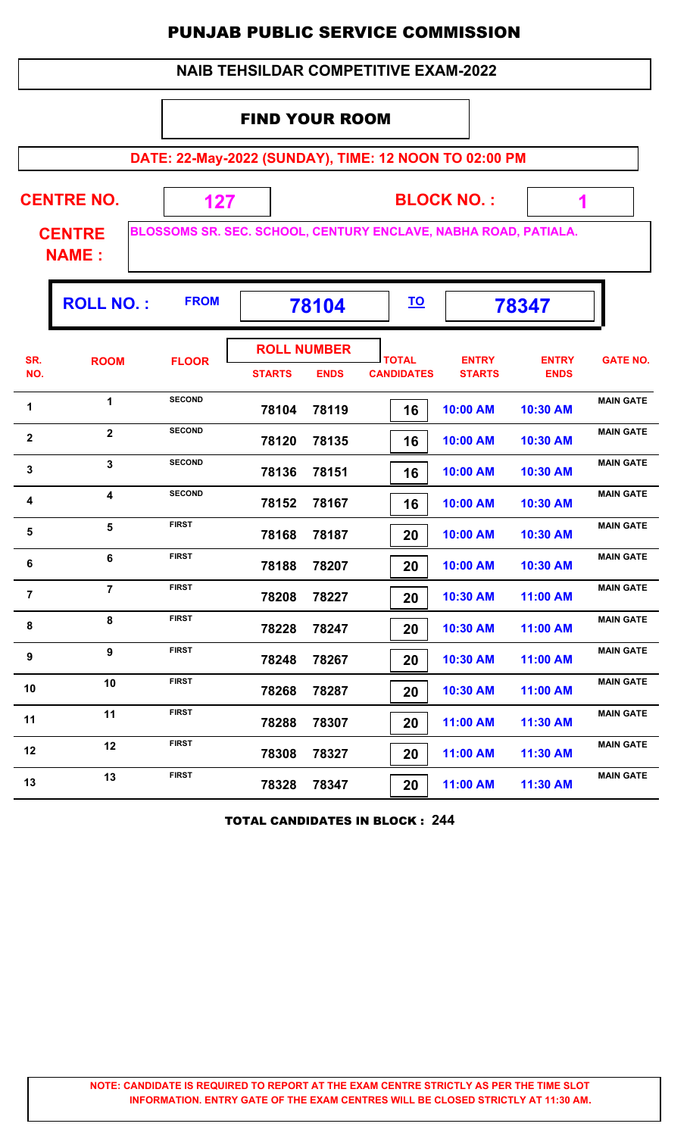|                         | <b>NAIB TEHSILDAR COMPETITIVE EXAM-2022</b> |                                                                 |                                     |             |                                   |                               |                             |                  |  |  |  |  |
|-------------------------|---------------------------------------------|-----------------------------------------------------------------|-------------------------------------|-------------|-----------------------------------|-------------------------------|-----------------------------|------------------|--|--|--|--|
|                         |                                             |                                                                 | <b>FIND YOUR ROOM</b>               |             |                                   |                               |                             |                  |  |  |  |  |
|                         |                                             | DATE: 22-May-2022 (SUNDAY), TIME: 12 NOON TO 02:00 PM           |                                     |             |                                   |                               |                             |                  |  |  |  |  |
|                         | <b>CENTRE NO.</b>                           | 127                                                             |                                     |             |                                   | <b>BLOCK NO.:</b>             |                             |                  |  |  |  |  |
|                         | <b>CENTRE</b><br><b>NAME:</b>               | BLOSSOMS SR. SEC. SCHOOL, CENTURY ENCLAVE, NABHA ROAD, PATIALA. |                                     |             |                                   |                               |                             |                  |  |  |  |  |
|                         | <b>ROLL NO.:</b>                            | <b>FROM</b>                                                     |                                     | 78104       | <u>TO</u>                         |                               | 78347                       |                  |  |  |  |  |
| SR.<br>NO.              | <b>ROOM</b>                                 | <b>FLOOR</b>                                                    | <b>ROLL NUMBER</b><br><b>STARTS</b> | <b>ENDS</b> | <b>TOTAL</b><br><b>CANDIDATES</b> | <b>ENTRY</b><br><b>STARTS</b> | <b>ENTRY</b><br><b>ENDS</b> | <b>GATE NO.</b>  |  |  |  |  |
| 1                       | 1                                           | <b>SECOND</b>                                                   | 78104                               | 78119       | 16                                | 10:00 AM                      | 10:30 AM                    | <b>MAIN GATE</b> |  |  |  |  |
| $\overline{\mathbf{2}}$ | $\overline{2}$                              | <b>SECOND</b>                                                   | 78120                               | 78135       | 16                                | 10:00 AM                      | 10:30 AM                    | <b>MAIN GATE</b> |  |  |  |  |
| 3                       | $\overline{\mathbf{3}}$                     | <b>SECOND</b>                                                   | 78136                               | 78151       | 16                                | 10:00 AM                      | 10:30 AM                    | <b>MAIN GATE</b> |  |  |  |  |
| 4                       | $\overline{\mathbf{4}}$                     | <b>SECOND</b>                                                   | 78152                               | 78167       | 16                                | 10:00 AM                      | 10:30 AM                    | <b>MAIN GATE</b> |  |  |  |  |
| 5                       | 5                                           | <b>FIRST</b>                                                    | 78168                               | 78187       | 20                                | 10:00 AM                      | 10:30 AM                    | <b>MAIN GATE</b> |  |  |  |  |
| $\bf 6$                 | 6                                           | <b>FIRST</b>                                                    | 78188                               | 78207       | 20                                | 10:00 AM                      | 10:30 AM                    | <b>MAIN GATE</b> |  |  |  |  |
| $\overline{7}$          | $\overline{7}$                              | <b>FIRST</b>                                                    | 78208                               | 78227       | 20                                | 10:30 AM                      | 11:00 AM                    | <b>MAIN GATE</b> |  |  |  |  |
| 8                       | 8                                           | <b>FIRST</b>                                                    | 78228                               | 78247       | 20                                | 10:30 AM                      | 11:00 AM                    | <b>MAIN GATE</b> |  |  |  |  |
| 9                       | $\boldsymbol{9}$                            | <b>FIRST</b>                                                    | 78248                               | 78267       | 20                                | 10:30 AM                      | 11:00 AM                    | <b>MAIN GATE</b> |  |  |  |  |
| 10                      | 10                                          | <b>FIRST</b>                                                    | 78268                               | 78287       | 20                                | 10:30 AM                      | 11:00 AM                    | <b>MAIN GATE</b> |  |  |  |  |
| 11                      | 11                                          | <b>FIRST</b>                                                    | 78288                               | 78307       | 20                                | 11:00 AM                      | 11:30 AM                    | <b>MAIN GATE</b> |  |  |  |  |
| 12                      | 12                                          | <b>FIRST</b>                                                    | 78308                               | 78327       | 20                                | 11:00 AM                      | 11:30 AM                    | <b>MAIN GATE</b> |  |  |  |  |
| 13                      | 13                                          | <b>FIRST</b>                                                    | 78328                               | 78347       | 20                                | 11:00 AM                      | 11:30 AM                    | <b>MAIN GATE</b> |  |  |  |  |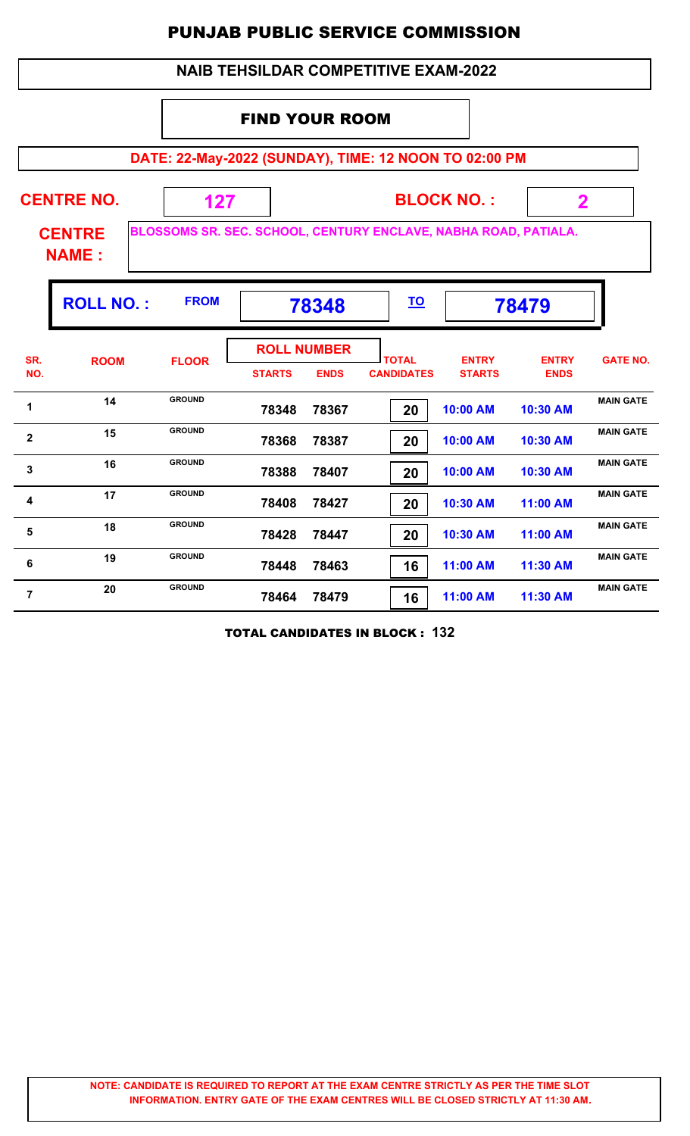|              |                                                                |                                                                 |                       |                                   | <b>NAIB TEHSILDAR COMPETITIVE EXAM-2022</b> |                               |                             |                  |
|--------------|----------------------------------------------------------------|-----------------------------------------------------------------|-----------------------|-----------------------------------|---------------------------------------------|-------------------------------|-----------------------------|------------------|
|              |                                                                |                                                                 | <b>FIND YOUR ROOM</b> |                                   |                                             |                               |                             |                  |
|              |                                                                | DATE: 22-May-2022 (SUNDAY), TIME: 12 NOON TO 02:00 PM           |                       |                                   |                                             |                               |                             |                  |
|              | <b>CENTRE NO.</b>                                              | 127                                                             |                       |                                   |                                             | <b>BLOCK NO.:</b>             | $\mathbf 2$                 |                  |
|              | <b>CENTRE</b><br><b>NAME:</b>                                  | BLOSSOMS SR. SEC. SCHOOL, CENTURY ENCLAVE, NABHA ROAD, PATIALA. |                       |                                   |                                             |                               |                             |                  |
|              | <b>ROLL NO.:</b><br><b>FROM</b><br><u>TO</u><br>78479<br>78348 |                                                                 |                       |                                   |                                             |                               |                             |                  |
| SR.<br>NO.   | <b>ROOM</b>                                                    | <b>FLOOR</b>                                                    | <b>STARTS</b>         | <b>ROLL NUMBER</b><br><b>ENDS</b> | <b>TOTAL</b><br><b>CANDIDATES</b>           | <b>ENTRY</b><br><b>STARTS</b> | <b>ENTRY</b><br><b>ENDS</b> | <b>GATE NO.</b>  |
| 1            | 14                                                             | <b>GROUND</b>                                                   | 78348                 | 78367                             | 20                                          | 10:00 AM                      | 10:30 AM                    | <b>MAIN GATE</b> |
| $\mathbf{2}$ | 15                                                             | <b>GROUND</b>                                                   | 78368                 | 78387                             | 20                                          | 10:00 AM                      | 10:30 AM                    | <b>MAIN GATE</b> |
| 3            | 16                                                             | <b>GROUND</b>                                                   | 78388                 | 78407                             | 20                                          | 10:00 AM                      | 10:30 AM                    | <b>MAIN GATE</b> |
| 4            | 17                                                             | <b>GROUND</b>                                                   | 78408                 | 78427                             | 20                                          | 10:30 AM                      | 11:00 AM                    | <b>MAIN GATE</b> |
| 5            | 18                                                             | <b>GROUND</b>                                                   | 78428                 | 78447                             | 20                                          | 10:30 AM                      | 11:00 AM                    | <b>MAIN GATE</b> |
| 6            | 19                                                             | <b>GROUND</b>                                                   | 78448                 | 78463                             | 16                                          | 11:00 AM                      | 11:30 AM                    | <b>MAIN GATE</b> |
| 7            | 20                                                             | <b>GROUND</b>                                                   | 78464                 | 78479                             | 16                                          | 11:00 AM                      | 11:30 AM                    | <b>MAIN GATE</b> |

TOTAL CANDIDATES IN BLOCK : **132**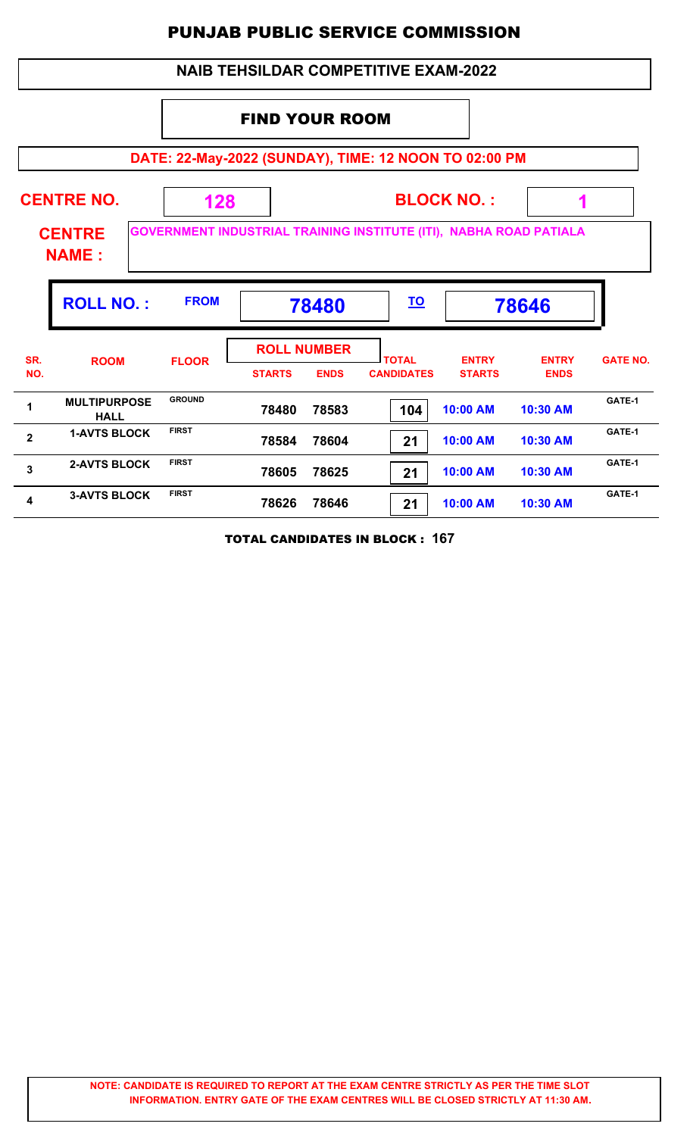| <b>NAIB TEHSILDAR COMPETITIVE EXAM-2022</b>                                                                |                                                                |               |                                                    |                                   |                               |                             |                 |  |  |  |
|------------------------------------------------------------------------------------------------------------|----------------------------------------------------------------|---------------|----------------------------------------------------|-----------------------------------|-------------------------------|-----------------------------|-----------------|--|--|--|
|                                                                                                            | <b>FIND YOUR ROOM</b>                                          |               |                                                    |                                   |                               |                             |                 |  |  |  |
| DATE: 22-May-2022 (SUNDAY), TIME: 12 NOON TO 02:00 PM                                                      |                                                                |               |                                                    |                                   |                               |                             |                 |  |  |  |
| <b>CENTRE NO.</b><br><b>BLOCK NO.:</b><br>128<br>1                                                         |                                                                |               |                                                    |                                   |                               |                             |                 |  |  |  |
| <b>GOVERNMENT INDUSTRIAL TRAINING INSTITUTE (ITI), NABHA ROAD PATIALA</b><br><b>CENTRE</b><br><b>NAME:</b> |                                                                |               |                                                    |                                   |                               |                             |                 |  |  |  |
|                                                                                                            | <b>ROLL NO.:</b><br><b>FROM</b><br><u>TO</u><br>78480<br>78646 |               |                                                    |                                   |                               |                             |                 |  |  |  |
|                                                                                                            |                                                                |               |                                                    |                                   |                               |                             |                 |  |  |  |
| SR.<br>NO.                                                                                                 | <b>ROOM</b>                                                    | <b>FLOOR</b>  | <b>ROLL NUMBER</b><br><b>STARTS</b><br><b>ENDS</b> | <b>TOTAL</b><br><b>CANDIDATES</b> | <b>ENTRY</b><br><b>STARTS</b> | <b>ENTRY</b><br><b>ENDS</b> | <b>GATE NO.</b> |  |  |  |
| 1                                                                                                          | <b>MULTIPURPOSE</b><br><b>HALL</b>                             | <b>GROUND</b> | 78480<br>78583                                     | 104                               | 10:00 AM                      | 10:30 AM                    | GATE-1          |  |  |  |
| $\overline{2}$                                                                                             | <b>1-AVTS BLOCK</b>                                            | <b>FIRST</b>  | 78584<br>78604                                     | 21                                | 10:00 AM                      | 10:30 AM                    | GATE-1          |  |  |  |
| $\mathbf{3}$                                                                                               | <b>2-AVTS BLOCK</b>                                            | <b>FIRST</b>  | 78605<br>78625                                     | 21                                | 10:00 AM                      | 10:30 AM                    | GATE-1          |  |  |  |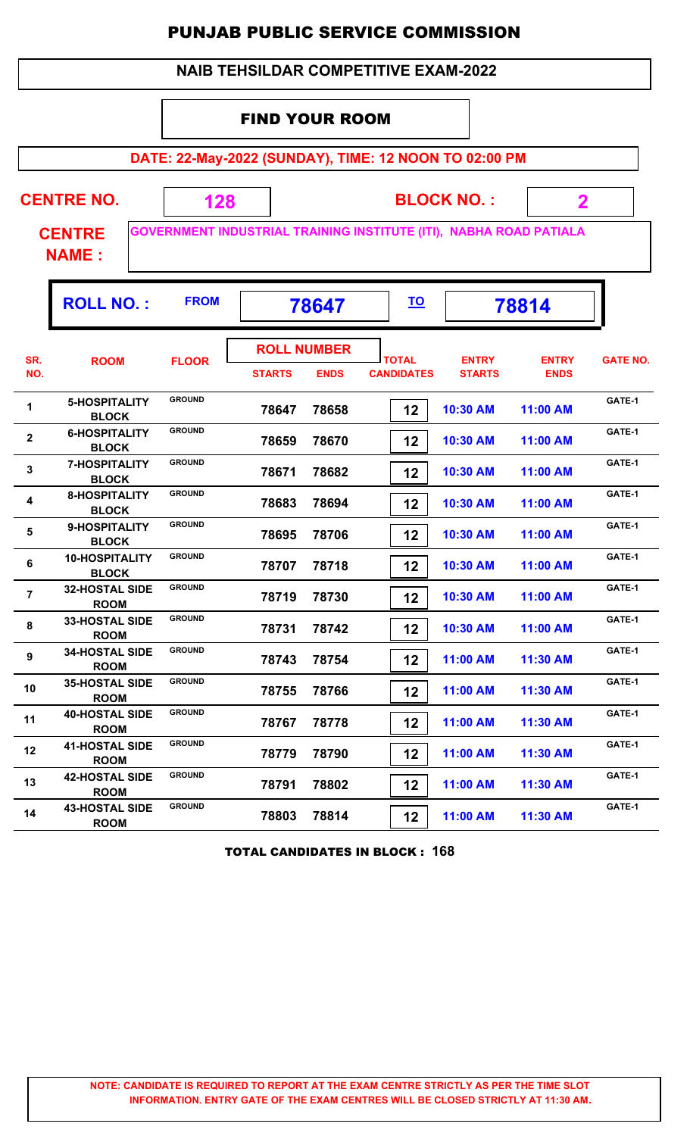| <b>NAIB TEHSILDAR COMPETITIVE EXAM-2022</b> |                                       |               |                                                                                                                                  |             |                                                       |                               |                             |                 |  |  |
|---------------------------------------------|---------------------------------------|---------------|----------------------------------------------------------------------------------------------------------------------------------|-------------|-------------------------------------------------------|-------------------------------|-----------------------------|-----------------|--|--|
|                                             |                                       |               | <b>FIND YOUR ROOM</b>                                                                                                            |             |                                                       |                               |                             |                 |  |  |
|                                             |                                       |               |                                                                                                                                  |             | DATE: 22-May-2022 (SUNDAY), TIME: 12 NOON TO 02:00 PM |                               |                             |                 |  |  |
|                                             | <b>CENTRE NO.</b><br><b>CENTRE</b>    |               | <b>BLOCK NO.:</b><br>$\overline{\mathbf{2}}$<br>128<br><b>GOVERNMENT INDUSTRIAL TRAINING INSTITUTE (ITI), NABHA ROAD PATIALA</b> |             |                                                       |                               |                             |                 |  |  |
|                                             | <b>NAME:</b>                          |               |                                                                                                                                  |             |                                                       |                               |                             |                 |  |  |
|                                             | <b>ROLL NO.:</b>                      | <b>FROM</b>   | <u>TO</u><br>78814<br>78647                                                                                                      |             |                                                       |                               |                             |                 |  |  |
| SR.<br>NO.                                  | <b>ROOM</b>                           | <b>FLOOR</b>  | <b>ROLL NUMBER</b><br><b>STARTS</b>                                                                                              | <b>ENDS</b> | <b>TOTAL</b><br><b>CANDIDATES</b>                     | <b>ENTRY</b><br><b>STARTS</b> | <b>ENTRY</b><br><b>ENDS</b> | <b>GATE NO.</b> |  |  |
| 1                                           | 5-HOSPITALITY<br><b>BLOCK</b>         | <b>GROUND</b> | 78647                                                                                                                            | 78658       | 12                                                    | 10:30 AM                      | 11:00 AM                    | GATE-1          |  |  |
| $\overline{2}$                              | <b>6-HOSPITALITY</b><br><b>BLOCK</b>  | <b>GROUND</b> | 78659                                                                                                                            | 78670       | 12                                                    | 10:30 AM                      | 11:00 AM                    | GATE-1          |  |  |
| 3                                           | <b>7-HOSPITALITY</b><br><b>BLOCK</b>  | <b>GROUND</b> | 78671                                                                                                                            | 78682       | 12                                                    | 10:30 AM                      | 11:00 AM                    | GATE-1          |  |  |
| 4                                           | <b>8-HOSPITALITY</b><br><b>BLOCK</b>  | <b>GROUND</b> | 78683                                                                                                                            | 78694       | 12                                                    | 10:30 AM                      | 11:00 AM                    | GATE-1          |  |  |
| 5                                           | 9-HOSPITALITY<br><b>BLOCK</b>         | <b>GROUND</b> | 78695                                                                                                                            | 78706       | 12                                                    | 10:30 AM                      | 11:00 AM                    | GATE-1          |  |  |
| 6                                           | <b>10-HOSPITALITY</b><br><b>BLOCK</b> | <b>GROUND</b> | 78707                                                                                                                            | 78718       | 12                                                    | 10:30 AM                      | 11:00 AM                    | GATE-1          |  |  |
| $\overline{7}$                              | <b>32-HOSTAL SIDE</b><br><b>ROOM</b>  | <b>GROUND</b> | 78719                                                                                                                            | 78730       | 12                                                    | 10:30 AM                      | 11:00 AM                    | GATE-1          |  |  |
| 8                                           | <b>33-HOSTAL SIDE</b><br><b>ROOM</b>  | <b>GROUND</b> | 78731                                                                                                                            | 78742       | 12                                                    | 10:30 AM                      | 11:00 AM                    | GATE-1          |  |  |
| 9                                           | <b>34-HOSTAL SIDE</b><br><b>ROOM</b>  | <b>GROUND</b> | 78743                                                                                                                            | 78754       | 12                                                    | 11:00 AM                      | 11:30 AM                    | GATE-1          |  |  |
| 10                                          | <b>35-HOSTAL SIDE</b><br><b>ROOM</b>  | <b>GROUND</b> | 78755                                                                                                                            | 78766       | 12                                                    | 11:00 AM                      | 11:30 AM                    | GATE-1          |  |  |
| 11                                          | <b>40-HOSTAL SIDE</b><br><b>ROOM</b>  | <b>GROUND</b> | 78767                                                                                                                            | 78778       | 12                                                    | 11:00 AM                      | 11:30 AM                    | GATE-1          |  |  |
| 12                                          | <b>41-HOSTAL SIDE</b><br><b>ROOM</b>  | <b>GROUND</b> | 78779                                                                                                                            | 78790       | 12                                                    | 11:00 AM                      | 11:30 AM                    | GATE-1          |  |  |
| 13                                          | <b>42-HOSTAL SIDE</b><br><b>ROOM</b>  | <b>GROUND</b> | 78791                                                                                                                            | 78802       | 12                                                    | 11:00 AM                      | 11:30 AM                    | GATE-1          |  |  |
| 14                                          | <b>43-HOSTAL SIDE</b><br><b>ROOM</b>  | <b>GROUND</b> | 78803                                                                                                                            | 78814       | 12                                                    | 11:00 AM                      | 11:30 AM                    | GATE-1          |  |  |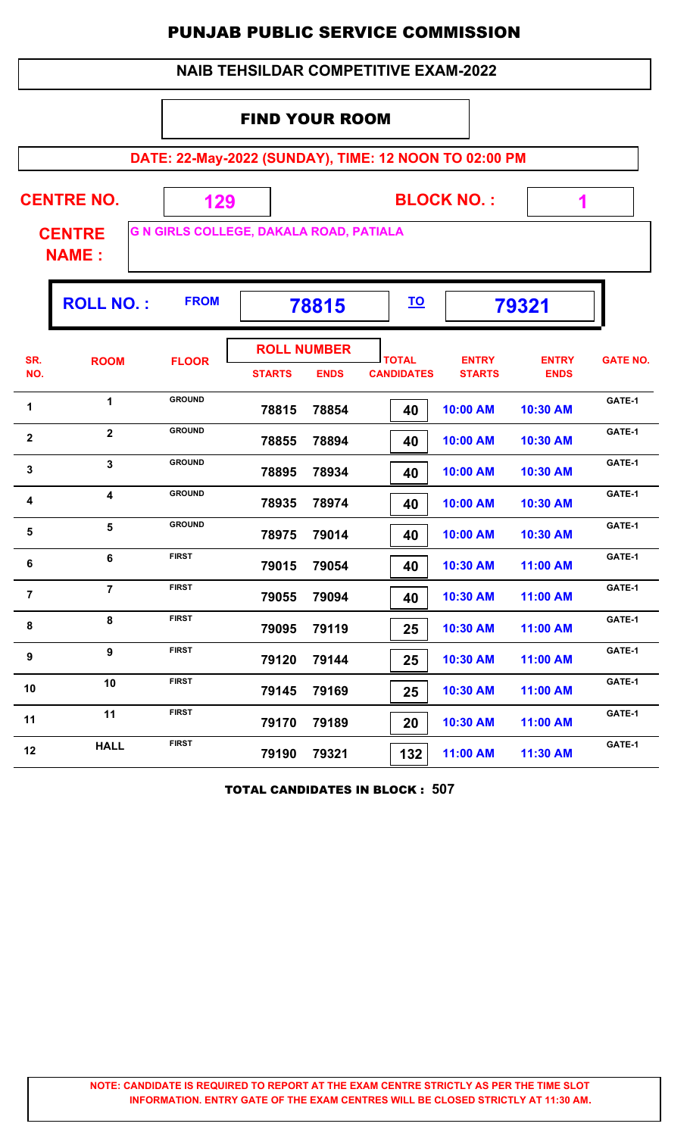| <b>NAIB TEHSILDAR COMPETITIVE EXAM-2022</b>                                                                                           |                                                                |               |                       |                                   |                                   |                               |                             |                 |  |  |  |  |
|---------------------------------------------------------------------------------------------------------------------------------------|----------------------------------------------------------------|---------------|-----------------------|-----------------------------------|-----------------------------------|-------------------------------|-----------------------------|-----------------|--|--|--|--|
|                                                                                                                                       |                                                                |               | <b>FIND YOUR ROOM</b> |                                   |                                   |                               |                             |                 |  |  |  |  |
| DATE: 22-May-2022 (SUNDAY), TIME: 12 NOON TO 02:00 PM                                                                                 |                                                                |               |                       |                                   |                                   |                               |                             |                 |  |  |  |  |
| <b>CENTRE NO.</b><br><b>BLOCK NO.:</b><br>129<br>1<br><b>G N GIRLS COLLEGE, DAKALA ROAD, PATIALA</b><br><b>CENTRE</b><br><b>NAME:</b> |                                                                |               |                       |                                   |                                   |                               |                             |                 |  |  |  |  |
|                                                                                                                                       | <b>ROLL NO.:</b><br><b>FROM</b><br><u>TO</u><br>79321<br>78815 |               |                       |                                   |                                   |                               |                             |                 |  |  |  |  |
| SR.<br>NO.                                                                                                                            | <b>ROOM</b>                                                    | <b>FLOOR</b>  | <b>STARTS</b>         | <b>ROLL NUMBER</b><br><b>ENDS</b> | <b>TOTAL</b><br><b>CANDIDATES</b> | <b>ENTRY</b><br><b>STARTS</b> | <b>ENTRY</b><br><b>ENDS</b> | <b>GATE NO.</b> |  |  |  |  |
| 1                                                                                                                                     | 1                                                              | <b>GROUND</b> | 78815                 | 78854                             | 40                                | 10:00 AM                      | 10:30 AM                    | GATE-1          |  |  |  |  |
| $\overline{2}$                                                                                                                        | $\overline{2}$                                                 | <b>GROUND</b> | 78855                 | 78894                             | 40                                | 10:00 AM                      | 10:30 AM                    | GATE-1          |  |  |  |  |
| 3                                                                                                                                     | 3                                                              | <b>GROUND</b> | 78895                 | 78934                             | 40                                | 10:00 AM                      | 10:30 AM                    | GATE-1          |  |  |  |  |
| 4                                                                                                                                     | 4                                                              | <b>GROUND</b> | 78935                 | 78974                             | 40                                | 10:00 AM                      | 10:30 AM                    | GATE-1          |  |  |  |  |
| 5                                                                                                                                     | 5                                                              | <b>GROUND</b> | 78975                 | 79014                             | 40                                | 10:00 AM                      | 10:30 AM                    | GATE-1          |  |  |  |  |
| 6                                                                                                                                     | 6                                                              | FIRST         | 79015                 | 79054                             | 40                                | 10:30 AM                      | 11:00 AM                    | GATE-1          |  |  |  |  |
| $\overline{7}$                                                                                                                        | $\overline{7}$                                                 | <b>FIRST</b>  | 79055                 | 79094                             | 40                                | 10:30 AM                      | 11:00 AM                    | GATE-1          |  |  |  |  |
| 8                                                                                                                                     | 8                                                              | <b>FIRST</b>  | 79095                 | 79119                             | 25                                | 10:30 AM                      | 11:00 AM                    | GATE-1          |  |  |  |  |
| 9                                                                                                                                     | 9                                                              | <b>FIRST</b>  | 79120                 | 79144                             | 25                                | 10:30 AM                      | 11:00 AM                    | GATE-1          |  |  |  |  |
| 10                                                                                                                                    | 10                                                             | <b>FIRST</b>  | 79145                 | 79169                             | 25                                | 10:30 AM                      | 11:00 AM                    | GATE-1          |  |  |  |  |
| 11                                                                                                                                    | 11                                                             | <b>FIRST</b>  | 79170                 | 79189                             | 20                                | 10:30 AM                      | 11:00 AM                    | GATE-1          |  |  |  |  |
| 12                                                                                                                                    | <b>HALL</b>                                                    | <b>FIRST</b>  | 79190                 | 79321                             | 132                               | 11:00 AM                      | 11:30 AM                    | GATE-1          |  |  |  |  |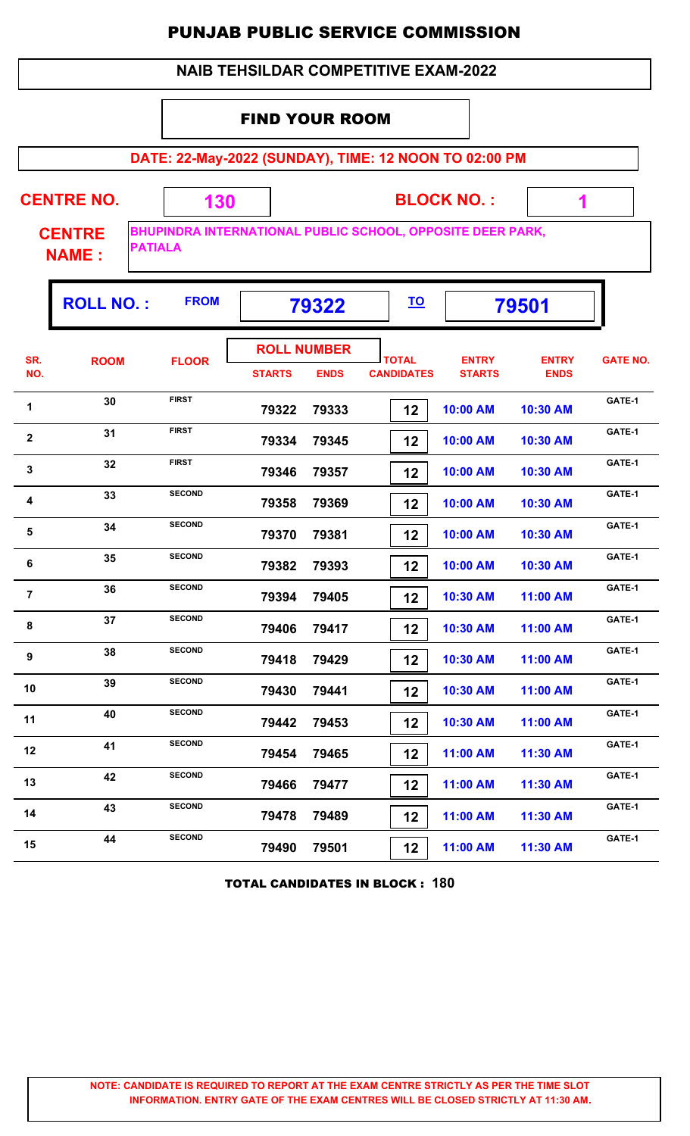| <b>NAIB TEHSILDAR COMPETITIVE EXAM-2022</b> |                                                 |                                                            |                       |                                   |  |                                   |                               |                             |                 |  |
|---------------------------------------------|-------------------------------------------------|------------------------------------------------------------|-----------------------|-----------------------------------|--|-----------------------------------|-------------------------------|-----------------------------|-----------------|--|
|                                             |                                                 |                                                            | <b>FIND YOUR ROOM</b> |                                   |  |                                   |                               |                             |                 |  |
|                                             |                                                 | DATE: 22-May-2022 (SUNDAY), TIME: 12 NOON TO 02:00 PM      |                       |                                   |  |                                   |                               |                             |                 |  |
|                                             | <b>CENTRE NO.</b>                               | 130                                                        |                       |                                   |  |                                   | <b>BLOCK NO.:</b>             | 1                           |                 |  |
|                                             | <b>CENTRE</b><br><b>PATIALA</b><br><b>NAME:</b> | BHUPINDRA INTERNATIONAL PUBLIC SCHOOL, OPPOSITE DEER PARK, |                       |                                   |  |                                   |                               |                             |                 |  |
|                                             | <b>ROLL NO.:</b>                                | <b>FROM</b>                                                |                       | 79322                             |  | <u>TO</u>                         |                               | 79501                       |                 |  |
| SR.<br>NO.                                  | <b>ROOM</b>                                     | <b>FLOOR</b>                                               | <b>STARTS</b>         | <b>ROLL NUMBER</b><br><b>ENDS</b> |  | <b>TOTAL</b><br><b>CANDIDATES</b> | <b>ENTRY</b><br><b>STARTS</b> | <b>ENTRY</b><br><b>ENDS</b> | <b>GATE NO.</b> |  |
| 1                                           | 30                                              | <b>FIRST</b>                                               | 79322                 | 79333                             |  | 12                                | 10:00 AM                      | 10:30 AM                    | GATE-1          |  |
| 2                                           | 31                                              | <b>FIRST</b>                                               | 79334                 | 79345                             |  | 12                                | 10:00 AM                      | 10:30 AM                    | GATE-1          |  |
| 3                                           | 32                                              | <b>FIRST</b>                                               | 79346                 | 79357                             |  | 12                                | 10:00 AM                      | 10:30 AM                    | GATE-1          |  |
| 4                                           | 33                                              | <b>SECOND</b>                                              | 79358                 | 79369                             |  | 12                                | 10:00 AM                      | 10:30 AM                    | GATE-1          |  |
| 5                                           | 34                                              | <b>SECOND</b>                                              | 79370                 | 79381                             |  | 12                                | 10:00 AM                      | 10:30 AM                    | GATE-1          |  |
| 6                                           | 35                                              | <b>SECOND</b>                                              | 79382                 | 79393                             |  | 12                                | 10:00 AM                      | 10:30 AM                    | GATE-1          |  |
| $\overline{7}$                              | 36                                              | <b>SECOND</b>                                              | 79394                 | 79405                             |  | 12                                | 10:30 AM                      | 11:00 AM                    | GATE-1          |  |
| 8                                           | 37                                              | <b>SECOND</b>                                              | 79406                 | 79417                             |  | 12                                | 10:30 AM                      | 11:00 AM                    | GATE-1          |  |
| 9                                           | 38                                              | <b>SECOND</b>                                              | 79418                 | 79429                             |  | 12                                | 10:30 AM                      | 11:00 AM                    | GATE-1          |  |
| 10                                          | 39                                              | <b>SECOND</b>                                              | 79430                 | 79441                             |  | 12                                | 10:30 AM                      | 11:00 AM                    | GATE-1          |  |
| 11                                          | 40                                              | <b>SECOND</b>                                              | 79442                 | 79453                             |  | 12                                | 10:30 AM                      | 11:00 AM                    | GATE-1          |  |
| 12                                          | 41                                              | <b>SECOND</b>                                              | 79454                 | 79465                             |  | 12                                | 11:00 AM                      | 11:30 AM                    | GATE-1          |  |
| 13                                          | 42                                              | <b>SECOND</b>                                              | 79466                 | 79477                             |  | 12                                | 11:00 AM                      | 11:30 AM                    | GATE-1          |  |
| 14                                          | 43                                              | <b>SECOND</b>                                              | 79478                 | 79489                             |  | 12                                | 11:00 AM                      | 11:30 AM                    | GATE-1          |  |
| 15                                          | 44                                              | <b>SECOND</b>                                              | 79490                 | 79501                             |  | 12                                | 11:00 AM                      | 11:30 AM                    | GATE-1          |  |

TOTAL CANDIDATES IN BLOCK : **180**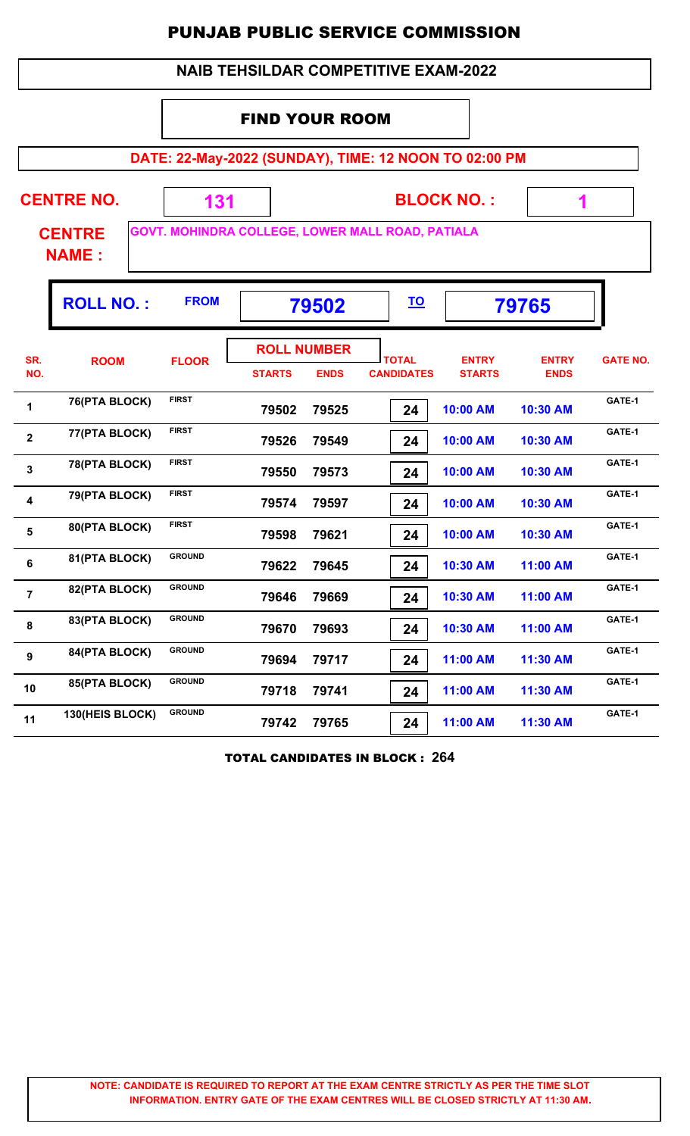| <b>NAIB TEHSILDAR COMPETITIVE EXAM-2022</b>                                       |                                                                |               |                                     |             |                                                       |                               |                             |                 |  |  |
|-----------------------------------------------------------------------------------|----------------------------------------------------------------|---------------|-------------------------------------|-------------|-------------------------------------------------------|-------------------------------|-----------------------------|-----------------|--|--|
|                                                                                   |                                                                |               | <b>FIND YOUR ROOM</b>               |             |                                                       |                               |                             |                 |  |  |
|                                                                                   |                                                                |               |                                     |             | DATE: 22-May-2022 (SUNDAY), TIME: 12 NOON TO 02:00 PM |                               |                             |                 |  |  |
|                                                                                   | <b>CENTRE NO.</b>                                              | 131           |                                     |             |                                                       | <b>BLOCK NO.:</b>             | 1                           |                 |  |  |
| GOVT. MOHINDRA COLLEGE, LOWER MALL ROAD, PATIALA<br><b>CENTRE</b><br><b>NAME:</b> |                                                                |               |                                     |             |                                                       |                               |                             |                 |  |  |
|                                                                                   | <b>FROM</b><br><b>ROLL NO.:</b><br><u>TO</u><br>79502<br>79765 |               |                                     |             |                                                       |                               |                             |                 |  |  |
| SR.<br>NO.                                                                        | <b>ROOM</b>                                                    | <b>FLOOR</b>  | <b>ROLL NUMBER</b><br><b>STARTS</b> | <b>ENDS</b> | <b>TOTAL</b><br><b>CANDIDATES</b>                     | <b>ENTRY</b><br><b>STARTS</b> | <b>ENTRY</b><br><b>ENDS</b> | <b>GATE NO.</b> |  |  |
| 1                                                                                 | 76(PTA BLOCK)                                                  | <b>FIRST</b>  | 79502                               | 79525       | 24                                                    | 10:00 AM                      | 10:30 AM                    | GATE-1          |  |  |
| $\overline{\mathbf{2}}$                                                           | 77(PTA BLOCK)                                                  | <b>FIRST</b>  | 79526                               | 79549       | 24                                                    | 10:00 AM                      | 10:30 AM                    | GATE-1          |  |  |
| $\overline{\mathbf{3}}$                                                           | 78(PTA BLOCK)                                                  | <b>FIRST</b>  | 79550                               | 79573       | 24                                                    | 10:00 AM                      | 10:30 AM                    | GATE-1          |  |  |
| $\overline{\mathbf{4}}$                                                           | 79(PTA BLOCK)                                                  | <b>FIRST</b>  | 79574                               | 79597       | 24                                                    | 10:00 AM                      | 10:30 AM                    | GATE-1          |  |  |
| 5                                                                                 | 80(PTA BLOCK)                                                  | <b>FIRST</b>  | 79598                               | 79621       | 24                                                    | 10:00 AM                      | 10:30 AM                    | GATE-1          |  |  |
| 6                                                                                 | 81(PTA BLOCK)                                                  | <b>GROUND</b> | 79622                               | 79645       | 24                                                    | 10:30 AM                      | 11:00 AM                    | GATE-1          |  |  |
| $\overline{7}$                                                                    | 82(PTA BLOCK)                                                  | <b>GROUND</b> | 79646                               | 79669       | 24                                                    | 10:30 AM                      | 11:00 AM                    | GATE-1          |  |  |
| 8                                                                                 | 83(PTA BLOCK)                                                  | <b>GROUND</b> | 79670                               | 79693       | 24                                                    | 10:30 AM                      | 11:00 AM                    | GATE-1          |  |  |
| 9                                                                                 | 84(PTA BLOCK)                                                  | <b>GROUND</b> | 79694                               | 79717       | 24                                                    | 11:00 AM                      | 11:30 AM                    | GATE-1          |  |  |
| 10                                                                                | 85(PTA BLOCK)                                                  | <b>GROUND</b> | 79718                               | 79741       | 24                                                    | 11:00 AM                      | 11:30 AM                    | GATE-1          |  |  |
| 11                                                                                | 130(HEIS BLOCK)                                                | <b>GROUND</b> | 79742                               | 79765       | 24                                                    | 11:00 AM                      | 11:30 AM                    | GATE-1          |  |  |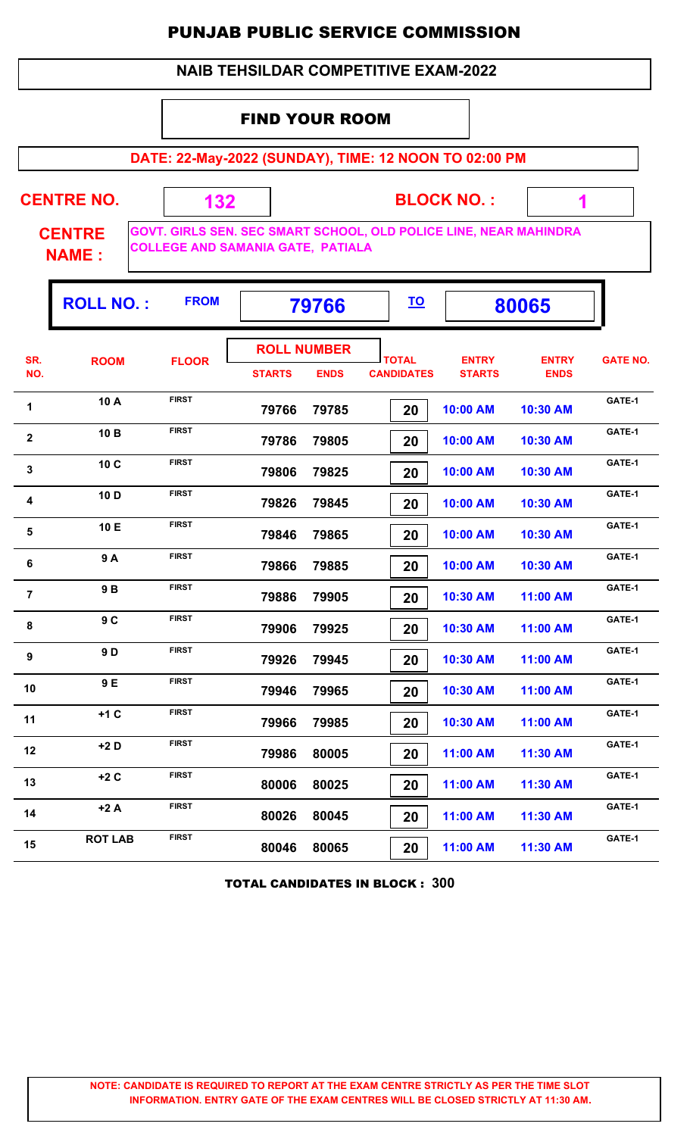#### **NAIB TEHSILDAR COMPETITIVE EXAM-2022**

### FIND YOUR ROOM

 **132**

**DATE: 22-May-2022 (SUNDAY), TIME: 12 NOON TO 02:00 PM**

**CENTRE NO.** 

**BLOCK NO. :**

 **1**

٠,

**CENTRE NAME :**

**GOVT. GIRLS SEN. SEC SMART SCHOOL, OLD POLICE LINE, NEAR MAHINDRA COLLEGE AND SAMANIA GATE, PATIALA**

|                  | <b>ROLL NO.:</b> | <b>FROM</b>  |                                     | 79766       |                                   | <u>TO</u><br>80065            |                             |                 |
|------------------|------------------|--------------|-------------------------------------|-------------|-----------------------------------|-------------------------------|-----------------------------|-----------------|
| SR.<br>NO.       | <b>ROOM</b>      | <b>FLOOR</b> | <b>ROLL NUMBER</b><br><b>STARTS</b> | <b>ENDS</b> | <b>TOTAL</b><br><b>CANDIDATES</b> | <b>ENTRY</b><br><b>STARTS</b> | <b>ENTRY</b><br><b>ENDS</b> | <b>GATE NO.</b> |
| 1                | 10 A             | <b>FIRST</b> | 79766                               | 79785       | 20                                | 10:00 AM                      | 10:30 AM                    | GATE-1          |
| 2                | 10 B             | <b>FIRST</b> | 79786                               | 79805       | 20                                | 10:00 AM                      | 10:30 AM                    | GATE-1          |
| 3                | 10 C             | <b>FIRST</b> | 79806                               | 79825       | 20                                | 10:00 AM                      | 10:30 AM                    | GATE-1          |
| 4                | 10 D             | <b>FIRST</b> | 79826                               | 79845       | 20                                | 10:00 AM                      | 10:30 AM                    | GATE-1          |
| 5                | 10 E             | <b>FIRST</b> | 79846                               | 79865       | 20                                | 10:00 AM                      | 10:30 AM                    | GATE-1          |
| 6                | 9A               | <b>FIRST</b> | 79866                               | 79885       | 20                                | 10:00 AM                      | 10:30 AM                    | GATE-1          |
| $\overline{7}$   | 9B               | <b>FIRST</b> | 79886                               | 79905       | 20                                | 10:30 AM                      | 11:00 AM                    | GATE-1          |
| 8                | 9C               | <b>FIRST</b> | 79906                               | 79925       | 20                                | 10:30 AM                      | 11:00 AM                    | GATE-1          |
| $\boldsymbol{9}$ | 9D               | <b>FIRST</b> | 79926                               | 79945       | 20                                | 10:30 AM                      | 11:00 AM                    | GATE-1          |
| 10               | 9 E              | <b>FIRST</b> | 79946                               | 79965       | 20                                | 10:30 AM                      | 11:00 AM                    | GATE-1          |
| 11               | $+1C$            | <b>FIRST</b> | 79966                               | 79985       | 20                                | 10:30 AM                      | 11:00 AM                    | GATE-1          |
| 12               | $+2D$            | <b>FIRST</b> | 79986                               | 80005       | 20                                | 11:00 AM                      | 11:30 AM                    | GATE-1          |
| 13               | $+2C$            | <b>FIRST</b> | 80006                               | 80025       | 20                                | 11:00 AM                      | 11:30 AM                    | GATE-1          |
| 14               | $+2A$            | <b>FIRST</b> | 80026                               | 80045       | 20                                | 11:00 AM                      | 11:30 AM                    | GATE-1          |
| 15               | <b>ROT LAB</b>   | <b>FIRST</b> | 80046                               | 80065       | 20                                | 11:00 AM                      | 11:30 AM                    | GATE-1          |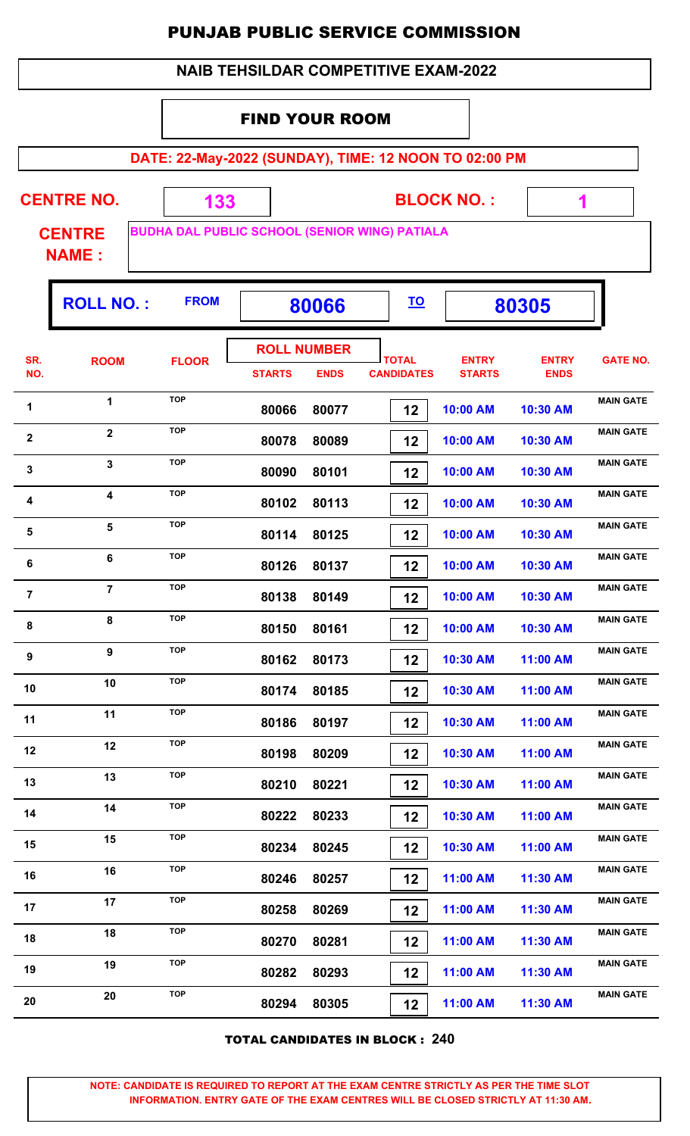|                | <b>NAIB TEHSILDAR COMPETITIVE EXAM-2022</b>           |                                                             |                       |                                   |                                   |                               |                             |                  |  |  |  |  |
|----------------|-------------------------------------------------------|-------------------------------------------------------------|-----------------------|-----------------------------------|-----------------------------------|-------------------------------|-----------------------------|------------------|--|--|--|--|
|                |                                                       |                                                             | <b>FIND YOUR ROOM</b> |                                   |                                   |                               |                             |                  |  |  |  |  |
|                | DATE: 22-May-2022 (SUNDAY), TIME: 12 NOON TO 02:00 PM |                                                             |                       |                                   |                                   |                               |                             |                  |  |  |  |  |
|                | <b>CENTRE NO.</b>                                     |                                                             |                       |                                   |                                   | <b>BLOCK NO.:</b>             |                             |                  |  |  |  |  |
|                | <b>CENTRE</b>                                         | 133<br><b>BUDHA DAL PUBLIC SCHOOL (SENIOR WING) PATIALA</b> |                       |                                   |                                   |                               | 1                           |                  |  |  |  |  |
| <b>NAME:</b>   |                                                       |                                                             |                       |                                   |                                   |                               |                             |                  |  |  |  |  |
|                | <b>ROLL NO.:</b>                                      | <b>FROM</b>                                                 |                       |                                   | <u>TO</u>                         |                               |                             |                  |  |  |  |  |
|                |                                                       |                                                             |                       | 80066                             |                                   |                               | 80305                       |                  |  |  |  |  |
| SR.<br>NO.     | <b>ROOM</b>                                           | <b>FLOOR</b>                                                | <b>STARTS</b>         | <b>ROLL NUMBER</b><br><b>ENDS</b> | <b>TOTAL</b><br><b>CANDIDATES</b> | <b>ENTRY</b><br><b>STARTS</b> | <b>ENTRY</b><br><b>ENDS</b> | <b>GATE NO.</b>  |  |  |  |  |
| 1              | 1                                                     | <b>TOP</b>                                                  | 80066                 | 80077                             | 12                                | 10:00 AM                      | 10:30 AM                    | <b>MAIN GATE</b> |  |  |  |  |
| $\mathbf 2$    | $\overline{2}$                                        | <b>TOP</b>                                                  | 80078                 | 80089                             | 12                                | 10:00 AM                      | 10:30 AM                    | <b>MAIN GATE</b> |  |  |  |  |
| 3              | 3                                                     | <b>TOP</b>                                                  | 80090                 | 80101                             | 12                                | 10:00 AM                      | 10:30 AM                    | <b>MAIN GATE</b> |  |  |  |  |
| 4              | 4                                                     | <b>TOP</b>                                                  | 80102                 | 80113                             | 12                                | 10:00 AM                      | 10:30 AM                    | <b>MAIN GATE</b> |  |  |  |  |
| 5              | 5                                                     | <b>TOP</b>                                                  | 80114                 | 80125                             | 12                                | 10:00 AM                      | 10:30 AM                    | <b>MAIN GATE</b> |  |  |  |  |
| 6              | 6                                                     | <b>TOP</b>                                                  | 80126                 | 80137                             | 12                                | 10:00 AM                      | 10:30 AM                    | <b>MAIN GATE</b> |  |  |  |  |
| $\overline{7}$ | $\overline{7}$                                        | <b>TOP</b>                                                  | 80138                 | 80149                             | 12                                | 10:00 AM                      | 10:30 AM                    | <b>MAIN GATE</b> |  |  |  |  |
| 8              | 8                                                     | <b>TOP</b>                                                  | 80150                 | 80161                             | 12                                | 10:00 AM                      | 10:30 AM                    | <b>MAIN GATE</b> |  |  |  |  |
| 9              | 9                                                     | <b>TOP</b>                                                  | 80162                 | 80173                             | 12                                | 10:30 AM                      | 11:00 AM                    | <b>MAIN GATE</b> |  |  |  |  |
| 10             | 10                                                    | <b>TOP</b>                                                  | 80174                 | 80185                             | 12                                | 10:30 AM                      | 11:00 AM                    | <b>MAIN GATE</b> |  |  |  |  |
| 11             | 11                                                    | <b>TOP</b>                                                  | 80186                 | 80197                             | 12                                | 10:30 AM                      | 11:00 AM                    | <b>MAIN GATE</b> |  |  |  |  |
| 12             | 12                                                    | <b>TOP</b>                                                  | 80198                 | 80209                             | 12                                | 10:30 AM                      | 11:00 AM                    | <b>MAIN GATE</b> |  |  |  |  |
| 13             | 13                                                    | <b>TOP</b>                                                  | 80210                 | 80221                             | 12                                | 10:30 AM                      | 11:00 AM                    | <b>MAIN GATE</b> |  |  |  |  |
| 14             | 14                                                    | <b>TOP</b>                                                  | 80222                 | 80233                             | 12                                | 10:30 AM                      | 11:00 AM                    | <b>MAIN GATE</b> |  |  |  |  |
| 15             | 15                                                    | <b>TOP</b>                                                  | 80234                 | 80245                             | 12                                | 10:30 AM                      | 11:00 AM                    | <b>MAIN GATE</b> |  |  |  |  |
| 16             | 16                                                    | <b>TOP</b>                                                  | 80246                 | 80257                             | 12                                | 11:00 AM                      | 11:30 AM                    | <b>MAIN GATE</b> |  |  |  |  |
| 17             | 17                                                    | <b>TOP</b>                                                  | 80258                 | 80269                             | 12                                | 11:00 AM                      | 11:30 AM                    | <b>MAIN GATE</b> |  |  |  |  |
| 18             | 18                                                    | <b>TOP</b>                                                  | 80270                 | 80281                             | 12                                | 11:00 AM                      | 11:30 AM                    | <b>MAIN GATE</b> |  |  |  |  |
| 19             | 19                                                    | <b>TOP</b>                                                  | 80282                 | 80293                             | 12                                | 11:00 AM                      | 11:30 AM                    | <b>MAIN GATE</b> |  |  |  |  |
| 20             | 20                                                    | <b>TOP</b>                                                  | 80294                 | 80305                             | 12                                | 11:00 AM                      | 11:30 AM                    | <b>MAIN GATE</b> |  |  |  |  |

TOTAL CANDIDATES IN BLOCK : **240**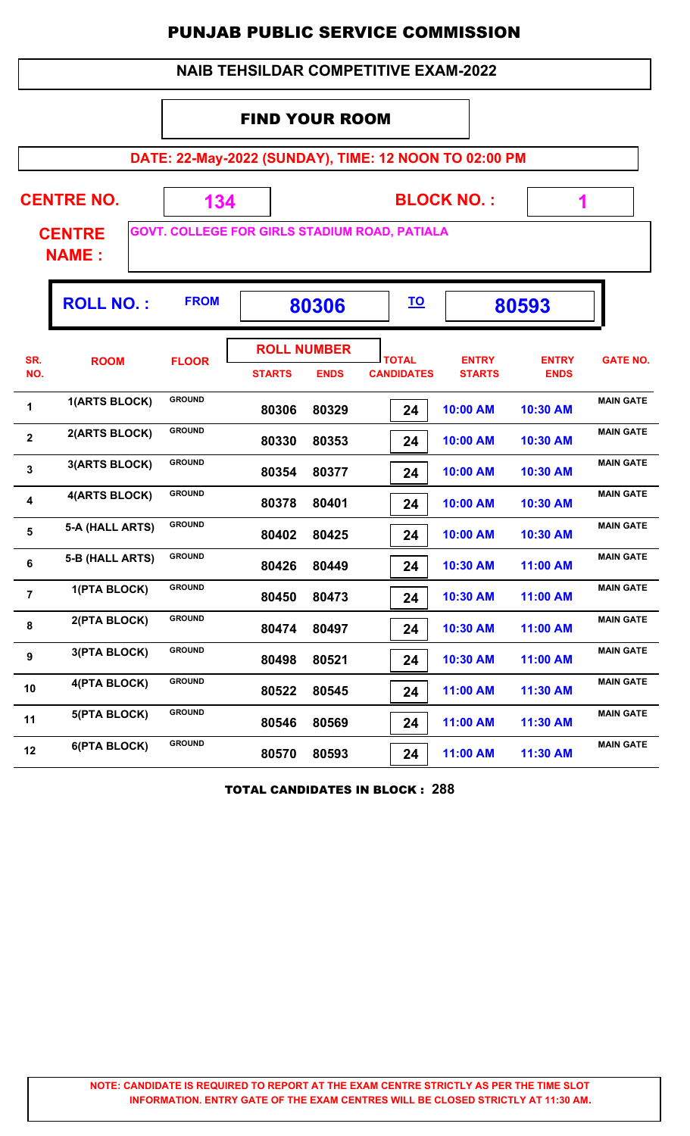| <b>NAIB TEHSILDAR COMPETITIVE EXAM-2022</b> |
|---------------------------------------------|
|---------------------------------------------|

#### FIND YOUR ROOM

**DATE: 22-May-2022 (SUNDAY), TIME: 12 NOON TO 02:00 PM**

|                               |                   | DATE: 22-May-2022 (SUNDAY), TIME: 12 NOON TO 02:00 PM |                                                      |             |                                       |                               |                             |                  |  |  |
|-------------------------------|-------------------|-------------------------------------------------------|------------------------------------------------------|-------------|---------------------------------------|-------------------------------|-----------------------------|------------------|--|--|
|                               | <b>CENTRE NO.</b> | 134                                                   |                                                      |             |                                       | <b>BLOCK NO.:</b>             | 1                           |                  |  |  |
| <b>CENTRE</b><br><b>NAME:</b> |                   |                                                       | <b>GOVT. COLLEGE FOR GIRLS STADIUM ROAD, PATIALA</b> |             |                                       |                               |                             |                  |  |  |
|                               | <b>ROLL NO.:</b>  | <b>FROM</b>                                           |                                                      | 80306       |                                       | 80593                         |                             |                  |  |  |
| SR.<br>NO.                    | <b>ROOM</b>       | <b>FLOOR</b>                                          | <b>ROLL NUMBER</b><br><b>STARTS</b>                  | <b>ENDS</b> | <b>TOTAL</b><br><b>CANDIDATES</b>     | <b>ENTRY</b><br><b>STARTS</b> | <b>ENTRY</b><br><b>ENDS</b> | <b>GATE NO.</b>  |  |  |
| 1                             | 1(ARTS BLOCK)     | <b>GROUND</b>                                         | 80306                                                | 80329       | 24                                    | 10:00 AM                      | 10:30 AM                    | <b>MAIN GATE</b> |  |  |
| $\overline{\mathbf{2}}$       | 2(ARTS BLOCK)     | <b>GROUND</b>                                         | 80330                                                | 80353       | 24                                    | 10:00 AM                      | 10:30 AM                    | <b>MAIN GATE</b> |  |  |
| $\mathbf{3}$                  | 3(ARTS BLOCK)     | <b>GROUND</b>                                         | 80354                                                | 80377       | 24                                    | 10:00 AM                      | 10:30 AM                    | <b>MAIN GATE</b> |  |  |
| 4                             | 4(ARTS BLOCK)     | <b>GROUND</b>                                         | 80378                                                | 80401       | 24                                    | 10:00 AM                      | 10:30 AM                    | <b>MAIN GATE</b> |  |  |
| 5                             | 5-A (HALL ARTS)   | <b>GROUND</b>                                         | 80402                                                | 80425       | 24                                    | 10:00 AM                      | 10:30 AM                    | <b>MAIN GATE</b> |  |  |
| 6                             | 5-B (HALL ARTS)   | <b>GROUND</b>                                         | 80426                                                | 80449       | 24                                    | 10:30 AM                      | 11:00 AM                    | <b>MAIN GATE</b> |  |  |
| $\overline{7}$                | 1(PTA BLOCK)      | <b>GROUND</b>                                         | 80450                                                | 80473       | 24                                    | 10:30 AM                      | 11:00 AM                    | <b>MAIN GATE</b> |  |  |
| 8                             | 2(PTA BLOCK)      | <b>GROUND</b>                                         | 80474                                                | 80497       | 24                                    | 10:30 AM                      | 11:00 AM                    | <b>MAIN GATE</b> |  |  |
| 9                             | 3(PTA BLOCK)      | <b>GROUND</b>                                         | 80498                                                | 80521       | 24                                    | 10:30 AM                      | 11:00 AM                    | <b>MAIN GATE</b> |  |  |
| 10                            | 4(PTA BLOCK)      | <b>GROUND</b>                                         | 80522                                                | 80545       | 24                                    | 11:00 AM                      | 11:30 AM                    | <b>MAIN GATE</b> |  |  |
| 11                            | 5(PTA BLOCK)      | <b>GROUND</b>                                         | 80546                                                | 80569       | 24                                    | 11:00 AM                      | 11:30 AM                    | <b>MAIN GATE</b> |  |  |
| 12                            | 6(PTA BLOCK)      | <b>GROUND</b>                                         | 80570                                                | 80593       | 24                                    | 11:00 AM                      | 11:30 AM                    | <b>MAIN GATE</b> |  |  |
|                               |                   |                                                       |                                                      |             | <b>TOTAL CANDIDATES IN BLOCK: 288</b> |                               |                             |                  |  |  |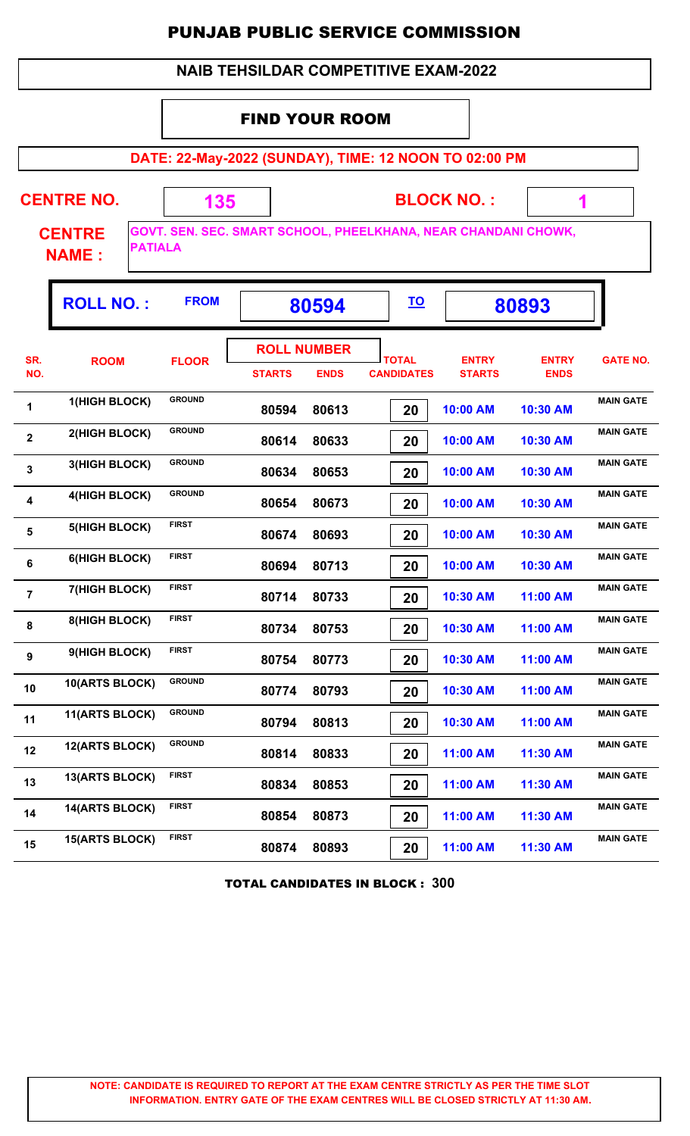#### **DATE: 22-May-2022 (SUNDAY), TIME: 12 NOON TO 02:00 PM BLOCK NO. : CENTRE NAME : CENTRE NO. 135 GOVT. SEN. SEC. SMART SCHOOL, PHEELKHANA, NEAR CHANDANI CHOWK, PATIALA 1** FIND YOUR ROOM **ROLL NO. :** FROM | 80594 |  $\overline{10}$  | 80893 **TOTAL STARTS ENDS CANDIDATES SR. NO.** ROOM FLOOR **International FLOOR** *ENTRY* **STARTS ENTRY ENDS FLOOR GATE NO. ROLL NUMBER 80594 80613 20 10:00 AM 10:30 AM** 1 **1 1**(HIGH BLOCK) GROUND 80594 80613 **10:00 AM** 10:30 AM  **80614 80633 20 10:00 AM 10:30 AM 2 2** (HIGH BLOCK) GROUND **80614 80633 2 10:00 AM 10:30 AM MAIN GATE 80634 80653 20 10:00 AM 10:30 AM 2 3** (HIGH BLOCK) GROUND **80634 80653 20 10:00 AM 10:30 AM MAIN GATE 80654 80673 20 10:00 AM 10:30 AM 4 4** (HIGH BLOCK) GROUND 80654 80673 **10:00 AM 10:30 AM** MAIN GATE  **80674 80693 20 10:00 AM 10:30 AM MAIN GATE<sup>5</sup> 5(HIGH BLOCK) FIRST 80694 80713 20 10:00 AM 10:30 AM MAIN GATE<sup>6</sup> 6(HIGH BLOCK) FIRST 80714 80733 20 10:30 AM 11:00 AM MAIN GATE<sup>7</sup> 7(HIGH BLOCK) FIRST 80734 80753 20 10:30 AM 11:00 AM** 8 **8 8**(HIGH BLOCK) FIRST 80734 80753 **10:30 AM** 11:00 AM  **80754 80773 20 10:30 AM 11:00 AM MAIN GATE<sup>9</sup> 9(HIGH BLOCK) FIRST 80774 80793 20 10:30 AM 11:00 AM** 10 **10(ARTS BLOCK)** GROUND 80774 80793 **20 10:30 AM** 11:00 AM  **80794 80813 20 10:30 AM 11:00 AM** 11 **11(ARTS BLOCK)** GROUND 80794 80813 **20 10:30 AM 11:00 AM** MAIN GATE  **80814 80833 20 11:00 AM 11:30 AM** 12 **12(ARTS BLOCK)** GROUND **80814 80833 20 11:00 AM** 11:30 AM  **80834 80853 20 11:00 AM 11:30 AM** 13 **13(ARTS BLOCK)** FIRST 80834 80853 **20 11:00 AM** 11:30 AM  **80854 80873 20 11:00 AM 11:30 AM** 14 **14(ARTS BLOCK)** FIRST 80854 80873 **20 11:00 AM** 11:30 AM  **80874 80893 20 11:00 AM 11:30 AM** 15<sup>2</sup> **15 15 ARTS BLOCK)** FIRST **80874 80893 11:00 AM 11:30 AM**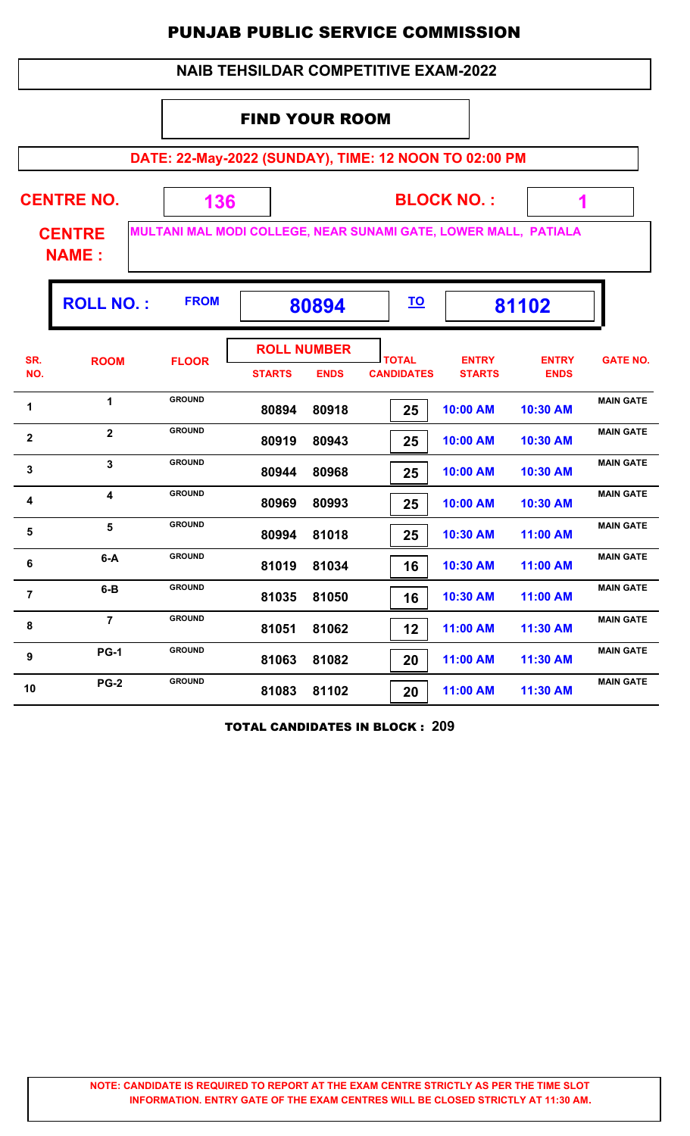|              | <b>PUNJAB PUBLIC SERVICE COMMISSION</b>     |                                                                 |                                     |             |                                   |                               |                             |                  |  |  |  |  |
|--------------|---------------------------------------------|-----------------------------------------------------------------|-------------------------------------|-------------|-----------------------------------|-------------------------------|-----------------------------|------------------|--|--|--|--|
|              | <b>NAIB TEHSILDAR COMPETITIVE EXAM-2022</b> |                                                                 |                                     |             |                                   |                               |                             |                  |  |  |  |  |
|              | <b>FIND YOUR ROOM</b>                       |                                                                 |                                     |             |                                   |                               |                             |                  |  |  |  |  |
|              |                                             | DATE: 22-May-2022 (SUNDAY), TIME: 12 NOON TO 02:00 PM           |                                     |             |                                   |                               |                             |                  |  |  |  |  |
|              | <b>CENTRE NO.</b>                           | 136                                                             |                                     |             |                                   | <b>BLOCK NO.:</b>             | 1                           |                  |  |  |  |  |
|              | <b>CENTRE</b><br><b>NAME:</b>               | MULTANI MAL MODI COLLEGE, NEAR SUNAMI GATE, LOWER MALL, PATIALA |                                     |             |                                   |                               |                             |                  |  |  |  |  |
|              | <b>ROLL NO.:</b>                            | <b>FROM</b>                                                     |                                     | 80894       | <u>TO</u>                         |                               | 81102                       |                  |  |  |  |  |
| SR.<br>NO.   | <b>ROOM</b>                                 | <b>FLOOR</b>                                                    | <b>ROLL NUMBER</b><br><b>STARTS</b> | <b>ENDS</b> | <b>TOTAL</b><br><b>CANDIDATES</b> | <b>ENTRY</b><br><b>STARTS</b> | <b>ENTRY</b><br><b>ENDS</b> | <b>GATE NO.</b>  |  |  |  |  |
| 1            | 1                                           | <b>GROUND</b>                                                   | 80894                               | 80918       | 25                                | 10:00 AM                      | 10:30 AM                    | <b>MAIN GATE</b> |  |  |  |  |
| $\mathbf{2}$ | $\overline{2}$                              | <b>GROUND</b>                                                   | 80919                               | 80943       | 25                                | 10:00 AM                      | 10:30 AM                    | <b>MAIN GATE</b> |  |  |  |  |
| $\mathbf{3}$ | 3                                           | <b>GROUND</b>                                                   | 80944                               | 80968       | 25                                | 10:00 AM                      | 10:30 AM                    | <b>MAIN GATE</b> |  |  |  |  |
| 4            | 4                                           | <b>GROUND</b>                                                   | 80969                               | 80993       | 25                                | 10:00 AM                      | 10:30 AM                    | <b>MAIN GATE</b> |  |  |  |  |
| $\sqrt{5}$   | 5                                           | <b>GROUND</b>                                                   |                                     | 80994 81018 | 25                                | 10:30 AM                      | 11:00 AM                    | <b>MAIN GATE</b> |  |  |  |  |
| 6            | $6-A$                                       | <b>GROUND</b>                                                   | 81019                               | 81034       | 16                                | 10:30 AM                      | 11:00 AM                    | <b>MAIN GATE</b> |  |  |  |  |
| 7            | $6-B$                                       | <b>GROUND</b>                                                   | 81035                               | 81050       | 16                                | 10:30 AM                      | 11:00 AM                    | <b>MAIN GATE</b> |  |  |  |  |
| 8            | $\overline{7}$                              | <b>GROUND</b>                                                   | 81051                               | 81062       | 12                                | 11:00 AM                      | 11:30 AM                    | <b>MAIN GATE</b> |  |  |  |  |
| 9            | <b>PG-1</b>                                 | <b>GROUND</b>                                                   | 81063                               | 81082       | 20                                | 11:00 AM                      | 11:30 AM                    | <b>MAIN GATE</b> |  |  |  |  |

TOTAL CANDIDATES IN BLOCK : **209**

 **81083 81102 20 11:00 AM 11:30 AM MAIN GATE<sup>10</sup> PG-2 GROUND**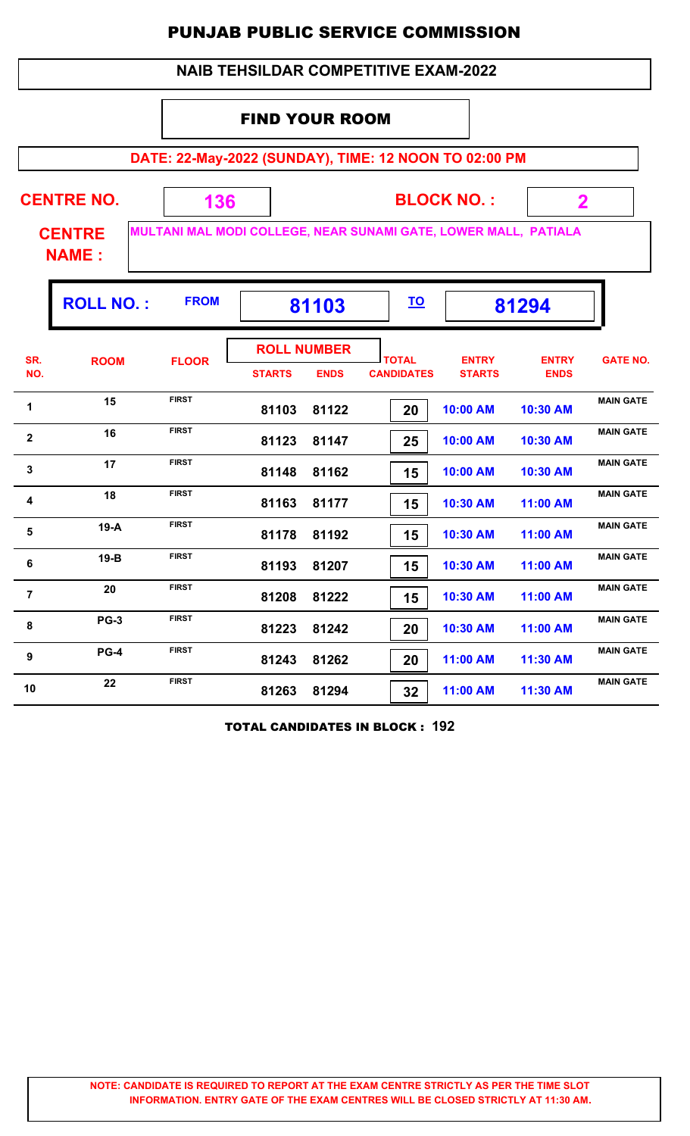|                |                               |                                                                 |                                     |             | <b>NAIB TEHSILDAR COMPETITIVE EXAM-2022</b> |                               |                             |                  |
|----------------|-------------------------------|-----------------------------------------------------------------|-------------------------------------|-------------|---------------------------------------------|-------------------------------|-----------------------------|------------------|
|                |                               |                                                                 | <b>FIND YOUR ROOM</b>               |             |                                             |                               |                             |                  |
|                |                               | DATE: 22-May-2022 (SUNDAY), TIME: 12 NOON TO 02:00 PM           |                                     |             |                                             |                               |                             |                  |
|                | <b>CENTRE NO.</b>             | 136                                                             |                                     |             |                                             | <b>BLOCK NO.:</b>             | $\mathbf{2}$                |                  |
|                | <b>CENTRE</b><br><b>NAME:</b> | MULTANI MAL MODI COLLEGE, NEAR SUNAMI GATE, LOWER MALL, PATIALA |                                     |             |                                             |                               |                             |                  |
|                | <b>ROLL NO.:</b>              | <b>FROM</b>                                                     |                                     | 81103       | <u>TO</u>                                   |                               | 81294                       |                  |
| SR.<br>NO.     | <b>ROOM</b>                   | <b>FLOOR</b>                                                    | <b>ROLL NUMBER</b><br><b>STARTS</b> | <b>ENDS</b> | <b>TOTAL</b><br><b>CANDIDATES</b>           | <b>ENTRY</b><br><b>STARTS</b> | <b>ENTRY</b><br><b>ENDS</b> | <b>GATE NO.</b>  |
| 1              | 15                            | <b>FIRST</b>                                                    | 81103                               | 81122       | 20                                          | 10:00 AM                      | 10:30 AM                    | <b>MAIN GATE</b> |
| $\mathbf{2}$   | 16                            | <b>FIRST</b>                                                    | 81123                               | 81147       | 25                                          | 10:00 AM                      | 10:30 AM                    | <b>MAIN GATE</b> |
| $\mathbf{3}$   | 17                            | <b>FIRST</b>                                                    | 81148                               | 81162       | 15                                          | 10:00 AM                      | 10:30 AM                    | <b>MAIN GATE</b> |
| 4              | 18                            | <b>FIRST</b>                                                    | 81163                               | 81177       | 15                                          | 10:30 AM                      | 11:00 AM                    | <b>MAIN GATE</b> |
| 5              | $19-A$                        | <b>FIRST</b>                                                    | 81178                               | 81192       | 15                                          | 10:30 AM                      | 11:00 AM                    | <b>MAIN GATE</b> |
| 6              | $19-B$                        | <b>FIRST</b>                                                    | 81193                               | 81207       | 15                                          | 10:30 AM                      | 11:00 AM                    | <b>MAIN GATE</b> |
| $\overline{7}$ | 20                            | <b>FIRST</b>                                                    | 81208                               | 81222       | 15                                          | 10:30 AM                      | 11:00 AM                    | <b>MAIN GATE</b> |
| 8              | <b>PG-3</b>                   | <b>FIRST</b>                                                    | 81223                               | 81242       | 20                                          | 10:30 AM                      | 11:00 AM                    | <b>MAIN GATE</b> |
| 9              | <b>PG-4</b>                   | <b>FIRST</b>                                                    | 81243                               | 81262       | 20                                          | 11:00 AM                      | 11:30 AM                    | <b>MAIN GATE</b> |
| 10             | 22                            | <b>FIRST</b>                                                    | 81263                               | 81294       | 32                                          | 11:00 AM                      | 11:30 AM                    | <b>MAIN GATE</b> |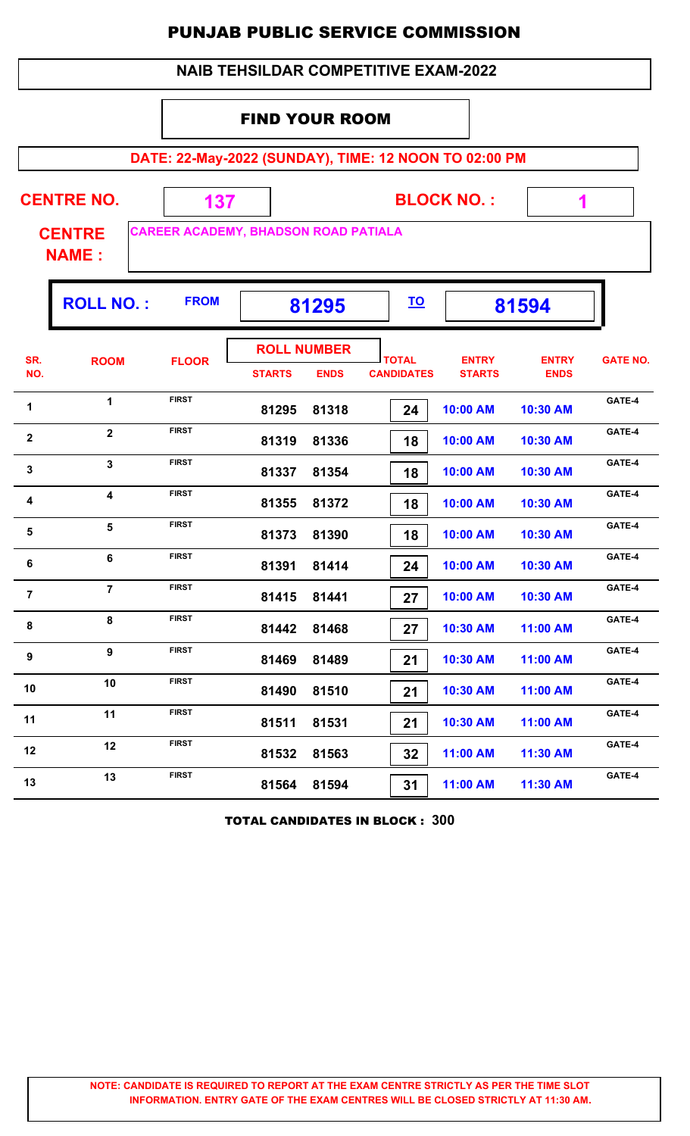|                   | <b>NAIB TEHSILDAR COMPETITIVE EXAM-2022</b>           |                                             |                       |                                   |                                   |                               |                             |                 |  |  |  |  |  |
|-------------------|-------------------------------------------------------|---------------------------------------------|-----------------------|-----------------------------------|-----------------------------------|-------------------------------|-----------------------------|-----------------|--|--|--|--|--|
|                   |                                                       |                                             | <b>FIND YOUR ROOM</b> |                                   |                                   |                               |                             |                 |  |  |  |  |  |
|                   | DATE: 22-May-2022 (SUNDAY), TIME: 12 NOON TO 02:00 PM |                                             |                       |                                   |                                   |                               |                             |                 |  |  |  |  |  |
| <b>CENTRE NO.</b> |                                                       | 137                                         |                       | <b>BLOCK NO.:</b>                 | 1                                 |                               |                             |                 |  |  |  |  |  |
|                   | <b>CENTRE</b><br><b>NAME:</b>                         | <b>CAREER ACADEMY, BHADSON ROAD PATIALA</b> |                       |                                   |                                   |                               |                             |                 |  |  |  |  |  |
|                   | <b>ROLL NO.:</b>                                      | <b>FROM</b>                                 |                       | 81295                             | <u>TO</u>                         |                               | 81594                       |                 |  |  |  |  |  |
| SR.<br>NO.        | <b>ROOM</b>                                           | <b>FLOOR</b>                                | <b>STARTS</b>         | <b>ROLL NUMBER</b><br><b>ENDS</b> | <b>TOTAL</b><br><b>CANDIDATES</b> | <b>ENTRY</b><br><b>STARTS</b> | <b>ENTRY</b><br><b>ENDS</b> | <b>GATE NO.</b> |  |  |  |  |  |
| 1                 | 1                                                     | <b>FIRST</b>                                | 81295                 | 81318                             | 24                                | 10:00 AM                      | 10:30 AM                    | GATE-4          |  |  |  |  |  |
| $\mathbf{2}$      | $\overline{2}$                                        | <b>FIRST</b>                                | 81319                 | 81336                             | 18                                | 10:00 AM                      | 10:30 AM                    | GATE-4          |  |  |  |  |  |
| 3                 | $\mathbf{3}$                                          | <b>FIRST</b>                                | 81337                 | 81354                             | 18                                | 10:00 AM                      | 10:30 AM                    | GATE-4          |  |  |  |  |  |
| 4                 | 4                                                     | <b>FIRST</b>                                | 81355                 | 81372                             | 18                                | 10:00 AM                      | 10:30 AM                    | GATE-4          |  |  |  |  |  |
| 5                 | $5\phantom{a}$                                        | <b>FIRST</b>                                | 81373                 | 81390                             | 18                                | 10:00 AM                      | 10:30 AM                    | GATE-4          |  |  |  |  |  |
| 6                 | 6                                                     | <b>FIRST</b>                                | 81391                 | 81414                             | 24                                | 10:00 AM                      | 10:30 AM                    | GATE-4          |  |  |  |  |  |
| $\overline{7}$    | $\overline{7}$                                        | <b>FIRST</b>                                | 81415                 | 81441                             | 27                                | 10:00 AM                      | 10:30 AM                    | GATE-4          |  |  |  |  |  |
| 8                 | 8                                                     | <b>FIRST</b>                                | 81442                 | 81468                             | 27                                | 10:30 AM                      | 11:00 AM                    | GATE-4          |  |  |  |  |  |
| 9                 | 9                                                     | <b>FIRST</b>                                | 81469                 | 81489                             | 21                                | 10:30 AM                      | 11:00 AM                    | GATE-4          |  |  |  |  |  |
| 10                | 10                                                    | <b>FIRST</b>                                | 81490                 | 81510                             | 21                                | 10:30 AM                      | 11:00 AM                    | GATE-4          |  |  |  |  |  |
| 11                | 11                                                    | <b>FIRST</b>                                | 81511                 | 81531                             | 21                                | 10:30 AM                      | 11:00 AM                    | GATE-4          |  |  |  |  |  |
| 12                | 12                                                    | <b>FIRST</b>                                | 81532                 | 81563                             | 32                                | 11:00 AM                      | 11:30 AM                    | GATE-4          |  |  |  |  |  |
| 13                | 13                                                    | <b>FIRST</b>                                | 81564                 | 81594                             | 31                                | 11:00 AM                      | 11:30 AM                    | GATE-4          |  |  |  |  |  |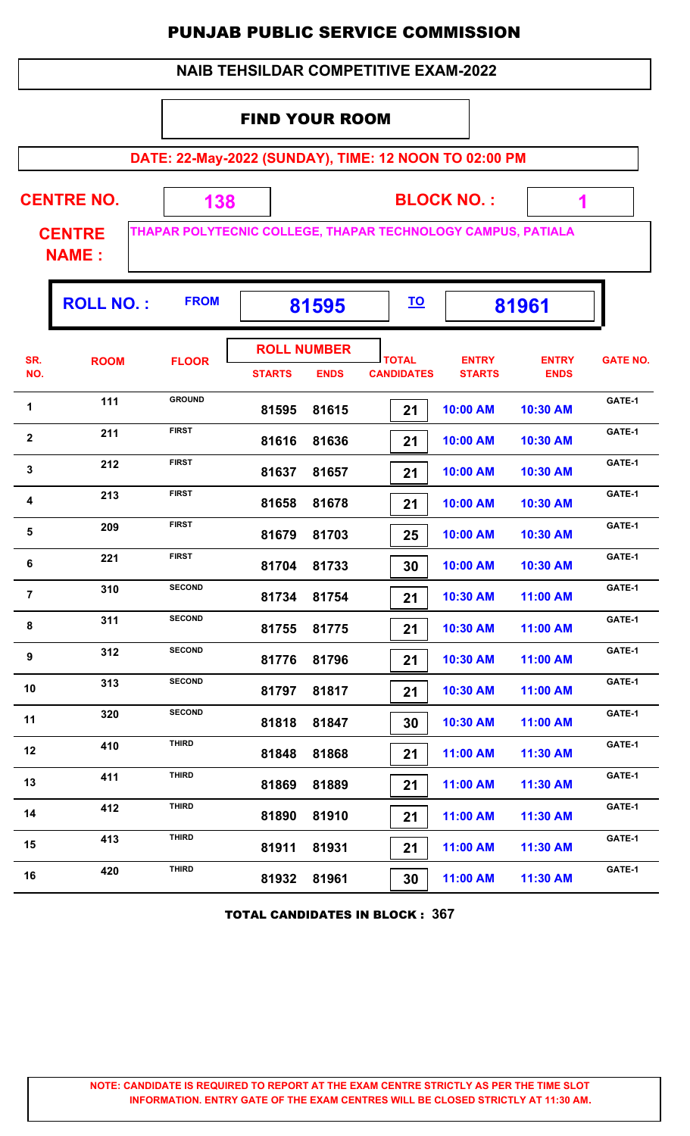|                       | <b>NAIB TEHSILDAR COMPETITIVE EXAM-2022</b>           |                                            |               |                                   |                                   |                                                              |                             |                 |  |  |  |  |  |
|-----------------------|-------------------------------------------------------|--------------------------------------------|---------------|-----------------------------------|-----------------------------------|--------------------------------------------------------------|-----------------------------|-----------------|--|--|--|--|--|
| <b>FIND YOUR ROOM</b> |                                                       |                                            |               |                                   |                                   |                                                              |                             |                 |  |  |  |  |  |
|                       | DATE: 22-May-2022 (SUNDAY), TIME: 12 NOON TO 02:00 PM |                                            |               |                                   |                                   |                                                              |                             |                 |  |  |  |  |  |
|                       | <b>CENTRE NO.</b>                                     | 138                                        |               |                                   |                                   | <b>BLOCK NO.:</b>                                            | 1                           |                 |  |  |  |  |  |
|                       | <b>CENTRE</b><br><b>NAME:</b>                         |                                            |               |                                   |                                   | THAPAR POLYTECNIC COLLEGE, THAPAR TECHNOLOGY CAMPUS, PATIALA |                             |                 |  |  |  |  |  |
|                       | <b>ROLL NO.:</b>                                      | <b>FROM</b><br><u>TO</u><br>81595<br>81961 |               |                                   |                                   |                                                              |                             |                 |  |  |  |  |  |
| SR.<br>NO.            | <b>ROOM</b>                                           | <b>FLOOR</b>                               | <b>STARTS</b> | <b>ROLL NUMBER</b><br><b>ENDS</b> | <b>TOTAL</b><br><b>CANDIDATES</b> | <b>ENTRY</b><br><b>STARTS</b>                                | <b>ENTRY</b><br><b>ENDS</b> | <b>GATE NO.</b> |  |  |  |  |  |
| 1                     | 111                                                   | <b>GROUND</b>                              | 81595         | 81615                             | 21                                | 10:00 AM                                                     | 10:30 AM                    | GATE-1          |  |  |  |  |  |
| $\mathbf{2}$          | 211                                                   | <b>FIRST</b>                               | 81616         | 81636                             | 21                                | 10:00 AM                                                     | 10:30 AM                    | GATE-1          |  |  |  |  |  |
| 3                     | 212                                                   | <b>FIRST</b>                               | 81637         | 81657                             | 21                                | 10:00 AM                                                     | 10:30 AM                    | GATE-1          |  |  |  |  |  |
| 4                     | 213                                                   | <b>FIRST</b>                               | 81658         | 81678                             | 21                                | 10:00 AM                                                     | 10:30 AM                    | GATE-1          |  |  |  |  |  |
| 5                     | 209                                                   | <b>FIRST</b>                               | 81679         | 81703                             | 25                                | 10:00 AM                                                     | 10:30 AM                    | GATE-1          |  |  |  |  |  |
| 6                     | 221                                                   | <b>FIRST</b>                               | 81704         | 81733                             | 30                                | 10:00 AM                                                     | 10:30 AM                    | GATE-1          |  |  |  |  |  |
| $\overline{7}$        | 310                                                   | <b>SECOND</b>                              | 81734         | 81754                             | 21                                | 10:30 AM                                                     | 11:00 AM                    | GATE-1          |  |  |  |  |  |
| 8                     | 311                                                   | <b>SECOND</b>                              | 81755         | 81775                             | 21                                | 10:30 AM                                                     | 11:00 AM                    | GATE-1          |  |  |  |  |  |
| 9                     | 312                                                   | <b>SECOND</b>                              | 81776         | 81796                             | 21                                | 10:30 AM                                                     | 11:00 AM                    | GATE-1          |  |  |  |  |  |
| 10                    | 313                                                   | <b>SECOND</b>                              | 81797         | 81817                             | 21                                | 10:30 AM                                                     | 11:00 AM                    | GATE-1          |  |  |  |  |  |
| 11                    | 320                                                   | <b>SECOND</b>                              | 81818         | 81847                             | 30                                | 10:30 AM                                                     | 11:00 AM                    | GATE-1          |  |  |  |  |  |
| 12                    | 410                                                   | <b>THIRD</b>                               | 81848         | 81868                             | 21                                | 11:00 AM                                                     | 11:30 AM                    | GATE-1          |  |  |  |  |  |
| 13                    | 411                                                   | <b>THIRD</b>                               | 81869         | 81889                             | 21                                | 11:00 AM                                                     | 11:30 AM                    | GATE-1          |  |  |  |  |  |
| 14                    | 412                                                   | <b>THIRD</b>                               | 81890         | 81910                             | 21                                | 11:00 AM                                                     | 11:30 AM                    | GATE-1          |  |  |  |  |  |
| 15                    | 413                                                   | <b>THIRD</b>                               | 81911         | 81931                             | 21                                | 11:00 AM                                                     | 11:30 AM                    | GATE-1          |  |  |  |  |  |
| 16                    | 420                                                   | <b>THIRD</b>                               | 81932         | 81961                             | 30                                | 11:00 AM                                                     | 11:30 AM                    | GATE-1          |  |  |  |  |  |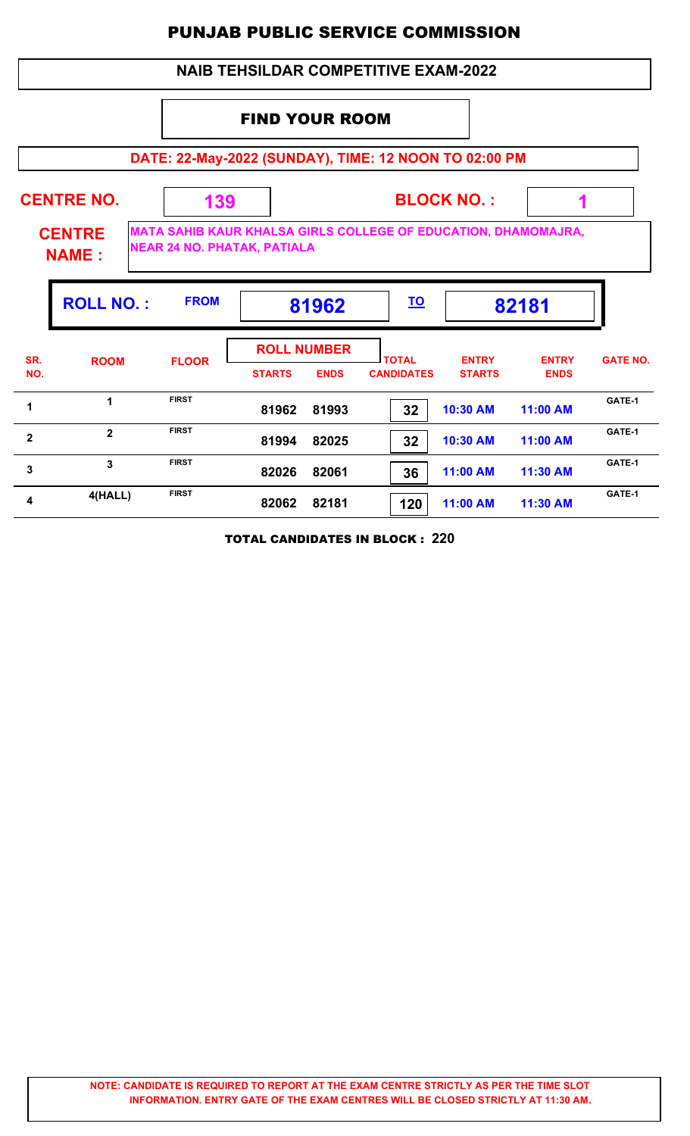### **NAIB TEHSILDAR COMPETITIVE EXAM-2022**

## FIND YOUR ROOM

**DATE: 22-May-2022 (SUNDAY), TIME: 12 NOON TO 02:00 PM**

| <b>CENTRE NO.</b><br><b>CENTRE</b><br><b>NAME:</b> |                  | 139<br><b>NEAR 24 NO. PHATAK, PATIALA</b> |                                     | <b>BLOCK NO.:</b><br>MATA SAHIB KAUR KHALSA GIRLS COLLEGE OF EDUCATION, DHAMOMAJRA, |                                   |                               |                             |                 |  |  |
|----------------------------------------------------|------------------|-------------------------------------------|-------------------------------------|-------------------------------------------------------------------------------------|-----------------------------------|-------------------------------|-----------------------------|-----------------|--|--|
|                                                    | <b>ROLL NO.:</b> | <b>FROM</b>                               |                                     | 81962                                                                               | <u>TO</u>                         |                               | 82181                       |                 |  |  |
| SR.<br>NO.                                         | <b>ROOM</b>      | <b>FLOOR</b>                              | <b>ROLL NUMBER</b><br><b>STARTS</b> | <b>ENDS</b>                                                                         | <b>TOTAL</b><br><b>CANDIDATES</b> | <b>ENTRY</b><br><b>STARTS</b> | <b>ENTRY</b><br><b>ENDS</b> | <b>GATE NO.</b> |  |  |
| 1                                                  | 1                | <b>FIRST</b>                              | 81962                               | 81993                                                                               | 32                                | 10:30 AM                      | 11:00 AM                    | GATE-1          |  |  |
| $\mathbf{2}$                                       | $\mathbf{2}$     | <b>FIRST</b>                              | 81994                               | 82025                                                                               | 32                                | 10:30 AM                      | 11:00 AM                    | GATE-1          |  |  |
| 3                                                  | 3                | <b>FIRST</b>                              | 82026                               | 82061                                                                               | 36                                | 11:00 AM                      | 11:30 AM                    | GATE-1          |  |  |
| 4                                                  | 4(HALL)          | <b>FIRST</b>                              | 82062                               | 82181                                                                               | 120                               | 11:00 AM                      | 11:30 AM                    | GATE-1          |  |  |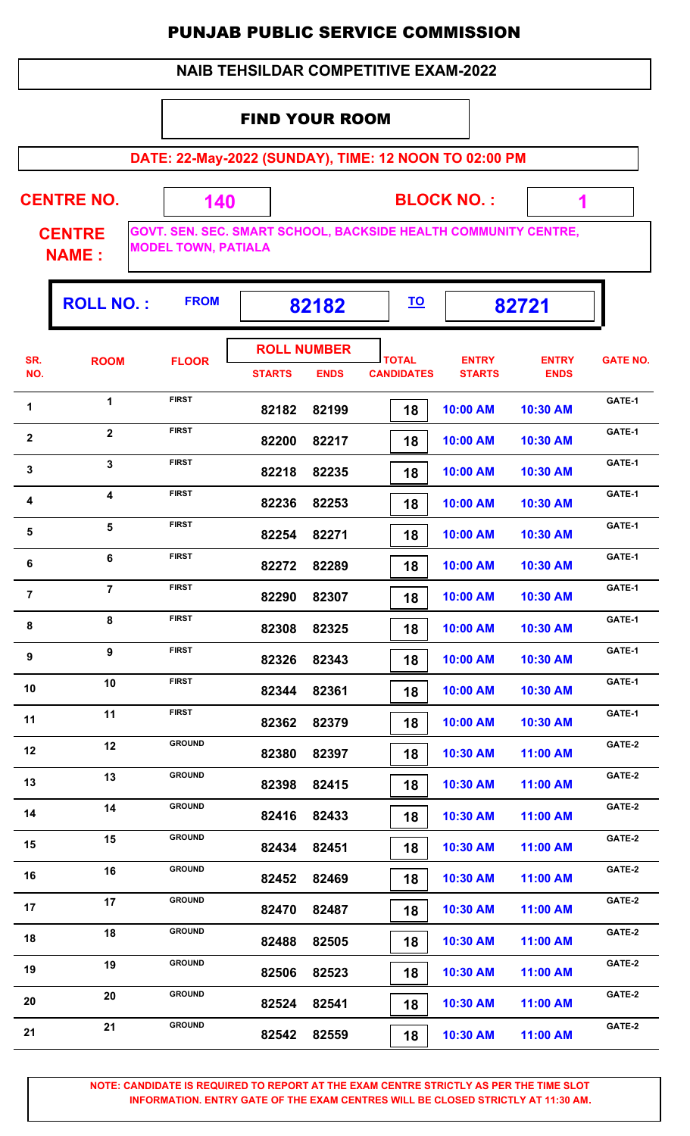#### **NAIB TEHSILDAR COMPETITIVE EXAM-2022**

#### FIND YOUR ROOM

 **140**

**DATE: 22-May-2022 (SUNDAY), TIME: 12 NOON TO 02:00 PM**

**CENTRE NO.** 

**BLOCK NO. :**

 **1**

۰,

**CENTRE NAME :**

**GOVT. SEN. SEC. SMART SCHOOL, BACKSIDE HEALTH COMMUNITY CENTRE, MODEL TOWN, PATIALA**

|                         | <b>ROLL NO.:</b>        | <b>FROM</b>   |               | 82182              |                   |               | 82721        |                 |
|-------------------------|-------------------------|---------------|---------------|--------------------|-------------------|---------------|--------------|-----------------|
| SR.                     | <b>ROOM</b>             | <b>FLOOR</b>  |               | <b>ROLL NUMBER</b> | <b>TOTAL</b>      | <b>ENTRY</b>  | <b>ENTRY</b> | <b>GATE NO.</b> |
| NO.                     |                         |               | <b>STARTS</b> | <b>ENDS</b>        | <b>CANDIDATES</b> | <b>STARTS</b> | <b>ENDS</b>  |                 |
| 1                       | $\mathbf{1}$            | <b>FIRST</b>  | 82182         | 82199              | 18                | 10:00 AM      | 10:30 AM     | GATE-1          |
| $\mathbf{2}$            | $\overline{2}$          | <b>FIRST</b>  | 82200         | 82217              | 18                | 10:00 AM      | 10:30 AM     | GATE-1          |
| $\mathbf{3}$            | $\mathbf{3}$            | <b>FIRST</b>  | 82218         | 82235              | 18                | 10:00 AM      | 10:30 AM     | GATE-1          |
| $\overline{\mathbf{4}}$ | $\overline{\mathbf{4}}$ | <b>FIRST</b>  | 82236         | 82253              | 18                | 10:00 AM      | 10:30 AM     | GATE-1          |
| $\sqrt{5}$              | 5                       | <b>FIRST</b>  | 82254         | 82271              | 18                | 10:00 AM      | 10:30 AM     | GATE-1          |
| 6                       | 6                       | <b>FIRST</b>  | 82272         | 82289              | 18                | 10:00 AM      | 10:30 AM     | GATE-1          |
| $\overline{7}$          | $\overline{7}$          | <b>FIRST</b>  | 82290         | 82307              | 18                | 10:00 AM      | 10:30 AM     | GATE-1          |
| 8                       | 8                       | <b>FIRST</b>  | 82308         | 82325              | 18                | 10:00 AM      | 10:30 AM     | GATE-1          |
| 9                       | $\boldsymbol{9}$        | <b>FIRST</b>  | 82326         | 82343              | 18                | 10:00 AM      | 10:30 AM     | GATE-1          |
| 10                      | 10                      | <b>FIRST</b>  | 82344         | 82361              | 18                | 10:00 AM      | 10:30 AM     | GATE-1          |
| 11                      | 11                      | <b>FIRST</b>  | 82362         | 82379              | 18                | 10:00 AM      | 10:30 AM     | GATE-1          |
| 12                      | 12                      | <b>GROUND</b> | 82380         | 82397              | 18                | 10:30 AM      | 11:00 AM     | GATE-2          |
| 13                      | 13                      | <b>GROUND</b> | 82398         | 82415              | 18                | 10:30 AM      | 11:00 AM     | GATE-2          |
| 14                      | 14                      | <b>GROUND</b> | 82416         | 82433              | 18                | 10:30 AM      | 11:00 AM     | GATE-2          |
| 15                      | 15                      | <b>GROUND</b> | 82434         | 82451              | 18                | 10:30 AM      | 11:00 AM     | GATE-2          |
| 16                      | 16                      | <b>GROUND</b> | 82452         | 82469              | 18                | 10:30 AM      | 11:00 AM     | GATE-2          |
| 17                      | 17                      | <b>GROUND</b> | 82470         | 82487              | 18                | 10:30 AM      | 11:00 AM     | GATE-2          |
| 18                      | 18                      | <b>GROUND</b> | 82488         | 82505              | 18                | 10:30 AM      | 11:00 AM     | GATE-2          |
| 19                      | 19                      | <b>GROUND</b> | 82506         | 82523              | 18                | 10:30 AM      | 11:00 AM     | GATE-2          |
| 20                      | 20                      | <b>GROUND</b> | 82524         | 82541              | 18                | 10:30 AM      | 11:00 AM     | GATE-2          |
| 21                      | 21                      | <b>GROUND</b> | 82542         | 82559              | 18                | 10:30 AM      | 11:00 AM     | GATE-2          |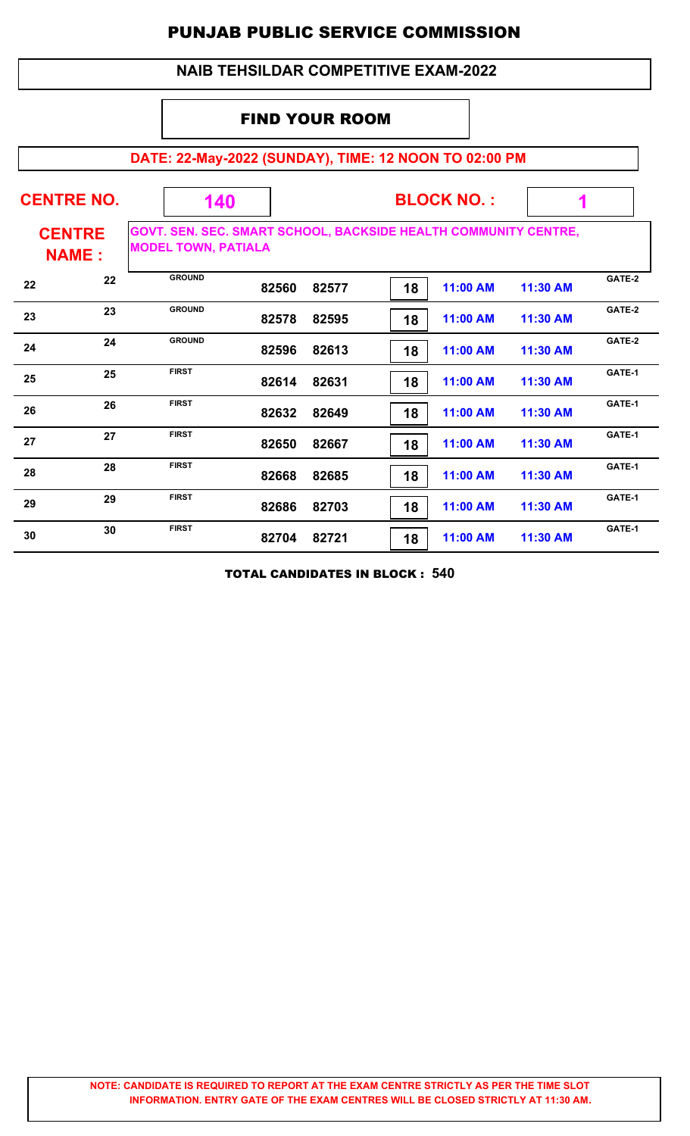#### **NAIB TEHSILDAR COMPETITIVE EXAM-2022**

### FIND YOUR ROOM

# **DATE: 22-May-2022 (SUNDAY), TIME: 12 NOON TO 02:00 PM**

| <b>CENTRE NO.</b> |                               | 140                                                                                           |       |       | <b>BLOCK NO.:</b> |          |          |        |
|-------------------|-------------------------------|-----------------------------------------------------------------------------------------------|-------|-------|-------------------|----------|----------|--------|
|                   | <b>CENTRE</b><br><b>NAME:</b> | GOVT. SEN. SEC. SMART SCHOOL, BACKSIDE HEALTH COMMUNITY CENTRE,<br><b>MODEL TOWN, PATIALA</b> |       |       |                   |          |          |        |
| 22                | 22                            | <b>GROUND</b>                                                                                 | 82560 | 82577 | 18                | 11:00 AM | 11:30 AM | GATE-2 |
| 23                | 23                            | <b>GROUND</b>                                                                                 | 82578 | 82595 | 18                | 11:00 AM | 11:30 AM | GATE-2 |
| 24                | 24                            | <b>GROUND</b>                                                                                 | 82596 | 82613 | 18                | 11:00 AM | 11:30 AM | GATE-2 |
| 25                | 25                            | <b>FIRST</b>                                                                                  | 82614 | 82631 | 18                | 11:00 AM | 11:30 AM | GATE-1 |
| 26                | 26                            | <b>FIRST</b>                                                                                  | 82632 | 82649 | 18                | 11:00 AM | 11:30 AM | GATE-1 |
| 27                | 27                            | <b>FIRST</b>                                                                                  | 82650 | 82667 | 18                | 11:00 AM | 11:30 AM | GATE-1 |
| 28                | 28                            | <b>FIRST</b>                                                                                  | 82668 | 82685 | 18                | 11:00 AM | 11:30 AM | GATE-1 |
| 29                | 29                            | <b>FIRST</b>                                                                                  | 82686 | 82703 | 18                | 11:00 AM | 11:30 AM | GATE-1 |
| 30                | 30                            | <b>FIRST</b>                                                                                  | 82704 | 82721 | 18                | 11:00 AM | 11:30 AM | GATE-1 |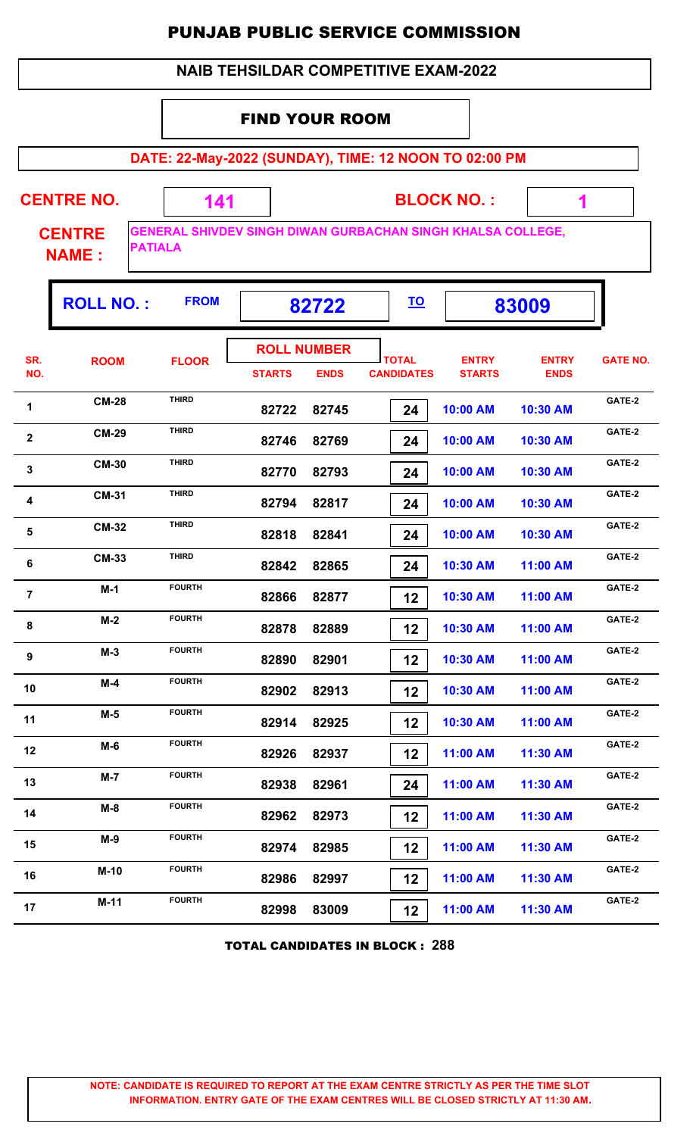|                         |                                                       |                          |                       |                                   | <b>NAIB TEHSILDAR COMPETITIVE EXAM-2022</b>                        |                               |                             |                 |  |  |  |  |  |
|-------------------------|-------------------------------------------------------|--------------------------|-----------------------|-----------------------------------|--------------------------------------------------------------------|-------------------------------|-----------------------------|-----------------|--|--|--|--|--|
|                         |                                                       |                          | <b>FIND YOUR ROOM</b> |                                   |                                                                    |                               |                             |                 |  |  |  |  |  |
|                         | DATE: 22-May-2022 (SUNDAY), TIME: 12 NOON TO 02:00 PM |                          |                       |                                   |                                                                    |                               |                             |                 |  |  |  |  |  |
|                         | <b>CENTRE NO.</b>                                     | <b>BLOCK NO.:</b><br>141 |                       |                                   |                                                                    |                               |                             | 1               |  |  |  |  |  |
|                         | <b>CENTRE</b><br><b>PATIALA</b><br><b>NAME:</b>       |                          |                       |                                   | <b>GENERAL SHIVDEV SINGH DIWAN GURBACHAN SINGH KHALSA COLLEGE,</b> |                               |                             |                 |  |  |  |  |  |
|                         | <b>ROLL NO.:</b>                                      | <b>FROM</b>              |                       | 82722                             | <u>TO</u>                                                          |                               | 83009                       |                 |  |  |  |  |  |
| SR.<br>NO.              | <b>ROOM</b>                                           | <b>FLOOR</b>             | <b>STARTS</b>         | <b>ROLL NUMBER</b><br><b>ENDS</b> | <b>TOTAL</b><br><b>CANDIDATES</b>                                  | <b>ENTRY</b><br><b>STARTS</b> | <b>ENTRY</b><br><b>ENDS</b> | <b>GATE NO.</b> |  |  |  |  |  |
| 1                       | <b>CM-28</b>                                          | <b>THIRD</b>             | 82722                 | 82745                             | 24                                                                 | 10:00 AM                      | 10:30 AM                    | GATE-2          |  |  |  |  |  |
| $\overline{\mathbf{2}}$ | <b>CM-29</b>                                          | <b>THIRD</b>             | 82746                 | 82769                             | 24                                                                 | 10:00 AM                      | 10:30 AM                    | GATE-2          |  |  |  |  |  |
| 3                       | <b>CM-30</b>                                          | <b>THIRD</b>             | 82770                 | 82793                             | 24                                                                 | 10:00 AM                      | 10:30 AM                    | GATE-2          |  |  |  |  |  |
| 4                       | <b>CM-31</b>                                          | <b>THIRD</b>             | 82794                 | 82817                             | 24                                                                 | 10:00 AM                      | 10:30 AM                    | GATE-2          |  |  |  |  |  |
| 5                       | <b>CM-32</b>                                          | <b>THIRD</b>             | 82818                 | 82841                             | 24                                                                 | 10:00 AM                      | 10:30 AM                    | GATE-2          |  |  |  |  |  |
| 6                       | <b>CM-33</b>                                          | <b>THIRD</b>             | 82842                 | 82865                             | 24                                                                 | 10:30 AM                      | 11:00 AM                    | GATE-2          |  |  |  |  |  |
| $\overline{7}$          | $M-1$                                                 | <b>FOURTH</b>            | 82866                 | 82877                             | 12                                                                 | 10:30 AM                      | 11:00 AM                    | GATE-2          |  |  |  |  |  |
| 8                       | $M-2$                                                 | <b>FOURTH</b>            | 82878                 | 82889                             | 12                                                                 | 10:30 AM                      | 11:00 AM                    | GATE-2          |  |  |  |  |  |
| 9                       | $M-3$                                                 | <b>FOURTH</b>            | 82890                 | 82901                             | 12                                                                 | 10:30 AM                      | 11:00 AM                    | GATE-2          |  |  |  |  |  |
| 10                      | $M-4$                                                 | <b>FOURTH</b>            | 82902                 | 82913                             | 12                                                                 | 10:30 AM                      | 11:00 AM                    | GATE-2          |  |  |  |  |  |
| 11                      | $M-5$                                                 | <b>FOURTH</b>            | 82914                 | 82925                             | 12                                                                 | 10:30 AM                      | 11:00 AM                    | GATE-2          |  |  |  |  |  |
| 12                      | $M-6$                                                 | <b>FOURTH</b>            | 82926                 | 82937                             | 12                                                                 | 11:00 AM                      | 11:30 AM                    | GATE-2          |  |  |  |  |  |
| 13                      | $M-7$                                                 | <b>FOURTH</b>            | 82938                 | 82961                             | 24                                                                 | 11:00 AM                      | 11:30 AM                    | GATE-2          |  |  |  |  |  |
| 14                      | $M-8$                                                 | <b>FOURTH</b>            | 82962                 | 82973                             | 12                                                                 | 11:00 AM                      | 11:30 AM                    | GATE-2          |  |  |  |  |  |
| 15                      | $M-9$                                                 | <b>FOURTH</b>            | 82974                 | 82985                             | 12                                                                 | 11:00 AM                      | 11:30 AM                    | GATE-2          |  |  |  |  |  |
| 16                      | $M-10$                                                | <b>FOURTH</b>            | 82986                 | 82997                             | 12                                                                 | 11:00 AM                      | 11:30 AM                    | GATE-2          |  |  |  |  |  |
| 17                      | $M-11$                                                | <b>FOURTH</b>            | 82998                 | 83009                             | 12                                                                 | 11:00 AM                      | 11:30 AM                    | GATE-2          |  |  |  |  |  |

#### TOTAL CANDIDATES IN BLOCK : **288**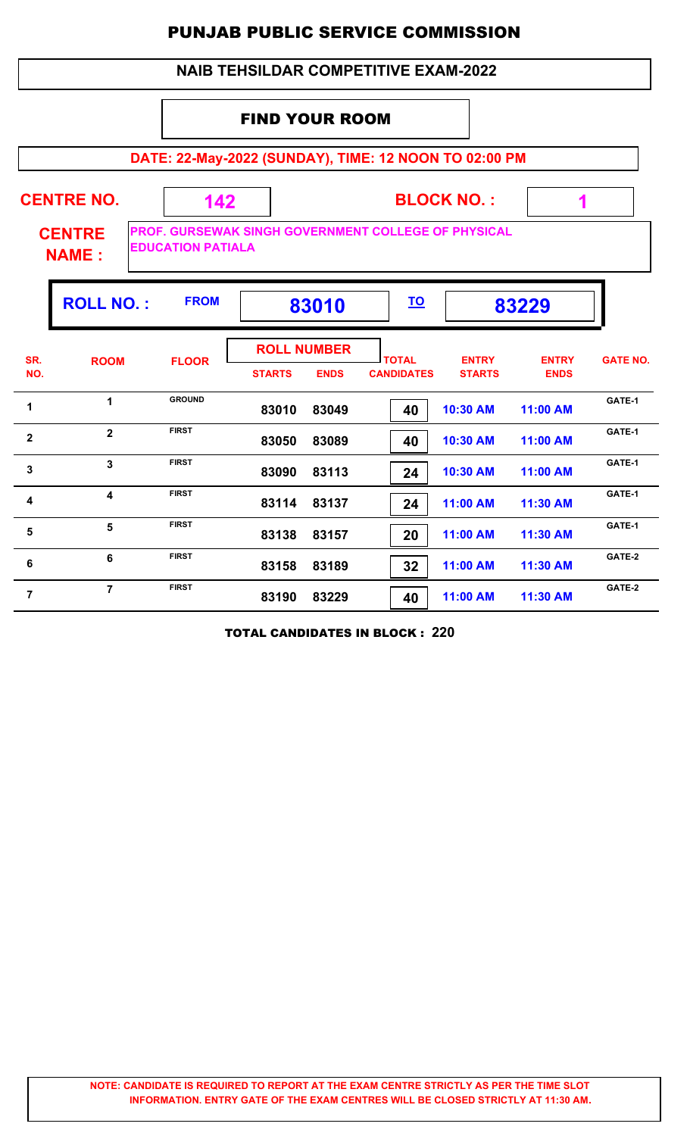#### **NAIB TEHSILDAR COMPETITIVE EXAM-2022**

#### FIND YOUR ROOM

**DATE: 22-May-2022 (SUNDAY), TIME: 12 NOON TO 02:00 PM**

| <b>CENTRE NO.</b><br><b>CENTRE</b><br><b>NAME:</b> |                         | 142<br><b>EDUCATION PATIALA</b> |               | <b>BLOCK NO.:</b><br>PROF. GURSEWAK SINGH GOVERNMENT COLLEGE OF PHYSICAL |                                   |                               |                             |                 |  |  |
|----------------------------------------------------|-------------------------|---------------------------------|---------------|--------------------------------------------------------------------------|-----------------------------------|-------------------------------|-----------------------------|-----------------|--|--|
|                                                    | <b>ROLL NO.:</b>        | <b>FROM</b>                     |               | 83010                                                                    | <u>TO</u>                         |                               | 83229                       |                 |  |  |
| SR.<br>NO.                                         | <b>ROOM</b>             | <b>FLOOR</b>                    | <b>STARTS</b> | <b>ROLL NUMBER</b><br><b>ENDS</b>                                        | <b>TOTAL</b><br><b>CANDIDATES</b> | <b>ENTRY</b><br><b>STARTS</b> | <b>ENTRY</b><br><b>ENDS</b> | <b>GATE NO.</b> |  |  |
| 1                                                  | $\mathbf 1$             | <b>GROUND</b>                   | 83010         | 83049                                                                    | 40                                | 10:30 AM                      | 11:00 AM                    | GATE-1          |  |  |
| $\overline{2}$                                     | $\overline{2}$          | <b>FIRST</b>                    | 83050         | 83089                                                                    | 40                                | 10:30 AM                      | 11:00 AM                    | GATE-1          |  |  |
| 3                                                  | $\overline{3}$          | <b>FIRST</b>                    | 83090         | 83113                                                                    | 24                                | 10:30 AM                      | 11:00 AM                    | GATE-1          |  |  |
| 4                                                  | $\overline{\mathbf{4}}$ | <b>FIRST</b>                    | 83114         | 83137                                                                    | 24                                | 11:00 AM                      | 11:30 AM                    | GATE-1          |  |  |
| 5                                                  | 5                       | <b>FIRST</b>                    | 83138         | 83157                                                                    | 20                                | 11:00 AM                      | 11:30 AM                    | GATE-1          |  |  |
| 6                                                  | 6                       | <b>FIRST</b>                    | 83158         | 83189                                                                    | 32                                | 11:00 AM                      | 11:30 AM                    | GATE-2          |  |  |
| $\overline{7}$                                     | $\overline{7}$          | <b>FIRST</b>                    | 83190         | 83229                                                                    | 40                                | 11:00 AM                      | 11:30 AM                    | GATE-2          |  |  |

TOTAL CANDIDATES IN BLOCK : **220**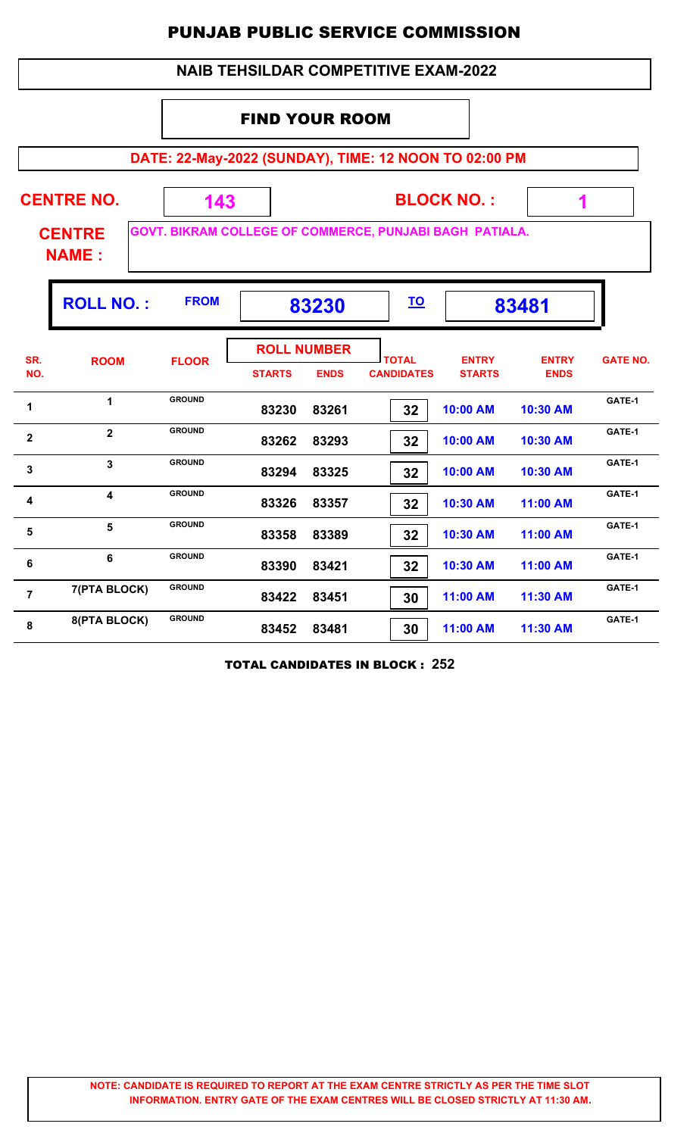|                |                                                                                                                                |               |               |                                   | <b>NAIB TEHSILDAR COMPETITIVE EXAM-2022</b> |                               |                             |                 |  |  |  |
|----------------|--------------------------------------------------------------------------------------------------------------------------------|---------------|---------------|-----------------------------------|---------------------------------------------|-------------------------------|-----------------------------|-----------------|--|--|--|
|                | <b>FIND YOUR ROOM</b>                                                                                                          |               |               |                                   |                                             |                               |                             |                 |  |  |  |
|                | DATE: 22-May-2022 (SUNDAY), TIME: 12 NOON TO 02:00 PM                                                                          |               |               |                                   |                                             |                               |                             |                 |  |  |  |
|                | <b>CENTRE NO.</b><br><b>BLOCK NO.:</b><br>143<br>1<br>GOVT. BIKRAM COLLEGE OF COMMERCE, PUNJABI BAGH PATIALA.<br><b>CENTRE</b> |               |               |                                   |                                             |                               |                             |                 |  |  |  |
|                | <b>NAME:</b>                                                                                                                   |               |               |                                   |                                             |                               |                             |                 |  |  |  |
|                | <b>ROLL NO.:</b><br><b>FROM</b><br><u>TO</u><br>83230<br>83481                                                                 |               |               |                                   |                                             |                               |                             |                 |  |  |  |
| SR.<br>NO.     | <b>ROOM</b>                                                                                                                    | <b>FLOOR</b>  | <b>STARTS</b> | <b>ROLL NUMBER</b><br><b>ENDS</b> | <b>TOTAL</b><br><b>CANDIDATES</b>           | <b>ENTRY</b><br><b>STARTS</b> | <b>ENTRY</b><br><b>ENDS</b> | <b>GATE NO.</b> |  |  |  |
| 1              | $\mathbf{1}$                                                                                                                   | <b>GROUND</b> | 83230         | 83261                             | 32                                          | 10:00 AM                      | 10:30 AM                    | GATE-1          |  |  |  |
| $\overline{2}$ | $\overline{2}$                                                                                                                 | <b>GROUND</b> | 83262         | 83293                             | 32                                          | 10:00 AM                      | 10:30 AM                    | GATE-1          |  |  |  |
| 3              | 3                                                                                                                              | <b>GROUND</b> | 83294         | 83325                             | 32                                          | 10:00 AM                      | 10:30 AM                    | GATE-1          |  |  |  |
| 4              | 4                                                                                                                              | <b>GROUND</b> | 83326         | 83357                             | 32                                          | 10:30 AM                      | 11:00 AM                    | GATE-1          |  |  |  |
| 5              | 5                                                                                                                              | <b>GROUND</b> | 83358         | 83389                             | 32                                          | 10:30 AM                      | 11:00 AM                    | GATE-1          |  |  |  |
| $\bf 6$        | 6                                                                                                                              | <b>GROUND</b> | 83390         | 83421                             | 32                                          | 10:30 AM                      | 11:00 AM                    | GATE-1          |  |  |  |
| $\overline{7}$ | 7(PTA BLOCK)                                                                                                                   | <b>GROUND</b> | 83422         | 83451                             | 30                                          | 11:00 AM                      | 11:30 AM                    | GATE-1          |  |  |  |
| 8              | 8(PTA BLOCK)                                                                                                                   | <b>GROUND</b> | 83452         | 83481                             | 30                                          | 11:00 AM                      | 11:30 AM                    | GATE-1          |  |  |  |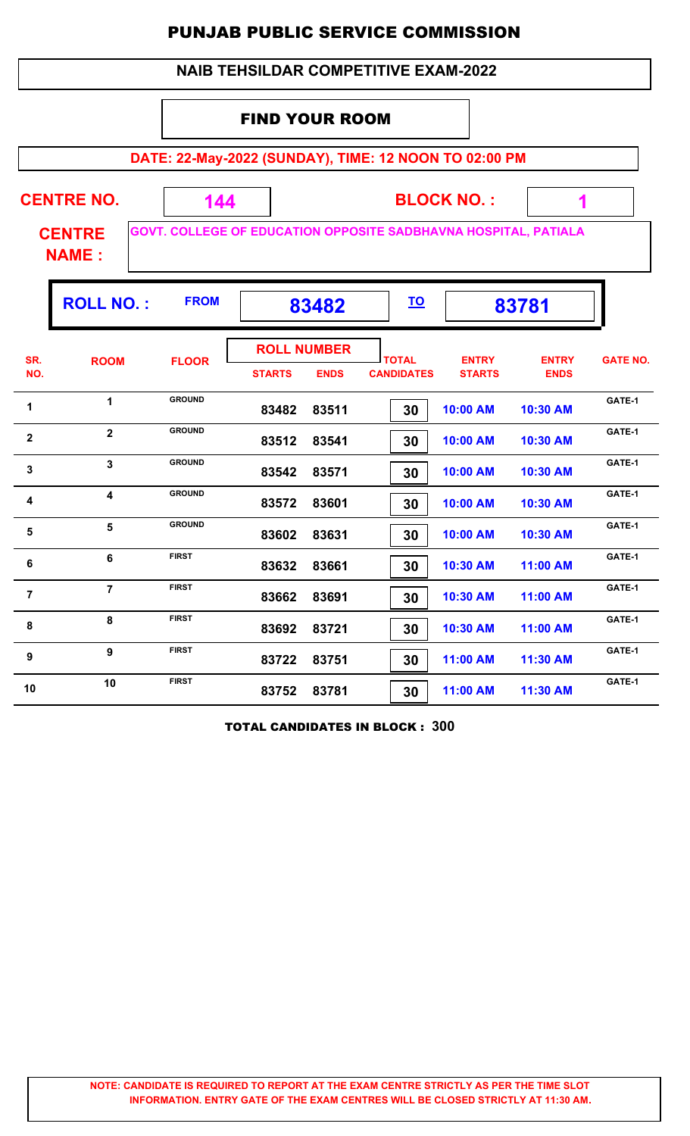| <b>NAIB TEHSILDAR COMPETITIVE EXAM-2022</b>                                                      |                                                    |               |               |                                   |                                   |                               |                             |                 |  |  |  |  |
|--------------------------------------------------------------------------------------------------|----------------------------------------------------|---------------|---------------|-----------------------------------|-----------------------------------|-------------------------------|-----------------------------|-----------------|--|--|--|--|
|                                                                                                  | <b>FIND YOUR ROOM</b>                              |               |               |                                   |                                   |                               |                             |                 |  |  |  |  |
| DATE: 22-May-2022 (SUNDAY), TIME: 12 NOON TO 02:00 PM                                            |                                                    |               |               |                                   |                                   |                               |                             |                 |  |  |  |  |
|                                                                                                  | <b>CENTRE NO.</b><br><b>BLOCK NO.:</b><br>144<br>1 |               |               |                                   |                                   |                               |                             |                 |  |  |  |  |
| GOVT. COLLEGE OF EDUCATION OPPOSITE SADBHAVNA HOSPITAL, PATIALA<br><b>CENTRE</b><br><b>NAME:</b> |                                                    |               |               |                                   |                                   |                               |                             |                 |  |  |  |  |
| <b>FROM</b><br><b>ROLL NO.:</b><br><u>TO</u><br>83482<br>83781                                   |                                                    |               |               |                                   |                                   |                               |                             |                 |  |  |  |  |
| SR.<br>NO.                                                                                       | <b>ROOM</b>                                        | <b>FLOOR</b>  | <b>STARTS</b> | <b>ROLL NUMBER</b><br><b>ENDS</b> | <b>TOTAL</b><br><b>CANDIDATES</b> | <b>ENTRY</b><br><b>STARTS</b> | <b>ENTRY</b><br><b>ENDS</b> | <b>GATE NO.</b> |  |  |  |  |
| 1                                                                                                | 1                                                  | <b>GROUND</b> | 83482         | 83511                             | 30                                | 10:00 AM                      | 10:30 AM                    | GATE-1          |  |  |  |  |
| $\mathbf{2}$                                                                                     | $\overline{2}$                                     | <b>GROUND</b> | 83512         | 83541                             | 30                                | 10:00 AM                      | 10:30 AM                    | GATE-1          |  |  |  |  |
| 3                                                                                                | $\overline{\mathbf{3}}$                            | <b>GROUND</b> | 83542         | 83571                             | 30                                | 10:00 AM                      | 10:30 AM                    | GATE-1          |  |  |  |  |
| 4                                                                                                | $\overline{\mathbf{4}}$                            | <b>GROUND</b> | 83572         | 83601                             | 30                                | 10:00 AM                      | 10:30 AM                    | GATE-1          |  |  |  |  |
| 5                                                                                                | 5                                                  | <b>GROUND</b> | 83602         | 83631                             | 30                                | 10:00 AM                      | 10:30 AM                    | GATE-1          |  |  |  |  |
| 6                                                                                                | 6                                                  | <b>FIRST</b>  | 83632         | 83661                             | 30                                | 10:30 AM                      | 11:00 AM                    | GATE-1          |  |  |  |  |
| $\overline{7}$                                                                                   | $\overline{7}$                                     | <b>FIRST</b>  | 83662         | 83691                             | 30                                | 10:30 AM                      | 11:00 AM                    | GATE-1          |  |  |  |  |
| 8                                                                                                | 8                                                  | <b>FIRST</b>  | 83692         | 83721                             | 30                                | 10:30 AM                      | 11:00 AM                    | GATE-1          |  |  |  |  |
| $\boldsymbol{9}$                                                                                 | $\boldsymbol{9}$                                   | <b>FIRST</b>  | 83722         | 83751                             | 30                                | 11:00 AM                      | 11:30 AM                    | GATE-1          |  |  |  |  |
| 10                                                                                               | 10                                                 | <b>FIRST</b>  | 83752         | 83781                             | 30                                | 11:00 AM                      | 11:30 AM                    | GATE-1          |  |  |  |  |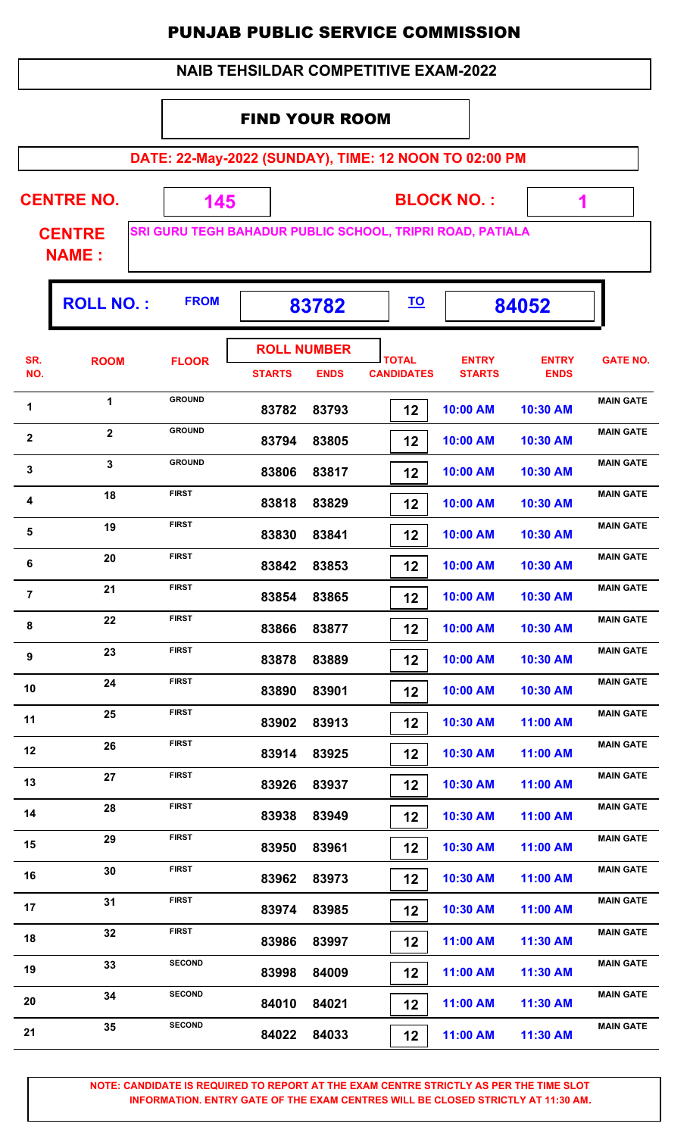|                  |                                                                                            |               |                       |                                   | <b>NAIB TEHSILDAR COMPETITIVE EXAM-2022</b> |                               |                             |                  |  |  |  |  |  |
|------------------|--------------------------------------------------------------------------------------------|---------------|-----------------------|-----------------------------------|---------------------------------------------|-------------------------------|-----------------------------|------------------|--|--|--|--|--|
|                  |                                                                                            |               | <b>FIND YOUR ROOM</b> |                                   |                                             |                               |                             |                  |  |  |  |  |  |
|                  | DATE: 22-May-2022 (SUNDAY), TIME: 12 NOON TO 02:00 PM                                      |               |                       |                                   |                                             |                               |                             |                  |  |  |  |  |  |
|                  |                                                                                            |               |                       |                                   |                                             |                               |                             |                  |  |  |  |  |  |
|                  | <b>CENTRE NO.</b><br><b>BLOCK NO.:</b><br>145<br>1                                         |               |                       |                                   |                                             |                               |                             |                  |  |  |  |  |  |
|                  | SRI GURU TEGH BAHADUR PUBLIC SCHOOL, TRIPRI ROAD, PATIALA<br><b>CENTRE</b><br><b>NAME:</b> |               |                       |                                   |                                             |                               |                             |                  |  |  |  |  |  |
|                  | <b>ROLL NO.:</b><br><b>FROM</b><br><u>TO</u><br>84052<br>83782                             |               |                       |                                   |                                             |                               |                             |                  |  |  |  |  |  |
| SR.<br>NO.       | <b>ROOM</b>                                                                                | <b>FLOOR</b>  | <b>STARTS</b>         | <b>ROLL NUMBER</b><br><b>ENDS</b> | <b>TOTAL</b><br><b>CANDIDATES</b>           | <b>ENTRY</b><br><b>STARTS</b> | <b>ENTRY</b><br><b>ENDS</b> | <b>GATE NO.</b>  |  |  |  |  |  |
| 1                | $\mathbf{1}$                                                                               | <b>GROUND</b> | 83782                 | 83793                             | 12                                          | 10:00 AM                      | 10:30 AM                    | <b>MAIN GATE</b> |  |  |  |  |  |
| $\mathbf{2}$     | $\mathbf{2}$                                                                               | <b>GROUND</b> | 83794                 | 83805                             | 12                                          | 10:00 AM                      | 10:30 AM                    | <b>MAIN GATE</b> |  |  |  |  |  |
| 3                | $\mathbf{3}$                                                                               | <b>GROUND</b> | 83806                 | 83817                             | 12                                          | 10:00 AM                      | 10:30 AM                    | <b>MAIN GATE</b> |  |  |  |  |  |
| 4                | 18                                                                                         | <b>FIRST</b>  | 83818                 | 83829                             | 12                                          | 10:00 AM                      | 10:30 AM                    | <b>MAIN GATE</b> |  |  |  |  |  |
| 5                | 19                                                                                         | <b>FIRST</b>  | 83830                 | 83841                             | 12                                          | 10:00 AM                      | 10:30 AM                    | <b>MAIN GATE</b> |  |  |  |  |  |
| $\bf 6$          | 20                                                                                         | <b>FIRST</b>  | 83842                 | 83853                             | 12                                          | 10:00 AM                      | 10:30 AM                    | <b>MAIN GATE</b> |  |  |  |  |  |
| $\overline{7}$   | 21                                                                                         | <b>FIRST</b>  | 83854                 | 83865                             | 12                                          | 10:00 AM                      | 10:30 AM                    | <b>MAIN GATE</b> |  |  |  |  |  |
| 8                | 22                                                                                         | <b>FIRST</b>  | 83866                 | 83877                             | 12                                          | 10:00 AM                      | 10:30 AM                    | <b>MAIN GATE</b> |  |  |  |  |  |
| $\boldsymbol{9}$ | 23                                                                                         | <b>FIRST</b>  | 83878                 | 83889                             | 12                                          | 10:00 AM                      | 10:30 AM                    | <b>MAIN GATE</b> |  |  |  |  |  |
| 10               | 24                                                                                         | <b>FIRST</b>  | 83890                 | 83901                             | 12                                          | 10:00 AM                      | 10:30 AM                    | <b>MAIN GATE</b> |  |  |  |  |  |
| 11               | 25                                                                                         | <b>FIRST</b>  | 83902                 | 83913                             | 12                                          | 10:30 AM                      | 11:00 AM                    | <b>MAIN GATE</b> |  |  |  |  |  |
| 12               | 26                                                                                         | <b>FIRST</b>  | 83914                 | 83925                             | 12                                          | 10:30 AM                      | 11:00 AM                    | <b>MAIN GATE</b> |  |  |  |  |  |
| 13               | 27                                                                                         | <b>FIRST</b>  | 83926                 | 83937                             | 12                                          | 10:30 AM                      | 11:00 AM                    | <b>MAIN GATE</b> |  |  |  |  |  |
| 14               | 28                                                                                         | <b>FIRST</b>  | 83938                 | 83949                             | 12                                          | 10:30 AM                      | 11:00 AM                    | <b>MAIN GATE</b> |  |  |  |  |  |
| 15               | 29                                                                                         | <b>FIRST</b>  | 83950                 | 83961                             | 12                                          | 10:30 AM                      | 11:00 AM                    | <b>MAIN GATE</b> |  |  |  |  |  |
| 16               | 30                                                                                         | <b>FIRST</b>  | 83962                 | 83973                             | 12                                          | 10:30 AM                      | 11:00 AM                    | <b>MAIN GATE</b> |  |  |  |  |  |
| 17               | 31                                                                                         | <b>FIRST</b>  | 83974                 | 83985                             | 12                                          | 10:30 AM                      | 11:00 AM                    | <b>MAIN GATE</b> |  |  |  |  |  |
| 18               | 32                                                                                         | <b>FIRST</b>  | 83986                 | 83997                             | 12                                          | 11:00 AM                      | 11:30 AM                    | <b>MAIN GATE</b> |  |  |  |  |  |
| 19               | 33                                                                                         | <b>SECOND</b> | 83998                 | 84009                             | 12                                          | 11:00 AM                      | 11:30 AM                    | <b>MAIN GATE</b> |  |  |  |  |  |
| 20               | 34                                                                                         | <b>SECOND</b> | 84010                 | 84021                             | 12                                          | 11:00 AM                      | 11:30 AM                    | <b>MAIN GATE</b> |  |  |  |  |  |
| 21               | 35                                                                                         | <b>SECOND</b> | 84022                 | 84033                             | 12                                          | 11:00 AM                      | 11:30 AM                    | <b>MAIN GATE</b> |  |  |  |  |  |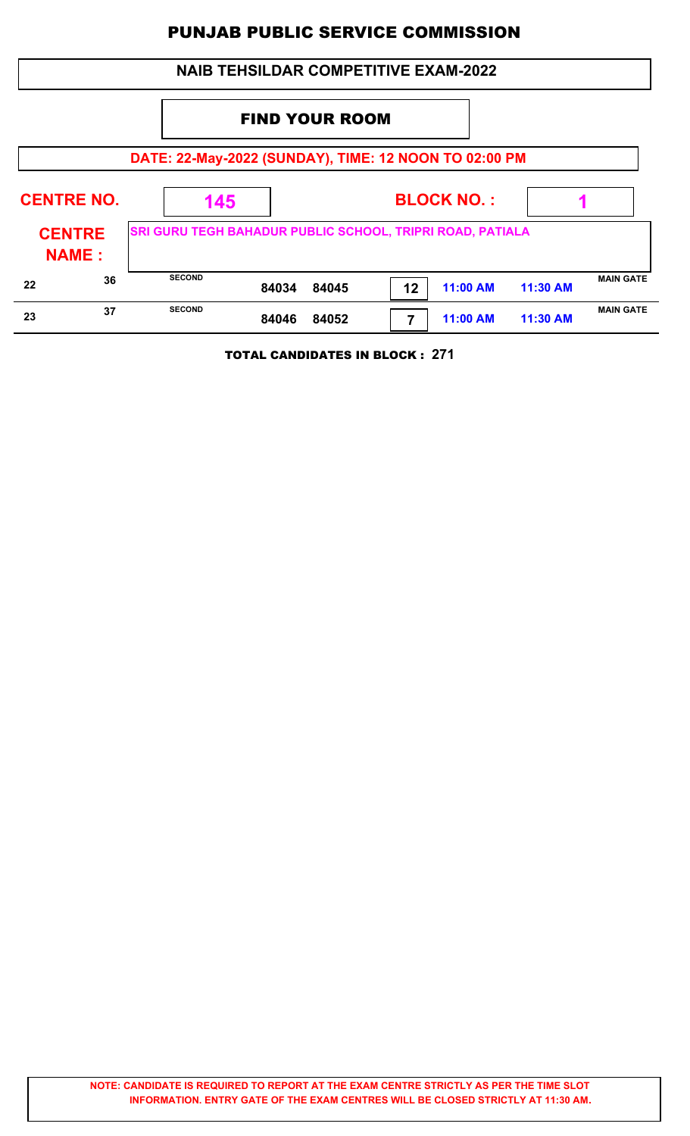|                               |    |                                                           |       | <b>NAIB TEHSILDAR COMPETITIVE EXAM-2022</b> |    |                   |          |                  |
|-------------------------------|----|-----------------------------------------------------------|-------|---------------------------------------------|----|-------------------|----------|------------------|
|                               |    |                                                           |       |                                             |    |                   |          |                  |
|                               |    | DATE: 22-May-2022 (SUNDAY), TIME: 12 NOON TO 02:00 PM     |       |                                             |    |                   |          |                  |
| <b>CENTRE NO.</b>             |    | 145                                                       |       |                                             |    | <b>BLOCK NO.:</b> |          |                  |
| <b>CENTRE</b><br><b>NAME:</b> |    | SRI GURU TEGH BAHADUR PUBLIC SCHOOL, TRIPRI ROAD, PATIALA |       |                                             |    |                   |          |                  |
| 22                            | 36 | <b>SECOND</b>                                             | 84034 | 84045                                       | 12 | 11:00 AM          | 11:30 AM | <b>MAIN GATE</b> |
| 23                            | 37 | <b>SECOND</b>                                             | 84046 | 84052                                       | 7  | 11:00 AM          | 11:30 AM | <b>MAIN GATE</b> |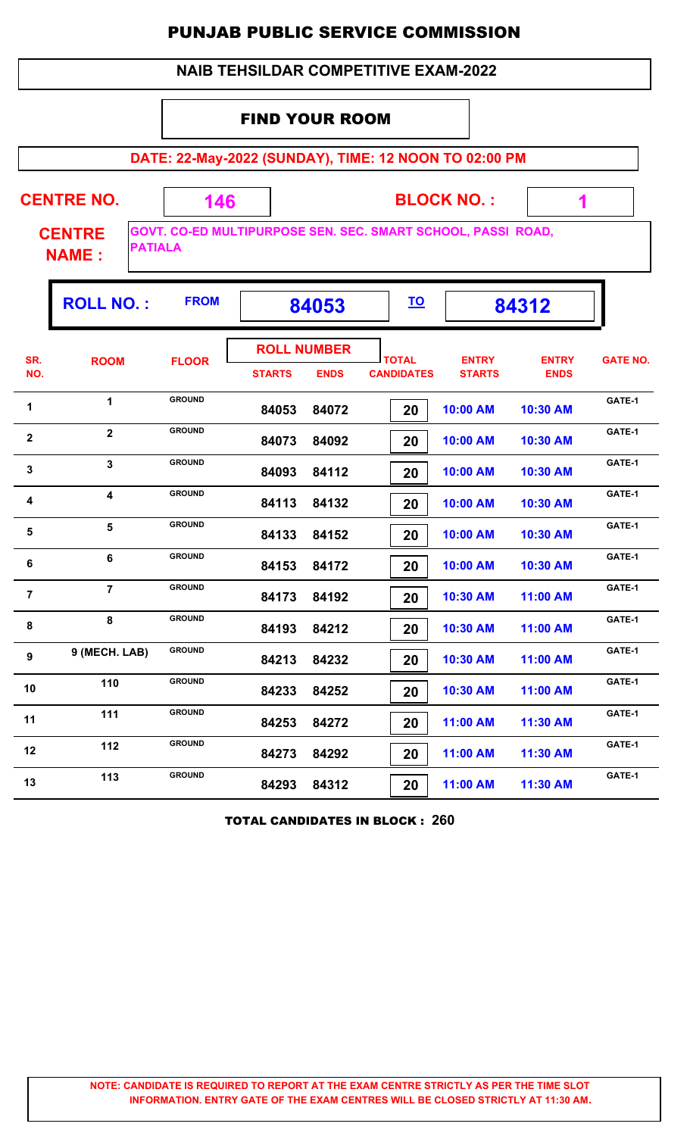|                |                                                                      |               |                       |                                   | <b>NAIB TEHSILDAR COMPETITIVE EXAM-2022</b>                  |                               |                             |                 |  |  |  |  |  |
|----------------|----------------------------------------------------------------------|---------------|-----------------------|-----------------------------------|--------------------------------------------------------------|-------------------------------|-----------------------------|-----------------|--|--|--|--|--|
|                |                                                                      |               | <b>FIND YOUR ROOM</b> |                                   |                                                              |                               |                             |                 |  |  |  |  |  |
|                | DATE: 22-May-2022 (SUNDAY), TIME: 12 NOON TO 02:00 PM                |               |                       |                                   |                                                              |                               |                             |                 |  |  |  |  |  |
|                | <b>CENTRE NO.</b><br><b>CENTRE</b><br><b>PATIALA</b><br><b>NAME:</b> | 146           |                       |                                   | GOVT. CO-ED MULTIPURPOSE SEN. SEC. SMART SCHOOL, PASSI ROAD, | <b>BLOCK NO.:</b>             | 1                           |                 |  |  |  |  |  |
|                | <b>ROLL NO.:</b>                                                     | <b>FROM</b>   |                       | 84053                             | <u>TO</u>                                                    |                               | 84312                       |                 |  |  |  |  |  |
| SR.<br>NO.     | <b>ROOM</b>                                                          | <b>FLOOR</b>  | <b>STARTS</b>         | <b>ROLL NUMBER</b><br><b>ENDS</b> | <b>TOTAL</b><br><b>CANDIDATES</b>                            | <b>ENTRY</b><br><b>STARTS</b> | <b>ENTRY</b><br><b>ENDS</b> | <b>GATE NO.</b> |  |  |  |  |  |
| 1              | $\mathbf{1}$                                                         | <b>GROUND</b> | 84053                 | 84072                             | 20                                                           | 10:00 AM                      | 10:30 AM                    | GATE-1          |  |  |  |  |  |
| $\mathbf 2$    | $\overline{2}$                                                       | <b>GROUND</b> | 84073                 | 84092                             | 20                                                           | 10:00 AM                      | 10:30 AM                    | GATE-1          |  |  |  |  |  |
| 3              | $\overline{3}$                                                       | <b>GROUND</b> | 84093                 | 84112                             | 20                                                           | 10:00 AM                      | 10:30 AM                    | GATE-1          |  |  |  |  |  |
| 4              | $\overline{\mathbf{4}}$                                              | <b>GROUND</b> | 84113                 | 84132                             | 20                                                           | 10:00 AM                      | 10:30 AM                    | GATE-1          |  |  |  |  |  |
| 5              | $5\phantom{a}$                                                       | <b>GROUND</b> | 84133                 | 84152                             | 20                                                           | 10:00 AM                      | 10:30 AM                    | GATE-1          |  |  |  |  |  |
| 6              | 6                                                                    | <b>GROUND</b> | 84153                 | 84172                             | 20                                                           | 10:00 AM                      | 10:30 AM                    | GATE-1          |  |  |  |  |  |
| $\overline{7}$ | $\overline{7}$                                                       | <b>GROUND</b> | 84173                 | 84192                             | 20                                                           | 10:30 AM                      | 11:00 AM                    | GATE-1          |  |  |  |  |  |
| 8              | 8                                                                    | <b>GROUND</b> | 84193                 | 84212                             | 20                                                           | 10:30 AM                      | 11:00 AM                    | GATE-1          |  |  |  |  |  |
| 9              | 9 (MECH. LAB)                                                        | <b>GROUND</b> | 84213                 | 84232                             | 20                                                           | 10:30 AM                      | 11:00 AM                    | GATE-1          |  |  |  |  |  |
| 10             | 110                                                                  | <b>GROUND</b> | 84233                 | 84252                             | 20                                                           | 10:30 AM                      | 11:00 AM                    | GATE-1          |  |  |  |  |  |
| 11             | 111                                                                  | <b>GROUND</b> | 84253                 | 84272                             | 20                                                           | 11:00 AM                      | 11:30 AM                    | GATE-1          |  |  |  |  |  |
| 12             | 112                                                                  | <b>GROUND</b> | 84273                 | 84292                             | 20                                                           | 11:00 AM                      | 11:30 AM                    | GATE-1          |  |  |  |  |  |
| 13             | 113                                                                  | <b>GROUND</b> | 84293                 | 84312                             | 20                                                           | 11:00 AM                      | 11:30 AM                    | GATE-1          |  |  |  |  |  |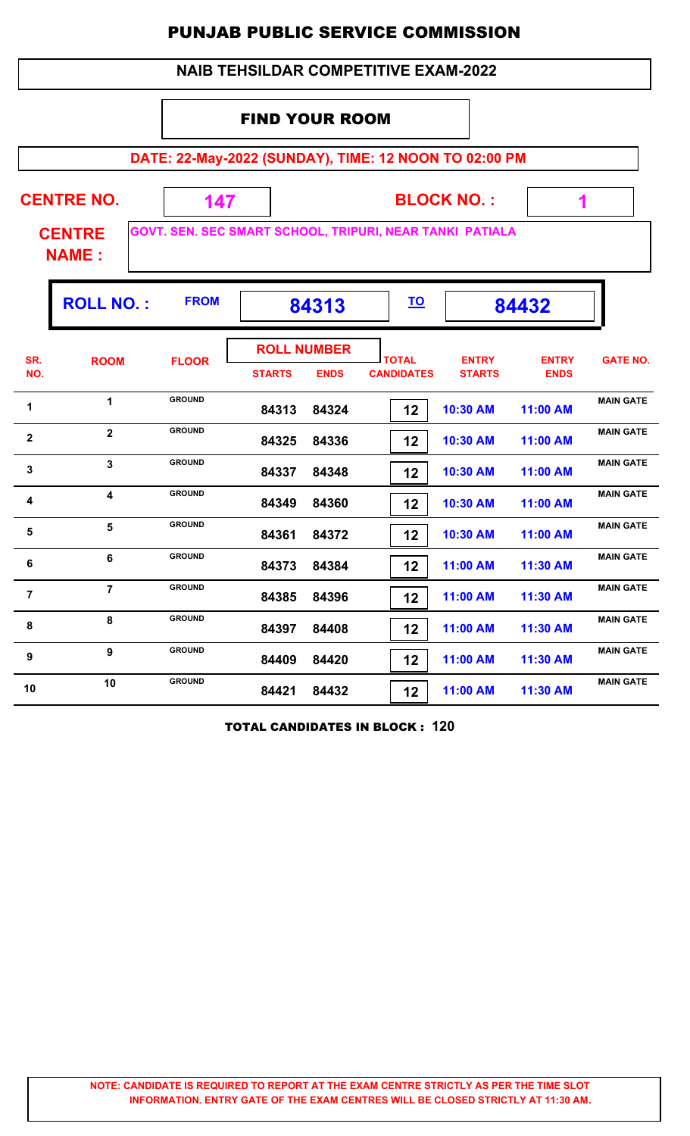| <b>NAIB TEHSILDAR COMPETITIVE EXAM-2022</b>                                               |                                                                |               |               |                                   |                                   |                               |                             |                  |  |  |  |  |
|-------------------------------------------------------------------------------------------|----------------------------------------------------------------|---------------|---------------|-----------------------------------|-----------------------------------|-------------------------------|-----------------------------|------------------|--|--|--|--|
| <b>FIND YOUR ROOM</b>                                                                     |                                                                |               |               |                                   |                                   |                               |                             |                  |  |  |  |  |
| DATE: 22-May-2022 (SUNDAY), TIME: 12 NOON TO 02:00 PM                                     |                                                                |               |               |                                   |                                   |                               |                             |                  |  |  |  |  |
| <b>CENTRE NO.</b><br><b>BLOCK NO.:</b><br>147<br>1                                        |                                                                |               |               |                                   |                                   |                               |                             |                  |  |  |  |  |
| GOVT. SEN. SEC SMART SCHOOL, TRIPURI, NEAR TANKI PATIALA<br><b>CENTRE</b><br><b>NAME:</b> |                                                                |               |               |                                   |                                   |                               |                             |                  |  |  |  |  |
|                                                                                           | <b>FROM</b><br><b>ROLL NO.:</b><br><u>TO</u><br>84313<br>84432 |               |               |                                   |                                   |                               |                             |                  |  |  |  |  |
| SR.<br>NO.                                                                                | <b>ROOM</b>                                                    | <b>FLOOR</b>  | <b>STARTS</b> | <b>ROLL NUMBER</b><br><b>ENDS</b> | <b>TOTAL</b><br><b>CANDIDATES</b> | <b>ENTRY</b><br><b>STARTS</b> | <b>ENTRY</b><br><b>ENDS</b> | <b>GATE NO.</b>  |  |  |  |  |
| 1                                                                                         | 1                                                              | <b>GROUND</b> | 84313         | 84324                             | 12                                | 10:30 AM                      | 11:00 AM                    | <b>MAIN GATE</b> |  |  |  |  |
| $\mathbf{2}$                                                                              | $\overline{\mathbf{2}}$                                        | <b>GROUND</b> | 84325         | 84336                             | $12 \,$                           | 10:30 AM                      | 11:00 AM                    | <b>MAIN GATE</b> |  |  |  |  |
| $\mathbf{3}$                                                                              | 3                                                              | <b>GROUND</b> | 84337         | 84348                             | 12                                | 10:30 AM                      | 11:00 AM                    | <b>MAIN GATE</b> |  |  |  |  |
| 4                                                                                         | $\overline{\mathbf{4}}$                                        | <b>GROUND</b> | 84349         | 84360                             | 12                                | 10:30 AM                      | 11:00 AM                    | <b>MAIN GATE</b> |  |  |  |  |
| 5                                                                                         | 5                                                              | <b>GROUND</b> | 84361         | 84372                             | 12 <sub>2</sub>                   | 10:30 AM                      | 11:00 AM                    | <b>MAIN GATE</b> |  |  |  |  |
| 6                                                                                         | 6                                                              | <b>GROUND</b> | 84373         | 84384                             | 12                                | 11:00 AM                      | 11:30 AM                    | <b>MAIN GATE</b> |  |  |  |  |
| $\overline{7}$                                                                            | $\overline{7}$                                                 | <b>GROUND</b> | 84385         | 84396                             | $12 \,$                           | 11:00 AM                      | 11:30 AM                    | <b>MAIN GATE</b> |  |  |  |  |
| 8                                                                                         | 8                                                              | <b>GROUND</b> | 84397         | 84408                             | 12                                | 11:00 AM                      | 11:30 AM                    | <b>MAIN GATE</b> |  |  |  |  |
| $\boldsymbol{9}$                                                                          | $\boldsymbol{9}$                                               | <b>GROUND</b> | 84409         | 84420                             | 12                                | 11:00 AM                      | 11:30 AM                    | <b>MAIN GATE</b> |  |  |  |  |
| 10                                                                                        | 10                                                             | <b>GROUND</b> | 84421         | 84432                             | 12                                | 11:00 AM                      | 11:30 AM                    | <b>MAIN GATE</b> |  |  |  |  |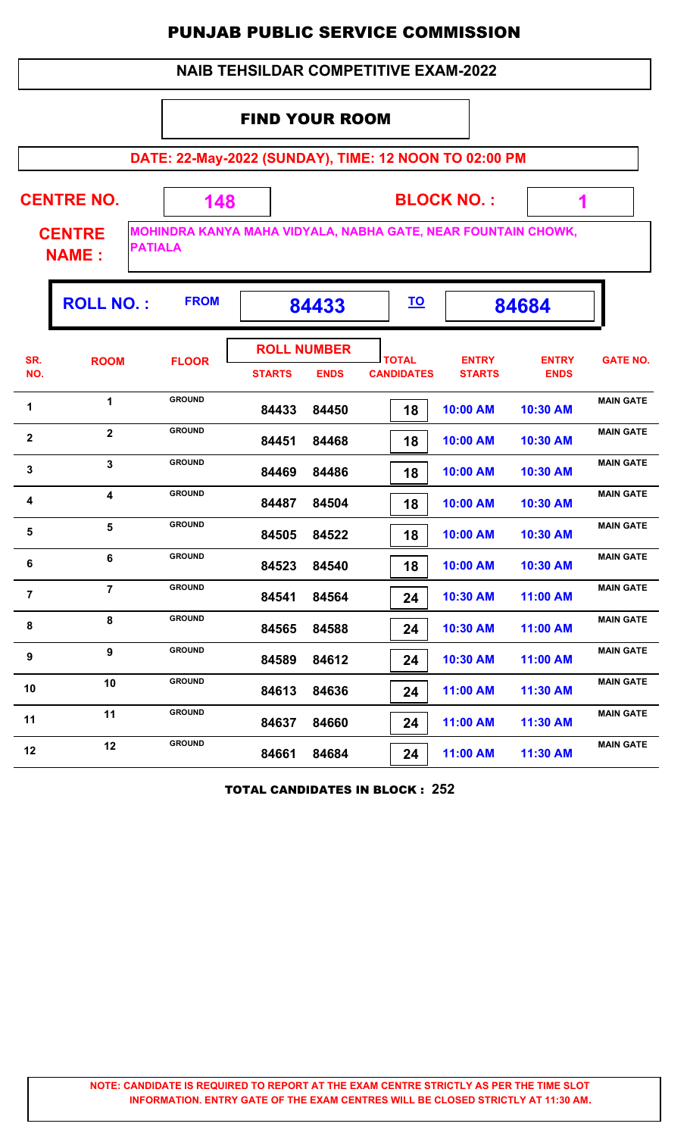|              |                               |                                                                                 |                       |                                   | <b>PUNJAB PUBLIC SERVICE COMMISSION</b>     |                               |                             |                  |
|--------------|-------------------------------|---------------------------------------------------------------------------------|-----------------------|-----------------------------------|---------------------------------------------|-------------------------------|-----------------------------|------------------|
|              |                               |                                                                                 |                       |                                   | <b>NAIB TEHSILDAR COMPETITIVE EXAM-2022</b> |                               |                             |                  |
|              |                               |                                                                                 | <b>FIND YOUR ROOM</b> |                                   |                                             |                               |                             |                  |
|              |                               | DATE: 22-May-2022 (SUNDAY), TIME: 12 NOON TO 02:00 PM                           |                       |                                   |                                             |                               |                             |                  |
|              | <b>CENTRE NO.</b>             | 148                                                                             |                       |                                   |                                             | <b>BLOCK NO.:</b>             |                             |                  |
|              | <b>CENTRE</b><br><b>NAME:</b> | MOHINDRA KANYA MAHA VIDYALA, NABHA GATE, NEAR FOUNTAIN CHOWK,<br><b>PATIALA</b> |                       |                                   |                                             |                               |                             |                  |
|              | <b>ROLL NO.:</b>              | <b>FROM</b>                                                                     |                       | 84433                             | <u>TO</u>                                   |                               | 84684                       |                  |
| SR.<br>NO.   | <b>ROOM</b>                   | <b>FLOOR</b>                                                                    | <b>STARTS</b>         | <b>ROLL NUMBER</b><br><b>ENDS</b> | <b>TOTAL</b><br><b>CANDIDATES</b>           | <b>ENTRY</b><br><b>STARTS</b> | <b>ENTRY</b><br><b>ENDS</b> | <b>GATE NO.</b>  |
| $\mathbf 1$  | $\blacktriangleleft$          | <b>GROUND</b>                                                                   | 84433                 | 84450                             | 18                                          | 10:00 AM                      | 10:30 AM                    | <b>MAIN GATE</b> |
| $\mathbf{2}$ | $\overline{2}$                | <b>GROUND</b>                                                                   | 84451                 | 84468                             | 18                                          | 10:00 AM                      | 10:30 AM                    | <b>MAIN GATE</b> |
| 3            | 3                             | <b>GROUND</b>                                                                   | 84469                 | 84486                             | 18                                          | 10:00 AM                      | 10:30 AM                    | <b>MAIN GATE</b> |
| 4            | 4                             | <b>GROUND</b>                                                                   | 84487                 | 84504                             | 18                                          | 10:00 AM                      | 10:30 AM                    | <b>MAIN GATE</b> |
| 5            | 5                             | <b>GROUND</b>                                                                   | 84505                 | 84522                             | 18                                          | 10:00 AM                      | 10:30 AM                    | <b>MAIN GATE</b> |
| 6            | 6                             | <b>GROUND</b>                                                                   |                       | 84523 84540                       | 18                                          | $10:00$ AM                    | $10:30$ AM                  | <b>MAIN GATE</b> |

TOTAL CANDIDATES IN BLOCK : **252**

**10:30 AM 11:00 AM MAIN GATE**<br>**84541 84564 <b>74 10:30 AM 11:00 AM** 

8 **MAIN GATE**<br>**8 84565 84588 24 10:30 AM 11:00 AM** 

**MAIN GATE<sup>9</sup> <sup>9</sup>**

10 **MAIN GROUND** 84613 84636 **24 11:00 AM 11:30 AM** MAIN GATE

11 **MAIN GROUND** 84637 84660 **24** 11:00 AM 11:30 AM MAIN GATE

12 **12 BROUND 84661 84684 24 11:00 AM 11:30 AM MAIN GATE** 

**GROUND**

**GROUND**

**GROUND**

 **84523 84540 18 10:00 AM 10:30 AM**

 **84541 84564 24 10:30 AM 11:00 AM**

 **84565 84588 24 10:30 AM 11:00 AM**

 **84589 84612 24 10:30 AM 11:00 AM**

 **84613 84636 24 11:00 AM 11:30 AM**

 **84637 84660 24 11:00 AM 11:30 AM**

 **84661 84684 24 11:00 AM 11:30 AM**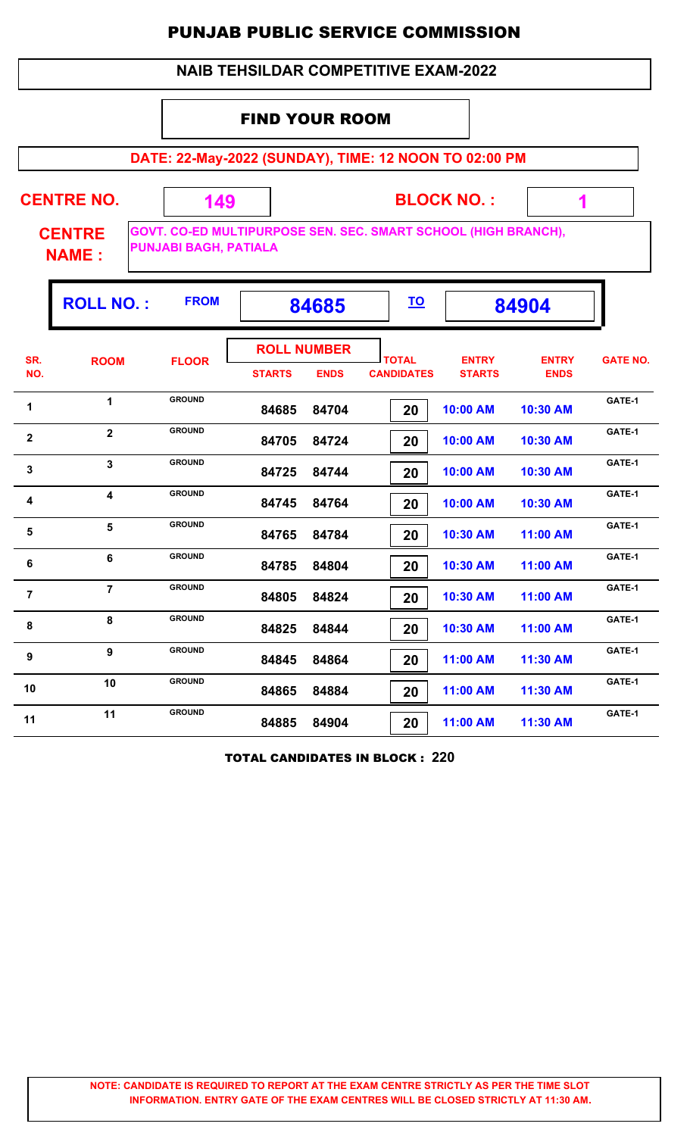#### **NAIB TEHSILDAR COMPETITIVE EXAM-2022**

#### FIND YOUR ROOM

 **149**

**DATE: 22-May-2022 (SUNDAY), TIME: 12 NOON TO 02:00 PM**

**CENTRE NO.** 

**BLOCK NO. :**

 **1**

**CENTRE NAME :**

**GOVT. CO-ED MULTIPURPOSE SEN. SEC. SMART SCHOOL (HIGH BRANCH), PUNJABI BAGH, PATIALA**

|                | <b>ROLL NO.:</b>        | <b>FROM</b>   |                                     | 84685       |                                   |                               | 84904                       |                 |
|----------------|-------------------------|---------------|-------------------------------------|-------------|-----------------------------------|-------------------------------|-----------------------------|-----------------|
| SR.<br>NO.     | <b>ROOM</b>             | <b>FLOOR</b>  | <b>ROLL NUMBER</b><br><b>STARTS</b> | <b>ENDS</b> | <b>TOTAL</b><br><b>CANDIDATES</b> | <b>ENTRY</b><br><b>STARTS</b> | <b>ENTRY</b><br><b>ENDS</b> | <b>GATE NO.</b> |
| 1              | $\mathbf 1$             | <b>GROUND</b> | 84685                               | 84704       | 20                                | 10:00 AM                      | 10:30 AM                    | GATE-1          |
| $\mathbf{2}$   | $\overline{2}$          | <b>GROUND</b> | 84705                               | 84724       | 20                                | 10:00 AM                      | 10:30 AM                    | GATE-1          |
| $\mathbf{3}$   | $\overline{3}$          | <b>GROUND</b> | 84725                               | 84744       | 20                                | 10:00 AM                      | 10:30 AM                    | GATE-1          |
| 4              | $\overline{\mathbf{4}}$ | <b>GROUND</b> | 84745                               | 84764       | 20                                | 10:00 AM                      | 10:30 AM                    | GATE-1          |
| 5              | 5                       | <b>GROUND</b> | 84765                               | 84784       | 20                                | 10:30 AM                      | 11:00 AM                    | GATE-1          |
| 6              | 6                       | <b>GROUND</b> | 84785                               | 84804       | 20                                | 10:30 AM                      | 11:00 AM                    | GATE-1          |
| $\overline{7}$ | $\overline{7}$          | <b>GROUND</b> | 84805                               | 84824       | 20                                | 10:30 AM                      | 11:00 AM                    | GATE-1          |
| 8              | 8                       | <b>GROUND</b> | 84825                               | 84844       | 20                                | 10:30 AM                      | 11:00 AM                    | GATE-1          |
| 9              | 9                       | <b>GROUND</b> | 84845                               | 84864       | 20                                | 11:00 AM                      | 11:30 AM                    | GATE-1          |
| 10             | 10                      | <b>GROUND</b> | 84865                               | 84884       | 20                                | 11:00 AM                      | 11:30 AM                    | GATE-1          |
| 11             | 11                      | <b>GROUND</b> | 84885                               | 84904       | 20                                | 11:00 AM                      | 11:30 AM                    | GATE-1          |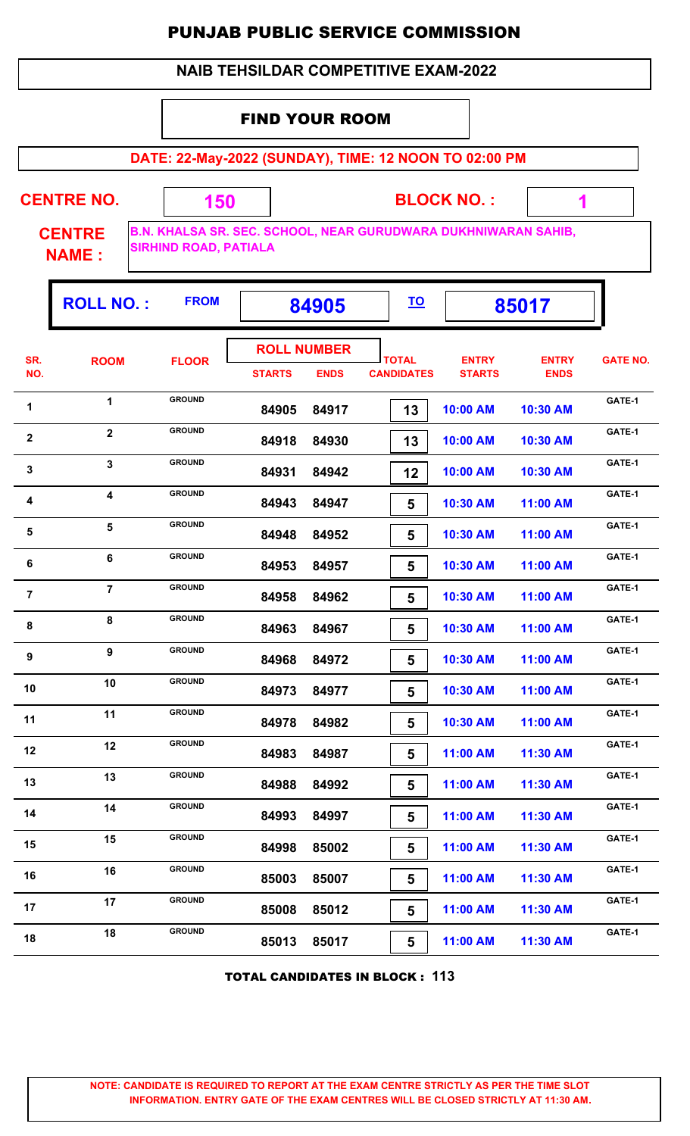#### **NAIB TEHSILDAR COMPETITIVE EXAM-2022**

#### FIND YOUR ROOM

 **150**

**DATE: 22-May-2022 (SUNDAY), TIME: 12 NOON TO 02:00 PM**

**CENTRE NO.** 

**BLOCK NO. :**

 **1**

ŋ.

**CENTRE NAME :**

Г

**B.N. KHALSA SR. SEC. SCHOOL, NEAR GURUDWARA DUKHNIWARAN SAHIB, SIRHIND ROAD, PATIALA**

|                  | <b>ROLL NO.:</b> | <b>FROM</b>                    | 84905                               |                | <u>TO</u>                         |                               | 85017                       |                  |
|------------------|------------------|--------------------------------|-------------------------------------|----------------|-----------------------------------|-------------------------------|-----------------------------|------------------|
| SR.<br>NO.       | <b>ROOM</b>      | <b>FLOOR</b>                   | <b>ROLL NUMBER</b><br><b>STARTS</b> | <b>ENDS</b>    | <b>TOTAL</b><br><b>CANDIDATES</b> | <b>ENTRY</b><br><b>STARTS</b> | <b>ENTRY</b><br><b>ENDS</b> | <b>GATE NO.</b>  |
| 1                | $\mathbf{1}$     | <b>GROUND</b>                  | 84905                               | 84917          | 13                                | 10:00 AM                      | 10:30 AM                    | GATE-1           |
| $\boldsymbol{2}$ | $\mathbf{2}$     | <b>GROUND</b>                  | 84918                               | 84930          | 13                                | 10:00 AM                      | 10:30 AM                    | GATE-1           |
| $\mathbf{3}$     | 3                | <b>GROUND</b>                  | 84931                               | 84942          | 12                                | 10:00 AM                      | 10:30 AM                    | GATE-1           |
| 4                | 4                | <b>GROUND</b>                  | 84943                               | 84947          | 5                                 | 10:30 AM                      | 11:00 AM                    | GATE-1           |
| $\sqrt{5}$       | 5                | <b>GROUND</b>                  | 84948                               | 84952          | 5                                 | 10:30 AM                      | 11:00 AM                    | GATE-1           |
| 6                | 6                | <b>GROUND</b>                  | 84953                               | 84957          | 5                                 | 10:30 AM                      | 11:00 AM                    | GATE-1           |
| $\overline{7}$   | $\overline{7}$   | <b>GROUND</b><br><b>GROUND</b> | 84958                               | 84962          | 5                                 | 10:30 AM                      | 11:00 AM                    | GATE-1<br>GATE-1 |
| 8                | 8<br>9           | <b>GROUND</b>                  | 84963                               | 84967          | $5\phantom{1}$                    | 10:30 AM                      | 11:00 AM                    | GATE-1           |
| 9                | 10               | <b>GROUND</b>                  | 84968                               | 84972          | 5                                 | 10:30 AM                      | 11:00 AM                    | GATE-1           |
| 10<br>11         | 11               | <b>GROUND</b>                  | 84973                               | 84977          | 5                                 | 10:30 AM                      | 11:00 AM                    | GATE-1           |
| 12               | 12               | <b>GROUND</b>                  | 84978<br>84983                      | 84982<br>84987 | 5                                 | 10:30 AM<br>11:00 AM          | 11:00 AM<br>11:30 AM        | GATE-1           |
| 13               | 13               | <b>GROUND</b>                  | 84988                               | 84992          | 5<br>5                            | 11:00 AM                      | 11:30 AM                    | GATE-1           |
| 14               | 14               | <b>GROUND</b>                  | 84993                               | 84997          | 5                                 | 11:00 AM                      | 11:30 AM                    | GATE-1           |
| 15               | 15               | <b>GROUND</b>                  | 84998                               | 85002          | 5                                 | 11:00 AM                      | 11:30 AM                    | GATE-1           |
| 16               | 16               | <b>GROUND</b>                  | 85003                               | 85007          | $5\phantom{.0}$                   | 11:00 AM                      | 11:30 AM                    | GATE-1           |
| 17               | 17               | <b>GROUND</b>                  | 85008                               | 85012          | 5                                 | 11:00 AM                      | 11:30 AM                    | GATE-1           |
| 18               | 18               | <b>GROUND</b>                  | 85013                               | 85017          | 5                                 | 11:00 AM                      | 11:30 AM                    | GATE-1           |

TOTAL CANDIDATES IN BLOCK : **113**